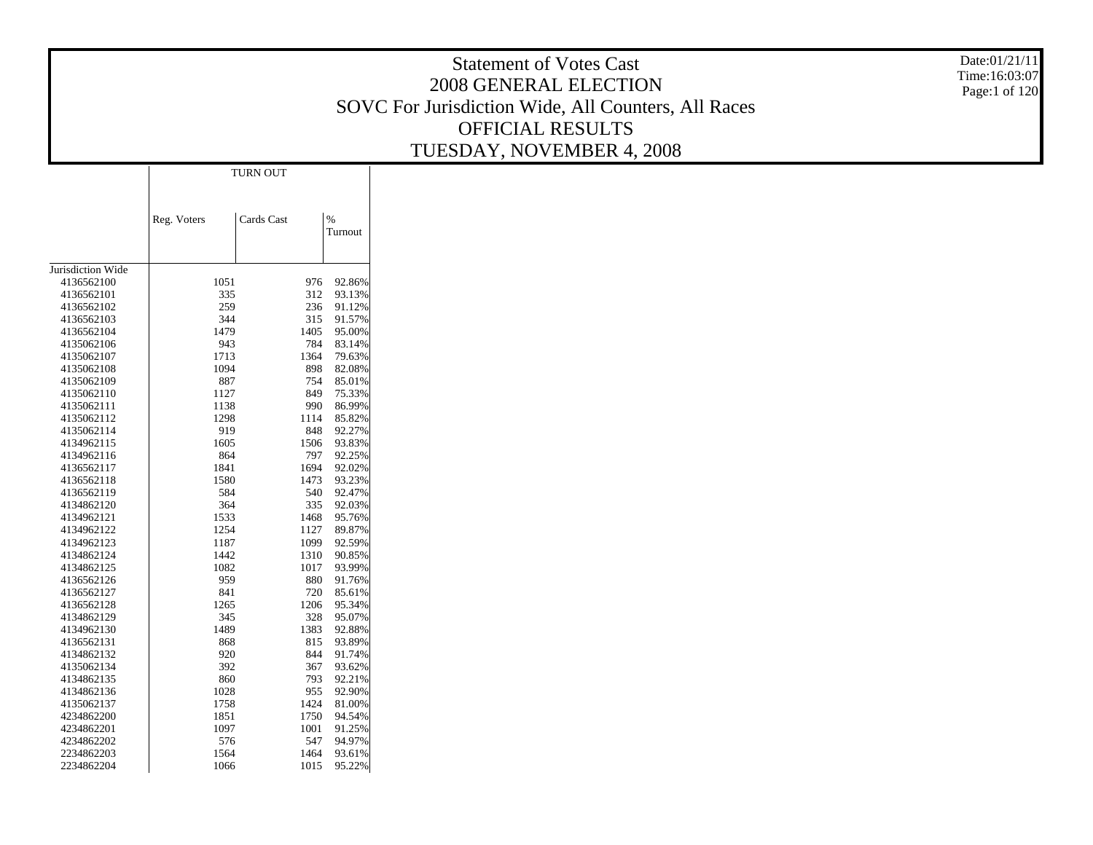# Statement of Votes Cast 2008 GENERAL ELECTION SOVC For Jurisdiction Wide, All Counters, All Races OFFICIAL RESULTS TUESDAY, NOVEMBER 4, 2008

Date:01/21/11 Time:16:03:07 Page:1 of 120

|                          |             | <b>TURN OUT</b> |      |                  |
|--------------------------|-------------|-----------------|------|------------------|
|                          |             |                 |      |                  |
|                          |             |                 |      |                  |
|                          |             |                 |      |                  |
|                          | Reg. Voters | Cards Cast      |      | $\%$             |
|                          |             |                 |      | Turnout          |
|                          |             |                 |      |                  |
| Jurisdiction Wide        |             |                 |      |                  |
| 4136562100               | 1051        |                 | 976  | 92.86%           |
| 4136562101               | 335         |                 | 312  | 93.13%           |
| 4136562102               | 259         |                 | 236  |                  |
| 4136562103               | 344         |                 | 315  | 91.12%<br>91.57% |
| 4136562104               | 1479        |                 | 1405 | 95.00%           |
|                          | 943         |                 | 784  |                  |
| 4135062106<br>4135062107 | 1713        |                 | 1364 | 83.14%           |
|                          |             |                 |      | 79.63%           |
| 4135062108               | 1094        |                 | 898  | 82.08%           |
| 4135062109               | 887         |                 | 754  | 85.01%           |
| 4135062110               | 1127        |                 | 849  | 75.33%           |
| 4135062111               | 1138        |                 | 990  | 86.99%           |
| 4135062112               | 1298        |                 | 1114 | 85.82%           |
| 4135062114               | 919         |                 | 848  | 92.27%           |
| 4134962115               | 1605        |                 | 1506 | 93.83%           |
| 4134962116               | 864         |                 | 797  | 92.25%           |
| 4136562117               | 1841        |                 | 1694 | 92.02%           |
| 4136562118               | 1580        |                 | 1473 | 93.23%           |
| 4136562119               | 584         |                 | 540  | 92.47%           |
| 4134862120               | 364         |                 | 335  | 92.03%           |
| 4134962121               | 1533        |                 | 1468 | 95.76%           |
| 4134962122               | 1254        |                 | 1127 | 89.87%           |
| 4134962123               | 1187        |                 | 1099 | 92.59%           |
| 4134862124               | 1442        |                 | 1310 | 90.85%           |
| 4134862125               | 1082        |                 | 1017 | 93.99%           |
| 4136562126               | 959         |                 | 880  | 91.76%           |
| 4136562127               | 841         |                 | 720  | 85.61%           |
| 4136562128               | 1265        |                 | 1206 | 95.34%           |
| 4134862129               | 345         |                 | 328  | 95.07%           |
| 4134962130               | 1489        |                 | 1383 | 92.88%           |
| 4136562131               | 868         |                 | 815  | 93.89%           |
| 4134862132               | 920         |                 | 844  | 91.74%           |
| 4135062134               | 392         |                 | 367  | 93.62%           |
| 4134862135               | 860         |                 | 793  | 92.21%           |
| 4134862136               | 1028        |                 | 955  | 92.90%           |
| 4135062137               | 1758        |                 | 1424 | 81.00%           |
| 4234862200               | 1851        |                 | 1750 | 94.54%           |
| 4234862201               | 1097        |                 | 1001 | 91.25%           |
| 4234862202               | 576         |                 | 547  | 94.97%           |
| 2234862203               | 1564        |                 | 1464 | 93.61%           |
| 2234862204               | 1066        |                 | 1015 | 95.22%           |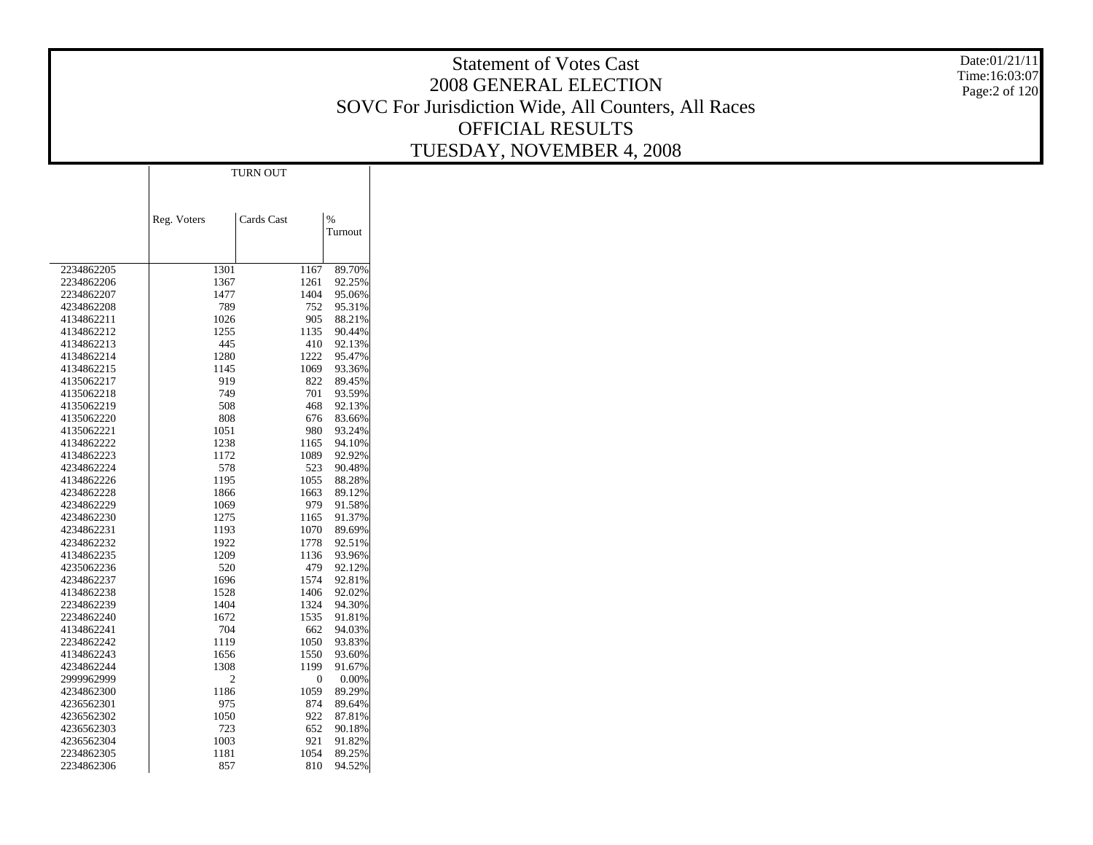# Statement of Votes Cast 2008 GENERAL ELECTION SOVC For Jurisdiction Wide, All Counters, All Races OFFICIAL RESULTS TUESDAY, NOVEMBER 4, 2008

Date:01/21/11 Time:16:03:07 Page:2 of 120

|            |             | <b>TURN OUT</b> |      |         |
|------------|-------------|-----------------|------|---------|
|            |             |                 |      |         |
|            |             |                 |      |         |
|            |             | Cards Cast      |      | $\%$    |
|            | Reg. Voters |                 |      | Turnout |
|            |             |                 |      |         |
|            |             |                 |      |         |
| 2234862205 | 1301        |                 | 1167 | 89.70%  |
| 2234862206 | 1367        |                 | 1261 | 92.25%  |
| 2234862207 | 1477        |                 | 1404 | 95.06%  |
| 4234862208 | 789         |                 | 752  | 95.31%  |
| 4134862211 | 1026        |                 | 905  | 88.21%  |
| 4134862212 | 1255        |                 | 1135 | 90.44%  |
| 4134862213 | 445         |                 | 410  | 92.13%  |
| 4134862214 | 1280        |                 | 1222 | 95.47%  |
| 4134862215 | 1145        |                 | 1069 | 93.36%  |
| 4135062217 | 919         |                 | 822  | 89.45%  |
| 4135062218 | 749         |                 | 701  | 93.59%  |
| 4135062219 | 508         |                 | 468  | 92.13%  |
| 4135062220 | 808         |                 | 676  | 83.66%  |
| 4135062221 | 1051        |                 | 980  | 93.24%  |
| 4134862222 | 1238        |                 | 1165 | 94.10%  |
| 4134862223 | 1172        |                 | 1089 | 92.92%  |
| 4234862224 | 578         |                 | 523  | 90.48%  |
| 4134862226 | 1195        |                 | 1055 | 88.28%  |
| 4234862228 | 1866        |                 | 1663 | 89.12%  |
| 4234862229 | 1069        |                 | 979  | 91.58%  |
| 4234862230 | 1275        |                 | 1165 | 91.37%  |
| 4234862231 | 1193        |                 | 1070 | 89.69%  |
| 4234862232 | 1922        |                 | 1778 | 92.51%  |
| 4134862235 | 1209        |                 | 1136 | 93.96%  |
| 4235062236 | 520         |                 | 479  | 92.12%  |
| 4234862237 | 1696        |                 | 1574 | 92.81%  |
| 4134862238 | 1528        |                 | 1406 | 92.02%  |
| 2234862239 | 1404        |                 | 1324 | 94.30%  |
| 2234862240 | 1672        |                 | 1535 | 91.81%  |
| 4134862241 | 704         |                 | 662  | 94.03%  |
| 2234862242 | 1119        |                 | 1050 | 93.83%  |
| 4134862243 | 1656        |                 | 1550 | 93.60%  |
| 4234862244 | 1308        |                 | 1199 | 91.67%  |
| 2999962999 | 2           |                 | 0    | 0.00%   |
| 4234862300 | 1186        |                 | 1059 | 89.29%  |
| 4236562301 | 975         |                 | 874  | 89.64%  |
| 4236562302 | 1050        |                 | 922  | 87.81%  |
| 4236562303 | 723         |                 | 652  | 90.18%  |
| 4236562304 | 1003        |                 | 921  | 91.82%  |
| 2234862305 | 1181        |                 | 1054 | 89.25%  |
| 2234862306 | 857         |                 | 810  | 94.52%  |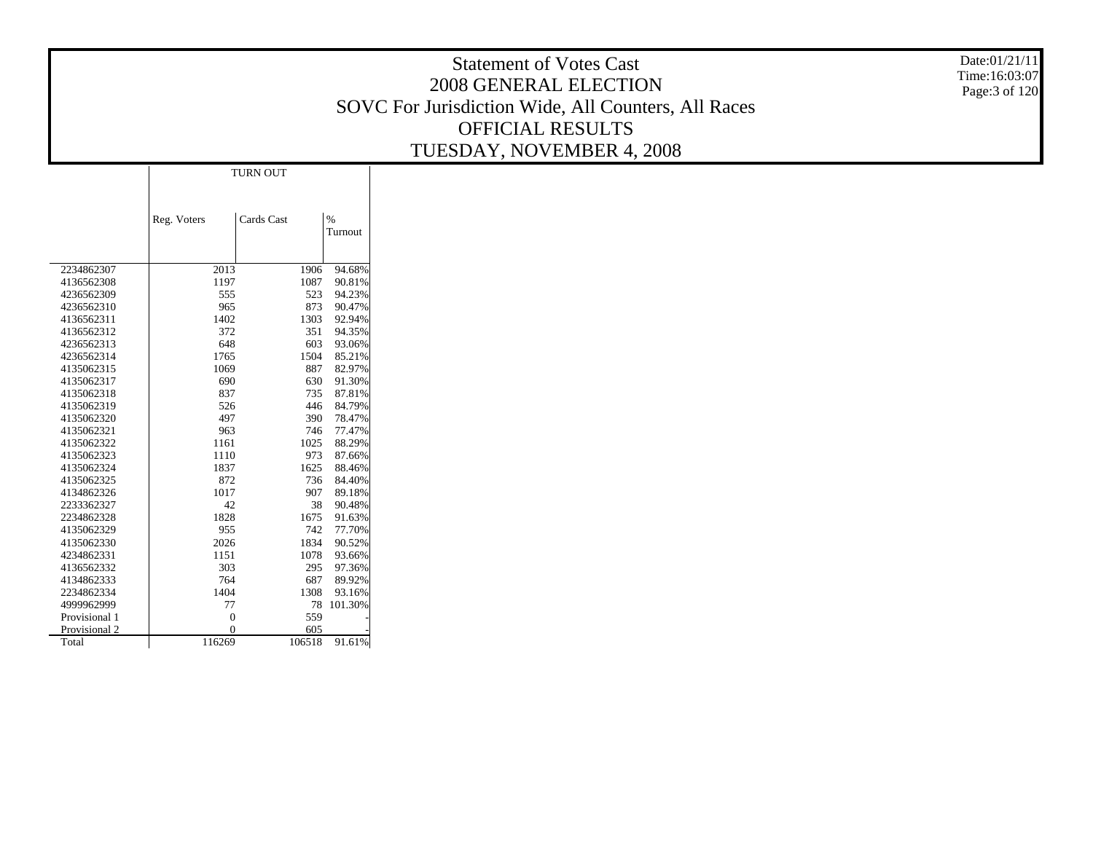# Statement of Votes Cast 2008 GENERAL ELECTION SOVC For Jurisdiction Wide, All Counters, All Races OFFICIAL RESULTS TUESDAY, NOVEMBER 4, 2008

Date:01/21/11 Time:16:03:07 Page:3 of 120

|               |                | <b>TURN OUT</b> |        |         |
|---------------|----------------|-----------------|--------|---------|
|               |                |                 |        |         |
|               |                |                 |        |         |
|               | Reg. Voters    | Cards Cast      |        | $\%$    |
|               |                |                 |        | Turnout |
|               |                |                 |        |         |
|               |                |                 |        |         |
| 2234862307    | 2013           |                 | 1906   | 94.68%  |
| 4136562308    | 1197           |                 | 1087   | 90.81%  |
| 4236562309    | 555            |                 | 523    | 94.23%  |
| 4236562310    | 965            |                 | 873    | 90.47%  |
| 4136562311    | 1402           |                 | 1303   | 92.94%  |
| 4136562312    | 372            |                 | 351    | 94.35%  |
| 4236562313    | 648            |                 | 603    | 93.06%  |
| 4236562314    | 1765           |                 | 1504   | 85.21%  |
| 4135062315    | 1069           |                 | 887    | 82.97%  |
| 4135062317    | 690            |                 | 630    | 91.30%  |
| 4135062318    | 837            |                 | 735    | 87.81%  |
| 4135062319    | 526            |                 | 446    | 84.79%  |
| 4135062320    | 497            |                 | 390    | 78.47%  |
| 4135062321    | 963            |                 | 746    | 77.47%  |
| 4135062322    | 1161           |                 | 1025   | 88.29%  |
| 4135062323    | 1110           |                 | 973    | 87.66%  |
| 4135062324    | 1837           |                 | 1625   | 88.46%  |
| 4135062325    | 872            |                 | 736    | 84.40%  |
| 4134862326    | 1017           |                 | 907    | 89.18%  |
| 2233362327    | 42             |                 | 38     | 90.48%  |
| 2234862328    | 1828           |                 | 1675   | 91.63%  |
| 4135062329    | 955            |                 | 742    | 77.70%  |
| 4135062330    | 2026           |                 | 1834   | 90.52%  |
| 4234862331    | 1151           |                 | 1078   | 93.66%  |
| 4136562332    | 303            |                 | 295    | 97.36%  |
| 4134862333    | 764            |                 | 687    | 89.92%  |
| 2234862334    | 1404           |                 | 1308   | 93.16%  |
| 4999962999    | 77             |                 | 78     | 101.30% |
| Provisional 1 | $\overline{0}$ |                 | 559    |         |
| Provisional 2 | $\overline{0}$ |                 | 605    |         |
| Total         | 116269         |                 | 106518 | 91.61%  |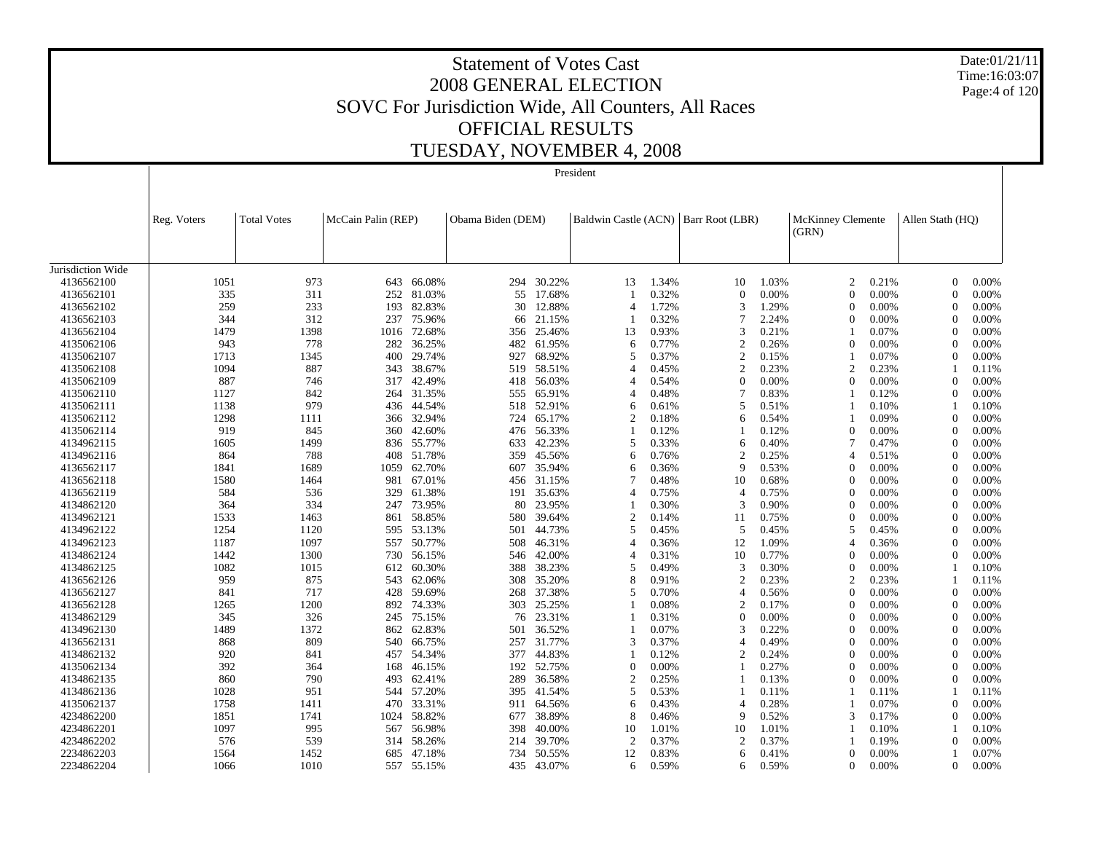Date:01/21/11Time:16:03:07Page:4 of 120

# Statement of Votes Cast2008 GENERAL ELECTIONSOVC For Jurisdiction Wide, All Counters, All Races OFFICIAL RESULTSTUESDAY, NOVEMBER 4, 2008

Jurisdiction Wide 4136562100 4136562101 4136562102 4136562103 4136562104 4135062106 4135062107 4135062108 4135062109 4135062110 4135062111 4135062112 4135062114 4134962115 4134962116 4136562117 4136562118 4136562119 4134862120 4134962121 4134962122 4134962123 4134862124 4134862125 4136562126 4136562127 4136562128 4134862129 4134962130 4136562131 4134862132 4135062134 4134862135 4134862136 4135062137 4234862200 4234862201 4234862202 2234862203 2234862204Reg. Voters Total Votes McCain Palin (REP) Obama Biden (DEM) Baldwin Castle (ACN) Barr Root (LBR) McKinney Clemente (GRN) Allen Stath (HQ) President1051 973 643 66.08% 294 30.22% 13 1.34% 10 1.03% 2 0.21% 0 0.00% 335 311 252 81.03% $\%$  55 17.68% 1 0.32% 0 0.00% 0 0.00% 0 0.00% 259 233 193 82.83% $\%$  30 12.88% 4 1.72% 3 1.29% 0 0.00% 0 0.00% 344 312 237 75.96% $\%$  66 21.15% 1 0.32% 7 2.24% 0 0.00% 0 0.00% 1479 1398 1016 72.68% 356 25.46% 13 0.93% 3 0.21% 1 0.07% 0 0.00% 943 778 282 36.25% $\%$  482 61.95% 6 0.77% 2 0.26% 0 0.00% 0 0.00% 1713 1345 400 29.74% $\%$  927 68.92% 5 0.37% 2 0.15% 1 0.07% 0 0.00% 1094 887 343 38.67% 519 58.51% 4 0.45% 2 0.23% 2 0.23% 1 0.11% 887 746 317 42.49% $\%$  418 56.03% 4 0.54% 0 0.00% 0 0.00% 0 0.00% 1127 842 264 31.35% $\%$  555 65.91% 4 0.48% 7 0.83% 1 0.12% 0 0.00% 1138 979 436 44.54% 518 52.91% 6 0.61% 5 0.51% 1 0.10% 1 0.10% 1298 1111 366 32.94% $\%$  724 65.17% 2 0.18% 6 0.54% 1 0.09% 0 0.00% 919 845 360 42.60% $\%$  476 56.33% 1 0.12% 1 0.12% 0 0.00% 0 0.00% 1605 1499 836 55.77% 633 42.23% 5 0.33% 6 0.40% 7 0.47% 0 0.00% 864 788 408 51.78% 359 45.56% 6 0.76% 2 0.25% 4 0.51% 0 0.00% 1841 1689 1059 62.70% $\%$  607 35.94% 6 0.36% 9 0.53% 0 0.00% 0 0.00% 1580 1464 981 67.01% $\%$  456 31.15% 7 0.48% 10 0.68% 0 0.00% 0 0.00% 584 536 329 61.38% $\%$  191 35.63% 4 0.75% 4 0.75% 0 0.00% 0 0.00% 364 334 247 73.95% $\%$  80 23.95% 1 0.30% 3 0.90% 0 0.00% 0 0.00% 1533 1463 861 58.85% $\%$  580 39.64% 2 0.14% 11 0.75% 0 0.00% 0 0.00% 1254 1120 595 53.13% 501 44.73% 5 0.45% 5 0.45% 5 0.45% 0 0.00% 1187 1097 557 50.77% $\%$  508 46.31% 4 0.36% 12 1.09% 4 0.36% 0 0.00% 1442 1300 730 56.15% $\%$  546 42.00% 4 0.31% 10 0.77% 0 0.00% 0 0.00% 1082 1015 612 60.30% 388 38.23% 5 0.49% 3 0.30% 0 0.00% 1 0.10% 959 875 543 62.06% 308 35.20% 8 0.91% 2 0.23% 2 0.23% 1 0.11% 841 717 428 59.69% $\%$  268 37.38% 5 0.70% 4 0.56% 0 0.00% 0 0.00% 1265 1200 892 74.33% $\%$  303 25.25% 1 0.08% 2 0.17% 0 0.00% 0 0.00% 345 326 245 75.15% $\%$  76 23.31% 1 0.31% 0 0.00% 0 0.00% 0 0.00% 1489 1372 862 62.83% $\%$  501 36.52% 1 0.07% 3 0.22% 0 0.00% 0 0.00% 868 809 540 66.75% $\%$  257 31.77% 3 0.37% 4 0.49% 0 0.00% 0 0.00% 920 841 457 54.34% $\%$  377 44.83% 1 0.12% 2 0.24% 0 0.00% 0 0.00% 392 364 168 46.15% $\%$  192 52.75% 0 0.00% 1 0.27% 0 0.00% 0 0.00% 860 790 493 62.41% $\%$  289 36.58% 2 0.25% 1 0.13% 0 0.00% 0 0.00% 1028 951 544 57.20% 395 41.54% 5 0.53% 1 0.11% 1 0.11% 1 0.11% 1758 1411 470 33.31% $\%$  911 64.56% 6 0.43% 4 0.28% 1 0.07% 0 0.00% 1851 1741 1024 58.82% 677 38.89% 8 0.46% 9 0.52% 3 0.17% 0 0.00% 1097 995 567 56.98% 398 40.00% 10 1.01% 10 1.01% 1 0.10% 1 0.10% 576 539 314 58.26% 214 39.70% 2 0.37% 2 0.37% 1 0.19% 0 0.00% 1564 1452 685 47.18% 734 50.55% 12 0.83% 6 0.41% 0 0.00% 1 0.07% 1066 1010 557 55.15% $\%$  435 43.07% 6 0.59% 6 0.59% 0 0.00% 0 0.00%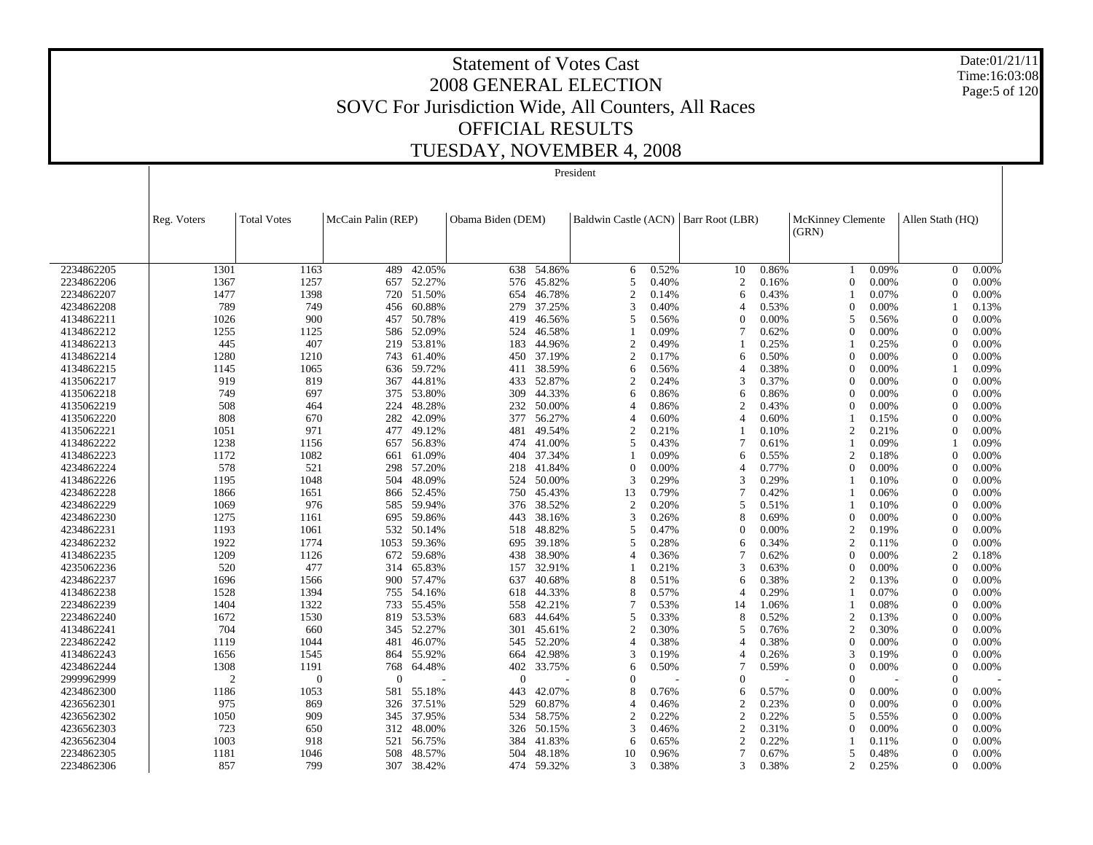Date:01/21/11 Time:16:03:08 Page:5 of 120

|            |                |                    |                    |            |                   |        | President      |       |                                        |       |                          |       |                  |       |
|------------|----------------|--------------------|--------------------|------------|-------------------|--------|----------------|-------|----------------------------------------|-------|--------------------------|-------|------------------|-------|
|            |                |                    |                    |            |                   |        |                |       |                                        |       |                          |       |                  |       |
|            |                |                    |                    |            |                   |        |                |       |                                        |       |                          |       |                  |       |
|            | Reg. Voters    | <b>Total Votes</b> | McCain Palin (REP) |            | Obama Biden (DEM) |        |                |       | Baldwin Castle (ACN)   Barr Root (LBR) |       | <b>McKinney Clemente</b> |       | Allen Stath (HO) |       |
|            |                |                    |                    |            |                   |        |                |       |                                        |       | (GRN)                    |       |                  |       |
|            |                |                    |                    |            |                   |        |                |       |                                        |       |                          |       |                  |       |
| 2234862205 | 1301           | 1163               | 489                | 42.05%     | 638               | 54.86% | 6              | 0.52% | 10                                     | 0.86% |                          | 0.09% | $\overline{0}$   | 0.00% |
| 2234862206 | 1367           | 1257               | 657                | 52.27%     | 576               | 45.82% | 5              | 0.40% | $\overline{2}$                         | 0.16% | $\theta$                 | 0.00% | $\Omega$         | 0.00% |
| 2234862207 | 1477           | 1398               | 720                | 51.50%     | 654               | 46.78% | 2              | 0.14% | 6                                      | 0.43% |                          | 0.07% | $\Omega$         | 0.00% |
| 4234862208 | 789            | 749                | 456                | 60.88%     | 279               | 37.25% | 3              | 0.40% | $\overline{4}$                         | 0.53% | $\overline{0}$           | 0.00% |                  | 0.13% |
| 4134862211 | 1026           | 900                | 457                | 50.78%     | 419               | 46.56% | 5              | 0.56% | $\theta$                               | 0.00% | 5                        | 0.56% | $\mathbf{0}$     | 0.00% |
| 4134862212 | 1255           | 1125               | 586                | 52.09%     | 524               | 46.58% |                | 0.09% | 7                                      | 0.62% | $\Omega$                 | 0.00% | $\Omega$         | 0.00% |
| 4134862213 | 445            | 407                | 219                | 53.81%     | 183               | 44.96% | 2              | 0.49% |                                        | 0.25% |                          | 0.25% | $\Omega$         | 0.00% |
| 4134862214 | 1280           | 1210               | 743                | 61.40%     | 450               | 37.19% | 2              | 0.17% | 6                                      | 0.50% | $\Omega$                 | 0.00% | $\Omega$         | 0.00% |
| 4134862215 | 1145           | 1065               | 636                | 59.72%     | 411               | 38.59% | 6              | 0.56% | $\overline{4}$                         | 0.38% | $\Omega$                 | 0.00% |                  | 0.09% |
| 4135062217 | 919            | 819                | 367                | 44.81%     | 433               | 52.87% | 2              | 0.24% | $\mathcal{R}$                          | 0.37% | $\Omega$                 | 0.00% | $\Omega$         | 0.00% |
| 4135062218 | 749            | 697                | 375                | 53.80%     | 309               | 44.33% | 6              | 0.86% | 6                                      | 0.86% | $\Omega$                 | 0.00% | $\Omega$         | 0.00% |
| 4135062219 | 508            | 464                | 224                | 48.28%     | 232               | 50.00% | 4              | 0.86% | $\overline{2}$                         | 0.43% | $\Omega$                 | 0.00% | $\Omega$         | 0.00% |
| 4135062220 | 808            | 670                | 282                | 42.09%     | 377               | 56.27% | 4              | 0.60% | $\boldsymbol{\Delta}$                  | 0.60% |                          | 0.15% | $\Omega$         | 0.00% |
| 4135062221 | 1051           | 971                | 477                | 49.12%     | 481               | 49.54% | $\overline{2}$ | 0.21% |                                        | 0.10% | $\overline{2}$           | 0.21% | $\Omega$         | 0.00% |
| 4134862222 | 1238           | 1156               | 657                | 56.83%     | 474               | 41.00% | 5              | 0.43% | 7                                      | 0.61% |                          | 0.09% |                  | 0.09% |
| 4134862223 | 1172           | 1082               | 661                | 61.09%     | 404               | 37.34% |                | 0.09% | 6                                      | 0.55% | $\overline{2}$           | 0.18% | $\theta$         | 0.00% |
| 4234862224 | 578            | 521                | 298                | 57.20%     | 218               | 41.84% | 0              | 0.00% | $\overline{4}$                         | 0.77% | $\Omega$                 | 0.00% | $\Omega$         | 0.00% |
| 4134862226 | 1195           | 1048               | 504                | 48.09%     | 524               | 50.00% | 3              | 0.29% | 3                                      | 0.29% | -1                       | 0.10% | $\theta$         | 0.00% |
| 4234862228 | 1866           | 1651               | 866                | 52.45%     | 750               | 45.43% | 13             | 0.79% | 7                                      | 0.42% |                          | 0.06% | $\Omega$         | 0.00% |
| 4234862229 | 1069           | 976                | 585                | 59.94%     | 376               | 38.52% | $\overline{c}$ | 0.20% | 5                                      | 0.51% |                          | 0.10% | $\Omega$         | 0.00% |
| 4234862230 | 1275           | 1161               | 695                | 59.86%     | 443               | 38.16% | 3              | 0.26% | 8                                      | 0.69% | $\boldsymbol{0}$         | 0.00% | $\Omega$         | 0.00% |
| 4234862231 | 1193           | 1061               | 532                | 50.14%     | 518               | 48.82% | 5              | 0.47% | $\Omega$                               | 0.00% | $\overline{2}$           | 0.19% | $\theta$         | 0.00% |
| 4234862232 | 1922           | 1774               | 1053               | 59.36%     | 695               | 39.18% | 5              | 0.28% | 6                                      | 0.34% | $\overline{2}$           | 0.11% | $\theta$         | 0.00% |
| 4134862235 | 1209           | 1126               | 672                | 59.68%     | 438               | 38.90% | 4              | 0.36% | $\overline{7}$                         | 0.62% | $\Omega$                 | 0.00% | $\overline{c}$   | 0.18% |
| 4235062236 | 520            | 477                | 314                | 65.83%     | 157               | 32.91% |                | 0.21% | 3                                      | 0.63% | $\Omega$                 | 0.00% | $\Omega$         | 0.00% |
| 4234862237 | 1696           | 1566               | 900                | 57.47%     | 637               | 40.68% | 8              | 0.51% | 6                                      | 0.38% | $\overline{2}$           | 0.13% | $\Omega$         | 0.00% |
| 4134862238 | 1528           | 1394               | 755                | 54.16%     | 618               | 44.33% | 8              | 0.57% | $\overline{4}$                         | 0.29% | $\overline{1}$           | 0.07% | $\Omega$         | 0.00% |
| 2234862239 | 1404           | 1322               | 733                | 55.45%     | 558               | 42.21% | 7              | 0.53% | 14                                     | 1.06% |                          | 0.08% | $\Omega$         | 0.00% |
| 2234862240 | 1672           | 1530               | 819                | 53.53%     | 683               | 44.64% | 5              | 0.33% | 8                                      | 0.52% | $\overline{2}$           | 0.13% | $\Omega$         | 0.00% |
| 4134862241 | 704            | 660                |                    | 345 52.27% | 301               | 45.61% | $\overline{c}$ | 0.30% | 5                                      | 0.76% | $\overline{2}$           | 0.30% | $\Omega$         | 0.00% |
| 2234862242 | 1119           | 1044               | 481                | 46.07%     | 545               | 52.20% | 4              | 0.38% | $\overline{4}$                         | 0.38% | $\theta$                 | 0.00% | $\Omega$         | 0.00% |
| 4134862243 | 1656           | 1545               | 864                | 55.92%     | 664               | 42.98% | 3              | 0.19% | $\overline{4}$                         | 0.26% | 3                        | 0.19% | $\Omega$         | 0.00% |
| 4234862244 | 1308           | 1191               | 768                | 64.48%     | 402               | 33.75% | 6              | 0.50% |                                        | 0.59% | $\Omega$                 | 0.00% | $\theta$         | 0.00% |
| 2999962999 | $\overline{2}$ | $\theta$           | $\Omega$           |            | $\theta$          |        | $\mathbf{0}$   |       | $\Omega$                               |       | $\Omega$                 |       | $\theta$         |       |
| 4234862300 | 1186           | 1053               | 581                | 55.18%     | 443               | 42.07% | 8              | 0.76% | 6                                      | 0.57% | $\Omega$                 | 0.00% | $\Omega$         | 0.00% |
| 4236562301 | 975            | 869                | 326                | 37.51%     | 529               | 60.87% | 4              | 0.46% | $\overline{2}$                         | 0.23% | $\Omega$                 | 0.00% | $\Omega$         | 0.00% |
| 4236562302 | 1050           | 909                | 345                | 37.95%     | 534               | 58.75% | 2              | 0.22% | $\mathcal{D}$                          | 0.22% | 5                        | 0.55% | $\Omega$         | 0.00% |
| 4236562303 | 723            | 650                | 312                | 48.00%     | 326               | 50.15% | 3              | 0.46% | $\overline{2}$                         | 0.31% | $\Omega$                 | 0.00% | $\Omega$         | 0.00% |
| 4236562304 | 1003           | 918                | 521                | 56.75%     | 384               | 41.83% | 6              | 0.65% | $\mathcal{D}$                          | 0.22% |                          | 0.11% | $\Omega$         | 0.00% |
| 2234862305 | 1181           | 1046               | 508                | 48.57%     | 504               | 48.18% | 10             | 0.96% | $\overline{7}$                         | 0.67% | 5                        | 0.48% | $\Omega$         | 0.00% |
| 2234862306 | 857            | 799                | 307                | 38.42%     | 474               | 59.32% | 3              | 0.38% | 3                                      | 0.38% | $\mathfrak{D}$           | 0.25% | $\Omega$         | 0.00% |
|            |                |                    |                    |            |                   |        |                |       |                                        |       |                          |       |                  |       |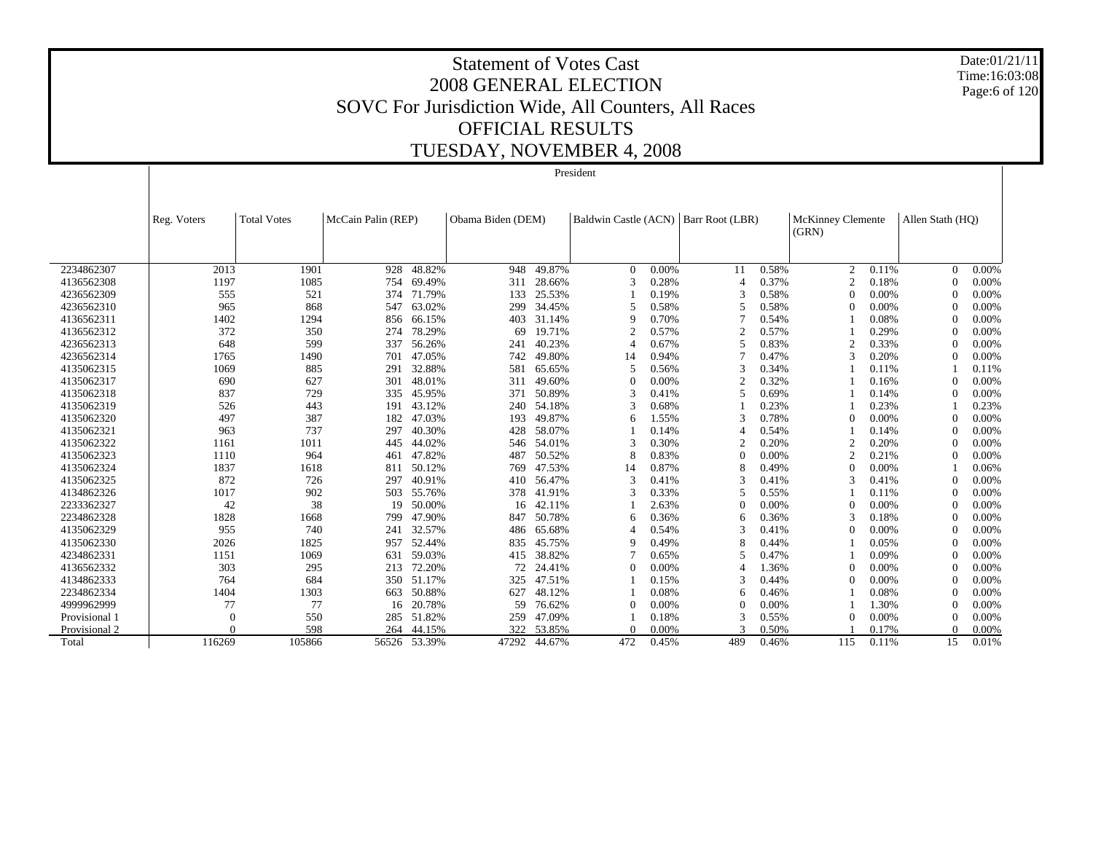Date:01/21/11 Time:16:03:08 Page:6 of 120

|               |             |                    |                    |              |                   |        | President      |       |                                        |       |                   |       |                  |       |
|---------------|-------------|--------------------|--------------------|--------------|-------------------|--------|----------------|-------|----------------------------------------|-------|-------------------|-------|------------------|-------|
|               |             |                    |                    |              |                   |        |                |       |                                        |       |                   |       |                  |       |
|               |             |                    |                    |              |                   |        |                |       |                                        |       |                   |       |                  |       |
|               | Reg. Voters | <b>Total Votes</b> | McCain Palin (REP) |              | Obama Biden (DEM) |        |                |       | Baldwin Castle (ACN)   Barr Root (LBR) |       | McKinney Clemente |       | Allen Stath (HO) |       |
|               |             |                    |                    |              |                   |        |                |       |                                        |       | (GRN)             |       |                  |       |
|               |             |                    |                    |              |                   |        |                |       |                                        |       |                   |       |                  |       |
| 2234862307    | 2013        | 1901               | 928                | 48.82%       | 948               | 49.87% | $\theta$       | 0.00% | 11                                     | 0.58% | $\mathfrak{2}$    | 0.11% | $\mathbf{0}$     | 0.00% |
| 4136562308    | 1197        | 1085               | 754                | 69.49%       | 311               | 28.66% | $\mathcal{R}$  | 0.28% | 4                                      | 0.37% | $\overline{c}$    | 0.18% | $\Omega$         | 0.00% |
| 4236562309    | 555         | 521                | 374                | 71.79%       | 133               | 25.53% |                | 0.19% | 3                                      | 0.58% | $\Omega$          | 0.00% | $\Omega$         | 0.00% |
| 4236562310    | 965         | 868                | 547                | 63.02%       | 299               | 34.45% | 5              | 0.58% | 5                                      | 0.58% | $\theta$          | 0.00% | $\theta$         | 0.00% |
| 4136562311    | 1402        | 1294               | 856                | 66.15%       | 403               | 31.14% | $\mathbf Q$    | 0.70% |                                        | 0.54% |                   | 0.08% | $\Omega$         | 0.00% |
| 4136562312    | 372         | 350                | 274                | 78.29%       | 69                | 19.71% | $\overline{c}$ | 0.57% | 2                                      | 0.57% |                   | 0.29% | $\Omega$         | 0.00% |
| 4236562313    | 648         | 599                | 337                | 56.26%       | 241               | 40.23% |                | 0.67% | 5                                      | 0.83% | $\overline{2}$    | 0.33% | $\Omega$         | 0.00% |
| 4236562314    | 1765        | 1490               | 701                | 47.05%       | 742               | 49.80% | 14             | 0.94% |                                        | 0.47% | 3                 | 0.20% | $\Omega$         | 0.00% |
| 4135062315    | 1069        | 885                | 291                | 32.88%       | 581               | 65.65% | 5              | 0.56% | 3                                      | 0.34% |                   | 0.11% |                  | 0.11% |
| 4135062317    | 690         | 627                | 301                | 48.01%       | 311               | 49.60% | $\Omega$       | 0.00% | $\mathfrak{D}$                         | 0.32% |                   | 0.16% | $\Omega$         | 0.00% |
| 4135062318    | 837         | 729                | 335                | 45.95%       | 371               | 50.89% | 3              | 0.41% | 5                                      | 0.69% |                   | 0.14% | $\Omega$         | 0.00% |
| 4135062319    | 526         | 443                | 191                | 43.12%       | 240               | 54.18% | 3              | 0.68% |                                        | 0.23% |                   | 0.23% |                  | 0.23% |
| 4135062320    | 497         | 387                | 182                | 47.03%       | 193               | 49.87% | 6              | 1.55% | 3                                      | 0.78% | $\theta$          | 0.00% | $\theta$         | 0.00% |
| 4135062321    | 963         | 737                | 297                | 40.30%       | 428               | 58.07% |                | 0.14% | Δ                                      | 0.54% |                   | 0.14% | $\theta$         | 0.00% |
| 4135062322    | 1161        | 1011               | 445                | 44.02%       | 546               | 54.01% | 3              | 0.30% | $\overline{c}$                         | 0.20% | $\overline{2}$    | 0.20% | $\Omega$         | 0.00% |
| 4135062323    | 1110        | 964                | 461                | 47.82%       | 487               | 50.52% | 8              | 0.83% | 0                                      | 0.00% | $\overline{c}$    | 0.21% | $\Omega$         | 0.00% |
| 4135062324    | 1837        | 1618               | 811                | 50.12%       | 769               | 47.53% | 14             | 0.87% | 8                                      | 0.49% | $\theta$          | 0.00% |                  | 0.06% |
| 4135062325    | 872         | 726                | 297                | 40.91%       | 410               | 56.47% | $\mathcal{R}$  | 0.41% | 3                                      | 0.41% | 3                 | 0.41% | $\Omega$         | 0.00% |
| 4134862326    | 1017        | 902                | 503                | 55.76%       | 378               | 41.91% |                | 0.33% | 5                                      | 0.55% |                   | 0.11% | $\Omega$         | 0.00% |
| 2233362327    | 42          | 38                 | 19                 | 50.00%       | 16                | 42.11% |                | 2.63% | $\Omega$                               | 0.00% | $\theta$          | 0.00% | $\Omega$         | 0.00% |
| 2234862328    | 1828        | 1668               | 799                | 47.90%       | 847               | 50.78% | 6              | 0.36% | 6                                      | 0.36% | 3                 | 0.18% | $\Omega$         | 0.00% |
| 4135062329    | 955         | 740                | 241                | 32.57%       | 486               | 65.68% | Δ              | 0.54% | 3                                      | 0.41% | $\Omega$          | 0.00% | $\Omega$         | 0.00% |
| 4135062330    | 2026        | 1825               | 957                | 52.44%       | 835               | 45.75% | 9              | 0.49% | 8                                      | 0.44% |                   | 0.05% | $\Omega$         | 0.00% |
| 4234862331    | 1151        | 1069               | 631                | 59.03%       | 415               | 38.82% |                | 0.65% | 5                                      | 0.47% |                   | 0.09% | $\Omega$         | 0.00% |
| 4136562332    | 303         | 295                | 213                | 72.20%       | 72                | 24.41% | $\Omega$       | 0.00% | 4                                      | 1.36% | $\theta$          | 0.00% | $\theta$         | 0.00% |
| 4134862333    | 764         | 684                | 350                | 51.17%       | 325               | 47.51% |                | 0.15% | 3                                      | 0.44% | $\theta$          | 0.00% | $\theta$         | 0.00% |
| 2234862334    | 1404        | 1303               | 663                | 50.88%       | 627               | 48.12% |                | 0.08% | 6                                      | 0.46% |                   | 0.08% | $\theta$         | 0.00% |
| 4999962999    | 77          | 77                 | 16                 | 20.78%       | 59                | 76.62% | $\Omega$       | 0.00% | $\Omega$                               | 0.00% |                   | 1.30% | $\theta$         | 0.00% |
| Provisional 1 | $\theta$    | 550                | 285                | 51.82%       | 259               | 47.09% |                | 0.18% | 3                                      | 0.55% | $\theta$          | 0.00% | $\Omega$         | 0.00% |
| Provisional 2 | $\Omega$    | 598                | 264                | 44.15%       | 322               | 53.85% | $\Omega$       | 0.00% | $\mathbf{3}$                           | 0.50% |                   | 0.17% | $\Omega$         | 0.00% |
| Total         | 116269      | 105866             |                    | 56526 53.39% | 47292             | 44.67% | 472            | 0.45% | 489                                    | 0.46% | 115               | 0.11% | 15               | 0.01% |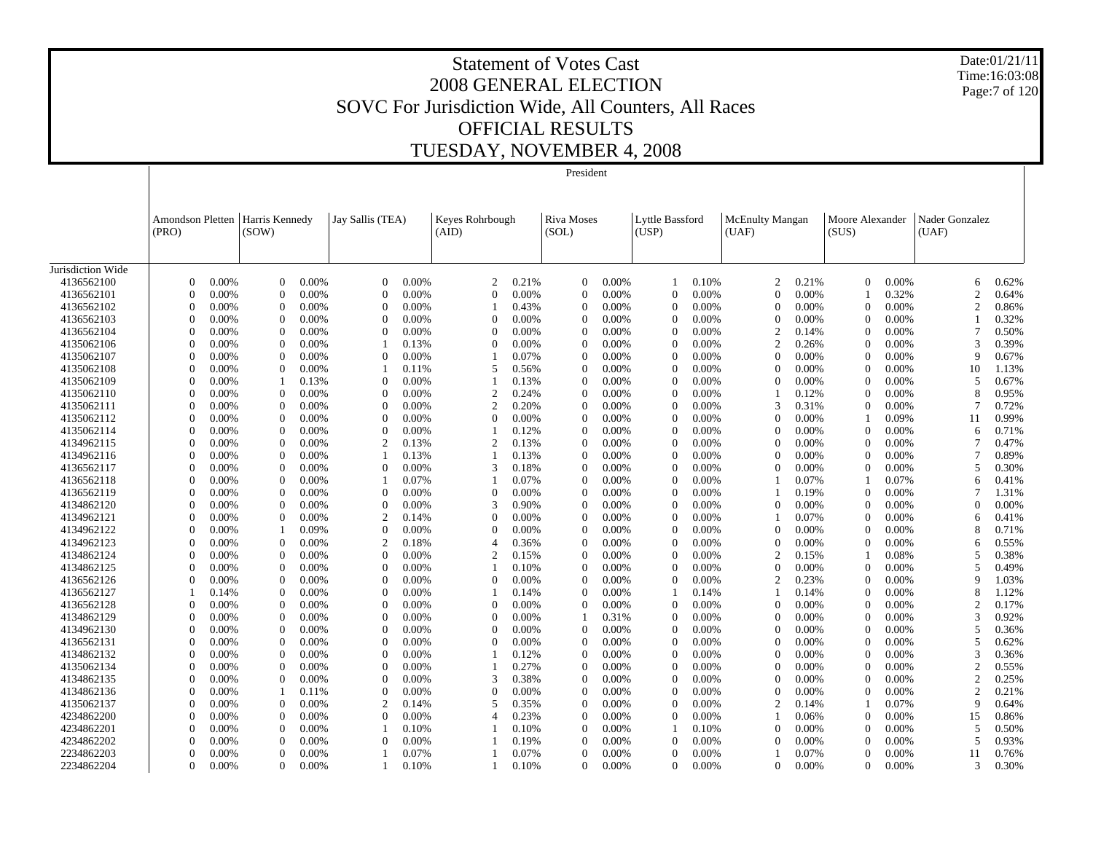Date:01/21/11 Time:16:03:08 Page:7 of 120

|                   |                                  |       |                          |       |                  |       |                          |       | President                  |       |                          |       |                                 |       |                          |       |                          |       |
|-------------------|----------------------------------|-------|--------------------------|-------|------------------|-------|--------------------------|-------|----------------------------|-------|--------------------------|-------|---------------------------------|-------|--------------------------|-------|--------------------------|-------|
|                   |                                  |       |                          |       |                  |       |                          |       |                            |       |                          |       |                                 |       |                          |       |                          |       |
|                   | <b>Amondson Pletten</b><br>(PRO) |       | Harris Kennedy<br>(SOW)  |       | Jay Sallis (TEA) |       | Keyes Rohrbough<br>(AID) |       | <b>Riva Moses</b><br>(SOL) |       | Lyttle Bassford<br>(USP) |       | <b>McEnulty Mangan</b><br>(UAF) |       | Moore Alexander<br>(SUS) |       | Nader Gonzalez<br>(UAF)  |       |
|                   |                                  |       |                          |       |                  |       |                          |       |                            |       |                          |       |                                 |       |                          |       |                          |       |
| Jurisdiction Wide |                                  |       |                          |       |                  |       |                          |       |                            |       |                          |       |                                 |       |                          |       |                          |       |
| 4136562100        | $\Omega$                         | 0.00% | $\Omega$                 | 0.00% | $\theta$         | 0.00% | $\overline{c}$           | 0.21% | $\Omega$                   | 0.00% |                          | 0.10% | $\overline{2}$                  | 0.21% | $\theta$                 | 0.00% | 6                        | 0.62% |
| 4136562101        | $\Omega$                         | 0.00% | $\Omega$                 | 0.00% | $\theta$         | 0.00% | $\Omega$                 | 0.00% | $\Omega$                   | 0.00% | $\Omega$                 | 0.00% | $\Omega$                        | 0.00% |                          | 0.32% | $\overline{c}$           | 0.64% |
| 4136562102        | $\Omega$                         | 0.00% | $\Omega$                 | 0.00% | $\Omega$         | 0.00% |                          | 0.43% | $\Omega$                   | 0.00% | $\Omega$                 | 0.00% | $\Omega$                        | 0.00% | $\theta$                 | 0.00% | $\overline{c}$           | 0.86% |
| 4136562103        | $\theta$                         | 0.00% | $\Omega$                 | 0.00% | $\theta$         | 0.00% | $\theta$                 | 0.00% | $\theta$                   | 0.00% | $\Omega$                 | 0.00% | $\Omega$                        | 0.00% | $\Omega$                 | 0.00% |                          | 0.32% |
| 4136562104        | $\Omega$                         | 0.00% | $\Omega$                 | 0.00% | $\Omega$         | 0.00% | $\Omega$                 | 0.00% | $\Omega$                   | 0.00% | $\Omega$                 | 0.00% | $\overline{2}$                  | 0.14% | $\Omega$                 | 0.00% | 7                        | 0.50% |
| 4135062106        | $\Omega$                         | 0.00% | $\Omega$                 | 0.00% |                  | 0.13% | $\theta$                 | 0.00% | $\Omega$                   | 0.00% | $\Omega$                 | 0.00% | $\overline{2}$                  | 0.26% | $\boldsymbol{0}$         | 0.00% | 3                        | 0.39% |
| 4135062107        | $\Omega$                         | 0.00% | $\Omega$                 | 0.00% | $\Omega$         | 0.00% |                          | 0.07% | $\Omega$                   | 0.00% | $\Omega$                 | 0.00% | $\Omega$                        | 0.00% | $\theta$                 | 0.00% | q                        | 0.67% |
| 4135062108        | $\Omega$                         | 0.00% | $\mathbf{0}$             | 0.00% |                  | 0.11% | 5                        | 0.56% | $\theta$                   | 0.00% | $\theta$                 | 0.00% | $\Omega$                        | 0.00% | $\boldsymbol{0}$         | 0.00% | 10                       | 1.13% |
| 4135062109        | $\Omega$                         | 0.00% | $\overline{\phantom{a}}$ | 0.13% | $\Omega$         | 0.00% |                          | 0.13% | $\Omega$                   | 0.00% | $\Omega$                 | 0.00% | $\Omega$                        | 0.00% | $\theta$                 | 0.00% | 5                        | 0.67% |
| 4135062110        | $\Omega$                         | 0.00% | $\mathbf{0}$             | 0.00% | $\theta$         | 0.00% | $\overline{c}$           | 0.24% | $\Omega$                   | 0.00% | $\theta$                 | 0.00% |                                 | 0.12% | $\mathbf{0}$             | 0.00% | 8                        | 0.95% |
| 4135062111        | $\Omega$                         | 0.00% | $\Omega$                 | 0.00% | $\Omega$         | 0.00% | 2                        | 0.20% | $\Omega$                   | 0.00% | $\Omega$                 | 0.00% | 3                               | 0.31% | $\theta$                 | 0.00% |                          | 0.72% |
| 4135062112        | $\Omega$                         | 0.00% | $\Omega$                 | 0.00% | $\Omega$         | 0.00% | $\Omega$                 | 0.00% | $\Omega$                   | 0.00% | $\Omega$                 | 0.00% | $\Omega$                        | 0.00% |                          | 0.09% | 11                       | 0.99% |
| 4135062114        | $\Omega$                         | 0.00% | 0                        | 0.00% | $\theta$         | 0.00% |                          | 0.12% | $\Omega$                   | 0.00% | $\Omega$                 | 0.00% | $\Omega$                        | 0.00% | $\Omega$                 | 0.00% | 6                        | 0.71% |
| 4134962115        | $\Omega$                         | 0.00% | $\Omega$                 | 0.00% | $\overline{2}$   | 0.13% | $\overline{c}$           | 0.13% | $\Omega$                   | 0.00% | $\Omega$                 | 0.00% | $\Omega$                        | 0.00% | $\mathbf{0}$             | 0.00% |                          | 0.47% |
| 4134962116        | $\Omega$                         | 0.00% | 0                        | 0.00% |                  | 0.13% |                          | 0.13% | $\Omega$                   | 0.00% | $\Omega$                 | 0.00% | $\Omega$                        | 0.00% | $\Omega$                 | 0.00% |                          | 0.89% |
| 4136562117        | $\Omega$                         | 0.00% | $\Omega$                 | 0.00% | $\Omega$         | 0.00% | 3                        | 0.18% | $\Omega$                   | 0.00% | $\Omega$                 | 0.00% | $\Omega$                        | 0.00% | $\overline{0}$           | 0.00% | 5                        | 0.30% |
| 4136562118        | $\Omega$                         | 0.00% | $\Omega$                 | 0.00% |                  | 0.07% |                          | 0.07% | $\Omega$                   | 0.00% | $\Omega$                 | 0.00% |                                 | 0.07% |                          | 0.07% | 6                        | 0.41% |
| 4136562119        |                                  | 0.00% | $\Omega$                 | 0.00% | $\Omega$         | 0.00% | $\theta$                 | 0.00% | $\Omega$                   | 0.00% | $\Omega$                 | 0.00% |                                 | 0.19% | $\theta$                 | 0.00% |                          | 1.31% |
| 4134862120        | $\Omega$                         | 0.00% | $\Omega$                 | 0.00% | $\Omega$         | 0.00% | 3                        | 0.90% | 0                          | 0.00% | $\Omega$                 | 0.00% | $\Omega$                        | 0.00% | $\Omega$                 | 0.00% | 0                        | 0.00% |
| 4134962121        | $\Omega$                         | 0.00% | $\Omega$                 | 0.00% | 2                | 0.14% | $\Omega$                 | 0.00% | $\Omega$                   | 0.00% | $\Omega$                 | 0.00% |                                 | 0.07% | $\Omega$                 | 0.00% | 6                        | 0.41% |
| 4134962122        | $\Omega$                         | 0.00% |                          | 0.09% | $\theta$         | 0.00% | $\theta$                 | 0.00% | $\Omega$                   | 0.00% | $\Omega$                 | 0.00% | $\theta$                        | 0.00% | $\mathbf{0}$             | 0.00% | 8                        | 0.71% |
| 4134962123        | $\Omega$                         | 0.00% | $\Omega$                 | 0.00% | $\overline{2}$   | 0.18% | $\overline{4}$           | 0.36% | $\Omega$                   | 0.00% | $\Omega$                 | 0.00% | $\Omega$                        | 0.00% | $\theta$                 | 0.00% | 6                        | 0.55% |
| 4134862124        | $\Omega$                         | 0.00% | $\theta$                 | 0.00% | $\theta$         | 0.00% | $\overline{2}$           | 0.15% | $\Omega$                   | 0.00% | $\Omega$                 | 0.00% | $\overline{2}$                  | 0.15% |                          | 0.08% | 5                        | 0.38% |
| 4134862125        | $\Omega$                         | 0.00% | $\Omega$                 | 0.00% | $\Omega$         | 0.00% |                          | 0.10% | $\Omega$                   | 0.00% | $\Omega$                 | 0.00% | $\Omega$                        | 0.00% | $\theta$                 | 0.00% | 5                        | 0.49% |
| 4136562126        | $\Omega$                         | 0.00% | $\mathbf{0}$             | 0.00% | $\Omega$         | 0.00% | $\overline{0}$           | 0.00% | $\theta$                   | 0.00% | $\theta$                 | 0.00% | $\overline{2}$                  | 0.23% | $\boldsymbol{0}$         | 0.00% | 9                        | 1.03% |
| 4136562127        |                                  | 0.14% | $\Omega$                 | 0.00% | $\Omega$         | 0.00% |                          | 0.14% | $\Omega$                   | 0.00% |                          | 0.14% |                                 | 0.14% | $\theta$                 | 0.00% | 8                        | 1.12% |
| 4136562128        | $\Omega$                         | 0.00% | $\Omega$                 | 0.00% | $\Omega$         | 0.00% | $\mathbf{0}$             | 0.00% | $\Omega$                   | 0.00% | $\Omega$                 | 0.00% | $\theta$                        | 0.00% | $\mathbf{0}$             | 0.00% | 2                        | 0.17% |
| 4134862129        | $\Omega$                         | 0.00% | $\Omega$                 | 0.00% | $\Omega$         | 0.00% | $\Omega$                 | 0.00% |                            | 0.31% | $\Omega$                 | 0.00% | $\Omega$                        | 0.00% | $\Omega$                 | 0.00% | 3                        | 0.92% |
| 4134962130        | $\Omega$                         | 0.00% | $\Omega$                 | 0.00% | $\Omega$         | 0.00% | $\Omega$                 | 0.00% | $\Omega$                   | 0.00% | $\Omega$                 | 0.00% | $\Omega$                        | 0.00% | $\mathbf{0}$             | 0.00% | 5                        | 0.36% |
| 4136562131        | $\Omega$                         | 0.00% | 0                        | 0.00% | $\Omega$         | 0.00% | $\Omega$                 | 0.00% | $\Omega$                   | 0.00% | $\Omega$                 | 0.00% | $\Omega$                        | 0.00% | $\Omega$                 | 0.00% | $\overline{\phantom{0}}$ | 0.62% |
| 4134862132        | $\Omega$                         | 0.00% | $\Omega$                 | 0.00% | $\Omega$         | 0.00% |                          | 0.12% | $\Omega$                   | 0.00% | $\Omega$                 | 0.00% | $\Omega$                        | 0.00% | $\mathbf{0}$             | 0.00% | 3                        | 0.36% |
| 4135062134        | $\Omega$                         | 0.00% | 0                        | 0.00% | $\Omega$         | 0.00% |                          | 0.27% | $\Omega$                   | 0.00% | $\Omega$                 | 0.00% | $\Omega$                        | 0.00% | $\Omega$                 | 0.00% | $\overline{c}$           | 0.55% |
| 4134862135        | $\Omega$                         | 0.00% | $\Omega$                 | 0.00% | $\Omega$         | 0.00% | 3                        | 0.38% | $\Omega$                   | 0.00% | $\Omega$                 | 0.00% | $\Omega$                        | 0.00% | $\overline{0}$           | 0.00% | $\overline{c}$           | 0.25% |
| 4134862136        | $\Omega$                         | 0.00% |                          | 0.11% | $\Omega$         | 0.00% | $\theta$                 | 0.00% | $\Omega$                   | 0.00% | $\Omega$                 | 0.00% | $\Omega$                        | 0.00% | $\theta$                 | 0.00% | $\overline{c}$           | 0.21% |
| 4135062137        | $\Omega$                         | 0.00% | $\Omega$                 | 0.00% | 2                | 0.14% | 5                        | 0.35% | $\Omega$                   | 0.00% | $\Omega$                 | 0.00% | $\overline{2}$                  | 0.14% | $\mathbf{1}$             | 0.07% | Q                        | 0.64% |
| 4234862200        | $\Omega$                         | 0.00% | $\Omega$                 | 0.00% | $\Omega$         | 0.00% | 4                        | 0.23% | 0                          | 0.00% | $\Omega$                 | 0.00% |                                 | 0.06% | $\Omega$                 | 0.00% | 15                       | 0.86% |
| 4234862201        | $\Omega$                         | 0.00% | $\Omega$                 | 0.00% |                  | 0.10% |                          | 0.10% | $\Omega$                   | 0.00% |                          | 0.10% | $\Omega$                        | 0.00% | $\theta$                 | 0.00% | 5                        | 0.50% |
| 4234862202        | $\Omega$                         | 0.00% | $\Omega$                 | 0.00% | $\mathbf{0}$     | 0.00% |                          | 0.19% | 0                          | 0.00% | $\Omega$                 | 0.00% | $\Omega$                        | 0.00% | $\theta$                 | 0.00% | $\overline{5}$           | 0.93% |
| 2234862203        |                                  | 0.00% | $\Omega$                 | 0.00% |                  | 0.07% |                          | 0.07% | $\Omega$                   | 0.00% | $\Omega$                 | 0.00% |                                 | 0.07% | $\Omega$                 | 0.00% | 11                       | 0.76% |
| 2234862204        | $\Omega$                         | 0.00% | $\Omega$                 | 0.00% |                  | 0.10% |                          | 0.10% | $\Omega$                   | 0.00% | $\Omega$                 | 0.00% | $\Omega$                        | 0.00% | $\Omega$                 | 0.00% | 3                        | 0.30% |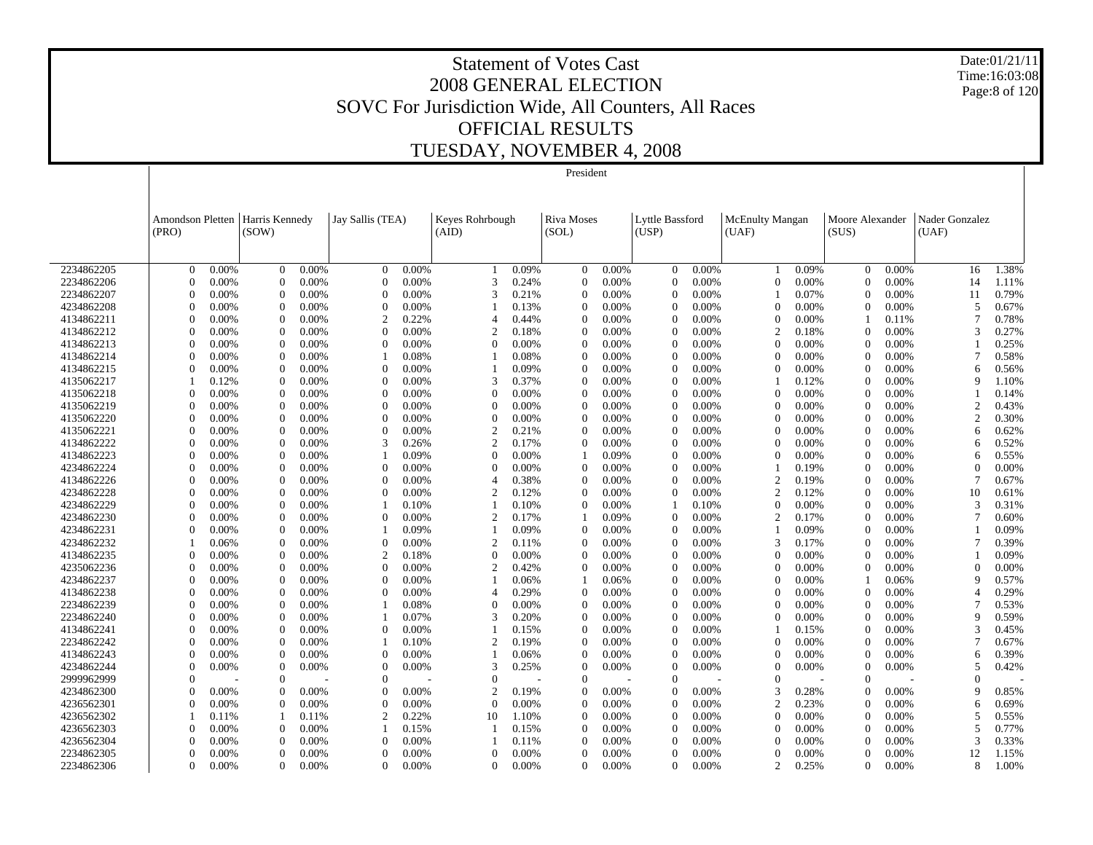Date:01/21/11 Time:16:03:08 Page:8 of 120

# Statement of Votes Cast 2008 GENERAL ELECTION SOVC For Jurisdiction Wide, All Counters, All Races OFFICIAL RESULTS TUESDAY, NOVEMBER 4, 2008

| President                                                                                                                                                                                                                                            |                               |                                  |
|------------------------------------------------------------------------------------------------------------------------------------------------------------------------------------------------------------------------------------------------------|-------------------------------|----------------------------------|
|                                                                                                                                                                                                                                                      |                               |                                  |
|                                                                                                                                                                                                                                                      |                               |                                  |
| <b>Amondson Pletten</b><br>Harris Kennedy<br>Keyes Rohrbough<br>Lyttle Bassford<br>Jay Sallis (TEA)<br>Riva Moses<br><b>McEnulty Mangan</b>                                                                                                          | Moore Alexander               | Nader Gonzalez                   |
| (UAF)<br>(SUS)<br>(PRO)<br>(SOW)<br>(AID)<br>(SOL)<br>(USP)                                                                                                                                                                                          |                               | (UAF)                            |
|                                                                                                                                                                                                                                                      |                               |                                  |
|                                                                                                                                                                                                                                                      |                               |                                  |
| 2234862205<br>0.00%<br>0.00%<br>$\overline{0}$<br>0.00%<br>0.09%<br>0.00%<br>0.00%<br>0.09%<br>$\Omega$<br>$\Omega$<br>$\Omega$<br>$\Omega$                                                                                                          | 0.00%<br>$\Omega$             | 1.38%<br>16                      |
| 2234862206<br>0.00%<br>$\overline{0}$<br>0.00%<br>$\mathbf{0}$<br>0.00%<br>3<br>0.24%<br>0.00%<br>0.00%<br>$\Omega$<br>0.00%<br>$\theta$<br>$\Omega$                                                                                                 | $\theta$<br>0.00%             | 14<br>1.11%                      |
| 2234862207<br>0.00%<br>0.00%<br>$\Omega$<br>0.00%<br>$\theta$<br>$\mathbf{0}$<br>3<br>0.21%<br>0.00%<br>0.00%<br>0.07%<br>0                                                                                                                          | $\theta$<br>0.00%             | 0.79%<br>11                      |
| 4234862208<br>$\Omega$<br>$\mathbf{0}$<br>0.00%<br>$\Omega$<br>0.00%<br>$\Omega$<br>0.00%<br>0.00%<br>0.00%<br>0.13%<br>$\Omega$<br>0.00%                                                                                                            | $\theta$<br>0.00%             | 0.67%<br>5                       |
| 4134862211<br>$\theta$<br>0.00%<br>$\theta$<br>0.00%<br>2<br>0.22%<br>0.44%<br>0.00%<br>0.00%<br>$\theta$<br>0.00%<br>4<br>$\Omega$                                                                                                                  | 0.11%                         | 0.78%                            |
| 4134862212<br>$\Omega$<br>0.00%<br>$\Omega$<br>0.00%<br>0.18%<br>0.00%<br>$\overline{2}$<br>$\Omega$<br>0.00%<br>$\overline{c}$<br>$\Omega$<br>$\Omega$<br>0.00%<br>0.18%                                                                            | $\Omega$<br>0.00%             | 0.27%<br>3                       |
| 4134862213<br>0.00%<br>$\theta$<br>0.00%<br>$\theta$<br>0.00%<br>$\mathbf{0}$<br>0.00%<br>$\Omega$<br>0.00%<br>0.00%<br>0.00%<br>$\theta$<br>$\Omega$<br>$\Omega$<br>4134862214<br>$\Omega$<br>0.00%<br>$\Omega$<br>$\Omega$<br>$\Omega$<br>$\Omega$ | $\theta$<br>0.00%<br>$\Omega$ | 0.25%<br>0.58%<br>7              |
| 0.00%<br>0.08%<br>0.08%<br>0.00%<br>0.00%<br>0.00%<br>$\overline{0}$<br>$\mathbf{0}$<br>$\Omega$<br>$\Omega$<br>$\Omega$                                                                                                                             | 0.00%<br>$\theta$             | 6                                |
| 4134862215<br>0.00%<br>0.00%<br>0.00%<br>0.00%<br>0.00%<br>$\theta$<br>0.00%<br>0.09%<br>$\overline{0}$<br>$\theta$<br>3<br>$\Omega$<br>$\Omega$                                                                                                     | 0.00%<br>$\theta$             | 0.56%<br>9                       |
| 4135062217<br>0.37%<br>0.00%<br>0.12%<br>0.00%<br>0.00%<br>0.00%<br>0.12%<br>$\mathbf{0}$<br>$\overline{0}$<br>$\mathbf{0}$<br>0.00%<br>$\Omega$<br>$\Omega$<br>0.00%<br>$\Omega$<br>$\Omega$                                                        | 0.00%<br>$\theta$             | 1.10%                            |
| 4135062218<br>0.00%<br>0.00%<br>0.00%<br>0.00%<br>0.00%<br>$\mathbf{0}$<br>$\overline{0}$<br>$\theta$<br>0.00%<br>$\Omega$<br>0.00%<br>$\Omega$<br>$\Omega$                                                                                          | 0.00%<br>$\theta$             | 0.14%<br>$\overline{c}$          |
| 4135062219<br>0.00%<br>0.00%<br>0.00%<br>0.00%<br>0.00%<br>$\theta$<br>$\theta$<br>0.00%<br>$\mathbf{0}$<br>0.00%<br>0.00%<br>$\Omega$<br>0.00%<br>0<br>$\Omega$<br>$\sqrt{ }$                                                                       | 0.00%<br>$\theta$             | 0.43%<br>$\mathfrak{D}$<br>0.30% |
| 4135062220<br>$0.00\%$<br>0.00%<br>$0.00\%$<br>4135062221<br>$\overline{0}$<br>0.00%<br>$\mathbf{0}$<br>0.00%<br>$\overline{c}$<br>0.00%<br>$\Omega$<br>0.00%<br>$\theta$<br>0.00%<br>$\Omega$                                                       | 0.00%<br>$\theta$<br>0.00%    | 0.62%<br>6                       |
| 0.21%<br>0.00%<br>4134862222<br>$\theta$<br>0.00%<br>3<br>0.26%<br>$\overline{c}$<br>0.17%<br>0.00%<br>0.00%<br>$\theta$<br>0.00%<br>$\theta$<br>$\Omega$<br>$\Omega$                                                                                | $\theta$<br>0.00%             | 0.52%<br>6                       |
| 0.00%<br>4134862223<br>$\Omega$<br>0.00%<br>0.09%<br>0.00%<br>0.09%<br>$\Omega$<br>0.00%<br>$\Omega$<br>$0.00\%$<br>0<br>0<br>$0.00\%$                                                                                                               | $\Omega$<br>0.00%             | 0.55%<br>6                       |
| 4234862224<br>$\mathbf{0}$<br>$\Omega$<br>0.00%<br>$\theta$<br>0.00%<br>0.00%<br>$\Omega$<br>0.00%<br>0.00%<br>$\Omega$<br>0.00%<br>0.19%<br>$\Omega$                                                                                                | $\theta$<br>0.00%             | 0.00%<br>$\Omega$                |
| 4134862226<br>$\mathbf{0}$<br>0.00%<br>$\overline{2}$<br>$\theta$<br>0.00%<br>$\theta$<br>0.00%<br>0.38%<br>0.00%<br>0.00%<br>0.19%<br>0<br>4                                                                                                        | $\theta$<br>0.00%             | 7<br>0.67%                       |
| $\overline{2}$<br>4234862228<br>0.00%<br>$\Omega$<br>0.00%<br>$\Omega$<br>0.00%<br>$\mathfrak{D}$<br>0.12%<br>0.00%<br>0.00%<br>0.12%<br>$\Omega$<br>$\Omega$                                                                                        | $\Omega$<br>0.00%             | 10<br>0.61%                      |
| 4234862229<br>$\Omega$<br>0.00%<br>0.10%<br>0.00%<br>0.10%<br>$\Omega$<br>0.00%<br>$\theta$<br>0.00%<br>0.10%                                                                                                                                        | $\Omega$<br>0.00%             | 3<br>0.31%                       |
| 4234862230<br>$\Omega$<br>0.00%<br>$\overline{2}$<br>$\Omega$<br>0.00%<br>$\Omega$<br>0.00%<br>$\overline{c}$<br>0.17%<br>0.09%<br>$\Omega$<br>0.00%<br>0.17%                                                                                        | $\Omega$<br>0.00%             | 0.60%                            |
| 4234862231<br>0.00%<br>$\overline{0}$<br>0.00%<br>0.09%<br>0.09%<br>0.00%<br>0.00%<br>0.09%<br>$\theta$<br>$\Omega$                                                                                                                                  | $\theta$<br>0.00%             | 0.09%                            |
| 4234862232<br>$\mathbf{0}$<br>$\overline{c}$<br>3<br>$\theta$<br>0.00%<br>0.00%<br>0.11%<br>0.00%<br>0.00%<br>0.17%<br>0.06%<br>$\Omega$                                                                                                             | $\theta$<br>0.00%             | 0.39%                            |
| 4134862235<br>$\overline{2}$<br>$\overline{0}$<br>0.00%<br>0.18%<br>0.00%<br>0.00%<br>0.00%<br>$\Omega$<br>0.00%<br>$\Omega$<br>0.00%<br>$\Omega$<br>0                                                                                               | $\theta$<br>0.00%             | 0.09%                            |
| 4235062236<br>$\theta$<br>0.00%<br>$\Omega$<br>$\Omega$<br>0.00%<br>$\theta$<br>0.00%<br>$\overline{c}$<br>0.42%<br>0.00%<br>$\Omega$<br>0.00%<br>0.00%                                                                                              | $\theta$<br>0.00%             | $\Omega$<br>0.00%                |
| 4234862237<br>0.00%<br>$\theta$<br>0.00%<br>$\Omega$<br>0.00%<br>0.06%<br>0.06%<br>0.00%<br>$\theta$<br>0.00%<br>$\Omega$<br>$\Omega$                                                                                                                | 0.06%                         | Q<br>0.57%                       |
| 4134862238<br>$\Omega$<br>$\Omega$<br>0.29%<br>0.00%<br>$\Omega$<br>$\Omega$<br>0.00%<br>0.00%<br>0.00%<br>$\Omega$<br>$\Omega$<br>0.00%<br>0.00%<br>4                                                                                               | $\Omega$<br>0.00%             | 0.29%<br>4                       |
| 2234862239<br>$\theta$<br>0.00%<br>$\theta$<br>0.00%<br>0.08%<br>0.00%<br>0.00%<br>0.00%<br>$\theta$<br>0.00%<br>-1<br>0<br>$\Omega$<br>$\Omega$                                                                                                     | $\theta$<br>0.00%             | 0.53%<br>7                       |
| 2234862240<br>$\Omega$<br>0.00%<br>$\Omega$<br>0.00%<br>0.07%<br>3<br>0.20%<br>0.00%<br>0.00%<br>$\Omega$<br>0.00%<br>-1<br>$\Omega$<br>$\Omega$                                                                                                     | $\Omega$<br>0.00%             | Q<br>0.59%                       |
| 4134862241<br>0.00%<br>$\mathbf{0}$<br>0.00%<br>0.00%<br>$\theta$<br>0.00%<br>$\theta$<br>0.15%<br>$\Omega$<br>$\Omega$<br>0.00%<br>0.15%                                                                                                            | $\theta$<br>0.00%             | 3<br>0.45%                       |
| 2234862242<br>$\overline{0}$<br>$\overline{2}$<br>$\Omega$<br>$\theta$<br>0.00%<br>0.00%<br>$\overline{1}$<br>0.10%<br>0.19%<br>0.00%<br>$\Omega$<br>0.00%<br>0.00%<br>$\Omega$                                                                      | $\theta$<br>0.00%             | 0.67%<br>7                       |
| 4134862243<br>$\overline{0}$<br>0.00%<br>$\theta$<br>0.00%<br>$\Omega$<br>0.00%<br>$\theta$<br>0.00%<br>0.06%<br>0.00%<br>$\Omega$<br>0.00%<br>$\Omega$                                                                                              | $\theta$<br>0.00%             | 0.39%<br>6                       |
| 3<br>4234862244<br>$\mathbf{0}$<br>$\overline{0}$<br>$\mathbf{0}$<br>$\Omega$<br>0.00%<br>0.00%<br>0.25%<br>$\Omega$<br>0.00%<br>$\Omega$<br>0.00%<br>0.00%<br>0.00%                                                                                 | $\overline{0}$<br>0.00%       | 5<br>0.42%                       |
| $\Omega$<br>2999962999<br>$\theta$<br>$\theta$<br>$\mathbf{0}$<br>$\Omega$<br>$\Omega$                                                                                                                                                               | $\theta$                      | 0                                |
| 4234862300<br>$\overline{0}$<br>0.00%<br>$\mathbf{0}$<br>0.00%<br>$\overline{c}$<br>3<br>$\theta$<br>0.00%<br>0.19%<br>0.00%<br>$\Omega$<br>0.00%<br>0.28%<br>$\Omega$                                                                               | $\theta$<br>0.00%             | Q<br>0.85%                       |
| 4236562301<br>$\theta$<br>$\theta$<br>0.00%<br>$\mathbf{0}$<br>0.00%<br>$\Omega$<br>0.00%<br>0.00%<br>0.00%<br>$\overline{2}$<br>0.23%<br>0.00%<br>$\Omega$<br>$\Omega$                                                                              | $\theta$<br>0.00%             | 0.69%<br>6                       |
| 4236562302<br>$\overline{c}$<br>0.22%<br>0.00%<br>$\Omega$<br>0.00%<br>0.11%<br>0.11%<br>10<br>1.10%<br>$\Omega$<br>$\Omega$<br>0.00%                                                                                                                | $\theta$<br>0.00%             | 5<br>0.55%                       |
| 4236562303<br>$\Omega$<br>0.00%<br>$\theta$<br>0.00%<br>$\overline{1}$<br>0.15%<br>0.15%<br>0.00%<br>0.00%<br>$\theta$<br>0.00%<br>$\Omega$<br>0                                                                                                     | $\theta$<br>0.00%             | 5<br>0.77%                       |
| 4236562304<br>0.00%<br>$\Omega$<br>0.00%<br>$\Omega$<br>0.00%<br>0.00%<br>0.00%<br>$\Omega$<br>0.00%<br>$\Omega$<br>0.11%                                                                                                                            | $\Omega$<br>0.00%             | 0.33%<br>3                       |
| 2234862305<br>$\Omega$<br>0.00%<br>$\Omega$<br>0.00%<br>0.00%<br>0.00%<br>$\Omega$<br>0.00%<br>$\Omega$<br>0.00%<br>$\Omega$<br>$\Omega$<br>0.00%                                                                                                    | $\Omega$<br>0.00%             | 12<br>1.15%                      |
| 2234862306<br>0.00%<br>$\theta$<br>0.00%<br>$\overline{2}$<br>$\overline{0}$<br>0.00%<br>$\Omega$<br>$\Omega$<br>0.00%<br>$\Omega$<br>0.00%<br>$\Omega$<br>0.00%<br>0.25%                                                                            | $\Omega$<br>0.00%             | 8<br>1.00%                       |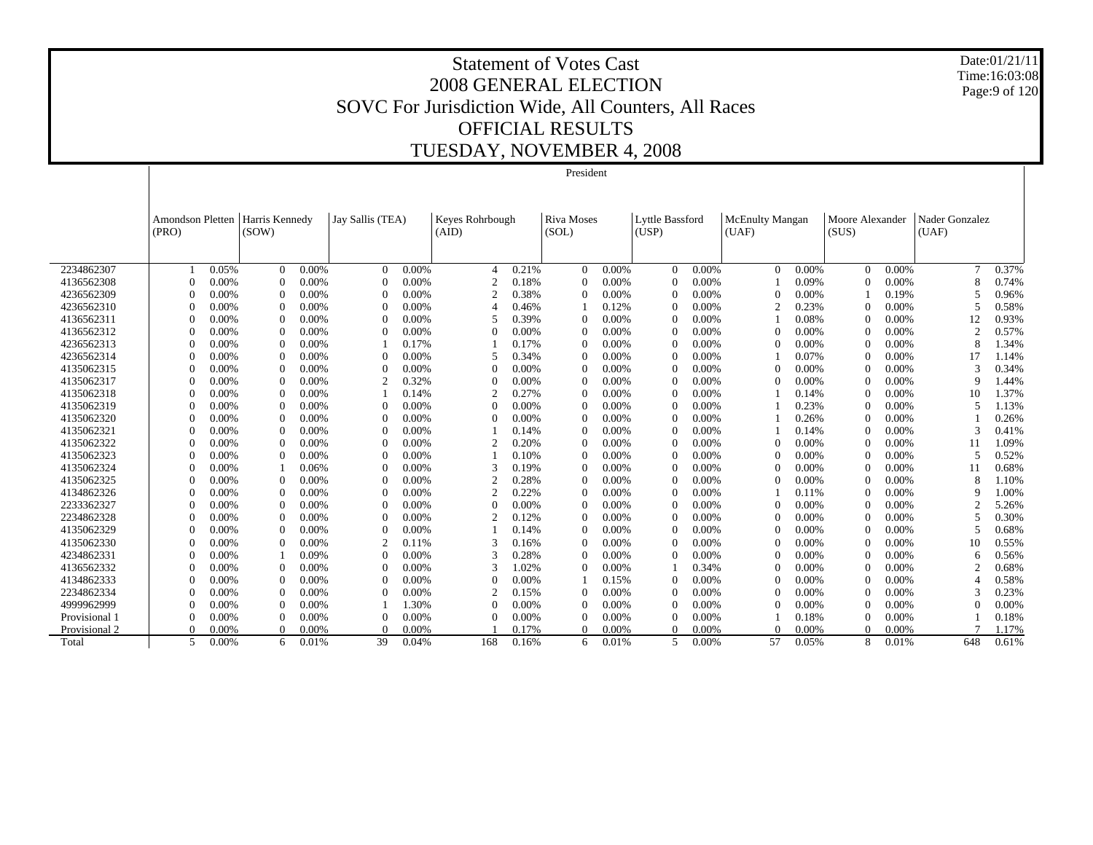Date:01/21/11 Time:16:03:08 Page:9 of 120

|               |                           |          |                         |       |                  |       |                          |       | President           |       |                          |       |                          |       |                          |       |                         |       |
|---------------|---------------------------|----------|-------------------------|-------|------------------|-------|--------------------------|-------|---------------------|-------|--------------------------|-------|--------------------------|-------|--------------------------|-------|-------------------------|-------|
|               |                           |          |                         |       |                  |       |                          |       |                     |       |                          |       |                          |       |                          |       |                         |       |
|               | Amondson Pletten<br>(PRO) |          | Harris Kennedy<br>(SOW) |       | Jay Sallis (TEA) |       | Keyes Rohrbough<br>(AID) |       | Riva Moses<br>(SOL) |       | Lyttle Bassford<br>(USP) |       | McEnulty Mangan<br>(UAF) |       | Moore Alexander<br>(SUS) |       | Nader Gonzalez<br>(UAF) |       |
|               |                           |          |                         |       |                  |       |                          |       |                     |       |                          |       |                          |       |                          |       |                         |       |
| 2234862307    |                           | 0.05%    | $\Omega$                | 0.00% | $\mathbf{0}$     | 0.00% | $\boldsymbol{\varDelta}$ | 0.21% | $\Omega$            | 0.00% | $\Omega$                 | 0.00% | $\Omega$                 | 0.00% | $\Omega$                 | 0.00% | 7                       | 0.37% |
| 4136562308    |                           | 0.00%    | $\Omega$                | 0.00% | $\mathbf{0}$     | 0.00% |                          | 0.18% |                     | 0.00% |                          | 0.00% |                          | 0.09% | $\theta$                 | 0.00% | 8                       | 0.74% |
| 4236562309    |                           | 0.00%    | $\Omega$                | 0.00% | $\Omega$         | 0.00% |                          | 0.38% |                     | 0.00% |                          | 0.00% | $\Omega$                 | 0.00% |                          | 0.19% |                         | 0.96% |
| 4236562310    | $\Omega$                  | 0.00%    | $\Omega$                | 0.00% | $\Omega$         | 0.00% |                          | 0.46% |                     | 0.12% |                          | 0.00% | $\mathcal{D}$            | 0.23% | $\Omega$                 | 0.00% |                         | 0.58% |
| 4136562311    | $\Omega$                  | 0.00%    | $\Omega$                | 0.00% | $\Omega$         | 0.00% |                          | 0.39% |                     | 0.00% |                          | 0.00% |                          | 0.08% | $\Omega$                 | 0.00% | 12                      | 0.93% |
| 4136562312    | $\Omega$                  | 0.00%    | $\Omega$                | 0.00% | $\Omega$         | 0.00% |                          | 0.00% |                     | 0.00% |                          | 0.00% | $\Omega$                 | 0.00% | $\Omega$                 | 0.00% | $\overline{c}$          | 0.57% |
| 4236562313    | $\Omega$                  | 0.00%    | $\Omega$                | 0.00% |                  | 0.17% |                          | 0.17% |                     | 0.00% |                          | 0.00% | $\Omega$                 | 0.00% | $\Omega$                 | 0.00% | 8                       | 1.34% |
| 4236562314    | $\Omega$                  | 0.00%    | $\Omega$                | 0.00% | $\Omega$         | 0.00% |                          | 0.34% |                     | 0.00% |                          | 0.00% |                          | 0.07% | $\Omega$                 | 0.00% | 17                      | 1.14% |
| 4135062315    | $\Omega$                  | 0.00%    | $\Omega$                | 0.00% | $\mathbf{0}$     | 0.00% | $\Omega$                 | 0.00% |                     | 0.00% |                          | 0.00% | $\Omega$                 | 0.00% | $\theta$                 | 0.00% | 3                       | 0.34% |
| 4135062317    |                           | 0.00%    | $\Omega$                | 0.00% | $\overline{c}$   | 0.32% |                          | 0.00% |                     | 0.00% |                          | 0.00% | $\Omega$                 | 0.00% | $\theta$                 | 0.00% | 9                       | 1.44% |
| 4135062318    |                           | 0.00%    | $\Omega$                | 0.00% |                  | 0.14% |                          | 0.27% |                     | 0.00% |                          | 0.00% |                          | 0.14% | $\theta$                 | 0.00% | 10                      | 1.37% |
| 4135062319    | $\theta$                  | 0.00%    | $\Omega$                | 0.00% | $\theta$         | 0.00% |                          | 0.00% |                     | 0.00% |                          | 0.00% |                          | 0.23% | $\theta$                 | 0.00% | 5                       | 1.13% |
| 4135062320    | $\theta$                  | $0.00\%$ | $\Omega$                | 0.00% | $\Omega$         | 0.00% | $\Omega$                 | 0.00% |                     | 0.00% |                          | 0.00% |                          | 0.26% | $\Omega$                 | 0.00% |                         | 0.26% |
| 4135062321    | $\Omega$                  | 0.00%    | $\Omega$                | 0.00% | $\Omega$         | 0.00% |                          | 0.14% |                     | 0.00% | 0                        | 0.00% |                          | 0.14% | $\Omega$                 | 0.00% | $\mathbf{3}$            | 0.41% |
| 4135062322    | $\Omega$                  | 0.00%    | $\Omega$                | 0.00% | $\Omega$         | 0.00% | $\mathcal{D}$            | 0.20% |                     | 0.00% | $\Omega$                 | 0.00% | $\Omega$                 | 0.00% | $\Omega$                 | 0.00% | 11                      | 1.09% |
| 4135062323    | $\Omega$                  | 0.00%    | $\Omega$                | 0.00% | $\Omega$         | 0.00% |                          | 0.10% |                     | 0.00% | $\Omega$                 | 0.00% | $\Omega$                 | 0.00% | $\Omega$                 | 0.00% | 5                       | 0.52% |
| 4135062324    |                           | 0.00%    |                         | 0.06% | $\theta$         | 0.00% |                          | 0.19% |                     | 0.00% |                          | 0.00% | $\Omega$                 | 0.00% | $\Omega$                 | 0.00% | 11                      | 0.68% |
| 4135062325    |                           | 0.00%    | $\Omega$                | 0.00% | $\theta$         | 0.00% |                          | 0.28% |                     | 0.00% |                          | 0.00% | $\Omega$                 | 0.00% | $\theta$                 | 0.00% | 8                       | 1.10% |
| 4134862326    |                           | 0.00%    | $\Omega$                | 0.00% | $\Omega$         | 0.00% | ◠                        | 0.22% |                     | 0.00% |                          | 0.00% |                          | 0.11% | $\theta$                 | 0.00% | q                       | 1.00% |
| 2233362327    | $\Omega$                  | $0.00\%$ | $\Omega$                | 0.00% | $\Omega$         | 0.00% | O                        | 0.00% |                     | 0.00% |                          | 0.00% | $\Omega$                 | 0.00% | $\theta$                 | 0.00% |                         | 5.26% |
| 2234862328    | $\Omega$                  | $0.00\%$ | $\Omega$                | 0.00% | $\Omega$         | 0.00% | ◠                        | 0.12% |                     | 0.00% |                          | 0.00% | $\Omega$                 | 0.00% | $\theta$                 | 0.00% |                         | 0.30% |
| 4135062329    | $\Omega$                  | 0.00%    | $\Omega$                | 0.00% | $\Omega$         | 0.00% |                          | 0.14% |                     | 0.00% |                          | 0.00% | $\Omega$                 | 0.00% | $\Omega$                 | 0.00% |                         | 0.68% |
| 4135062330    | $\Omega$                  | 0.00%    | $\Omega$                | 0.00% | 2                | 0.11% | 3                        | 0.16% |                     | 0.00% |                          | 0.00% | $\Omega$                 | 0.00% | $\theta$                 | 0.00% | 10                      | 0.55% |
| 4234862331    | $\Omega$                  | 0.00%    |                         | 0.09% | $\mathbf{0}$     | 0.00% |                          | 0.28% |                     | 0.00% |                          | 0.00% | $\Omega$                 | 0.00% | $\theta$                 | 0.00% | 6                       | 0.56% |
| 4136562332    | $\Omega$                  | 0.00%    | $\theta$                | 0.00% | $\mathbf{0}$     | 0.00% |                          | 1.02% |                     | 0.00% |                          | 0.34% | $\Omega$                 | 0.00% | $\theta$                 | 0.00% |                         | 0.68% |
| 4134862333    |                           | 0.00%    | $\Omega$                | 0.00% | $\theta$         | 0.00% |                          | 0.00% |                     | 0.15% |                          | 0.00% | $\theta$                 | 0.00% | $\theta$                 | 0.00% |                         | 0.58% |
| 2234862334    | $\theta$                  | 0.00%    | $\Omega$                | 0.00% | $\theta$         | 0.00% |                          | 0.15% |                     | 0.00% |                          | 0.00% | $\Omega$                 | 0.00% | $\theta$                 | 0.00% |                         | 0.23% |
| 4999962999    | $\Omega$                  | 0.00%    | $\Omega$                | 0.00% |                  | 1.30% | $\Omega$                 | 0.00% |                     | 0.00% |                          | 0.00% | $\Omega$                 | 0.00% | $\theta$                 | 0.00% |                         | 0.00% |
| Provisional 1 | $\theta$                  | 0.00%    | $\Omega$                | 0.00% | $\Omega$         | 0.00% | $\Omega$                 | 0.00% |                     | 0.00% | 0                        | 0.00% |                          | 0.18% | $\Omega$                 | 0.00% |                         | 0.18% |
| Provisional 2 | $\Omega$                  | 0.00%    | $\Omega$                | 0.00% | $\Omega$         | 0.00% |                          | 0.17% |                     | 0.00% | 0                        | 0.00% | $\Omega$                 | 0.00% | $\Omega$                 | 0.00% |                         | 1.17% |
| Total         | 5                         | 0.00%    | 6                       | 0.01% | 39               | 0.04% | 168                      | 0.16% | 6                   | 0.01% | 5                        | 0.00% | 57                       | 0.05% | 8                        | 0.01% | 648                     | 0.61% |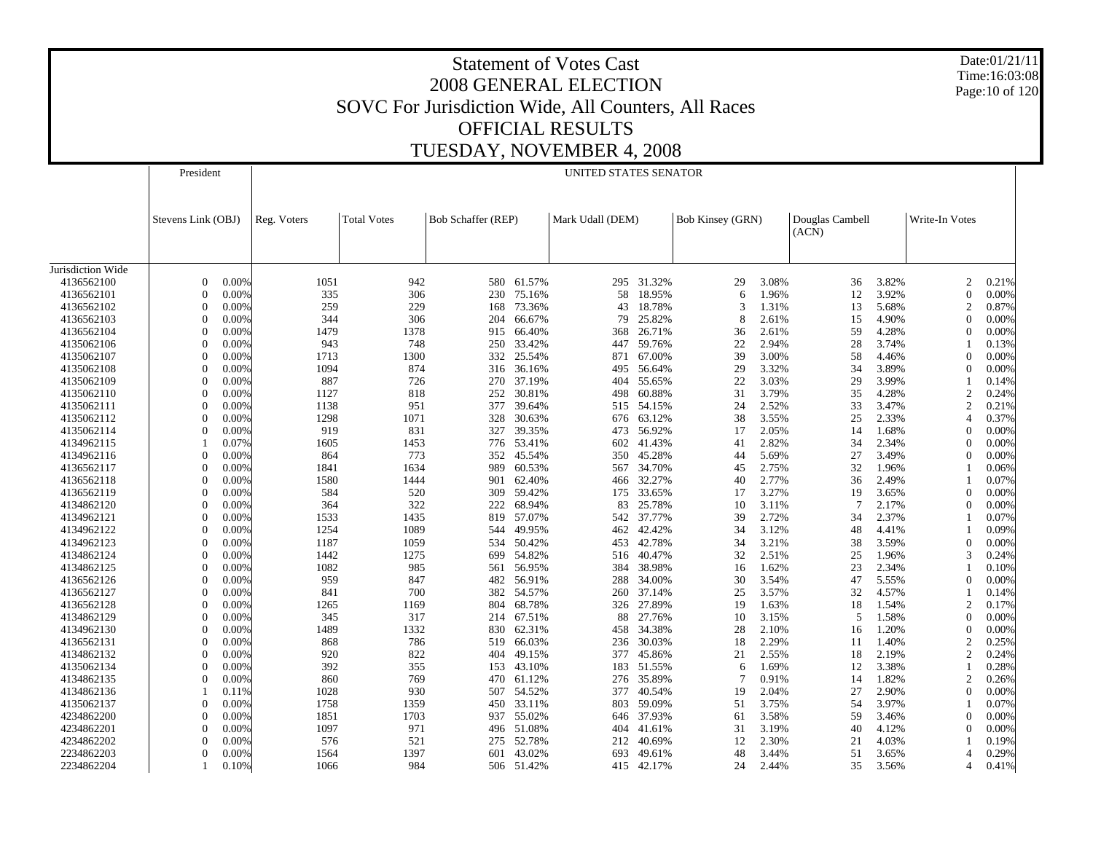Date:01/21/11 Time:16:03:08 Page:10 of 120

|                   | President          |       |             |                    | UNITED STATES SENATOR     |            |                  |            |                         |       |                          |       |                          |                |
|-------------------|--------------------|-------|-------------|--------------------|---------------------------|------------|------------------|------------|-------------------------|-------|--------------------------|-------|--------------------------|----------------|
|                   | Stevens Link (OBJ) |       | Reg. Voters | <b>Total Votes</b> | <b>Bob Schaffer (REP)</b> |            | Mark Udall (DEM) |            | <b>Bob Kinsey (GRN)</b> |       | Douglas Cambell<br>(ACN) |       | Write-In Votes           |                |
| Jurisdiction Wide |                    |       |             |                    |                           |            |                  |            |                         |       |                          |       |                          |                |
| 4136562100        | $\theta$           | 0.00% | 1051        | 942                | 580                       | 61.57%     | 295              | 31.32%     | 29                      | 3.08% | 36                       | 3.82% | $\overline{c}$           | 0.21%          |
| 4136562101        | $\Omega$           | 0.00% | 335         | 306                | 230                       | 75.16%     | 58               | 18.95%     | 6                       | 1.96% | 12                       | 3.92% | $\Omega$                 | 0.00%          |
|                   | $\Omega$           |       | 259         |                    |                           |            |                  |            | $\mathcal{R}$           | 1.31% |                          |       |                          | 0.87%          |
| 4136562102        |                    | 0.00% |             | 229                | 168                       | 73.36%     | 43               | 18.78%     |                         |       | 13                       | 5.68% | 2                        |                |
| 4136562103        | $\Omega$           | 0.00% | 344         | 306                | 204                       | 66.67%     | 79               | 25.82%     | 8                       | 2.61% | 15                       | 4.90% | $\Omega$                 | 0.00%          |
| 4136562104        | $\Omega$           | 0.00% | 1479        | 1378               | 915                       | 66.40%     | 368              | 26.71%     | 36                      | 2.61% | 59                       | 4.28% | $\theta$                 | 0.00%          |
| 4135062106        | $\Omega$           | 0.00% | 943         | 748                | 250                       | 33.42%     | 447              | 59.76%     | 22                      | 2.94% | 28                       | 3.74% |                          | 0.13%          |
| 4135062107        | $\Omega$           | 0.00% | 1713        | 1300               | 332                       | 25.54%     | 871              | 67.00%     | 39                      | 3.00% | 58                       | 4.46% | $\Omega$                 | 0.00%          |
| 4135062108        | $\Omega$           | 0.00% | 1094        | 874                | 316                       | 36.16%     | 495              | 56.64%     | 29                      | 3.32% | 34                       | 3.89% | $\theta$                 | 0.00%          |
| 4135062109        | $\Omega$           | 0.00% | 887         | 726                | 270                       | 37.19%     | 404              | 55.65%     | 22                      | 3.03% | 29                       | 3.99% |                          | 0.14%          |
| 4135062110        | $\Omega$           | 0.00% | 1127        | 818                | 252                       | 30.81%     | 498              | 60.88%     | 31                      | 3.79% | 35                       | 4.28% | $\overline{2}$           | 0.24%          |
| 4135062111        | $\Omega$           | 0.00% | 1138        | 951                | 377                       | 39.64%     | 515              | 54.15%     | 24                      | 2.52% | 33                       | 3.47% | $\overline{c}$           | 0.21%          |
| 4135062112        | $\Omega$           | 0.00% | 1298        | 1071               | 328                       | 30.63%     | 676              | 63.12%     | 38                      | 3.55% | 25                       | 2.33% | $\overline{A}$           | 0.37%          |
| 4135062114        | $\Omega$           | 0.00% | 919         | 831                | 327                       | 39.35%     | 473              | 56.92%     | 17                      | 2.05% | 14                       | 1.68% | $\Omega$                 | 0.00%          |
| 4134962115        |                    | 0.07% | 1605        | 1453               | 776                       | 53.41%     | 602              | 41.43%     | 41                      | 2.82% | 34                       | 2.34% | $\Omega$                 | 0.00%          |
| 4134962116        | $\Omega$           | 0.00% | 864         | 773                | 352                       | 45.54%     | 350              | 45.28%     | 44                      | 5.69% | 27                       | 3.49% | $\Omega$                 | 0.00%          |
| 4136562117        | $\Omega$           | 0.00% | 1841        | 1634               | 989                       | 60.53%     | 567              | 34.70%     | 45                      | 2.75% | 32                       | 1.96% |                          | 0.06%          |
| 4136562118        | $\Omega$           | 0.00% | 1580        | 1444               | 901                       | 62.40%     | 466              | 32.27%     | 40                      | 2.77% | 36                       | 2.49% |                          | 0.07%          |
| 4136562119        | $\Omega$           | 0.00% | 584         | 520                | 309                       | 59.42%     | 175              | 33.65%     | 17                      | 3.27% | 19                       | 3.65% | $\Omega$                 | 0.00%          |
| 4134862120        | $\Omega$           | 0.00% | 364         | 322                | 222                       | 68.94%     | 83               | 25.78%     | 10                      | 3.11% | $\overline{7}$           | 2.17% | $\theta$                 | 0.00%          |
| 4134962121        | $\Omega$           | 0.00% | 1533        | 1435               | 819                       | 57.07%     | 542              | 37.77%     | 39                      | 2.72% | 34                       | 2.37% |                          | 0.07%          |
| 4134962122        | $\Omega$           | 0.00% | 1254        | 1089               | 544                       | 49.95%     | 462              | 42.42%     | 34                      | 3.12% | 48                       | 4.41% |                          | 0.09%          |
| 4134962123        | $\Omega$           | 0.00% | 1187        | 1059               | 534                       | 50.42%     | 453              | 42.78%     | 34                      | 3.21% | 38                       | 3.59% | $\theta$                 | 0.00%          |
| 4134862124        | $\Omega$           | 0.00% | 1442        | 1275               | 699                       | 54.82%     | 516              | 40.47%     | 32                      | 2.51% | 25                       | 1.96% | 3                        | 0.24%          |
| 4134862125        | 0                  | 0.00% | 1082        | 985                | 561                       | 56.95%     | 384              | 38.98%     | 16                      | 1.62% | 23                       | 2.34% |                          | 0.10%          |
| 4136562126        | $\Omega$           | 0.00% | 959         | 847                | 482                       | 56.91%     | 288              | 34.00%     | 30                      | 3.54% | 47                       | 5.55% | $\Omega$                 | 0.00%          |
| 4136562127        | $\Omega$           | 0.00% | 841         | 700                | 382                       | 54.57%     | 260              | 37.14%     | 25                      | 3.57% | 32                       | 4.57% |                          |                |
| 4136562128        | $\Omega$           | 0.00% | 1265        | 1169               | 804                       | 68.78%     | 326              | 27.89%     | 19                      | 1.63% | 18                       | 1.54% | $\overline{c}$           | 0.14%<br>0.17% |
|                   | $\Omega$           |       | 345         |                    |                           |            |                  | 27.76%     |                         |       |                          |       | $\Omega$                 |                |
| 4134862129        |                    | 0.00% |             | 317                | 214                       | 67.51%     | 88               |            | 10                      | 3.15% | 5                        | 1.58% |                          | 0.00%          |
| 4134962130        | $\Omega$           | 0.00% | 1489        | 1332               | 830                       | 62.31%     | 458              | 34.38%     | 28                      | 2.10% | 16                       | 1.20% | $\Omega$                 | 0.00%          |
| 4136562131        | $\Omega$           | 0.00% | 868         | 786                | 519                       | 66.03%     | 236              | 30.03%     | 18                      | 2.29% | 11                       | 1.40% | $\overline{c}$           | 0.25%          |
| 4134862132        | 0                  | 0.00% | 920         | 822                | 404                       | 49.15%     | 377              | 45.86%     | 21                      | 2.55% | 18                       | 2.19% | $\overline{c}$           | 0.24%          |
| 4135062134        | $\Omega$           | 0.00% | 392         | 355                | 153                       | 43.10%     | 183              | 51.55%     | 6                       | 1.69% | 12                       | 3.38% |                          | 0.28%          |
| 4134862135        | $\Omega$           | 0.00% | 860         | 769                | 470                       | 61.12%     | 276              | 35.89%     |                         | 0.91% | 14                       | 1.82% | $\overline{2}$           | 0.26%          |
| 4134862136        |                    | 0.11% | 1028        | 930                | 507                       | 54.52%     | 377              | 40.54%     | 19                      | 2.04% | 27                       | 2.90% | $\theta$                 | 0.00%          |
| 4135062137        | 0                  | 0.00% | 1758        | 1359               | 450                       | 33.11%     | 803              | 59.09%     | 51                      | 3.75% | 54                       | 3.97% |                          | 0.07%          |
| 4234862200        | $\Omega$           | 0.00% | 1851        | 1703               | 937                       | 55.02%     | 646              | 37.93%     | 61                      | 3.58% | 59                       | 3.46% | $\Omega$                 | 0.00%          |
| 4234862201        | $\Omega$           | 0.00% | 1097        | 971                | 496                       | 51.08%     | 404              | 41.61%     | 31                      | 3.19% | 40                       | 4.12% | $\Omega$                 | 0.00%          |
| 4234862202        | $\Omega$           | 0.00% | 576         | 521                | 275                       | 52.78%     | 212              | 40.69%     | 12                      | 2.30% | 21                       | 4.03% |                          | 0.19%          |
| 2234862203        | 0                  | 0.00% | 1564        | 1397               | 601                       | 43.02%     | 693              | 49.61%     | 48                      | 3.44% | 51                       | 3.65% |                          | 0.29%          |
| 2234862204        |                    | 0.10% | 1066        | 984                |                           | 506 51.42% |                  | 415 42.17% | 24                      | 2.44% | 35                       | 3.56% | $\boldsymbol{\varDelta}$ | 0.41%          |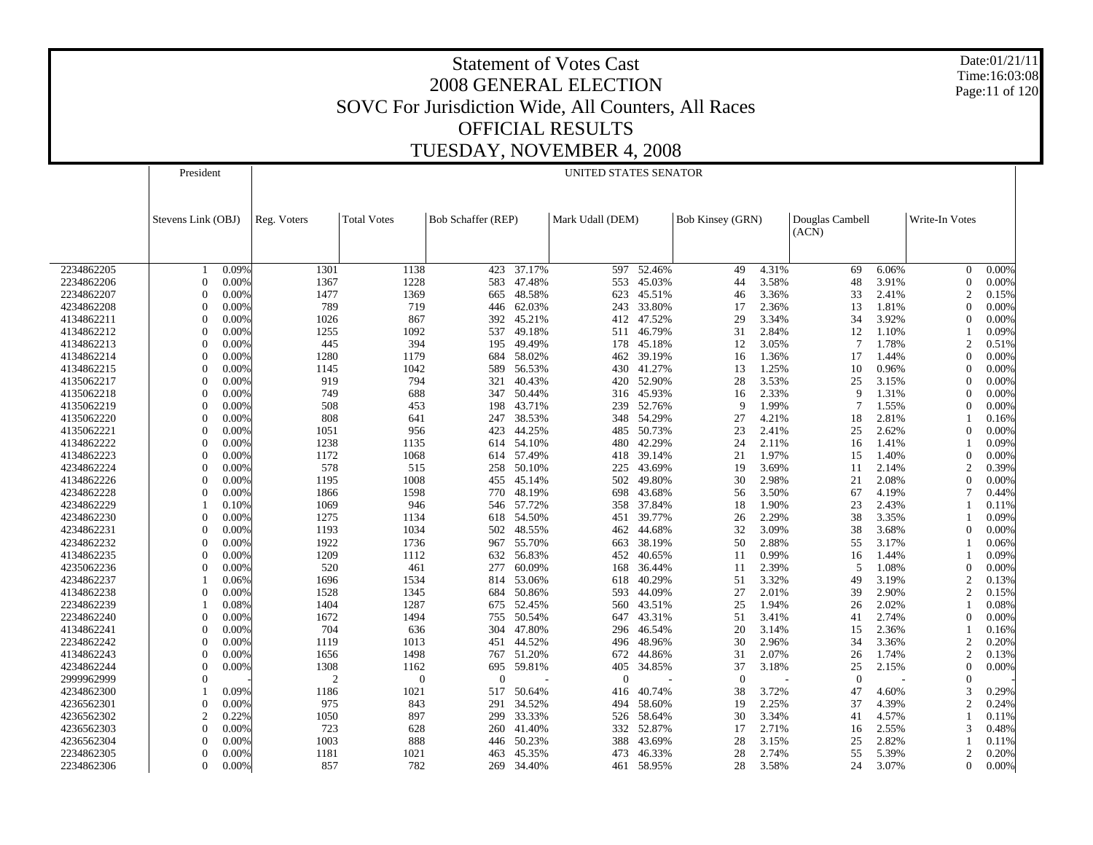Date:01/21/11 Time:16:03:08 Page:11 of 120

|            | President          |       |                |                    |                    |            | UNITED STATES SENATOR |        |                         |       |                          |       |                |       |
|------------|--------------------|-------|----------------|--------------------|--------------------|------------|-----------------------|--------|-------------------------|-------|--------------------------|-------|----------------|-------|
|            | Stevens Link (OBJ) |       | Reg. Voters    | <b>Total Votes</b> | Bob Schaffer (REP) |            | Mark Udall (DEM)      |        | <b>Bob Kinsey (GRN)</b> |       | Douglas Cambell<br>(ACN) |       | Write-In Votes |       |
|            |                    |       |                |                    |                    |            |                       |        |                         |       |                          |       |                |       |
| 2234862205 |                    | 0.09% | 1301           | 1138               | 423                | 37.17%     | 597                   | 52.46% | 49                      | 4.31% | 69                       | 6.06% | $\Omega$       | 0.00% |
| 2234862206 | $\theta$           | 0.00% | 1367           | 1228               | 583                | 47.48%     | 553                   | 45.03% | 44                      | 3.58% | 48                       | 3.91% | $\Omega$       | 0.00% |
| 2234862207 | $\Omega$           | 0.00% | 1477           | 1369               | 665                | 48.58%     | 623                   | 45.51% | 46                      | 3.36% | 33                       | 2.41% |                | 0.15% |
| 4234862208 | $\Omega$           | 0.00% | 789            | 719                | 446                | 62.03%     | 243                   | 33.80% | 17                      | 2.36% | 13                       | 1.81% |                | 0.00% |
| 4134862211 | $\Omega$           | 0.00% | 1026           | 867                | 392                | 45.21%     | 412                   | 47.52% | 29                      | 3.34% | 34                       | 3.92% |                | 0.00% |
| 4134862212 | $\Omega$           | 0.00% | 1255           | 1092               | 537                | 49.18%     | 511                   | 46.79% | 31                      | 2.84% | 12                       | 1.10% |                | 0.09% |
| 4134862213 | $\Omega$           | 0.00% | 445            | 394                | 195                | 49.49%     | 178                   | 45.18% | 12                      | 3.05% | 7                        | 1.78% |                | 0.51% |
| 4134862214 | $\Omega$           | 0.00% | 1280           | 1179               | 684                | 58.02%     | 462                   | 39.19% | 16                      | 1.36% | 17                       | 1.44% |                | 0.00% |
| 4134862215 | $\Omega$           | 0.00% | 1145           | 1042               | 589                | 56.53%     | 430                   | 41.27% | 13                      | 1.25% | 10                       | 0.96% |                | 0.00% |
| 4135062217 | $\Omega$           | 0.00% | 919            | 794                | 321                | 40.43%     | 420                   | 52.90% | 28                      | 3.53% | 25                       | 3.15% |                | 0.00% |
| 4135062218 | $\Omega$           | 0.00% | 749            | 688                | 347                | 50.44%     | 316                   | 45.93% | 16                      | 2.33% | 9                        | 1.31% | $\Omega$       | 0.00% |
| 4135062219 | $\Omega$           | 0.00% | 508            | 453                | 198                | 43.71%     | 239                   | 52.76% | 9                       | 1.99% |                          | 1.55% |                | 0.00% |
| 4135062220 | $\theta$           | 0.00% | 808            | 641                | 247                | 38.53%     | 348                   | 54.29% | 27                      | 4.21% | 18                       | 2.81% |                | 0.16% |
| 4135062221 | $\Omega$           | 0.00% | 1051           | 956                | 423                | 44.25%     | 485                   | 50.73% | 23                      | 2.41% | 25                       | 2.62% |                | 0.00% |
| 4134862222 | $\Omega$           | 0.00% | 1238           | 1135               | 614                | 54.10%     | 480                   | 42.29% | 24                      | 2.11% | 16                       | 1.41% |                | 0.09% |
| 4134862223 | $\Omega$           | 0.00% | 1172           | 1068               | 614                | 57.49%     | 418                   | 39.14% | 21                      | 1.97% | 15                       | 1.40% | $\Omega$       | 0.00% |
| 4234862224 | $\Omega$           | 0.00% | 578            | 515                | 258                | 50.10%     | 225                   | 43.69% | 19                      | 3.69% | 11                       | 2.14% |                | 0.39% |
| 4134862226 | $\Omega$           | 0.00% | 1195           | 1008               | 455                | 45.14%     | 502                   | 49.80% | 30                      | 2.98% | 21                       | 2.08% | $\Omega$       | 0.00% |
| 4234862228 | $\Omega$           | 0.00% | 1866           | 1598               | 770                | 48.19%     | 698                   | 43.68% | 56                      | 3.50% | 67                       | 4.19% |                | 0.44% |
| 4234862229 |                    | 0.10% | 1069           | 946                | 546                | 57.72%     | 358                   | 37.84% | 18                      | 1.90% | 23                       | 2.43% |                | 0.11% |
| 4234862230 | $\Omega$           | 0.00% | 1275           | 1134               | 618                | 54.50%     | 451                   | 39.77% | 26                      | 2.29% | 38                       | 3.35% |                | 0.09% |
| 4234862231 | $\Omega$           | 0.00% | 1193           | 1034               | 502                | 48.55%     | 462                   | 44.68% | 32                      | 3.09% | 38                       | 3.68% | $\Omega$       | 0.00% |
| 4234862232 | $\Omega$           | 0.00% | 1922           | 1736               | 967                | 55.70%     | 663                   | 38.19% | 50                      | 2.88% | 55                       | 3.17% |                | 0.06% |
|            | $\Omega$           |       |                |                    |                    |            |                       |        |                         |       |                          |       |                |       |
| 4134862235 |                    | 0.00% | 1209           | 1112               | 632                | 56.83%     | 452                   | 40.65% | 11                      | 0.99% | 16                       | 1.44% |                | 0.09% |
| 4235062236 | $\Omega$           | 0.00% | 520            | 461                | 277                | 60.09%     | 168                   | 36.44% | 11                      | 2.39% | 5                        | 1.08% | $\Omega$       | 0.00% |
| 4234862237 |                    | 0.06% | 1696           | 1534               | 814                | 53.06%     | 618                   | 40.29% | 51                      | 3.32% | 49                       | 3.19% |                | 0.13% |
| 4134862238 | $\Omega$           | 0.00% | 1528           | 1345               | 684                | 50.86%     | 593                   | 44.09% | 27                      | 2.01% | 39                       | 2.90% |                | 0.15% |
| 2234862239 |                    | 0.08% | 1404           | 1287               | 675                | 52.45%     | 560                   | 43.51% | 25                      | 1.94% | 26                       | 2.02% |                | 0.08% |
| 2234862240 | $\Omega$           | 0.00% | 1672           | 1494               | 755                | 50.54%     | 647                   | 43.31% | 51                      | 3.41% | 41                       | 2.74% | $\Omega$       | 0.00% |
| 4134862241 | $\Omega$           | 0.00% | 704            | 636                | 304                | 47.80%     | 296                   | 46.54% | 20                      | 3.14% | 15                       | 2.36% |                | 0.16% |
| 2234862242 | $\Omega$           | 0.00% | 1119           | 1013               | 451                | 44.52%     | 496                   | 48.96% | 30                      | 2.96% | 34                       | 3.36% | $\overline{2}$ | 0.20% |
| 4134862243 | $\Omega$           | 0.00% | 1656           | 1498               |                    | 767 51.20% | 672                   | 44.86% | 31                      | 2.07% | 26                       | 1.74% |                | 0.13% |
| 4234862244 | $\Omega$           | 0.00% | 1308           | 1162               | 695                | 59.81%     | 405                   | 34.85% | 37                      | 3.18% | 25                       | 2.15% | $\Omega$       | 0.00% |
| 2999962999 | $\Omega$           |       | $\overline{2}$ | $\theta$           | $\mathbf{0}$       |            | $\Omega$              |        | $\theta$                |       | $\Omega$                 |       | $\Omega$       |       |
| 4234862300 |                    | 0.09% | 1186           | 1021               | 517                | 50.64%     | 416                   | 40.74% | 38                      | 3.72% | 47                       | 4.60% |                | 0.29% |
| 4236562301 | $\Omega$           | 0.00% | 975            | 843                | 291                | 34.52%     | 494                   | 58.60% | 19                      | 2.25% | 37                       | 4.39% |                | 0.24% |
| 4236562302 | $\overline{c}$     | 0.22% | 1050           | 897                | 299                | 33.33%     | 526                   | 58.64% | 30                      | 3.34% | 41                       | 4.57% |                | 0.11% |
| 4236562303 |                    | 0.00% | 723            | 628                | 260                | 41.40%     | 332                   | 52.87% | 17                      | 2.71% | 16                       | 2.55% |                | 0.48% |
| 4236562304 | $\Omega$           | 0.00% | 1003           | 888                | 446                | 50.23%     | 388                   | 43.69% | 28                      | 3.15% | 25                       | 2.82% |                | 0.11% |
| 2234862305 | $\Omega$           | 0.00% | 1181           | 1021               | 463                | 45.35%     | 473                   | 46.33% | 28                      | 2.74% | 55                       | 5.39% |                | 0.20% |
| 2234862306 | $\Omega$           | 0.00% | 857            | 782                | 269                | 34.40%     | 461                   | 58.95% | 28                      | 3.58% | 24                       | 3.07% | $\Omega$       | 0.00% |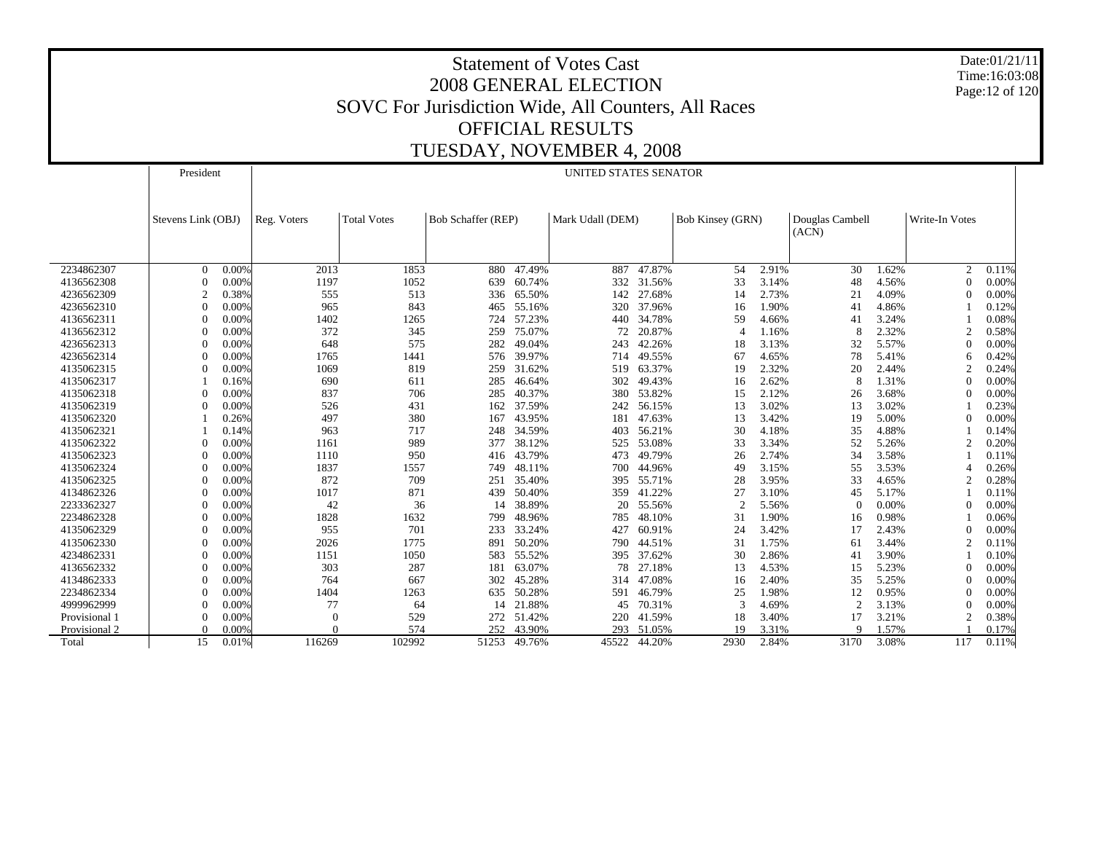Date:01/21/11 Time:16:03:08 Page:12 of 120

|               | President          |       |             |                    |                    |            | UNITED STATES SENATOR |        |                  |       |                          |       |                |       |
|---------------|--------------------|-------|-------------|--------------------|--------------------|------------|-----------------------|--------|------------------|-------|--------------------------|-------|----------------|-------|
|               | Stevens Link (OBJ) |       | Reg. Voters | <b>Total Votes</b> | Bob Schaffer (REP) |            | Mark Udall (DEM)      |        | Bob Kinsey (GRN) |       | Douglas Cambell<br>(ACN) |       | Write-In Votes |       |
|               |                    |       |             |                    |                    |            |                       |        |                  |       |                          |       |                |       |
| 2234862307    | $\Omega$           | 0.00% | 2013        | 1853               | 880                | 47.49%     | 887                   | 47.87% | 54               | 2.91% | 30                       | 1.62% | 2              | 0.11% |
| 4136562308    | $\Omega$           | 0.00% | 1197        | 1052               | 639                | 60.74%     | 332                   | 31.56% | 33               | 3.14% | 48                       | 4.56% | $\Omega$       | 0.00% |
| 4236562309    | $\overline{c}$     | 0.38% | 555         | 513                |                    | 336 65.50% | 142                   | 27.68% | 14               | 2.73% | 21                       | 4.09% | $\overline{0}$ | 0.00% |
| 4236562310    | $\theta$           | 0.00% | 965         | 843                | 465                | 55.16%     | 320                   | 37.96% | 16               | 1.90% | 41                       | 4.86% |                | 0.12% |
| 4136562311    | $\Omega$           | 0.00% | 1402        | 1265               | 724                | 57.23%     | 440                   | 34.78% | 59               | 4.66% | 41                       | 3.24% |                | 0.08% |
| 4136562312    | $\Omega$           | 0.00% | 372         | 345                | 259                | 75.07%     | 72                    | 20.87% | $\overline{4}$   | 1.16% | 8                        | 2.32% | $\overline{2}$ | 0.58% |
| 4236562313    | $\sqrt{ }$         | 0.00% | 648         | 575                | 282                | 49.04%     | 243                   | 42.26% | 18               | 3.13% | 32                       | 5.57% | $\Omega$       | 0.00% |
| 4236562314    | $\Omega$           | 0.00% | 1765        | 1441               | 576                | 39.97%     | 714                   | 49.55% | 67               | 4.65% | 78                       | 5.41% | 6              | 0.42% |
| 4135062315    |                    | 0.00% | 1069        | 819                | 259                | 31.62%     | 519                   | 63.37% | 19               | 2.32% | 20                       | 2.44% | $\overline{2}$ | 0.24% |
| 4135062317    |                    | 0.16% | 690         | 611                | 285                | 46.64%     | 302                   | 49.43% | 16               | 2.62% | 8                        | 1.31% | $\sqrt{ }$     | 0.00% |
| 4135062318    | $\Omega$           | 0.00% | 837         | 706                | 285                | 40.37%     | 380                   | 53.82% | 15               | 2.12% | 26                       | 3.68% | $\sqrt{ }$     | 0.00% |
| 4135062319    | $\Omega$           | 0.00% | 526         | 431                | 162                | 37.59%     | 242                   | 56.15% | 13               | 3.02% | 13                       | 3.02% |                | 0.23% |
| 4135062320    |                    | 0.26% | 497         | 380                | 167                | 43.95%     | 181                   | 47.63% | 13               | 3.42% | 19                       | 5.00% | $\sqrt{ }$     | 0.00% |
| 4135062321    |                    | 0.14% | 963         | 717                | 248                | 34.59%     | 403                   | 56.21% | 30               | 4.18% | 35                       | 4.88% |                | 0.14% |
| 4135062322    | $\theta$           | 0.00% | 1161        | 989                | 377                | 38.12%     | 525                   | 53.08% | 33               | 3.34% | 52                       | 5.26% | $\overline{c}$ | 0.20% |
| 4135062323    | $\Omega$           | 0.00% | 1110        | 950                | 416                | 43.79%     | 473                   | 49.79% | 26               | 2.74% | 34                       | 3.58% |                | 0.11% |
| 4135062324    | $\Omega$           | 0.00% | 1837        | 1557               | 749                | 48.11%     | 700                   | 44.96% | 49               | 3.15% | 55                       | 3.53% |                | 0.26% |
| 4135062325    | $\Omega$           | 0.00% | 872         | 709                | 251                | 35.40%     | 395                   | 55.71% | 28               | 3.95% | 33                       | 4.65% | $\overline{2}$ | 0.28% |
| 4134862326    | $\Omega$           | 0.00% | 1017        | 871                | 439                | 50.40%     | 359                   | 41.22% | 27               | 3.10% | 45                       | 5.17% |                | 0.11% |
| 2233362327    | $\bigcap$          | 0.00% | 42          | 36                 | 14                 | 38.89%     | 20                    | 55.56% | $\overline{2}$   | 5.56% | $\theta$                 | 0.00% | $\sqrt{ }$     | 0.00% |
| 2234862328    | $\bigcap$          | 0.00% | 1828        | 1632               | 799                | 48.96%     | 785                   | 48.10% | 31               | 1.90% | 16                       | 0.98% |                | 0.06% |
| 4135062329    | $\bigcap$          | 0.00% | 955         | 701                | 233                | 33.24%     | 427                   | 60.91% | 24               | 3.42% | 17                       | 2.43% | $\sqrt{ }$     | 0.00% |
| 4135062330    |                    | 0.00% | 2026        | 1775               | 891                | 50.20%     | 790                   | 44.51% | 31               | 1.75% | 61                       | 3.44% | $\overline{2}$ | 0.11% |
| 4234862331    | $\sqrt{ }$         | 0.00% | 1151        | 1050               | 583                | 55.52%     | 395                   | 37.62% | 30               | 2.86% | 41                       | 3.90% |                | 0.10% |
| 4136562332    | $\sqrt{ }$         | 0.00% | 303         | 287                | 181                | 63.07%     | 78                    | 27.18% | 13               | 4.53% | 15                       | 5.23% | $\sqrt{ }$     | 0.00% |
| 4134862333    | $\Omega$           | 0.00% | 764         | 667                | 302                | 45.28%     | 314                   | 47.08% | 16               | 2.40% | 35                       | 5.25% | $\sqrt{ }$     | 0.00% |
| 2234862334    | $\sqrt{ }$         | 0.00% | 1404        | 1263               | 635                | 50.28%     | 591                   | 46.79% | 25               | 1.98% | 12                       | 0.95% | $\sqrt{ }$     | 0.00% |
| 4999962999    | $\sqrt{ }$         | 0.00% | 77          | 64                 | 14                 | 21.88%     | 45                    | 70.31% | 3                | 4.69% | $\overline{2}$           | 3.13% | $\sqrt{ }$     | 0.00% |
| Provisional 1 | $\Omega$           | 0.00% | $\theta$    | 529                |                    | 272 51.42% | 220                   | 41.59% | 18               | 3.40% | 17                       | 3.21% | $\overline{c}$ | 0.38% |
| Provisional 2 | $\Omega$           | 0.00% |             | 574                | 252                | 43.90%     | 293                   | 51.05% | 19               | 3.31% | Q                        | 1.57% |                | 0.17% |
| Total         | 15                 | 0.01% | 116269      | 102992             | 51253              | 49.76%     | 45522                 | 44.20% | 2930             | 2.84% | 3170                     | 3.08% | 117            | 0.11% |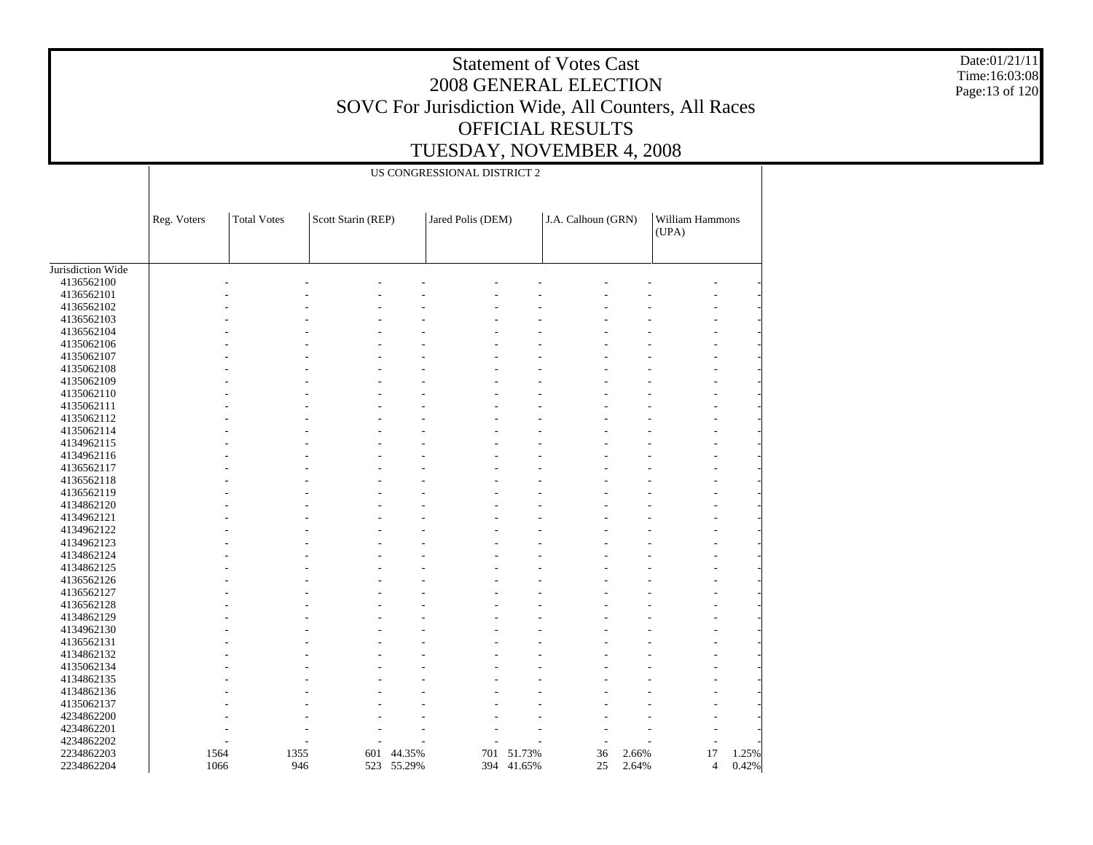Date:01/21/11 Time:16:03:08 Page:13 of 120

|                   |             |                    |                    |            | US CONGRESSIONAL DISTRICT 2 |            |                    |       |                          |       |
|-------------------|-------------|--------------------|--------------------|------------|-----------------------------|------------|--------------------|-------|--------------------------|-------|
|                   | Reg. Voters | <b>Total Votes</b> | Scott Starin (REP) |            | Jared Polis (DEM)           |            | J.A. Calhoun (GRN) |       | William Hammons<br>(UPA) |       |
| Jurisdiction Wide |             |                    |                    |            |                             |            |                    |       |                          |       |
| 4136562100        |             |                    |                    |            |                             |            |                    |       |                          |       |
| 4136562101        |             |                    |                    |            |                             |            |                    |       |                          |       |
|                   |             |                    |                    |            |                             |            |                    |       |                          |       |
| 4136562102        |             |                    |                    |            |                             |            |                    |       |                          |       |
| 4136562103        |             |                    |                    |            |                             |            |                    |       |                          |       |
| 4136562104        |             |                    |                    |            |                             |            |                    |       |                          |       |
| 4135062106        |             |                    |                    |            |                             |            |                    |       |                          |       |
| 4135062107        |             |                    |                    |            |                             |            |                    |       |                          |       |
| 4135062108        |             |                    |                    |            |                             |            |                    |       |                          |       |
| 4135062109        |             |                    |                    |            |                             |            |                    |       |                          |       |
| 4135062110        |             |                    |                    |            |                             |            |                    |       |                          |       |
| 4135062111        |             |                    |                    |            |                             |            |                    |       |                          |       |
| 4135062112        |             |                    |                    |            |                             |            |                    |       |                          |       |
| 4135062114        |             |                    |                    |            |                             |            |                    |       |                          |       |
| 4134962115        |             |                    |                    |            |                             |            |                    |       |                          |       |
| 4134962116        |             |                    |                    |            |                             |            |                    |       |                          |       |
| 4136562117        |             |                    |                    |            |                             |            |                    |       |                          |       |
| 4136562118        |             |                    |                    |            |                             |            |                    |       |                          |       |
| 4136562119        |             |                    |                    |            |                             |            |                    |       |                          |       |
| 4134862120        |             |                    |                    |            |                             |            |                    |       |                          |       |
| 4134962121        |             |                    |                    |            |                             |            |                    |       |                          |       |
| 4134962122        |             |                    |                    |            |                             |            |                    |       |                          |       |
| 4134962123        |             |                    |                    |            |                             |            |                    |       |                          |       |
| 4134862124        |             |                    |                    |            |                             |            |                    |       |                          |       |
| 4134862125        |             |                    |                    |            |                             |            |                    |       |                          |       |
| 4136562126        |             |                    |                    |            |                             |            |                    |       |                          |       |
| 4136562127        |             |                    |                    |            |                             |            |                    |       |                          |       |
|                   |             |                    |                    |            |                             |            |                    |       |                          |       |
| 4136562128        |             |                    |                    |            |                             |            |                    |       |                          |       |
| 4134862129        |             |                    |                    |            |                             |            |                    |       |                          |       |
| 4134962130        |             |                    |                    |            |                             |            |                    |       |                          |       |
| 4136562131        |             |                    |                    |            |                             |            |                    |       |                          |       |
| 4134862132        |             |                    |                    |            |                             |            |                    |       |                          |       |
| 4135062134        |             |                    |                    |            |                             |            |                    |       |                          |       |
| 4134862135        |             |                    |                    |            |                             |            |                    |       |                          |       |
| 4134862136        |             |                    |                    |            |                             |            |                    |       |                          |       |
| 4135062137        |             |                    |                    |            |                             |            |                    |       |                          |       |
| 4234862200        |             |                    |                    |            |                             |            |                    |       |                          |       |
| 4234862201        |             |                    |                    |            |                             |            |                    |       |                          |       |
| 4234862202        |             |                    |                    |            |                             |            |                    |       |                          |       |
| 2234862203        |             | 1355<br>1564       |                    | 601 44.35% | 701                         | 51.73%     | 36                 | 2.66% | 17                       | 1.25% |
| 2234862204        |             | 1066               | 946                | 523 55.29% |                             | 394 41.65% | 25                 | 2.64% | $\overline{4}$           | 0.42% |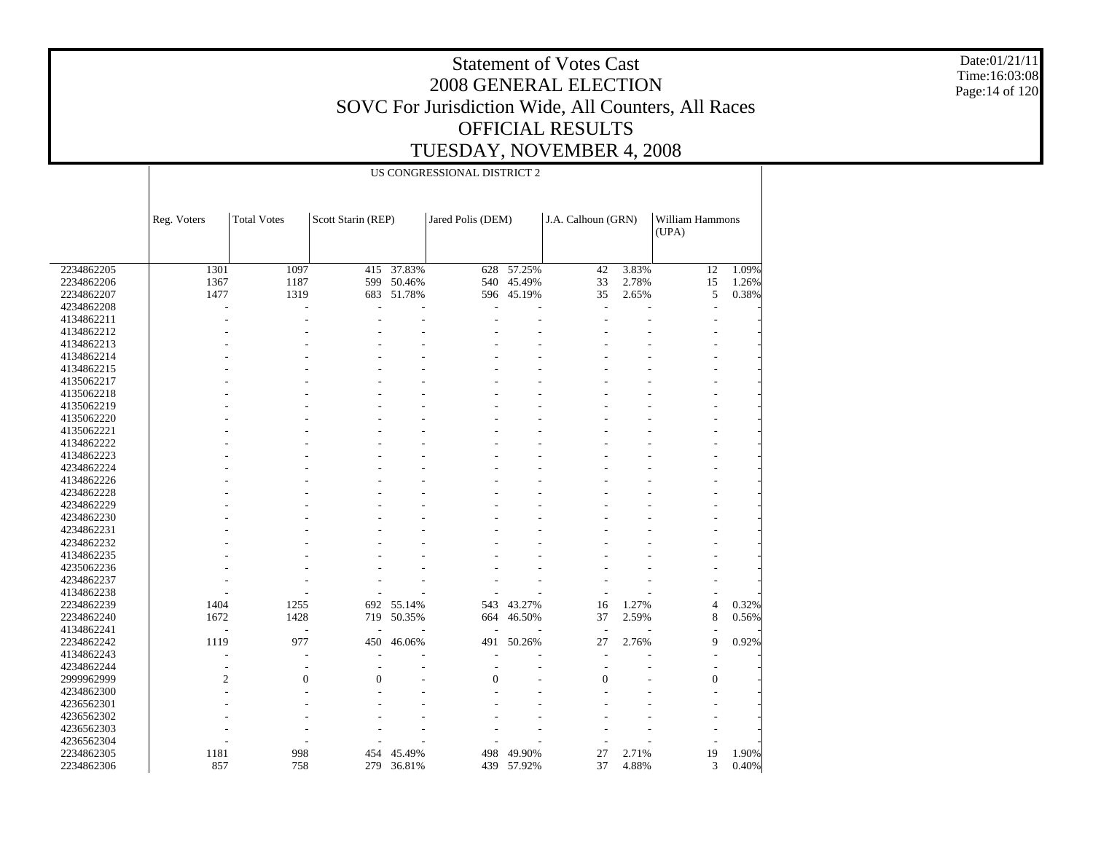Date:01/21/11 Time:16:03:08 Page:14 of 120

|            | US CONGRESSIONAL DISTRICT 2 |                    |                    |            |                   |            |                    |       |                          |       |  |  |  |
|------------|-----------------------------|--------------------|--------------------|------------|-------------------|------------|--------------------|-------|--------------------------|-------|--|--|--|
|            |                             |                    |                    |            |                   |            |                    |       |                          |       |  |  |  |
|            | Reg. Voters                 | <b>Total Votes</b> | Scott Starin (REP) |            | Jared Polis (DEM) |            | J.A. Calhoun (GRN) |       | William Hammons<br>(UPA) |       |  |  |  |
|            |                             |                    |                    |            |                   |            |                    |       |                          |       |  |  |  |
| 2234862205 | 1301                        | 1097               | 415                | 37.83%     | 628               | 57.25%     | 42                 | 3.83% | 12                       | 1.09% |  |  |  |
| 2234862206 | 1367                        | 1187               | 599                | 50.46%     | 540               | 45.49%     | 33                 | 2.78% | 15                       | 1.26% |  |  |  |
| 2234862207 | 1477                        | 1319               |                    | 683 51.78% |                   | 596 45.19% | 35                 | 2.65% | 5                        | 0.38% |  |  |  |
| 4234862208 |                             | L,                 |                    |            |                   |            |                    |       | $\overline{\phantom{a}}$ |       |  |  |  |
| 4134862211 |                             |                    |                    |            |                   |            |                    |       |                          |       |  |  |  |
| 4134862212 |                             |                    |                    |            |                   |            |                    |       |                          |       |  |  |  |
| 4134862213 |                             |                    |                    |            |                   |            |                    |       |                          |       |  |  |  |
| 4134862214 |                             |                    |                    |            |                   |            |                    |       |                          |       |  |  |  |
| 4134862215 |                             |                    |                    |            |                   |            |                    |       |                          |       |  |  |  |
| 4135062217 |                             |                    |                    |            |                   |            |                    |       |                          |       |  |  |  |
| 4135062218 |                             |                    |                    |            |                   |            |                    |       |                          |       |  |  |  |
| 4135062219 |                             |                    |                    |            |                   |            |                    |       |                          |       |  |  |  |
| 4135062220 |                             |                    |                    |            |                   |            |                    |       |                          |       |  |  |  |
| 4135062221 |                             |                    |                    |            |                   |            |                    |       |                          |       |  |  |  |
| 4134862222 |                             |                    |                    |            |                   |            |                    |       |                          |       |  |  |  |
| 4134862223 |                             |                    |                    |            |                   |            |                    |       |                          |       |  |  |  |
| 4234862224 |                             |                    |                    |            |                   |            |                    |       |                          |       |  |  |  |
|            |                             |                    |                    |            |                   |            |                    |       |                          |       |  |  |  |
| 4134862226 |                             |                    |                    |            |                   |            |                    |       |                          |       |  |  |  |
| 4234862228 |                             |                    |                    |            |                   |            |                    |       |                          |       |  |  |  |
| 4234862229 |                             |                    |                    |            |                   |            |                    |       |                          |       |  |  |  |
| 4234862230 |                             |                    |                    |            |                   |            |                    |       |                          |       |  |  |  |
| 4234862231 |                             |                    |                    |            |                   |            |                    |       |                          |       |  |  |  |
| 4234862232 |                             |                    |                    |            |                   |            |                    |       |                          |       |  |  |  |
| 4134862235 |                             |                    |                    |            |                   |            |                    |       |                          |       |  |  |  |
| 4235062236 |                             |                    |                    |            |                   |            |                    |       |                          |       |  |  |  |
| 4234862237 |                             |                    |                    |            |                   |            |                    |       |                          |       |  |  |  |
| 4134862238 |                             |                    |                    |            |                   |            |                    |       |                          |       |  |  |  |
| 2234862239 | 1404                        | 1255               | 692                | 55.14%     | 543               | 43.27%     | 16                 | 1.27% | $\overline{4}$           | 0.32% |  |  |  |
| 2234862240 | 1672                        | 1428               | 719                | 50.35%     | 664               | 46.50%     | 37                 | 2.59% | 8                        | 0.56% |  |  |  |
| 4134862241 |                             | J.                 |                    |            |                   |            | $\overline{a}$     |       |                          |       |  |  |  |
| 2234862242 | 1119                        | 977                | 450                | 46.06%     | 491               | 50.26%     | 27                 | 2.76% | 9                        | 0.92% |  |  |  |
| 4134862243 |                             | ÷,                 |                    |            |                   |            |                    |       | $\overline{\phantom{a}}$ |       |  |  |  |
| 4234862244 |                             |                    |                    |            |                   |            |                    |       |                          |       |  |  |  |
| 2999962999 | $\mathfrak{2}$              | $\overline{0}$     | $\theta$           |            | $\Omega$          |            | $\Omega$           |       | $\boldsymbol{0}$         |       |  |  |  |
| 4234862300 |                             |                    |                    |            |                   |            |                    |       |                          |       |  |  |  |
| 4236562301 |                             |                    |                    |            |                   |            |                    |       |                          |       |  |  |  |
| 4236562302 |                             |                    |                    |            |                   |            |                    |       |                          |       |  |  |  |
| 4236562303 |                             |                    |                    |            |                   |            |                    |       |                          |       |  |  |  |
| 4236562304 |                             |                    |                    |            |                   |            |                    |       |                          |       |  |  |  |
| 2234862305 | 1181                        | 998                | 454                | 45.49%     | 498               | 49.90%     | 27                 | 2.71% | 19                       | 1.90% |  |  |  |
| 2234862306 | 857                         | 758                |                    | 279 36.81% |                   | 439 57.92% | 37                 | 4.88% | 3                        | 0.40% |  |  |  |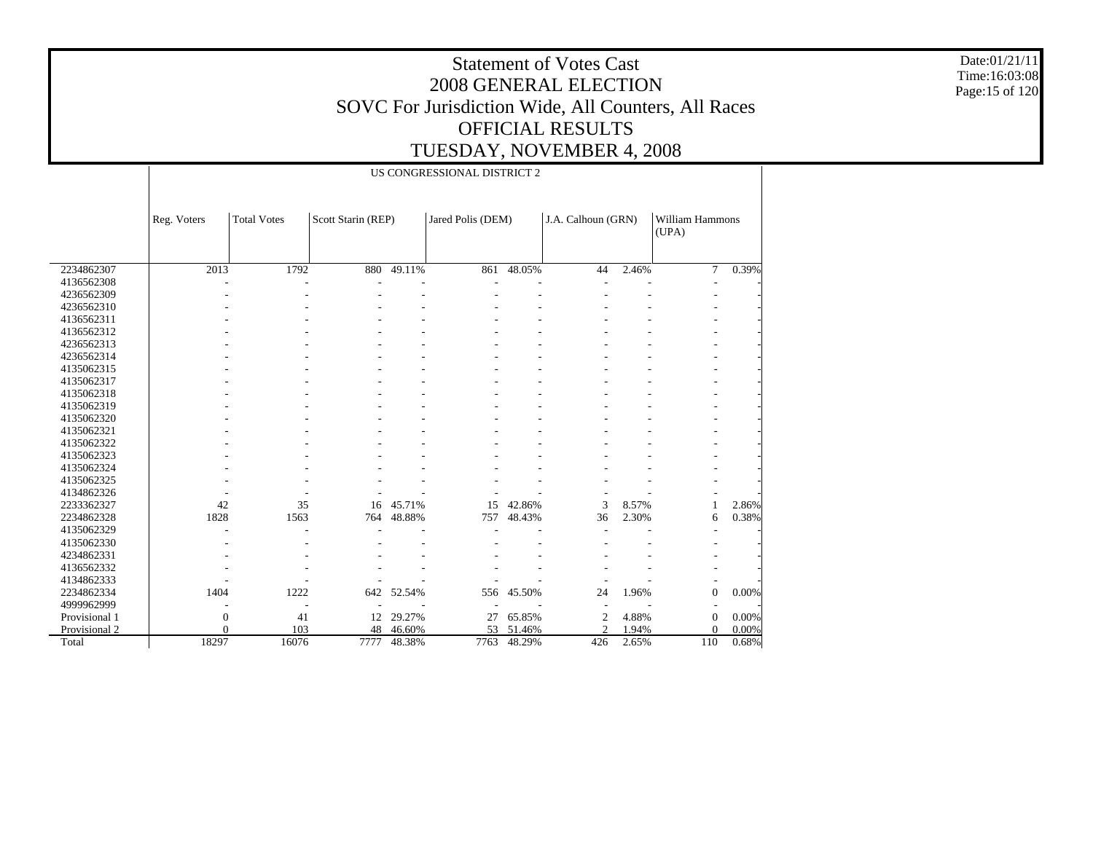Date:01/21/11 Time:16:03:08 Page:15 of 120

|               | US CONGRESSIONAL DISTRICT 2 |                    |                    |        |                   |        |                    |       |                          |          |  |  |  |  |
|---------------|-----------------------------|--------------------|--------------------|--------|-------------------|--------|--------------------|-------|--------------------------|----------|--|--|--|--|
|               | Reg. Voters                 | <b>Total Votes</b> | Scott Starin (REP) |        | Jared Polis (DEM) |        | J.A. Calhoun (GRN) |       | William Hammons<br>(UPA) |          |  |  |  |  |
| 2234862307    | 2013                        | 1792               | 880                | 49.11% | 861               | 48.05% | 44                 | 2.46% | $\tau$                   | 0.39%    |  |  |  |  |
| 4136562308    |                             |                    |                    |        |                   |        |                    |       |                          |          |  |  |  |  |
| 4236562309    |                             |                    |                    |        |                   |        |                    |       |                          |          |  |  |  |  |
| 4236562310    |                             |                    |                    |        |                   |        |                    |       |                          |          |  |  |  |  |
| 4136562311    |                             |                    |                    |        |                   |        |                    |       |                          |          |  |  |  |  |
| 4136562312    |                             |                    |                    |        |                   |        |                    |       |                          |          |  |  |  |  |
| 4236562313    |                             |                    |                    |        |                   |        |                    |       |                          |          |  |  |  |  |
| 4236562314    |                             |                    |                    |        |                   |        |                    |       |                          |          |  |  |  |  |
| 4135062315    |                             |                    |                    |        |                   |        |                    |       |                          |          |  |  |  |  |
| 4135062317    |                             |                    |                    |        |                   |        |                    |       |                          |          |  |  |  |  |
| 4135062318    |                             |                    |                    |        |                   |        |                    |       |                          |          |  |  |  |  |
| 4135062319    |                             |                    |                    |        |                   |        |                    |       |                          |          |  |  |  |  |
| 4135062320    |                             |                    |                    |        |                   |        |                    |       |                          |          |  |  |  |  |
| 4135062321    |                             |                    |                    |        |                   |        |                    |       |                          |          |  |  |  |  |
| 4135062322    |                             |                    |                    |        |                   |        |                    |       |                          |          |  |  |  |  |
| 4135062323    |                             |                    |                    |        |                   |        |                    |       |                          |          |  |  |  |  |
| 4135062324    |                             |                    |                    |        |                   |        |                    |       |                          |          |  |  |  |  |
| 4135062325    |                             |                    |                    |        |                   |        |                    |       |                          |          |  |  |  |  |
| 4134862326    |                             |                    |                    |        |                   |        |                    |       |                          |          |  |  |  |  |
| 2233362327    | 42                          | 35                 | 16                 | 45.71% | 15                | 42.86% | 3                  | 8.57% |                          | 2.86%    |  |  |  |  |
| 2234862328    | 1828                        | 1563               | 764                | 48.88% | 757               | 48.43% | 36                 | 2.30% | 6                        | 0.38%    |  |  |  |  |
| 4135062329    |                             |                    |                    |        |                   |        |                    |       |                          |          |  |  |  |  |
| 4135062330    |                             |                    |                    |        |                   |        |                    |       |                          |          |  |  |  |  |
| 4234862331    |                             |                    |                    |        |                   |        |                    |       |                          |          |  |  |  |  |
| 4136562332    |                             |                    |                    |        |                   |        |                    |       |                          |          |  |  |  |  |
| 4134862333    |                             |                    |                    |        |                   |        |                    |       |                          |          |  |  |  |  |
| 2234862334    | 1404                        | 1222               | 642                | 52.54% | 556               | 45.50% | 24                 | 1.96% | $\boldsymbol{0}$         | $0.00\%$ |  |  |  |  |
| 4999962999    |                             |                    |                    |        |                   |        |                    |       |                          |          |  |  |  |  |
| Provisional 1 | $\mathbf{0}$                | 41                 | 12                 | 29.27% | 27                | 65.85% | $\overline{c}$     | 4.88% | $\boldsymbol{0}$         | 0.00%    |  |  |  |  |
| Provisional 2 | $\Omega$                    | 103                | 48                 | 46.60% | 53                | 51.46% | $\overline{c}$     | 1.94% | $\Omega$                 | 0.00%    |  |  |  |  |
| Total         | 18297                       | 16076              | 7777               | 48.38% | 7763              | 48.29% | 426                | 2.65% | 110                      | 0.68%    |  |  |  |  |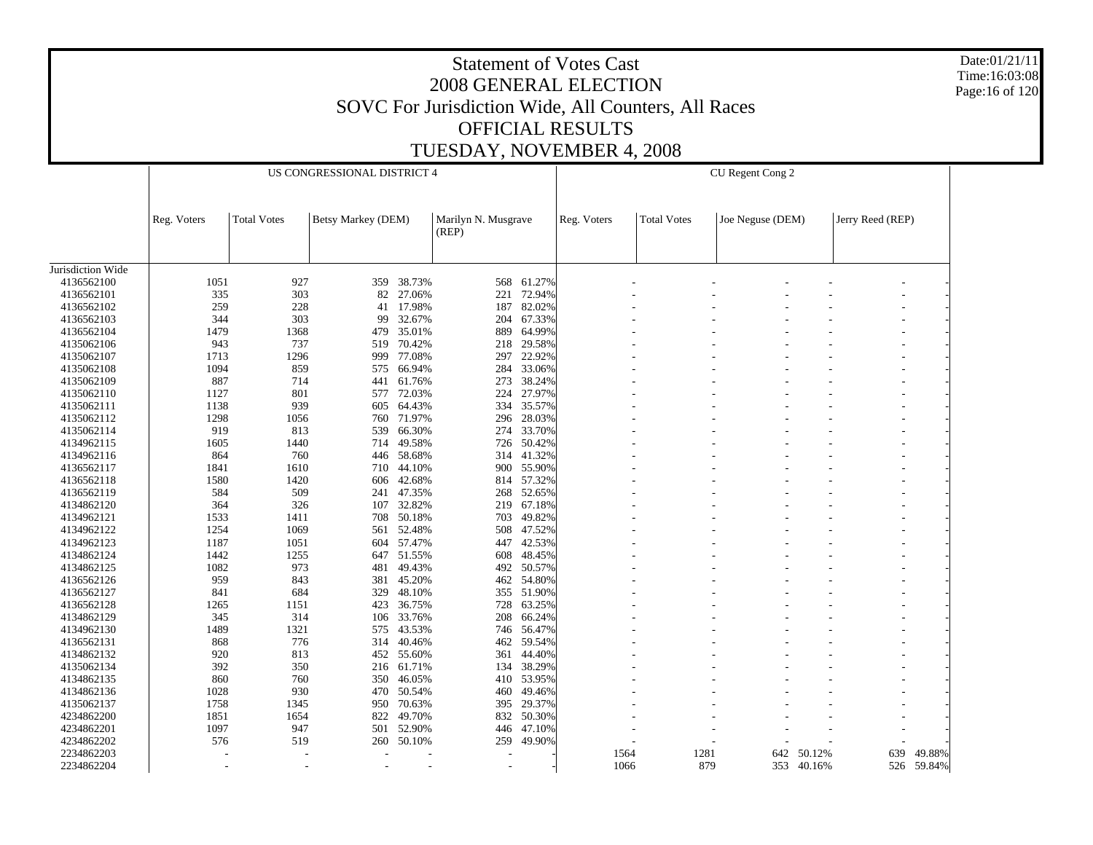Date:01/21/11 Time:16:03:08 Page:16 of 120

|                   |             |                    | US CONGRESSIONAL DISTRICT 4 |            |                              |            |             |                    | CU Regent Cong 2 |            |                  |            |
|-------------------|-------------|--------------------|-----------------------------|------------|------------------------------|------------|-------------|--------------------|------------------|------------|------------------|------------|
|                   | Reg. Voters | <b>Total Votes</b> | Betsy Markey (DEM)          |            | Marilyn N. Musgrave<br>(REP) |            | Reg. Voters | <b>Total Votes</b> | Joe Neguse (DEM) |            | Jerry Reed (REP) |            |
|                   |             |                    |                             |            |                              |            |             |                    |                  |            |                  |            |
| Jurisdiction Wide |             |                    |                             |            |                              |            |             |                    |                  |            |                  |            |
| 4136562100        | 1051        | 927                | 359                         | 38.73%     | 568                          | 61.27%     |             |                    |                  |            |                  |            |
| 4136562101        | 335         | 303                | 82                          | 27.06%     | 221                          | 72.94%     |             |                    |                  |            |                  |            |
| 4136562102        | 259         | 228                | 41                          | 17.98%     | 187                          | 82.02%     |             |                    |                  |            |                  |            |
| 4136562103        | 344         | 303                | 99                          | 32.67%     | 204                          | 67.33%     |             |                    |                  |            |                  |            |
| 4136562104        | 1479        | 1368               | 479                         | 35.01%     | 889                          | 64.99%     |             |                    |                  |            |                  |            |
| 4135062106        | 943         | 737                | 519                         | 70.42%     | 218                          | 29.58%     |             |                    |                  |            |                  |            |
| 4135062107        | 1713        | 1296               | 999                         | 77.08%     | 297                          | 22.92%     |             |                    |                  |            |                  |            |
| 4135062108        | 1094        | 859                | 575                         | 66.94%     | 284                          | 33.06%     |             |                    |                  |            |                  |            |
| 4135062109        | 887         | 714                | 441                         | 61.76%     | 273                          | 38.24%     |             |                    |                  |            |                  |            |
| 4135062110        | 1127        | 801                |                             | 577 72.03% | 224                          | 27.97%     |             |                    |                  |            |                  |            |
| 4135062111        | 1138        | 939                | 605                         | 64.43%     | 334                          | 35.57%     |             |                    |                  |            |                  |            |
| 4135062112        | 1298        | 1056               | 760                         | 71.97%     | 296                          | 28.03%     |             |                    |                  |            |                  |            |
| 4135062114        | 919         | 813                | 539                         | 66.30%     | 274                          | 33.70%     |             |                    |                  |            |                  |            |
| 4134962115        | 1605        | 1440               | 714                         | 49.58%     | 726                          | 50.42%     |             |                    |                  |            |                  |            |
| 4134962116        | 864         | 760                | 446                         | 58.68%     | 314                          | 41.32%     |             |                    |                  |            |                  |            |
| 4136562117        | 1841        | 1610               | 710                         | 44.10%     | 900                          | 55.90%     |             |                    |                  |            |                  |            |
| 4136562118        | 1580        | 1420               | 606                         | 42.68%     | 814                          | 57.32%     |             |                    |                  |            |                  |            |
| 4136562119        | 584         | 509                | 241                         | 47.35%     | 268                          | 52.65%     |             |                    |                  |            |                  |            |
| 4134862120        | 364         | 326                | 107                         | 32.82%     | 219                          | 67.18%     |             |                    |                  |            |                  |            |
| 4134962121        | 1533        | 1411               | 708                         | 50.18%     | 703                          | 49.82%     |             |                    |                  |            |                  |            |
| 4134962122        | 1254        | 1069               | 561                         | 52.48%     | 508                          | 47.52%     |             |                    |                  |            |                  |            |
| 4134962123        | 1187        | 1051               | 604                         | 57.47%     | 447                          | 42.53%     |             |                    |                  |            |                  |            |
| 4134862124        | 1442        | 1255               |                             | 647 51.55% | 608                          | 48.45%     |             |                    |                  |            |                  |            |
| 4134862125        | 1082        | 973                | 481                         | 49.43%     | 492                          | 50.57%     |             |                    |                  |            |                  |            |
| 4136562126        | 959         | 843                | 381                         | 45.20%     | 462                          | 54.80%     |             |                    |                  |            |                  |            |
| 4136562127        | 841         | 684                | 329                         | 48.10%     |                              | 355 51.90% |             |                    |                  |            |                  |            |
| 4136562128        | 1265        | 1151               | 423                         | 36.75%     | 728                          | 63.25%     |             |                    |                  |            |                  |            |
| 4134862129        | 345         | 314                | 106                         | 33.76%     | 208                          | 66.24%     |             |                    |                  |            |                  |            |
| 4134962130        | 1489        | 1321               | 575                         | 43.53%     | 746                          | 56.47%     |             |                    |                  |            |                  |            |
| 4136562131        | 868         | 776                | 314                         | 40.46%     | 462                          | 59.54%     |             |                    |                  |            |                  |            |
| 4134862132        | 920         | 813                |                             | 452 55.60% | 361                          | 44.40%     |             |                    |                  |            |                  |            |
| 4135062134        | 392         | 350                | 216                         | 61.71%     | 134                          | 38.29%     |             |                    |                  |            |                  |            |
| 4134862135        | 860         | 760                | 350                         | 46.05%     | 410                          | 53.95%     |             |                    |                  |            |                  |            |
| 4134862136        | 1028        | 930                | 470                         | 50.54%     | 460                          | 49.46%     |             |                    |                  |            |                  |            |
| 4135062137        | 1758        | 1345               | 950                         | 70.63%     | 395                          | 29.37%     |             |                    |                  |            |                  |            |
| 4234862200        | 1851        | 1654               | 822                         | 49.70%     | 832                          | 50.30%     |             |                    |                  |            |                  |            |
| 4234862201        | 1097        | 947                | 501                         | 52.90%     | 446                          | 47.10%     |             |                    |                  |            |                  |            |
| 4234862202        | 576         | 519                | 260                         | 50.10%     | 259                          | 49.90%     |             |                    |                  |            |                  |            |
| 2234862203        |             |                    |                             |            |                              |            | 1564        | 1281               | 642              | 50.12%     | 639              | 49.88%     |
| 2234862204        |             |                    |                             |            |                              |            | 1066        | 879                |                  | 353 40.16% |                  | 526 59.84% |
|                   |             |                    |                             |            |                              |            |             |                    |                  |            |                  |            |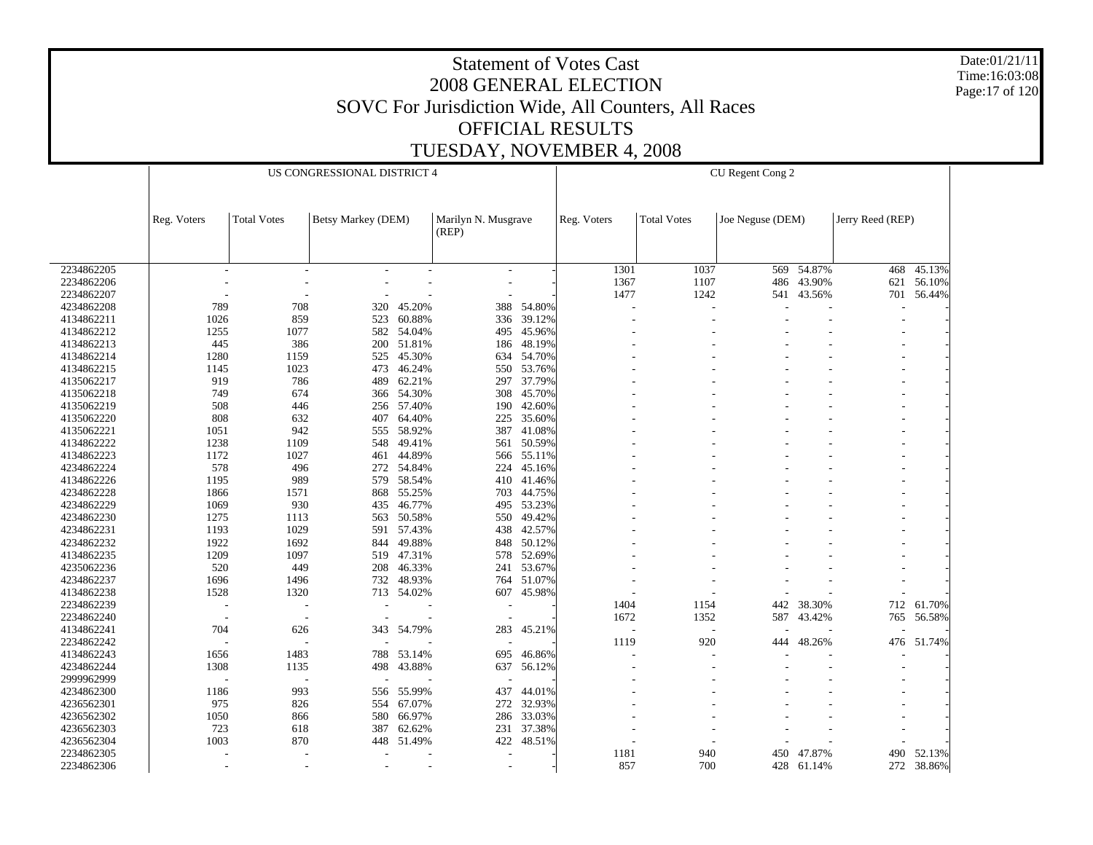Date:01/21/11 Time:16:03:08 Page:17 of 120

|            |             |                          | US CONGRESSIONAL DISTRICT 4 |            |                              |        |             |                    | CU Regent Cong 2 |        |                  |        |
|------------|-------------|--------------------------|-----------------------------|------------|------------------------------|--------|-------------|--------------------|------------------|--------|------------------|--------|
|            |             |                          |                             |            |                              |        |             |                    |                  |        |                  |        |
|            | Reg. Voters | <b>Total Votes</b>       | Betsy Markey (DEM)          |            | Marilyn N. Musgrave<br>(REP) |        | Reg. Voters | <b>Total Votes</b> | Joe Neguse (DEM) |        | Jerry Reed (REP) |        |
|            |             |                          |                             |            |                              |        |             |                    |                  |        |                  |        |
| 2234862205 | $\sim$      | $\overline{\phantom{a}}$ |                             |            | $\overline{\phantom{a}}$     |        | 1301        | 1037               | 569              | 54.87% | 468              | 45.13% |
| 2234862206 |             |                          |                             |            | $\overline{\phantom{a}}$     |        | 1367        | 1107               | 486              | 43.90% | 621              | 56.10% |
| 2234862207 |             |                          |                             |            |                              |        | 1477        | 1242               | 541              | 43.56% | 701              | 56.44% |
| 4234862208 | 789         | 708                      | 320                         | 45.20%     | 388                          | 54.80% |             |                    |                  |        |                  |        |
| 4134862211 | 1026        | 859                      | 523                         | 60.88%     | 336                          | 39.12% |             |                    |                  |        |                  |        |
| 4134862212 | 1255        | 1077                     | 582                         | 54.04%     | 495                          | 45.96% |             |                    |                  |        |                  |        |
| 4134862213 | 445         | 386                      | 200                         | 51.81%     | 186                          | 48.19% |             |                    |                  |        |                  |        |
| 4134862214 | 1280        | 1159                     | 525                         | 45.30%     | 634                          | 54.70% |             |                    |                  |        |                  |        |
| 4134862215 | 1145        | 1023                     | 473                         | 46.24%     | 550                          | 53.76% |             |                    |                  |        |                  |        |
| 4135062217 | 919         | 786                      | 489                         | 62.21%     | 297                          | 37.79% |             |                    |                  |        |                  |        |
| 4135062218 | 749         | 674                      | 366                         | 54.30%     | 308                          | 45.70% |             |                    |                  |        |                  |        |
| 4135062219 | 508         | 446                      | 256                         | 57.40%     | 190                          | 42.60% |             |                    |                  |        |                  |        |
| 4135062220 | 808         | 632                      | 407                         | 64.40%     | 225                          | 35.60% |             |                    |                  |        |                  |        |
| 4135062221 | 1051        | 942                      | 555                         | 58.92%     | 387                          | 41.08% |             |                    |                  |        |                  |        |
| 4134862222 | 1238        | 1109                     | 548                         | 49.41%     | 561                          | 50.59% |             |                    |                  |        |                  |        |
| 4134862223 | 1172        | 1027                     | 461                         | 44.89%     | 566                          | 55.11% |             |                    |                  |        |                  |        |
| 4234862224 | 578         | 496                      |                             | 272 54.84% | 224                          | 45.16% |             |                    |                  |        |                  |        |
| 4134862226 | 1195        | 989                      | 579                         | 58.54%     | 410                          | 41.46% |             |                    |                  |        |                  |        |
| 4234862228 | 1866        | 1571                     | 868                         | 55.25%     | 703                          | 44.75% |             |                    |                  |        |                  |        |
| 4234862229 | 1069        | 930                      | 435                         | 46.77%     | 495                          | 53.23% |             |                    |                  |        |                  |        |
| 4234862230 | 1275        | 1113                     | 563                         | 50.58%     | 550                          | 49.42% |             |                    |                  |        |                  |        |
| 4234862231 | 1193        | 1029                     | 591                         | 57.43%     | 438                          | 42.57% |             |                    |                  |        |                  |        |
| 4234862232 | 1922        | 1692                     | 844                         | 49.88%     | 848                          | 50.12% |             |                    |                  |        |                  |        |
| 4134862235 | 1209        | 1097                     | 519                         | 47.31%     | 578                          | 52.69% |             |                    |                  |        |                  |        |
| 4235062236 | 520         | 449                      | 208                         | 46.33%     | 241                          | 53.67% |             |                    |                  |        |                  |        |
| 4234862237 | 1696        | 1496                     | 732                         | 48.93%     | 764                          | 51.07% |             |                    |                  |        |                  |        |
| 4134862238 | 1528        | 1320                     | 713                         | 54.02%     | 607                          | 45.98% |             |                    |                  |        |                  |        |
| 2234862239 |             |                          |                             |            |                              |        | 1404        | 1154               | 442              | 38.30% | 712              | 61.70% |
| 2234862240 |             |                          |                             |            |                              |        | 1672        | 1352               | 587              | 43.42% | 765              | 56.58% |
| 4134862241 | 704         | 626                      | 343                         | 54.79%     | 283                          | 45.21% |             |                    |                  |        |                  |        |
| 2234862242 |             |                          |                             |            |                              |        | 1119        | 920                | 444              | 48.26% | 476              | 51.74% |
| 4134862243 | 1656        | 1483                     | 788                         | 53.14%     | 695                          | 46.86% |             |                    |                  |        |                  |        |
| 4234862244 | 1308        | 1135                     | 498                         | 43.88%     | 637                          | 56.12% |             |                    |                  |        |                  |        |
| 2999962999 |             |                          |                             |            |                              |        |             |                    |                  |        |                  |        |
| 4234862300 | 1186        | 993                      | 556                         | 55.99%     | 437                          | 44.01% |             |                    |                  |        |                  |        |
| 4236562301 | 975         | 826                      | 554                         | 67.07%     | 272                          | 32.93% |             |                    |                  |        |                  |        |
| 4236562302 | 1050        | 866                      | 580                         | 66.97%     | 286                          | 33.03% |             |                    |                  |        |                  |        |
| 4236562303 | 723         | 618                      | 387                         | 62.62%     | 231                          | 37.38% |             |                    |                  |        |                  |        |
| 4236562304 | 1003        | 870                      | 448                         | 51.49%     | 422                          | 48.51% |             |                    |                  |        |                  |        |
| 2234862305 |             |                          |                             |            |                              |        | 1181        | 940                | 450              | 47.87% | 490              | 52.13% |
| 2234862306 |             |                          | ٠                           |            | $\overline{\phantom{a}}$     |        | 857         | 700                | 428              | 61.14% | 272              | 38.86% |
|            |             |                          |                             |            |                              |        |             |                    |                  |        |                  |        |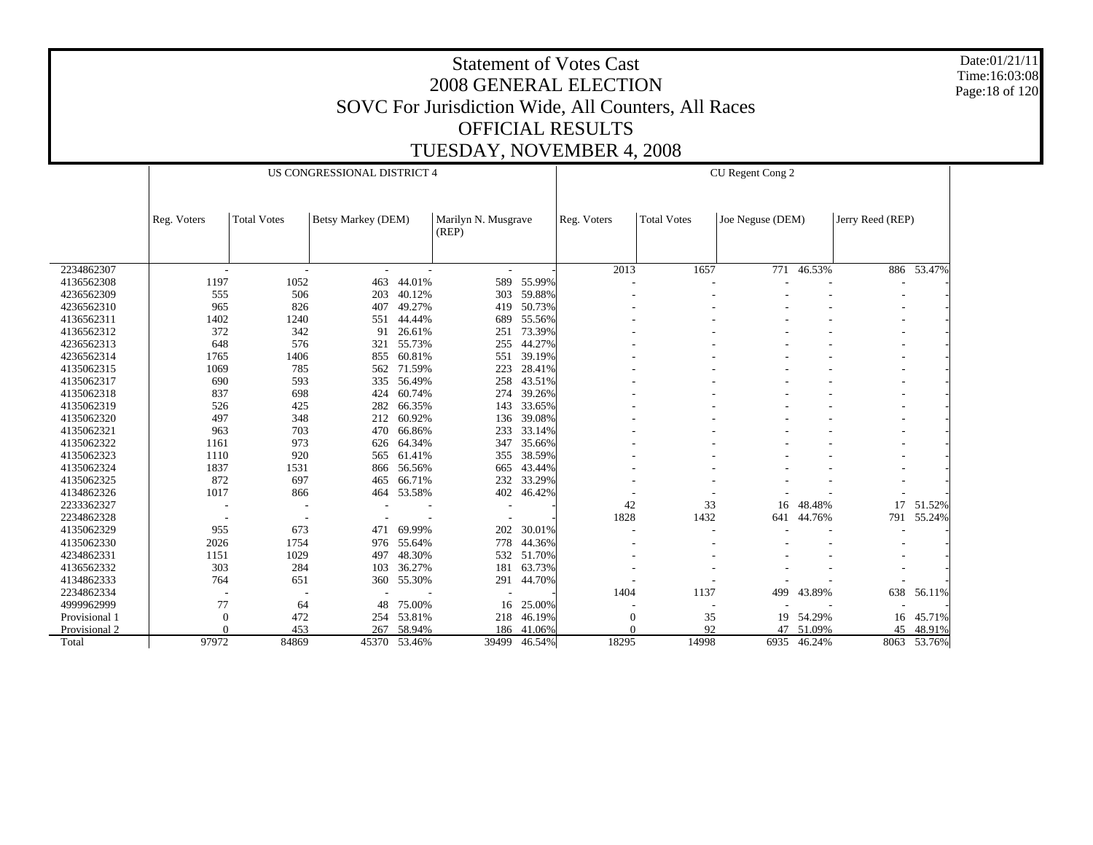Date:01/21/11 Time:16:03:08 Page:18 of 120

|               |              |                    | US CONGRESSIONAL DISTRICT 4 |        |                              |        |             |                    | CU Regent Cong 2 |        |                  |             |
|---------------|--------------|--------------------|-----------------------------|--------|------------------------------|--------|-------------|--------------------|------------------|--------|------------------|-------------|
|               |              |                    |                             |        |                              |        |             |                    |                  |        |                  |             |
|               | Reg. Voters  | <b>Total Votes</b> | Betsy Markey (DEM)          |        | Marilyn N. Musgrave<br>(REP) |        | Reg. Voters | <b>Total Votes</b> | Joe Neguse (DEM) |        | Jerry Reed (REP) |             |
|               |              |                    |                             |        |                              |        |             |                    |                  |        |                  |             |
| 2234862307    | ٠            |                    |                             | ÷,     | $\overline{\phantom{a}}$     |        | 2013        | 1657               | 771              | 46.53% |                  | 886 53.47%  |
| 4136562308    | 1197         | 1052               | 463                         | 44.01% | 589                          | 55.99% |             |                    |                  |        |                  |             |
| 4236562309    | 555          | 506                | 203                         | 40.12% | 303                          | 59.88% |             |                    |                  |        |                  |             |
| 4236562310    | 965          | 826                | 407                         | 49.27% | 419                          | 50.73% |             |                    |                  |        |                  |             |
| 4136562311    | 1402         | 1240               | 551                         | 44.44% | 689                          | 55.56% |             |                    |                  |        |                  |             |
| 4136562312    | 372          | 342                | 91                          | 26.61% | 251                          | 73.39% |             |                    |                  |        |                  |             |
| 4236562313    | 648          | 576                | 321                         | 55.73% | 255                          | 44.27% |             |                    |                  |        |                  |             |
| 4236562314    | 1765         | 1406               | 855                         | 60.81% | 551                          | 39.19% |             |                    |                  |        |                  |             |
| 4135062315    | 1069         | 785                | 562                         | 71.59% | 223                          | 28.41% |             |                    |                  |        |                  |             |
| 4135062317    | 690          | 593                | 335                         | 56.49% | 258                          | 43.51% |             |                    |                  |        |                  |             |
| 4135062318    | 837          | 698                | 424                         | 60.74% | 274                          | 39.26% |             |                    |                  |        |                  |             |
| 4135062319    | 526          | 425                | 282                         | 66.35% | 143                          | 33.65% |             |                    |                  |        |                  |             |
| 4135062320    | 497          | 348                | 212                         | 60.92% | 136                          | 39.08% |             |                    |                  |        |                  |             |
| 4135062321    | 963          | 703                | 470                         | 66.86% | 233                          | 33.14% |             |                    |                  |        |                  |             |
| 4135062322    | 1161         | 973                | 626                         | 64.34% | 347                          | 35.66% |             |                    |                  |        |                  |             |
| 4135062323    | 1110         | 920                | 565                         | 61.41% | 355                          | 38.59% |             |                    |                  |        |                  |             |
| 4135062324    | 1837         | 1531               | 866                         | 56.56% | 665                          | 43.44% |             |                    |                  |        |                  |             |
| 4135062325    | 872          | 697                | 465                         | 66.71% | 232                          | 33.29% |             |                    |                  |        |                  |             |
| 4134862326    | 1017         | 866                | 464                         | 53.58% | 402                          | 46.42% |             |                    |                  |        |                  |             |
| 2233362327    |              |                    |                             |        |                              |        | 42          | 33                 | 16               | 48.48% | 17               | 51.52%      |
| 2234862328    |              |                    |                             |        |                              |        | 1828        | 1432               | 641              | 44.76% | 791              | 55.24%      |
| 4135062329    | 955          | 673                | 471                         | 69.99% | 202                          | 30.01% |             |                    |                  |        |                  |             |
| 4135062330    | 2026         | 1754               | 976                         | 55.64% | 778                          | 44.36% |             |                    |                  |        |                  |             |
| 4234862331    | 1151         | 1029               | 497                         | 48.30% | 532                          | 51.70% |             |                    |                  |        |                  |             |
| 4136562332    | 303          | 284                | 103                         | 36.27% | 181                          | 63.73% |             |                    |                  |        |                  |             |
| 4134862333    | 764          | 651                | 360                         | 55.30% | 291                          | 44.70% |             |                    |                  |        |                  |             |
| 2234862334    |              |                    |                             |        |                              |        | 1404        | 1137               | 499              | 43.89% | 638              | 56.11%      |
| 4999962999    | 77           | 64                 | 48                          | 75.00% | 16                           | 25.00% |             |                    |                  |        |                  |             |
| Provisional 1 | $\mathbf{0}$ | 472                | 254                         | 53.81% | 218                          | 46.19% | $\Omega$    | 35                 | 19               | 54.29% | 16               | 45.71%      |
| Provisional 2 | $\Omega$     | 453                | 267                         | 58.94% | 186                          | 41.06% |             | 92                 | 47               | 51.09% | 45               | 48.91%      |
| Total         | 97972        | 84869              | 45370                       | 53.46% | 39499                        | 46.54% | 18295       | 14998              | 6935             | 46.24% |                  | 8063 53.76% |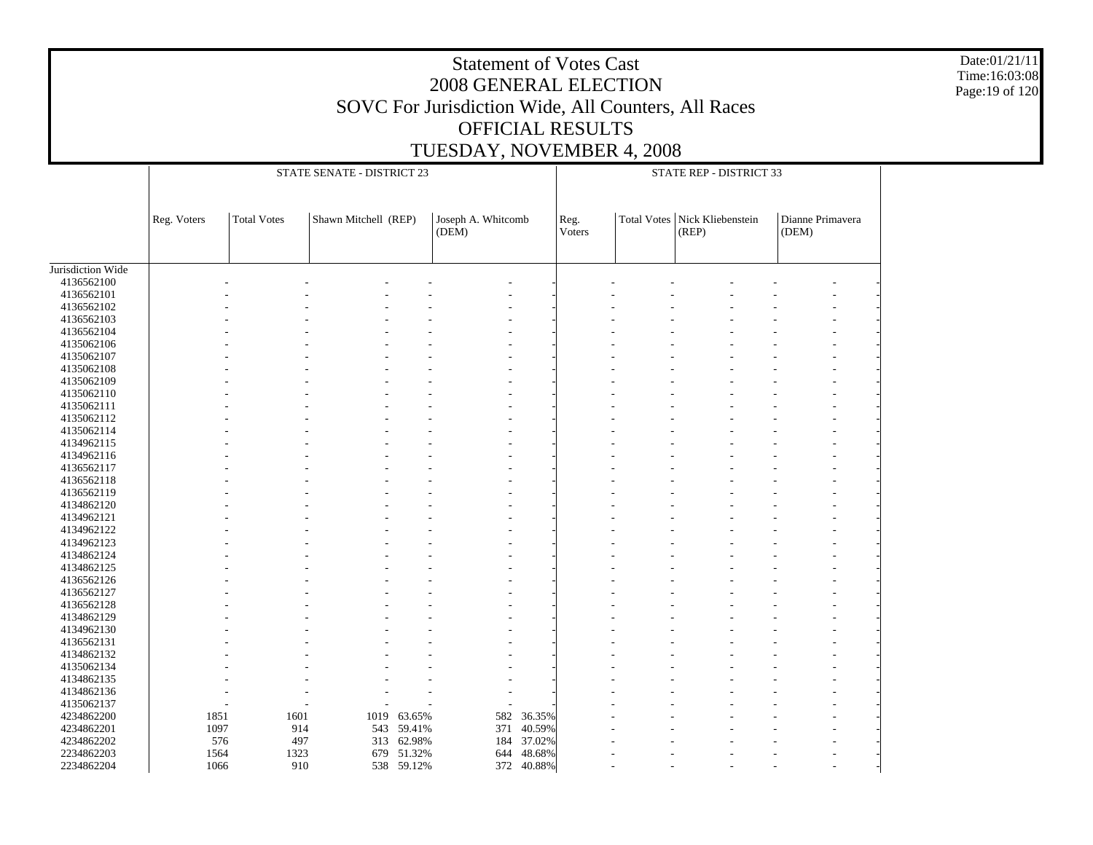Date:01/21/11 Time:16:03:08 Page:19 of 120

|                   |             |                    | STATE SENATE - DISTRICT 23 |            |                    |            |        | STATE REP - DISTRICT 33 |                   |                  |
|-------------------|-------------|--------------------|----------------------------|------------|--------------------|------------|--------|-------------------------|-------------------|------------------|
|                   | Reg. Voters | <b>Total Votes</b> | Shawn Mitchell (REP)       |            | Joseph A. Whitcomb |            | Reg.   | <b>Total Votes</b>      | Nick Kliebenstein | Dianne Primavera |
|                   |             |                    |                            |            | (DEM)              |            | Voters |                         | (REP)             | (DEM)            |
|                   |             |                    |                            |            |                    |            |        |                         |                   |                  |
| Jurisdiction Wide |             |                    |                            |            |                    |            |        |                         |                   |                  |
| 4136562100        |             |                    |                            |            |                    |            |        |                         |                   |                  |
| 4136562101        |             |                    |                            |            |                    |            |        |                         |                   |                  |
| 4136562102        |             |                    |                            |            |                    |            |        |                         |                   |                  |
| 4136562103        |             |                    |                            |            |                    |            |        |                         |                   |                  |
| 4136562104        |             |                    |                            |            |                    |            |        |                         |                   |                  |
| 4135062106        |             |                    |                            |            |                    |            |        |                         |                   |                  |
| 4135062107        |             |                    |                            |            |                    |            |        |                         |                   |                  |
| 4135062108        |             |                    |                            |            |                    |            |        |                         |                   |                  |
| 4135062109        |             |                    |                            |            |                    |            |        |                         |                   |                  |
| 4135062110        |             |                    |                            |            |                    |            |        |                         |                   |                  |
| 4135062111        |             |                    |                            |            |                    |            |        |                         |                   |                  |
| 4135062112        |             |                    |                            |            |                    |            |        |                         |                   |                  |
| 4135062114        |             |                    |                            |            |                    |            |        |                         |                   |                  |
| 4134962115        |             |                    |                            |            |                    |            |        |                         |                   |                  |
| 4134962116        |             |                    |                            |            |                    |            |        |                         |                   |                  |
| 4136562117        |             |                    |                            |            |                    |            |        |                         |                   |                  |
| 4136562118        |             |                    |                            |            |                    |            |        |                         |                   |                  |
| 4136562119        |             |                    |                            |            |                    |            |        |                         |                   |                  |
| 4134862120        |             |                    |                            |            |                    |            |        |                         |                   |                  |
| 4134962121        |             |                    |                            |            |                    |            |        |                         |                   |                  |
| 4134962122        |             |                    |                            |            |                    |            |        |                         |                   |                  |
| 4134962123        |             |                    |                            |            |                    |            |        |                         |                   |                  |
| 4134862124        |             |                    |                            |            |                    |            |        |                         |                   |                  |
| 4134862125        |             |                    |                            |            |                    |            |        |                         |                   |                  |
| 4136562126        |             |                    |                            |            |                    |            |        |                         |                   |                  |
| 4136562127        |             |                    |                            |            |                    |            |        |                         |                   |                  |
| 4136562128        |             |                    |                            |            |                    |            |        |                         |                   |                  |
| 4134862129        |             |                    |                            |            |                    |            |        |                         |                   |                  |
| 4134962130        |             |                    |                            |            |                    |            |        |                         |                   |                  |
| 4136562131        |             |                    |                            |            |                    |            |        |                         |                   |                  |
| 4134862132        |             |                    |                            |            |                    |            |        |                         |                   |                  |
| 4135062134        |             |                    |                            |            |                    |            |        |                         |                   |                  |
| 4134862135        |             |                    |                            |            |                    |            |        |                         |                   |                  |
| 4134862136        |             |                    |                            |            |                    |            |        |                         |                   |                  |
| 4135062137        |             |                    |                            |            |                    |            |        |                         |                   |                  |
| 4234862200        | 1851        | 1601               | 1019                       | 63.65%     | 582                | 36.35%     |        |                         |                   |                  |
| 4234862201        | 1097        |                    | 914<br>543                 | 59.41%     | 371                | 40.59%     |        |                         |                   |                  |
| 4234862202        |             | 576                | 497<br>313                 | 62.98%     | 184                | 37.02%     |        |                         |                   |                  |
| 2234862203        | 1564        | 1323               | 679                        | 51.32%     | 644                | 48.68%     |        |                         |                   |                  |
| 2234862204        | 1066        |                    | 910                        | 538 59.12% |                    | 372 40.88% |        |                         |                   |                  |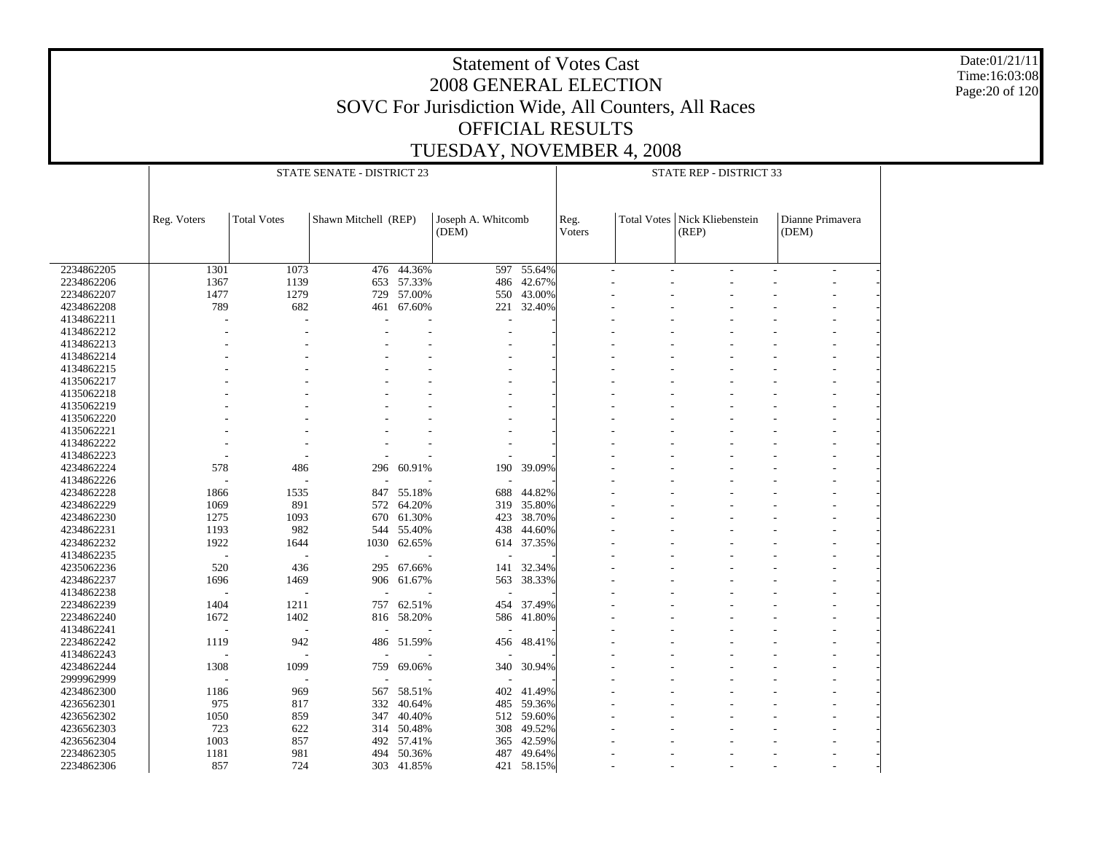Date:01/21/11 Time:16:03:08 Page:20 of 120

|            |             |                    | STATE SENATE - DISTRICT 23 |            |                             |            |                | STATE REP - DISTRICT 33 |                            |                           |
|------------|-------------|--------------------|----------------------------|------------|-----------------------------|------------|----------------|-------------------------|----------------------------|---------------------------|
|            | Reg. Voters | <b>Total Votes</b> | Shawn Mitchell (REP)       |            | Joseph A. Whitcomb<br>(DEM) |            | Reg.<br>Voters | <b>Total Votes</b>      | Nick Kliebenstein<br>(REP) | Dianne Primavera<br>(DEM) |
| 2234862205 | 1301        | 1073               | 476                        | 44.36%     | 597                         | 55.64%     |                |                         |                            | $\overline{\phantom{a}}$  |
| 2234862206 | 1367        | 1139               | 653                        | 57.33%     | 486                         | 42.67%     |                |                         |                            |                           |
|            | 1477        | 1279               |                            |            |                             | 43.00%     |                |                         |                            |                           |
| 2234862207 | 789         |                    | 729                        | 57.00%     | 550                         |            |                |                         |                            |                           |
| 4234862208 |             | 682                | 461                        | 67.60%     | 221                         | 32.40%     |                |                         |                            |                           |
| 4134862211 |             |                    |                            |            |                             |            |                |                         |                            |                           |
| 4134862212 |             |                    |                            |            |                             |            |                |                         |                            |                           |
| 4134862213 |             |                    |                            |            |                             |            |                |                         |                            |                           |
| 4134862214 |             |                    |                            |            |                             |            |                |                         |                            |                           |
| 4134862215 |             |                    |                            |            |                             |            |                |                         |                            |                           |
| 4135062217 |             |                    |                            |            |                             |            |                |                         |                            |                           |
| 4135062218 |             |                    |                            |            |                             |            |                |                         |                            |                           |
| 4135062219 |             |                    |                            |            |                             |            |                |                         |                            |                           |
| 4135062220 |             |                    |                            |            |                             |            |                |                         |                            |                           |
| 4135062221 |             |                    |                            |            |                             |            |                |                         |                            |                           |
| 4134862222 |             |                    |                            |            |                             |            |                |                         |                            |                           |
| 4134862223 |             |                    |                            |            |                             |            |                |                         |                            |                           |
| 4234862224 | 578         | 486                | 296                        | 60.91%     | 190                         | 39.09%     |                |                         |                            | $\overline{a}$            |
| 4134862226 |             |                    |                            |            |                             |            |                |                         |                            |                           |
| 4234862228 | 1866        | 1535               | 847                        | 55.18%     | 688                         | 44.82%     |                |                         |                            |                           |
| 4234862229 | 1069        | 891                | 572                        | 64.20%     | 319                         | 35.80%     |                |                         |                            |                           |
| 4234862230 | 1275        | 1093               | 670                        | 61.30%     |                             | 423 38.70% |                |                         |                            |                           |
| 4234862231 | 1193        | 982                | 544                        | 55.40%     | 438                         | 44.60%     |                |                         |                            |                           |
| 4234862232 | 1922        | 1644               | 1030                       | 62.65%     |                             | 614 37.35% |                |                         |                            |                           |
| 4134862235 | J.          |                    |                            |            |                             |            |                |                         |                            |                           |
|            |             |                    |                            |            |                             |            |                |                         |                            |                           |
| 4235062236 | 520         | 436                | 295                        | 67.66%     | 141                         | 32.34%     |                |                         |                            |                           |
| 4234862237 | 1696        | 1469               | 906                        | 61.67%     | 563                         | 38.33%     |                |                         |                            |                           |
| 4134862238 |             |                    |                            |            |                             |            |                |                         |                            |                           |
| 2234862239 | 1404        | 1211               | 757                        | 62.51%     | 454                         | 37.49%     |                |                         |                            |                           |
| 2234862240 | 1672        | 1402               | 816                        | 58.20%     | 586                         | 41.80%     |                |                         |                            |                           |
| 4134862241 |             |                    |                            |            |                             |            |                |                         |                            |                           |
| 2234862242 | 1119        | 942                | 486                        | 51.59%     | 456                         | 48.41%     |                |                         |                            |                           |
| 4134862243 |             |                    |                            |            |                             |            |                |                         |                            |                           |
| 4234862244 | 1308        | 1099               | 759                        | 69.06%     | 340                         | 30.94%     |                |                         |                            |                           |
| 2999962999 |             |                    |                            |            |                             |            |                |                         |                            |                           |
| 4234862300 | 1186        | 969                | 567                        | 58.51%     | 402                         | 41.49%     |                |                         |                            |                           |
| 4236562301 | 975         | 817                | 332                        | 40.64%     | 485                         | 59.36%     |                |                         |                            |                           |
| 4236562302 | 1050        | 859                | 347                        | 40.40%     |                             | 512 59.60% |                |                         |                            |                           |
| 4236562303 | 723         | 622                |                            | 314 50.48% | 308                         | 49.52%     |                |                         |                            |                           |
| 4236562304 | 1003        | 857                |                            | 492 57.41% | 365                         | 42.59%     |                |                         |                            |                           |
| 2234862305 | 1181        | 981                | 494                        | 50.36%     | 487                         | 49.64%     |                |                         |                            |                           |
| 2234862306 | 857         | 724                |                            | 303 41.85% | 421                         | 58.15%     |                |                         |                            |                           |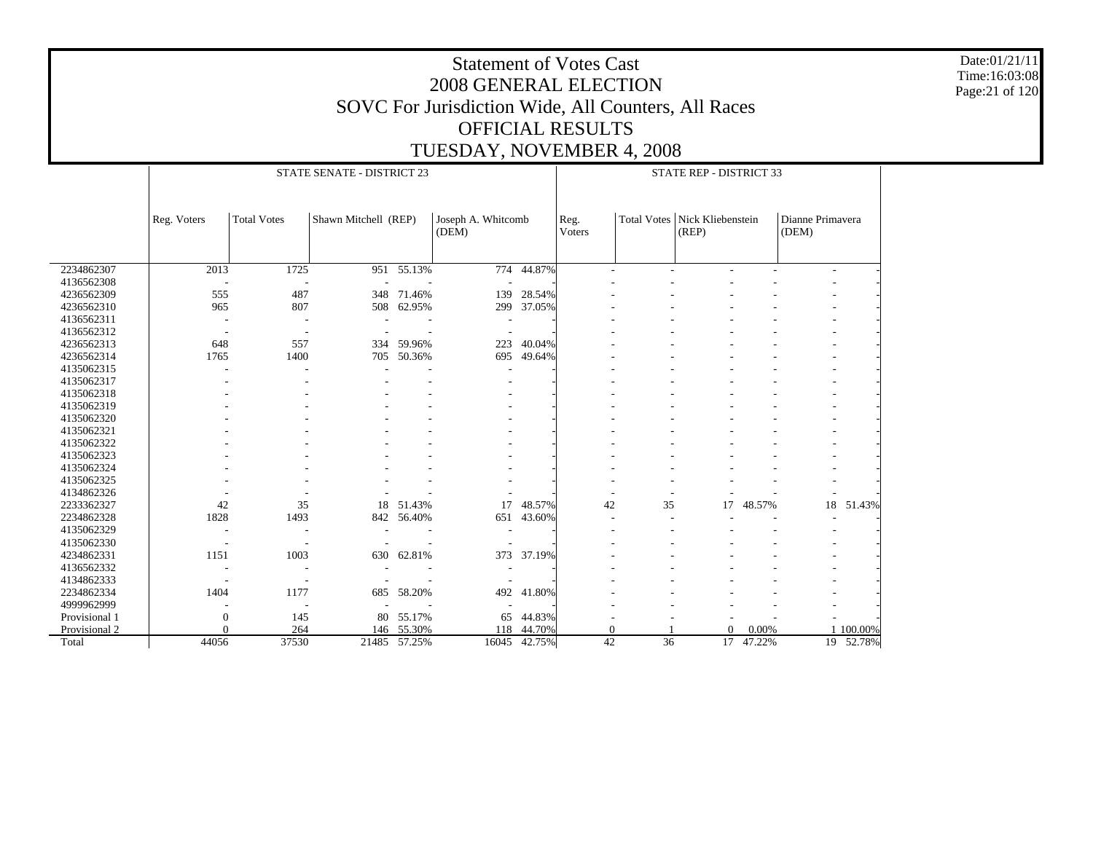Date:01/21/11 Time:16:03:08 Page:21 of 120

|               |                          |                    | STATE SENATE - DISTRICT 23 |              |                             |              |                |    | STATE REP - DISTRICT 33                  |        |                           |           |
|---------------|--------------------------|--------------------|----------------------------|--------------|-----------------------------|--------------|----------------|----|------------------------------------------|--------|---------------------------|-----------|
|               | Reg. Voters              | <b>Total Votes</b> | Shawn Mitchell (REP)       |              | Joseph A. Whitcomb<br>(DEM) |              | Reg.<br>Voters |    | Total Votes   Nick Kliebenstein<br>(REP) |        | Dianne Primavera<br>(DEM) |           |
|               |                          |                    |                            |              |                             |              |                |    |                                          |        |                           |           |
| 2234862307    | 2013                     | 1725               |                            | 951 55.13%   | 774                         | 44.87%       |                |    |                                          |        | ۰                         |           |
| 4136562308    | $\overline{\phantom{a}}$ |                    |                            |              | $\overline{\phantom{a}}$    |              |                |    |                                          |        |                           |           |
| 4236562309    | 555                      | 487                | 348                        | 71.46%       | 139                         | 28.54%       |                |    |                                          |        |                           |           |
| 4236562310    | 965                      | 807                | 508                        | 62.95%       | 299                         | 37.05%       |                |    |                                          |        |                           |           |
| 4136562311    |                          |                    |                            |              |                             |              |                |    |                                          |        |                           |           |
| 4136562312    |                          |                    |                            |              |                             |              |                |    |                                          |        |                           |           |
| 4236562313    | 648                      | 557                |                            | 334 59.96%   | 223                         | 40.04%       |                |    |                                          |        |                           |           |
| 4236562314    | 1765                     | 1400               | 705                        | 50.36%       | 695                         | 49.64%       |                |    |                                          |        |                           |           |
| 4135062315    | Ĭ.                       |                    |                            |              |                             |              |                |    |                                          |        |                           |           |
| 4135062317    |                          |                    |                            |              |                             |              |                |    |                                          |        |                           |           |
| 4135062318    |                          |                    |                            |              |                             |              |                |    |                                          |        |                           |           |
| 4135062319    |                          |                    |                            |              |                             |              |                |    |                                          |        |                           |           |
| 4135062320    |                          |                    |                            |              |                             |              |                |    |                                          |        |                           |           |
| 4135062321    |                          |                    |                            |              |                             |              |                |    |                                          |        |                           |           |
| 4135062322    |                          |                    |                            |              |                             |              |                |    |                                          |        |                           |           |
| 4135062323    |                          |                    |                            |              |                             |              |                |    |                                          |        |                           |           |
| 4135062324    |                          |                    |                            |              |                             |              |                |    |                                          |        |                           |           |
| 4135062325    |                          |                    |                            |              |                             |              |                |    |                                          |        |                           |           |
| 4134862326    |                          |                    |                            |              |                             |              |                |    |                                          |        |                           |           |
| 2233362327    | 42                       | 35                 | 18                         | 51.43%       | 17                          | 48.57%       | 42             | 35 | 17                                       | 48.57% | 18                        | 51.43%    |
| 2234862328    | 1828                     | 1493               |                            | 842 56.40%   | 651                         | 43.60%       |                | ۰. |                                          |        |                           |           |
| 4135062329    | $\overline{\phantom{a}}$ | $\overline{a}$     |                            |              | $\overline{\phantom{a}}$    |              |                | ٠  |                                          |        |                           |           |
| 4135062330    | $\overline{\phantom{a}}$ |                    |                            |              |                             |              |                |    |                                          |        |                           |           |
| 4234862331    | 1151                     | 1003               |                            | 630 62.81%   | 373                         | 37.19%       |                |    |                                          |        |                           |           |
| 4136562332    |                          |                    |                            |              |                             |              |                |    |                                          |        |                           |           |
| 4134862333    |                          |                    |                            |              |                             |              |                |    |                                          |        |                           |           |
| 2234862334    | 1404                     | 1177               | 685                        | 58.20%       | 492                         | 41.80%       |                |    |                                          |        |                           |           |
| 4999962999    |                          |                    |                            |              |                             |              |                |    |                                          |        |                           |           |
| Provisional 1 | $\mathbf{0}$             | 145                | 80                         | 55.17%       | 65                          | 44.83%       |                |    |                                          |        |                           |           |
| Provisional 2 | $\Omega$                 | 264                |                            | 146 55.30%   | 118                         | 44.70%       | $\overline{0}$ |    | $\mathbf{0}$                             | 0.00%  |                           | 1 100.00% |
| Total         | 44056                    | 37530              |                            | 21485 57.25% |                             | 16045 42.75% | 42             | 36 | 17                                       | 47.22% |                           | 19 52.78% |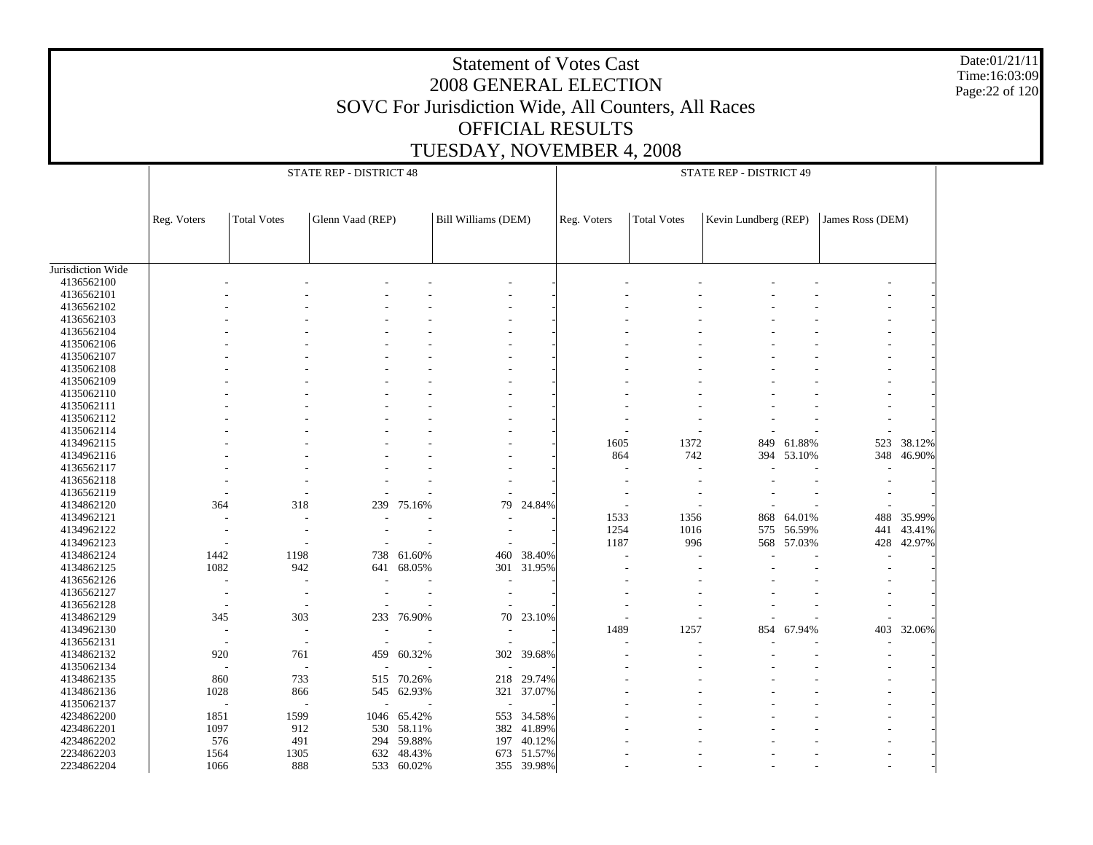Date:01/21/11 Time:16:03:09 Page:22 of 120

|                   |                          |                               | STATE REP - DISTRICT 48  |                          |                          |            |             |                    | STATE REP - DISTRICT 49 |            |                  |            |
|-------------------|--------------------------|-------------------------------|--------------------------|--------------------------|--------------------------|------------|-------------|--------------------|-------------------------|------------|------------------|------------|
|                   |                          |                               |                          |                          |                          |            |             |                    |                         |            |                  |            |
|                   | Reg. Voters              | <b>Total Votes</b>            | Glenn Vaad (REP)         |                          | Bill Williams (DEM)      |            | Reg. Voters | <b>Total Votes</b> | Kevin Lundberg (REP)    |            | James Ross (DEM) |            |
|                   |                          |                               |                          |                          |                          |            |             |                    |                         |            |                  |            |
| Jurisdiction Wide |                          |                               |                          |                          |                          |            |             |                    |                         |            |                  |            |
| 4136562100        |                          |                               |                          |                          |                          |            |             |                    |                         |            |                  |            |
| 4136562101        |                          |                               |                          |                          |                          |            |             |                    |                         |            |                  |            |
| 4136562102        |                          |                               |                          |                          |                          |            |             |                    |                         |            |                  |            |
| 4136562103        |                          |                               |                          |                          |                          |            |             |                    |                         |            |                  |            |
| 4136562104        |                          |                               |                          |                          |                          |            |             |                    |                         |            |                  |            |
| 4135062106        |                          |                               |                          |                          |                          |            |             |                    |                         |            |                  |            |
| 4135062107        |                          |                               |                          |                          |                          |            |             |                    |                         |            |                  |            |
| 4135062108        |                          |                               |                          |                          |                          |            |             |                    |                         |            |                  |            |
| 4135062109        |                          |                               |                          |                          |                          |            |             |                    |                         |            |                  |            |
| 4135062110        |                          |                               |                          |                          |                          |            |             |                    |                         |            |                  |            |
| 4135062111        |                          |                               |                          |                          |                          |            |             |                    |                         |            |                  |            |
| 4135062112        |                          |                               |                          |                          |                          |            |             |                    |                         |            |                  |            |
| 4135062114        |                          |                               |                          |                          |                          |            |             |                    |                         |            |                  |            |
| 4134962115        |                          |                               |                          |                          |                          |            | 1605        | 1372               |                         | 849 61.88% | 523              | 38.12%     |
| 4134962116        |                          |                               |                          |                          |                          |            | 864         | 742                |                         | 394 53.10% | 348              | 46.90%     |
| 4136562117        |                          |                               |                          |                          |                          |            |             | $\overline{a}$     |                         |            |                  |            |
| 4136562118        |                          |                               |                          |                          |                          |            |             |                    |                         |            |                  |            |
| 4136562119        |                          |                               |                          |                          |                          |            |             |                    |                         |            |                  |            |
| 4134862120        | 364                      | 318                           | 239                      | 75.16%                   | 79                       | 24.84%     |             |                    |                         |            |                  |            |
| 4134962121        |                          |                               |                          |                          |                          |            | 1533        | 1356               | 868                     | 64.01%     | 488              | 35.99%     |
| 4134962122        |                          |                               |                          |                          |                          |            | 1254        | 1016               |                         | 575 56.59% | 441              | 43.41%     |
| 4134962123        |                          |                               |                          |                          |                          |            | 1187        | 996                |                         | 568 57.03% |                  | 428 42.97% |
| 4134862124        | 1442                     | 1198                          |                          | 738 61.60%               | 460                      | 38.40%     | ÷,          |                    |                         |            |                  |            |
| 4134862125        | 1082                     | 942                           |                          | 641 68.05%               |                          | 301 31.95% |             |                    |                         |            |                  |            |
| 4136562126        |                          | ٠<br>$\overline{\phantom{a}}$ |                          |                          | $\overline{\phantom{a}}$ |            |             |                    |                         |            |                  |            |
| 4136562127        | $\overline{\phantom{a}}$ |                               |                          |                          |                          |            |             |                    |                         |            |                  |            |
| 4136562128        | $\overline{\phantom{a}}$ | $\overline{\phantom{a}}$      |                          |                          | $\overline{\phantom{a}}$ |            |             |                    |                         |            |                  |            |
| 4134862129        | 345                      | 303                           |                          | 233 76.90%               | 70                       | 23.10%     |             |                    |                         |            |                  |            |
| 4134962130        | $\sim$                   | $\overline{\phantom{a}}$      | $\overline{\phantom{a}}$ | $\overline{\phantom{a}}$ | $\overline{\phantom{a}}$ |            | 1489        | 1257               |                         | 854 67.94% | 403              | 32.06%     |
| 4136562131        | $\overline{\phantom{a}}$ | $\overline{\phantom{a}}$      |                          |                          |                          |            |             |                    |                         |            |                  |            |
| 4134862132        | 920                      | 761                           |                          | 459 60.32%               |                          | 302 39.68% |             |                    |                         |            |                  |            |
| 4135062134        | $\overline{\phantom{a}}$ | $\overline{a}$                | $\overline{\phantom{a}}$ |                          | $\sim$                   |            |             |                    |                         |            |                  |            |
| 4134862135        | 860                      | 733                           |                          | 515 70.26%               |                          | 218 29.74% |             |                    |                         |            |                  |            |
| 4134862136        | 1028                     | 866                           |                          | 545 62.93%               |                          | 321 37.07% |             |                    |                         |            |                  |            |
| 4135062137        |                          |                               | $\overline{\phantom{a}}$ |                          | $\sim$                   |            |             |                    |                         |            |                  |            |
| 4234862200        | 1851                     | 1599                          |                          | 1046 65.42%              |                          | 553 34.58% |             |                    |                         |            |                  |            |
| 4234862201        | 1097                     | 912                           | 530                      | 58.11%                   |                          | 382 41.89% |             |                    |                         |            |                  |            |
| 4234862202        | 576                      | 491                           | 294                      | 59.88%                   |                          | 197 40.12% |             |                    |                         |            |                  |            |
| 2234862203        | 1564                     | 1305                          | 632                      | 48.43%                   |                          | 673 51.57% |             |                    |                         |            |                  |            |
|                   |                          |                               |                          |                          |                          |            |             |                    |                         |            |                  |            |
| 2234862204        | 1066                     | 888                           |                          | 533 60.02%               |                          | 355 39.98% |             |                    |                         |            |                  |            |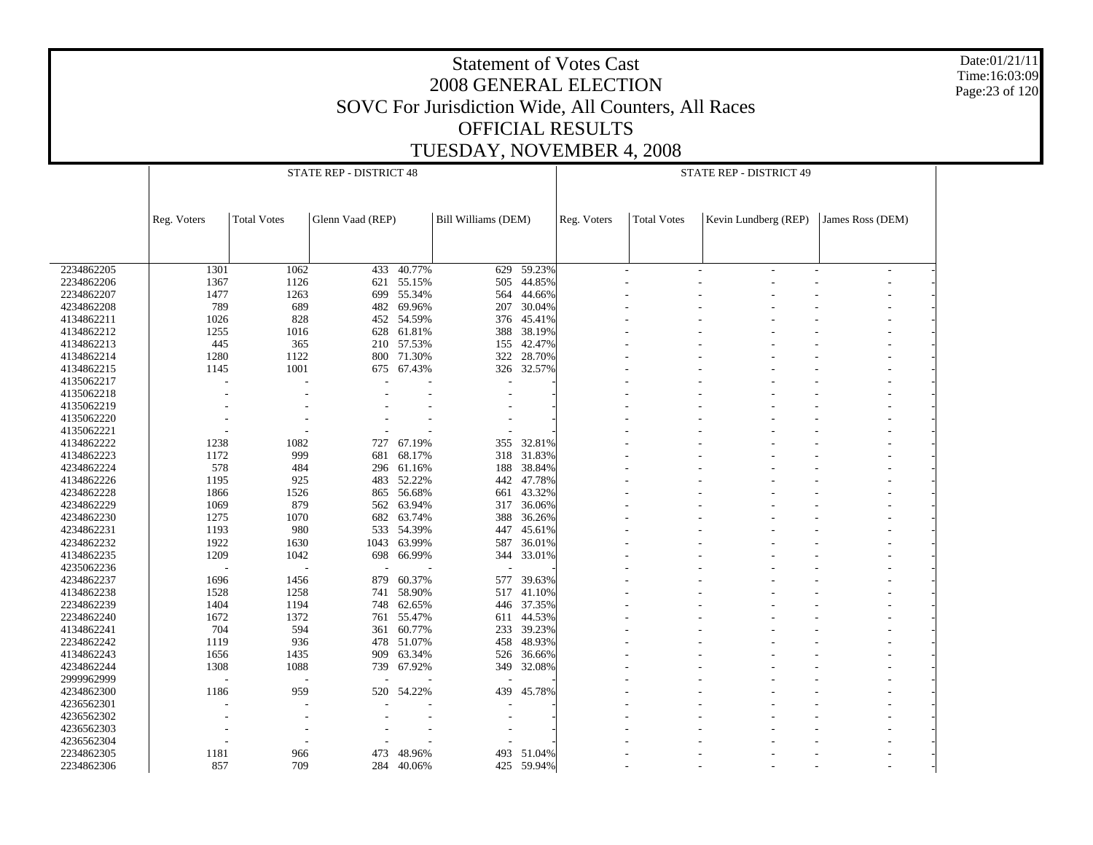Date:01/21/11 Time:16:03:09 Page:23 of 120

|            |             |                    | STATE REP - DISTRICT 48 |            |                     |            |             |                    | STATE REP - DISTRICT 49 |                  |  |
|------------|-------------|--------------------|-------------------------|------------|---------------------|------------|-------------|--------------------|-------------------------|------------------|--|
|            |             |                    |                         |            |                     |            |             |                    |                         |                  |  |
|            |             |                    |                         |            |                     |            |             |                    |                         |                  |  |
|            | Reg. Voters | <b>Total Votes</b> | Glenn Vaad (REP)        |            | Bill Williams (DEM) |            | Reg. Voters | <b>Total Votes</b> | Kevin Lundberg (REP)    | James Ross (DEM) |  |
|            |             |                    |                         |            |                     |            |             |                    |                         |                  |  |
|            |             |                    |                         |            |                     |            |             |                    |                         |                  |  |
|            |             |                    |                         |            |                     |            |             |                    |                         |                  |  |
| 2234862205 | 1301        | 1062               | 433                     | 40.77%     | 629                 | 59.23%     |             |                    |                         | ٠                |  |
| 2234862206 | 1367        | 1126               |                         | 621 55.15% | 505                 | 44.85%     |             |                    |                         |                  |  |
| 2234862207 | 1477        | 1263               | 699                     | 55.34%     | 564                 | 44.66%     |             |                    |                         |                  |  |
| 4234862208 | 789         | 689                | 482                     | 69.96%     | 207                 | 30.04%     |             |                    |                         |                  |  |
| 4134862211 | 1026        | 828                |                         | 452 54.59% |                     | 376 45.41% |             |                    |                         |                  |  |
| 4134862212 | 1255        | 1016               | 628                     | 61.81%     | 388                 | 38.19%     |             |                    |                         |                  |  |
| 4134862213 | 445         | 365                | 210                     | 57.53%     | 155                 | 42.47%     |             |                    |                         |                  |  |
| 4134862214 | 1280        | 1122               | 800                     | 71.30%     | 322                 | 28.70%     |             |                    |                         |                  |  |
| 4134862215 | 1145        | 1001               | 675                     | 67.43%     |                     | 326 32.57% |             |                    |                         |                  |  |
| 4135062217 |             |                    |                         |            |                     |            |             |                    |                         |                  |  |
| 4135062218 |             |                    |                         |            |                     |            |             |                    |                         |                  |  |
| 4135062219 |             |                    |                         |            |                     |            |             |                    |                         |                  |  |
| 4135062220 |             |                    |                         |            |                     |            |             |                    |                         |                  |  |
| 4135062221 |             |                    |                         |            |                     |            |             |                    |                         |                  |  |
| 4134862222 | 1238        | 1082               | 727                     | 67.19%     | 355                 | 32.81%     |             |                    |                         |                  |  |
| 4134862223 | 1172        | 999                | 681                     | 68.17%     | 318                 | 31.83%     |             |                    |                         |                  |  |
| 4234862224 | 578         | 484                | 296                     | 61.16%     |                     | 188 38.84% |             |                    |                         |                  |  |
| 4134862226 | 1195        | 925                | 483                     | 52.22%     | 442                 | 47.78%     |             |                    |                         |                  |  |
| 4234862228 | 1866        | 1526               |                         | 865 56.68% | 661                 | 43.32%     |             |                    |                         |                  |  |
| 4234862229 | 1069        | 879                | 562                     | 63.94%     | 317                 | 36.06%     |             |                    |                         |                  |  |
| 4234862230 | 1275        | 1070               | 682                     | 63.74%     | 388                 | 36.26%     |             |                    |                         |                  |  |
| 4234862231 | 1193        | 980                | 533                     | 54.39%     | 447                 | 45.61%     |             |                    |                         |                  |  |
| 4234862232 | 1922        | 1630               | 1043                    | 63.99%     | 587                 | 36.01%     |             |                    |                         |                  |  |
| 4134862235 | 1209        | 1042               | 698                     | 66.99%     |                     | 344 33.01% |             |                    |                         |                  |  |
| 4235062236 |             |                    |                         |            |                     |            |             |                    |                         |                  |  |
| 4234862237 | 1696        | 1456               | 879                     | 60.37%     | 577                 | 39.63%     |             |                    |                         |                  |  |
| 4134862238 | 1528        | 1258               | 741                     | 58.90%     | 517                 | 41.10%     |             |                    |                         |                  |  |
| 2234862239 | 1404        | 1194               |                         | 748 62.65% |                     | 446 37.35% |             |                    |                         |                  |  |
| 2234862240 | 1672        | 1372               | 761                     | 55.47%     | 611                 | 44.53%     |             |                    |                         |                  |  |
| 4134862241 | 704         | 594                |                         | 361 60.77% | 233                 | 39.23%     |             |                    |                         |                  |  |
| 2234862242 | 1119        | 936                | 478                     | 51.07%     | 458                 | 48.93%     |             |                    |                         |                  |  |
| 4134862243 | 1656        | 1435               | 909                     | 63.34%     | 526                 | 36.66%     |             |                    |                         |                  |  |
| 4234862244 | 1308        | 1088               | 739                     | 67.92%     | 349                 | 32.08%     |             |                    |                         |                  |  |
| 2999962999 |             |                    |                         |            |                     |            |             |                    |                         |                  |  |
| 4234862300 | 1186        | 959                | 520                     | 54.22%     | 439                 | 45.78%     |             |                    |                         |                  |  |
| 4236562301 |             |                    |                         |            |                     |            |             |                    |                         |                  |  |
| 4236562302 |             |                    |                         |            |                     |            |             |                    |                         |                  |  |
| 4236562303 |             |                    |                         |            |                     |            |             |                    |                         |                  |  |
| 4236562304 |             |                    |                         |            |                     |            |             |                    |                         |                  |  |
| 2234862305 | 1181        | 966                | 473                     | 48.96%     | 493                 | 51.04%     |             |                    |                         |                  |  |
| 2234862306 | 857         | 709                | 284                     | 40.06%     |                     | 425 59.94% |             |                    |                         |                  |  |
|            |             |                    |                         |            |                     |            |             |                    |                         |                  |  |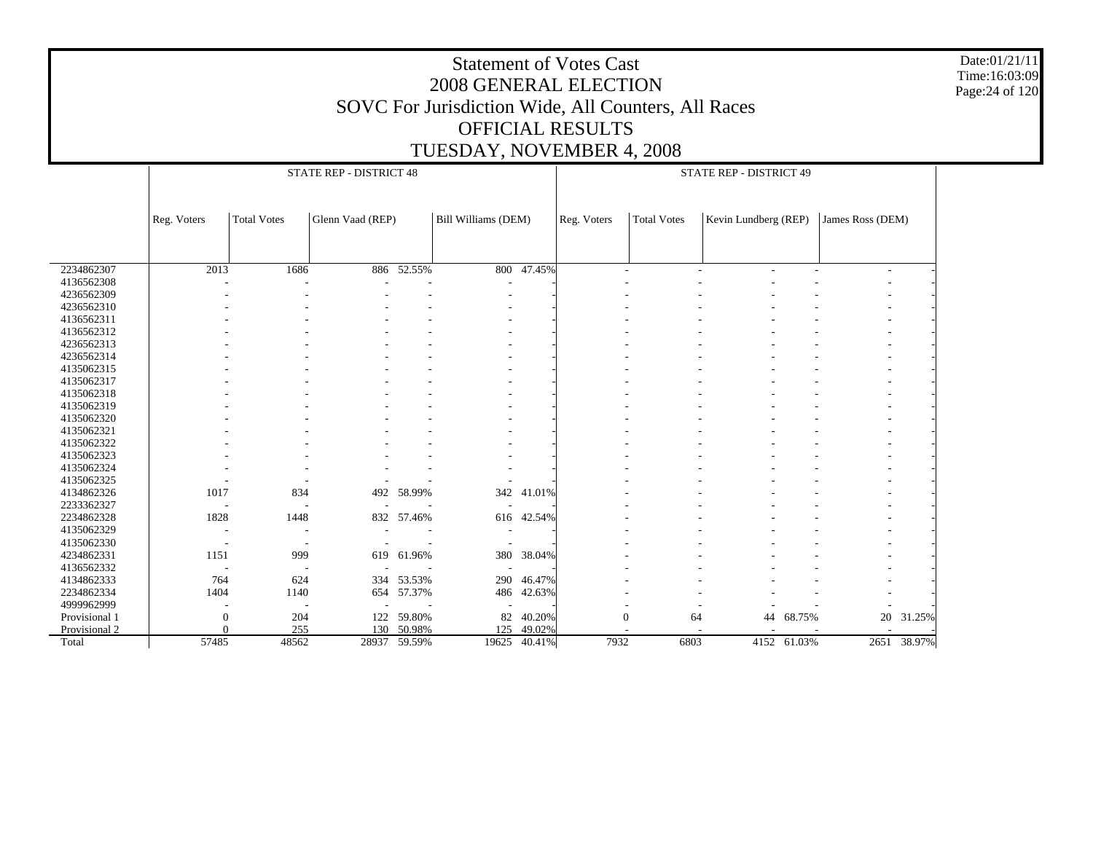Date:01/21/11 Time:16:03:09 Page:24 of 120

|               |                          |                          | STATE REP - DISTRICT 48 |            |                          |            |             |                    | STATE REP - DISTRICT 49 |             |                          |             |
|---------------|--------------------------|--------------------------|-------------------------|------------|--------------------------|------------|-------------|--------------------|-------------------------|-------------|--------------------------|-------------|
|               |                          |                          |                         |            |                          |            |             |                    |                         |             |                          |             |
|               | Reg. Voters              | <b>Total Votes</b>       | Glenn Vaad (REP)        |            | Bill Williams (DEM)      |            | Reg. Voters | <b>Total Votes</b> | Kevin Lundberg (REP)    |             | James Ross (DEM)         |             |
|               |                          |                          |                         |            |                          |            |             |                    |                         |             |                          |             |
|               |                          |                          |                         |            |                          |            |             |                    |                         |             |                          |             |
| 2234862307    | 2013                     | 1686                     |                         | 886 52.55% | 800                      | $-47.45%$  |             |                    | ٠                       |             | $\overline{\phantom{0}}$ |             |
| 4136562308    |                          |                          |                         |            | ٠                        |            |             |                    |                         |             |                          |             |
| 4236562309    |                          |                          |                         |            |                          |            |             |                    |                         |             |                          |             |
| 4236562310    |                          |                          |                         |            |                          |            |             |                    |                         |             |                          |             |
| 4136562311    |                          |                          |                         |            |                          |            |             |                    |                         |             |                          |             |
| 4136562312    |                          |                          |                         |            |                          |            |             |                    |                         |             |                          |             |
| 4236562313    |                          |                          |                         |            |                          |            |             |                    |                         |             |                          |             |
| 4236562314    |                          |                          |                         |            |                          |            |             |                    |                         |             |                          |             |
| 4135062315    |                          |                          |                         |            |                          |            |             |                    |                         |             |                          |             |
| 4135062317    |                          |                          |                         |            |                          |            |             |                    |                         |             |                          |             |
| 4135062318    |                          |                          |                         |            |                          |            |             |                    |                         |             |                          |             |
| 4135062319    |                          |                          |                         |            |                          |            |             |                    |                         |             |                          |             |
| 4135062320    |                          |                          |                         |            |                          |            |             |                    |                         |             |                          |             |
| 4135062321    |                          |                          |                         |            |                          |            |             |                    |                         |             |                          |             |
| 4135062322    |                          |                          |                         |            |                          |            |             |                    |                         |             |                          |             |
| 4135062323    |                          |                          |                         |            |                          |            |             |                    |                         |             |                          |             |
| 4135062324    |                          |                          |                         |            |                          |            |             |                    |                         |             |                          |             |
| 4135062325    |                          |                          |                         |            |                          |            |             |                    |                         |             |                          |             |
| 4134862326    | 1017                     | 834                      | 492                     | 58.99%     |                          | 342 41.01% |             |                    |                         |             |                          |             |
| 2233362327    |                          |                          |                         |            |                          |            |             |                    |                         |             |                          |             |
| 2234862328    | 1828                     | 1448                     |                         | 832 57.46% | 616                      | 42.54%     |             |                    |                         |             |                          |             |
| 4135062329    | <b>.</b>                 |                          |                         |            |                          |            |             |                    |                         |             |                          |             |
| 4135062330    | $\overline{\phantom{a}}$ | $\overline{\phantom{a}}$ |                         |            | $\overline{\phantom{a}}$ |            |             |                    |                         |             |                          |             |
| 4234862331    | 1151                     | 999                      |                         | 619 61.96% | 380                      | 38.04%     |             |                    |                         |             |                          |             |
| 4136562332    |                          |                          |                         |            | $\overline{\phantom{a}}$ |            |             |                    |                         |             |                          |             |
| 4134862333    | 764                      | 624                      |                         | 334 53.53% | 290                      | 46.47%     |             |                    |                         |             |                          |             |
| 2234862334    | 1404                     | 1140                     |                         | 654 57.37% | 486                      | 42.63%     |             |                    |                         |             |                          |             |
| 4999962999    |                          |                          |                         |            |                          |            |             |                    |                         |             |                          |             |
| Provisional 1 | $\boldsymbol{0}$         | 204                      | 122                     | 59.80%     | 82                       | 40.20%     |             | $\mathbf{0}$<br>64 | 44                      | 68.75%      | 20                       | 31.25%      |
| Provisional 2 | $\Omega$                 | 255                      | 130                     | 50.98%     | 125                      | 49.02%     |             |                    |                         |             |                          |             |
| Total         | 57485                    | 48562                    | 28937                   | 59.59%     | 19625                    | 40.41%     | 7932        | 6803               |                         | 4152 61.03% |                          | 2651 38.97% |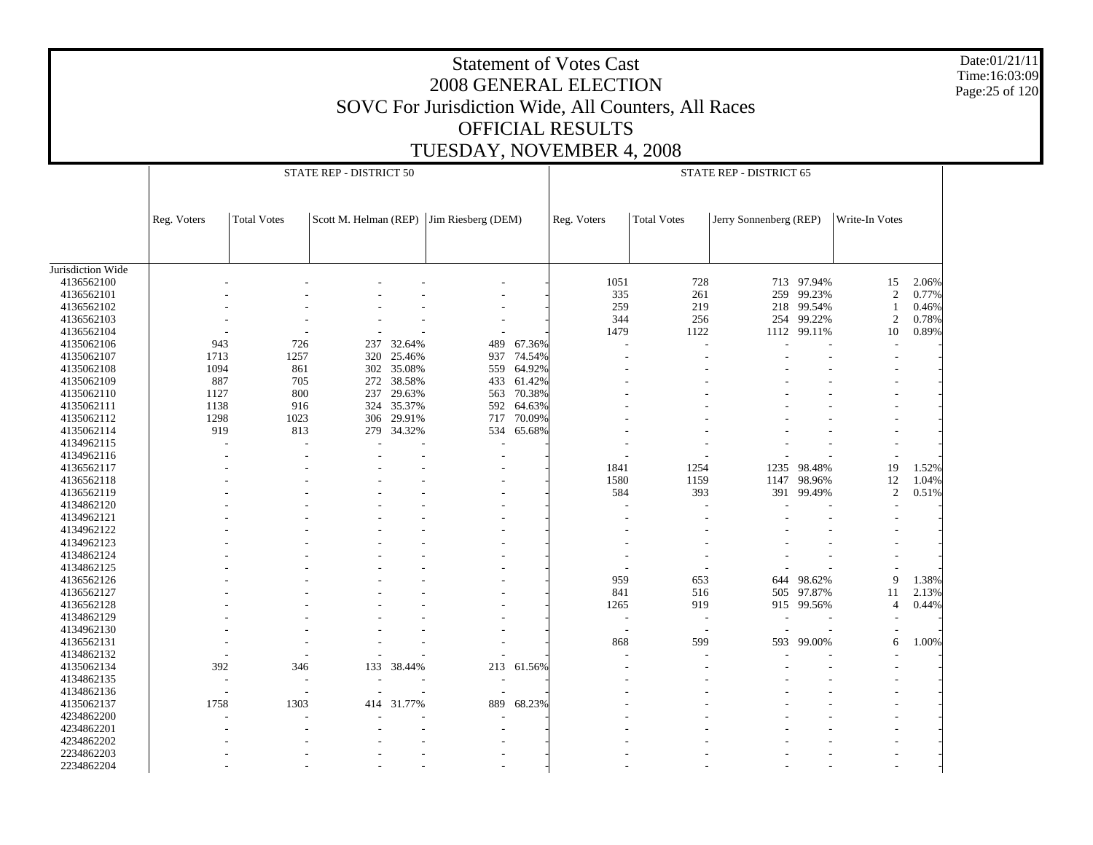Date:01/21/11 Time:16:03:09 Page:25 of 120

|                   |             |                    | STATE REP - DISTRICT 50 |            |                          |        |             |                          | STATE REP - DISTRICT 65 |            |                |       |
|-------------------|-------------|--------------------|-------------------------|------------|--------------------------|--------|-------------|--------------------------|-------------------------|------------|----------------|-------|
|                   | Reg. Voters | <b>Total Votes</b> | Scott M. Helman (REP)   |            | Jim Riesberg (DEM)       |        | Reg. Voters | <b>Total Votes</b>       | Jerry Sonnenberg (REP)  |            | Write-In Votes |       |
|                   |             |                    |                         |            |                          |        |             |                          |                         |            |                |       |
| Jurisdiction Wide |             |                    |                         |            |                          |        |             |                          |                         |            |                |       |
| 4136562100        |             |                    |                         |            |                          |        | 1051        | 728                      |                         | 713 97.94% | 15             | 2.06% |
| 4136562101        |             |                    |                         |            |                          |        | 335         | 261                      | 259                     | 99.23%     | $\sqrt{2}$     | 0.77% |
| 4136562102        |             |                    |                         |            |                          |        | 259         | 219                      | 218                     | 99.54%     | $\mathbf{1}$   | 0.46% |
| 4136562103        |             |                    |                         |            |                          |        | 344         | 256                      | 254                     | 99.22%     | $\overline{c}$ | 0.78% |
| 4136562104        |             |                    |                         |            |                          |        | 1479        | 1122                     | 1112                    | 99.11%     | 10             | 0.89% |
| 4135062106        | 943         | 726                | 237                     | 32.64%     | 489                      | 67.36% |             |                          |                         |            |                |       |
| 4135062107        | 1713        | 1257               | 320                     | 25.46%     | 937                      | 74.54% |             |                          |                         |            |                |       |
| 4135062108        | 1094        | 861                |                         | 302 35.08% | 559                      | 64.92% |             |                          |                         |            |                |       |
| 4135062109        | 887         | 705                | 272                     | 38.58%     | 433                      | 61.42% |             |                          |                         |            |                |       |
| 4135062110        | 1127        | 800                | 237                     | 29.63%     | 563                      | 70.38% |             |                          |                         |            |                |       |
| 4135062111        | 1138        | 916                | 324                     | 35.37%     | 592                      | 64.63% |             |                          |                         |            |                |       |
| 4135062112        | 1298        | 1023               | 306                     | 29.91%     | 717                      | 70.09% |             |                          |                         |            |                |       |
| 4135062114        | 919         | 813                | 279                     | 34.32%     | 534                      | 65.68% |             |                          |                         |            |                |       |
| 4134962115        |             | L,                 |                         |            | $\overline{\phantom{a}}$ |        |             |                          |                         |            |                |       |
| 4134962116        |             |                    |                         |            |                          |        |             |                          |                         |            |                |       |
| 4136562117        |             |                    |                         |            |                          |        | 1841        | 1254                     | 1235                    | 98.48%     | 19             | 1.52% |
| 4136562118        |             |                    |                         |            |                          |        | 1580        | 1159                     | 1147                    | 98.96%     | 12             | 1.04% |
| 4136562119        |             |                    |                         |            |                          |        | 584         | 393                      |                         | 391 99.49% | $\sqrt{2}$     | 0.51% |
| 4134862120        |             |                    |                         |            |                          |        |             |                          |                         |            |                |       |
| 4134962121        |             |                    |                         |            |                          |        |             |                          |                         |            |                |       |
| 4134962122        |             |                    |                         |            |                          |        |             |                          |                         |            |                |       |
| 4134962123        |             |                    |                         |            |                          |        |             |                          |                         |            |                |       |
| 4134862124        |             |                    |                         |            |                          |        |             |                          |                         |            |                |       |
| 4134862125        |             |                    |                         |            |                          |        |             |                          |                         |            |                |       |
| 4136562126        |             |                    |                         |            |                          |        | 959         | 653                      | 644                     | 98.62%     | 9              | 1.38% |
| 4136562127        |             |                    |                         |            |                          |        | 841         | 516                      | 505                     | 97.87%     | 11             | 2.13% |
| 4136562128        |             |                    |                         |            |                          |        | 1265        | 919                      |                         | 915 99.56% | $\overline{4}$ | 0.44% |
| 4134862129        |             |                    |                         |            |                          |        | J.          | $\overline{\phantom{a}}$ |                         |            |                |       |
| 4134962130        |             |                    |                         |            |                          |        | ÷,          | $\overline{\phantom{a}}$ |                         |            |                |       |
| 4136562131        |             |                    |                         |            |                          |        | 868         | 599                      | 593                     | 99.00%     | 6              | 1.00% |
| 4134862132        |             |                    |                         |            |                          |        |             |                          |                         |            |                |       |
| 4135062134        | 392         | 346                | 133                     | 38.44%     | 213                      | 61.56% |             |                          |                         |            |                |       |
| 4134862135        |             |                    |                         |            | $\overline{a}$           |        |             |                          |                         |            |                |       |
| 4134862136        |             |                    |                         |            |                          |        |             |                          |                         |            |                |       |
| 4135062137        | 1758        | 1303               | 414                     | 31.77%     | 889                      | 68.23% |             |                          |                         |            |                |       |
| 4234862200        |             |                    |                         |            |                          |        |             |                          |                         |            |                |       |
| 4234862201        |             |                    |                         |            |                          |        |             |                          |                         |            |                |       |
| 4234862202        |             |                    |                         |            |                          |        |             |                          |                         |            |                |       |
| 2234862203        |             |                    |                         |            |                          |        |             |                          |                         |            |                |       |
| 2234862204        |             |                    |                         |            |                          |        |             |                          |                         |            |                |       |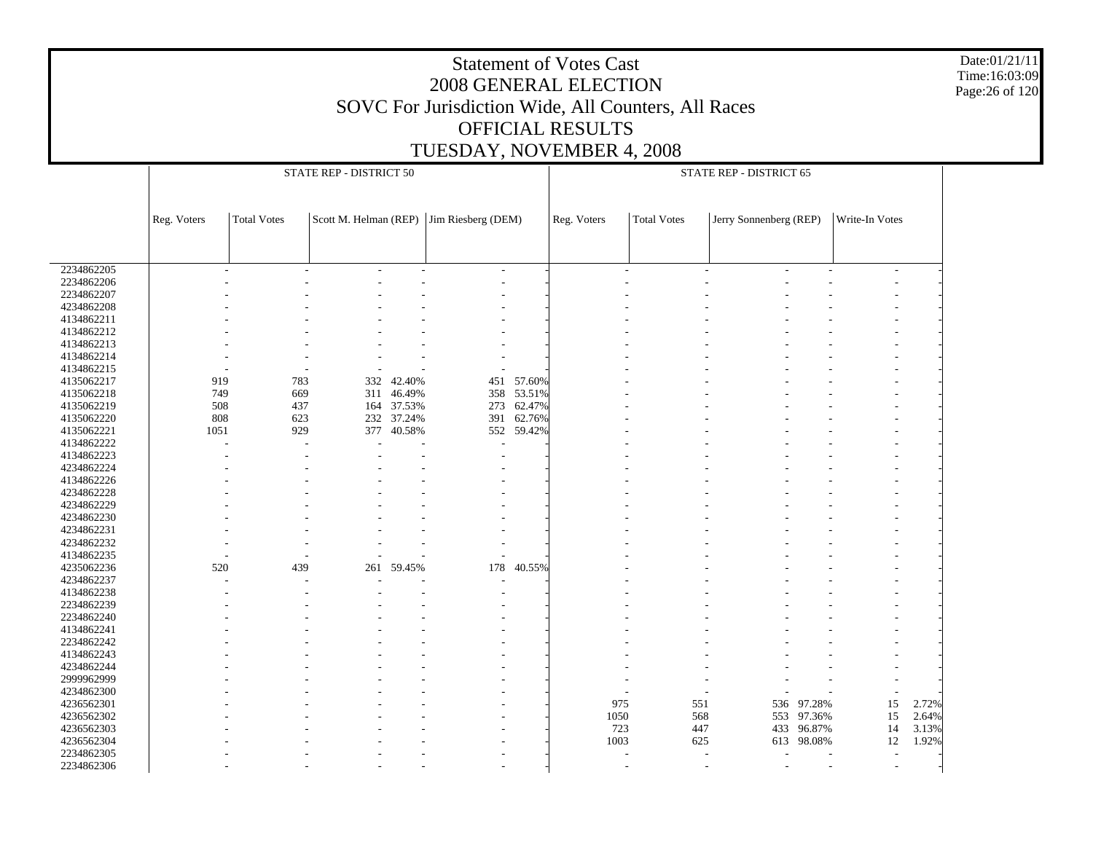Date:01/21/11 Time:16:03:09 Page:26 of 120

|            |                          | STATE REP - DISTRICT 50 |     |            |                                          |            |             | STATE REP - DISTRICT 65  |                          |            |                          |       |  |  |  |
|------------|--------------------------|-------------------------|-----|------------|------------------------------------------|------------|-------------|--------------------------|--------------------------|------------|--------------------------|-------|--|--|--|
|            |                          |                         |     |            |                                          |            |             |                          |                          |            |                          |       |  |  |  |
|            |                          |                         |     |            |                                          |            |             |                          |                          |            |                          |       |  |  |  |
|            | Reg. Voters              | <b>Total Votes</b>      |     |            | Scott M. Helman (REP) Jim Riesberg (DEM) |            | Reg. Voters | <b>Total Votes</b>       | Jerry Sonnenberg (REP)   |            | Write-In Votes           |       |  |  |  |
|            |                          |                         |     |            |                                          |            |             |                          |                          |            |                          |       |  |  |  |
|            |                          |                         |     |            |                                          |            |             |                          |                          |            |                          |       |  |  |  |
|            |                          |                         |     |            |                                          |            |             |                          |                          |            |                          |       |  |  |  |
| 2234862205 | $\overline{\phantom{a}}$ |                         |     |            | $\overline{\phantom{a}}$                 |            |             | $\overline{\phantom{a}}$ | $\overline{\phantom{a}}$ |            | $\overline{\phantom{a}}$ |       |  |  |  |
| 2234862206 |                          |                         |     |            |                                          |            |             |                          |                          |            |                          |       |  |  |  |
| 2234862207 |                          |                         |     |            |                                          |            |             |                          |                          |            |                          |       |  |  |  |
| 4234862208 |                          |                         |     |            |                                          |            |             |                          |                          |            |                          |       |  |  |  |
| 4134862211 |                          |                         |     |            |                                          |            |             |                          |                          |            |                          |       |  |  |  |
| 4134862212 |                          |                         |     |            |                                          |            |             |                          |                          |            |                          |       |  |  |  |
| 4134862213 |                          |                         |     |            |                                          |            |             |                          |                          |            |                          |       |  |  |  |
| 4134862214 |                          |                         |     |            |                                          |            |             |                          |                          |            |                          |       |  |  |  |
| 4134862215 |                          |                         |     |            |                                          |            |             |                          |                          |            |                          |       |  |  |  |
| 4135062217 | 919                      | 783                     |     | 332 42.40% | 451                                      | 57.60%     |             |                          |                          |            |                          |       |  |  |  |
| 4135062218 | 749                      | 669                     |     | 311 46.49% |                                          | 358 53.51% |             |                          |                          |            |                          |       |  |  |  |
| 4135062219 | 508                      | 437                     |     | 164 37.53% | 273                                      | 62.47%     |             |                          |                          |            |                          |       |  |  |  |
| 4135062220 | 808                      | 623                     |     | 232 37.24% | 391                                      | 62.76%     |             |                          |                          |            |                          |       |  |  |  |
| 4135062221 | 1051                     | 929                     | 377 | 40.58%     |                                          | 552 59.42% |             |                          |                          |            |                          |       |  |  |  |
| 4134862222 |                          |                         |     |            |                                          |            |             |                          |                          |            |                          |       |  |  |  |
| 4134862223 |                          |                         |     |            |                                          |            |             |                          |                          |            |                          |       |  |  |  |
| 4234862224 |                          |                         |     |            |                                          |            |             |                          |                          |            |                          |       |  |  |  |
| 4134862226 |                          |                         |     |            |                                          |            |             |                          |                          |            |                          |       |  |  |  |
| 4234862228 |                          |                         |     |            |                                          |            |             |                          |                          |            |                          |       |  |  |  |
| 4234862229 |                          |                         |     |            |                                          |            |             |                          |                          |            |                          |       |  |  |  |
| 4234862230 |                          |                         |     |            |                                          |            |             |                          |                          |            |                          |       |  |  |  |
| 4234862231 |                          |                         |     |            |                                          |            |             |                          |                          |            |                          |       |  |  |  |
| 4234862232 |                          |                         |     |            |                                          |            |             |                          |                          |            |                          |       |  |  |  |
| 4134862235 |                          |                         |     |            | L,                                       |            |             |                          |                          |            |                          |       |  |  |  |
| 4235062236 | 520                      | 439                     | 261 | 59.45%     | 178                                      | 40.55%     |             |                          |                          |            |                          |       |  |  |  |
| 4234862237 |                          |                         |     |            |                                          |            |             |                          |                          |            |                          |       |  |  |  |
| 4134862238 |                          |                         |     |            |                                          |            |             |                          |                          |            |                          |       |  |  |  |
| 2234862239 |                          |                         |     |            |                                          |            |             |                          |                          |            |                          |       |  |  |  |
| 2234862240 |                          |                         |     |            |                                          |            |             |                          |                          |            |                          |       |  |  |  |
| 4134862241 |                          |                         |     |            |                                          |            |             |                          |                          |            |                          |       |  |  |  |
| 2234862242 |                          |                         |     |            |                                          |            |             |                          |                          |            |                          |       |  |  |  |
| 4134862243 |                          |                         |     |            |                                          |            |             |                          |                          |            |                          |       |  |  |  |
| 4234862244 |                          |                         |     |            |                                          |            |             |                          |                          |            |                          |       |  |  |  |
| 2999962999 |                          |                         |     |            |                                          |            |             |                          |                          |            |                          |       |  |  |  |
| 4234862300 |                          |                         |     |            |                                          |            |             |                          |                          |            |                          |       |  |  |  |
| 4236562301 |                          |                         |     |            |                                          |            | 975         | 551                      | 536                      | 97.28%     | 15                       | 2.72% |  |  |  |
| 4236562302 |                          |                         |     |            |                                          |            | 1050        | 568                      |                          | 553 97.36% | 15                       | 2.64% |  |  |  |
| 4236562303 |                          |                         |     |            |                                          |            | 723         | 447                      | 433                      | 96.87%     | 14                       | 3.13% |  |  |  |
| 4236562304 |                          |                         |     |            |                                          |            | 1003        | 625                      |                          | 613 98.08% | 12                       | 1.92% |  |  |  |
| 2234862305 |                          |                         |     |            |                                          |            |             |                          |                          |            |                          |       |  |  |  |
| 2234862306 |                          |                         |     |            |                                          |            |             |                          | $\overline{\phantom{a}}$ |            |                          |       |  |  |  |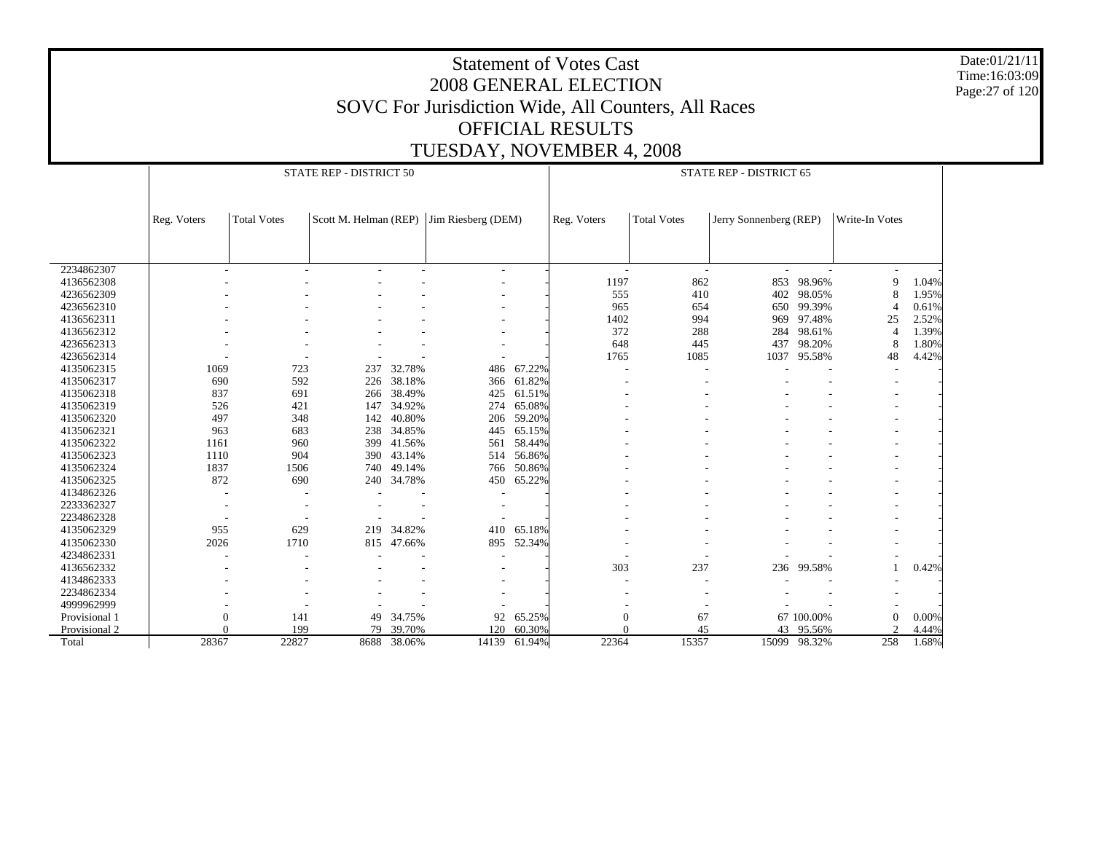Date:01/21/11 Time:16:03:09 Page:27 of 120

|               |             |                    | STATE REP - DISTRICT 50 |            |                                          | STATE REP - DISTRICT 65 |                |                    |                          |            |                          |       |
|---------------|-------------|--------------------|-------------------------|------------|------------------------------------------|-------------------------|----------------|--------------------|--------------------------|------------|--------------------------|-------|
|               |             |                    |                         |            |                                          |                         |                |                    |                          |            |                          |       |
|               | Reg. Voters | <b>Total Votes</b> |                         |            | Scott M. Helman (REP) Jim Riesberg (DEM) |                         | Reg. Voters    | <b>Total Votes</b> | Jerry Sonnenberg (REP)   |            | Write-In Votes           |       |
|               |             |                    |                         |            |                                          |                         |                |                    |                          |            |                          |       |
|               |             |                    |                         |            |                                          |                         |                |                    |                          |            |                          |       |
| 2234862307    |             |                    |                         |            | ٠                                        |                         | ٠              | ٠                  | $\overline{\phantom{a}}$ |            | $\overline{\phantom{a}}$ |       |
| 4136562308    |             |                    |                         |            |                                          |                         | 1197           | 862                | 853                      | 98.96%     | 9                        | 1.04% |
| 4236562309    |             |                    |                         |            |                                          |                         | 555            | 410                | 402                      | 98.05%     | 8                        | 1.95% |
| 4236562310    |             |                    |                         |            |                                          |                         | 965            | 654                | 650                      | 99.39%     | $\overline{4}$           | 0.61% |
| 4136562311    |             |                    |                         |            |                                          |                         | 1402           | 994                | 969                      | 97.48%     | 25                       | 2.52% |
| 4136562312    |             |                    |                         |            |                                          |                         | 372            | 288                | 284                      | 98.61%     | $\overline{4}$           | 1.39% |
| 4236562313    |             |                    |                         |            |                                          |                         | 648            | 445                | 437                      | 98.20%     | 8                        | 1.80% |
| 4236562314    |             |                    |                         |            |                                          |                         | 1765           | 1085               | 1037                     | 95.58%     | 48                       | 4.42% |
| 4135062315    | 1069        | 723                | 237                     | 32.78%     | 486                                      | 67.22%                  |                |                    |                          |            |                          |       |
| 4135062317    | 690         | 592                | 226                     | 38.18%     | 366                                      | 61.82%                  |                |                    |                          |            |                          |       |
| 4135062318    | 837         | 691                | 266                     | 38.49%     | 425                                      | 61.51%                  |                |                    |                          |            |                          |       |
| 4135062319    | 526         | 421                | 147                     | 34.92%     | 274                                      | 65.08%                  |                |                    |                          |            |                          |       |
| 4135062320    | 497         | 348                | 142                     | 40.80%     | 206                                      | 59.20%                  |                |                    |                          |            |                          |       |
| 4135062321    | 963         | 683                |                         | 238 34.85% | 445                                      | 65.15%                  |                |                    |                          |            |                          |       |
| 4135062322    | 1161        | 960                | 399                     | 41.56%     | 561                                      | 58.44%                  |                |                    |                          |            |                          |       |
| 4135062323    | 1110        | 904                | 390                     | 43.14%     | 514                                      | 56.86%                  |                |                    |                          |            |                          |       |
| 4135062324    | 1837        | 1506               | 740                     | 49.14%     | 766                                      | 50.86%                  |                |                    |                          |            |                          |       |
| 4135062325    | 872         | 690                | 240                     | 34.78%     | 450                                      | 65.22%                  |                |                    |                          |            |                          |       |
| 4134862326    |             |                    |                         |            |                                          |                         |                |                    |                          |            |                          |       |
| 2233362327    |             |                    |                         |            |                                          |                         |                |                    |                          |            |                          |       |
| 2234862328    |             |                    |                         |            |                                          |                         |                |                    |                          |            |                          |       |
| 4135062329    | 955         | 629                | 219                     | 34.82%     | 410                                      | 65.18%                  |                |                    |                          |            |                          |       |
| 4135062330    | 2026        | 1710               | 815                     | 47.66%     | 895                                      | 52.34%                  |                |                    |                          |            |                          |       |
| 4234862331    |             |                    |                         |            |                                          |                         |                |                    |                          |            |                          |       |
| 4136562332    |             |                    |                         |            |                                          |                         | 303            | 237                | 236                      | 99.58%     |                          | 0.42% |
| 4134862333    |             |                    |                         |            |                                          |                         |                |                    |                          |            |                          |       |
| 2234862334    |             |                    |                         |            |                                          |                         |                |                    |                          |            |                          |       |
| 4999962999    |             |                    |                         |            |                                          |                         |                |                    |                          |            |                          |       |
| Provisional 1 | 0           | 141                | 49                      | 34.75%     | 92                                       | 65.25%                  | $\overline{0}$ | 67                 |                          | 67 100.00% | $\overline{0}$           | 0.00% |
| Provisional 2 | $\Omega$    | 199                | 79                      | 39.70%     | 120                                      | 60.30%                  | $\sqrt{ }$     | 45                 | 43                       | 95.56%     | $\mathcal{D}$            | 4.44% |
| Total         | 28367       | 22827              | 8688                    | 38.06%     | 14139                                    | 61.94%                  | 22364          | 15357              | 15099                    | 98.32%     | 258                      | 1.68% |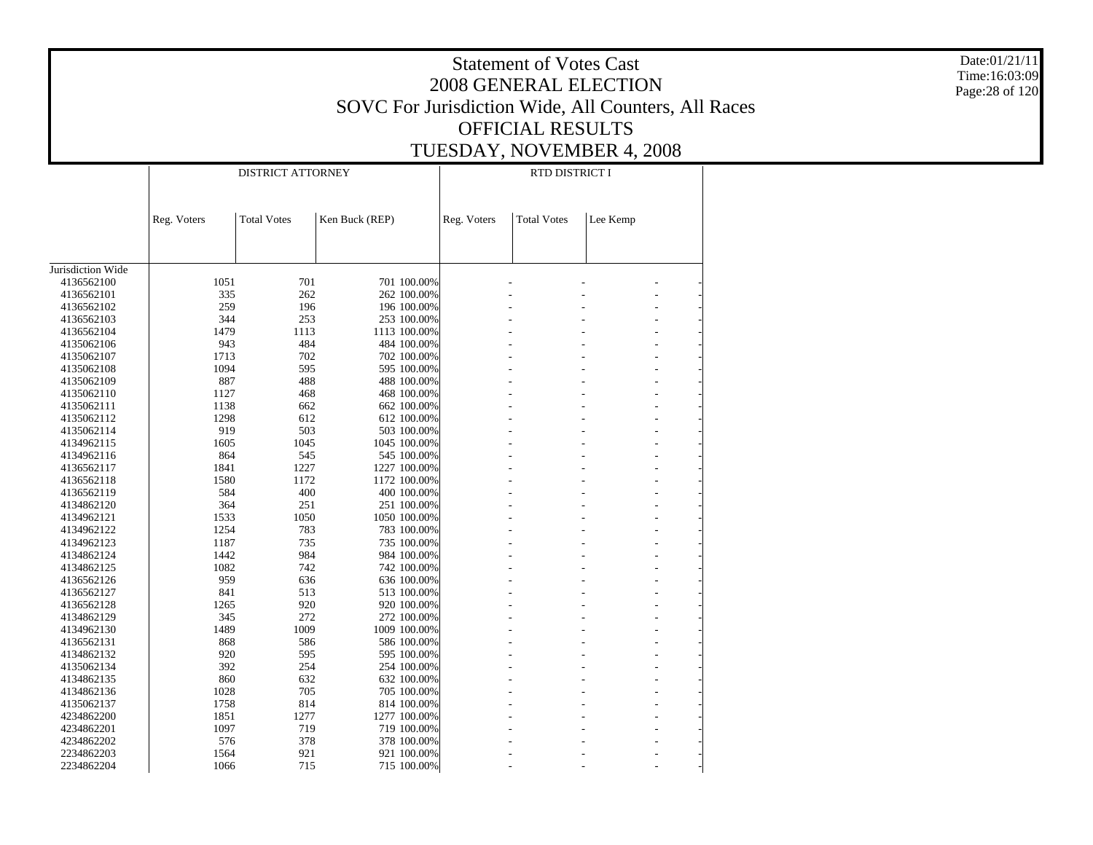|                          |             |                                                     | Date:01/21/11               |             |                           |          |  |  |  |
|--------------------------|-------------|-----------------------------------------------------|-----------------------------|-------------|---------------------------|----------|--|--|--|
|                          |             |                                                     | Time:16:03:09               |             |                           |          |  |  |  |
|                          |             |                                                     | Page: 28 of 120             |             |                           |          |  |  |  |
|                          |             | SOVC For Jurisdiction Wide, All Counters, All Races |                             |             |                           |          |  |  |  |
|                          |             |                                                     |                             |             | <b>OFFICIAL RESULTS</b>   |          |  |  |  |
|                          |             |                                                     |                             |             |                           |          |  |  |  |
|                          |             |                                                     |                             |             | TUESDAY, NOVEMBER 4, 2008 |          |  |  |  |
|                          |             | <b>DISTRICT ATTORNEY</b>                            |                             |             | RTD DISTRICT I            |          |  |  |  |
|                          |             |                                                     |                             |             |                           |          |  |  |  |
|                          |             |                                                     |                             |             |                           |          |  |  |  |
|                          | Reg. Voters | <b>Total Votes</b>                                  | Ken Buck (REP)              | Reg. Voters | <b>Total Votes</b>        | Lee Kemp |  |  |  |
|                          |             |                                                     |                             |             |                           |          |  |  |  |
|                          |             |                                                     |                             |             |                           |          |  |  |  |
| Jurisdiction Wide        |             |                                                     |                             |             |                           |          |  |  |  |
| 4136562100               | 1051        | 701                                                 | 701 100.00%                 |             |                           |          |  |  |  |
| 4136562101               | 335         | 262                                                 | 262 100.00%                 |             |                           |          |  |  |  |
| 4136562102               | 259         | 196                                                 | 196 100.00%                 |             |                           |          |  |  |  |
| 4136562103               | 344         | 253                                                 | 253 100.00%                 |             |                           |          |  |  |  |
| 4136562104<br>4135062106 | 1479<br>943 | 1113<br>484                                         | 1113 100.00%<br>484 100.00% |             |                           |          |  |  |  |
| 4135062107               | 1713        | 702                                                 | 702 100.00%                 |             |                           |          |  |  |  |
| 4135062108               | 1094        | 595                                                 | 595 100.00%                 |             |                           |          |  |  |  |
| 4135062109               | 887         | 488                                                 | 488 100.00%                 |             |                           |          |  |  |  |
| 4135062110               | 1127        | 468                                                 | 468 100.00%                 |             |                           |          |  |  |  |
| 4135062111               | 1138        | 662                                                 | 662 100.00%                 |             |                           |          |  |  |  |
| 4135062112               | 1298        | 612                                                 | 612 100.00%                 |             |                           |          |  |  |  |
| 4135062114               | 919         | 503                                                 | 503 100.00%                 |             |                           |          |  |  |  |
| 4134962115               | 1605        | 1045                                                | 1045 100.00%                |             |                           |          |  |  |  |
| 4134962116<br>4136562117 | 864<br>1841 | 545<br>1227                                         | 545 100.00%<br>1227 100.00% |             |                           |          |  |  |  |
| 4136562118               | 1580        | 1172                                                | 1172 100.00%                |             |                           |          |  |  |  |
| 4136562119               | 584         | 400                                                 | 400 100.00%                 |             |                           |          |  |  |  |
| 4134862120               | 364         | 251                                                 | 251 100.00%                 |             |                           |          |  |  |  |
| 4134962121               | 1533        | 1050                                                | 1050 100.00%                |             |                           |          |  |  |  |
| 4134962122               | 1254        | 783                                                 | 783 100.00%                 |             |                           |          |  |  |  |
| 4134962123               | 1187        | 735                                                 | 735 100.00%                 |             |                           |          |  |  |  |
| 4134862124               | 1442        | 984                                                 | 984 100.00%                 |             |                           |          |  |  |  |
| 4134862125               | 1082        | 742                                                 | 742 100.00%                 |             |                           |          |  |  |  |
| 4136562126               | 959         | 636                                                 | 636 100.00%                 |             |                           |          |  |  |  |
| 4136562127<br>4136562128 | 841<br>1265 | 513<br>920                                          | 513 100.00%<br>920 100.00%  |             |                           |          |  |  |  |
| 4134862129               | 345         | 272                                                 | 272 100.00%                 |             |                           |          |  |  |  |
| 4134962130               | 1489        | 1009                                                | 1009 100.00%                |             |                           |          |  |  |  |
| 4136562131               | 868         | 586                                                 | 586 100.00%                 |             |                           |          |  |  |  |
| 4134862132               | 920         | 595                                                 | 595 100.00%                 |             |                           |          |  |  |  |
| 4135062134               | 392         | 254                                                 | 254 100.00%                 |             |                           |          |  |  |  |
| 4134862135               | 860         | 632                                                 | 632 100.00%                 |             |                           |          |  |  |  |
| 4134862136               | 1028        | 705                                                 | 705 100.00%                 |             |                           |          |  |  |  |
| 4135062137               | 1758        | 814                                                 | 814 100.00%                 |             |                           |          |  |  |  |
| 4234862200               | 1851        | 1277                                                | 1277 100.00%                |             |                           |          |  |  |  |
| 4234862201<br>4234862202 | 1097<br>576 | 719<br>378                                          | 719 100.00%<br>378 100.00%  |             |                           |          |  |  |  |
| 2234862203               | 1564        | 921                                                 | 921 100.00%                 |             |                           |          |  |  |  |
| 2234862204               | 1066        | 715                                                 | 715 100.00%                 |             |                           |          |  |  |  |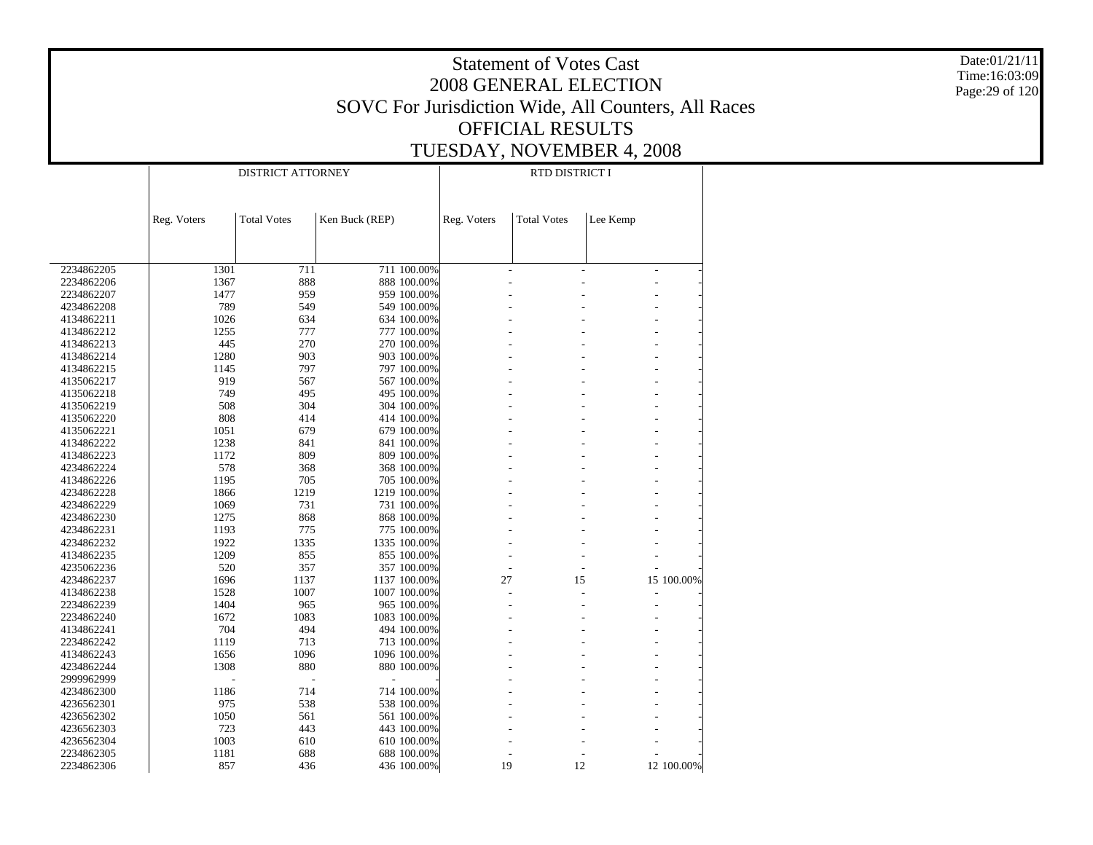Statement of Votes Cast2008 GENERAL ELECTIONSOVC For Jurisdiction Wide, All Counters, All Races OFFICIAL RESULTSTUESDAY, NOVEMBER 4, 2008 Date:01/21/11Time:16:03:09Page:29 of 120 2234862205 2234862206 2234862207 4234862208 4134862211 4134862212 4134862213 4134862214 4134862215 4135062217 4135062218 4135062219 4135062220 4135062221 4134862222 4134862223 4234862224 4134862226 4234862228 4234862229 4234862230 4234862231 4234862232 4134862235 4235062236 4234862237 4134862238 2234862239 2234862240 4134862241 2234862242 4134862243 4234862244 2999962999 4234862300 4236562301 4236562302 4236562303 4236562304 2234862305 2234862306 Reg. Voters | Total Votes | Ken Buck (REP) DISTRICT ATTORNEYReg. Voters | Total Votes | Lee Kemp RTD DISTRICT I1301 711 711 100.00% $\sim$  -  $\sim$  -  $\sim$  -  $\sim$  -  $\sim$ 1367 888 888 100.00% $\sim$  -  $\sim$  -  $\sim$  -  $\sim$  -  $\sim$ 1477 959 959 100.00% $\sim$  -  $\sim$  -  $\sim$  -  $\sim$  -  $\sim$ 789 549 549 100.00% $\sim$  -  $\sim$  -  $\sim$  -  $\sim$  -  $\sim$ 1026 634 634 100.00% $\sim$  -  $\sim$  -  $\sim$  -  $\sim$  -  $\sim$ 1255 777 777 100.00% $\sim$  -  $\sim$  -  $\sim$  -  $\sim$  -  $\sim$ 445 270 270 100.00% $\sim$  -  $\sim$  -  $\sim$  -  $\sim$  -  $\sim$ 1280 903 903 100.00% $\sim$  -  $\sim$  -  $\sim$  -  $\sim$  -  $\sim$ 1145 797 797 100.00% $\sim$  -  $\sim$  -  $\sim$  -  $\sim$  -  $\sim$ 919 567 567 100.00% $\sim$  -  $\sim$  -  $\sim$  -  $\sim$  -  $\sim$ 749 495 495 100.00% $\sim$  -  $\sim$  -  $\sim$  -  $\sim$  -  $\sim$ 508 304 304 100.00% $\sim$  -  $\sim$  -  $\sim$  -  $\sim$  -  $\sim$ 808 414 414 100.00% $\sim$  -  $\sim$  -  $\sim$  -  $\sim$  -  $\sim$ 1051 679 679 100.00% $\sim$  -  $\sim$  -  $\sim$  -  $\sim$  -  $\sim$ 1238 841 841 100.00% $\sim$  -  $\sim$  -  $\sim$  -  $\sim$  -  $\sim$ 1172 809 809 100.00% $\sim$  -  $\sim$  -  $\sim$  -  $\sim$  -  $\sim$ 578 368 368 100.00% $\sim$  -  $\sim$  -  $\sim$  -  $\sim$  -  $\sim$ 1195 705 705 100.00% $\sim$  -  $\sim$  -  $\sim$  -  $\sim$  -  $\sim$ 1866 1219 1219 100.00% $\sim$  -  $\sim$  -  $\sim$  -  $\sim$  -  $\sim$ 1069 731 731 100.00% $\sim$  -  $\sim$  -  $\sim$  -  $\sim$  -  $\sim$ 1275 868 868 100.00% $\sim$  -  $\sim$  -  $\sim$  -  $\sim$  -  $\sim$ 1193 775 775 100.00% $\sim$  -  $\sim$  -  $\sim$  -  $\sim$  -  $\sim$ 1922 1335 1335 100.00% $\sim$  -  $\sim$  -  $\sim$  -  $\sim$  -  $\sim$ 1209 855 855 100.00% $\sim$  -  $\sim$  -  $\sim$  -  $\sim$  -  $\sim$ 520 357 357 100.00% $\sim$  -  $\sim$  -  $\sim$  -  $\sim$  -  $\sim$ 1696 1137 1137 100.00%27 15 100.00% 1528 1007 1007 100.00% $\sim$  -  $\sim$  -  $\sim$  -  $\sim$  -  $\sim$ 1404 965 965 100.00% $\sim$  -  $\sim$  -  $\sim$  -  $\sim$  -  $\sim$ 1672 1083 1083 100.00% $\sim$  -  $\sim$  -  $\sim$  -  $\sim$  -  $\sim$ 704 494 494 100.00% $\sim$  -  $\sim$  -  $\sim$  -  $\sim$  -  $\sim$ 1119 713 713 100.00% $\sim$  -  $\sim$  -  $\sim$  -  $\sim$  -  $\sim$ 1656 1096 1096 100.00% $\sim$  -  $\sim$  -  $\sim$  -  $\sim$  -  $\sim$ 1308 880 880 100.00% $\sim$  -  $\sim$  -  $\sim$  -  $\sim$  -  $\sim$  - - - - - - - 1186 714 714 100.00% $\sim$  -  $\sim$  -  $\sim$  -  $\sim$  -  $\sim$ 975 538 538 100.00% $\sim$  -  $\sim$  -  $\sim$  -  $\sim$  -  $\sim$ 1050 561 561 100.00% $\sim$  -  $\sim$  -  $\sim$  -  $\sim$  -  $\sim$ 723 443 443 100.00% $\sim$  -  $\sim$  -  $\sim$  -  $\sim$  -  $\sim$ 1003 610 610 100.00% $\sim$  -  $\sim$  -  $\sim$  -  $\sim$  -  $\sim$ 1181 688 688 100.00% $\sim$  -  $\sim$  -  $\sim$  -  $\sim$  -  $\sim$ 857 436 436 100.00%19 12 12 100.00%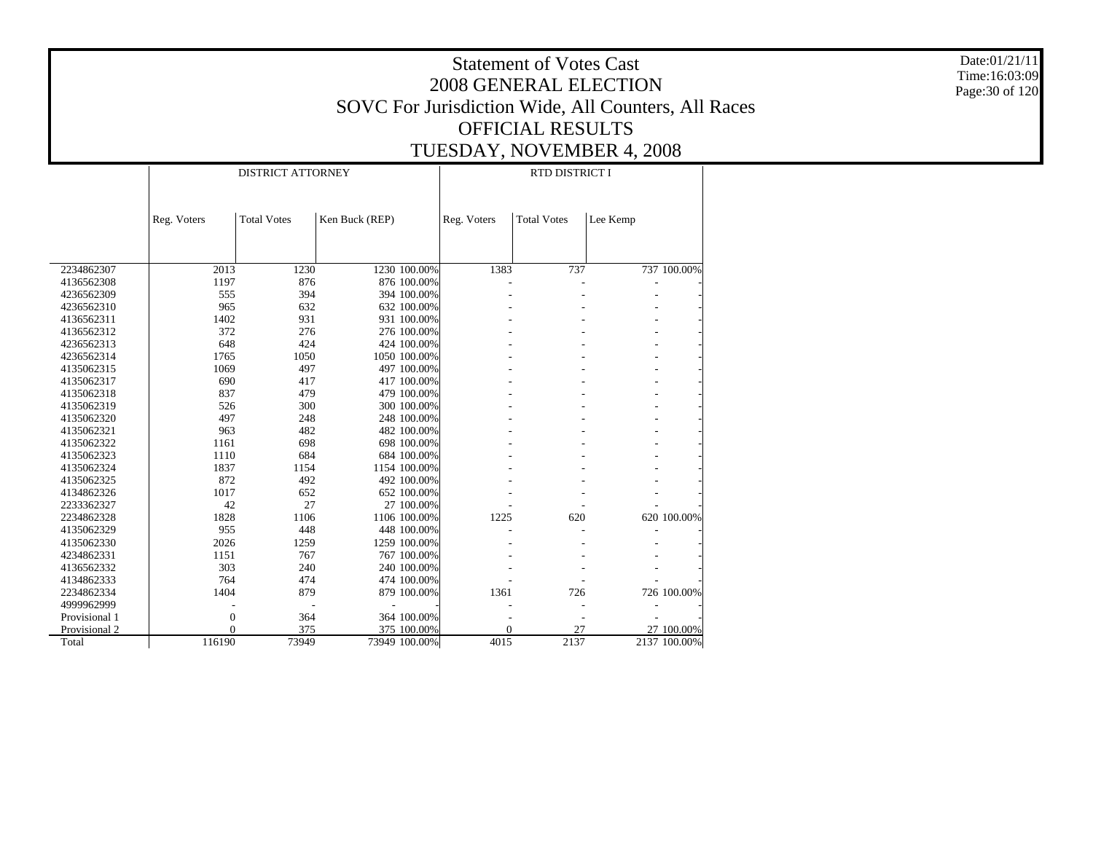Date:01/21/11 Time:16:03:09 Page:30 of 120

|               |                  | <b>DISTRICT ATTORNEY</b> |                |               | RTD DISTRICT I |                    |          |              |  |  |  |
|---------------|------------------|--------------------------|----------------|---------------|----------------|--------------------|----------|--------------|--|--|--|
|               | Reg. Voters      | <b>Total Votes</b>       | Ken Buck (REP) |               | Reg. Voters    | <b>Total Votes</b> | Lee Kemp |              |  |  |  |
|               |                  |                          |                |               |                |                    |          |              |  |  |  |
| 2234862307    | 2013             | 1230                     |                | 1230 100.00%  | 1383           | 737                |          | 737 100.00%  |  |  |  |
| 4136562308    | 1197             | 876                      |                | 876 100.00%   |                |                    |          |              |  |  |  |
| 4236562309    | 555              | 394                      |                | 394 100.00%   |                |                    |          |              |  |  |  |
| 4236562310    | 965              | 632                      |                | 632 100.00%   |                |                    |          |              |  |  |  |
| 4136562311    | 1402             | 931                      |                | 931 100.00%   |                |                    |          |              |  |  |  |
| 4136562312    | 372              | 276                      |                | 276 100.00%   |                |                    |          |              |  |  |  |
| 4236562313    | 648              | 424                      |                | 424 100.00%   |                |                    |          |              |  |  |  |
| 4236562314    | 1765             | 1050                     |                | 1050 100.00%  |                |                    |          |              |  |  |  |
| 4135062315    | 1069             | 497                      |                | 497 100.00%   |                |                    |          |              |  |  |  |
| 4135062317    | 690              | 417                      |                | 417 100.00%   |                |                    |          |              |  |  |  |
| 4135062318    | 837              | 479                      |                | 479 100.00%   |                |                    |          |              |  |  |  |
| 4135062319    | 526              | 300                      |                | 300 100.00%   |                |                    |          |              |  |  |  |
| 4135062320    | 497              | 248                      |                | 248 100.00%   |                |                    |          |              |  |  |  |
| 4135062321    | 963              | 482                      |                | 482 100.00%   |                |                    |          |              |  |  |  |
| 4135062322    | 1161             | 698                      |                | 698 100.00%   |                |                    |          |              |  |  |  |
| 4135062323    | 1110             | 684                      |                | 684 100.00%   |                |                    |          |              |  |  |  |
| 4135062324    | 1837             | 1154                     |                | 1154 100.00%  |                |                    |          |              |  |  |  |
| 4135062325    | 872              | 492                      |                | 492 100.00%   |                |                    |          |              |  |  |  |
| 4134862326    | 1017             | 652                      |                | 652 100.00%   |                |                    |          |              |  |  |  |
| 2233362327    | 42               | 27                       |                | 27 100.00%    |                |                    |          |              |  |  |  |
| 2234862328    | 1828             | 1106                     |                | 1106 100.00%  | 1225           | 620                |          | 620 100.00%  |  |  |  |
| 4135062329    | 955              | 448                      |                | 448 100.00%   |                |                    |          |              |  |  |  |
| 4135062330    | 2026             | 1259                     |                | 1259 100.00%  |                |                    |          |              |  |  |  |
| 4234862331    | 1151             | 767                      |                | 767 100.00%   |                |                    |          |              |  |  |  |
| 4136562332    | 303              | 240                      |                | 240 100.00%   |                |                    |          |              |  |  |  |
| 4134862333    | 764              | 474                      |                | 474 100.00%   |                |                    |          |              |  |  |  |
| 2234862334    | 1404             | 879                      |                | 879 100.00%   | 1361           | 726                |          | 726 100.00%  |  |  |  |
| 4999962999    |                  |                          |                |               |                |                    |          |              |  |  |  |
| Provisional 1 | $\boldsymbol{0}$ | 364                      |                | 364 100.00%   |                |                    |          |              |  |  |  |
| Provisional 2 | $\theta$         | 375                      |                | 375 100.00%   | $\overline{0}$ | 27                 |          | 27 100.00%   |  |  |  |
| Total         | 116190           | 73949                    |                | 73949 100.00% | 4015           | 2137               |          | 2137 100.00% |  |  |  |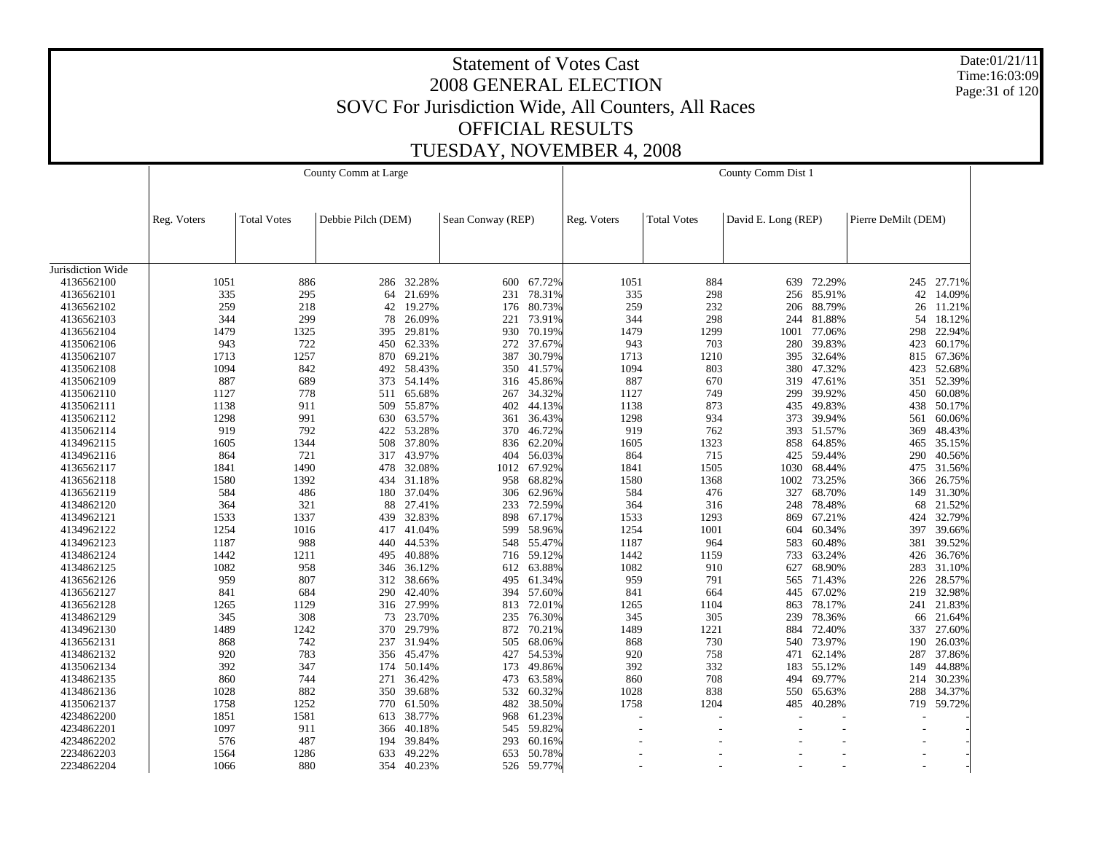Date:01/21/11 Time:16:03:09 Page:31 of 120

|                   |             |                    | County Comm at Large |            |                   | County Comm Dist 1 |             |                    |                     |        |                     |            |
|-------------------|-------------|--------------------|----------------------|------------|-------------------|--------------------|-------------|--------------------|---------------------|--------|---------------------|------------|
|                   |             |                    |                      |            |                   |                    |             |                    |                     |        |                     |            |
|                   | Reg. Voters | <b>Total Votes</b> | Debbie Pilch (DEM)   |            | Sean Conway (REP) |                    | Reg. Voters | <b>Total Votes</b> | David E. Long (REP) |        | Pierre DeMilt (DEM) |            |
|                   |             |                    |                      |            |                   |                    |             |                    |                     |        |                     |            |
| Jurisdiction Wide |             |                    |                      |            |                   |                    |             |                    |                     |        |                     |            |
| 4136562100        | 1051        | 886                | 286                  | 32.28%     | 600               | 67.72%             | 1051        | 884                | 639                 | 72.29% |                     | 245 27.71% |
| 4136562101        | 335         | 295                | 64                   | 21.69%     | 231               | 78.31%             | 335         | 298                | 256                 | 85.91% | 42                  | 14.09%     |
| 4136562102        | 259         | 218                | 42                   | 19.27%     | 176               | 80.73%             | 259         | 232                | 206                 | 88.79% | 26                  | 11.21%     |
| 4136562103        | 344         | 299                | 78                   | 26.09%     | 221               | 73.91%             | 344         | 298                | 244                 | 81.88% | 54                  | 18.12%     |
| 4136562104        | 1479        | 1325               | 395                  | 29.81%     | 930               | 70.19%             | 1479        | 1299               | 1001                | 77.06% | 298                 | 22.94%     |
| 4135062106        | 943         | 722                | 450                  | 62.33%     | 272               | 37.67%             | 943         | 703                | 280                 | 39.83% | 423                 | 60.17%     |
| 4135062107        | 1713        | 1257               | 870                  | 69.21%     | 387               | 30.79%             | 1713        | 1210               | 395                 | 32.64% | 815                 | 67.36%     |
| 4135062108        | 1094        | 842                | 492                  | 58.43%     | 350               | 41.57%             | 1094        | 803                | 380                 | 47.32% | 423                 | 52.68%     |
| 4135062109        | 887         | 689                | 373                  | 54.14%     | 316               | 45.86%             | 887         | 670                | 319                 | 47.61% | 351                 | 52.39%     |
| 4135062110        | 1127        | 778                |                      | 511 65.68% | 267               | 34.32%             | 1127        | 749                | 299                 | 39.92% | 450                 | 60.08%     |
| 4135062111        | 1138        | 911                | 509                  | 55.87%     | 402               | 44.13%             | 1138        | 873                | 435                 | 49.83% | 438                 | 50.17%     |
| 4135062112        | 1298        | 991                | 630                  | 63.57%     | 361               | 36.43%             | 1298        | 934                | 373                 | 39.94% | 561                 | 60.06%     |
| 4135062114        | 919         | 792                | 422                  | 53.28%     | 370               | 46.72%             | 919         | 762                | 393                 | 51.57% | 369                 | 48.43%     |
| 4134962115        | 1605        | 1344               | 508                  | 37.80%     | 836               | 62.20%             | 1605        | 1323               | 858                 | 64.85% | 465                 | 35.15%     |
| 4134962116        | 864         | 721                | 317                  | 43.97%     | 404               | 56.03%             | 864         | 715                | 425                 | 59.44% | 290                 | 40.56%     |
| 4136562117        | 1841        | 1490               | 478                  | 32.08%     | 1012              | 67.92%             | 1841        | 1505               | 1030                | 68.44% | 475                 | 31.56%     |
| 4136562118        | 1580        | 1392               | 434                  | 31.18%     | 958               | 68.82%             | 1580        | 1368               | 1002                | 73.25% | 366                 | 26.75%     |
| 4136562119        | 584         | 486                | 180                  | 37.04%     | 306               | 62.96%             | 584         | 476                | 327                 | 68.70% | 149                 | 31.30%     |
| 4134862120        | 364         | 321                | 88                   | 27.41%     | 233               | 72.59%             | 364         | 316                | 248                 | 78.48% | 68                  | 21.52%     |
| 4134962121        | 1533        | 1337               | 439                  | 32.83%     | 898               | 67.17%             | 1533        | 1293               | 869                 | 67.21% | 424                 | 32.79%     |
| 4134962122        | 1254        | 1016               | 417                  | 41.04%     | 599               | 58.96%             | 1254        | 1001               | 604                 | 60.34% | 397                 | 39.66%     |
| 4134962123        | 1187        | 988                | 440                  | 44.53%     | 548               | 55.47%             | 1187        | 964                | 583                 | 60.48% | 381                 | 39.52%     |
| 4134862124        | 1442        | 1211               | 495                  | 40.88%     | 716               | 59.12%             | 1442        | 1159               | 733                 | 63.24% | 426                 | 36.76%     |
| 4134862125        | 1082        | 958                | 346                  | 36.12%     | 612               | 63.88%             | 1082        | 910                | 627                 | 68.90% | 283                 | 31.10%     |
| 4136562126        | 959         | 807                | 312                  | 38.66%     | 495               | 61.34%             | 959         | 791                | 565                 | 71.43% | 226                 | 28.57%     |
| 4136562127        | 841         | 684                | 290                  | 42.40%     | 394               | 57.60%             | 841         | 664                | 445                 | 67.02% | 219                 | 32.98%     |
| 4136562128        | 1265        | 1129               |                      | 316 27.99% | 813               | 72.01%             | 1265        | 1104               | 863                 | 78.17% |                     | 241 21.83% |
| 4134862129        | 345         | 308                | 73                   | 23.70%     | 235               | 76.30%             | 345         | 305                | 239                 | 78.36% | 66                  | 21.64%     |
| 4134962130        | 1489        | 1242               | 370                  | 29.79%     | 872               | 70.21%             | 1489        | 1221               | 884                 | 72.40% | 337                 | 27.60%     |
| 4136562131        | 868         | 742                | 237                  | 31.94%     | 505               | 68.06%             | 868         | 730                | 540                 | 73.97% | 190                 | 26.03%     |
| 4134862132        | 920         | 783                | 356                  | 45.47%     | 427               | 54.53%             | 920         | 758                | 471                 | 62.14% | 287                 | 37.86%     |
| 4135062134        | 392         | 347                | 174                  | 50.14%     | 173               | 49.86%             | 392         | 332                | 183                 | 55.12% | 149                 | 44.88%     |
| 4134862135        | 860         | 744                | 271                  | 36.42%     | 473               | 63.58%             | 860         | 708                | 494                 | 69.77% | 214                 | 30.23%     |
| 4134862136        | 1028        | 882                | 350                  | 39.68%     | 532               | 60.32%             | 1028        | 838                | 550                 | 65.63% | 288                 | 34.37%     |
| 4135062137        | 1758        | 1252               | 770                  | 61.50%     | 482               | 38.50%             | 1758        | 1204               | 485                 | 40.28% | 719                 | 59.72%     |
| 4234862200        | 1851        | 1581               | 613                  | 38.77%     | 968               | 61.23%             |             |                    |                     |        |                     |            |
| 4234862201        | 1097        | 911                | 366                  | 40.18%     | 545               | 59.82%             | ÷.          |                    |                     |        |                     |            |
| 4234862202        | 576         | 487                | 194                  | 39.84%     | 293               | 60.16%             |             |                    |                     |        |                     |            |
| 2234862203        | 1564        | 1286               | 633                  | 49.22%     | 653               | 50.78%             |             |                    |                     |        |                     |            |
| 2234862204        | 1066        | 880                | 354                  | 40.23%     |                   | 526 59.77%         |             |                    |                     |        |                     |            |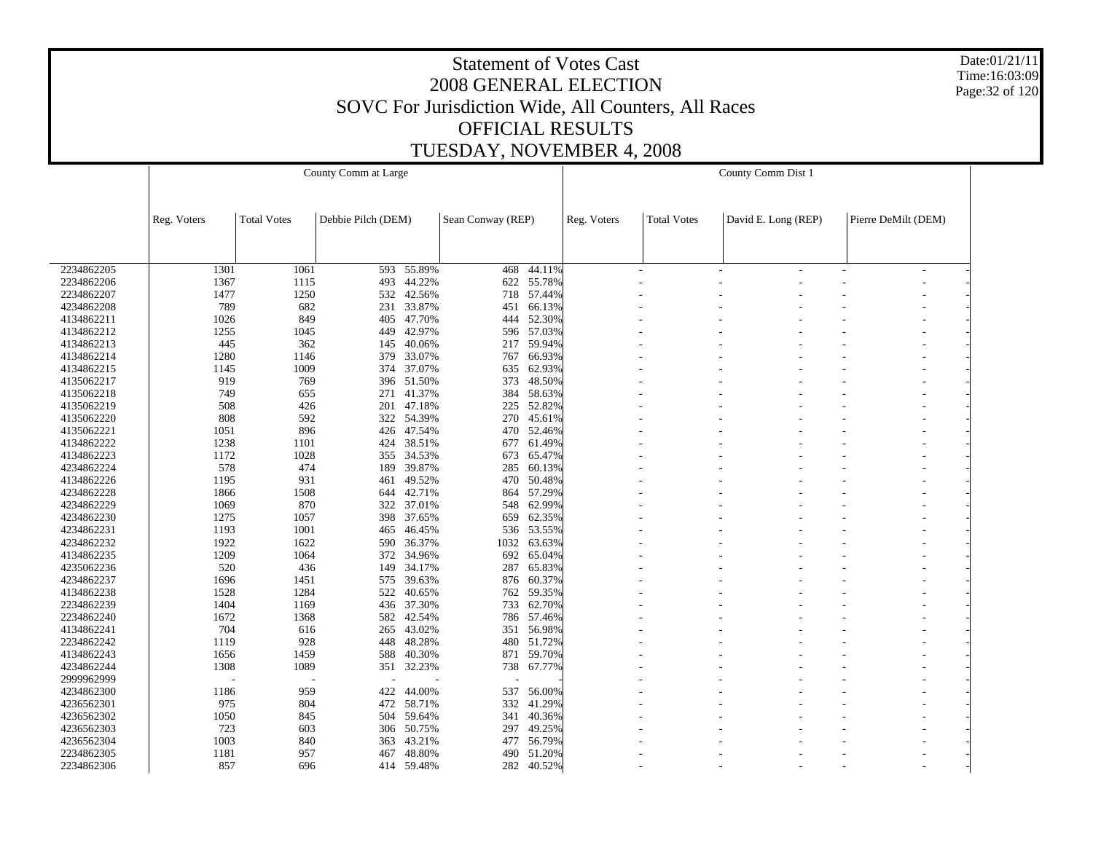Date:01/21/11 Time:16:03:09 Page:32 of 120

| Debbie Pilch (DEM)<br>David E. Long (REP)<br>Pierre DeMilt (DEM)<br><b>Total Votes</b><br>Sean Conway (REP)<br><b>Total Votes</b><br>Reg. Voters<br>Reg. Voters<br>2234862205<br>1301<br>1061<br>593<br>55.89%<br>468<br>44.11%<br>$\tilde{\phantom{a}}$<br>$\overline{a}$<br>$\overline{\phantom{a}}$<br>44.22%<br>2234862206<br>493<br>622<br>55.78%<br>1367<br>1115<br>2234862207<br>1477<br>1250<br>42.56%<br>718 57.44%<br>532<br>4234862208<br>789<br>682<br>231<br>33.87%<br>451<br>66.13%<br>4134862211<br>1026<br>849<br>47.70%<br>444<br>52.30%<br>405<br>4134862212<br>1255<br>1045<br>42.97%<br>57.03%<br>449<br>596<br>4134862213<br>445<br>59.94%<br>362<br>40.06%<br>217<br>145<br>1280<br>4134862214<br>1146<br>379<br>33.07%<br>66.93%<br>767<br>4134862215<br>1145<br>1009<br>37.07%<br>62.93%<br>374<br>635<br>4135062217<br>919<br>48.50%<br>769<br>396<br>51.50%<br>373<br>4135062218<br>749<br>271<br>41.37%<br>384<br>58.63%<br>655<br>4135062219<br>508<br>426<br>201<br>47.18%<br>225<br>52.82%<br>4135062220<br>808<br>592<br>54.39%<br>270<br>322<br>45.61%<br>4135062221<br>1051<br>896<br>426<br>47.54%<br>470<br>52.46%<br>4134862222<br>1238<br>1101<br>38.51%<br>61.49%<br>424<br>677<br>4134862223<br>1172<br>1028<br>34.53%<br>673<br>65.47%<br>355<br>578<br>4234862224<br>474<br>189<br>39.87%<br>285<br>60.13%<br>4134862226<br>1195<br>931<br>49.52%<br>470<br>50.48%<br>461<br>4234862228<br>1866<br>1508<br>42.71%<br>57.29%<br>644<br>864<br>4234862229<br>1069<br>870<br>322<br>37.01%<br>548<br>62.99%<br>4234862230<br>1275<br>62.35%<br>1057<br>398<br>37.65%<br>659<br>4234862231<br>1193<br>1001<br>46.45%<br>536<br>53.55%<br>465<br>4234862232<br>1922<br>1622<br>36.37%<br>1032<br>63.63%<br>590<br>4134862235<br>1209<br>1064<br>372<br>34.96%<br>692<br>65.04%<br>4235062236<br>520<br>436<br>34.17%<br>287<br>65.83%<br>149<br>4234862237<br>1696<br>39.63%<br>60.37%<br>1451<br>575<br>876<br>4134862238<br>1528<br>1284<br>522<br>40.65%<br>762<br>59.35%<br>2234862239<br>1404<br>37.30%<br>733<br>62.70%<br>1169<br>436<br>1672<br>2234862240<br>1368<br>42.54%<br>786<br>57.46%<br>582<br>4134862241<br>704<br>43.02%<br>616<br>351<br>56.98%<br>265<br>2234862242<br>1119<br>928<br>48.28%<br>480<br>51.72%<br>448<br>4134862243<br>1459<br>588<br>40.30%<br>871<br>59.70%<br>1656<br>1308<br>1089<br>32.23%<br>4234862244<br>351<br>738<br>67.77%<br>2999962999<br>44.00%<br>4234862300<br>1186<br>959<br>422<br>537<br>56.00%<br>975<br>472<br>332<br>41.29%<br>4236562301<br>804<br>58.71%<br>1050<br>4236562302<br>845<br>504<br>59.64%<br>341<br>40.36%<br>49.25%<br>4236562303<br>723<br>603<br>306<br>50.75%<br>297<br>4236562304<br>1003<br>840<br>43.21%<br>477<br>56.79%<br>363<br>2234862305<br>1181<br>957<br>48.80%<br>51.20%<br>467<br>490<br>282<br>40.52%<br>2234862306<br>857<br>696<br>414<br>59.48% |  | County Comm at Large |  | County Comm Dist 1 |  |  |  |  |  |  |
|-----------------------------------------------------------------------------------------------------------------------------------------------------------------------------------------------------------------------------------------------------------------------------------------------------------------------------------------------------------------------------------------------------------------------------------------------------------------------------------------------------------------------------------------------------------------------------------------------------------------------------------------------------------------------------------------------------------------------------------------------------------------------------------------------------------------------------------------------------------------------------------------------------------------------------------------------------------------------------------------------------------------------------------------------------------------------------------------------------------------------------------------------------------------------------------------------------------------------------------------------------------------------------------------------------------------------------------------------------------------------------------------------------------------------------------------------------------------------------------------------------------------------------------------------------------------------------------------------------------------------------------------------------------------------------------------------------------------------------------------------------------------------------------------------------------------------------------------------------------------------------------------------------------------------------------------------------------------------------------------------------------------------------------------------------------------------------------------------------------------------------------------------------------------------------------------------------------------------------------------------------------------------------------------------------------------------------------------------------------------------------------------------------------------------------------------------------------------------------------------------------------------------------------------------------------------------------------------------------------------------------------------------------------------------------------------------------------------------------------------------------------------------------------------------------------------------------------------------------------------------------------|--|----------------------|--|--------------------|--|--|--|--|--|--|
|                                                                                                                                                                                                                                                                                                                                                                                                                                                                                                                                                                                                                                                                                                                                                                                                                                                                                                                                                                                                                                                                                                                                                                                                                                                                                                                                                                                                                                                                                                                                                                                                                                                                                                                                                                                                                                                                                                                                                                                                                                                                                                                                                                                                                                                                                                                                                                                                                                                                                                                                                                                                                                                                                                                                                                                                                                                                                   |  |                      |  |                    |  |  |  |  |  |  |
|                                                                                                                                                                                                                                                                                                                                                                                                                                                                                                                                                                                                                                                                                                                                                                                                                                                                                                                                                                                                                                                                                                                                                                                                                                                                                                                                                                                                                                                                                                                                                                                                                                                                                                                                                                                                                                                                                                                                                                                                                                                                                                                                                                                                                                                                                                                                                                                                                                                                                                                                                                                                                                                                                                                                                                                                                                                                                   |  |                      |  |                    |  |  |  |  |  |  |
|                                                                                                                                                                                                                                                                                                                                                                                                                                                                                                                                                                                                                                                                                                                                                                                                                                                                                                                                                                                                                                                                                                                                                                                                                                                                                                                                                                                                                                                                                                                                                                                                                                                                                                                                                                                                                                                                                                                                                                                                                                                                                                                                                                                                                                                                                                                                                                                                                                                                                                                                                                                                                                                                                                                                                                                                                                                                                   |  |                      |  |                    |  |  |  |  |  |  |
|                                                                                                                                                                                                                                                                                                                                                                                                                                                                                                                                                                                                                                                                                                                                                                                                                                                                                                                                                                                                                                                                                                                                                                                                                                                                                                                                                                                                                                                                                                                                                                                                                                                                                                                                                                                                                                                                                                                                                                                                                                                                                                                                                                                                                                                                                                                                                                                                                                                                                                                                                                                                                                                                                                                                                                                                                                                                                   |  |                      |  |                    |  |  |  |  |  |  |
|                                                                                                                                                                                                                                                                                                                                                                                                                                                                                                                                                                                                                                                                                                                                                                                                                                                                                                                                                                                                                                                                                                                                                                                                                                                                                                                                                                                                                                                                                                                                                                                                                                                                                                                                                                                                                                                                                                                                                                                                                                                                                                                                                                                                                                                                                                                                                                                                                                                                                                                                                                                                                                                                                                                                                                                                                                                                                   |  |                      |  |                    |  |  |  |  |  |  |
|                                                                                                                                                                                                                                                                                                                                                                                                                                                                                                                                                                                                                                                                                                                                                                                                                                                                                                                                                                                                                                                                                                                                                                                                                                                                                                                                                                                                                                                                                                                                                                                                                                                                                                                                                                                                                                                                                                                                                                                                                                                                                                                                                                                                                                                                                                                                                                                                                                                                                                                                                                                                                                                                                                                                                                                                                                                                                   |  |                      |  |                    |  |  |  |  |  |  |
|                                                                                                                                                                                                                                                                                                                                                                                                                                                                                                                                                                                                                                                                                                                                                                                                                                                                                                                                                                                                                                                                                                                                                                                                                                                                                                                                                                                                                                                                                                                                                                                                                                                                                                                                                                                                                                                                                                                                                                                                                                                                                                                                                                                                                                                                                                                                                                                                                                                                                                                                                                                                                                                                                                                                                                                                                                                                                   |  |                      |  |                    |  |  |  |  |  |  |
|                                                                                                                                                                                                                                                                                                                                                                                                                                                                                                                                                                                                                                                                                                                                                                                                                                                                                                                                                                                                                                                                                                                                                                                                                                                                                                                                                                                                                                                                                                                                                                                                                                                                                                                                                                                                                                                                                                                                                                                                                                                                                                                                                                                                                                                                                                                                                                                                                                                                                                                                                                                                                                                                                                                                                                                                                                                                                   |  |                      |  |                    |  |  |  |  |  |  |
|                                                                                                                                                                                                                                                                                                                                                                                                                                                                                                                                                                                                                                                                                                                                                                                                                                                                                                                                                                                                                                                                                                                                                                                                                                                                                                                                                                                                                                                                                                                                                                                                                                                                                                                                                                                                                                                                                                                                                                                                                                                                                                                                                                                                                                                                                                                                                                                                                                                                                                                                                                                                                                                                                                                                                                                                                                                                                   |  |                      |  |                    |  |  |  |  |  |  |
|                                                                                                                                                                                                                                                                                                                                                                                                                                                                                                                                                                                                                                                                                                                                                                                                                                                                                                                                                                                                                                                                                                                                                                                                                                                                                                                                                                                                                                                                                                                                                                                                                                                                                                                                                                                                                                                                                                                                                                                                                                                                                                                                                                                                                                                                                                                                                                                                                                                                                                                                                                                                                                                                                                                                                                                                                                                                                   |  |                      |  |                    |  |  |  |  |  |  |
|                                                                                                                                                                                                                                                                                                                                                                                                                                                                                                                                                                                                                                                                                                                                                                                                                                                                                                                                                                                                                                                                                                                                                                                                                                                                                                                                                                                                                                                                                                                                                                                                                                                                                                                                                                                                                                                                                                                                                                                                                                                                                                                                                                                                                                                                                                                                                                                                                                                                                                                                                                                                                                                                                                                                                                                                                                                                                   |  |                      |  |                    |  |  |  |  |  |  |
|                                                                                                                                                                                                                                                                                                                                                                                                                                                                                                                                                                                                                                                                                                                                                                                                                                                                                                                                                                                                                                                                                                                                                                                                                                                                                                                                                                                                                                                                                                                                                                                                                                                                                                                                                                                                                                                                                                                                                                                                                                                                                                                                                                                                                                                                                                                                                                                                                                                                                                                                                                                                                                                                                                                                                                                                                                                                                   |  |                      |  |                    |  |  |  |  |  |  |
|                                                                                                                                                                                                                                                                                                                                                                                                                                                                                                                                                                                                                                                                                                                                                                                                                                                                                                                                                                                                                                                                                                                                                                                                                                                                                                                                                                                                                                                                                                                                                                                                                                                                                                                                                                                                                                                                                                                                                                                                                                                                                                                                                                                                                                                                                                                                                                                                                                                                                                                                                                                                                                                                                                                                                                                                                                                                                   |  |                      |  |                    |  |  |  |  |  |  |
|                                                                                                                                                                                                                                                                                                                                                                                                                                                                                                                                                                                                                                                                                                                                                                                                                                                                                                                                                                                                                                                                                                                                                                                                                                                                                                                                                                                                                                                                                                                                                                                                                                                                                                                                                                                                                                                                                                                                                                                                                                                                                                                                                                                                                                                                                                                                                                                                                                                                                                                                                                                                                                                                                                                                                                                                                                                                                   |  |                      |  |                    |  |  |  |  |  |  |
|                                                                                                                                                                                                                                                                                                                                                                                                                                                                                                                                                                                                                                                                                                                                                                                                                                                                                                                                                                                                                                                                                                                                                                                                                                                                                                                                                                                                                                                                                                                                                                                                                                                                                                                                                                                                                                                                                                                                                                                                                                                                                                                                                                                                                                                                                                                                                                                                                                                                                                                                                                                                                                                                                                                                                                                                                                                                                   |  |                      |  |                    |  |  |  |  |  |  |
|                                                                                                                                                                                                                                                                                                                                                                                                                                                                                                                                                                                                                                                                                                                                                                                                                                                                                                                                                                                                                                                                                                                                                                                                                                                                                                                                                                                                                                                                                                                                                                                                                                                                                                                                                                                                                                                                                                                                                                                                                                                                                                                                                                                                                                                                                                                                                                                                                                                                                                                                                                                                                                                                                                                                                                                                                                                                                   |  |                      |  |                    |  |  |  |  |  |  |
|                                                                                                                                                                                                                                                                                                                                                                                                                                                                                                                                                                                                                                                                                                                                                                                                                                                                                                                                                                                                                                                                                                                                                                                                                                                                                                                                                                                                                                                                                                                                                                                                                                                                                                                                                                                                                                                                                                                                                                                                                                                                                                                                                                                                                                                                                                                                                                                                                                                                                                                                                                                                                                                                                                                                                                                                                                                                                   |  |                      |  |                    |  |  |  |  |  |  |
|                                                                                                                                                                                                                                                                                                                                                                                                                                                                                                                                                                                                                                                                                                                                                                                                                                                                                                                                                                                                                                                                                                                                                                                                                                                                                                                                                                                                                                                                                                                                                                                                                                                                                                                                                                                                                                                                                                                                                                                                                                                                                                                                                                                                                                                                                                                                                                                                                                                                                                                                                                                                                                                                                                                                                                                                                                                                                   |  |                      |  |                    |  |  |  |  |  |  |
|                                                                                                                                                                                                                                                                                                                                                                                                                                                                                                                                                                                                                                                                                                                                                                                                                                                                                                                                                                                                                                                                                                                                                                                                                                                                                                                                                                                                                                                                                                                                                                                                                                                                                                                                                                                                                                                                                                                                                                                                                                                                                                                                                                                                                                                                                                                                                                                                                                                                                                                                                                                                                                                                                                                                                                                                                                                                                   |  |                      |  |                    |  |  |  |  |  |  |
|                                                                                                                                                                                                                                                                                                                                                                                                                                                                                                                                                                                                                                                                                                                                                                                                                                                                                                                                                                                                                                                                                                                                                                                                                                                                                                                                                                                                                                                                                                                                                                                                                                                                                                                                                                                                                                                                                                                                                                                                                                                                                                                                                                                                                                                                                                                                                                                                                                                                                                                                                                                                                                                                                                                                                                                                                                                                                   |  |                      |  |                    |  |  |  |  |  |  |
|                                                                                                                                                                                                                                                                                                                                                                                                                                                                                                                                                                                                                                                                                                                                                                                                                                                                                                                                                                                                                                                                                                                                                                                                                                                                                                                                                                                                                                                                                                                                                                                                                                                                                                                                                                                                                                                                                                                                                                                                                                                                                                                                                                                                                                                                                                                                                                                                                                                                                                                                                                                                                                                                                                                                                                                                                                                                                   |  |                      |  |                    |  |  |  |  |  |  |
|                                                                                                                                                                                                                                                                                                                                                                                                                                                                                                                                                                                                                                                                                                                                                                                                                                                                                                                                                                                                                                                                                                                                                                                                                                                                                                                                                                                                                                                                                                                                                                                                                                                                                                                                                                                                                                                                                                                                                                                                                                                                                                                                                                                                                                                                                                                                                                                                                                                                                                                                                                                                                                                                                                                                                                                                                                                                                   |  |                      |  |                    |  |  |  |  |  |  |
|                                                                                                                                                                                                                                                                                                                                                                                                                                                                                                                                                                                                                                                                                                                                                                                                                                                                                                                                                                                                                                                                                                                                                                                                                                                                                                                                                                                                                                                                                                                                                                                                                                                                                                                                                                                                                                                                                                                                                                                                                                                                                                                                                                                                                                                                                                                                                                                                                                                                                                                                                                                                                                                                                                                                                                                                                                                                                   |  |                      |  |                    |  |  |  |  |  |  |
|                                                                                                                                                                                                                                                                                                                                                                                                                                                                                                                                                                                                                                                                                                                                                                                                                                                                                                                                                                                                                                                                                                                                                                                                                                                                                                                                                                                                                                                                                                                                                                                                                                                                                                                                                                                                                                                                                                                                                                                                                                                                                                                                                                                                                                                                                                                                                                                                                                                                                                                                                                                                                                                                                                                                                                                                                                                                                   |  |                      |  |                    |  |  |  |  |  |  |
|                                                                                                                                                                                                                                                                                                                                                                                                                                                                                                                                                                                                                                                                                                                                                                                                                                                                                                                                                                                                                                                                                                                                                                                                                                                                                                                                                                                                                                                                                                                                                                                                                                                                                                                                                                                                                                                                                                                                                                                                                                                                                                                                                                                                                                                                                                                                                                                                                                                                                                                                                                                                                                                                                                                                                                                                                                                                                   |  |                      |  |                    |  |  |  |  |  |  |
|                                                                                                                                                                                                                                                                                                                                                                                                                                                                                                                                                                                                                                                                                                                                                                                                                                                                                                                                                                                                                                                                                                                                                                                                                                                                                                                                                                                                                                                                                                                                                                                                                                                                                                                                                                                                                                                                                                                                                                                                                                                                                                                                                                                                                                                                                                                                                                                                                                                                                                                                                                                                                                                                                                                                                                                                                                                                                   |  |                      |  |                    |  |  |  |  |  |  |
|                                                                                                                                                                                                                                                                                                                                                                                                                                                                                                                                                                                                                                                                                                                                                                                                                                                                                                                                                                                                                                                                                                                                                                                                                                                                                                                                                                                                                                                                                                                                                                                                                                                                                                                                                                                                                                                                                                                                                                                                                                                                                                                                                                                                                                                                                                                                                                                                                                                                                                                                                                                                                                                                                                                                                                                                                                                                                   |  |                      |  |                    |  |  |  |  |  |  |
|                                                                                                                                                                                                                                                                                                                                                                                                                                                                                                                                                                                                                                                                                                                                                                                                                                                                                                                                                                                                                                                                                                                                                                                                                                                                                                                                                                                                                                                                                                                                                                                                                                                                                                                                                                                                                                                                                                                                                                                                                                                                                                                                                                                                                                                                                                                                                                                                                                                                                                                                                                                                                                                                                                                                                                                                                                                                                   |  |                      |  |                    |  |  |  |  |  |  |
|                                                                                                                                                                                                                                                                                                                                                                                                                                                                                                                                                                                                                                                                                                                                                                                                                                                                                                                                                                                                                                                                                                                                                                                                                                                                                                                                                                                                                                                                                                                                                                                                                                                                                                                                                                                                                                                                                                                                                                                                                                                                                                                                                                                                                                                                                                                                                                                                                                                                                                                                                                                                                                                                                                                                                                                                                                                                                   |  |                      |  |                    |  |  |  |  |  |  |
|                                                                                                                                                                                                                                                                                                                                                                                                                                                                                                                                                                                                                                                                                                                                                                                                                                                                                                                                                                                                                                                                                                                                                                                                                                                                                                                                                                                                                                                                                                                                                                                                                                                                                                                                                                                                                                                                                                                                                                                                                                                                                                                                                                                                                                                                                                                                                                                                                                                                                                                                                                                                                                                                                                                                                                                                                                                                                   |  |                      |  |                    |  |  |  |  |  |  |
|                                                                                                                                                                                                                                                                                                                                                                                                                                                                                                                                                                                                                                                                                                                                                                                                                                                                                                                                                                                                                                                                                                                                                                                                                                                                                                                                                                                                                                                                                                                                                                                                                                                                                                                                                                                                                                                                                                                                                                                                                                                                                                                                                                                                                                                                                                                                                                                                                                                                                                                                                                                                                                                                                                                                                                                                                                                                                   |  |                      |  |                    |  |  |  |  |  |  |
|                                                                                                                                                                                                                                                                                                                                                                                                                                                                                                                                                                                                                                                                                                                                                                                                                                                                                                                                                                                                                                                                                                                                                                                                                                                                                                                                                                                                                                                                                                                                                                                                                                                                                                                                                                                                                                                                                                                                                                                                                                                                                                                                                                                                                                                                                                                                                                                                                                                                                                                                                                                                                                                                                                                                                                                                                                                                                   |  |                      |  |                    |  |  |  |  |  |  |
|                                                                                                                                                                                                                                                                                                                                                                                                                                                                                                                                                                                                                                                                                                                                                                                                                                                                                                                                                                                                                                                                                                                                                                                                                                                                                                                                                                                                                                                                                                                                                                                                                                                                                                                                                                                                                                                                                                                                                                                                                                                                                                                                                                                                                                                                                                                                                                                                                                                                                                                                                                                                                                                                                                                                                                                                                                                                                   |  |                      |  |                    |  |  |  |  |  |  |
|                                                                                                                                                                                                                                                                                                                                                                                                                                                                                                                                                                                                                                                                                                                                                                                                                                                                                                                                                                                                                                                                                                                                                                                                                                                                                                                                                                                                                                                                                                                                                                                                                                                                                                                                                                                                                                                                                                                                                                                                                                                                                                                                                                                                                                                                                                                                                                                                                                                                                                                                                                                                                                                                                                                                                                                                                                                                                   |  |                      |  |                    |  |  |  |  |  |  |
|                                                                                                                                                                                                                                                                                                                                                                                                                                                                                                                                                                                                                                                                                                                                                                                                                                                                                                                                                                                                                                                                                                                                                                                                                                                                                                                                                                                                                                                                                                                                                                                                                                                                                                                                                                                                                                                                                                                                                                                                                                                                                                                                                                                                                                                                                                                                                                                                                                                                                                                                                                                                                                                                                                                                                                                                                                                                                   |  |                      |  |                    |  |  |  |  |  |  |
|                                                                                                                                                                                                                                                                                                                                                                                                                                                                                                                                                                                                                                                                                                                                                                                                                                                                                                                                                                                                                                                                                                                                                                                                                                                                                                                                                                                                                                                                                                                                                                                                                                                                                                                                                                                                                                                                                                                                                                                                                                                                                                                                                                                                                                                                                                                                                                                                                                                                                                                                                                                                                                                                                                                                                                                                                                                                                   |  |                      |  |                    |  |  |  |  |  |  |
|                                                                                                                                                                                                                                                                                                                                                                                                                                                                                                                                                                                                                                                                                                                                                                                                                                                                                                                                                                                                                                                                                                                                                                                                                                                                                                                                                                                                                                                                                                                                                                                                                                                                                                                                                                                                                                                                                                                                                                                                                                                                                                                                                                                                                                                                                                                                                                                                                                                                                                                                                                                                                                                                                                                                                                                                                                                                                   |  |                      |  |                    |  |  |  |  |  |  |
|                                                                                                                                                                                                                                                                                                                                                                                                                                                                                                                                                                                                                                                                                                                                                                                                                                                                                                                                                                                                                                                                                                                                                                                                                                                                                                                                                                                                                                                                                                                                                                                                                                                                                                                                                                                                                                                                                                                                                                                                                                                                                                                                                                                                                                                                                                                                                                                                                                                                                                                                                                                                                                                                                                                                                                                                                                                                                   |  |                      |  |                    |  |  |  |  |  |  |
|                                                                                                                                                                                                                                                                                                                                                                                                                                                                                                                                                                                                                                                                                                                                                                                                                                                                                                                                                                                                                                                                                                                                                                                                                                                                                                                                                                                                                                                                                                                                                                                                                                                                                                                                                                                                                                                                                                                                                                                                                                                                                                                                                                                                                                                                                                                                                                                                                                                                                                                                                                                                                                                                                                                                                                                                                                                                                   |  |                      |  |                    |  |  |  |  |  |  |
|                                                                                                                                                                                                                                                                                                                                                                                                                                                                                                                                                                                                                                                                                                                                                                                                                                                                                                                                                                                                                                                                                                                                                                                                                                                                                                                                                                                                                                                                                                                                                                                                                                                                                                                                                                                                                                                                                                                                                                                                                                                                                                                                                                                                                                                                                                                                                                                                                                                                                                                                                                                                                                                                                                                                                                                                                                                                                   |  |                      |  |                    |  |  |  |  |  |  |
|                                                                                                                                                                                                                                                                                                                                                                                                                                                                                                                                                                                                                                                                                                                                                                                                                                                                                                                                                                                                                                                                                                                                                                                                                                                                                                                                                                                                                                                                                                                                                                                                                                                                                                                                                                                                                                                                                                                                                                                                                                                                                                                                                                                                                                                                                                                                                                                                                                                                                                                                                                                                                                                                                                                                                                                                                                                                                   |  |                      |  |                    |  |  |  |  |  |  |
|                                                                                                                                                                                                                                                                                                                                                                                                                                                                                                                                                                                                                                                                                                                                                                                                                                                                                                                                                                                                                                                                                                                                                                                                                                                                                                                                                                                                                                                                                                                                                                                                                                                                                                                                                                                                                                                                                                                                                                                                                                                                                                                                                                                                                                                                                                                                                                                                                                                                                                                                                                                                                                                                                                                                                                                                                                                                                   |  |                      |  |                    |  |  |  |  |  |  |
|                                                                                                                                                                                                                                                                                                                                                                                                                                                                                                                                                                                                                                                                                                                                                                                                                                                                                                                                                                                                                                                                                                                                                                                                                                                                                                                                                                                                                                                                                                                                                                                                                                                                                                                                                                                                                                                                                                                                                                                                                                                                                                                                                                                                                                                                                                                                                                                                                                                                                                                                                                                                                                                                                                                                                                                                                                                                                   |  |                      |  |                    |  |  |  |  |  |  |
|                                                                                                                                                                                                                                                                                                                                                                                                                                                                                                                                                                                                                                                                                                                                                                                                                                                                                                                                                                                                                                                                                                                                                                                                                                                                                                                                                                                                                                                                                                                                                                                                                                                                                                                                                                                                                                                                                                                                                                                                                                                                                                                                                                                                                                                                                                                                                                                                                                                                                                                                                                                                                                                                                                                                                                                                                                                                                   |  |                      |  |                    |  |  |  |  |  |  |
|                                                                                                                                                                                                                                                                                                                                                                                                                                                                                                                                                                                                                                                                                                                                                                                                                                                                                                                                                                                                                                                                                                                                                                                                                                                                                                                                                                                                                                                                                                                                                                                                                                                                                                                                                                                                                                                                                                                                                                                                                                                                                                                                                                                                                                                                                                                                                                                                                                                                                                                                                                                                                                                                                                                                                                                                                                                                                   |  |                      |  |                    |  |  |  |  |  |  |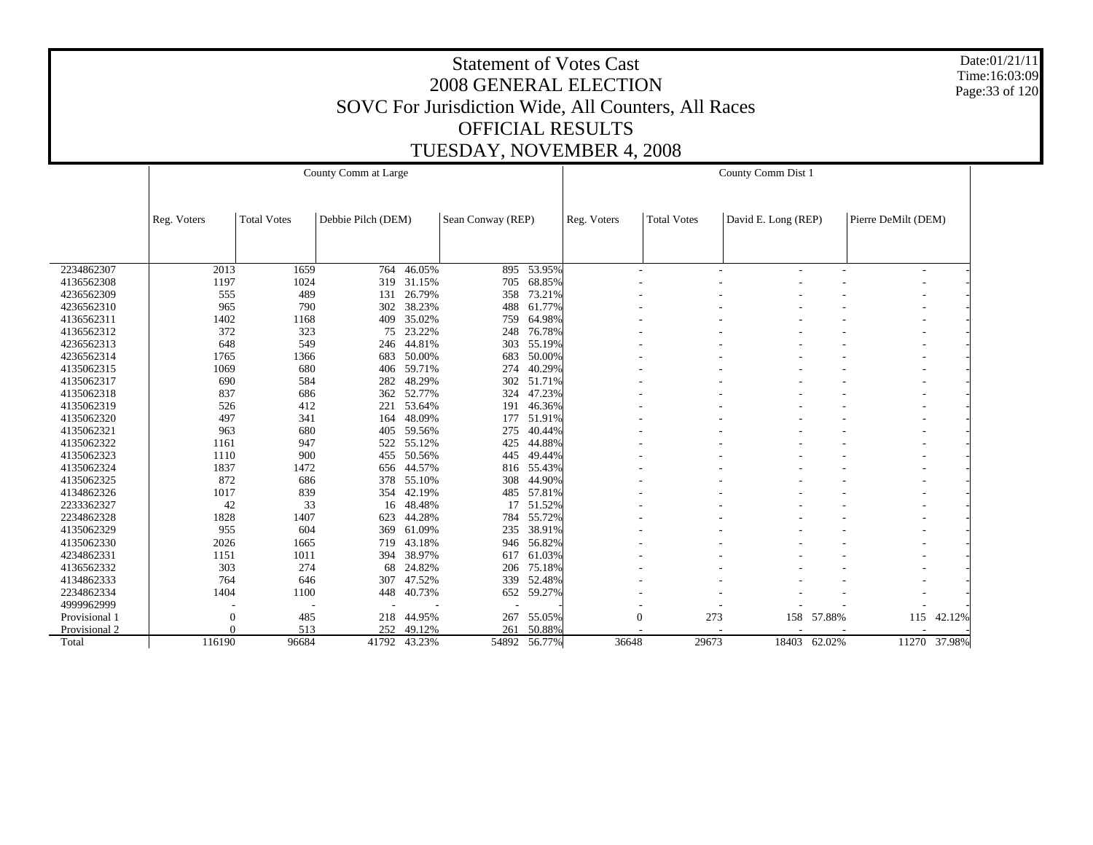Date:01/21/11 Time:16:03:09 Page:33 of 120

|               |              |                    | County Comm at Large |        |                   |            | County Comm Dist 1 |                    |                     |              |                     |              |  |  |
|---------------|--------------|--------------------|----------------------|--------|-------------------|------------|--------------------|--------------------|---------------------|--------------|---------------------|--------------|--|--|
|               | Reg. Voters  | <b>Total Votes</b> | Debbie Pilch (DEM)   |        | Sean Conway (REP) |            | Reg. Voters        | <b>Total Votes</b> | David E. Long (REP) |              | Pierre DeMilt (DEM) |              |  |  |
|               |              |                    |                      |        |                   |            |                    |                    |                     |              |                     |              |  |  |
| 2234862307    | 2013         | 1659               | 764                  | 46.05% | 895               | 53.95%     |                    |                    | ٠                   | ٠            |                     |              |  |  |
| 4136562308    | 1197         | 1024               | 319                  | 31.15% | 705               | 68.85%     |                    |                    |                     |              |                     |              |  |  |
| 4236562309    | 555          | 489                | 131                  | 26.79% | 358               | 73.21%     |                    |                    |                     |              |                     |              |  |  |
| 4236562310    | 965          | 790                | 302                  | 38.23% | 488               | 61.77%     |                    |                    |                     |              |                     |              |  |  |
| 4136562311    | 1402         | 1168               | 409                  | 35.02% | 759               | 64.98%     |                    |                    |                     |              |                     |              |  |  |
| 4136562312    | 372          | 323                | 75                   | 23.22% | 248               | 76.78%     |                    |                    |                     |              |                     |              |  |  |
| 4236562313    | 648          | 549                | 246                  | 44.81% | 303               | 55.19%     |                    |                    |                     |              |                     |              |  |  |
| 4236562314    | 1765         | 1366               | 683                  | 50.00% | 683               | 50.00%     |                    |                    |                     |              |                     |              |  |  |
| 4135062315    | 1069         | 680                | 406                  | 59.71% | 274               | 40.29%     |                    |                    |                     |              |                     |              |  |  |
| 4135062317    | 690          | 584                | 282                  | 48.29% | 302               | 51.71%     |                    |                    |                     |              |                     |              |  |  |
| 4135062318    | 837          | 686                | 362                  | 52.77% | 324               | 47.23%     |                    |                    |                     |              |                     |              |  |  |
| 4135062319    | 526          | 412                | 221                  | 53.64% | 191               | 46.36%     |                    |                    |                     |              |                     |              |  |  |
| 4135062320    | 497          | 341                | 164                  | 48.09% | 177               | 51.91%     |                    |                    |                     |              |                     |              |  |  |
| 4135062321    | 963          | 680                | 405                  | 59.56% | 275               | 40.44%     |                    |                    |                     |              |                     |              |  |  |
| 4135062322    | 1161         | 947                | 522                  | 55.12% | 425               | 44.88%     |                    |                    |                     |              |                     |              |  |  |
| 4135062323    | 1110         | 900                | 455                  | 50.56% | 445               | 49.44%     |                    |                    |                     |              |                     |              |  |  |
| 4135062324    | 1837         | 1472               | 656                  | 44.57% |                   | 816 55.43% |                    |                    |                     |              |                     |              |  |  |
| 4135062325    | 872          | 686                | 378                  | 55.10% | 308               | 44.90%     |                    |                    |                     |              |                     |              |  |  |
| 4134862326    | 1017         | 839                | 354                  | 42.19% | 485               | 57.81%     |                    |                    |                     |              |                     |              |  |  |
| 2233362327    | 42           | 33                 | 16                   | 48.48% | 17                | 51.52%     |                    |                    |                     |              |                     |              |  |  |
| 2234862328    | 1828         | 1407               | 623                  | 44.28% | 784               | 55.72%     |                    |                    |                     |              |                     |              |  |  |
| 4135062329    | 955          | 604                | 369                  | 61.09% | 235               | 38.91%     |                    |                    |                     |              |                     |              |  |  |
| 4135062330    | 2026         | 1665               | 719                  | 43.18% | 946               | 56.82%     |                    |                    |                     |              |                     |              |  |  |
| 4234862331    | 1151         | 1011               | 394                  | 38.97% | 617               | 61.03%     |                    |                    |                     |              |                     |              |  |  |
| 4136562332    | 303          | 274                | 68                   | 24.82% | 206               | 75.18%     |                    |                    |                     |              |                     |              |  |  |
| 4134862333    | 764          | 646                | 307                  | 47.52% | 339               | 52.48%     |                    |                    |                     |              |                     |              |  |  |
| 2234862334    | 1404         | 1100               | 448                  | 40.73% | 652               | 59.27%     |                    |                    |                     |              |                     |              |  |  |
| 4999962999    |              |                    |                      |        |                   |            |                    |                    |                     |              |                     |              |  |  |
| Provisional 1 | $\mathbf{0}$ | 485                | 218                  | 44.95% | 267               | 55.05%     |                    | $\boldsymbol{0}$   | 273<br>158          | 57.88%       | 115                 | 42.12%       |  |  |
| Provisional 2 |              | 513                | 252                  | 49.12% | 261               | 50.88%     |                    |                    |                     |              |                     |              |  |  |
| Total         | 116190       | 96684              | 41792                | 43.23% | 54892             | 56.77%     | 36648              | 29673              |                     | 18403 62.02% |                     | 11270 37.98% |  |  |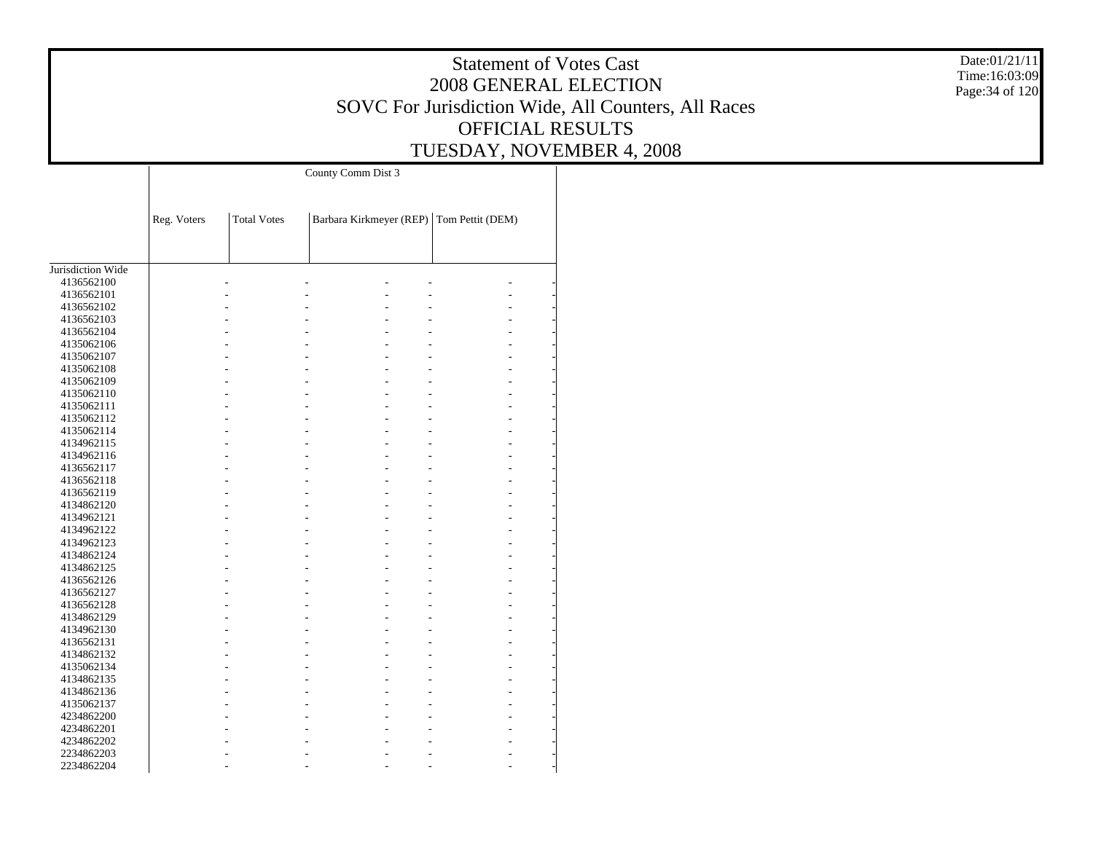Date:01/21/11 Time:16:03:09 Page:34 of 120

|                   |             |                    | County Comm Dist 3                       |  |
|-------------------|-------------|--------------------|------------------------------------------|--|
|                   |             |                    |                                          |  |
|                   | Reg. Voters | <b>Total Votes</b> | Barbara Kirkmeyer (REP) Tom Pettit (DEM) |  |
|                   |             |                    |                                          |  |
|                   |             |                    |                                          |  |
| Jurisdiction Wide |             |                    |                                          |  |
| 4136562100        |             |                    |                                          |  |
| 4136562101        |             |                    |                                          |  |
| 4136562102        |             |                    |                                          |  |
| 4136562103        |             |                    |                                          |  |
| 4136562104        |             |                    |                                          |  |
| 4135062106        |             |                    |                                          |  |
| 4135062107        |             |                    |                                          |  |
| 4135062108        |             |                    |                                          |  |
| 4135062109        |             |                    |                                          |  |
| 4135062110        |             |                    |                                          |  |
| 4135062111        |             |                    |                                          |  |
| 4135062112        |             |                    |                                          |  |
| 4135062114        |             |                    |                                          |  |
| 4134962115        |             |                    |                                          |  |
| 4134962116        |             |                    |                                          |  |
| 4136562117        |             |                    |                                          |  |
| 4136562118        |             |                    |                                          |  |
| 4136562119        |             |                    |                                          |  |
| 4134862120        |             |                    |                                          |  |
| 4134962121        |             |                    |                                          |  |
| 4134962122        |             |                    |                                          |  |
| 4134962123        |             |                    |                                          |  |
| 4134862124        |             |                    |                                          |  |
| 4134862125        |             |                    |                                          |  |
| 4136562126        |             |                    |                                          |  |
| 4136562127        |             |                    |                                          |  |
| 4136562128        |             |                    |                                          |  |
| 4134862129        |             |                    |                                          |  |
| 4134962130        |             |                    |                                          |  |
| 4136562131        |             |                    |                                          |  |
| 4134862132        |             |                    |                                          |  |
| 4135062134        |             |                    |                                          |  |
| 4134862135        |             |                    |                                          |  |
| 4134862136        |             |                    |                                          |  |
| 4135062137        |             |                    |                                          |  |
| 4234862200        |             |                    |                                          |  |
| 4234862201        |             |                    |                                          |  |
| 4234862202        |             |                    |                                          |  |
| 2234862203        |             |                    |                                          |  |
| 2234862204        |             |                    |                                          |  |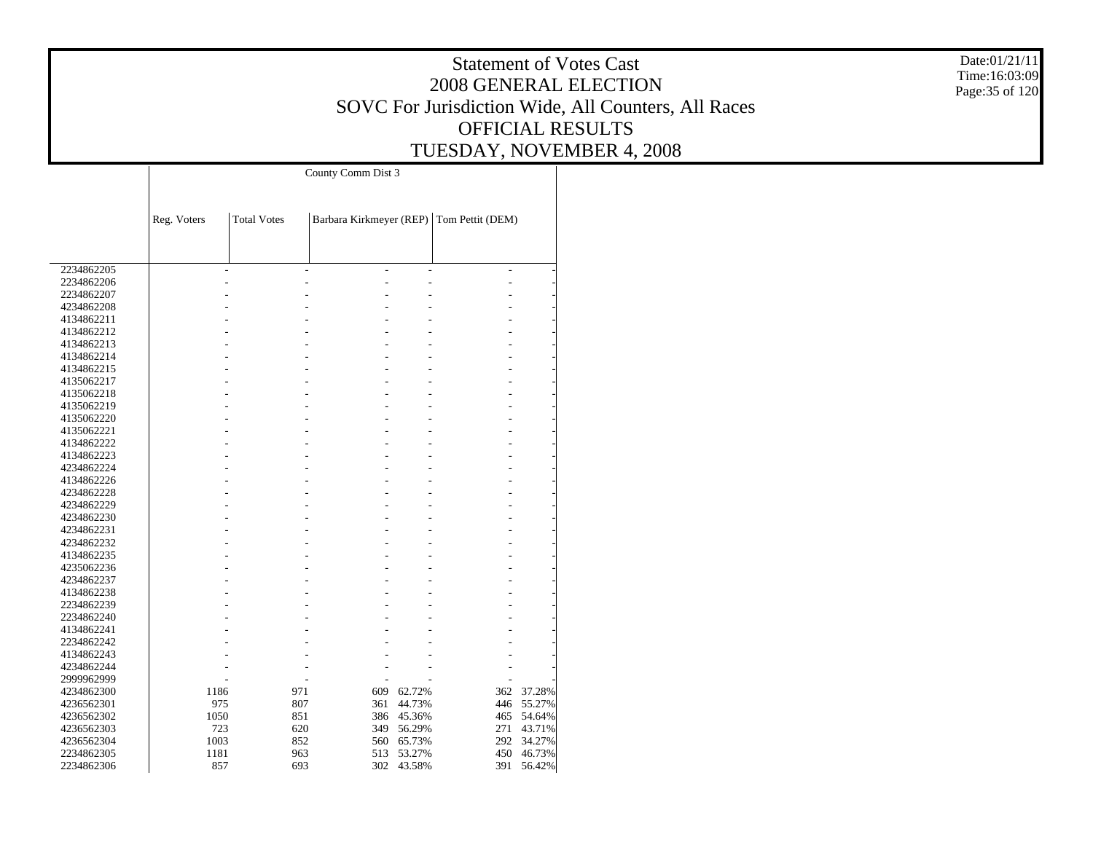Date:01/21/11 Time:16:03:09 Page:35 of 120

|            |             |                    | County Comm Dist 3 |                |                                          |        |
|------------|-------------|--------------------|--------------------|----------------|------------------------------------------|--------|
|            |             |                    |                    |                |                                          |        |
|            |             |                    |                    |                |                                          |        |
|            | Reg. Voters | <b>Total Votes</b> |                    |                | Barbara Kirkmeyer (REP) Tom Pettit (DEM) |        |
|            |             |                    |                    |                |                                          |        |
|            |             |                    |                    |                |                                          |        |
|            |             |                    |                    |                |                                          |        |
| 2234862205 | L,          | $\overline{a}$     | L                  | $\overline{a}$ | $\overline{a}$                           |        |
| 2234862206 |             |                    |                    |                |                                          |        |
| 2234862207 |             |                    |                    |                |                                          |        |
| 4234862208 |             |                    |                    |                |                                          |        |
| 4134862211 |             |                    |                    |                |                                          |        |
| 4134862212 |             |                    |                    |                |                                          |        |
| 4134862213 |             |                    |                    |                |                                          |        |
| 4134862214 |             |                    |                    |                |                                          |        |
| 4134862215 |             |                    |                    |                |                                          |        |
| 4135062217 |             |                    |                    |                |                                          |        |
| 4135062218 |             |                    |                    |                |                                          |        |
| 4135062219 |             |                    |                    |                |                                          |        |
| 4135062220 |             |                    |                    |                |                                          |        |
| 4135062221 |             |                    |                    |                |                                          |        |
| 4134862222 |             |                    |                    |                |                                          |        |
| 4134862223 |             |                    |                    |                |                                          |        |
| 4234862224 |             |                    |                    |                |                                          |        |
| 4134862226 |             |                    |                    |                |                                          |        |
| 4234862228 |             |                    |                    |                |                                          |        |
| 4234862229 |             |                    |                    |                |                                          |        |
| 4234862230 |             |                    |                    |                |                                          |        |
| 4234862231 |             |                    |                    |                |                                          |        |
| 4234862232 |             |                    |                    |                |                                          |        |
| 4134862235 |             |                    |                    |                |                                          |        |
| 4235062236 |             |                    |                    |                |                                          |        |
| 4234862237 |             |                    |                    |                |                                          |        |
| 4134862238 |             |                    |                    |                |                                          |        |
| 2234862239 |             |                    |                    |                |                                          |        |
| 2234862240 |             |                    |                    |                |                                          |        |
| 4134862241 |             |                    |                    |                |                                          |        |
| 2234862242 |             |                    |                    |                |                                          |        |
| 4134862243 |             |                    |                    |                |                                          |        |
| 4234862244 |             |                    |                    |                |                                          |        |
| 2999962999 |             |                    |                    |                |                                          |        |
| 4234862300 | 1186        | 971                | 609                | 62.72%         | 362                                      | 37.28% |
| 4236562301 | 975         | 807                | 361                | 44.73%         | 446                                      | 55.27% |
| 4236562302 | 1050        | 851                | 386                | 45.36%         | 465                                      | 54.64% |
| 4236562303 | 723         | 620                | 349                | 56.29%         | 271                                      | 43.71% |
| 4236562304 | 1003        | 852                | 560                | 65.73%         | 292                                      | 34.27% |
| 2234862305 | 1181        | 963                | 513                | 53.27%         | 450                                      | 46.73% |
|            | 857         | 693                | 302                | 43.58%         | 391                                      |        |
| 2234862306 |             |                    |                    |                |                                          | 56.42% |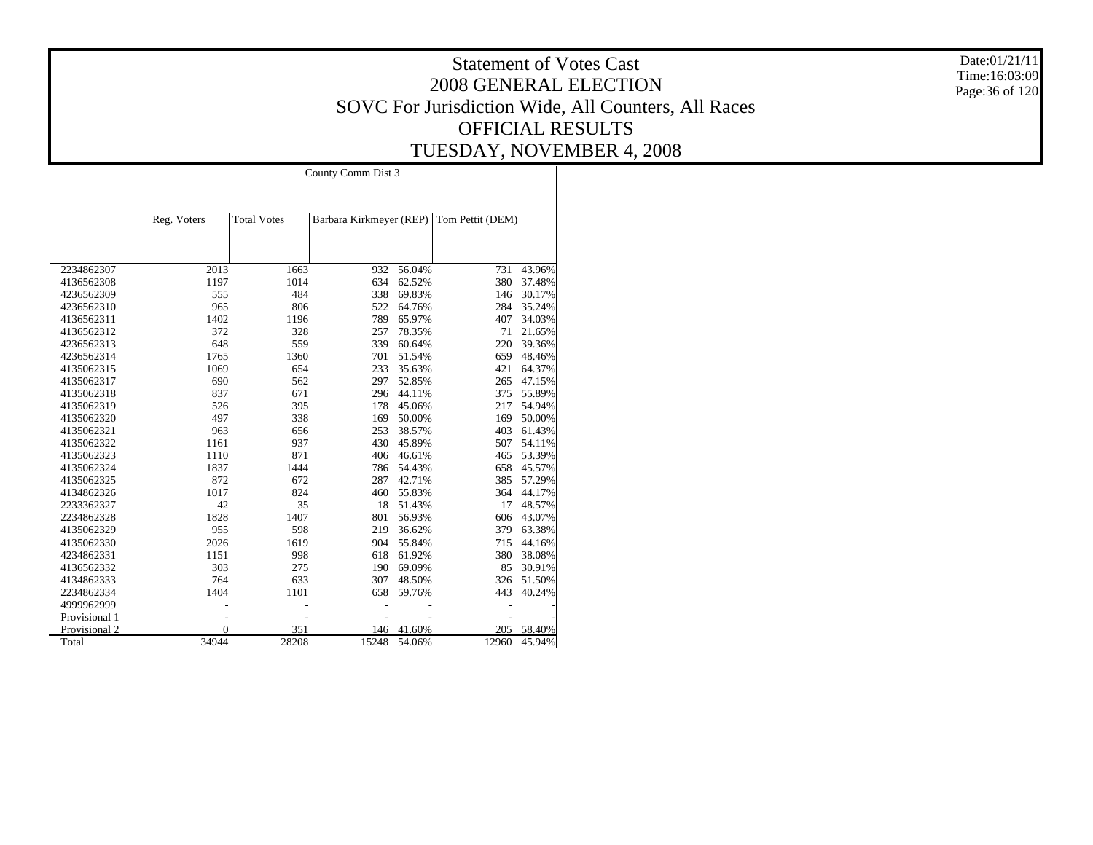Date:01/21/11 Time:16:03:09 Page:36 of 120

# Statement of Votes Cast 2008 GENERAL ELECTION SOVC For Jurisdiction Wide, All Counters, All Races OFFICIAL RESULTS TUESDAY, NOVEMBER 4, 2008

County Comm Dist 3

|               | Reg. Voters  | <b>Total Votes</b> | Barbara Kirkmeyer (REP) |        | Tom Pettit (DEM) |        |
|---------------|--------------|--------------------|-------------------------|--------|------------------|--------|
|               |              |                    |                         |        |                  |        |
|               |              |                    |                         |        |                  |        |
| 2234862307    | 2013         | 1663               | 932                     | 56.04% | 731              | 43.96% |
| 4136562308    | 1197         | 1014               | 634                     | 62.52% | 380              | 37.48% |
| 4236562309    | 555          | 484                | 338                     | 69.83% | 146              | 30.17% |
| 4236562310    | 965          | 806                | 522                     | 64.76% | 284              | 35.24% |
| 4136562311    | 1402         | 1196               | 789                     | 65.97% | 407              | 34.03% |
| 4136562312    | 372          | 328                | 257                     | 78.35% | 71               | 21.65% |
| 4236562313    | 648          | 559                | 339                     | 60.64% | 220              | 39.36% |
| 4236562314    | 1765         | 1360               | 701                     | 51.54% | 659              | 48.46% |
| 4135062315    | 1069         | 654                | 233                     | 35.63% | 421              | 64.37% |
| 4135062317    | 690          | 562                | 297                     | 52.85% | 265              | 47.15% |
| 4135062318    | 837          | 671                | 296                     | 44.11% | 375              | 55.89% |
| 4135062319    | 526          | 395                | 178                     | 45.06% | 217              | 54.94% |
| 4135062320    | 497          | 338                | 169                     | 50.00% | 169              | 50.00% |
| 4135062321    | 963          | 656                | 253                     | 38.57% | 403              | 61.43% |
| 4135062322    | 1161         | 937                | 430                     | 45.89% | 507              | 54.11% |
| 4135062323    | 1110         | 871                | 406                     | 46.61% | 465              | 53.39% |
| 4135062324    | 1837         | 1444               | 786                     | 54.43% | 658              | 45.57% |
| 4135062325    | 872          | 672                | 287                     | 42.71% | 385              | 57.29% |
| 4134862326    | 1017         | 824                | 460                     | 55.83% | 364              | 44.17% |
| 2233362327    | 42           | 35                 | 18                      | 51.43% | 17               | 48.57% |
| 2234862328    | 1828         | 1407               | 801                     | 56.93% | 606              | 43.07% |
| 4135062329    | 955          | 598                | 219                     | 36.62% | 379              | 63.38% |
| 4135062330    | 2026         | 1619               | 904                     | 55.84% | 715              | 44.16% |
| 4234862331    | 1151         | 998                | 618                     | 61.92% | 380              | 38.08% |
| 4136562332    | 303          | 275                | 190                     | 69.09% | 85               | 30.91% |
| 4134862333    | 764          | 633                | 307                     | 48.50% | 326              | 51.50% |
| 2234862334    | 1404         | 1101               | 658                     | 59.76% | 443              | 40.24% |
| 4999962999    |              |                    |                         |        |                  |        |
| Provisional 1 |              |                    |                         |        |                  |        |
| Provisional 2 | $\mathbf{0}$ | 351                | 146                     | 41.60% | 205              | 58.40% |
| Total         | 34944        | 28208              | 15248                   | 54.06% | 12960            | 45.94% |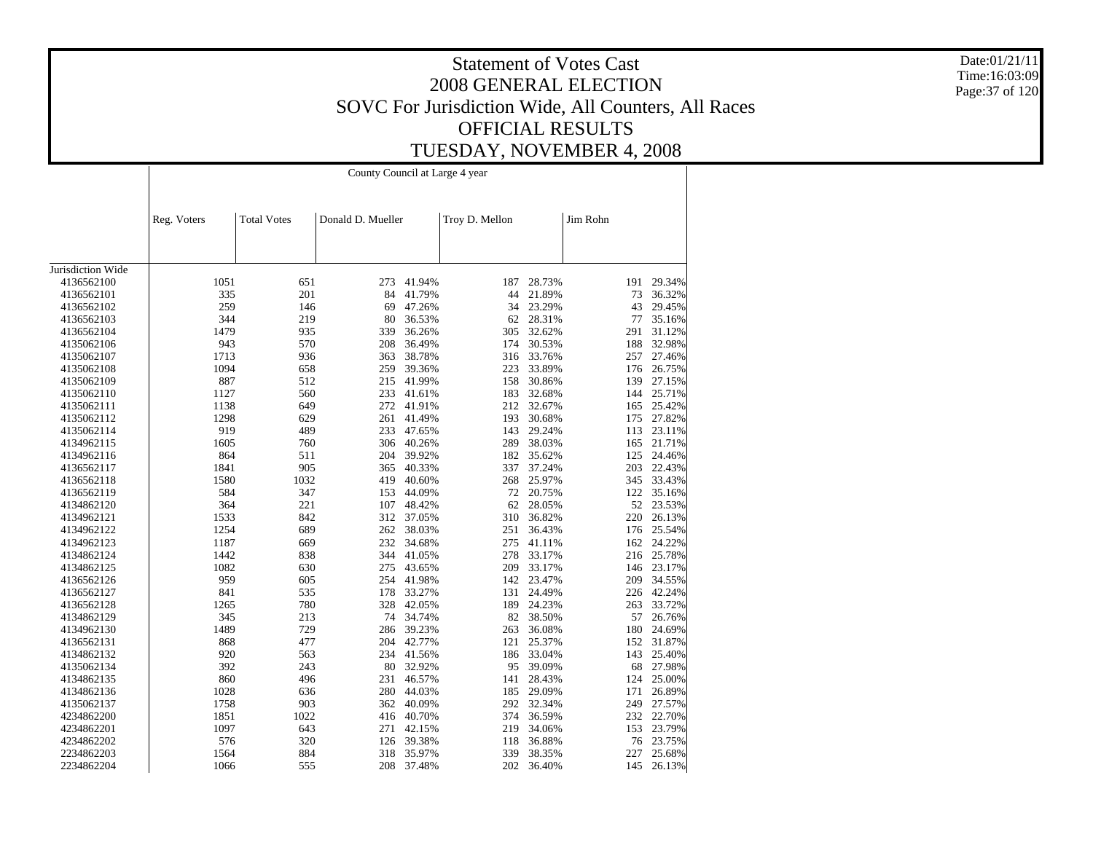Date:01/21/11 Time:16:03:09 Page:37 of 120

| <b>Total Votes</b><br>Donald D. Mueller<br>Troy D. Mellon<br>Jim Rohn<br>Reg. Voters<br>Jurisdiction Wide<br>1051<br>651<br>41.94%<br>187<br>28.73%<br>191<br>4136562100<br>273<br>335<br>201<br>84<br>41.79%<br>44<br>21.89%<br>73<br>4136562101<br>259<br>43<br>146<br>69<br>47.26%<br>34<br>23.29%<br>4136562102<br>344<br>219<br>28.31%<br>77<br>4136562103<br>80<br>36.53%<br>62<br>1479<br>935<br>339<br>36.26%<br>32.62%<br>291<br>4136562104<br>305<br>943<br>570<br>30.53%<br>188<br>4135062106<br>208<br>36.49%<br>174<br>1713<br>936<br>363<br>38.78%<br>316<br>33.76%<br>257<br>4135062107<br>1094<br>658<br>39.36%<br>223<br>33.89%<br>4135062108<br>259<br>176<br>887<br>512<br>41.99%<br>158<br>30.86%<br>139<br>4135062109<br>215<br>560<br>1127<br>233<br>41.61%<br>183<br>32.68%<br>144<br>4135062110<br>649<br>41.91%<br>212<br>32.67%<br>4135062111<br>1138<br>272<br>165<br>1298<br>629<br>261<br>41.49%<br>193<br>30.68%<br>175<br>4135062112<br>919<br>489<br>47.65%<br>29.24%<br>4135062114<br>233<br>143<br>113<br>1605<br>760<br>306<br>40.26%<br>289<br>38.03%<br>165<br>4134962115<br>864<br>511<br>204<br>39.92%<br>182<br>35.62%<br>125<br>4134962116<br>905<br>203<br>1841<br>40.33%<br>337<br>37.24%<br>4136562117<br>365<br>1580<br>40.60%<br>268<br>25.97%<br>345<br>4136562118<br>1032<br>419<br>584<br>347<br>153<br>44.09%<br>72<br>20.75%<br>122<br>4136562119<br>364<br>221<br>48.42%<br>28.05%<br>52<br>4134862120<br>107<br>62<br>1533<br>842<br>312<br>37.05%<br>310<br>36.82%<br>220<br>4134962121<br>1254<br>689<br>262<br>38.03%<br>36.43%<br>4134962122<br>251<br>176<br>1187<br>669<br>232<br>34.68%<br>275<br>41.11%<br>162 24.22%<br>4134962123<br>1442<br>838<br>33.17%<br>344<br>41.05%<br>278<br>216<br>4134862124<br>1082<br>630<br>33.17%<br>146 23.17%<br>4134862125<br>275<br>43.65%<br>209<br>23.47%<br>959<br>605<br>254<br>41.98%<br>142<br>209<br>4136562126<br>841<br>535<br>33.27%<br>24.49%<br>226 42.24%<br>178<br>131<br>4136562127<br>780<br>1265<br>328<br>42.05%<br>24.23%<br>263<br>189<br>4136562128<br>213<br>38.50% |        |
|---------------------------------------------------------------------------------------------------------------------------------------------------------------------------------------------------------------------------------------------------------------------------------------------------------------------------------------------------------------------------------------------------------------------------------------------------------------------------------------------------------------------------------------------------------------------------------------------------------------------------------------------------------------------------------------------------------------------------------------------------------------------------------------------------------------------------------------------------------------------------------------------------------------------------------------------------------------------------------------------------------------------------------------------------------------------------------------------------------------------------------------------------------------------------------------------------------------------------------------------------------------------------------------------------------------------------------------------------------------------------------------------------------------------------------------------------------------------------------------------------------------------------------------------------------------------------------------------------------------------------------------------------------------------------------------------------------------------------------------------------------------------------------------------------------------------------------------------------------------------------------------------------------------------------------------------------------------------------------------------------------------------------------------------------------------------------------------------|--------|
|                                                                                                                                                                                                                                                                                                                                                                                                                                                                                                                                                                                                                                                                                                                                                                                                                                                                                                                                                                                                                                                                                                                                                                                                                                                                                                                                                                                                                                                                                                                                                                                                                                                                                                                                                                                                                                                                                                                                                                                                                                                                                             |        |
|                                                                                                                                                                                                                                                                                                                                                                                                                                                                                                                                                                                                                                                                                                                                                                                                                                                                                                                                                                                                                                                                                                                                                                                                                                                                                                                                                                                                                                                                                                                                                                                                                                                                                                                                                                                                                                                                                                                                                                                                                                                                                             |        |
|                                                                                                                                                                                                                                                                                                                                                                                                                                                                                                                                                                                                                                                                                                                                                                                                                                                                                                                                                                                                                                                                                                                                                                                                                                                                                                                                                                                                                                                                                                                                                                                                                                                                                                                                                                                                                                                                                                                                                                                                                                                                                             |        |
|                                                                                                                                                                                                                                                                                                                                                                                                                                                                                                                                                                                                                                                                                                                                                                                                                                                                                                                                                                                                                                                                                                                                                                                                                                                                                                                                                                                                                                                                                                                                                                                                                                                                                                                                                                                                                                                                                                                                                                                                                                                                                             | 29.34% |
|                                                                                                                                                                                                                                                                                                                                                                                                                                                                                                                                                                                                                                                                                                                                                                                                                                                                                                                                                                                                                                                                                                                                                                                                                                                                                                                                                                                                                                                                                                                                                                                                                                                                                                                                                                                                                                                                                                                                                                                                                                                                                             | 36.32% |
|                                                                                                                                                                                                                                                                                                                                                                                                                                                                                                                                                                                                                                                                                                                                                                                                                                                                                                                                                                                                                                                                                                                                                                                                                                                                                                                                                                                                                                                                                                                                                                                                                                                                                                                                                                                                                                                                                                                                                                                                                                                                                             | 29.45% |
|                                                                                                                                                                                                                                                                                                                                                                                                                                                                                                                                                                                                                                                                                                                                                                                                                                                                                                                                                                                                                                                                                                                                                                                                                                                                                                                                                                                                                                                                                                                                                                                                                                                                                                                                                                                                                                                                                                                                                                                                                                                                                             | 35.16% |
|                                                                                                                                                                                                                                                                                                                                                                                                                                                                                                                                                                                                                                                                                                                                                                                                                                                                                                                                                                                                                                                                                                                                                                                                                                                                                                                                                                                                                                                                                                                                                                                                                                                                                                                                                                                                                                                                                                                                                                                                                                                                                             | 31.12% |
|                                                                                                                                                                                                                                                                                                                                                                                                                                                                                                                                                                                                                                                                                                                                                                                                                                                                                                                                                                                                                                                                                                                                                                                                                                                                                                                                                                                                                                                                                                                                                                                                                                                                                                                                                                                                                                                                                                                                                                                                                                                                                             | 32.98% |
|                                                                                                                                                                                                                                                                                                                                                                                                                                                                                                                                                                                                                                                                                                                                                                                                                                                                                                                                                                                                                                                                                                                                                                                                                                                                                                                                                                                                                                                                                                                                                                                                                                                                                                                                                                                                                                                                                                                                                                                                                                                                                             | 27.46% |
|                                                                                                                                                                                                                                                                                                                                                                                                                                                                                                                                                                                                                                                                                                                                                                                                                                                                                                                                                                                                                                                                                                                                                                                                                                                                                                                                                                                                                                                                                                                                                                                                                                                                                                                                                                                                                                                                                                                                                                                                                                                                                             | 26.75% |
|                                                                                                                                                                                                                                                                                                                                                                                                                                                                                                                                                                                                                                                                                                                                                                                                                                                                                                                                                                                                                                                                                                                                                                                                                                                                                                                                                                                                                                                                                                                                                                                                                                                                                                                                                                                                                                                                                                                                                                                                                                                                                             | 27.15% |
|                                                                                                                                                                                                                                                                                                                                                                                                                                                                                                                                                                                                                                                                                                                                                                                                                                                                                                                                                                                                                                                                                                                                                                                                                                                                                                                                                                                                                                                                                                                                                                                                                                                                                                                                                                                                                                                                                                                                                                                                                                                                                             | 25.71% |
|                                                                                                                                                                                                                                                                                                                                                                                                                                                                                                                                                                                                                                                                                                                                                                                                                                                                                                                                                                                                                                                                                                                                                                                                                                                                                                                                                                                                                                                                                                                                                                                                                                                                                                                                                                                                                                                                                                                                                                                                                                                                                             | 25.42% |
|                                                                                                                                                                                                                                                                                                                                                                                                                                                                                                                                                                                                                                                                                                                                                                                                                                                                                                                                                                                                                                                                                                                                                                                                                                                                                                                                                                                                                                                                                                                                                                                                                                                                                                                                                                                                                                                                                                                                                                                                                                                                                             | 27.82% |
|                                                                                                                                                                                                                                                                                                                                                                                                                                                                                                                                                                                                                                                                                                                                                                                                                                                                                                                                                                                                                                                                                                                                                                                                                                                                                                                                                                                                                                                                                                                                                                                                                                                                                                                                                                                                                                                                                                                                                                                                                                                                                             | 23.11% |
|                                                                                                                                                                                                                                                                                                                                                                                                                                                                                                                                                                                                                                                                                                                                                                                                                                                                                                                                                                                                                                                                                                                                                                                                                                                                                                                                                                                                                                                                                                                                                                                                                                                                                                                                                                                                                                                                                                                                                                                                                                                                                             | 21.71% |
|                                                                                                                                                                                                                                                                                                                                                                                                                                                                                                                                                                                                                                                                                                                                                                                                                                                                                                                                                                                                                                                                                                                                                                                                                                                                                                                                                                                                                                                                                                                                                                                                                                                                                                                                                                                                                                                                                                                                                                                                                                                                                             | 24.46% |
|                                                                                                                                                                                                                                                                                                                                                                                                                                                                                                                                                                                                                                                                                                                                                                                                                                                                                                                                                                                                                                                                                                                                                                                                                                                                                                                                                                                                                                                                                                                                                                                                                                                                                                                                                                                                                                                                                                                                                                                                                                                                                             | 22.43% |
|                                                                                                                                                                                                                                                                                                                                                                                                                                                                                                                                                                                                                                                                                                                                                                                                                                                                                                                                                                                                                                                                                                                                                                                                                                                                                                                                                                                                                                                                                                                                                                                                                                                                                                                                                                                                                                                                                                                                                                                                                                                                                             | 33.43% |
|                                                                                                                                                                                                                                                                                                                                                                                                                                                                                                                                                                                                                                                                                                                                                                                                                                                                                                                                                                                                                                                                                                                                                                                                                                                                                                                                                                                                                                                                                                                                                                                                                                                                                                                                                                                                                                                                                                                                                                                                                                                                                             | 35.16% |
|                                                                                                                                                                                                                                                                                                                                                                                                                                                                                                                                                                                                                                                                                                                                                                                                                                                                                                                                                                                                                                                                                                                                                                                                                                                                                                                                                                                                                                                                                                                                                                                                                                                                                                                                                                                                                                                                                                                                                                                                                                                                                             | 23.53% |
|                                                                                                                                                                                                                                                                                                                                                                                                                                                                                                                                                                                                                                                                                                                                                                                                                                                                                                                                                                                                                                                                                                                                                                                                                                                                                                                                                                                                                                                                                                                                                                                                                                                                                                                                                                                                                                                                                                                                                                                                                                                                                             | 26.13% |
|                                                                                                                                                                                                                                                                                                                                                                                                                                                                                                                                                                                                                                                                                                                                                                                                                                                                                                                                                                                                                                                                                                                                                                                                                                                                                                                                                                                                                                                                                                                                                                                                                                                                                                                                                                                                                                                                                                                                                                                                                                                                                             | 25.54% |
|                                                                                                                                                                                                                                                                                                                                                                                                                                                                                                                                                                                                                                                                                                                                                                                                                                                                                                                                                                                                                                                                                                                                                                                                                                                                                                                                                                                                                                                                                                                                                                                                                                                                                                                                                                                                                                                                                                                                                                                                                                                                                             |        |
|                                                                                                                                                                                                                                                                                                                                                                                                                                                                                                                                                                                                                                                                                                                                                                                                                                                                                                                                                                                                                                                                                                                                                                                                                                                                                                                                                                                                                                                                                                                                                                                                                                                                                                                                                                                                                                                                                                                                                                                                                                                                                             | 25.78% |
|                                                                                                                                                                                                                                                                                                                                                                                                                                                                                                                                                                                                                                                                                                                                                                                                                                                                                                                                                                                                                                                                                                                                                                                                                                                                                                                                                                                                                                                                                                                                                                                                                                                                                                                                                                                                                                                                                                                                                                                                                                                                                             |        |
|                                                                                                                                                                                                                                                                                                                                                                                                                                                                                                                                                                                                                                                                                                                                                                                                                                                                                                                                                                                                                                                                                                                                                                                                                                                                                                                                                                                                                                                                                                                                                                                                                                                                                                                                                                                                                                                                                                                                                                                                                                                                                             | 34.55% |
|                                                                                                                                                                                                                                                                                                                                                                                                                                                                                                                                                                                                                                                                                                                                                                                                                                                                                                                                                                                                                                                                                                                                                                                                                                                                                                                                                                                                                                                                                                                                                                                                                                                                                                                                                                                                                                                                                                                                                                                                                                                                                             |        |
|                                                                                                                                                                                                                                                                                                                                                                                                                                                                                                                                                                                                                                                                                                                                                                                                                                                                                                                                                                                                                                                                                                                                                                                                                                                                                                                                                                                                                                                                                                                                                                                                                                                                                                                                                                                                                                                                                                                                                                                                                                                                                             | 33.72% |
| 345<br>74<br>34.74%<br>82<br>57<br>4134862129                                                                                                                                                                                                                                                                                                                                                                                                                                                                                                                                                                                                                                                                                                                                                                                                                                                                                                                                                                                                                                                                                                                                                                                                                                                                                                                                                                                                                                                                                                                                                                                                                                                                                                                                                                                                                                                                                                                                                                                                                                               | 26.76% |
| 1489<br>729<br>39.23%<br>263<br>36.08%<br>180<br>4134962130<br>286                                                                                                                                                                                                                                                                                                                                                                                                                                                                                                                                                                                                                                                                                                                                                                                                                                                                                                                                                                                                                                                                                                                                                                                                                                                                                                                                                                                                                                                                                                                                                                                                                                                                                                                                                                                                                                                                                                                                                                                                                          | 24.69% |
| 477<br>42.77%<br>25.37%<br>4136562131<br>868<br>204<br>121<br>152                                                                                                                                                                                                                                                                                                                                                                                                                                                                                                                                                                                                                                                                                                                                                                                                                                                                                                                                                                                                                                                                                                                                                                                                                                                                                                                                                                                                                                                                                                                                                                                                                                                                                                                                                                                                                                                                                                                                                                                                                           | 31.87% |
| 920<br>563<br>41.56%<br>33.04%<br>143<br>4134862132<br>234<br>186                                                                                                                                                                                                                                                                                                                                                                                                                                                                                                                                                                                                                                                                                                                                                                                                                                                                                                                                                                                                                                                                                                                                                                                                                                                                                                                                                                                                                                                                                                                                                                                                                                                                                                                                                                                                                                                                                                                                                                                                                           | 25.40% |
| 392<br>243<br>32.92%<br>39.09%<br>68<br>4135062134<br>80<br>95                                                                                                                                                                                                                                                                                                                                                                                                                                                                                                                                                                                                                                                                                                                                                                                                                                                                                                                                                                                                                                                                                                                                                                                                                                                                                                                                                                                                                                                                                                                                                                                                                                                                                                                                                                                                                                                                                                                                                                                                                              | 27.98% |
| 860<br>496<br>231<br>46.57%<br>28.43%<br>124<br>4134862135<br>141                                                                                                                                                                                                                                                                                                                                                                                                                                                                                                                                                                                                                                                                                                                                                                                                                                                                                                                                                                                                                                                                                                                                                                                                                                                                                                                                                                                                                                                                                                                                                                                                                                                                                                                                                                                                                                                                                                                                                                                                                           | 25.00% |
| 1028<br>636<br>280<br>44.03%<br>29.09%<br>4134862136<br>185<br>171                                                                                                                                                                                                                                                                                                                                                                                                                                                                                                                                                                                                                                                                                                                                                                                                                                                                                                                                                                                                                                                                                                                                                                                                                                                                                                                                                                                                                                                                                                                                                                                                                                                                                                                                                                                                                                                                                                                                                                                                                          | 26.89% |
| 1758<br>903<br>40.09%<br>292<br>32.34%<br>249<br>4135062137<br>362                                                                                                                                                                                                                                                                                                                                                                                                                                                                                                                                                                                                                                                                                                                                                                                                                                                                                                                                                                                                                                                                                                                                                                                                                                                                                                                                                                                                                                                                                                                                                                                                                                                                                                                                                                                                                                                                                                                                                                                                                          | 27.57% |
| 1851<br>1022<br>40.70%<br>374<br>36.59%<br>232<br>4234862200<br>416                                                                                                                                                                                                                                                                                                                                                                                                                                                                                                                                                                                                                                                                                                                                                                                                                                                                                                                                                                                                                                                                                                                                                                                                                                                                                                                                                                                                                                                                                                                                                                                                                                                                                                                                                                                                                                                                                                                                                                                                                         | 22.70% |
| 1097<br>42.15%<br>34.06%<br>4234862201<br>643<br>271<br>219<br>153                                                                                                                                                                                                                                                                                                                                                                                                                                                                                                                                                                                                                                                                                                                                                                                                                                                                                                                                                                                                                                                                                                                                                                                                                                                                                                                                                                                                                                                                                                                                                                                                                                                                                                                                                                                                                                                                                                                                                                                                                          | 23.79% |
| 576<br>320<br>39.38%<br>36.88%<br>76<br>4234862202<br>126<br>118                                                                                                                                                                                                                                                                                                                                                                                                                                                                                                                                                                                                                                                                                                                                                                                                                                                                                                                                                                                                                                                                                                                                                                                                                                                                                                                                                                                                                                                                                                                                                                                                                                                                                                                                                                                                                                                                                                                                                                                                                            | 23.75% |
| 884<br>35.97%<br>339<br>38.35%<br>227<br>2234862203<br>1564<br>318                                                                                                                                                                                                                                                                                                                                                                                                                                                                                                                                                                                                                                                                                                                                                                                                                                                                                                                                                                                                                                                                                                                                                                                                                                                                                                                                                                                                                                                                                                                                                                                                                                                                                                                                                                                                                                                                                                                                                                                                                          | 25.68% |
| 555<br>202<br>145<br>2234862204<br>1066<br>208<br>37.48%<br>36.40%                                                                                                                                                                                                                                                                                                                                                                                                                                                                                                                                                                                                                                                                                                                                                                                                                                                                                                                                                                                                                                                                                                                                                                                                                                                                                                                                                                                                                                                                                                                                                                                                                                                                                                                                                                                                                                                                                                                                                                                                                          | 26.13% |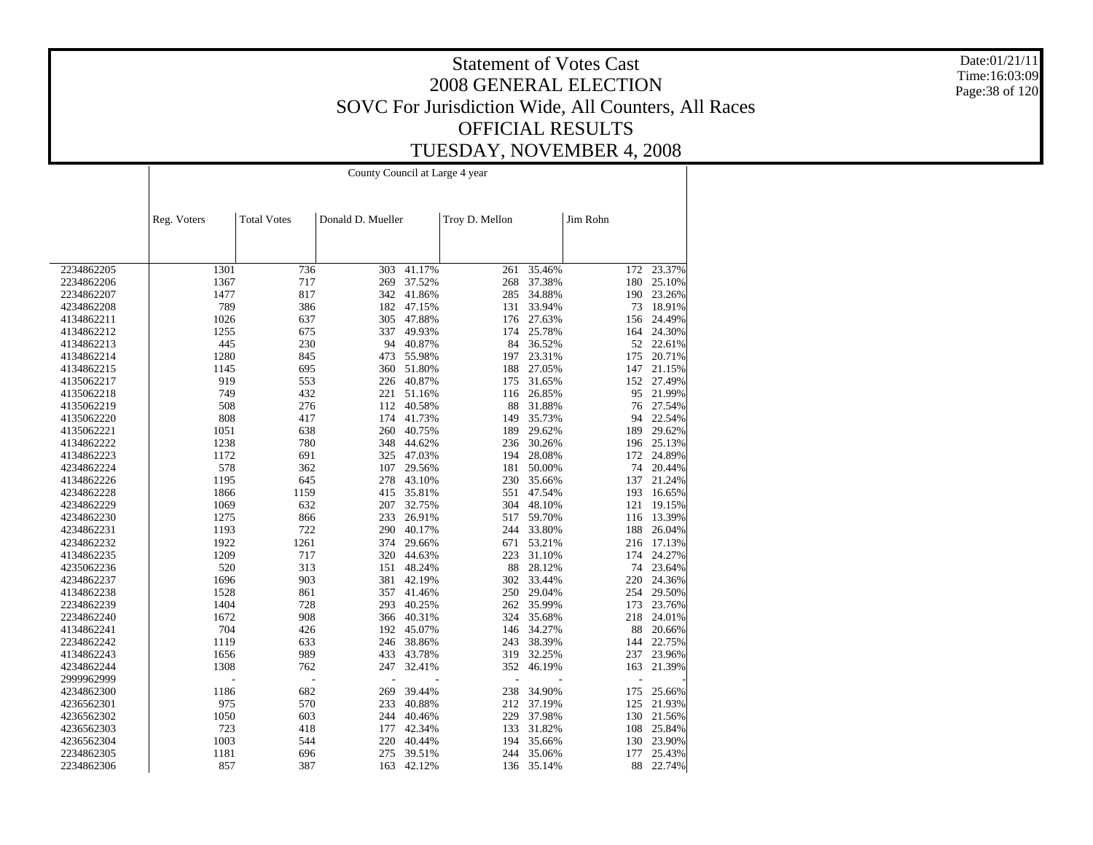Date:01/21/11 Time:16:03:09 Page:38 of 120

|            |             | County Council at Large 4 year |                   |        |                |        |          |            |  |  |
|------------|-------------|--------------------------------|-------------------|--------|----------------|--------|----------|------------|--|--|
|            | Reg. Voters | <b>Total Votes</b>             | Donald D. Mueller |        | Troy D. Mellon |        | Jim Rohn |            |  |  |
|            |             |                                |                   |        |                |        |          |            |  |  |
|            |             |                                |                   |        |                |        |          |            |  |  |
| 2234862205 | 1301        | 736                            | 303               | 41.17% | 261            | 35.46% | 172      | 23.37%     |  |  |
| 2234862206 | 1367        | 717                            | 269               | 37.52% | 268            | 37.38% | 180      | 25.10%     |  |  |
| 2234862207 | 1477        | 817                            | 342               | 41.86% | 285            | 34.88% |          | 190 23.26% |  |  |
| 4234862208 | 789         | 386                            | 182               | 47.15% | 131            | 33.94% | 73       | 18.91%     |  |  |
| 4134862211 | 1026        | 637                            | 305               | 47.88% | 176            | 27.63% | 156      | 24.49%     |  |  |
| 4134862212 | 1255        | 675                            | 337               | 49.93% | 174            | 25.78% | 164      | 24.30%     |  |  |
| 4134862213 | 445         | 230                            | 94                | 40.87% | 84             | 36.52% | 52       | 22.61%     |  |  |
| 4134862214 | 1280        | 845                            | 473               | 55.98% | 197            | 23.31% | 175      | 20.71%     |  |  |
| 4134862215 | 1145        | 695                            | 360               | 51.80% | 188            | 27.05% | 147      | 21.15%     |  |  |
| 4135062217 | 919         | 553                            | 226               | 40.87% | 175            | 31.65% |          | 152 27.49% |  |  |
| 4135062218 | 749         | 432                            | 221               | 51.16% | 116            | 26.85% | 95       | 21.99%     |  |  |
| 4135062219 | 508         | 276                            | 112               | 40.58% | 88             | 31.88% | 76       | 27.54%     |  |  |
|            | 808         | 417                            | 174               | 41.73% |                | 35.73% | 94       | 22.54%     |  |  |
| 4135062220 |             |                                |                   |        | 149            |        |          |            |  |  |
| 4135062221 | 1051        | 638                            | 260               | 40.75% | 189            | 29.62% | 189      | 29.62%     |  |  |
| 4134862222 | 1238        | 780                            | 348               | 44.62% | 236            | 30.26% | 196      | 25.13%     |  |  |
| 4134862223 | 1172        | 691                            | 325               | 47.03% | 194            | 28.08% |          | 172 24.89% |  |  |
| 4234862224 | 578         | 362                            | 107               | 29.56% | 181            | 50.00% | 74       | 20.44%     |  |  |
| 4134862226 | 1195        | 645                            | 278               | 43.10% | 230            | 35.66% | 137      | 21.24%     |  |  |
| 4234862228 | 1866        | 1159                           | 415               | 35.81% | 551            | 47.54% | 193      | 16.65%     |  |  |
| 4234862229 | 1069        | 632                            | 207               | 32.75% | 304            | 48.10% | 121      | 19.15%     |  |  |
| 4234862230 | 1275        | 866                            | 233               | 26.91% | 517            | 59.70% |          | 116 13.39% |  |  |
| 4234862231 | 1193        | 722                            | 290               | 40.17% | 244            | 33.80% | 188      | 26.04%     |  |  |
| 4234862232 | 1922        | 1261                           | 374               | 29.66% | 671            | 53.21% | 216      | 17.13%     |  |  |
| 4134862235 | 1209        | 717                            | 320               | 44.63% | 223            | 31.10% | 174      | 24.27%     |  |  |
| 4235062236 | 520         | 313                            | 151               | 48.24% | 88             | 28.12% |          | 74 23.64%  |  |  |
| 4234862237 | 1696        | 903                            | 381               | 42.19% | 302            | 33.44% |          | 220 24.36% |  |  |
| 4134862238 | 1528        | 861                            | 357               | 41.46% | 250            | 29.04% |          | 254 29.50% |  |  |
| 2234862239 | 1404        | 728                            | 293               | 40.25% | 262            | 35.99% | 173      | 23.76%     |  |  |
| 2234862240 | 1672        | 908                            | 366               | 40.31% | 324            | 35.68% | 218      | 24.01%     |  |  |
| 4134862241 | 704         | 426                            | 192               | 45.07% | 146            | 34.27% | 88       | 20.66%     |  |  |
| 2234862242 | 1119        | 633                            | 246               | 38.86% | 243            | 38.39% | 144      | 22.75%     |  |  |
|            | 1656        | 989                            | 433               | 43.78% | 319            | 32.25% |          | 237 23.96% |  |  |
| 4134862243 | 1308        |                                |                   |        | 352            |        |          |            |  |  |
| 4234862244 |             | 762                            | 247               | 32.41% |                | 46.19% | 163      | 21.39%     |  |  |
| 2999962999 |             |                                |                   |        | Ĭ.             |        |          |            |  |  |
| 4234862300 | 1186        | 682                            | 269               | 39.44% | 238            | 34.90% | 175      | 25.66%     |  |  |
| 4236562301 | 975         | 570                            | 233               | 40.88% | 212            | 37.19% | 125      | 21.93%     |  |  |
| 4236562302 | 1050        | 603                            | 244               | 40.46% | 229            | 37.98% | 130      | 21.56%     |  |  |
| 4236562303 | 723         | 418                            | 177               | 42.34% | 133            | 31.82% |          | 108 25.84% |  |  |
| 4236562304 | 1003        | 544                            | 220               | 40.44% | 194            | 35.66% | 130      | 23.90%     |  |  |
| 2234862305 | 1181        | 696                            | 275               | 39.51% | 244            | 35.06% | 177      | 25.43%     |  |  |
| 2234862306 | 857         | 387                            | 163               | 42.12% | 136            | 35.14% | 88       | 22.74%     |  |  |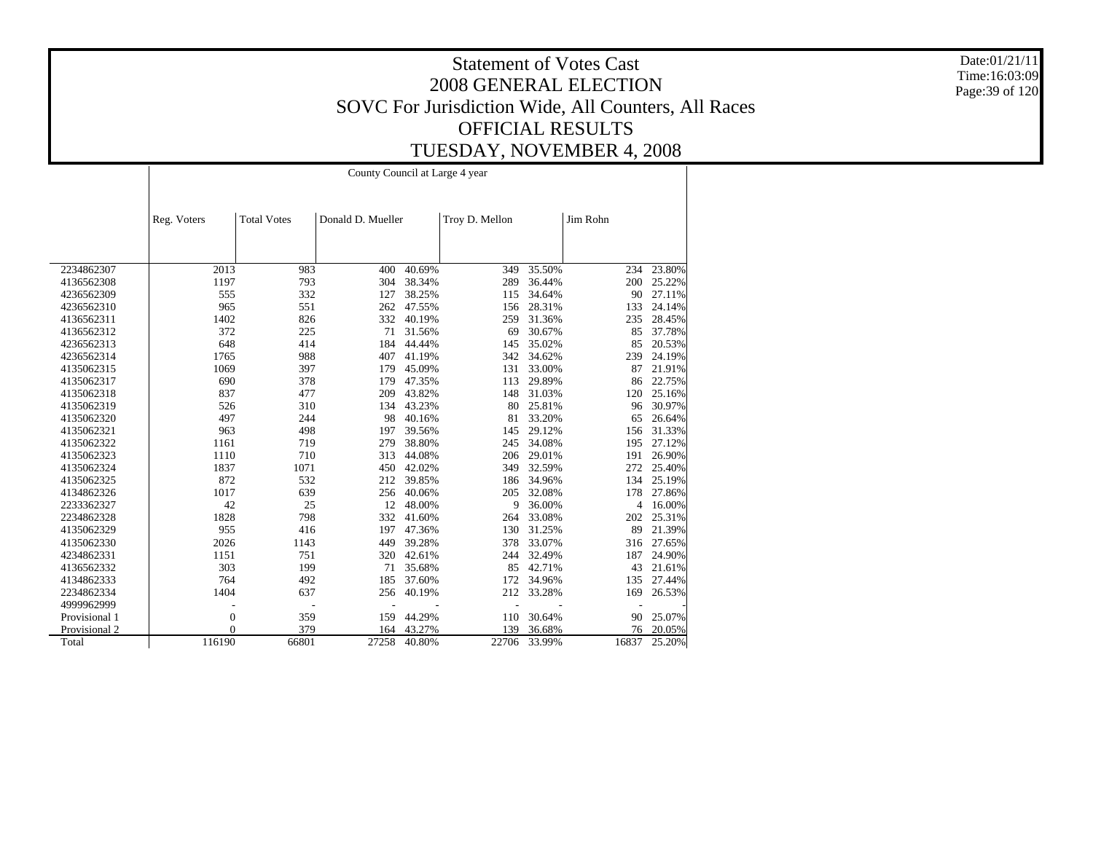Date:01/21/11 Time:16:03:09 Page:39 of 120

|               |             |                    | County Council at Large 4 year |        |                |        |                |        |
|---------------|-------------|--------------------|--------------------------------|--------|----------------|--------|----------------|--------|
|               | Reg. Voters | <b>Total Votes</b> | Donald D. Mueller              |        | Troy D. Mellon |        | Jim Rohn       |        |
|               |             |                    |                                |        |                |        |                |        |
| 2234862307    | 2013        | 983                | 400                            | 40.69% | 349            | 35.50% | 234            | 23.80% |
| 4136562308    | 1197        | 793                | 304                            | 38.34% | 289            | 36.44% | 200            | 25.22% |
| 4236562309    | 555         | 332                | 127                            | 38.25% | 115            | 34.64% | 90             | 27.11% |
| 4236562310    | 965         | 551                | 262                            | 47.55% | 156            | 28.31% | 133            | 24.14% |
| 4136562311    | 1402        | 826                | 332                            | 40.19% | 259            | 31.36% | 235            | 28.45% |
| 4136562312    | 372         | 225                | 71                             | 31.56% | 69             | 30.67% | 85             | 37.78% |
| 4236562313    | 648         | 414                | 184                            | 44.44% | 145            | 35.02% | 85             | 20.53% |
| 4236562314    | 1765        | 988                | 407                            | 41.19% | 342            | 34.62% | 239            | 24.19% |
| 4135062315    | 1069        | 397                | 179                            | 45.09% | 131            | 33.00% | 87             | 21.91% |
| 4135062317    | 690         | 378                | 179                            | 47.35% | 113            | 29.89% | 86             | 22.75% |
| 4135062318    | 837         | 477                | 209                            | 43.82% | 148            | 31.03% | 120            | 25.16% |
| 4135062319    | 526         | 310                | 134                            | 43.23% | 80             | 25.81% | 96             | 30.97% |
| 4135062320    | 497         | 244                | 98                             | 40.16% | 81             | 33.20% | 65             | 26.64% |
| 4135062321    | 963         | 498                | 197                            | 39.56% | 145            | 29.12% | 156            | 31.33% |
| 4135062322    | 1161        | 719                | 279                            | 38.80% | 245            | 34.08% | 195            | 27.12% |
| 4135062323    | 1110        | 710                | 313                            | 44.08% | 206            | 29.01% | 191            | 26.90% |
| 4135062324    | 1837        | 1071               | 450                            | 42.02% | 349            | 32.59% | 272            | 25.40% |
| 4135062325    | 872         | 532                | 212                            | 39.85% | 186            | 34.96% | 134            | 25.19% |
| 4134862326    | 1017        | 639                | 256                            | 40.06% | 205            | 32.08% | 178            | 27.86% |
| 2233362327    | 42          | 25                 | 12                             | 48.00% | 9              | 36.00% | $\overline{4}$ | 16.00% |
| 2234862328    | 1828        | 798                | 332                            | 41.60% | 264            | 33.08% | 202            | 25.31% |
| 4135062329    | 955         | 416                | 197                            | 47.36% | 130            | 31.25% | 89             | 21.39% |
| 4135062330    | 2026        | 1143               | 449                            | 39.28% | 378            | 33.07% | 316            | 27.65% |
| 4234862331    | 1151        | 751                | 320                            | 42.61% | 244            | 32.49% | 187            | 24.90% |
| 4136562332    | 303         | 199                | 71                             | 35.68% | 85             | 42.71% | 43             | 21.61% |
| 4134862333    | 764         | 492                | 185                            | 37.60% | 172            | 34.96% | 135            | 27.44% |
| 2234862334    | 1404        | 637                | 256                            | 40.19% | 212            | 33.28% | 169            | 26.53% |
| 4999962999    |             |                    |                                |        |                |        |                |        |
| Provisional 1 | 0           | 359                | 159                            | 44.29% | 110            | 30.64% | 90             | 25.07% |
| Provisional 2 | $\theta$    | 379                | 164                            | 43.27% | 139            | 36.68% | 76             | 20.05% |
| Total         | 116190      | 66801              | 27258                          | 40.80% | 22706          | 33.99% | 16837          | 25.20% |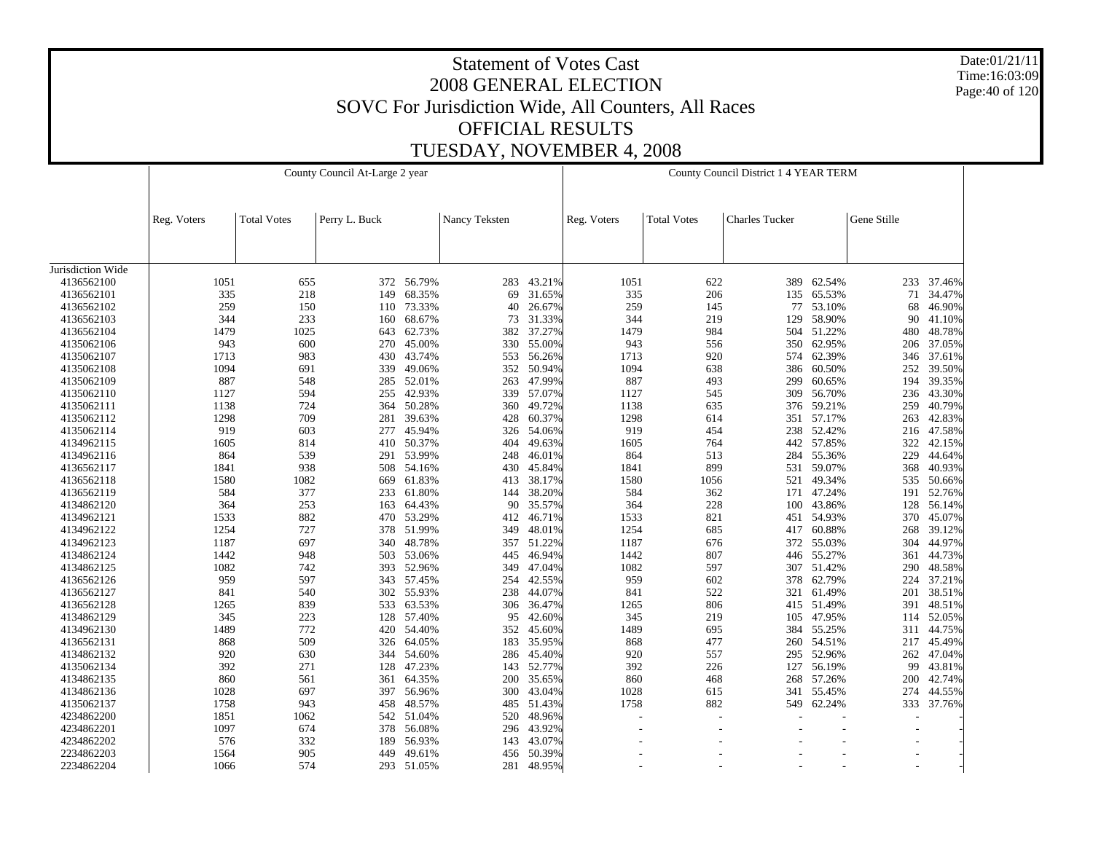Date:01/21/11 Time:16:03:09 Page:40 of 120

|                   |             |                    | County Council At-Large 2 year |            |               |        |             |                    | County Council District 1 4 YEAR TERM |            |             |            |
|-------------------|-------------|--------------------|--------------------------------|------------|---------------|--------|-------------|--------------------|---------------------------------------|------------|-------------|------------|
|                   | Reg. Voters | <b>Total Votes</b> | Perry L. Buck                  |            | Nancy Teksten |        | Reg. Voters | <b>Total Votes</b> | <b>Charles Tucker</b>                 |            | Gene Stille |            |
|                   |             |                    |                                |            |               |        |             |                    |                                       |            |             |            |
| Jurisdiction Wide |             |                    |                                |            |               |        |             |                    |                                       |            |             |            |
| 4136562100        | 1051        | 655                | 372                            | 56.79%     | 283           | 43.21% | 1051        | 622                | 389                                   | 62.54%     |             | 233 37.46% |
| 4136562101        | 335         | 218                | 149                            | 68.35%     | 69            | 31.65% | 335         | 206                | 135                                   | 65.53%     | 71          | 34.47%     |
| 4136562102        | 259         | 150                | 110                            | 73.33%     | 40            | 26.67% | 259         | 145                | 77                                    | 53.10%     | 68          | 46.90%     |
| 4136562103        | 344         | 233                | 160                            | 68.67%     | 73            | 31.33% | 344         | 219                | 129                                   | 58.90%     | 90          | 41.10%     |
| 4136562104        | 1479        | 1025               | 643                            | 62.73%     | 382           | 37.27% | 1479        | 984                | 504                                   | 51.22%     | 480         | 48.78%     |
| 4135062106        | 943         | 600                | 270                            | 45.00%     | 330           | 55.00% | 943         | 556                | 350                                   | 62.95%     | 206         | 37.05%     |
| 4135062107        | 1713        | 983                | 430                            | 43.74%     | 553           | 56.26% | 1713        | 920                | 574                                   | 62.39%     | 346         | 37.61%     |
| 4135062108        | 1094        | 691                | 339                            | 49.06%     | 352           | 50.94% | 1094        | 638                | 386                                   | 60.50%     | 252         | 39.50%     |
| 4135062109        | 887         | 548                | 285                            | 52.01%     | 263           | 47.99% | 887         | 493                | 299                                   | 60.65%     | 194         | 39.35%     |
| 4135062110        | 1127        | 594                | 255                            | 42.93%     | 339           | 57.07% | 1127        | 545                | 309                                   | 56.70%     | 236         | 43.30%     |
| 4135062111        | 1138        | 724                | 364                            | 50.28%     | 360           | 49.72% | 1138        | 635                | 376                                   | 59.21%     | 259         | 40.79%     |
| 4135062112        | 1298        | 709                | 281                            | 39.63%     | 428           | 60.37% | 1298        | 614                | 351                                   | 57.17%     | 263         | 42.83%     |
| 4135062114        | 919         | 603                | 277                            | 45.94%     | 326           | 54.06% | 919         | 454                | 238                                   | 52.42%     | 216         | 47.58%     |
| 4134962115        | 1605        | 814                | 410                            | 50.37%     | 404           | 49.63% | 1605        | 764                | 442                                   | 57.85%     | 322         | 42.15%     |
| 4134962116        | 864         | 539                | 291                            | 53.99%     | 248           | 46.01% | 864         | 513                | 284                                   | 55.36%     | 229         | 44.64%     |
| 4136562117        | 1841        | 938                | 508                            | 54.16%     | 430           | 45.84% | 1841        | 899                | 531                                   | 59.07%     | 368         | 40.93%     |
| 4136562118        | 1580        | 1082               | 669                            | 61.83%     | 413           | 38.17% | 1580        | 1056               | 521                                   | 49.34%     | 535         | 50.66%     |
| 4136562119        | 584         | 377                | 233                            | 61.80%     | 144           | 38.20% | 584         | 362                | 171                                   | 47.24%     | 191         | 52.76%     |
| 4134862120        | 364         | 253                | 163                            | 64.43%     | 90            | 35.57% | 364         | 228                | 100                                   | 43.86%     | 128         | 56.14%     |
| 4134962121        | 1533        | 882                | 470                            | 53.29%     | 412           | 46.71% | 1533        | 821                | 451                                   | 54.93%     | 370         | 45.07%     |
| 4134962122        | 1254        | 727                | 378                            | 51.99%     | 349           | 48.01% | 1254        | 685                | 417                                   | 60.88%     | 268         | 39.12%     |
| 4134962123        | 1187        | 697                | 340                            | 48.78%     | 357           | 51.22% | 1187        | 676                | 372                                   | 55.03%     | 304         | 44.97%     |
| 4134862124        | 1442        | 948                | 503                            | 53.06%     | 445           | 46.94% | 1442        | 807                | 446                                   | 55.27%     | 361         | 44.73%     |
| 4134862125        | 1082        | 742                | 393                            | 52.96%     | 349           | 47.04% | 1082        | 597                | 307                                   | 51.42%     | 290         | 48.58%     |
| 4136562126        | 959         | 597                | 343                            | 57.45%     | 254           | 42.55% | 959         | 602                | 378                                   | 62.79%     |             | 224 37.21% |
| 4136562127        | 841         | 540                | 302                            | 55.93%     | 238           | 44.07% | 841         | 522                | 321                                   | 61.49%     | 201         | 38.51%     |
| 4136562128        | 1265        | 839                | 533                            | 63.53%     | 306           | 36.47% | 1265        | 806                |                                       | 415 51.49% | 391         | 48.51%     |
| 4134862129        | 345         | 223                | 128                            | 57.40%     | 95            | 42.60% | 345         | 219                | 105                                   | 47.95%     | 114         | 52.05%     |
| 4134962130        | 1489        | 772                | 420                            | 54.40%     | 352           | 45.60% | 1489        | 695                | 384                                   | 55.25%     |             | 311 44.75% |
| 4136562131        | 868         | 509                | 326                            | 64.05%     | 183           | 35.95% | 868         | 477                | 260                                   | 54.51%     | 217         | 45.49%     |
| 4134862132        | 920         | 630                | 344                            | 54.60%     | 286           | 45.40% | 920         | 557                | 295                                   | 52.96%     | 262         | 47.04%     |
| 4135062134        | 392         | 271                | 128                            | 47.23%     | 143           | 52.77% | 392         | 226                | 127                                   | 56.19%     | 99          | 43.81%     |
| 4134862135        | 860         | 561                | 361                            | 64.35%     | 200           | 35.65% | 860         | 468                | 268                                   | 57.26%     | 200         | 42.74%     |
| 4134862136        | 1028        | 697                | 397                            | 56.96%     | 300           | 43.04% | 1028        | 615                | 341                                   | 55.45%     | 274         | 44.55%     |
| 4135062137        | 1758        | 943                | 458                            | 48.57%     | 485           | 51.43% | 1758        | 882                | 549                                   | 62.24%     |             | 333 37.76% |
| 4234862200        | 1851        | 1062               | 542                            | 51.04%     | 520           | 48.96% |             |                    |                                       |            |             |            |
| 4234862201        | 1097        | 674                | 378                            | 56.08%     | 296           | 43.92% |             |                    |                                       |            |             |            |
| 4234862202        | 576         | 332                | 189                            | 56.93%     | 143           | 43.07% |             |                    |                                       |            |             |            |
| 2234862203        | 1564        | 905                | 449                            | 49.61%     | 456           | 50.39% |             |                    |                                       |            |             |            |
| 2234862204        | 1066        | 574                |                                | 293 51.05% | 281           | 48.95% |             |                    |                                       |            |             |            |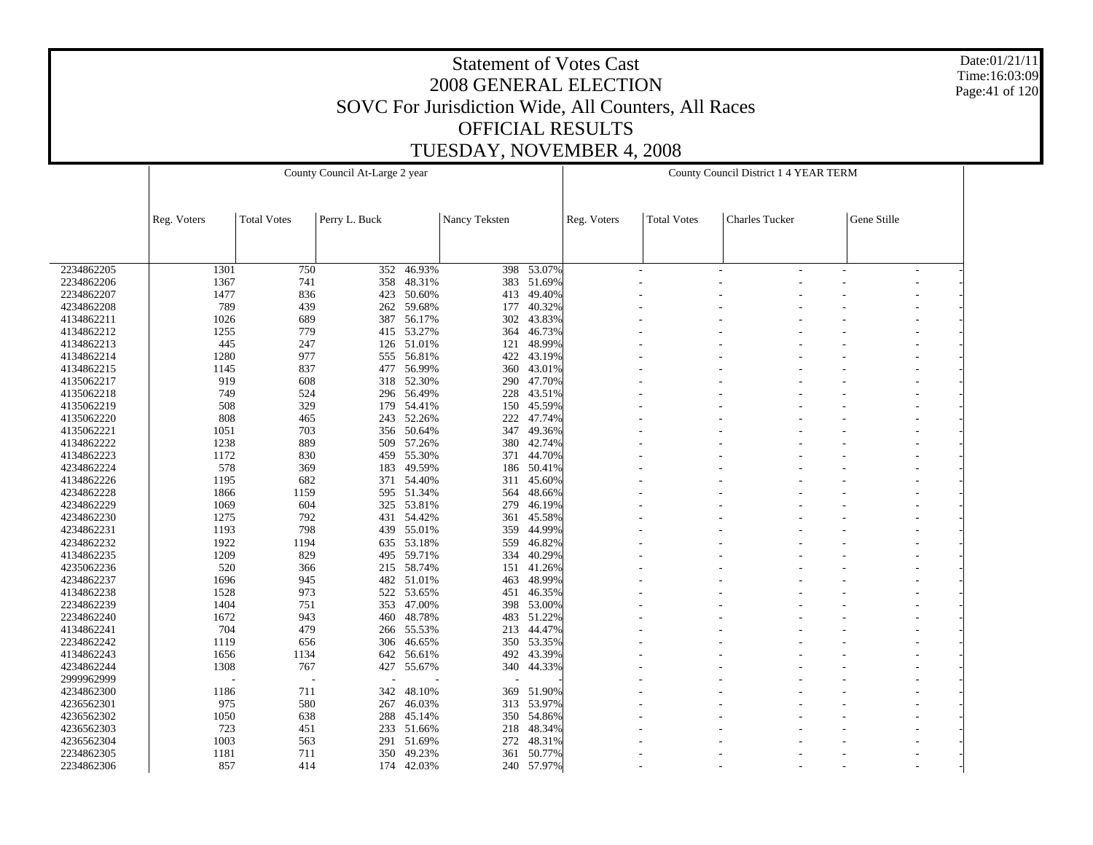Date:01/21/11 Time:16:03:09 Page:41 of 120

|            |             |                    | County Council At-Large 2 year |            |               |            |             |                    | County Council District 1 4 YEAR TERM |             |  |
|------------|-------------|--------------------|--------------------------------|------------|---------------|------------|-------------|--------------------|---------------------------------------|-------------|--|
|            | Reg. Voters | <b>Total Votes</b> | Perry L. Buck                  |            | Nancy Teksten |            | Reg. Voters | <b>Total Votes</b> | <b>Charles Tucker</b>                 | Gene Stille |  |
|            |             |                    |                                |            |               |            |             |                    |                                       |             |  |
| 2234862205 | 1301        | 750                | 352                            | 46.93%     | 398           | 53.07%     |             |                    |                                       | ÷           |  |
| 2234862206 | 1367        | 741                | 358                            | 48.31%     | 383           | 51.69%     |             |                    |                                       |             |  |
| 2234862207 | 1477        | 836                | 423                            | 50.60%     | 413           | 49.40%     |             |                    |                                       |             |  |
| 4234862208 | 789         | 439                | 262                            | 59.68%     | 177           | 40.32%     |             |                    |                                       |             |  |
| 4134862211 | 1026        | 689                | 387                            | 56.17%     | 302           | 43.83%     |             |                    |                                       |             |  |
| 4134862212 | 1255        | 779                | 415                            | 53.27%     | 364           | 46.73%     |             |                    |                                       |             |  |
| 4134862213 | 445         | 247                | 126                            | 51.01%     | 121           | 48.99%     |             |                    |                                       |             |  |
| 4134862214 | 1280        | 977                | 555                            | 56.81%     | 422           | 43.19%     |             |                    |                                       |             |  |
| 4134862215 | 1145        | 837                | 477                            | 56.99%     | 360           | 43.01%     |             |                    |                                       |             |  |
| 4135062217 | 919         | 608                | 318                            | 52.30%     | 290           | 47.70%     |             |                    |                                       |             |  |
| 4135062218 | 749         | 524                | 296                            | 56.49%     | 228           | 43.51%     |             |                    |                                       |             |  |
| 4135062219 | 508         | 329                | 179                            | 54.41%     | 150           | 45.59%     |             |                    |                                       |             |  |
| 4135062220 | 808         | 465                | 243                            | 52.26%     | 222           | 47.74%     |             |                    |                                       |             |  |
| 4135062221 | 1051        | 703                | 356                            | 50.64%     | 347           | 49.36%     |             |                    |                                       |             |  |
| 4134862222 | 1238        | 889                | 509                            | 57.26%     | 380           | 42.74%     |             |                    |                                       |             |  |
| 4134862223 | 1172        | 830                | 459                            | 55.30%     | 371           | 44.70%     |             |                    |                                       |             |  |
| 4234862224 | 578         | 369                | 183                            | 49.59%     | 186           | 50.41%     |             |                    |                                       |             |  |
| 4134862226 | 1195        | 682                | 371                            | 54.40%     | 311           | 45.60%     |             |                    |                                       |             |  |
| 4234862228 | 1866        | 1159               | 595                            | 51.34%     | 564           | 48.66%     |             |                    |                                       |             |  |
| 4234862229 | 1069        | 604                | 325                            | 53.81%     | 279           | 46.19%     |             |                    |                                       |             |  |
| 4234862230 | 1275        | 792                | 431                            | 54.42%     | 361           | 45.58%     |             |                    |                                       |             |  |
| 4234862231 | 1193        | 798                | 439                            | 55.01%     | 359           | 44.99%     |             |                    |                                       |             |  |
| 4234862232 | 1922        | 1194               | 635                            | 53.18%     | 559           | 46.82%     |             |                    |                                       |             |  |
| 4134862235 | 1209        | 829                | 495                            | 59.71%     | 334           | 40.29%     |             |                    |                                       |             |  |
| 4235062236 | 520         | 366                | 215                            | 58.74%     | 151           | 41.26%     |             |                    |                                       |             |  |
| 4234862237 | 1696        | 945                |                                | 482 51.01% | 463           | 48.99%     |             |                    |                                       |             |  |
| 4134862238 | 1528        | 973                | 522                            | 53.65%     | 451           | 46.35%     |             |                    |                                       |             |  |
| 2234862239 | 1404        | 751                | 353                            | 47.00%     | 398           | 53.00%     |             |                    |                                       |             |  |
| 2234862240 | 1672        | 943                | 460                            | 48.78%     | 483           | 51.22%     |             |                    |                                       |             |  |
| 4134862241 | 704         | 479                | 266                            | 55.53%     | 213           | 44.47%     |             |                    |                                       |             |  |
| 2234862242 | 1119        | 656                | 306                            | 46.65%     | 350           | 53.35%     |             |                    |                                       |             |  |
| 4134862243 | 1656        | 1134               | 642                            | 56.61%     | 492           | 43.39%     |             |                    |                                       |             |  |
| 4234862244 | 1308        | 767                | 427                            | 55.67%     | 340           | 44.33%     |             |                    |                                       |             |  |
| 2999962999 |             |                    |                                |            |               |            |             |                    |                                       |             |  |
| 4234862300 | 1186        | 711                | 342                            | 48.10%     | 369           | 51.90%     |             |                    |                                       |             |  |
| 4236562301 | 975         | 580                | 267                            | 46.03%     | 313           | 53.97%     |             |                    |                                       |             |  |
| 4236562302 | 1050        | 638                | 288                            | 45.14%     | 350           | 54.86%     |             |                    |                                       |             |  |
| 4236562303 | 723         | 451                | 233                            | 51.66%     | 218           | 48.34%     |             |                    |                                       |             |  |
| 4236562304 | 1003        | 563                | 291                            | 51.69%     | 272           | 48.31%     |             |                    |                                       |             |  |
| 2234862305 | 1181        | 711                | 350                            | 49.23%     | 361           | 50.77%     |             |                    |                                       |             |  |
| 2234862306 | 857         | 414                |                                | 174 42.03% |               | 240 57.97% |             |                    |                                       |             |  |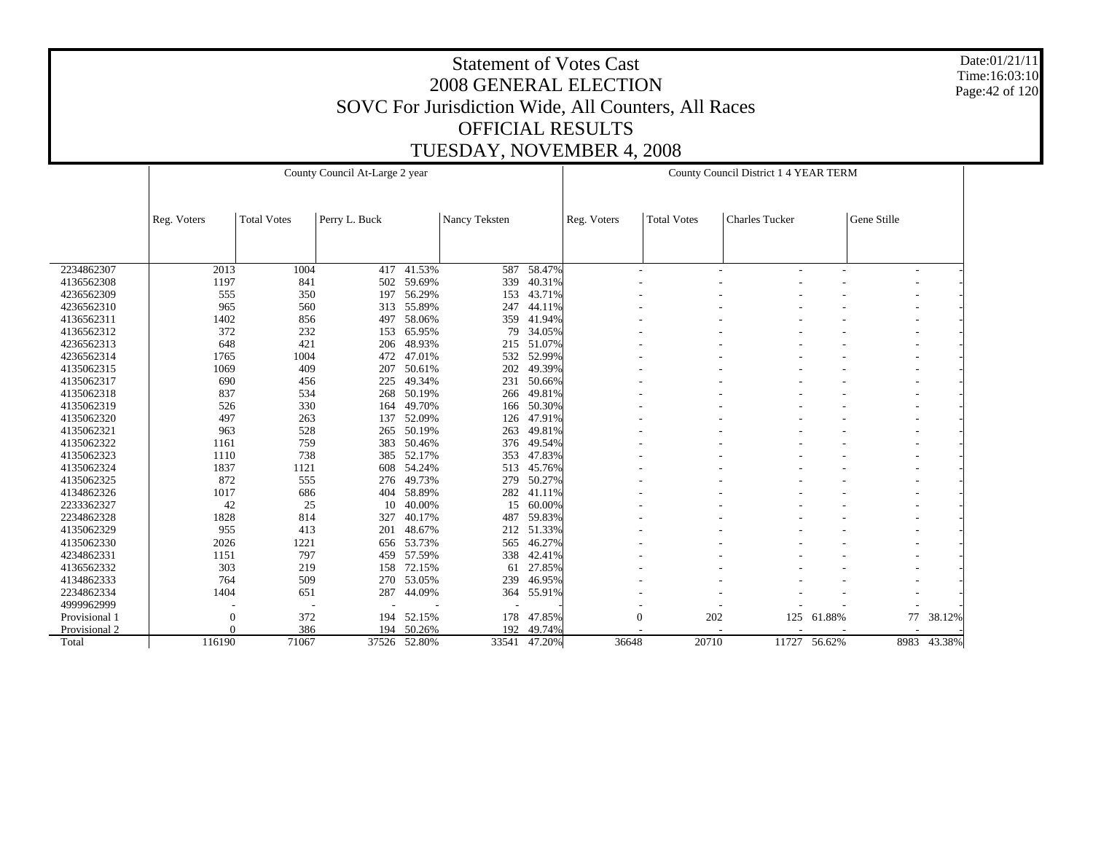Date:01/21/11 Time:16:03:10 Page:42 of 120

|               |                |                    | County Council At-Large 2 year |              |               |        | County Council District 1 4 YEAR TERM |                     |                        |              |             |        |
|---------------|----------------|--------------------|--------------------------------|--------------|---------------|--------|---------------------------------------|---------------------|------------------------|--------------|-------------|--------|
|               |                |                    |                                |              |               |        |                                       |                     |                        |              |             |        |
|               | Reg. Voters    | <b>Total Votes</b> | Perry L. Buck                  |              | Nancy Teksten |        | Reg. Voters                           | <b>Total Votes</b>  | <b>Charles Tucker</b>  |              | Gene Stille |        |
|               |                |                    |                                |              |               |        |                                       |                     |                        |              |             |        |
| 2234862307    | 2013           | 1004               | 417                            | 41.53%       | 587           | 58.47% |                                       | $\overline{a}$      | $\qquad \qquad -$<br>٠ | -            |             |        |
| 4136562308    | 1197           | 841                | 502                            | 59.69%       | 339           | 40.31% |                                       |                     |                        |              |             |        |
| 4236562309    | 555            | 350                | 197                            | 56.29%       | 153           | 43.71% |                                       |                     |                        |              |             |        |
| 4236562310    | 965            | 560                | 313                            | 55.89%       | 247           | 44.11% |                                       |                     |                        |              |             |        |
| 4136562311    | 1402           | 856                | 497                            | 58.06%       | 359           | 41.94% |                                       |                     |                        |              |             |        |
| 4136562312    | 372            | 232                | 153                            | 65.95%       | 79            | 34.05% |                                       |                     |                        |              |             |        |
| 4236562313    | 648            | 421                | 206                            | 48.93%       | 215           | 51.07% |                                       |                     |                        |              |             |        |
| 4236562314    | 1765           | 1004               | 472                            | 47.01%       | 532           | 52.99% |                                       |                     |                        |              |             |        |
| 4135062315    | 1069           | 409                | 207                            | 50.61%       | 202           | 49.39% |                                       |                     |                        |              |             |        |
| 4135062317    | 690            | 456                | 225                            | 49.34%       | 231           | 50.66% |                                       |                     |                        |              |             |        |
| 4135062318    | 837            | 534                | 268                            | 50.19%       | 266           | 49.81% |                                       |                     |                        |              |             |        |
| 4135062319    | 526            | 330                | 164                            | 49.70%       | 166           | 50.30% |                                       |                     |                        |              |             |        |
| 4135062320    | 497            | 263                | 137                            | 52.09%       | 126           | 47.91% |                                       |                     |                        |              |             |        |
| 4135062321    | 963            | 528                | 265                            | 50.19%       | 263           | 49.81% |                                       |                     |                        |              |             |        |
| 4135062322    | 1161           | 759                | 383                            | 50.46%       | 376           | 49.54% |                                       |                     |                        |              |             |        |
| 4135062323    | 1110           | 738                | 385                            | 52.17%       | 353           | 47.83% |                                       |                     |                        |              |             |        |
| 4135062324    | 1837           | 1121               | 608                            | 54.24%       | 513           | 45.76% |                                       |                     |                        |              |             |        |
| 4135062325    | 872            | 555                | 276                            | 49.73%       | 279           | 50.27% |                                       |                     |                        |              |             |        |
| 4134862326    | 1017           | 686                | 404                            | 58.89%       | 282           | 41.11% |                                       |                     |                        |              |             |        |
| 2233362327    | 42             | 25                 | 10                             | 40.00%       | 15            | 60.00% |                                       |                     |                        |              |             |        |
| 2234862328    | 1828           | 814                | 327                            | 40.17%       | 487           | 59.83% |                                       |                     |                        |              |             |        |
| 4135062329    | 955            | 413                | 201                            | 48.67%       | 212           | 51.33% |                                       |                     |                        |              |             |        |
| 4135062330    | 2026           | 1221               | 656                            | 53.73%       | 565           | 46.27% |                                       |                     |                        |              |             |        |
| 4234862331    | 1151           | 797                | 459                            | 57.59%       | 338           | 42.41% |                                       |                     |                        |              |             |        |
| 4136562332    | 303            | 219                | 158                            | 72.15%       | 61            | 27.85% |                                       |                     |                        |              |             |        |
| 4134862333    | 764            | 509                | 270                            | 53.05%       | 239           | 46.95% |                                       |                     |                        |              |             |        |
| 2234862334    | 1404           | 651                | 287                            | 44.09%       | 364           | 55.91% |                                       |                     |                        |              |             |        |
| 4999962999    |                | ÷.                 |                                |              |               |        |                                       |                     |                        |              |             |        |
| Provisional 1 | $\overline{0}$ | 372                | 194                            | 52.15%       | 178           | 47.85% |                                       | $\mathbf{0}$<br>202 | 125                    | 61.88%       | 77          | 38.12% |
| Provisional 2 | $\Omega$       | 386                | 194                            | 50.26%       | 192           | 49.74% |                                       |                     |                        |              |             |        |
| Total         | 116190         | 71067              |                                | 37526 52.80% | 33541         | 47.20% | 36648                                 | 20710               |                        | 11727 56.62% | 8983        | 43.38% |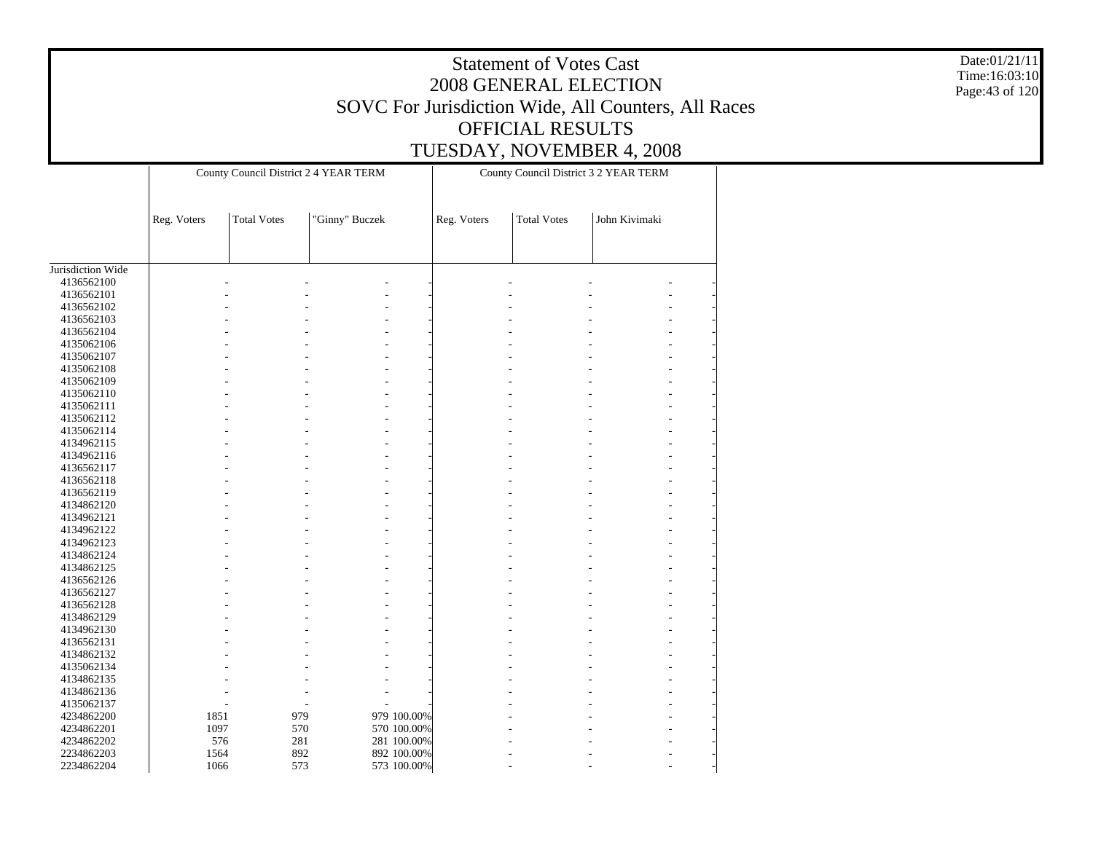|                          |             |                    |                                       |             |             | <b>Statement of Votes Cast</b><br>OFFICIAL RESULTS | 2008 GENERAL ELECTION<br>SOVC For Jurisdiction Wide, All Counters, All Races<br>TUESDAY, NOVEMBER 4, 2008 |  | Date:01/21/11<br>Time:16:03:10<br>Page: 43 of 120 |
|--------------------------|-------------|--------------------|---------------------------------------|-------------|-------------|----------------------------------------------------|-----------------------------------------------------------------------------------------------------------|--|---------------------------------------------------|
|                          |             |                    | County Council District 2 4 YEAR TERM |             |             |                                                    | County Council District 3 2 YEAR TERM                                                                     |  |                                                   |
|                          |             |                    |                                       |             |             |                                                    |                                                                                                           |  |                                                   |
|                          | Reg. Voters | <b>Total Votes</b> | "Ginny" Buczek                        |             | Reg. Voters | <b>Total Votes</b>                                 | John Kivimaki                                                                                             |  |                                                   |
| Jurisdiction Wide        |             |                    |                                       |             |             |                                                    |                                                                                                           |  |                                                   |
| 4136562100               |             |                    |                                       |             |             |                                                    |                                                                                                           |  |                                                   |
| 4136562101               |             |                    |                                       |             |             |                                                    |                                                                                                           |  |                                                   |
| 4136562102               |             |                    |                                       |             |             |                                                    |                                                                                                           |  |                                                   |
| 4136562103               |             |                    |                                       |             |             |                                                    |                                                                                                           |  |                                                   |
| 4136562104<br>4135062106 |             |                    |                                       |             |             |                                                    |                                                                                                           |  |                                                   |
| 4135062107               |             |                    |                                       |             |             |                                                    |                                                                                                           |  |                                                   |
| 4135062108               |             |                    |                                       |             |             |                                                    |                                                                                                           |  |                                                   |
| 4135062109               |             |                    |                                       |             |             |                                                    |                                                                                                           |  |                                                   |
| 4135062110               |             |                    |                                       |             |             |                                                    |                                                                                                           |  |                                                   |
| 4135062111               |             |                    |                                       |             |             |                                                    |                                                                                                           |  |                                                   |
| 4135062112               |             |                    |                                       |             |             |                                                    |                                                                                                           |  |                                                   |
| 4135062114               |             |                    |                                       |             |             |                                                    |                                                                                                           |  |                                                   |
| 4134962115               |             |                    |                                       |             |             |                                                    |                                                                                                           |  |                                                   |
| 4134962116               |             |                    |                                       |             |             |                                                    |                                                                                                           |  |                                                   |
| 4136562117               |             |                    |                                       |             |             |                                                    |                                                                                                           |  |                                                   |
| 4136562118               |             |                    |                                       |             |             |                                                    |                                                                                                           |  |                                                   |
| 4136562119<br>4134862120 |             |                    |                                       |             |             |                                                    |                                                                                                           |  |                                                   |
| 4134962121               |             |                    |                                       |             |             |                                                    |                                                                                                           |  |                                                   |
| 4134962122               |             |                    |                                       |             |             |                                                    |                                                                                                           |  |                                                   |
| 4134962123               |             |                    |                                       |             |             |                                                    |                                                                                                           |  |                                                   |
| 4134862124               |             |                    |                                       |             |             |                                                    |                                                                                                           |  |                                                   |
| 4134862125               |             |                    |                                       |             |             |                                                    |                                                                                                           |  |                                                   |
| 4136562126               |             |                    |                                       |             |             |                                                    |                                                                                                           |  |                                                   |
| 4136562127               |             |                    |                                       |             |             |                                                    |                                                                                                           |  |                                                   |
| 4136562128               |             |                    |                                       |             |             |                                                    |                                                                                                           |  |                                                   |
| 4134862129               |             |                    |                                       |             |             |                                                    |                                                                                                           |  |                                                   |
| 4134962130               |             |                    |                                       |             |             |                                                    |                                                                                                           |  |                                                   |
| 4136562131<br>4134862132 |             |                    |                                       |             |             |                                                    |                                                                                                           |  |                                                   |
| 4135062134               |             |                    |                                       |             |             |                                                    |                                                                                                           |  |                                                   |
| 4134862135               |             |                    |                                       |             |             |                                                    |                                                                                                           |  |                                                   |
| 4134862136               |             |                    |                                       |             |             |                                                    |                                                                                                           |  |                                                   |
| 4135062137               |             |                    |                                       |             |             |                                                    |                                                                                                           |  |                                                   |
| 4234862200               | 1851        |                    | 979                                   | 979 100.00% |             |                                                    |                                                                                                           |  |                                                   |
| 4234862201               | 1097        |                    | 570                                   | 570 100.00% |             |                                                    |                                                                                                           |  |                                                   |
| 4234862202               | 576         |                    | 281                                   | 281 100.00% |             |                                                    |                                                                                                           |  |                                                   |
| 2234862203               | 1564        |                    | 892                                   | 892 100.00% |             |                                                    |                                                                                                           |  |                                                   |
| 2234862204               | 1066        |                    | 573                                   | 573 100.00% |             |                                                    |                                                                                                           |  |                                                   |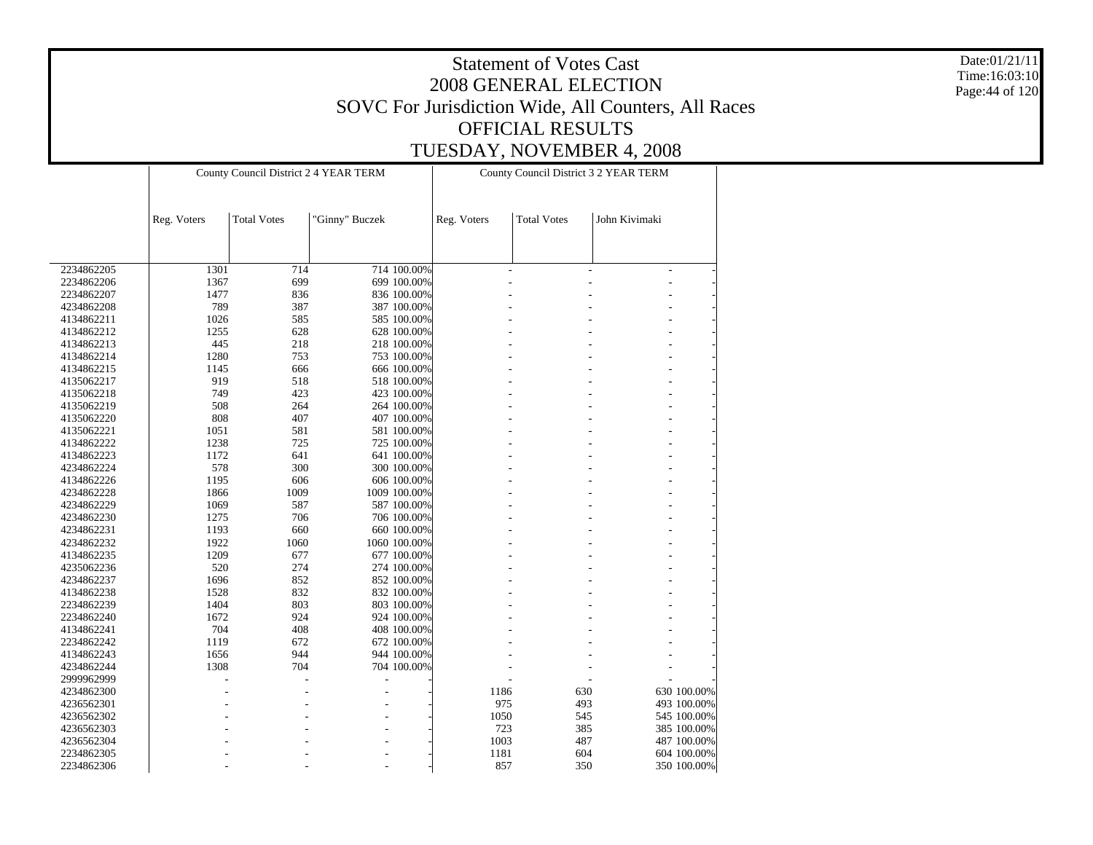Date:01/21/11 Time:16:03:10 Page:44 of 120

|            |             | County Council District 2 4 YEAR TERM |                |              |             |                    | County Council District 3 2 YEAR TERM |             |
|------------|-------------|---------------------------------------|----------------|--------------|-------------|--------------------|---------------------------------------|-------------|
|            | Reg. Voters | <b>Total Votes</b>                    | "Ginny" Buczek |              | Reg. Voters | <b>Total Votes</b> | John Kivimaki                         |             |
|            |             |                                       |                |              |             |                    |                                       |             |
| 2234862205 | 1301        | 714                                   |                | 714 100.00%  |             |                    | $\overline{a}$                        |             |
| 2234862206 | 1367        | 699                                   |                | 699 100.00%  |             |                    |                                       |             |
| 2234862207 | 1477        | 836                                   |                | 836 100.00%  |             |                    |                                       |             |
| 4234862208 | 789         | 387                                   |                | 387 100.00%  |             |                    |                                       |             |
| 4134862211 | 1026        | 585                                   |                | 585 100.00%  |             |                    |                                       |             |
| 4134862212 | 1255        | 628                                   |                | 628 100.00%  |             |                    |                                       |             |
| 4134862213 | 445         | 218                                   |                | 218 100.00%  |             |                    |                                       |             |
| 4134862214 | 1280        | 753                                   |                | 753 100.00%  |             |                    |                                       |             |
| 4134862215 | 1145        | 666                                   |                | 666 100.00%  |             |                    |                                       |             |
| 4135062217 | 919         | 518                                   |                | 518 100.00%  |             |                    |                                       |             |
| 4135062218 | 749         | 423                                   |                | 423 100.00%  |             |                    |                                       |             |
| 4135062219 | 508         | 264                                   |                | 264 100.00%  |             |                    |                                       |             |
| 4135062220 | 808         | 407                                   |                | 407 100.00%  |             |                    |                                       |             |
| 4135062221 | 1051        | 581                                   |                | 581 100.00%  |             |                    |                                       |             |
| 4134862222 | 1238        | 725                                   |                | 725 100.00%  |             |                    |                                       |             |
| 4134862223 | 1172        | 641                                   |                | 641 100.00%  |             |                    |                                       |             |
| 4234862224 | 578         | 300                                   |                | 300 100.00%  |             |                    |                                       |             |
| 4134862226 | 1195        | 606                                   |                | 606 100.00%  |             |                    |                                       |             |
| 4234862228 | 1866        | 1009                                  |                | 1009 100.00% |             |                    |                                       |             |
| 4234862229 | 1069        | 587                                   |                | 587 100.00%  |             |                    |                                       |             |
| 4234862230 | 1275        | 706                                   |                | 706 100.00%  |             |                    |                                       |             |
| 4234862231 | 1193        | 660                                   |                | 660 100.00%  |             |                    |                                       |             |
|            | 1922        | 1060                                  |                | 1060 100.00% |             |                    |                                       |             |
| 4234862232 |             | 677                                   |                |              |             |                    |                                       |             |
| 4134862235 | 1209        |                                       |                | 677 100.00%  |             |                    |                                       |             |
| 4235062236 | 520         | 274                                   |                | 274 100.00%  |             |                    |                                       |             |
| 4234862237 | 1696        | 852                                   |                | 852 100.00%  |             |                    |                                       |             |
| 4134862238 | 1528        | 832                                   |                | 832 100.00%  |             |                    |                                       |             |
| 2234862239 | 1404        | 803                                   |                | 803 100.00%  |             |                    |                                       |             |
| 2234862240 | 1672        | 924                                   |                | 924 100.00%  |             |                    |                                       |             |
| 4134862241 | 704         | 408                                   |                | 408 100.00%  |             |                    |                                       |             |
| 2234862242 | 1119        | 672                                   |                | 672 100.00%  |             |                    |                                       |             |
| 4134862243 | 1656        | 944                                   |                | 944 100.00%  |             |                    |                                       |             |
| 4234862244 | 1308        | 704                                   |                | 704 100.00%  |             |                    |                                       |             |
| 2999962999 |             |                                       | L,             |              |             |                    |                                       |             |
| 4234862300 |             |                                       |                |              | 1186        |                    | 630                                   | 630 100.00% |
| 4236562301 |             |                                       |                |              |             | 975                | 493                                   | 493 100.00% |
| 4236562302 |             |                                       |                |              | 1050        |                    | 545                                   | 545 100.00% |
| 4236562303 |             |                                       |                |              |             | 723                | 385                                   | 385 100.00% |
| 4236562304 |             |                                       |                |              | 1003        |                    | 487                                   | 487 100.00% |
| 2234862305 |             |                                       |                |              | 1181        |                    | 604                                   | 604 100.00% |
| 2234862306 |             |                                       |                |              |             | 857                | 350                                   | 350 100.00% |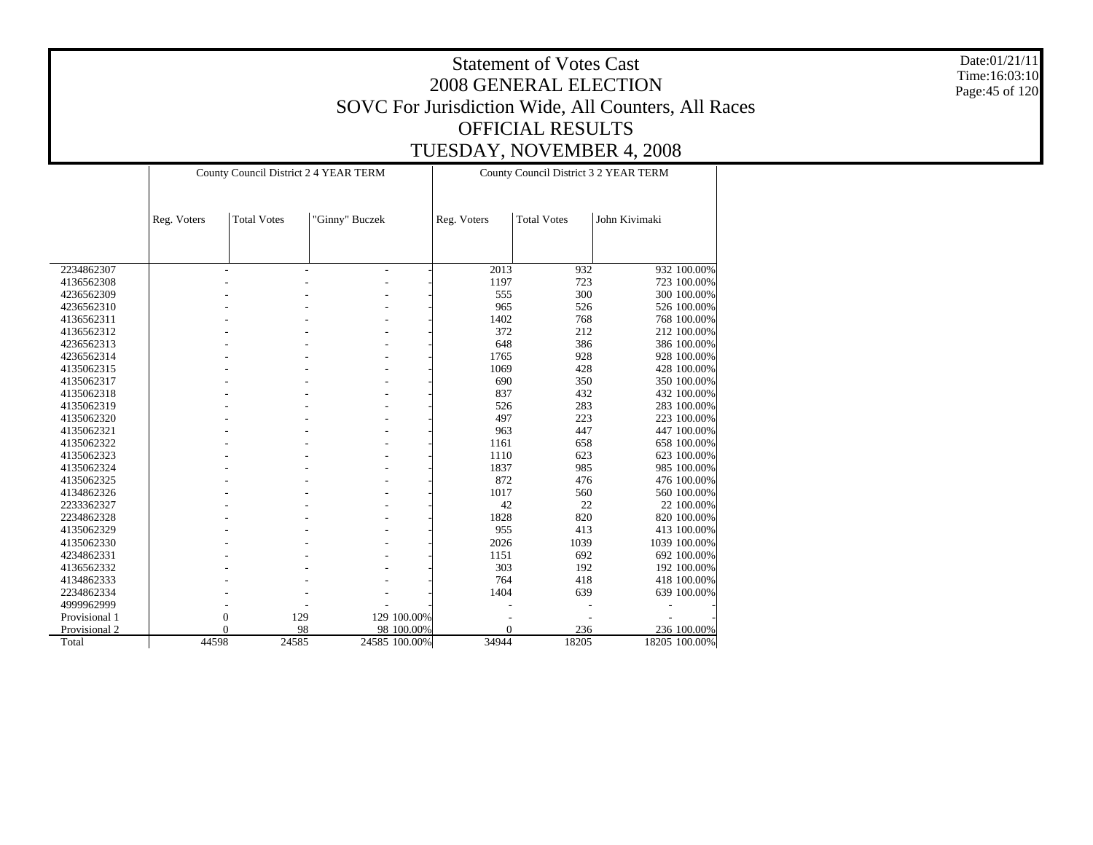Date:01/21/11 Time:16:03:10 Page:45 of 120

|               |             | County Council District 2 4 YEAR TERM |                |               |             | County Council District 3 2 YEAR TERM |               |
|---------------|-------------|---------------------------------------|----------------|---------------|-------------|---------------------------------------|---------------|
|               | Reg. Voters | <b>Total Votes</b>                    | "Ginny" Buczek |               | Reg. Voters | <b>Total Votes</b>                    | John Kivimaki |
|               |             |                                       |                |               |             |                                       |               |
| 2234862307    |             | ٠                                     | ÷,             |               | 2013        | 932                                   | 932 100.00%   |
| 4136562308    |             |                                       |                |               | 1197        | 723                                   | 723 100.00%   |
| 4236562309    |             |                                       |                |               | 555         | 300                                   | 300 100,00%   |
| 4236562310    |             |                                       |                |               | 965         | 526                                   | 526 100.00%   |
| 4136562311    |             |                                       |                |               | 1402        | 768                                   | 768 100.00%   |
| 4136562312    |             |                                       |                |               | 372         | 212                                   | 212 100.00%   |
| 4236562313    |             |                                       |                |               | 648         | 386                                   | 386 100.00%   |
| 4236562314    |             |                                       |                |               | 1765        | 928                                   | 928 100.00%   |
| 4135062315    |             |                                       |                |               | 1069        | 428                                   | 428 100.00%   |
| 4135062317    |             |                                       |                |               | 690         | 350                                   | 350 100.00%   |
| 4135062318    |             |                                       |                |               | 837         | 432                                   | 432 100.00%   |
| 4135062319    |             |                                       |                |               | 526         | 283                                   | 283 100.00%   |
| 4135062320    |             |                                       | ٠              |               | 497         | 223                                   | 223 100.00%   |
| 4135062321    |             |                                       | ۰              |               | 963         | 447                                   | 447 100.00%   |
| 4135062322    |             |                                       |                |               | 1161        | 658                                   | 658 100.00%   |
| 4135062323    |             |                                       |                |               | 1110        | 623                                   | 623 100.00%   |
| 4135062324    |             |                                       |                |               | 1837        | 985                                   | 985 100.00%   |
| 4135062325    |             |                                       |                |               | 872         | 476                                   | 476 100.00%   |
| 4134862326    |             |                                       |                |               | 1017        | 560                                   | 560 100.00%   |
| 2233362327    |             |                                       |                |               | 42          | 22                                    | 22 100,00%    |
| 2234862328    |             |                                       |                |               | 1828        | 820                                   | 820 100.00%   |
| 4135062329    |             |                                       |                |               | 955         | 413                                   | 413 100.00%   |
| 4135062330    |             |                                       |                |               | 2026        | 1039                                  | 1039 100.00%  |
| 4234862331    |             |                                       |                |               | 1151        | 692                                   | 692 100.00%   |
| 4136562332    |             |                                       |                |               | 303         | 192                                   | 192 100.00%   |
| 4134862333    |             |                                       |                |               | 764         | 418                                   | 418 100.00%   |
| 2234862334    |             |                                       |                |               | 1404        | 639                                   | 639 100.00%   |
| 4999962999    |             |                                       |                |               |             |                                       |               |
| Provisional 1 |             | $\overline{0}$<br>129                 |                | 129 100.00%   |             |                                       |               |
| Provisional 2 |             | $\Omega$<br>98                        |                | 98 100.00%    | $\theta$    | 236                                   | 236 100.00%   |
| Total         | 44598       | 24585                                 |                | 24585 100.00% | 34944       | 18205                                 | 18205 100.00% |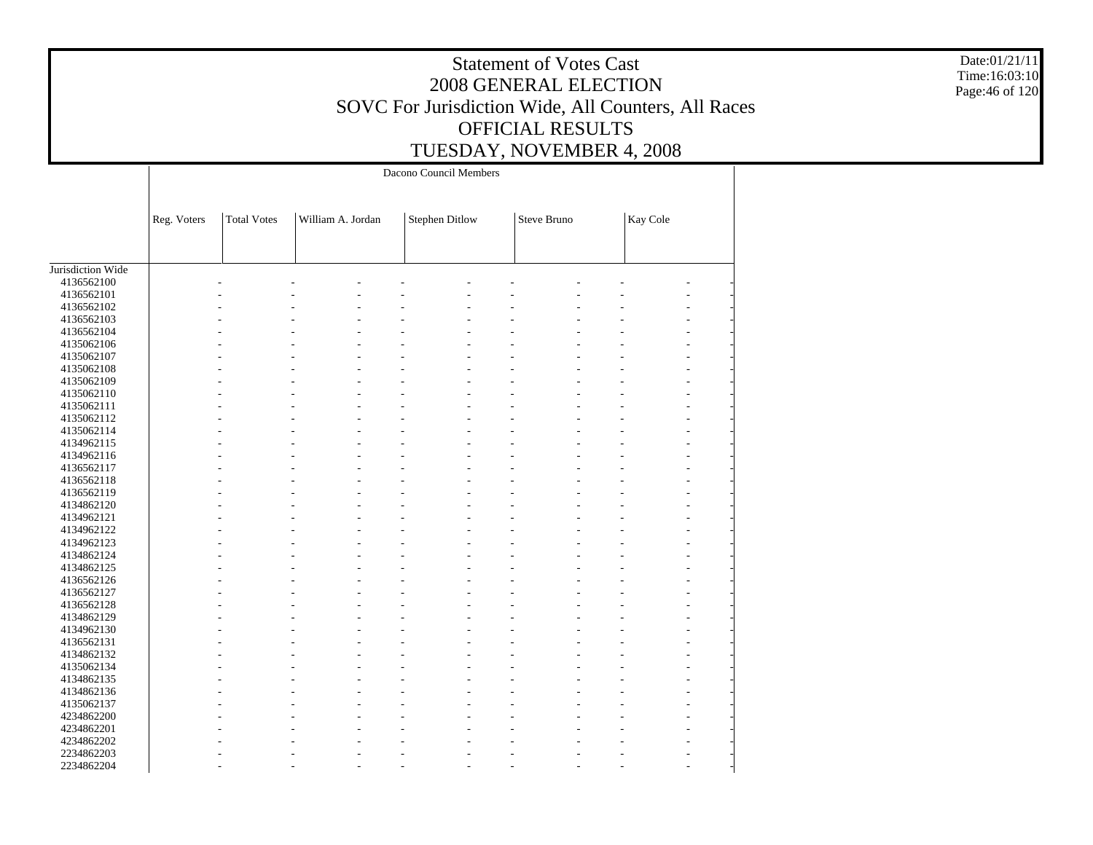Date:01/21/11 Time:16:03:10 Page:46 of 120

|                   |             |                    |                   | Dacono Council Members |             |          |  |
|-------------------|-------------|--------------------|-------------------|------------------------|-------------|----------|--|
|                   | Reg. Voters | <b>Total Votes</b> | William A. Jordan | <b>Stephen Ditlow</b>  | Steve Bruno | Kay Cole |  |
|                   |             |                    |                   |                        |             |          |  |
| Jurisdiction Wide |             |                    |                   |                        |             |          |  |
| 4136562100        |             |                    |                   |                        |             |          |  |
| 4136562101        |             |                    |                   |                        |             |          |  |
| 4136562102        |             |                    |                   |                        |             |          |  |
| 4136562103        |             |                    |                   |                        |             |          |  |
| 4136562104        |             |                    |                   |                        |             |          |  |
| 4135062106        |             |                    |                   |                        |             |          |  |
| 4135062107        |             |                    |                   |                        |             |          |  |
| 4135062108        |             |                    |                   |                        |             |          |  |
| 4135062109        |             |                    |                   |                        |             |          |  |
| 4135062110        |             |                    |                   |                        |             |          |  |
| 4135062111        |             |                    |                   |                        |             |          |  |
| 4135062112        |             |                    |                   |                        |             |          |  |
| 4135062114        |             |                    |                   |                        |             |          |  |
| 4134962115        |             |                    |                   |                        |             |          |  |
| 4134962116        |             |                    |                   |                        |             |          |  |
| 4136562117        |             |                    |                   |                        |             |          |  |
| 4136562118        |             |                    |                   |                        |             |          |  |
| 4136562119        |             |                    |                   |                        |             |          |  |
| 4134862120        |             |                    |                   |                        |             |          |  |
| 4134962121        |             |                    |                   |                        |             |          |  |
| 4134962122        |             |                    |                   |                        |             |          |  |
| 4134962123        |             |                    |                   |                        |             |          |  |
| 4134862124        |             |                    |                   |                        |             |          |  |
| 4134862125        |             |                    |                   |                        |             |          |  |
| 4136562126        |             |                    |                   |                        |             |          |  |
| 4136562127        |             |                    |                   |                        |             |          |  |
| 4136562128        |             |                    |                   |                        |             |          |  |
| 4134862129        |             |                    |                   |                        |             |          |  |
| 4134962130        |             |                    |                   |                        |             |          |  |
| 4136562131        |             |                    |                   |                        |             |          |  |
| 4134862132        |             |                    |                   |                        |             |          |  |
| 4135062134        |             |                    |                   |                        |             |          |  |
| 4134862135        |             |                    |                   |                        |             |          |  |
| 4134862136        |             |                    |                   |                        |             |          |  |
| 4135062137        |             |                    |                   |                        |             |          |  |
| 4234862200        |             |                    |                   |                        |             |          |  |
| 4234862201        |             |                    |                   |                        |             |          |  |
| 4234862202        |             |                    |                   |                        |             |          |  |
| 2234862203        |             |                    |                   |                        |             |          |  |
| 2234862204        |             |                    |                   |                        |             |          |  |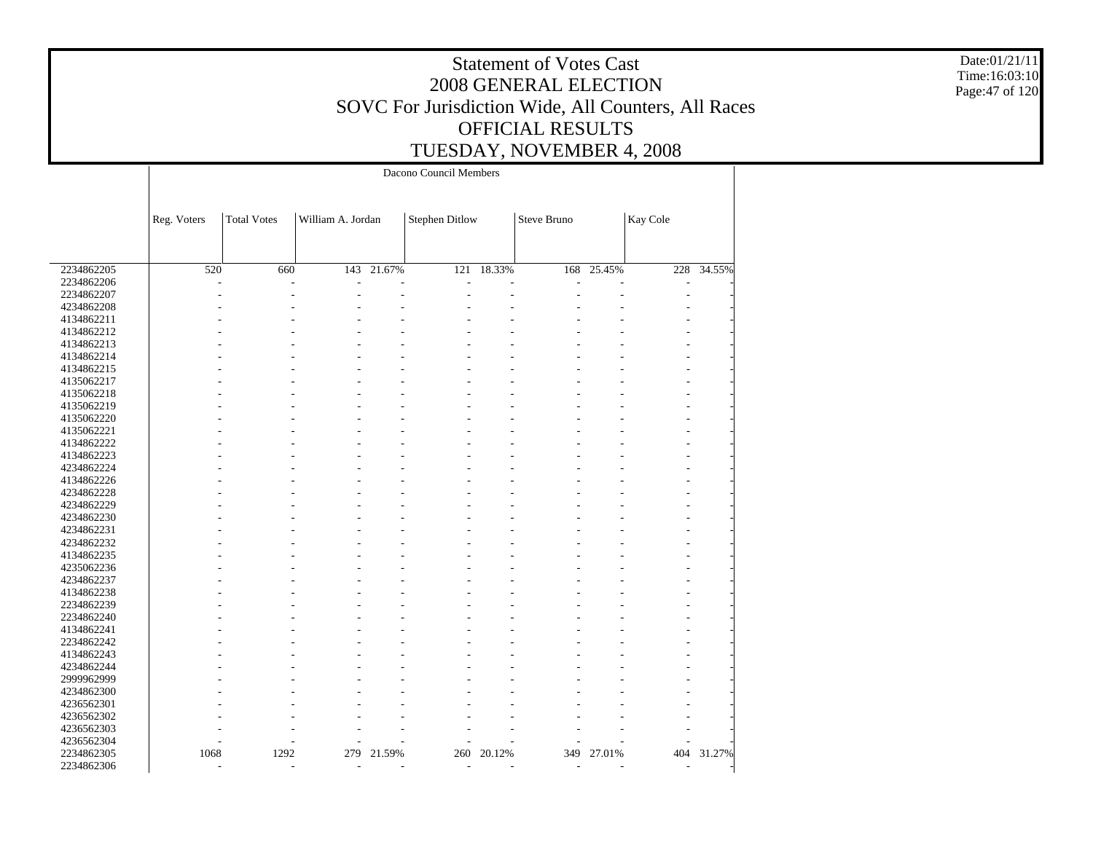Date:01/21/11 Time:16:03:10 Page:47 of 120

|            | Dacono Council Members |                    |                   |        |                          |        |                          |        |                          |            |
|------------|------------------------|--------------------|-------------------|--------|--------------------------|--------|--------------------------|--------|--------------------------|------------|
|            |                        |                    |                   |        |                          |        |                          |        |                          |            |
|            |                        |                    |                   |        |                          |        |                          |        |                          |            |
|            | Reg. Voters            | <b>Total Votes</b> | William A. Jordan |        | <b>Stephen Ditlow</b>    |        | Steve Bruno              |        | Kay Cole                 |            |
|            |                        |                    |                   |        |                          |        |                          |        |                          |            |
|            |                        |                    |                   |        |                          |        |                          |        |                          |            |
| 2234862205 | 520                    | 660                | 143               | 21.67% | 121                      | 18.33% | 168                      | 25.45% |                          | 228 34.55% |
| 2234862206 |                        |                    |                   |        |                          |        |                          |        |                          |            |
| 2234862207 |                        |                    |                   |        |                          |        |                          |        |                          |            |
| 4234862208 |                        |                    |                   |        |                          |        |                          |        |                          |            |
| 4134862211 |                        |                    |                   |        |                          |        |                          |        |                          |            |
| 4134862212 |                        |                    |                   |        |                          |        |                          |        |                          |            |
| 4134862213 |                        |                    |                   |        |                          |        |                          |        |                          |            |
| 4134862214 |                        |                    |                   |        |                          |        |                          |        |                          |            |
| 4134862215 |                        |                    |                   |        |                          |        |                          |        |                          |            |
| 4135062217 |                        |                    |                   |        |                          |        |                          |        |                          |            |
| 4135062218 |                        |                    |                   |        |                          |        |                          |        |                          |            |
| 4135062219 |                        |                    |                   |        |                          |        |                          |        |                          |            |
| 4135062220 |                        |                    |                   |        |                          |        |                          |        |                          |            |
| 4135062221 |                        |                    |                   |        |                          |        |                          |        |                          |            |
| 4134862222 |                        |                    |                   |        |                          |        |                          |        |                          |            |
| 4134862223 |                        |                    |                   |        |                          |        |                          |        |                          |            |
| 4234862224 |                        |                    |                   |        |                          |        |                          |        |                          |            |
| 4134862226 |                        |                    |                   |        |                          |        |                          |        |                          |            |
| 4234862228 |                        |                    |                   |        |                          |        |                          |        |                          |            |
| 4234862229 |                        |                    |                   |        |                          |        |                          |        |                          |            |
| 4234862230 |                        |                    |                   |        |                          |        |                          |        |                          |            |
|            |                        |                    |                   |        |                          |        |                          |        |                          |            |
| 4234862231 |                        |                    |                   |        |                          |        |                          |        |                          |            |
| 4234862232 |                        |                    |                   |        |                          |        |                          |        |                          |            |
| 4134862235 |                        |                    |                   |        |                          |        |                          |        |                          |            |
| 4235062236 |                        |                    |                   |        |                          |        |                          |        |                          |            |
| 4234862237 |                        |                    |                   |        |                          |        |                          |        |                          |            |
| 4134862238 |                        |                    |                   |        |                          |        |                          |        |                          |            |
| 2234862239 |                        |                    |                   |        |                          |        |                          |        |                          |            |
| 2234862240 |                        |                    |                   |        |                          |        |                          |        |                          |            |
| 4134862241 |                        |                    |                   |        |                          |        |                          |        |                          |            |
| 2234862242 |                        |                    |                   |        |                          |        |                          |        |                          |            |
| 4134862243 |                        |                    |                   |        |                          |        |                          |        |                          |            |
| 4234862244 |                        |                    |                   |        |                          |        |                          |        |                          |            |
| 2999962999 |                        |                    |                   |        |                          |        |                          |        |                          |            |
| 4234862300 |                        |                    |                   |        |                          |        |                          |        |                          |            |
| 4236562301 |                        |                    |                   |        |                          |        |                          |        |                          |            |
| 4236562302 |                        |                    |                   |        |                          |        |                          |        |                          |            |
| 4236562303 |                        |                    |                   |        |                          |        |                          |        |                          |            |
| 4236562304 |                        |                    |                   |        |                          |        |                          |        |                          |            |
| 2234862305 | 1068                   | 1292               | 279               | 21.59% | 260                      | 20.12% | 349                      | 27.01% | 404                      | 31.27%     |
| 2234862306 | $\overline{a}$         | ٠                  | $\overline{a}$    | ٠      | $\overline{\phantom{a}}$ | ٠      | $\overline{\phantom{a}}$ | ÷      | $\overline{\phantom{a}}$ |            |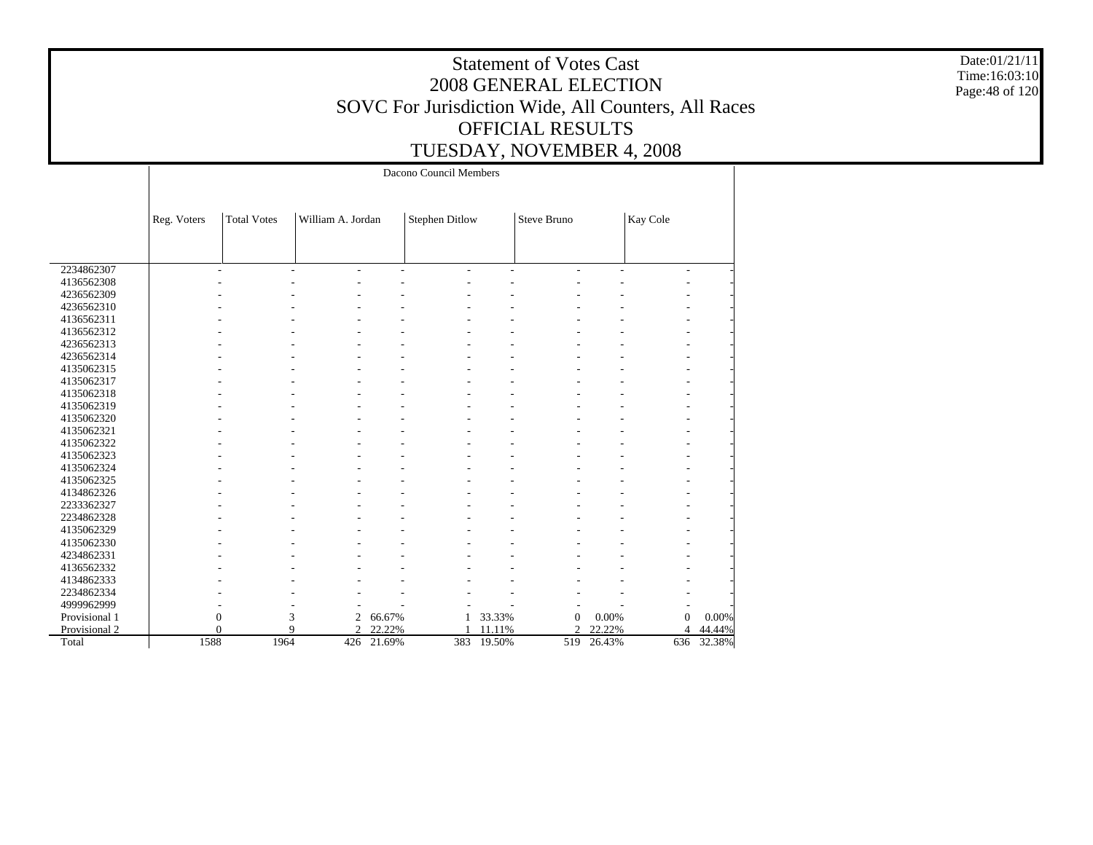Date:01/21/11 Time:16:03:10 Page:48 of 120

|               |             |                    |                               |        | Dacono Council Members |        |                    |        |                  |            |
|---------------|-------------|--------------------|-------------------------------|--------|------------------------|--------|--------------------|--------|------------------|------------|
|               | Reg. Voters | <b>Total Votes</b> | William A. Jordan             |        | <b>Stephen Ditlow</b>  |        | <b>Steve Bruno</b> |        | Kay Cole         |            |
|               |             |                    |                               |        |                        |        |                    |        |                  |            |
|               |             |                    |                               |        |                        |        |                    |        |                  |            |
| 2234862307    |             |                    | $\overline{a}$<br>ä,          | L,     |                        | L,     |                    | L,     | ٠                |            |
| 4136562308    |             |                    |                               |        |                        |        |                    |        |                  |            |
| 4236562309    |             |                    |                               |        |                        |        |                    |        |                  |            |
| 4236562310    |             |                    |                               |        |                        |        |                    |        |                  |            |
| 4136562311    |             |                    |                               |        |                        |        |                    |        |                  |            |
| 4136562312    |             |                    |                               |        |                        |        |                    |        |                  |            |
| 4236562313    |             |                    |                               |        |                        |        |                    |        |                  |            |
| 4236562314    |             |                    |                               |        |                        |        |                    |        |                  |            |
| 4135062315    |             |                    |                               |        |                        |        |                    |        |                  |            |
| 4135062317    |             |                    |                               |        |                        |        |                    |        |                  |            |
| 4135062318    |             |                    |                               |        |                        |        |                    |        |                  |            |
| 4135062319    |             |                    |                               |        |                        |        |                    |        |                  |            |
| 4135062320    |             |                    |                               |        |                        |        |                    |        |                  |            |
| 4135062321    |             |                    |                               |        |                        |        |                    |        |                  |            |
| 4135062322    |             |                    |                               |        |                        |        |                    |        |                  |            |
| 4135062323    |             |                    |                               |        |                        |        |                    |        |                  |            |
| 4135062324    |             |                    |                               |        |                        |        |                    |        |                  |            |
| 4135062325    |             |                    |                               |        |                        |        |                    |        |                  |            |
| 4134862326    |             |                    |                               |        |                        |        |                    |        |                  |            |
| 2233362327    |             |                    |                               |        |                        |        |                    |        |                  |            |
| 2234862328    |             |                    |                               |        |                        |        |                    |        |                  |            |
| 4135062329    |             |                    |                               |        |                        |        |                    |        |                  |            |
| 4135062330    |             |                    |                               |        |                        |        |                    |        |                  |            |
| 4234862331    |             |                    |                               |        |                        |        |                    |        |                  |            |
| 4136562332    |             |                    |                               |        |                        |        |                    |        |                  |            |
| 4134862333    |             |                    |                               |        |                        |        |                    |        |                  |            |
| 2234862334    |             |                    |                               |        |                        |        |                    |        |                  |            |
| 4999962999    |             |                    |                               |        |                        |        |                    |        |                  |            |
| Provisional 1 |             | $\boldsymbol{0}$   | 3<br>2                        | 66.67% | $\mathbf{1}$           | 33.33% | $\boldsymbol{0}$   | 0.00%  | $\boldsymbol{0}$ | 0.00%      |
| Provisional 2 |             | $\theta$           | $\mathbf Q$<br>$\overline{c}$ | 22.22% |                        | 11.11% | $\overline{c}$     | 22.22% | $\overline{4}$   | 44.44%     |
| Total         | 1588        | 1964               | 426                           | 21.69% | 383                    | 19.50% | 519                | 26.43% |                  | 636 32.38% |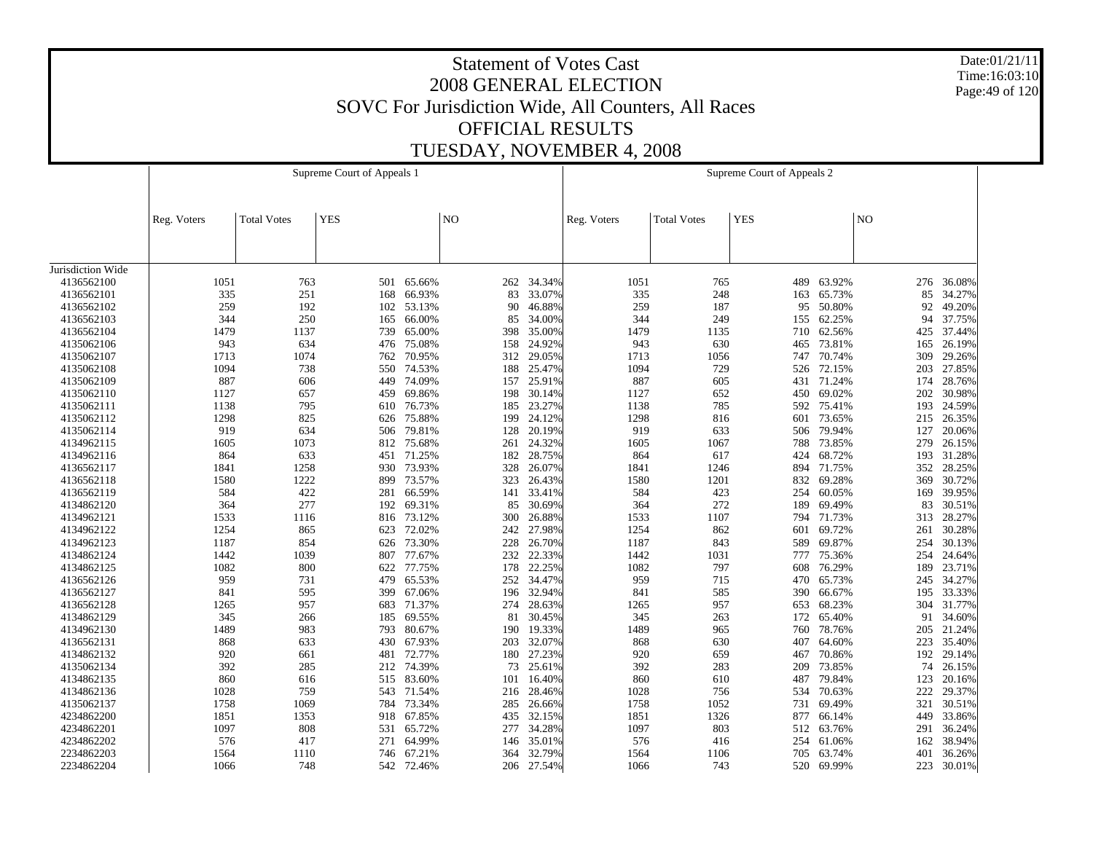Date:01/21/11 Time:16:03:10 Page:49 of 120

|                   |             |                    | Supreme Court of Appeals 1 |            |                |            |             |                    | Supreme Court of Appeals 2 |            |                |        |
|-------------------|-------------|--------------------|----------------------------|------------|----------------|------------|-------------|--------------------|----------------------------|------------|----------------|--------|
|                   | Reg. Voters | <b>Total Votes</b> | <b>YES</b>                 |            | N <sub>O</sub> |            | Reg. Voters | <b>Total Votes</b> | <b>YES</b>                 |            | N <sub>O</sub> |        |
|                   |             |                    |                            |            |                |            |             |                    |                            |            |                |        |
| Jurisdiction Wide |             |                    |                            |            |                |            |             |                    |                            |            |                |        |
| 4136562100        | 1051        | 763                |                            | 501 65.66% | 262            | 34.34%     | 1051        | 765                | 489                        | 63.92%     | 276            | 36.08% |
| 4136562101        | 335         | 251                | 168                        | 66.93%     | 83             | 33.07%     | 335         | 248                | 163                        | 65.73%     | 85             | 34.27% |
| 4136562102        | 259         | 192                |                            | 102 53.13% | 90             | 46.88%     | 259         | 187                | 95                         | 50.80%     | 92             | 49.20% |
| 4136562103        | 344         | 250                | 165                        | 66.00%     | 85             | 34.00%     | 344         | 249                | 155                        | 62.25%     | 94             | 37.75% |
| 4136562104        | 1479        | 1137               | 739                        | 65.00%     | 398            | 35.00%     | 1479        | 1135               | 710                        | 62.56%     | 425            | 37.44% |
| 4135062106        | 943         | 634                | 476                        | 75.08%     | 158            | 24.92%     | 943         | 630                | 465                        | 73.81%     | 165            | 26.19% |
| 4135062107        | 1713        | 1074               | 762                        | 70.95%     | 312            | 29.05%     | 1713        | 1056               | 747                        | 70.74%     | 309            | 29.26% |
| 4135062108        | 1094        | 738                |                            | 550 74.53% | 188            | 25.47%     | 1094        | 729                |                            | 526 72.15% | 203            | 27.85% |
| 4135062109        | 887         | 606                | 449                        | 74.09%     | 157            | 25.91%     | 887         | 605                | 431                        | 71.24%     | 174            | 28.76% |
| 4135062110        | 1127        | 657                | 459                        | 69.86%     | 198            | 30.14%     | 1127        | 652                | 450                        | 69.02%     | 202            | 30.98% |
| 4135062111        | 1138        | 795                | 610                        | 76.73%     | 185            | 23.27%     | 1138        | 785                | 592                        | 75.41%     | 193            | 24.59% |
| 4135062112        | 1298        | 825                |                            | 626 75.88% | 199            | 24.12%     | 1298        | 816                | 601                        | 73.65%     | 215            | 26.35% |
| 4135062114        | 919         | 634                | 506                        | 79.81%     | 128            | 20.19%     | 919         | 633                | 506                        | 79.94%     | 127            | 20.06% |
| 4134962115        | 1605        | 1073               |                            | 812 75.68% | 261            | 24.32%     | 1605        | 1067               | 788                        | 73.85%     | 279            | 26.15% |
| 4134962116        | 864         | 633                | 451                        | 71.25%     | 182            | 28.75%     | 864         | 617                | 424                        | 68.72%     | 193            | 31.28% |
| 4136562117        | 1841        | 1258               | 930                        | 73.93%     | 328            | 26.07%     | 1841        | 1246               | 894                        | 71.75%     | 352            | 28.25% |
| 4136562118        | 1580        | 1222               | 899                        | 73.57%     | 323            | 26.43%     | 1580        | 1201               | 832                        | 69.28%     | 369            | 30.72% |
| 4136562119        | 584         | 422                | 281                        | 66.59%     | 141            | 33.41%     | 584         | 423                | 254                        | 60.05%     | 169            | 39.95% |
| 4134862120        | 364         | 277                | 192                        | 69.31%     | 85             | 30.69%     | 364         | 272                | 189                        | 69.49%     | 83             | 30.51% |
| 4134962121        | 1533        | 1116               | 816                        | 73.12%     | 300            | 26.88%     | 1533        | 1107               | 794                        | 71.73%     | 313            | 28.27% |
| 4134962122        | 1254        | 865                |                            | 623 72.02% | 242            | 27.98%     | 1254        | 862                | 601                        | 69.72%     | 261            | 30.28% |
| 4134962123        | 1187        | 854                | 626                        | 73.30%     | 228            | 26.70%     | 1187        | 843                | 589                        | 69.87%     | 254            | 30.13% |
| 4134862124        | 1442        | 1039               |                            | 807 77.67% | 232            | 22.33%     | 1442        | 1031               | 777                        | 75.36%     | 254            | 24.64% |
| 4134862125        | 1082        | 800                | 622                        | 77.75%     | 178            | 22.25%     | 1082        | 797                | 608                        | 76.29%     | 189            | 23.71% |
| 4136562126        | 959         | 731                | 479                        | 65.53%     | 252            | 34.47%     | 959         | 715                | 470                        | 65.73%     | 245            | 34.27% |
| 4136562127        | 841         | 595                | 399                        | 67.06%     | 196            | 32.94%     | 841         | 585                | 390                        | 66.67%     | 195            | 33.33% |
| 4136562128        | 1265        | 957                |                            | 683 71.37% | 274            | 28.63%     | 1265        | 957                | 653                        | 68.23%     | 304            | 31.77% |
| 4134862129        | 345         | 266                | 185                        | 69.55%     | 81             | 30.45%     | 345         | 263                | 172                        | 65.40%     | 91             | 34.60% |
| 4134962130        | 1489        | 983                |                            | 793 80.67% | 190            | 19.33%     | 1489        | 965                | 760                        | 78.76%     | 205            | 21.24% |
| 4136562131        | 868         | 633                | 430                        | 67.93%     | 203            | 32.07%     | 868         | 630                | 407                        | 64.60%     | 223            | 35.40% |
| 4134862132        | 920         | 661                | 481                        | 72.77%     | 180            | 27.23%     | 920         | 659                | 467                        | 70.86%     | 192            | 29.14% |
| 4135062134        | 392         | 285                | 212                        | 74.39%     | 73             | 25.61%     | 392         | 283                | 209                        | 73.85%     | 74             | 26.15% |
| 4134862135        | 860         | 616                | 515                        | 83.60%     | 101            | 16.40%     | 860         | 610                | 487                        | 79.84%     | 123            | 20.16% |
| 4134862136        | 1028        | 759                |                            | 543 71.54% | 216            | 28.46%     | 1028        | 756                | 534                        | 70.63%     | 222            | 29.37% |
| 4135062137        | 1758        | 1069               | 784                        | 73.34%     | 285            | 26.66%     | 1758        | 1052               | 731                        | 69.49%     | 321            | 30.51% |
| 4234862200        | 1851        | 1353               | 918                        | 67.85%     | 435            | 32.15%     | 1851        | 1326               | 877                        | 66.14%     | 449            | 33.86% |
| 4234862201        | 1097        | 808                | 531                        | 65.72%     | 277            | 34.28%     | 1097        | 803                | 512                        | 63.76%     | 291            | 36.24% |
| 4234862202        | 576         | 417                |                            | 271 64.99% | 146            | 35.01%     | 576         | 416                | 254                        | 61.06%     | 162            | 38.94% |
| 2234862203        | 1564        | 1110               | 746                        | 67.21%     | 364            | 32.79%     | 1564        | 1106               | 705                        | 63.74%     | 401            | 36.26% |
| 2234862204        | 1066        | 748                |                            | 542 72.46% |                | 206 27.54% | 1066        | 743                | 520                        | 69.99%     | 223            | 30.01% |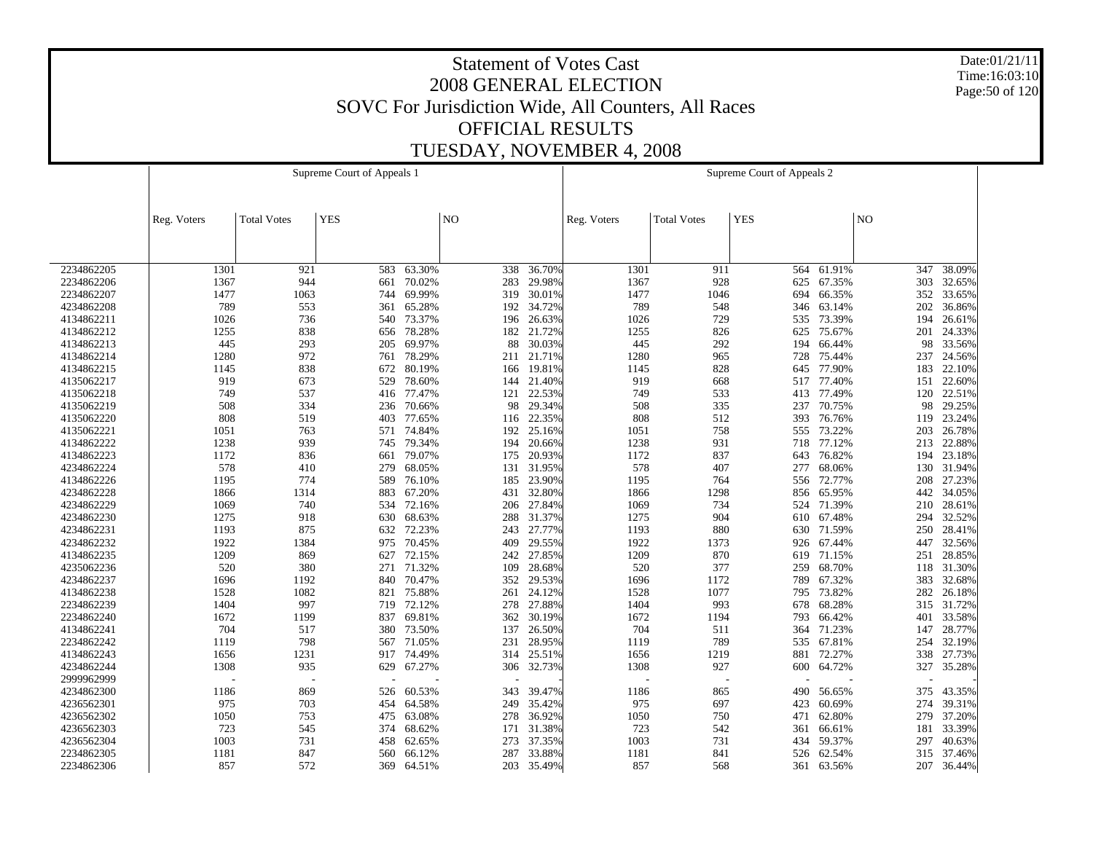Date:01/21/11 Time:16:03:10 Page:50 of 120

|            |             |                    | Supreme Court of Appeals 1 |            |                |            |                          |                    | Supreme Court of Appeals 2 |        |                |        |
|------------|-------------|--------------------|----------------------------|------------|----------------|------------|--------------------------|--------------------|----------------------------|--------|----------------|--------|
|            |             |                    |                            |            |                |            |                          |                    |                            |        |                |        |
|            |             |                    |                            |            |                |            |                          |                    |                            |        |                |        |
|            | Reg. Voters | <b>Total Votes</b> | <b>YES</b>                 |            | N <sub>O</sub> |            | Reg. Voters              | <b>Total Votes</b> | <b>YES</b>                 |        | N <sub>O</sub> |        |
|            |             |                    |                            |            |                |            |                          |                    |                            |        |                |        |
|            |             |                    |                            |            |                |            |                          |                    |                            |        |                |        |
|            |             |                    |                            |            |                |            |                          |                    |                            |        |                |        |
| 2234862205 | 1301        | 921                | 583                        | 63.30%     | 338            | 36.70%     | 1301                     | 911                | 564                        | 61.91% | 347            | 38.09% |
| 2234862206 | 1367        | 944                | 661                        | 70.02%     | 283            | 29.98%     | 1367                     | 928                | 625                        | 67.35% | 303            | 32.65% |
| 2234862207 | 1477        | 1063               | 744                        | 69.99%     | 319            | 30.01%     | 1477                     | 1046               | 694                        | 66.35% | 352            | 33.65% |
| 4234862208 | 789         | 553                | 361                        | 65.28%     |                | 192 34.72% | 789                      | 548                | 346                        | 63.14% | 202            | 36.86% |
| 4134862211 | 1026        | 736                | 540                        | 73.37%     | 196            | 26.63%     | 1026                     | 729                | 535                        | 73.39% | 194            | 26.61% |
| 4134862212 | 1255        | 838                | 656                        | 78.28%     | 182            | 21.72%     | 1255                     | 826                | 625                        | 75.67% | 201            | 24.33% |
| 4134862213 | 445         | 293                | 205                        | 69.97%     | 88             | 30.03%     | 445                      | 292                | 194                        | 66.44% | 98             | 33.56% |
| 4134862214 | 1280        | 972                | 761                        | 78.29%     | 211            | 21.71%     | 1280                     | 965                | 728                        | 75.44% | 237            | 24.56% |
| 4134862215 | 1145        | 838                | 672                        | 80.19%     | 166            | 19.81%     | 1145                     | 828                | 645                        | 77.90% | 183            | 22.10% |
| 4135062217 | 919         | 673                | 529                        | 78.60%     | 144            | 21.40%     | 919                      | 668                | 517                        | 77.40% | 151            | 22.60% |
| 4135062218 | 749         | 537                | 416                        | 77.47%     | 121            | 22.53%     | 749                      | 533                | 413                        | 77.49% | 120            | 22.51% |
| 4135062219 | 508         | 334                | 236                        | 70.66%     | 98             | 29.34%     | 508                      | 335                | 237                        | 70.75% | 98             | 29.25% |
| 4135062220 | 808         | 519                | 403                        | 77.65%     | 116            | 22.35%     | 808                      | 512                | 393                        | 76.76% | 119            | 23.24% |
| 4135062221 | 1051        | 763                | 571                        | 74.84%     | 192            | 25.16%     | 1051                     | 758                | 555                        | 73.22% | 203            | 26.78% |
| 4134862222 | 1238        | 939                | 745                        | 79.34%     | 194            | 20.66%     | 1238                     | 931                | 718                        | 77.12% | 213            | 22.88% |
| 4134862223 | 1172        | 836                | 661                        | 79.07%     | 175            | 20.93%     | 1172                     | 837                | 643                        | 76.82% | 194            | 23.18% |
| 4234862224 | 578         | 410                | 279                        | 68.05%     | 131            | 31.95%     | 578                      | 407                | 277                        | 68.06% | 130            | 31.94% |
| 4134862226 | 1195        | 774                | 589                        | 76.10%     | 185            | 23.90%     | 1195                     | 764                | 556                        | 72.77% | 208            | 27.23% |
| 4234862228 | 1866        | 1314               | 883                        | 67.20%     | 431            | 32.80%     | 1866                     | 1298               | 856                        | 65.95% | 442            | 34.05% |
| 4234862229 | 1069        | 740                | 534                        | 72.16%     | 206            | 27.84%     | 1069                     | 734                | 524                        | 71.39% | 210            | 28.61% |
| 4234862230 | 1275        | 918                | 630                        | 68.63%     | 288            | 31.37%     | 1275                     | 904                | 610                        | 67.48% | 294            | 32.52% |
| 4234862231 | 1193        | 875                | 632                        | 72.23%     | 243            | 27.77%     | 1193                     | 880                | 630                        | 71.59% | 250            | 28.41% |
| 4234862232 | 1922        | 1384               | 975                        | 70.45%     | 409            | 29.55%     | 1922                     | 1373               | 926                        | 67.44% | 447            | 32.56% |
| 4134862235 | 1209        | 869                | 627                        | 72.15%     | 242            | 27.85%     | 1209                     | 870                | 619                        | 71.15% | 251            | 28.85% |
| 4235062236 | 520         | 380                |                            | 271 71.32% | 109            | 28.68%     | 520                      | 377                | 259                        | 68.70% | 118            | 31.30% |
| 4234862237 | 1696        | 1192               | 840                        | 70.47%     | 352            | 29.53%     | 1696                     | 1172               | 789                        | 67.32% | 383            | 32.68% |
| 4134862238 | 1528        | 1082               | 821                        | 75.88%     | 261            | 24.12%     | 1528                     | 1077               | 795                        | 73.82% | 282            | 26.18% |
| 2234862239 | 1404        | 997                | 719                        | 72.12%     | 278            | 27.88%     | 1404                     | 993                | 678                        | 68.28% | 315            | 31.72% |
| 2234862240 | 1672        | 1199               | 837                        | 69.81%     | 362            | 30.19%     | 1672                     | 1194               | 793                        | 66.42% | 401            | 33.58% |
| 4134862241 | 704         | 517                |                            | 380 73.50% | 137            | 26.50%     | 704                      | 511                | 364                        | 71.23% | 147            | 28.77% |
| 2234862242 | 1119        | 798                | 567                        | 71.05%     | 231            | 28.95%     | 1119                     | 789                | 535                        | 67.81% | 254            | 32.19% |
| 4134862243 | 1656        | 1231               |                            | 917 74.49% | 314            | 25.51%     | 1656                     | 1219               | 881                        | 72.27% | 338            | 27.73% |
| 4234862244 | 1308        | 935                | 629                        | 67.27%     | 306            | 32.73%     | 1308                     | 927                | 600                        | 64.72% | 327            | 35.28% |
| 2999962999 |             |                    |                            |            |                |            | $\overline{\phantom{a}}$ |                    |                            |        |                |        |
| 4234862300 | 1186        | 869                | 526                        | 60.53%     | 343            | 39.47%     | 1186                     | 865                | 490                        | 56.65% | 375            | 43.35% |
| 4236562301 | 975         | 703                | 454                        | 64.58%     | 249            | 35.42%     | 975                      | 697                | 423                        | 60.69% | 274            | 39.31% |
| 4236562302 | 1050        | 753                | 475                        | 63.08%     | 278            | 36.92%     | 1050                     | 750                | 471                        | 62.80% | 279            | 37.20% |
| 4236562303 | 723         | 545                | 374                        | 68.62%     |                | 171 31.38% | 723                      | 542                | 361                        | 66.61% | 181            | 33.39% |
| 4236562304 | 1003        | 731                | 458                        | 62.65%     | 273            | 37.35%     | 1003                     | 731                | 434                        | 59.37% | 297            | 40.63% |
| 2234862305 | 1181        | 847                | 560                        | 66.12%     | 287            | 33.88%     | 1181                     | 841                | 526                        | 62.54% | 315            | 37.46% |
| 2234862306 | 857         | 572                | 369                        | 64.51%     | 203            | 35.49%     | 857                      | 568                | 361                        | 63.56% | 207            | 36.44% |
|            |             |                    |                            |            |                |            |                          |                    |                            |        |                |        |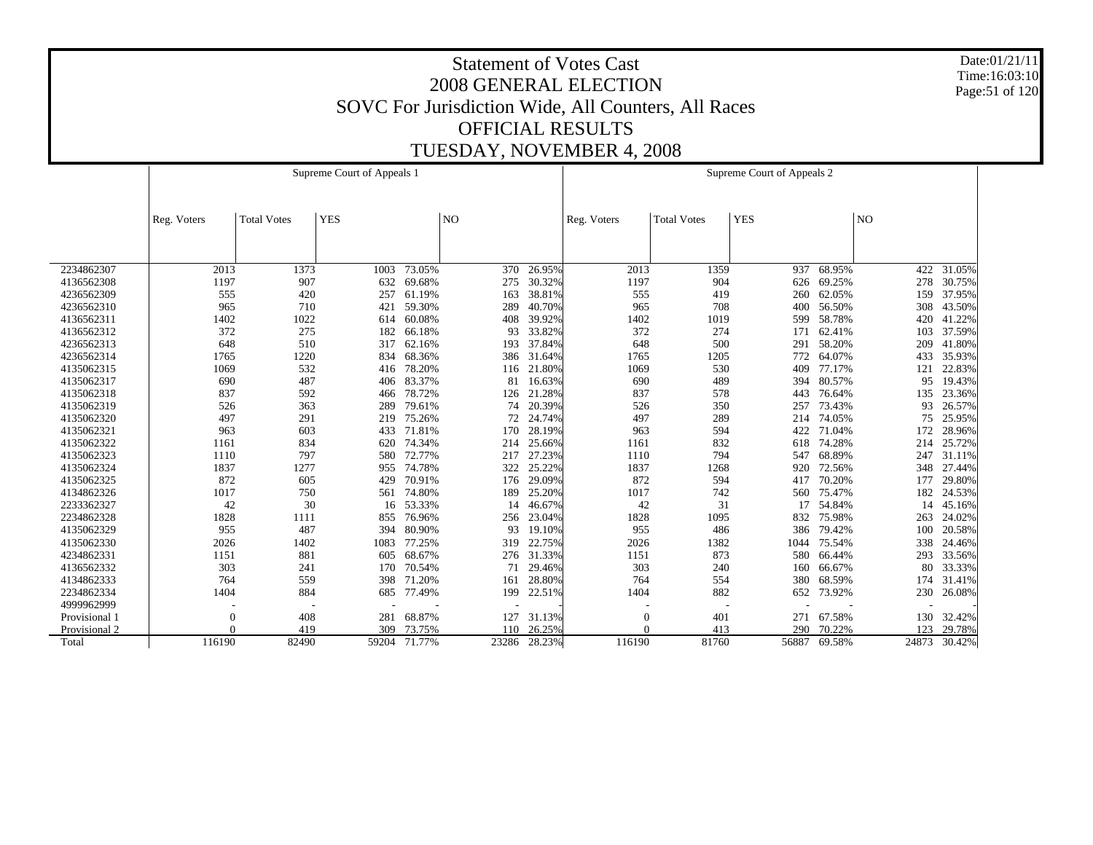Date:01/21/11 Time:16:03:10 Page:51 of 120

|               |                |                    | Supreme Court of Appeals 1 |            |       |        |             |                    | Supreme Court of Appeals 2 |        |       |            |
|---------------|----------------|--------------------|----------------------------|------------|-------|--------|-------------|--------------------|----------------------------|--------|-------|------------|
|               | Reg. Voters    | <b>Total Votes</b> | <b>YES</b>                 |            | NO    |        | Reg. Voters | <b>Total Votes</b> | <b>YES</b>                 |        | NO    |            |
|               |                |                    |                            |            |       |        |             |                    |                            |        |       |            |
| 2234862307    | 2013           | 1373               | 1003                       | 73.05%     | 370   | 26.95% | 2013        | 1359               | 937                        | 68.95% |       | 422 31.05% |
| 4136562308    | 1197           | 907                | 632                        | 69.68%     | 275   | 30.32% | 1197        | 904                | 626                        | 69.25% | 278   | 30.75%     |
| 4236562309    | 555            | 420                | 257                        | 61.19%     | 163   | 38.81% | 555         | 419                | 260                        | 62.05% | 159   | 37.95%     |
| 4236562310    | 965            | 710                | 421                        | 59.30%     | 289   | 40.70% | 965         | 708                | 400                        | 56.50% | 308   | 43.50%     |
| 4136562311    | 1402           | 1022               | 614                        | 60.08%     | 408   | 39.92% | 1402        | 1019               | 599                        | 58.78% | 420   | 41.22%     |
| 4136562312    | 372            | 275                | 182                        | 66.18%     | 93    | 33.82% | 372         | 274                | 171                        | 62.41% | 103   | 37.59%     |
| 4236562313    | 648            | 510                | 317                        | 62.16%     | 193   | 37.84% | 648         | 500                | 291                        | 58.20% | 209   | 41.80%     |
| 4236562314    | 1765           | 1220               | 834                        | 68.36%     | 386   | 31.64% | 1765        | 1205               | 772                        | 64.07% | 433   | 35.93%     |
| 4135062315    | 1069           | 532                | 416                        | 78.20%     | 116   | 21.80% | 1069        | 530                | 409                        | 77.17% | 121   | 22.83%     |
| 4135062317    | 690            | 487                | 406                        | 83.37%     | 81    | 16.63% | 690         | 489                | 394                        | 80.57% | 95    | 19.43%     |
| 4135062318    | 837            | 592                | 466                        | 78.72%     | 126   | 21.28% | 837         | 578                | 443                        | 76.64% | 135   | 23.36%     |
| 4135062319    | 526            | 363                | 289                        | 79.61%     | 74    | 20.39% | 526         | 350                | 257                        | 73.43% | 93    | 26.57%     |
| 4135062320    | 497            | 291                | 219                        | 75.26%     | 72    | 24.74% | 497         | 289                | 214                        | 74.05% | 75    | 25.95%     |
| 4135062321    | 963            | 603                | 433                        | 71.81%     | 170   | 28.19% | 963         | 594                | 422                        | 71.04% | 172   | 28.96%     |
| 4135062322    | 1161           | 834                |                            | 620 74.34% | 214   | 25.66% | 1161        | 832                | 618                        | 74.28% | 214   | 25.72%     |
| 4135062323    | 1110           | 797                | 580                        | 72.77%     | 217   | 27.23% | 1110        | 794                | 547                        | 68.89% | 247   | 31.11%     |
| 4135062324    | 1837           | 1277               | 955                        | 74.78%     | 322   | 25.22% | 1837        | 1268               | 920                        | 72.56% | 348   | 27.44%     |
| 4135062325    | 872            | 605                | 429                        | 70.91%     | 176   | 29.09% | 872         | 594                | 417                        | 70.20% | 177   | 29.80%     |
| 4134862326    | 1017           | 750                | 561                        | 74.80%     | 189   | 25.20% | 1017        | 742                | 560                        | 75.47% | 182   | 24.53%     |
| 2233362327    | 42             | 30                 | 16                         | 53.33%     | 14    | 46.67% | 42          | 31                 | 17                         | 54.84% | 14    | 45.16%     |
| 2234862328    | 1828           | 1111               | 855                        | 76.96%     | 256   | 23.04% | 1828        | 1095               | 832                        | 75.98% | 263   | 24.02%     |
| 4135062329    | 955            | 487                | 394                        | 80.90%     | 93    | 19.10% | 955         | 486                | 386                        | 79.42% | 100   | 20.58%     |
| 4135062330    | 2026           | 1402               | 1083                       | 77.25%     | 319   | 22.75% | 2026        | 1382               | 1044                       | 75.54% | 338   | 24.46%     |
| 4234862331    | 1151           | 881                | 605                        | 68.67%     | 276   | 31.33% | 1151        | 873                | 580                        | 66.44% | 293   | 33.56%     |
| 4136562332    | 303            | 241                | 170                        | 70.54%     | 71    | 29.46% | 303         | 240                | 160                        | 66.67% | 80    | 33.33%     |
| 4134862333    | 764            | 559                | 398                        | 71.20%     | 161   | 28.80% | 764         | 554                | 380                        | 68.59% | 174   | 31.41%     |
| 2234862334    | 1404           | 884                | 685                        | 77.49%     | 199   | 22.51% | 1404        | 882                | 652                        | 73.92% | 230   | 26.08%     |
| 4999962999    |                |                    |                            |            |       |        |             |                    |                            |        |       |            |
| Provisional 1 | $\overline{0}$ | 408                | 281                        | 68.87%     | 127   | 31.13% | $\theta$    | 401                | 271                        | 67.58% | 130   | 32.42%     |
| Provisional 2 | $\Omega$       | 419                | 309                        | 73.75%     | 110   | 26.25% | $\Omega$    | 413                | 290                        | 70.22% | 123   | 29.78%     |
| Total         | 116190         | 82490              | 59204                      | 71.77%     | 23286 | 28.23% | 116190      | 81760              | 56887                      | 69.58% | 24873 | 30.42%     |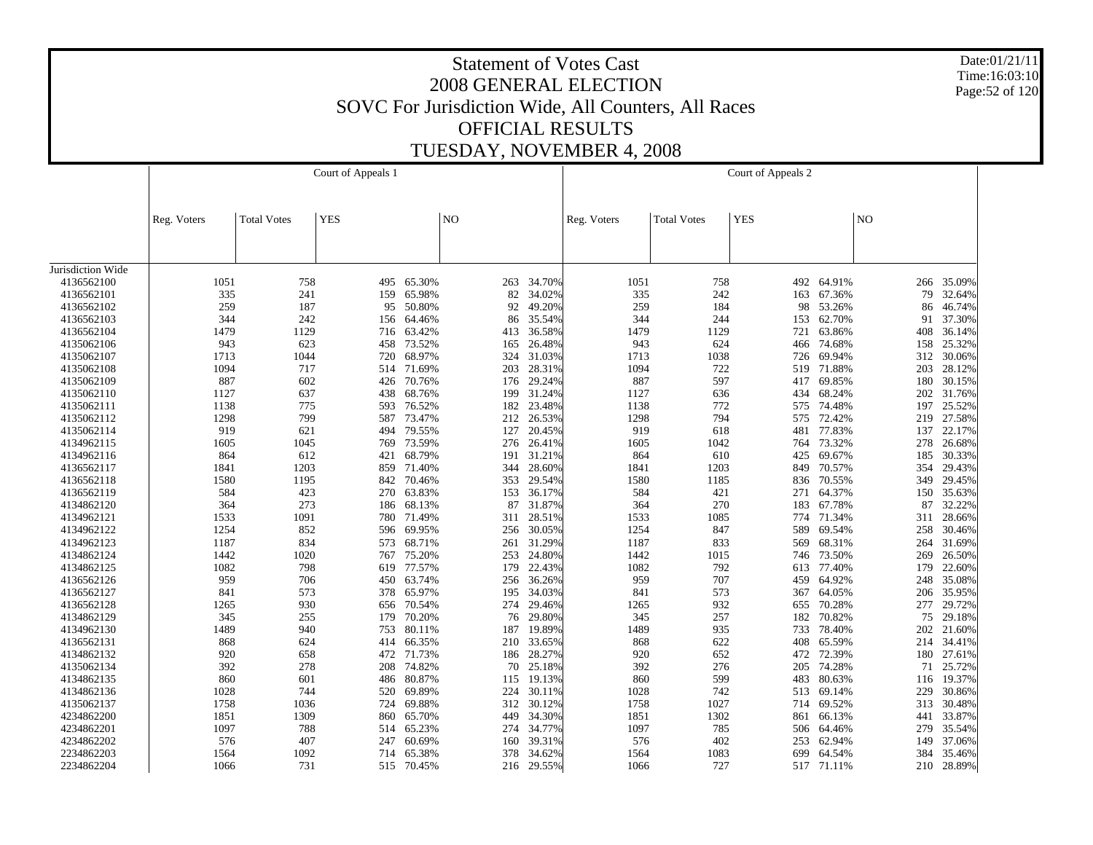Date:01/21/11 Time:16:03:10 Page:52 of 120

|                                 |             |                    | Court of Appeals 1 |            |                |            |             |                    | Court of Appeals 2 |            |                |        |
|---------------------------------|-------------|--------------------|--------------------|------------|----------------|------------|-------------|--------------------|--------------------|------------|----------------|--------|
|                                 |             |                    |                    |            |                |            |             |                    |                    |            |                |        |
|                                 | Reg. Voters | <b>Total Votes</b> | <b>YES</b>         |            | N <sub>O</sub> |            | Reg. Voters | <b>Total Votes</b> | <b>YES</b>         |            | N <sub>O</sub> |        |
|                                 |             |                    |                    |            |                |            |             |                    |                    |            |                |        |
|                                 |             |                    |                    |            |                |            |             |                    |                    |            |                |        |
| Jurisdiction Wide<br>4136562100 | 1051        | 758                |                    | 495 65.30% |                | 34.70%     |             | 758                | 492                | 64.91%     |                | 35.09% |
| 4136562101                      | 335         | 241                | 159                | 65.98%     | 263<br>82      | 34.02%     | 1051<br>335 | 242                |                    | 67.36%     | 266<br>79      | 32.64% |
| 4136562102                      | 259         | 187                | 95                 | 50.80%     | 92             | 49.20%     | 259         | 184                | 163<br>98          | 53.26%     | 86             | 46.74% |
| 4136562103                      | 344         | 242                |                    | 156 64.46% | 86             | 35.54%     | 344         | 244                | 153                | 62.70%     | 91             | 37.30% |
| 4136562104                      | 1479        | 1129               | 716                | 63.42%     | 413            | 36.58%     | 1479        | 1129               | 721                | 63.86%     | 408            | 36.14% |
| 4135062106                      | 943         | 623                |                    | 458 73.52% | 165            | 26.48%     | 943         | 624                | 466                | 74.68%     | 158            | 25.32% |
| 4135062107                      | 1713        | 1044               | 720                | 68.97%     | 324            | 31.03%     | 1713        | 1038               | 726                | 69.94%     | 312            | 30.06% |
|                                 | 1094        | 717                |                    |            | 203            | 28.31%     | 1094        | 722                |                    | 71.88%     | 203            |        |
| 4135062108                      | 887         | 602                |                    | 514 71.69% |                |            |             |                    | 519                |            |                | 28.12% |
| 4135062109                      |             |                    | 426                | 70.76%     | 176            | 29.24%     | 887         | 597                | 417                | 69.85%     | 180            | 30.15% |
| 4135062110                      | 1127        | 637                | 438                | 68.76%     | 199            | 31.24%     | 1127        | 636                | 434                | 68.24%     | 202            | 31.76% |
| 4135062111                      | 1138        | 775                | 593                | 76.52%     | 182            | 23.48%     | 1138        | 772                | 575                | 74.48%     | 197            | 25.52% |
| 4135062112                      | 1298        | 799                |                    | 587 73.47% | 212            | 26.53%     | 1298        | 794                | 575                | 72.42%     | 219            | 27.58% |
| 4135062114                      | 919         | 621                | 494                | 79.55%     | 127            | 20.45%     | 919         | 618                | 481                | 77.83%     | 137            | 22.17% |
| 4134962115                      | 1605        | 1045               |                    | 769 73.59% | 276            | 26.41%     | 1605        | 1042               | 764                | 73.32%     | 278            | 26.68% |
| 4134962116                      | 864         | 612                | 421                | 68.79%     | 191            | 31.21%     | 864         | 610                | 425                | 69.67%     | 185            | 30.33% |
| 4136562117                      | 1841        | 1203               | 859                | 71.40%     | 344            | 28.60%     | 1841        | 1203               | 849                | 70.57%     | 354            | 29.43% |
| 4136562118                      | 1580        | 1195               | 842                | 70.46%     | 353            | 29.54%     | 1580        | 1185               | 836                | 70.55%     | 349            | 29.45% |
| 4136562119                      | 584         | 423                | 270                | 63.83%     | 153            | 36.17%     | 584         | 421                | 271                | 64.37%     | 150            | 35.63% |
| 4134862120                      | 364         | 273                | 186                | 68.13%     | 87             | 31.87%     | 364         | 270                | 183                | 67.78%     | 87             | 32.22% |
| 4134962121                      | 1533        | 1091               | 780                | 71.49%     | 311            | 28.51%     | 1533        | 1085               | 774                | 71.34%     | 311            | 28.66% |
| 4134962122                      | 1254        | 852                |                    | 596 69.95% | 256            | 30.05%     | 1254        | 847                | 589                | 69.54%     | 258            | 30.46% |
| 4134962123                      | 1187        | 834                | 573                | 68.71%     | 261            | 31.29%     | 1187        | 833                | 569                | 68.31%     | 264            | 31.69% |
| 4134862124                      | 1442        | 1020               | 767                | 75.20%     | 253            | 24.80%     | 1442        | 1015               | 746                | 73.50%     | 269            | 26.50% |
| 4134862125                      | 1082        | 798                | 619                | 77.57%     | 179            | 22.43%     | 1082        | 792                | 613                | 77.40%     | 179            | 22.60% |
| 4136562126                      | 959         | 706                |                    | 450 63.74% | 256            | 36.26%     | 959         | 707                | 459                | 64.92%     | 248            | 35.08% |
| 4136562127                      | 841         | 573                | 378                | 65.97%     | 195            | 34.03%     | 841         | 573                | 367                | 64.05%     | 206            | 35.95% |
| 4136562128                      | 1265        | 930                |                    | 656 70.54% | 274            | 29.46%     | 1265        | 932                | 655                | 70.28%     | 277            | 29.72% |
| 4134862129                      | 345         | 255                | 179                | 70.20%     | 76             | 29.80%     | 345         | 257                | 182                | 70.82%     | 75             | 29.18% |
| 4134962130                      | 1489        | 940                |                    | 753 80.11% | 187            | 19.89%     | 1489        | 935                | 733                | 78.40%     | 202            | 21.60% |
| 4136562131                      | 868         | 624                | 414                | 66.35%     | 210            | 33.65%     | 868         | 622                | 408                | 65.59%     | 214            | 34.41% |
| 4134862132                      | 920         | 658                |                    | 472 71.73% | 186            | 28.27%     | 920         | 652                | 472                | 72.39%     | 180            | 27.61% |
| 4135062134                      | 392         | 278                | 208                | 74.82%     | 70             | 25.18%     | 392         | 276                | 205                | 74.28%     | 71             | 25.72% |
| 4134862135                      | 860         | 601                | 486                | 80.87%     | 115            | 19.13%     | 860         | 599                | 483                | 80.63%     | 116            | 19.37% |
| 4134862136                      | 1028        | 744                | 520                | 69.89%     | 224            | 30.11%     | 1028        | 742                | 513                | 69.14%     | 229            | 30.86% |
| 4135062137                      | 1758        | 1036               | 724                | 69.88%     | 312            | 30.12%     | 1758        | 1027               | 714                | 69.52%     | 313            | 30.48% |
| 4234862200                      | 1851        | 1309               | 860                | 65.70%     | 449            | 34.30%     | 1851        | 1302               | 861                | 66.13%     | 441            | 33.87% |
| 4234862201                      | 1097        | 788                | 514                | 65.23%     | 274            | 34.77%     | 1097        | 785                | 506                | 64.46%     | 279            | 35.54% |
| 4234862202                      | 576         | 407                | 247                | 60.69%     | 160            | 39.31%     | 576         | 402                | 253                | 62.94%     | 149            | 37.06% |
| 2234862203                      | 1564        | 1092               | 714                | 65.38%     | 378            | 34.62%     | 1564        | 1083               | 699                | 64.54%     | 384            | 35.46% |
| 2234862204                      | 1066        | 731                |                    | 515 70.45% |                | 216 29.55% | 1066        | 727                |                    | 517 71.11% | 210            | 28.89% |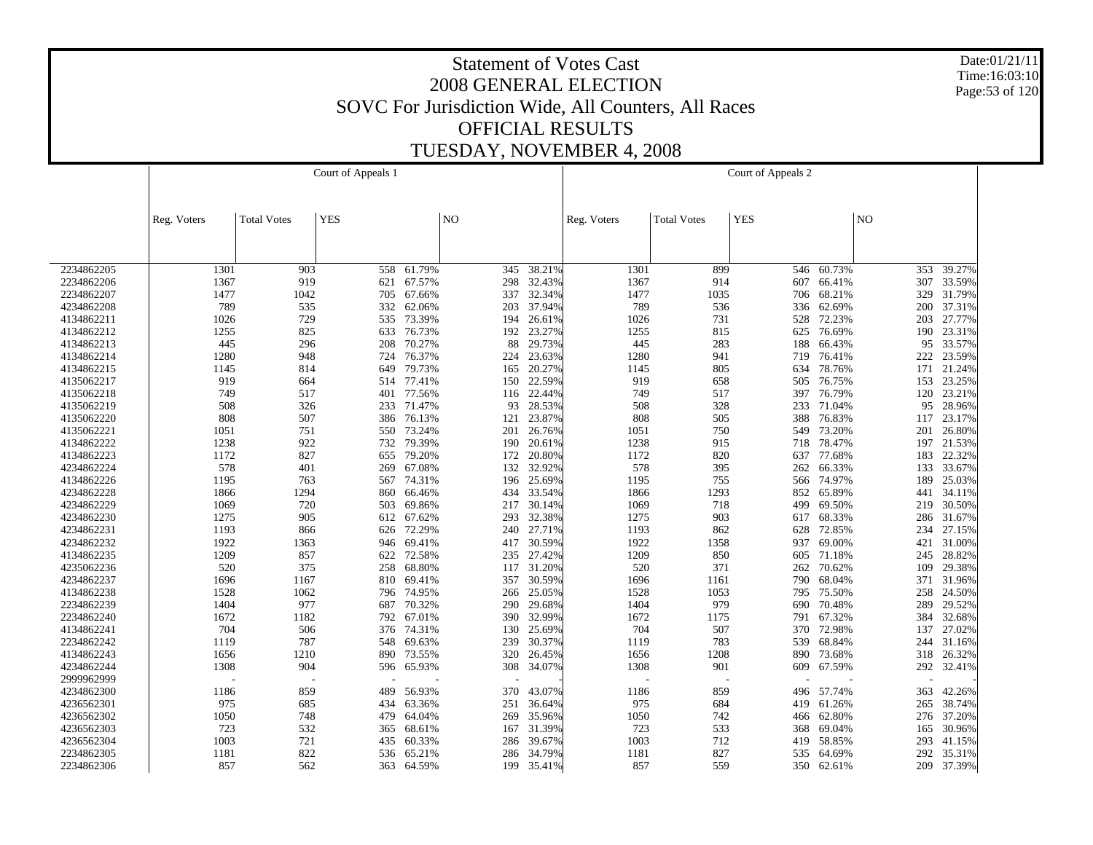Date:01/21/11 Time:16:03:10 Page:53 of 120

|            |             |                    | Court of Appeals 1 |            |                 |        |             |                    | Court of Appeals 2 |        |     |        |
|------------|-------------|--------------------|--------------------|------------|-----------------|--------|-------------|--------------------|--------------------|--------|-----|--------|
|            |             |                    |                    |            |                 |        |             |                    |                    |        |     |        |
|            |             |                    |                    |            |                 |        |             |                    |                    |        |     |        |
|            | Reg. Voters | <b>Total Votes</b> | <b>YES</b>         |            | NO <sub>1</sub> |        | Reg. Voters | <b>Total Votes</b> | <b>YES</b>         |        | NO  |        |
|            |             |                    |                    |            |                 |        |             |                    |                    |        |     |        |
|            |             |                    |                    |            |                 |        |             |                    |                    |        |     |        |
|            |             |                    |                    |            |                 |        |             |                    |                    |        |     |        |
| 2234862205 | 1301        | 903                | 558                | 61.79%     | 345             | 38.21% | 1301        | 899                | 546                | 60.73% | 353 | 39.27% |
| 2234862206 | 1367        | 919                | 621                | 67.57%     | 298             | 32.43% | 1367        | 914                | 607                | 66.41% | 307 | 33.59% |
| 2234862207 | 1477        | 1042               | 705                | 67.66%     | 337             | 32.34% | 1477        | 1035               | 706                | 68.21% | 329 | 31.79% |
| 4234862208 | 789         | 535                | 332                | 62.06%     | 203             | 37.94% | 789         | 536                | 336                | 62.69% | 200 | 37.31% |
| 4134862211 | 1026        | 729                | 535                | 73.39%     | 194             | 26.61% | 1026        | 731                | 528                | 72.23% | 203 | 27.77% |
| 4134862212 | 1255        | 825                | 633                | 76.73%     | 192             | 23.27% | 1255        | 815                | 625                | 76.69% | 190 | 23.31% |
| 4134862213 | 445         | 296                | 208                | 70.27%     | 88              | 29.73% | 445         | 283                | 188                | 66.43% | 95  | 33.57% |
| 4134862214 | 1280        | 948                | 724                | 76.37%     | 224             | 23.63% | 1280        | 941                | 719                | 76.41% | 222 | 23.59% |
| 4134862215 | 1145        | 814                | 649                | 79.73%     | 165             | 20.27% | 1145        | 805                | 634                | 78.76% | 171 | 21.24% |
| 4135062217 | 919         | 664                | 514                | 77.41%     | 150             | 22.59% | 919         | 658                | 505                | 76.75% | 153 | 23.25% |
| 4135062218 | 749         | 517                | 401                | 77.56%     | 116             | 22.44% | 749         | 517                | 397                | 76.79% | 120 | 23.21% |
| 4135062219 | 508         | 326                | 233                | 71.47%     | 93              | 28.53% | 508         | 328                | 233                | 71.04% | 95  | 28.96% |
| 4135062220 | 808         | 507                |                    | 386 76.13% | 121             | 23.87% | 808         | 505                | 388                | 76.83% | 117 | 23.17% |
| 4135062221 | 1051        | 751                | 550                | 73.24%     | 201             | 26.76% | 1051        | 750                | 549                | 73.20% | 201 | 26.80% |
| 4134862222 | 1238        | 922                |                    | 732 79.39% | 190             | 20.61% | 1238        | 915                | 718                | 78.47% | 197 | 21.53% |
| 4134862223 | 1172        | 827                | 655                | 79.20%     | 172             | 20.80% | 1172        | 820                | 637                | 77.68% | 183 | 22.32% |
| 4234862224 | 578         | 401                | 269                | 67.08%     | 132             | 32.92% | 578         | 395                | 262                | 66.33% | 133 | 33.67% |
| 4134862226 | 1195        | 763                | 567                | 74.31%     | 196             | 25.69% | 1195        | 755                | 566                | 74.97% | 189 | 25.03% |
| 4234862228 | 1866        | 1294               | 860                | 66.46%     | 434             | 33.54% | 1866        | 1293               | 852                | 65.89% | 441 | 34.11% |
| 4234862229 | 1069        | 720                | 503                | 69.86%     | 217             | 30.14% | 1069        | 718                | 499                | 69.50% | 219 | 30.50% |
| 4234862230 | 1275        | 905                |                    | 612 67.62% | 293             | 32.38% | 1275        | 903                | 617                | 68.33% | 286 | 31.67% |
| 4234862231 | 1193        | 866                | 626                | 72.29%     | 240             | 27.71% | 1193        | 862                | 628                | 72.85% | 234 | 27.15% |
| 4234862232 | 1922        | 1363               | 946                | 69.41%     | 417             | 30.59% | 1922        | 1358               | 937                | 69.00% | 421 | 31.00% |
| 4134862235 | 1209        | 857                | 622                | 72.58%     | 235             | 27.42% | 1209        | 850                | 605                | 71.18% | 245 | 28.82% |
| 4235062236 | 520         | 375                | 258                | 68.80%     | 117             | 31.20% | 520         | 371                | 262                | 70.62% | 109 | 29.38% |
| 4234862237 | 1696        | 1167               | 810                | 69.41%     | 357             | 30.59% | 1696        | 1161               | 790                | 68.04% | 371 | 31.96% |
| 4134862238 | 1528        | 1062               | 796                | 74.95%     | 266             | 25.05% | 1528        | 1053               | 795                | 75.50% | 258 | 24.50% |
| 2234862239 | 1404        | 977                | 687                | 70.32%     | 290             | 29.68% | 1404        | 979                | 690                | 70.48% | 289 | 29.52% |
| 2234862240 | 1672        | 1182               | 792                | 67.01%     | 390             | 32.99% | 1672        | 1175               | 791                | 67.32% | 384 | 32.68% |
| 4134862241 | 704         | 506                |                    | 376 74.31% | 130             | 25.69% | 704         | 507                | 370                | 72.98% | 137 | 27.02% |
| 2234862242 | 1119        | 787                | 548                | 69.63%     | 239             | 30.37% | 1119        | 783                | 539                | 68.84% | 244 | 31.16% |
| 4134862243 | 1656        | 1210               |                    | 890 73.55% | 320             | 26.45% | 1656        | 1208               | 890                | 73.68% | 318 | 26.32% |
| 4234862244 | 1308        | 904                | 596                | 65.93%     | 308             | 34.07% | 1308        | 901                | 609                | 67.59% | 292 | 32.41% |
| 2999962999 |             |                    |                    |            |                 |        |             |                    |                    |        |     |        |
| 4234862300 | 1186        | 859                | 489                | 56.93%     | 370             | 43.07% | 1186        | 859                | 496                | 57.74% | 363 | 42.26% |
| 4236562301 | 975         | 685                | 434                | 63.36%     | 251             | 36.64% | 975         | 684                | 419                | 61.26% | 265 | 38.74% |
| 4236562302 | 1050        | 748                | 479                | 64.04%     | 269             | 35.96% | 1050        | 742                | 466                | 62.80% | 276 | 37.20% |
| 4236562303 | 723         | 532                | 365                | 68.61%     | 167             | 31.39% | 723         | 533                | 368                | 69.04% | 165 | 30.96% |
| 4236562304 | 1003        | 721                | 435                | 60.33%     | 286             | 39.67% | 1003        | 712                | 419                | 58.85% | 293 | 41.15% |
| 2234862305 | 1181        | 822                | 536                | 65.21%     | 286             | 34.79% | 1181        | 827                | 535                | 64.69% | 292 | 35.31% |
| 2234862306 | 857         | 562                | 363                | 64.59%     | 199             | 35.41% | 857         | 559                | 350                | 62.61% | 209 | 37.39% |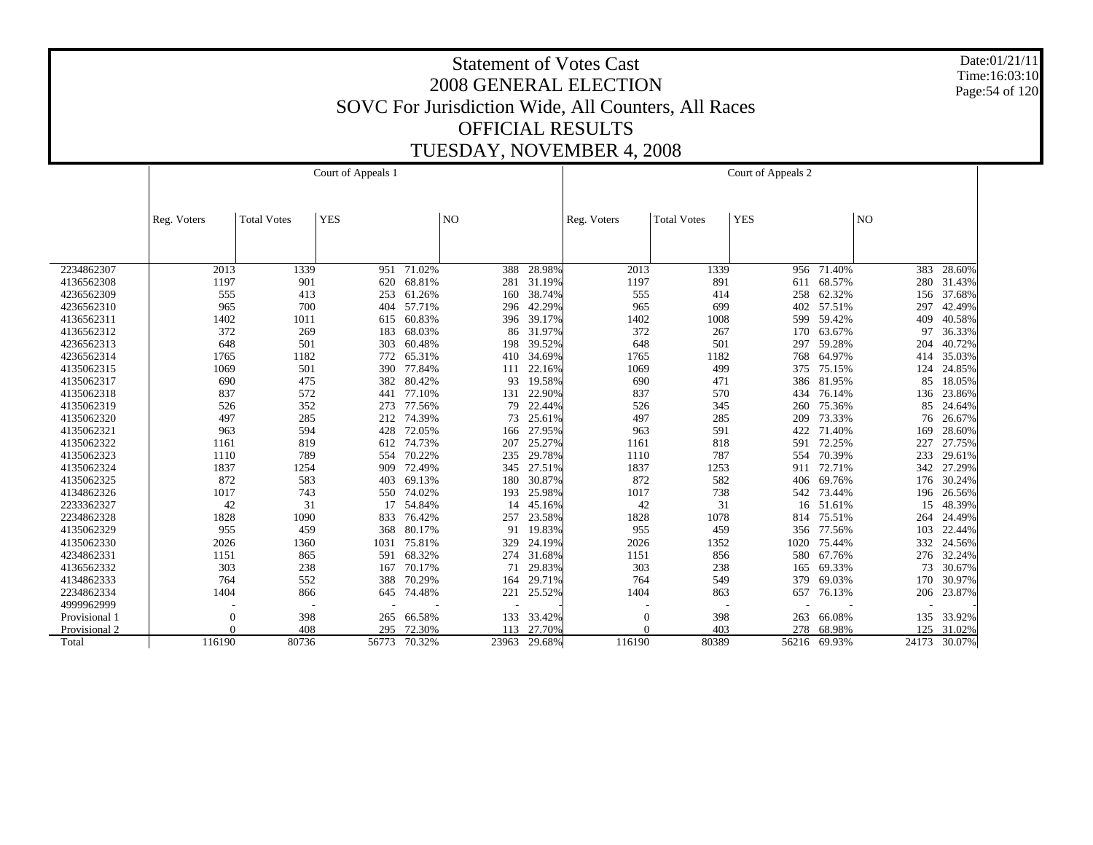Date:01/21/11 Time:16:03:10 Page:54 of 120

|               |             |                    | Court of Appeals 1 |            |       |        |             |                    | Court of Appeals 2 |            |       |        |
|---------------|-------------|--------------------|--------------------|------------|-------|--------|-------------|--------------------|--------------------|------------|-------|--------|
|               |             |                    |                    |            |       |        |             |                    |                    |            |       |        |
|               | Reg. Voters | <b>Total Votes</b> | <b>YES</b>         |            | NO    |        | Reg. Voters | <b>Total Votes</b> | <b>YES</b>         |            | $N$ O |        |
|               |             |                    |                    |            |       |        |             |                    |                    |            |       |        |
|               |             |                    |                    |            |       |        |             |                    |                    |            |       |        |
| 2234862307    | 2013        | 1339               | 951                | 71.02%     | 388   | 28.98% | 2013        | 1339               | 956                | 71.40%     | 383   | 28.60% |
| 4136562308    | 1197        | 901                | 620                | 68.81%     | 281   | 31.19% | 1197        | 891                | 611                | 68.57%     | 280   | 31.43% |
| 4236562309    | 555         | 413                | 253                | 61.26%     | 160   | 38.74% | 555         | 414                | 258                | 62.32%     | 156   | 37.68% |
| 4236562310    | 965         | 700                | 404                | 57.71%     | 296   | 42.29% | 965         | 699                | 402                | 57.51%     | 297   | 42.49% |
| 4136562311    | 1402        | 1011               |                    | 615 60.83% | 396   | 39.17% | 1402        | 1008               | 599                | 59.42%     | 409   | 40.58% |
| 4136562312    | 372         | 269                | 183                | 68.03%     | 86    | 31.97% | 372         | 267                | 170                | 63.67%     | 97    | 36.33% |
| 4236562313    | 648         | 501                | 303                | 60.48%     | 198   | 39.52% | 648         | 501                | 297                | 59.28%     | 204   | 40.72% |
| 4236562314    | 1765        | 1182               | 772                | 65.31%     | 410   | 34.69% | 1765        | 1182               | 768                | 64.97%     | 414   | 35.03% |
| 4135062315    | 1069        | 501                | 390                | 77.84%     | 111   | 22.16% | 1069        | 499                | 375                | 75.15%     | 124   | 24.85% |
| 4135062317    | 690         | 475                | 382                | 80.42%     | 93    | 19.58% | 690         | 471                | 386                | 81.95%     | 85    | 18.05% |
| 4135062318    | 837         | 572                | 441                | 77.10%     | 131   | 22.90% | 837         | 570                | 434                | 76.14%     | 136   | 23.86% |
| 4135062319    | 526         | 352                | 273                | 77.56%     | 79    | 22.44% | 526         | 345                | 260                | 75.36%     | 85    | 24.64% |
| 4135062320    | 497         | 285                | 212                | 74.39%     | 73    | 25.61% | 497         | 285                | 209                | 73.33%     | 76    | 26.67% |
| 4135062321    | 963         | 594                | 428                | 72.05%     | 166   | 27.95% | 963         | 591                | 422                | 71.40%     | 169   | 28.60% |
| 4135062322    | 1161        | 819                | 612                | 74.73%     | 207   | 25.27% | 1161        | 818                | 591                | 72.25%     | 227   | 27.75% |
| 4135062323    | 1110        | 789                | 554                | 70.22%     | 235   | 29.78% | 1110        | 787                | 554                | 70.39%     | 233   | 29.61% |
| 4135062324    | 1837        | 1254               | 909                | 72.49%     | 345   | 27.51% | 1837        | 1253               |                    | 911 72.71% | 342   | 27.29% |
| 4135062325    | 872         | 583                | 403                | 69.13%     | 180   | 30.87% | 872         | 582                | 406                | 69.76%     | 176   | 30.24% |
| 4134862326    | 1017        | 743                | 550                | 74.02%     | 193   | 25.98% | 1017        | 738                | 542                | 73.44%     | 196   | 26.56% |
| 2233362327    | 42          | 31                 | 17                 | 54.84%     | 14    | 45.16% | 42          | 31                 | 16                 | 51.61%     | 15    | 48.39% |
| 2234862328    | 1828        | 1090               | 833                | 76.42%     | 257   | 23.58% | 1828        | 1078               | 814                | 75.51%     | 264   | 24.49% |
| 4135062329    | 955         | 459                | 368                | 80.17%     | 91    | 19.83% | 955         | 459                | 356                | 77.56%     | 103   | 22.44% |
| 4135062330    | 2026        | 1360               | 1031               | 75.81%     | 329   | 24.19% | 2026        | 1352               | 1020               | 75.44%     | 332   | 24.56% |
| 4234862331    | 1151        | 865                | 591                | 68.32%     | 274   | 31.68% | 1151        | 856                | 580                | 67.76%     | 276   | 32.24% |
| 4136562332    | 303         | 238                | 167                | 70.17%     | 71    | 29.83% | 303         | 238                | 165                | 69.33%     | 73    | 30.67% |
| 4134862333    | 764         | 552                | 388                | 70.29%     | 164   | 29.71% | 764         | 549                | 379                | 69.03%     | 170   | 30.97% |
| 2234862334    | 1404        | 866                | 645                | 74.48%     | 221   | 25.52% | 1404        | 863                | 657                | 76.13%     | 206   | 23.87% |
| 4999962999    |             |                    |                    |            |       |        |             |                    |                    |            |       |        |
| Provisional 1 | $\Omega$    | 398                | 265                | 66.58%     | 133   | 33.42% | $\Omega$    | 398                | 263                | 66.08%     | 135   | 33.92% |
| Provisional 2 | $\Omega$    | 408                | 295                | 72.30%     | 113   | 27.70% |             | 403                | 278                | 68.98%     | 125   | 31.02% |
| Total         | 116190      | 80736              | 56773              | 70.32%     | 23963 | 29.68% | 116190      | 80389              | 56216              | 69.93%     | 24173 | 30.07% |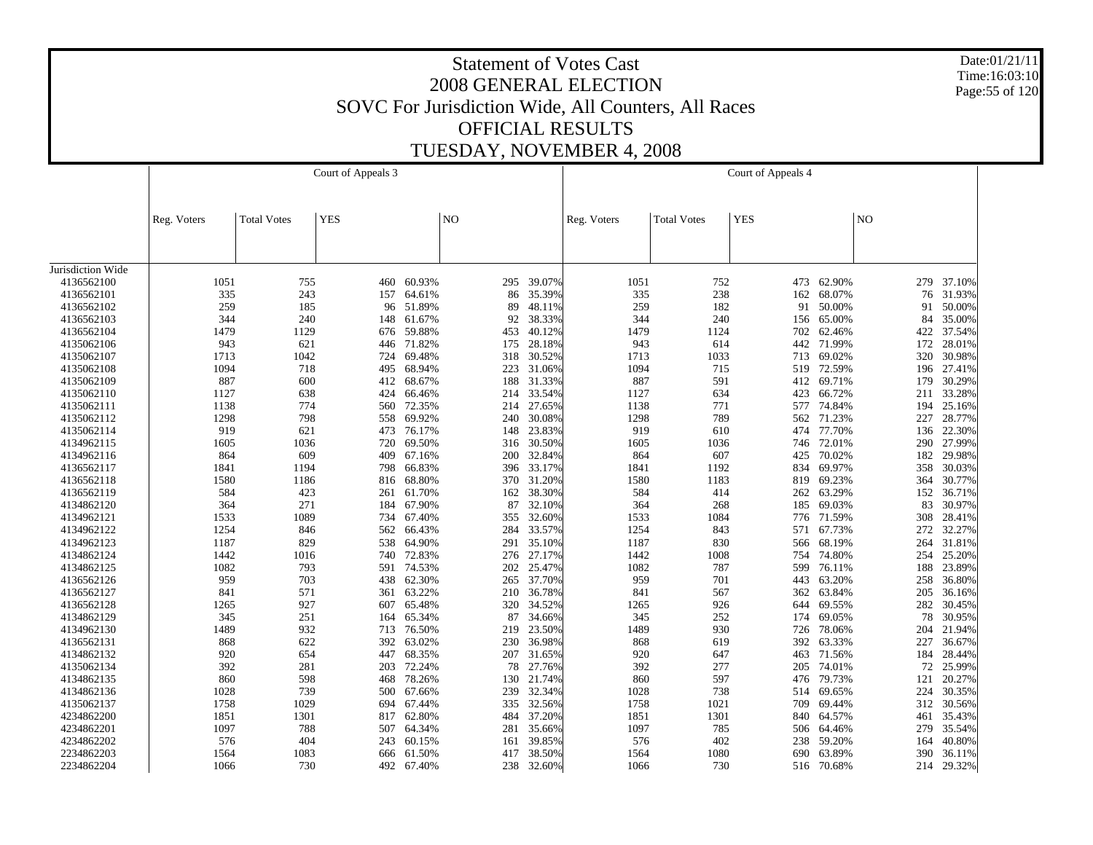Date:01/21/11 Time:16:03:10 Page:55 of 120

|                   |             |                    | Court of Appeals 3 |            |                |            |             |                    | Court of Appeals 4 |        |     |        |
|-------------------|-------------|--------------------|--------------------|------------|----------------|------------|-------------|--------------------|--------------------|--------|-----|--------|
|                   |             |                    |                    |            |                |            |             |                    |                    |        |     |        |
|                   | Reg. Voters | <b>Total Votes</b> | <b>YES</b>         |            | $\overline{N}$ |            | Reg. Voters | <b>Total Votes</b> | <b>YES</b>         |        | NO  |        |
|                   |             |                    |                    |            |                |            |             |                    |                    |        |     |        |
|                   |             |                    |                    |            |                |            |             |                    |                    |        |     |        |
| Jurisdiction Wide |             |                    |                    |            |                |            |             |                    |                    |        |     |        |
| 4136562100        | 1051        | 755                |                    | 460 60.93% |                | 295 39.07% | 1051        | 752                | 473                | 62.90% | 279 | 37.10% |
| 4136562101        | 335         | 243                | 157                | 64.61%     | 86             | 35.39%     | 335         | 238                | 162                | 68.07% | 76  | 31.93% |
| 4136562102        | 259         | 185                |                    | 96 51.89%  | 89             | 48.11%     | 259         | 182                | 91                 | 50.00% | 91  | 50.00% |
| 4136562103        | 344         | 240                | 148                | 61.67%     | 92             | 38.33%     | 344         | 240                | 156                | 65.00% | 84  | 35.00% |
| 4136562104        | 1479        | 1129               | 676                | 59.88%     | 453            | 40.12%     | 1479        | 1124               | 702                | 62.46% | 422 | 37.54% |
| 4135062106        | 943         | 621                | 446                | 71.82%     | 175            | 28.18%     | 943         | 614                | 442                | 71.99% | 172 | 28.01% |
| 4135062107        | 1713        | 1042               | 724                | 69.48%     | 318            | 30.52%     | 1713        | 1033               | 713                | 69.02% | 320 | 30.98% |
| 4135062108        | 1094        | 718                |                    | 495 68.94% | 223            | 31.06%     | 1094        | 715                | 519                | 72.59% | 196 | 27.41% |
| 4135062109        | 887         | 600                | 412                | 68.67%     | 188            | 31.33%     | 887         | 591                | 412                | 69.71% | 179 | 30.29% |
| 4135062110        | 1127        | 638                | 424                | 66.46%     | 214            | 33.54%     | 1127        | 634                | 423                | 66.72% | 211 | 33.28% |
| 4135062111        | 1138        | 774                | 560                | 72.35%     | 214            | 27.65%     | 1138        | 771                | 577                | 74.84% | 194 | 25.16% |
| 4135062112        | 1298        | 798                |                    | 558 69.92% | 240            | 30.08%     | 1298        | 789                | 562                | 71.23% | 227 | 28.77% |
| 4135062114        | 919         | 621                | 473                | 76.17%     | 148            | 23.83%     | 919         | 610                | 474                | 77.70% | 136 | 22.30% |
| 4134962115        | 1605        | 1036               | 720                | 69.50%     | 316            | 30.50%     | 1605        | 1036               | 746                | 72.01% | 290 | 27.99% |
| 4134962116        | 864         | 609                | 409                | 67.16%     | 200            | 32.84%     | 864         | 607                | 425                | 70.02% | 182 | 29.98% |
| 4136562117        | 1841        | 1194               | 798                | 66.83%     | 396            | 33.17%     | 1841        | 1192               | 834                | 69.97% | 358 | 30.03% |
| 4136562118        | 1580        | 1186               | 816                | 68.80%     | 370            | 31.20%     | 1580        | 1183               | 819                | 69.23% | 364 | 30.77% |
| 4136562119        | 584         | 423                | 261                | 61.70%     | 162            | 38.30%     | 584         | 414                | 262                | 63.29% | 152 | 36.71% |
| 4134862120        | 364         | 271                | 184                | 67.90%     | 87             | 32.10%     | 364         | 268                | 185                | 69.03% | 83  | 30.97% |
| 4134962121        | 1533        | 1089               | 734                | 67.40%     | 355            | 32.60%     | 1533        | 1084               | 776                | 71.59% | 308 | 28.41% |
| 4134962122        | 1254        | 846                | 562                | 66.43%     | 284            | 33.57%     | 1254        | 843                | 571                | 67.73% | 272 | 32.27% |
| 4134962123        | 1187        | 829                | 538                | 64.90%     | 291            | 35.10%     | 1187        | 830                | 566                | 68.19% | 264 | 31.81% |
| 4134862124        | 1442        | 1016               |                    | 740 72.83% | 276            | 27.17%     | 1442        | 1008               | 754                | 74.80% | 254 | 25.20% |
| 4134862125        | 1082        | 793                | 591                | 74.53%     | 202            | 25.47%     | 1082        | 787                | 599                | 76.11% | 188 | 23.89% |
| 4136562126        | 959         | 703                |                    | 438 62.30% | 265            | 37.70%     | 959         | 701                | 443                | 63.20% | 258 | 36.80% |
| 4136562127        | 841         | 571                | 361                | 63.22%     | 210            | 36.78%     | 841         | 567                | 362                | 63.84% | 205 | 36.16% |
| 4136562128        | 1265        | 927                |                    | 607 65.48% | 320            | 34.52%     | 1265        | 926                | 644                | 69.55% | 282 | 30.45% |
| 4134862129        | 345         | 251                | 164                | 65.34%     | 87             | 34.66%     | 345         | 252                | 174                | 69.05% | 78  | 30.95% |
| 4134962130        | 1489        | 932                |                    | 713 76.50% | 219            | 23.50%     | 1489        | 930                | 726                | 78.06% | 204 | 21.94% |
| 4136562131        | 868         | 622                | 392                | 63.02%     | 230            | 36.98%     | 868         | 619                | 392                | 63.33% | 227 | 36.67% |
| 4134862132        | 920         | 654                | 447                | 68.35%     | 207            | 31.65%     | 920         | 647                | 463                | 71.56% | 184 | 28.44% |
| 4135062134        | 392         | 281                | 203                | 72.24%     | 78             | 27.76%     | 392         | 277                | 205                | 74.01% | 72  | 25.99% |
| 4134862135        | 860         | 598                | 468                | 78.26%     | 130            | 21.74%     | 860         | 597                | 476                | 79.73% | 121 | 20.27% |
| 4134862136        | 1028        | 739                | 500                | 67.66%     | 239            | 32.34%     | 1028        | 738                | 514                | 69.65% | 224 | 30.35% |
| 4135062137        | 1758        | 1029               | 694                | 67.44%     | 335            | 32.56%     | 1758        | 1021               | 709                | 69.44% | 312 | 30.56% |
| 4234862200        | 1851        | 1301               |                    | 817 62.80% | 484            | 37.20%     | 1851        | 1301               | 840                | 64.57% | 461 | 35.43% |
| 4234862201        | 1097        | 788                | 507                | 64.34%     | 281            | 35.66%     | 1097        | 785                | 506                | 64.46% | 279 | 35.54% |
| 4234862202        | 576         | 404                | 243                | 60.15%     | 161            | 39.85%     | 576         | 402                | 238                | 59.20% | 164 | 40.80% |
| 2234862203        | 1564        | 1083               | 666                | 61.50%     | 417            | 38.50%     | 1564        | 1080               | 690                | 63.89% | 390 | 36.11% |
| 2234862204        | 1066        | 730                | 492                | 67.40%     |                | 238 32.60% | 1066        | 730                | 516                | 70.68% | 214 | 29.32% |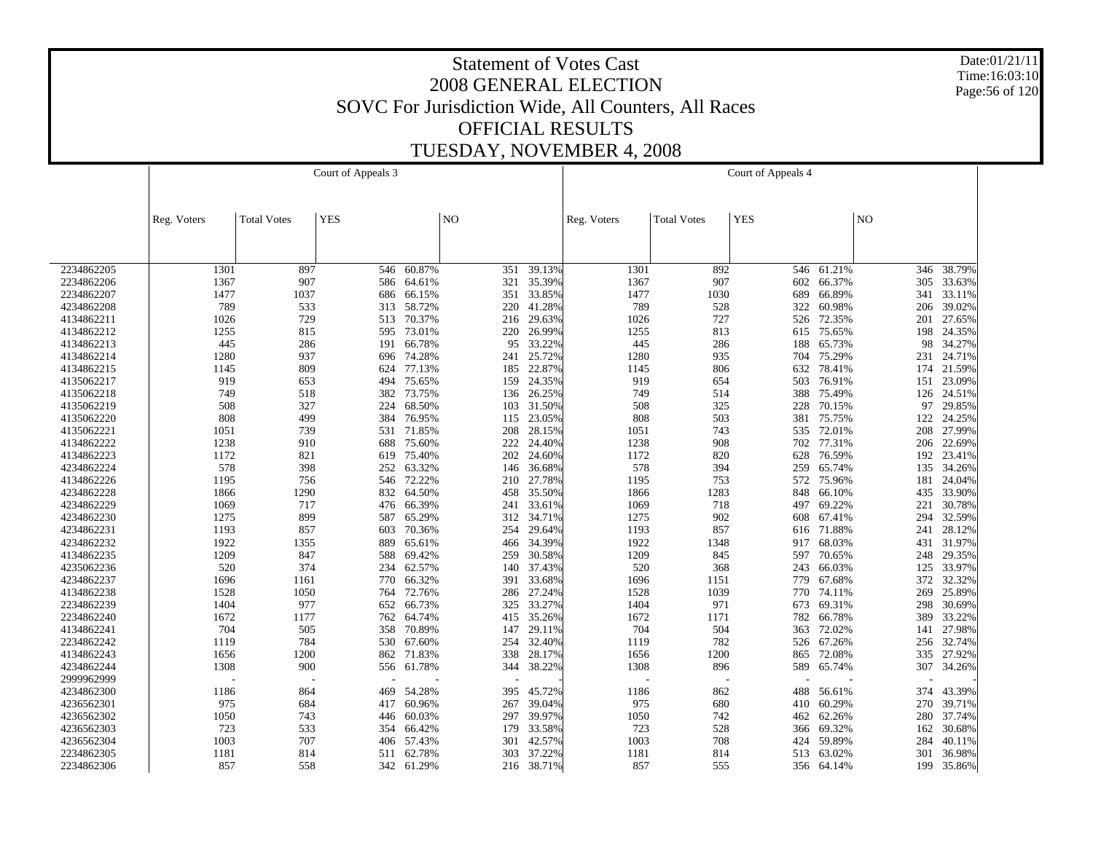Date:01/21/11 Time:16:03:10 Page:56 of 120

|            |             |                    | Court of Appeals 3 |            |                |            |             |                    | Court of Appeals 4 |        |                |        |
|------------|-------------|--------------------|--------------------|------------|----------------|------------|-------------|--------------------|--------------------|--------|----------------|--------|
|            |             |                    |                    |            |                |            |             |                    |                    |        |                |        |
|            |             |                    |                    |            |                |            |             |                    |                    |        |                |        |
|            | Reg. Voters | <b>Total Votes</b> | <b>YES</b>         |            | N <sub>O</sub> |            | Reg. Voters | <b>Total Votes</b> | <b>YES</b>         |        | N <sub>O</sub> |        |
|            |             |                    |                    |            |                |            |             |                    |                    |        |                |        |
|            |             |                    |                    |            |                |            |             |                    |                    |        |                |        |
|            |             |                    |                    |            |                |            |             |                    |                    |        |                |        |
| 2234862205 | 1301        | 897                | 546                | 60.87%     | 351            | 39.13%     | 1301        | 892                | 546                | 61.21% | 346            | 38.79% |
| 2234862206 | 1367        | 907                |                    | 586 64.61% | 321            | 35.39%     | 1367        | 907                | 602                | 66.37% | 305            | 33.63% |
| 2234862207 | 1477        | 1037               | 686                | 66.15%     | 351            | 33.85%     | 1477        | 1030               | 689                | 66.89% | 341            | 33.11% |
| 4234862208 | 789         | 533                |                    | 313 58.72% | 220            | 41.28%     | 789         | 528                | 322                | 60.98% | 206            | 39.02% |
| 4134862211 | 1026        | 729                | 513                | 70.37%     | 216            | 29.63%     | 1026        | 727                | 526                | 72.35% | 201            | 27.65% |
| 4134862212 | 1255        | 815                |                    | 595 73.01% | 220            | 26.99%     | 1255        | 813                | 615                | 75.65% | 198            | 24.35% |
| 4134862213 | 445         | 286                | 191                | 66.78%     | 95             | 33.22%     | 445         | 286                | 188                | 65.73% | 98             | 34.27% |
| 4134862214 | 1280        | 937                | 696                | 74.28%     | 241            | 25.72%     | 1280        | 935                | 704                | 75.29% | 231            | 24.71% |
| 4134862215 | 1145        | 809                | 624                | 77.13%     | 185            | 22.87%     | 1145        | 806                | 632                | 78.41% | 174            | 21.59% |
| 4135062217 | 919         | 653                | 494                | 75.65%     | 159            | 24.35%     | 919         | 654                | 503                | 76.91% | 151            | 23.09% |
| 4135062218 | 749         | 518                |                    | 382 73.75% | 136            | 26.25%     | 749         | 514                | 388                | 75.49% | 126            | 24.51% |
| 4135062219 | 508         | 327                | 224                | 68.50%     | 103            | 31.50%     | 508         | 325                | 228                | 70.15% | 97             | 29.85% |
| 4135062220 | 808         | 499                |                    | 384 76.95% | 115            | 23.05%     | 808         | 503                | 381                | 75.75% | 122            | 24.25% |
| 4135062221 | 1051        | 739                | 531                | 71.85%     | 208            | 28.15%     | 1051        | 743                | 535                | 72.01% | 208            | 27.99% |
| 4134862222 | 1238        | 910                | 688                | 75.60%     | 222            | 24.40%     | 1238        | 908                | 702                | 77.31% | 206            | 22.69% |
| 4134862223 | 1172        | 821                | 619                | 75.40%     | 202            | 24.60%     | 1172        | 820                | 628                | 76.59% | 192            | 23.41% |
| 4234862224 | 578         | 398                |                    | 252 63.32% | 146            | 36.68%     | 578         | 394                | 259                | 65.74% | 135            | 34.26% |
| 4134862226 | 1195        | 756                | 546                | 72.22%     | 210            | 27.78%     | 1195        | 753                | 572                | 75.96% | 181            | 24.04% |
| 4234862228 | 1866        | 1290               |                    | 832 64.50% | 458            | 35.50%     | 1866        | 1283               | 848                | 66.10% | 435            | 33.90% |
| 4234862229 | 1069        | 717                | 476                | 66.39%     | 241            | 33.61%     | 1069        | 718                | 497                | 69.22% | 221            | 30.78% |
| 4234862230 | 1275        | 899                | 587                | 65.29%     | 312            | 34.71%     | 1275        | 902                | 608                | 67.41% | 294            | 32.59% |
| 4234862231 | 1193        | 857                | 603                | 70.36%     | 254            | 29.64%     | 1193        | 857                | 616                | 71.88% | 241            | 28.12% |
| 4234862232 | 1922        | 1355               | 889                | 65.61%     | 466            | 34.39%     | 1922        | 1348               | 917                | 68.03% | 431            | 31.97% |
| 4134862235 | 1209        | 847                | 588                | 69.42%     | 259            | 30.58%     | 1209        | 845                | 597                | 70.65% | 248            | 29.35% |
| 4235062236 | 520         | 374                | 234                | 62.57%     | 140            | 37.43%     | 520         | 368                | 243                | 66.03% | 125            | 33.97% |
| 4234862237 | 1696        | 1161               | 770                | 66.32%     | 391            | 33.68%     | 1696        | 1151               | 779                | 67.68% | 372            | 32.32% |
| 4134862238 | 1528        | 1050               | 764                | 72.76%     | 286            | 27.24%     | 1528        | 1039               | 770                | 74.11% | 269            | 25.89% |
| 2234862239 | 1404        | 977                |                    | 652 66.73% | 325            | 33.27%     | 1404        | 971                | 673                | 69.31% | 298            | 30.69% |
| 2234862240 | 1672        | 1177               | 762                | 64.74%     | 415            | 35.26%     | 1672        | 1171               | 782                | 66.78% | 389            | 33.22% |
| 4134862241 | 704         | 505                |                    | 358 70.89% | 147            | 29.11%     | 704         | 504                | 363                | 72.02% | 141            | 27.98% |
| 2234862242 | 1119        | 784                | 530                | 67.60%     | 254            | 32.40%     | 1119        | 782                | 526                | 67.26% | 256            | 32.74% |
| 4134862243 | 1656        | 1200               | 862                | 71.83%     | 338            | 28.17%     | 1656        | 1200               | 865                | 72.08% | 335            | 27.92% |
| 4234862244 | 1308        | 900                | 556                | 61.78%     | 344            | 38.22%     | 1308        | 896                | 589                | 65.74% | 307            | 34.26% |
| 2999962999 |             |                    |                    |            |                |            |             |                    |                    |        |                |        |
| 4234862300 | 1186        | 864                | 469                | 54.28%     | 395            | 45.72%     | 1186        | 862                | 488                | 56.61% | 374            | 43.39% |
| 4236562301 | 975         | 684                | 417                | 60.96%     | 267            | 39.04%     | 975         | 680                | 410                | 60.29% | 270            | 39.71% |
| 4236562302 | 1050        | 743                | 446                | 60.03%     | 297            | 39.97%     | 1050        | 742                | 462                | 62.26% | 280            | 37.74% |
| 4236562303 | 723         | 533                | 354                | 66.42%     | 179            | 33.58%     | 723         | 528                | 366                | 69.32% | 162            | 30.68% |
| 4236562304 | 1003        | 707                | 406                | 57.43%     | 301            | 42.57%     | 1003        | 708                | 424                | 59.89% | 284            | 40.11% |
| 2234862305 | 1181        | 814                | 511                | 62.78%     | 303            | 37.22%     | 1181        | 814                | 513                | 63.02% | 301            | 36.98% |
| 2234862306 | 857         | 558                |                    | 342 61.29% |                | 216 38.71% | 857         | 555                | 356                | 64.14% | 199            | 35.86% |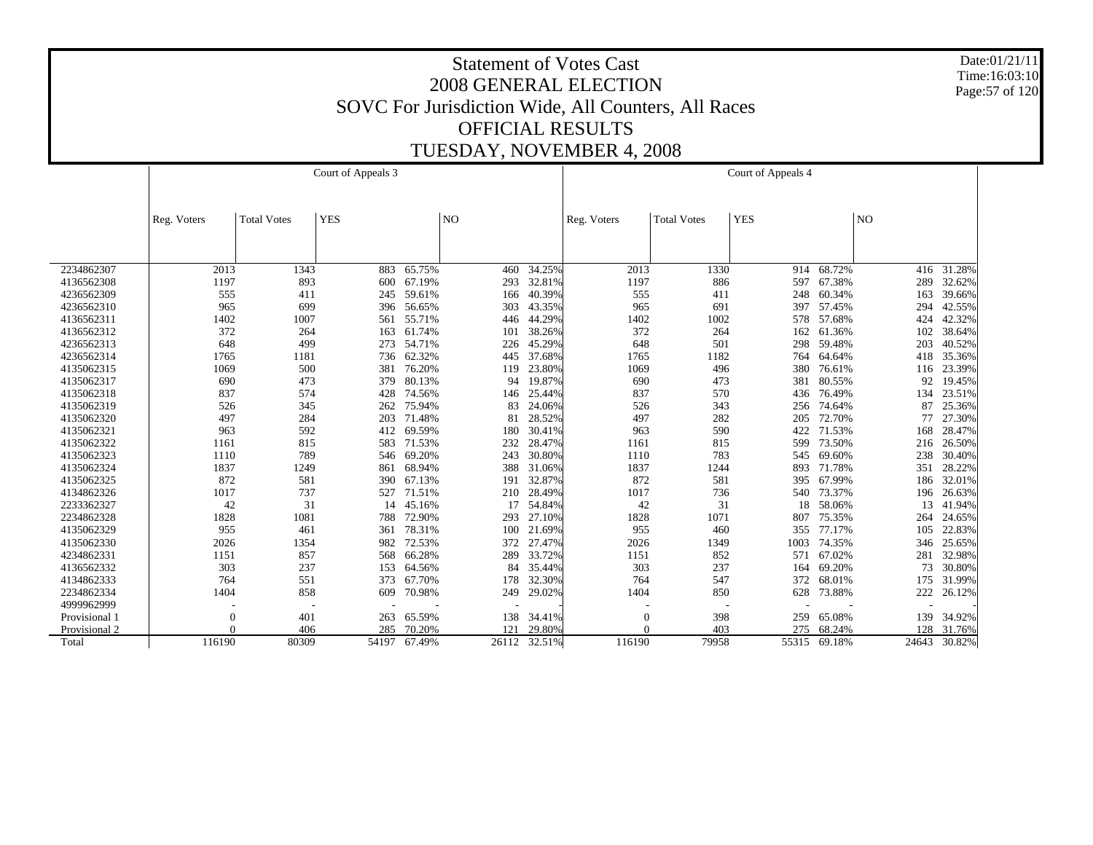Date:01/21/11 Time:16:03:10 Page:57 of 120

|               |             |                    | Court of Appeals 3 |            |       |        |             |                    | Court of Appeals 4 |              |       |        |
|---------------|-------------|--------------------|--------------------|------------|-------|--------|-------------|--------------------|--------------------|--------------|-------|--------|
|               | Reg. Voters | <b>Total Votes</b> | <b>YES</b>         |            | NO    |        | Reg. Voters | <b>Total Votes</b> | <b>YES</b>         |              | NO    |        |
|               |             |                    |                    |            |       |        |             |                    |                    |              |       |        |
|               |             |                    |                    |            |       |        |             |                    |                    |              |       |        |
| 2234862307    | 2013        | 1343               | 883                | 65.75%     | 460   | 34.25% | 2013        | 1330               |                    | 914 68.72%   | 416   | 31.28% |
| 4136562308    | 1197        | 893                | 600                | 67.19%     | 293   | 32.81% | 1197        | 886                | 597                | 67.38%       | 289   | 32.62% |
| 4236562309    | 555         | 411                | 245                | 59.61%     | 166   | 40.39% | 555         | 411                | 248                | 60.34%       | 163   | 39.66% |
| 4236562310    | 965         | 699                | 396                | 56.65%     | 303   | 43.35% | 965         | 691                | 397                | 57.45%       | 294   | 42.55% |
| 4136562311    | 1402        | 1007               |                    | 561 55.71% | 446   | 44.29% | 1402        | 1002               | 578                | 57.68%       | 424   | 42.32% |
| 4136562312    | 372         | 264                | 163                | 61.74%     | 101   | 38.26% | 372         | 264                | 162                | 61.36%       | 102   | 38.64% |
| 4236562313    | 648         | 499                | 273                | 54.71%     | 226   | 45.29% | 648         | 501                | 298                | 59.48%       | 203   | 40.52% |
| 4236562314    | 1765        | 1181               | 736                | 62.32%     | 445   | 37.68% | 1765        | 1182               | 764                | 64.64%       | 418   | 35.36% |
| 4135062315    | 1069        | 500                | 381                | 76.20%     | 119   | 23.80% | 1069        | 496                | 380                | 76.61%       | 116   | 23.39% |
| 4135062317    | 690         | 473                | 379                | 80.13%     | 94    | 19.87% | 690         | 473                | 381                | 80.55%       | 92    | 19.45% |
| 4135062318    | 837         | 574                | 428                | 74.56%     | 146   | 25.44% | 837         | 570                | 436                | 76.49%       | 134   | 23.51% |
| 4135062319    | 526         | 345                | 262                | 75.94%     | 83    | 24.06% | 526         | 343                | 256                | 74.64%       | 87    | 25.36% |
| 4135062320    | 497         | 284                | 203                | 71.48%     | 81    | 28.52% | 497         | 282                | 205                | 72.70%       | 77    | 27.30% |
| 4135062321    | 963         | 592                | 412                | 69.59%     | 180   | 30.41% | 963         | 590                | 422                | 71.53%       | 168   | 28.47% |
| 4135062322    | 1161        | 815                | 583                | 71.53%     | 232   | 28.47% | 1161        | 815                | 599                | 73.50%       | 216   | 26.50% |
| 4135062323    | 1110        | 789                |                    | 546 69.20% | 243   | 30.80% | 1110        | 783                |                    | 545 69.60%   | 238   | 30.40% |
| 4135062324    | 1837        | 1249               | 861                | 68.94%     | 388   | 31.06% | 1837        | 1244               | 893                | 71.78%       | 351   | 28.22% |
| 4135062325    | 872         | 581                | 390                | 67.13%     | 191   | 32.87% | 872         | 581                | 395                | 67.99%       | 186   | 32.01% |
| 4134862326    | 1017        | 737                | 527                | 71.51%     | 210   | 28.49% | 1017        | 736                | 540                | 73.37%       | 196   | 26.63% |
| 2233362327    | 42          | 31                 | 14                 | 45.16%     | 17    | 54.84% | 42          | 31                 | 18                 | 58.06%       | 13    | 41.94% |
| 2234862328    | 1828        | 1081               | 788                | 72.90%     | 293   | 27.10% | 1828        | 1071               | 807                | 75.35%       | 264   | 24.65% |
| 4135062329    | 955         | 461                | 361                | 78.31%     | 100   | 21.69% | 955         | 460                | 355                | 77.17%       | 105   | 22.83% |
| 4135062330    | 2026        | 1354               | 982                | 72.53%     | 372   | 27.47% | 2026        | 1349               | 1003               | 74.35%       | 346   | 25.65% |
| 4234862331    | 1151        | 857                | 568                | 66.28%     | 289   | 33.72% | 1151        | 852                | 571                | 67.02%       | 281   | 32.98% |
| 4136562332    | 303         | 237                | 153                | 64.56%     | 84    | 35.44% | 303         | 237                | 164                | 69.20%       | 73    | 30.80% |
| 4134862333    | 764         | 551                | 373                | 67.70%     | 178   | 32.30% | 764         | 547                | 372                | 68.01%       | 175   | 31.99% |
| 2234862334    | 1404        | 858                | 609                | 70.98%     | 249   | 29.02% | 1404        | 850                | 628                | 73.88%       | 222   | 26.12% |
| 4999962999    |             |                    |                    |            |       |        |             |                    |                    |              |       |        |
| Provisional 1 | $\theta$    | 401                | 263                | 65.59%     | 138   | 34.41% | $\Omega$    | 398                | 259                | 65.08%       | 139   | 34.92% |
| Provisional 2 |             | 406                | 285                | 70.20%     | 121   | 29.80% |             | 403                | 275                | 68.24%       | 128   | 31.76% |
| Total         | 116190      | 80309              | 54197              | 67.49%     | 26112 | 32.51% | 116190      | 79958              |                    | 55315 69.18% | 24643 | 30.82% |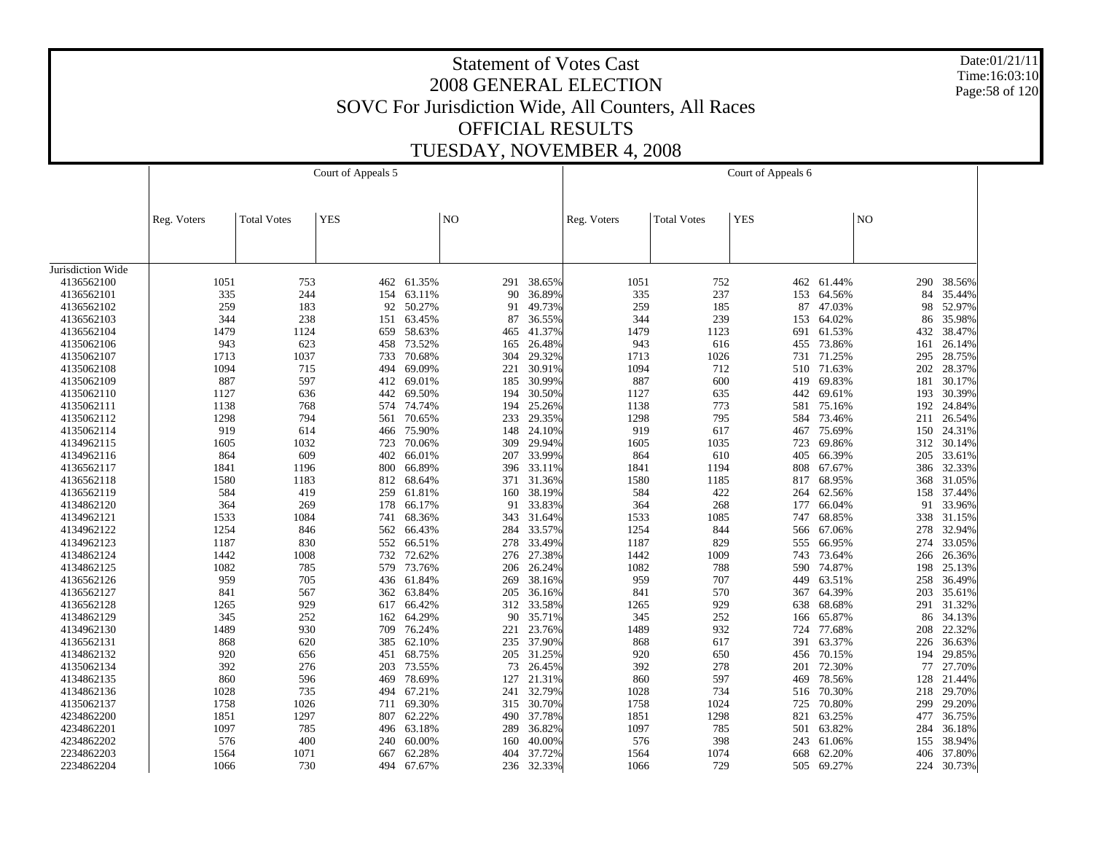Date:01/21/11 Time:16:03:10 Page:58 of 120

|                   |             |                    | Court of Appeals 5 |            |     |            |             |                    | Court of Appeals 6 |        |                |        |
|-------------------|-------------|--------------------|--------------------|------------|-----|------------|-------------|--------------------|--------------------|--------|----------------|--------|
|                   |             |                    |                    |            |     |            |             |                    |                    |        |                |        |
|                   | Reg. Voters | <b>Total Votes</b> | <b>YES</b>         |            | NO  |            | Reg. Voters | <b>Total Votes</b> | <b>YES</b>         |        | N <sub>O</sub> |        |
|                   |             |                    |                    |            |     |            |             |                    |                    |        |                |        |
|                   |             |                    |                    |            |     |            |             |                    |                    |        |                |        |
| Jurisdiction Wide |             |                    |                    |            |     |            |             |                    |                    |        |                |        |
| 4136562100        | 1051        | 753                |                    | 462 61.35% | 291 | 38.65%     | 1051        | 752                | 462                | 61.44% | 290            | 38.56% |
| 4136562101        | 335         | 244                | 154                | 63.11%     | 90  | 36.89%     | 335         | 237                | 153                | 64.56% | 84             | 35.44% |
| 4136562102        | 259         | 183                | 92                 | 50.27%     | 91  | 49.73%     | 259         | 185                | 87                 | 47.03% | 98             | 52.97% |
| 4136562103        | 344         | 238                | 151                | 63.45%     | 87  | 36.55%     | 344         | 239                | 153                | 64.02% | 86             | 35.98% |
| 4136562104        | 1479        | 1124               | 659                | 58.63%     | 465 | 41.37%     | 1479        | 1123               | 691                | 61.53% | 432            | 38.47% |
| 4135062106        | 943         | 623                | 458                | 73.52%     | 165 | 26.48%     | 943         | 616                | 455                | 73.86% | 161            | 26.14% |
| 4135062107        | 1713        | 1037               | 733                | 70.68%     | 304 | 29.32%     | 1713        | 1026               | 731                | 71.25% | 295            | 28.75% |
| 4135062108        | 1094        | 715                | 494                | 69.09%     | 221 | 30.91%     | 1094        | 712                | 510                | 71.63% | 202            | 28.37% |
| 4135062109        | 887         | 597                | 412                | 69.01%     | 185 | 30.99%     | 887         | 600                | 419                | 69.83% | 181            | 30.17% |
| 4135062110        | 1127        | 636                | 442                | 69.50%     | 194 | 30.50%     | 1127        | 635                | 442                | 69.61% | 193            | 30.39% |
| 4135062111        | 1138        | 768                | 574                | 74.74%     | 194 | 25.26%     | 1138        | 773                | 581                | 75.16% | 192            | 24.84% |
| 4135062112        | 1298        | 794                | 561                | 70.65%     | 233 | 29.35%     | 1298        | 795                | 584                | 73.46% | 211            | 26.54% |
| 4135062114        | 919         | 614                | 466                | 75.90%     | 148 | 24.10%     | 919         | 617                | 467                | 75.69% | 150            | 24.31% |
| 4134962115        | 1605        | 1032               | 723                | 70.06%     | 309 | 29.94%     | 1605        | 1035               | 723                | 69.86% | 312            | 30.14% |
| 4134962116        | 864         | 609                | 402                | 66.01%     | 207 | 33.99%     | 864         | 610                | 405                | 66.39% | 205            | 33.61% |
| 4136562117        | 1841        | 1196               | 800                | 66.89%     | 396 | 33.11%     | 1841        | 1194               | 808                | 67.67% | 386            | 32.33% |
| 4136562118        | 1580        | 1183               | 812                | 68.64%     | 371 | 31.36%     | 1580        | 1185               | 817                | 68.95% | 368            | 31.05% |
| 4136562119        | 584         | 419                | 259                | 61.81%     | 160 | 38.19%     | 584         | 422                | 264                | 62.56% | 158            | 37.44% |
| 4134862120        | 364         | 269                | 178                | 66.17%     | 91  | 33.83%     | 364         | 268                | 177                | 66.04% | 91             | 33.96% |
| 4134962121        | 1533        | 1084               | 741                | 68.36%     | 343 | 31.64%     | 1533        | 1085               | 747                | 68.85% | 338            | 31.15% |
| 4134962122        | 1254        | 846                | 562                | 66.43%     | 284 | 33.57%     | 1254        | 844                | 566                | 67.06% | 278            | 32.94% |
| 4134962123        | 1187        | 830                | 552                | 66.51%     | 278 | 33.49%     | 1187        | 829                | 555                | 66.95% | 274            | 33.05% |
| 4134862124        | 1442        | 1008               | 732                | 72.62%     | 276 | 27.38%     | 1442        | 1009               | 743                | 73.64% | 266            | 26.36% |
| 4134862125        | 1082        | 785                | 579                | 73.76%     | 206 | 26.24%     | 1082        | 788                | 590                | 74.87% | 198            | 25.13% |
| 4136562126        | 959         | 705                |                    | 436 61.84% | 269 | 38.16%     | 959         | 707                | 449                | 63.51% | 258            | 36.49% |
| 4136562127        | 841         | 567                | 362                | 63.84%     | 205 | 36.16%     | 841         | 570                | 367                | 64.39% | 203            | 35.61% |
| 4136562128        | 1265        | 929                |                    | 617 66.42% | 312 | 33.58%     | 1265        | 929                | 638                | 68.68% | 291            | 31.32% |
| 4134862129        | 345         | 252                | 162                | 64.29%     | 90  | 35.71%     | 345         | 252                | 166                | 65.87% | 86             | 34.13% |
| 4134962130        | 1489        | 930                | 709                | 76.24%     | 221 | 23.76%     | 1489        | 932                | 724                | 77.68% | 208            | 22.32% |
| 4136562131        | 868         | 620                | 385                | 62.10%     | 235 | 37.90%     | 868         | 617                | 391                | 63.37% | 226            | 36.63% |
| 4134862132        | 920         | 656                | 451                | 68.75%     | 205 | 31.25%     | 920         | 650                | 456                | 70.15% | 194            | 29.85% |
| 4135062134        | 392         | 276                | 203                | 73.55%     | 73  | 26.45%     | 392         | 278                | 201                | 72.30% | 77             | 27.70% |
| 4134862135        | 860         | 596                | 469                | 78.69%     | 127 | 21.31%     | 860         | 597                | 469                | 78.56% | 128            | 21.44% |
| 4134862136        | 1028        | 735                | 494                | 67.21%     | 241 | 32.79%     | 1028        | 734                | 516                | 70.30% | 218            | 29.70% |
| 4135062137        | 1758        | 1026               | 711                | 69.30%     | 315 | 30.70%     | 1758        | 1024               | 725                | 70.80% | 299            | 29.20% |
| 4234862200        | 1851        | 1297               | 807                | 62.22%     | 490 | 37.78%     | 1851        | 1298               | 821                | 63.25% | 477            | 36.75% |
| 4234862201        | 1097        | 785                | 496                | 63.18%     | 289 | 36.82%     | 1097        | 785                | 501                | 63.82% | 284            | 36.18% |
| 4234862202        | 576         | 400                | 240                | 60.00%     | 160 | 40.00%     | 576         | 398                | 243                | 61.06% | 155            | 38.94% |
| 2234862203        | 1564        | 1071               | 667                | 62.28%     | 404 | 37.72%     | 1564        | 1074               | 668                | 62.20% | 406            | 37.80% |
| 2234862204        | 1066        | 730                |                    | 494 67.67% |     | 236 32.33% | 1066        | 729                | 505                | 69.27% | 224            | 30.73% |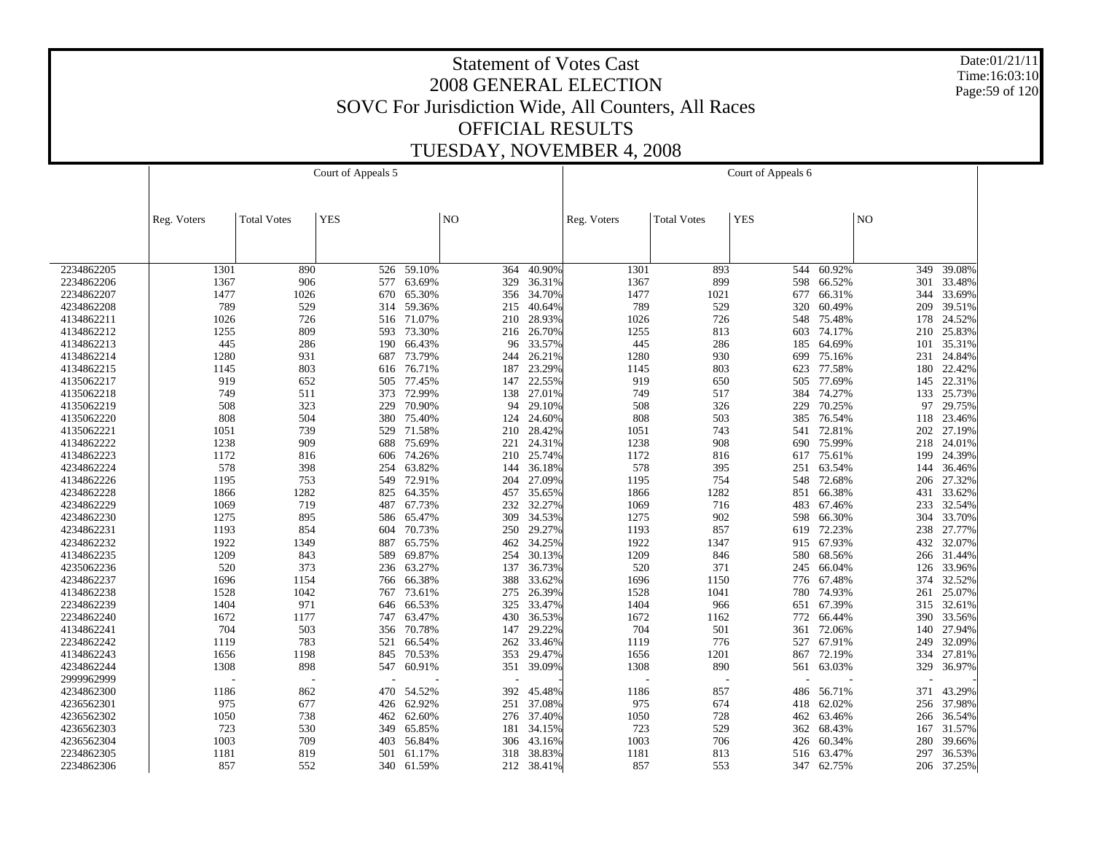Date:01/21/11 Time:16:03:10 Page:59 of 120

|            |             |                    | Court of Appeals 5 |            |                |        |             |                    | Court of Appeals 6 |        |                |        |
|------------|-------------|--------------------|--------------------|------------|----------------|--------|-------------|--------------------|--------------------|--------|----------------|--------|
|            |             |                    |                    |            |                |        |             |                    |                    |        |                |        |
|            |             |                    |                    |            |                |        |             |                    |                    |        |                |        |
|            | Reg. Voters | <b>Total Votes</b> | <b>YES</b>         |            | N <sub>O</sub> |        | Reg. Voters | <b>Total Votes</b> | <b>YES</b>         |        | N <sub>O</sub> |        |
|            |             |                    |                    |            |                |        |             |                    |                    |        |                |        |
|            |             |                    |                    |            |                |        |             |                    |                    |        |                |        |
|            |             |                    |                    |            |                |        |             |                    |                    |        |                |        |
| 2234862205 | 1301        | 890                | 526                | 59.10%     | 364            | 40.90% | 1301        | 893                | 544                | 60.92% | 349            | 39.08% |
| 2234862206 | 1367        | 906                |                    | 577 63.69% | 329            | 36.31% | 1367        | 899                | 598                | 66.52% | 301            | 33.48% |
| 2234862207 | 1477        | 1026               | 670                | 65.30%     | 356            | 34.70% | 1477        | 1021               | 677                | 66.31% | 344            | 33.69% |
| 4234862208 | 789         | 529                |                    | 314 59.36% | 215            | 40.64% | 789         | 529                | 320                | 60.49% | 209            | 39.51% |
| 4134862211 | 1026        | 726                | 516                | 71.07%     | 210            | 28.93% | 1026        | 726                | 548                | 75.48% | 178            | 24.52% |
| 4134862212 | 1255        | 809                | 593                | 73.30%     | 216            | 26.70% | 1255        | 813                | 603                | 74.17% | 210            | 25.83% |
| 4134862213 | 445         | 286                | 190                | 66.43%     | 96             | 33.57% | 445         | 286                | 185                | 64.69% | 101            | 35.31% |
| 4134862214 | 1280        | 931                | 687                | 73.79%     | 244            | 26.21% | 1280        | 930                | 699                | 75.16% | 231            | 24.84% |
| 4134862215 | 1145        | 803                | 616                | 76.71%     | 187            | 23.29% | 1145        | 803                | 623                | 77.58% | 180            | 22.42% |
| 4135062217 | 919         | 652                | 505                | 77.45%     | 147            | 22.55% | 919         | 650                | 505                | 77.69% | 145            | 22.31% |
| 4135062218 | 749         | 511                |                    | 373 72.99% | 138            | 27.01% | 749         | 517                | 384                | 74.27% | 133            | 25.73% |
| 4135062219 | 508         | 323                | 229                | 70.90%     | 94             | 29.10% | 508         | 326                | 229                | 70.25% | 97             | 29.75% |
| 4135062220 | 808         | 504                | 380                | 75.40%     | 124            | 24.60% | 808         | 503                | 385                | 76.54% | 118            | 23.46% |
| 4135062221 | 1051        | 739                | 529                | 71.58%     | 210            | 28.42% | 1051        | 743                | 541                | 72.81% | 202            | 27.19% |
| 4134862222 | 1238        | 909                | 688                | 75.69%     | 221            | 24.31% | 1238        | 908                | 690                | 75.99% | 218            | 24.01% |
| 4134862223 | 1172        | 816                | 606                | 74.26%     | 210            | 25.74% | 1172        | 816                | 617                | 75.61% | 199            | 24.39% |
| 4234862224 | 578         | 398                | 254                | 63.82%     | 144            | 36.18% | 578         | 395                | 251                | 63.54% | 144            | 36.46% |
| 4134862226 | 1195        | 753                | 549                | 72.91%     | 204            | 27.09% | 1195        | 754                | 548                | 72.68% | 206            | 27.32% |
| 4234862228 | 1866        | 1282               |                    | 825 64.35% | 457            | 35.65% | 1866        | 1282               | 851                | 66.38% | 431            | 33.62% |
| 4234862229 | 1069        | 719                | 487                | 67.73%     | 232            | 32.27% | 1069        | 716                | 483                | 67.46% | 233            | 32.54% |
| 4234862230 | 1275        | 895                | 586                | 65.47%     | 309            | 34.53% | 1275        | 902                | 598                | 66.30% | 304            | 33.70% |
| 4234862231 | 1193        | 854                | 604                | 70.73%     | 250            | 29.27% | 1193        | 857                | 619                | 72.23% | 238            | 27.77% |
| 4234862232 | 1922        | 1349               | 887                | 65.75%     | 462            | 34.25% | 1922        | 1347               | 915                | 67.93% | 432            | 32.07% |
| 4134862235 | 1209        | 843                | 589                | 69.87%     | 254            | 30.13% | 1209        | 846                | 580                | 68.56% | 266            | 31.44% |
| 4235062236 | 520         | 373                | 236                | 63.27%     | 137            | 36.73% | 520         | 371                | 245                | 66.04% | 126            | 33.96% |
| 4234862237 | 1696        | 1154               | 766                | 66.38%     | 388            | 33.62% | 1696        | 1150               | 776                | 67.48% | 374            | 32.52% |
| 4134862238 | 1528        | 1042               | 767                | 73.61%     | 275            | 26.39% | 1528        | 1041               | 780                | 74.93% | 261            | 25.07% |
| 2234862239 | 1404        | 971                |                    | 646 66.53% | 325            | 33.47% | 1404        | 966                | 651                | 67.39% | 315            | 32.61% |
| 2234862240 | 1672        | 1177               | 747                | 63.47%     | 430            | 36.53% | 1672        | 1162               | 772                | 66.44% | 390            | 33.56% |
| 4134862241 | 704         | 503                |                    | 356 70.78% | 147            | 29.22% | 704         | 501                | 361                | 72.06% | 140            | 27.94% |
| 2234862242 | 1119        | 783                | 521                | 66.54%     | 262            | 33.46% | 1119        | 776                | 527                | 67.91% | 249            | 32.09% |
| 4134862243 | 1656        | 1198               |                    | 845 70.53% | 353            | 29.47% | 1656        | 1201               | 867                | 72.19% | 334            | 27.81% |
| 4234862244 | 1308        | 898                | 547                | 60.91%     | 351            | 39.09% | 1308        | 890                | 561                | 63.03% | 329            | 36.97% |
| 2999962999 |             |                    |                    |            |                |        |             |                    |                    |        |                |        |
| 4234862300 | 1186        | 862                | 470                | 54.52%     | 392            | 45.48% | 1186        | 857                | 486                | 56.71% | 371            | 43.29% |
| 4236562301 | 975         | 677                |                    | 426 62.92% | 251            | 37.08% | 975         | 674                | 418                | 62.02% | 256            | 37.98% |
| 4236562302 | 1050        | 738                | 462                | 62.60%     | 276            | 37.40% | 1050        | 728                | 462                | 63.46% | 266            | 36.54% |
| 4236562303 | 723         | 530                | 349                | 65.85%     | 181            | 34.15% | 723         | 529                | 362                | 68.43% | 167            | 31.57% |
| 4236562304 | 1003        | 709                | 403                | 56.84%     | 306            | 43.16% | 1003        | 706                | 426                | 60.34% | 280            | 39.66% |
| 2234862305 | 1181        | 819                | 501                | 61.17%     | 318            | 38.83% | 1181        | 813                | 516                | 63.47% | 297            | 36.53% |
| 2234862306 | 857         | 552                | 340                | 61.59%     | 212            | 38.41% | 857         | 553                | 347                | 62.75% | 206            | 37.25% |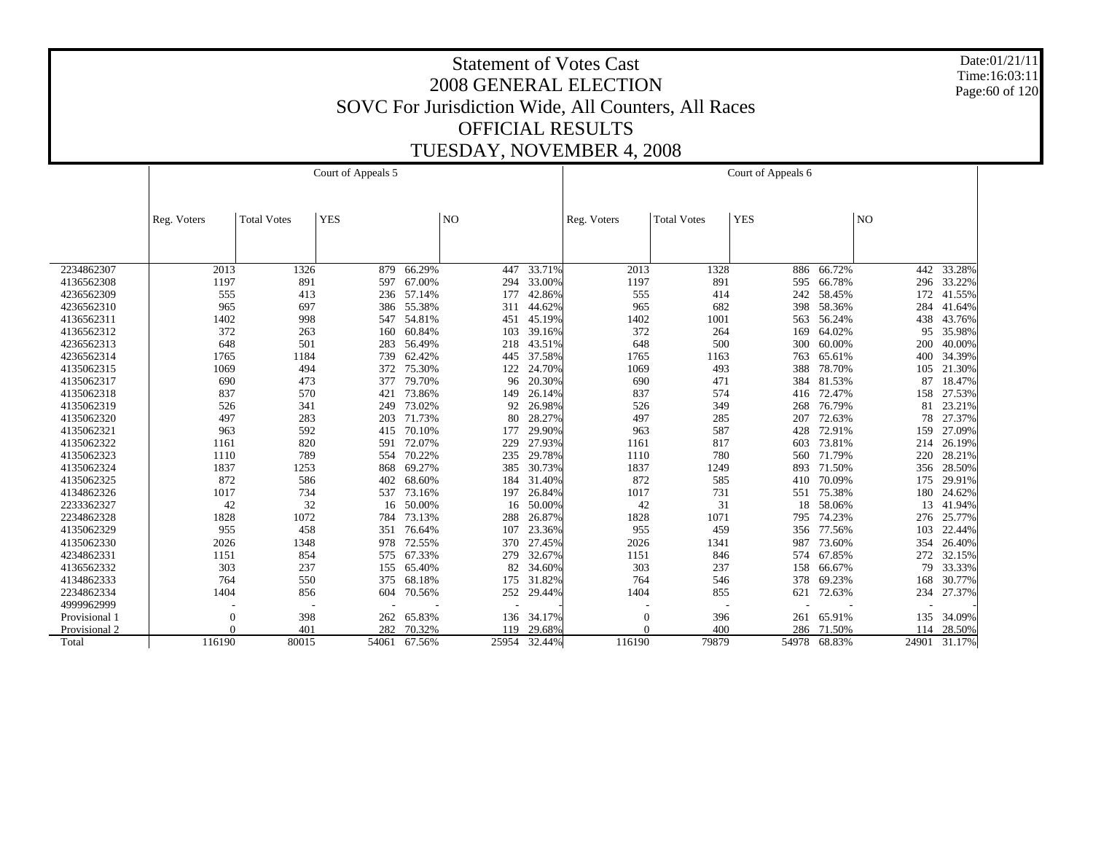Date:01/21/11 Time:16:03:11 Page:60 of 120

|               |             |                    | Court of Appeals 5 |            |       |        |             |                    | Court of Appeals 6 |            |                |        |
|---------------|-------------|--------------------|--------------------|------------|-------|--------|-------------|--------------------|--------------------|------------|----------------|--------|
|               | Reg. Voters | <b>Total Votes</b> | <b>YES</b>         |            | NO    |        | Reg. Voters | <b>Total Votes</b> | <b>YES</b>         |            | N <sub>O</sub> |        |
|               |             |                    |                    |            |       |        |             |                    |                    |            |                |        |
| 2234862307    | 2013        | 1326               | 879                | 66.29%     | 447   | 33.71% | 2013        | 1328               | 886                | 66.72%     | 442            | 33.28% |
| 4136562308    | 1197        | 891                | 597                | 67.00%     | 294   | 33.00% | 1197        | 891                | 595                | 66.78%     | 296            | 33.22% |
| 4236562309    | 555         | 413                |                    | 236 57.14% | 177   | 42.86% | 555         | 414                | 242                | 58.45%     | 172            | 41.55% |
| 4236562310    | 965         | 697                | 386                | 55.38%     | 311   | 44.62% | 965         | 682                | 398                | 58.36%     | 284            | 41.64% |
| 4136562311    | 1402        | 998                |                    | 547 54.81% | 451   | 45.19% | 1402        | 1001               | 563                | 56.24%     | 438            | 43.76% |
| 4136562312    | 372         | 263                | 160                | 60.84%     | 103   | 39.16% | 372         | 264                | 169                | 64.02%     | 95             | 35.98% |
| 4236562313    | 648         | 501                | 283                | 56.49%     | 218   | 43.51% | 648         | 500                | 300                | 60.00%     | 200            | 40.00% |
| 4236562314    | 1765        | 1184               | 739                | 62.42%     | 445   | 37.58% | 1765        | 1163               | 763                | 65.61%     | 400            | 34.39% |
| 4135062315    | 1069        | 494                | 372                | 75.30%     | 122   | 24.70% | 1069        | 493                | 388                | 78.70%     | 105            | 21.30% |
| 4135062317    | 690         | 473                | 377                | 79.70%     | 96    | 20.30% | 690         | 471                | 384                | 81.53%     | 87             | 18.47% |
| 4135062318    | 837         | 570                | 421                | 73.86%     | 149   | 26.14% | 837         | 574                | 416                | 72.47%     | 158            | 27.53% |
| 4135062319    | 526         | 341                | 249                | 73.02%     | 92    | 26.98% | 526         | 349                | 268                | 76.79%     | 81             | 23.21% |
| 4135062320    | 497         | 283                | 203                | 71.73%     | 80    | 28.27% | 497         | 285                | 207                | 72.63%     | 78             | 27.37% |
| 4135062321    | 963         | 592                | 415                | 70.10%     | 177   | 29.90% | 963         | 587                | 428                | 72.91%     | 159            | 27.09% |
| 4135062322    | 1161        | 820                | 591                | 72.07%     | 229   | 27.93% | 1161        | 817                | 603                | 73.81%     | 214            | 26.19% |
| 4135062323    | 1110        | 789                | 554                | 70.22%     | 235   | 29.78% | 1110        | 780                |                    | 560 71.79% | 220            | 28.21% |
| 4135062324    | 1837        | 1253               | 868                | 69.27%     | 385   | 30.73% | 1837        | 1249               | 893.               | 71.50%     | 356            | 28.50% |
| 4135062325    | 872         | 586                | 402                | 68.60%     | 184   | 31.40% | 872         | 585                | 410                | 70.09%     | 175            | 29.91% |
| 4134862326    | 1017        | 734                | 537                | 73.16%     | 197   | 26.84% | 1017        | 731                | 551                | 75.38%     | 180            | 24.62% |
| 2233362327    | 42          | 32                 | 16                 | 50.00%     | 16    | 50.00% | 42          | 31                 | 18                 | 58.06%     | 13             | 41.94% |
| 2234862328    | 1828        | 1072               | 784                | 73.13%     | 288   | 26.87% | 1828        | 1071               | 795                | 74.23%     | 276            | 25.77% |
| 4135062329    | 955         | 458                | 351                | 76.64%     | 107   | 23.36% | 955         | 459                | 356                | 77.56%     | 103            | 22.44% |
| 4135062330    | 2026        | 1348               | 978                | 72.55%     | 370   | 27.45% | 2026        | 1341               | 987                | 73.60%     | 354            | 26.40% |
| 4234862331    | 1151        | 854                | 575                | 67.33%     | 279   | 32.67% | 1151        | 846                | 574                | 67.85%     | 272            | 32.15% |
| 4136562332    | 303         | 237                | 155                | 65.40%     | 82    | 34.60% | 303         | 237                | 158                | 66.67%     | 79             | 33.33% |
| 4134862333    | 764         | 550                | 375                | 68.18%     | 175   | 31.82% | 764         | 546                | 378                | 69.23%     | 168            | 30.77% |
| 2234862334    | 1404        | 856                | 604                | 70.56%     | 252   | 29.44% | 1404        | 855                | 621                | 72.63%     | 234            | 27.37% |
| 4999962999    |             |                    |                    |            |       |        |             |                    |                    |            |                |        |
| Provisional 1 | $\Omega$    | 398                | 262                | 65.83%     | 136   | 34.17% | $\Omega$    | 396                | 261                | 65.91%     | 135            | 34.09% |
| Provisional 2 | $\Omega$    | 401                | 282                | 70.32%     | 119   | 29.68% |             | 400                | 286                | 71.50%     | 114            | 28.50% |
| Total         | 116190      | 80015              | 54061              | 67.56%     | 25954 | 32.44% | 116190      | 79879              | 54978              | 68.83%     | 24901          | 31.17% |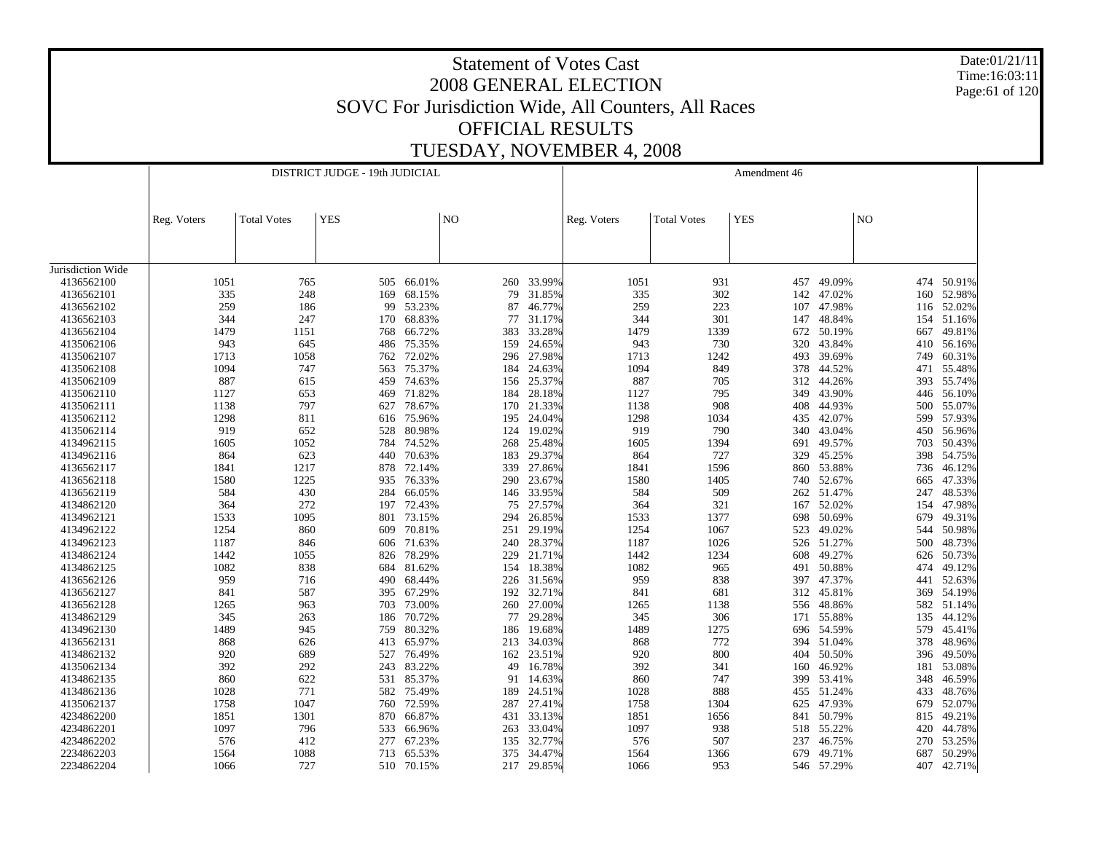Date:01/21/11 Time:16:03:11 Page:61 of 120

|                   |             |                    | DISTRICT JUDGE - 19th JUDICIAL |            |                |        |             |                    | Amendment 46 |            |                |            |
|-------------------|-------------|--------------------|--------------------------------|------------|----------------|--------|-------------|--------------------|--------------|------------|----------------|------------|
|                   |             |                    |                                |            |                |        |             |                    |              |            |                |            |
|                   | Reg. Voters | <b>Total Votes</b> | <b>YES</b>                     |            | N <sub>O</sub> |        | Reg. Voters | <b>Total Votes</b> | <b>YES</b>   |            | N <sub>O</sub> |            |
|                   |             |                    |                                |            |                |        |             |                    |              |            |                |            |
|                   |             |                    |                                |            |                |        |             |                    |              |            |                |            |
| Jurisdiction Wide |             |                    |                                |            |                |        |             |                    |              |            |                |            |
| 4136562100        | 1051        | 765                |                                | 505 66.01% | 260            | 33.99% | 1051        | 931                | 457          | 49.09%     |                | 474 50.91% |
| 4136562101        | 335         | 248                | 169                            | 68.15%     | 79             | 31.85% | 335         | 302                | 142          | 47.02%     | 160            | 52.98%     |
| 4136562102        | 259         | 186                | 99                             | 53.23%     | 87             | 46.77% | 259         | 223                | 107          | 47.98%     | 116            | 52.02%     |
| 4136562103        | 344         | 247                | 170                            | 68.83%     | 77             | 31.17% | 344         | 301                | 147          | 48.84%     | 154            | 51.16%     |
| 4136562104        | 1479        | 1151               | 768                            | 66.72%     | 383            | 33.28% | 1479        | 1339               | 672          | 50.19%     | 667            | 49.81%     |
| 4135062106        | 943         | 645                | 486                            | 75.35%     | 159            | 24.65% | 943         | 730                | 320          | 43.84%     | 410            | 56.16%     |
| 4135062107        | 1713        | 1058               | 762                            | 72.02%     | 296            | 27.98% | 1713        | 1242               | 493          | 39.69%     | 749            | 60.31%     |
| 4135062108        | 1094        | 747                | 563                            | 75.37%     | 184            | 24.63% | 1094        | 849                | 378          | 44.52%     | 471            | 55.48%     |
| 4135062109        | 887         | 615                | 459                            | 74.63%     | 156            | 25.37% | 887         | 705                | 312          | 44.26%     | 393            | 55.74%     |
| 4135062110        | 1127        | 653                | 469                            | 71.82%     | 184            | 28.18% | 1127        | 795                | 349          | 43.90%     | 446            | 56.10%     |
| 4135062111        | 1138        | 797                | 627                            | 78.67%     | 170            | 21.33% | 1138        | 908                | 408          | 44.93%     | 500            | 55.07%     |
| 4135062112        | 1298        | 811                |                                | 616 75.96% | 195            | 24.04% | 1298        | 1034               | 435          | 42.07%     | 599            | 57.93%     |
| 4135062114        | 919         | 652                | 528                            | 80.98%     | 124            | 19.02% | 919         | 790                | 340          | 43.04%     | 450            | 56.96%     |
| 4134962115        | 1605        | 1052               | 784                            | 74.52%     | 268            | 25.48% | 1605        | 1394               | 691          | 49.57%     | 703            | 50.43%     |
| 4134962116        | 864         | 623                | 440                            | 70.63%     | 183            | 29.37% | 864         | 727                | 329          | 45.25%     | 398            | 54.75%     |
| 4136562117        | 1841        | 1217               | 878                            | 72.14%     | 339            | 27.86% | 1841        | 1596               | 860          | 53.88%     | 736            | 46.12%     |
| 4136562118        | 1580        | 1225               | 935                            | 76.33%     | 290            | 23.67% | 1580        | 1405               | 740          | 52.67%     | 665            | 47.33%     |
| 4136562119        | 584         | 430                | 284                            | 66.05%     | 146            | 33.95% | 584         | 509                | 262          | 51.47%     | 247            | 48.53%     |
| 4134862120        | 364         | 272                | 197                            | 72.43%     | 75             | 27.57% | 364         | 321                | 167          | 52.02%     | 154            | 47.98%     |
| 4134962121        | 1533        | 1095               | 801                            | 73.15%     | 294            | 26.85% | 1533        | 1377               | 698          | 50.69%     | 679            | 49.31%     |
| 4134962122        | 1254        | 860                | 609                            | 70.81%     | 251            | 29.19% | 1254        | 1067               | 523          | 49.02%     | 544            | 50.98%     |
| 4134962123        | 1187        | 846                | 606                            | 71.63%     | 240            | 28.37% | 1187        | 1026               |              | 526 51.27% | 500            | 48.73%     |
| 4134862124        | 1442        | 1055               | 826                            | 78.29%     | 229            | 21.71% | 1442        | 1234               | 608          | 49.27%     | 626            | 50.73%     |
| 4134862125        | 1082        | 838                | 684                            | 81.62%     | 154            | 18.38% | 1082        | 965                | 491          | 50.88%     | 474            | 49.12%     |
| 4136562126        | 959         | 716                | 490                            | 68.44%     | 226            | 31.56% | 959         | 838                | 397          | 47.37%     | 441            | 52.63%     |
| 4136562127        | 841         | 587                | 395                            | 67.29%     | 192            | 32.71% | 841         | 681                | 312          | 45.81%     | 369            | 54.19%     |
| 4136562128        | 1265        | 963                | 703                            | 73.00%     | 260            | 27.00% | 1265        | 1138               | 556          | 48.86%     | 582            | 51.14%     |
| 4134862129        | 345         | 263                | 186                            | 70.72%     | 77             | 29.28% | 345         | 306                | 171          | 55.88%     | 135            | 44.12%     |
| 4134962130        | 1489        | 945                | 759                            | 80.32%     | 186            | 19.68% | 1489        | 1275               |              | 696 54.59% | 579            | 45.41%     |
| 4136562131        | 868         | 626                | 413                            | 65.97%     | 213            | 34.03% | 868         | 772                | 394          | 51.04%     | 378            | 48.96%     |
| 4134862132        | 920         | 689                | 527                            | 76.49%     | 162            | 23.51% | 920         | 800                | 404          | 50.50%     | 396            | 49.50%     |
| 4135062134        | 392         | 292                | 243                            | 83.22%     | 49             | 16.78% | 392         | 341                | 160          | 46.92%     | 181            | 53.08%     |
| 4134862135        | 860         | 622                |                                | 531 85.37% | 91             | 14.63% | 860         | 747                | 399          | 53.41%     | 348            | 46.59%     |
| 4134862136        | 1028        | 771                | 582                            | 75.49%     | 189            | 24.51% | 1028        | 888                | 455          | 51.24%     | 433            | 48.76%     |
| 4135062137        | 1758        | 1047               | 760                            | 72.59%     | 287            | 27.41% | 1758        | 1304               | 625          | 47.93%     | 679            | 52.07%     |
| 4234862200        | 1851        | 1301               | 870                            | 66.87%     | 431            | 33.13% | 1851        | 1656               | 841          | 50.79%     | 815            | 49.21%     |
| 4234862201        | 1097        | 796                | 533                            | 66.96%     | 263            | 33.04% | 1097        | 938                | 518          | 55.22%     | 420            | 44.78%     |
| 4234862202        | 576         | 412                | 277                            | 67.23%     | 135            | 32.77% | 576         | 507                | 237          | 46.75%     | 270            | 53.25%     |
| 2234862203        | 1564        | 1088               | 713                            | 65.53%     | 375            | 34.47% | 1564        | 1366               | 679          | 49.71%     | 687            | 50.29%     |
| 2234862204        | 1066        | 727                | 510                            | 70.15%     | 217            | 29.85% | 1066        | 953                |              | 546 57.29% | 407            | 42.71%     |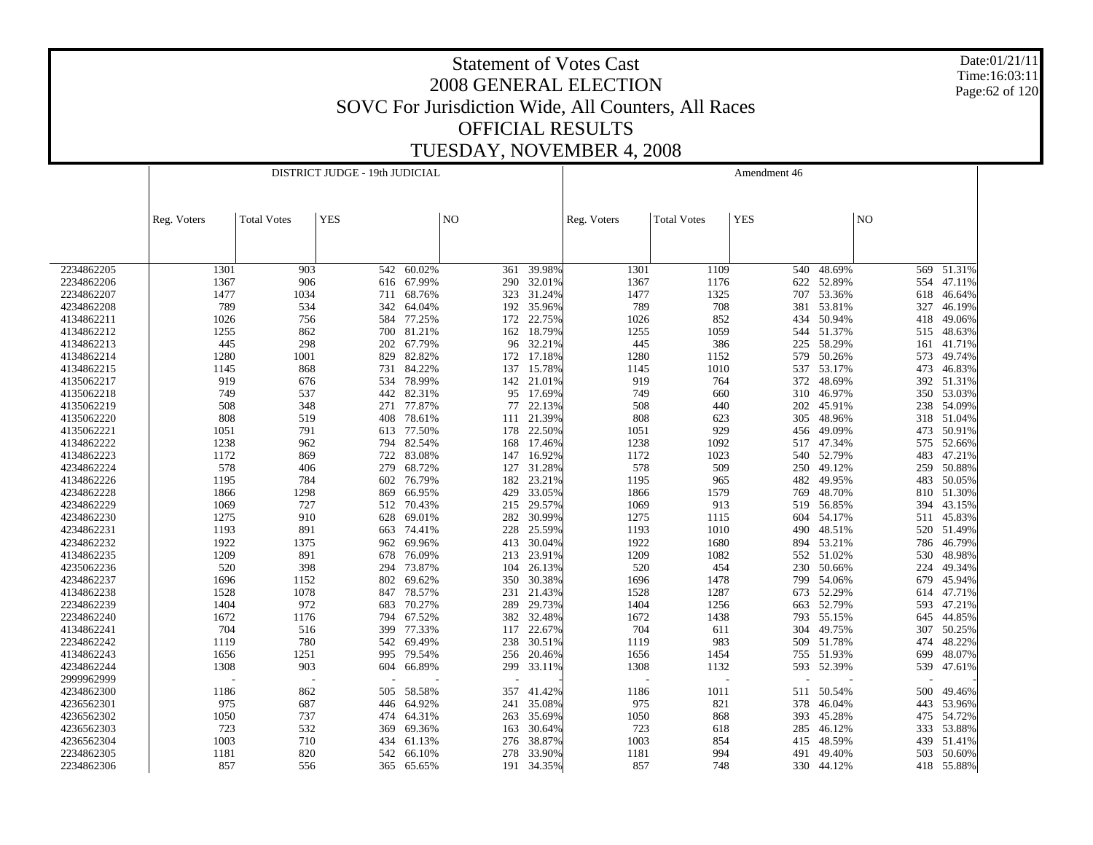Date:01/21/11 Time:16:03:11 Page:62 of 120

|            |              |                    | DISTRICT JUDGE - 19th JUDICIAL |            |                |                  |             |                    | Amendment 46 |            |     |        |
|------------|--------------|--------------------|--------------------------------|------------|----------------|------------------|-------------|--------------------|--------------|------------|-----|--------|
|            |              |                    |                                |            |                |                  |             |                    |              |            |     |        |
|            |              |                    |                                |            |                |                  |             |                    |              |            |     |        |
|            | Reg. Voters  | <b>Total Votes</b> | <b>YES</b>                     |            | N <sub>O</sub> |                  | Reg. Voters | <b>Total Votes</b> | <b>YES</b>   |            | NO  |        |
|            |              |                    |                                |            |                |                  |             |                    |              |            |     |        |
|            |              |                    |                                |            |                |                  |             |                    |              |            |     |        |
|            |              |                    |                                |            |                |                  |             |                    |              |            |     |        |
| 2234862205 | 1301         | 903                | 542                            | 60.02%     | 361            | 39.98%           | 1301        | 1109               | 540          | 48.69%     | 569 | 51.31% |
| 2234862206 | 1367<br>1477 | 906                |                                | 616 67.99% | 290            | 32.01%           | 1367        | 1176               | 622          | 52.89%     | 554 | 47.11% |
| 2234862207 |              | 1034               | 711                            | 68.76%     | 323            | 31.24%           | 1477        | 1325               | 707          | 53.36%     | 618 | 46.64% |
| 4234862208 | 789          | 534                | 342                            | 64.04%     | 192            | 35.96%<br>22.75% | 789         | 708                | 381          | 53.81%     | 327 | 46.19% |
| 4134862211 | 1026         | 756                | 584                            | 77.25%     | 172            |                  | 1026        | 852                | 434          | 50.94%     | 418 | 49.06% |
| 4134862212 | 1255         | 862                | 700                            | 81.21%     |                | 162 18.79%       | 1255        | 1059               | 544          | 51.37%     | 515 | 48.63% |
| 4134862213 | 445          | 298                | 202                            | 67.79%     | 96             | 32.21%           | 445         | 386                | 225          | 58.29%     | 161 | 41.71% |
| 4134862214 | 1280         | 1001               | 829                            | 82.82%     | 172            | 17.18%           | 1280        | 1152               | 579          | 50.26%     | 573 | 49.74% |
| 4134862215 | 1145         | 868                | 731                            | 84.22%     | 137            | 15.78%           | 1145        | 1010               | 537          | 53.17%     | 473 | 46.83% |
| 4135062217 | 919          | 676                | 534                            | 78.99%     | 142            | 21.01%           | 919         | 764                | 372          | 48.69%     | 392 | 51.31% |
| 4135062218 | 749          | 537                | 442                            | 82.31%     | 95             | 17.69%           | 749         | 660                | 310          | 46.97%     | 350 | 53.03% |
| 4135062219 | 508          | 348                | 271                            | 77.87%     | 77             | 22.13%           | 508         | 440                | 202          | 45.91%     | 238 | 54.09% |
| 4135062220 | 808          | 519                | 408                            | 78.61%     | 111            | 21.39%           | 808         | 623                | 305          | 48.96%     | 318 | 51.04% |
| 4135062221 | 1051         | 791                | 613                            | 77.50%     | 178            | 22.50%           | 1051        | 929                | 456          | 49.09%     | 473 | 50.91% |
| 4134862222 | 1238         | 962                |                                | 794 82.54% | 168            | 17.46%           | 1238        | 1092               | 517          | 47.34%     | 575 | 52.66% |
| 4134862223 | 1172         | 869                | 722                            | 83.08%     | 147            | 16.92%           | 1172        | 1023               | 540          | 52.79%     | 483 | 47.21% |
| 4234862224 | 578          | 406                | 279                            | 68.72%     | 127            | 31.28%           | 578         | 509                | 250          | 49.12%     | 259 | 50.88% |
| 4134862226 | 1195         | 784                | 602                            | 76.79%     | 182            | 23.21%           | 1195        | 965                | 482          | 49.95%     | 483 | 50.05% |
| 4234862228 | 1866         | 1298               | 869                            | 66.95%     | 429            | 33.05%           | 1866        | 1579               | 769          | 48.70%     | 810 | 51.30% |
| 4234862229 | 1069         | 727                | 512                            | 70.43%     | 215            | 29.57%           | 1069        | 913                | 519          | 56.85%     | 394 | 43.15% |
| 4234862230 | 1275         | 910                | 628                            | 69.01%     | 282            | 30.99%           | 1275        | 1115               | 604          | 54.17%     | 511 | 45.83% |
| 4234862231 | 1193         | 891                | 663                            | 74.41%     | 228            | 25.59%           | 1193        | 1010               | 490          | 48.51%     | 520 | 51.49% |
| 4234862232 | 1922         | 1375               | 962                            | 69.96%     | 413            | 30.04%           | 1922        | 1680               | 894          | 53.21%     | 786 | 46.79% |
| 4134862235 | 1209         | 891                | 678                            | 76.09%     | 213            | 23.91%           | 1209        | 1082               | 552          | 51.02%     | 530 | 48.98% |
| 4235062236 | 520          | 398                | 294                            | 73.87%     | 104            | 26.13%           | 520         | 454                | 230          | 50.66%     | 224 | 49.34% |
| 4234862237 | 1696         | 1152               | 802                            | 69.62%     | 350            | 30.38%           | 1696        | 1478               | 799          | 54.06%     | 679 | 45.94% |
| 4134862238 | 1528         | 1078               | 847                            | 78.57%     | 231            | 21.43%           | 1528        | 1287               | 673          | 52.29%     | 614 | 47.71% |
| 2234862239 | 1404         | 972                |                                | 683 70.27% | 289            | 29.73%           | 1404        | 1256               | 663          | 52.79%     | 593 | 47.21% |
| 2234862240 | 1672         | 1176               | 794                            | 67.52%     | 382            | 32.48%           | 1672        | 1438               | 793          | 55.15%     | 645 | 44.85% |
| 4134862241 | 704          | 516                | 399                            | 77.33%     | 117            | 22.67%           | 704         | 611                | 304          | 49.75%     | 307 | 50.25% |
| 2234862242 | 1119         | 780                | 542                            | 69.49%     | 238            | 30.51%           | 1119        | 983                | 509          | 51.78%     | 474 | 48.22% |
| 4134862243 | 1656         | 1251               | 995                            | 79.54%     | 256            | 20.46%           | 1656        | 1454               |              | 755 51.93% | 699 | 48.07% |
| 4234862244 | 1308         | 903                | 604                            | 66.89%     | 299            | 33.11%           | 1308        | 1132               | 593          | 52.39%     | 539 | 47.61% |
| 2999962999 |              |                    |                                |            |                |                  |             |                    |              |            |     |        |
| 4234862300 | 1186         | 862                | 505                            | 58.58%     | 357            | 41.42%           | 1186        | 1011               | 511          | 50.54%     | 500 | 49.46% |
| 4236562301 | 975          | 687                | 446                            | 64.92%     | 241            | 35.08%           | 975         | 821                | 378          | 46.04%     | 443 | 53.96% |
| 4236562302 | 1050         | 737                | 474                            | 64.31%     | 263            | 35.69%           | 1050        | 868                | 393          | 45.28%     | 475 | 54.72% |
| 4236562303 | 723          | 532                | 369                            | 69.36%     | 163            | 30.64%           | 723         | 618                | 285          | 46.12%     | 333 | 53.88% |
| 4236562304 | 1003         | 710                | 434                            | 61.13%     | 276            | 38.87%           | 1003        | 854                | 415          | 48.59%     | 439 | 51.41% |
| 2234862305 | 1181         | 820                | 542                            | 66.10%     | 278            | 33.90%           | 1181        | 994                | 491          | 49.40%     | 503 | 50.60% |
| 2234862306 | 857          | 556                | 365                            | 65.65%     | 191            | 34.35%           | 857         | 748                | 330          | 44.12%     | 418 | 55.88% |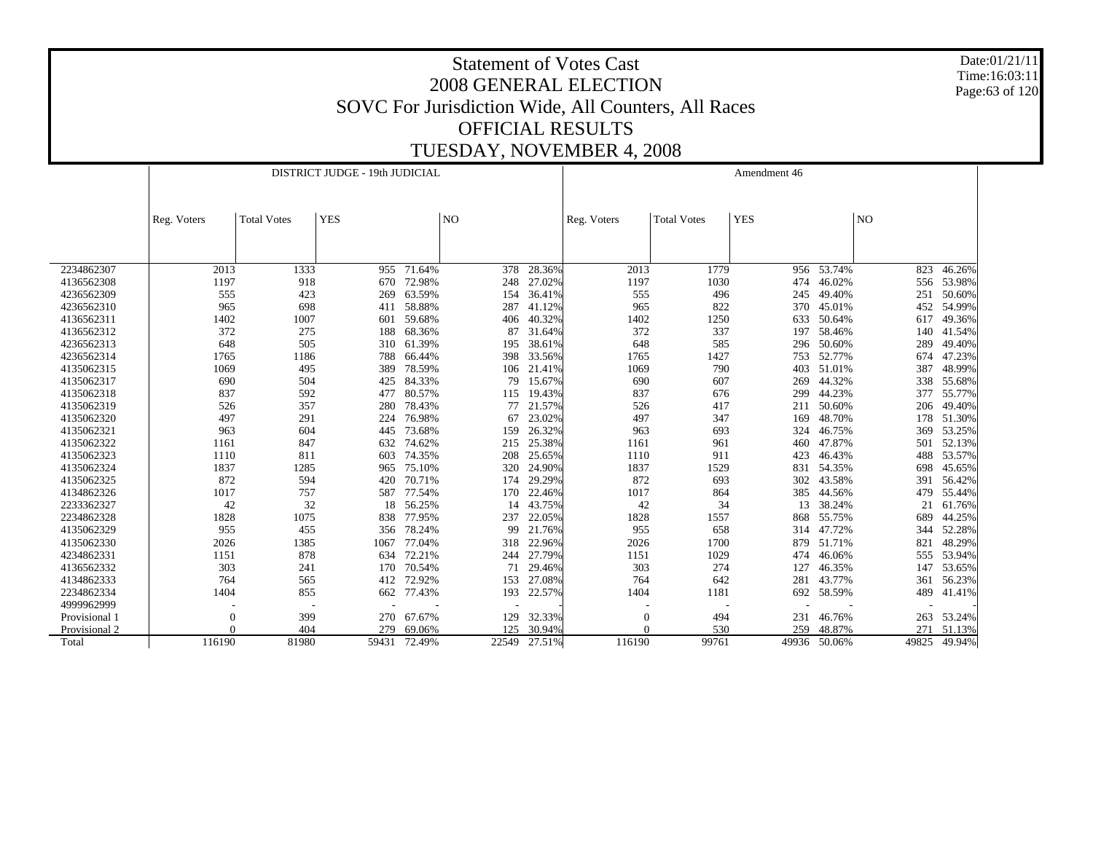Date:01/21/11 Time:16:03:11 Page:63 of 120

|               |             |                    | DISTRICT JUDGE - 19th JUDICIAL |            |                |        |             |                    | Amendment 46 |              |       |        |
|---------------|-------------|--------------------|--------------------------------|------------|----------------|--------|-------------|--------------------|--------------|--------------|-------|--------|
|               | Reg. Voters | <b>Total Votes</b> | <b>YES</b>                     |            | N <sub>O</sub> |        | Reg. Voters | <b>Total Votes</b> | <b>YES</b>   |              | NO    |        |
|               |             |                    |                                |            |                |        |             |                    |              |              |       |        |
| 2234862307    | 2013        | 1333               |                                | 955 71.64% | 378            | 28.36% | 2013        | 1779               |              | 956 53.74%   | 823   | 46.26% |
| 4136562308    | 1197        | 918                | 670                            | 72.98%     | 248            | 27.02% | 1197        | 1030               | 474          | 46.02%       | 556   | 53.98% |
| 4236562309    | 555         | 423                | 269                            | 63.59%     | 154            | 36.41% | 555         | 496                | 245          | 49.40%       | 251   | 50.60% |
| 4236562310    | 965         | 698                | 411                            | 58.88%     | 287            | 41.12% | 965         | 822                | 370          | 45.01%       | 452   | 54.99% |
| 4136562311    | 1402        | 1007               | 601                            | 59.68%     | 406            | 40.32% | 1402        | 1250               | 633          | 50.64%       | 617   | 49.36% |
| 4136562312    | 372         | 275                | 188                            | 68.36%     | 87             | 31.64% | 372         | 337                | 197          | 58.46%       | 140   | 41.54% |
| 4236562313    | 648         | 505                | 310                            | 61.39%     | 195            | 38.61% | 648         | 585                | 296          | 50.60%       | 289   | 49.40% |
| 4236562314    | 1765        | 1186               | 788                            | 66.44%     | 398            | 33.56% | 1765        | 1427               | 753          | 52.77%       | 674   | 47.23% |
| 4135062315    | 1069        | 495                | 389                            | 78.59%     | 106            | 21.41% | 1069        | 790                | 403          | 51.01%       | 387   | 48.99% |
| 4135062317    | 690         | 504                | 425                            | 84.33%     | 79             | 15.67% | 690         | 607                | 269          | 44.32%       | 338   | 55.68% |
| 4135062318    | 837         | 592                | 477                            | 80.57%     | 115            | 19.43% | 837         | 676                | 299          | 44.23%       | 377   | 55.77% |
| 4135062319    | 526         | 357                | 280                            | 78.43%     | 77             | 21.57% | 526         | 417                | 211          | 50.60%       | 206   | 49.40% |
| 4135062320    | 497         | 291                | 224                            | 76.98%     | 67             | 23.02% | 497         | 347                | 169          | 48.70%       | 178   | 51.30% |
| 4135062321    | 963         | 604                | 445                            | 73.68%     | 159            | 26.32% | 963         | 693                | 324          | 46.75%       | 369   | 53.25% |
| 4135062322    | 1161        | 847                |                                | 632 74.62% | 215            | 25.38% | 1161        | 961                | 460          | 47.87%       | 501   | 52.13% |
| 4135062323    | 1110        | 811                | 603                            | 74.35%     | 208            | 25.65% | 1110        | 911                | 423          | 46.43%       | 488   | 53.57% |
| 4135062324    | 1837        | 1285               | 965                            | 75.10%     | 320            | 24.90% | 1837        | 1529               | 831          | 54.35%       | 698   | 45.65% |
| 4135062325    | 872         | 594                | 420                            | 70.71%     | 174            | 29.29% | 872         | 693                | 302          | 43.58%       | 391   | 56.42% |
| 4134862326    | 1017        | 757                | 587                            | 77.54%     | 170            | 22.46% | 1017        | 864                | 385          | 44.56%       | 479   | 55.44% |
| 2233362327    | 42          | 32                 | 18                             | 56.25%     | 14             | 43.75% | 42          | 34                 | 13           | 38.24%       | 21    | 61.76% |
| 2234862328    | 1828        | 1075               | 838                            | 77.95%     | 237            | 22.05% | 1828        | 1557               | 868          | 55.75%       | 689   | 44.25% |
| 4135062329    | 955         | 455                | 356                            | 78.24%     | 99             | 21.76% | 955         | 658                | 314          | 47.72%       | 344   | 52.28% |
| 4135062330    | 2026        | 1385               | 1067                           | 77.04%     | 318            | 22.96% | 2026        | 1700               | 879          | 51.71%       | 821   | 48.29% |
| 4234862331    | 1151        | 878                | 634                            | 72.21%     | 244            | 27.79% | 1151        | 1029               | 474          | 46.06%       | 555   | 53.94% |
| 4136562332    | 303         | 241                | 170                            | 70.54%     | 71             | 29.46% | 303         | 274                | 127          | 46.35%       | 147   | 53.65% |
| 4134862333    | 764         | 565                | 412                            | 72.92%     | 153            | 27.08% | 764         | 642                | 281          | 43.77%       | 361   | 56.23% |
| 2234862334    | 1404        | 855                | 662                            | 77.43%     | 193            | 22.57% | 1404        | 1181               | 692          | 58.59%       | 489   | 41.41% |
| 4999962999    |             |                    |                                |            |                |        |             |                    |              |              |       |        |
| Provisional 1 | $\Omega$    | 399                | 270                            | 67.67%     | 129            | 32.33% | $\theta$    | 494                | 231          | 46.76%       | 263   | 53.24% |
| Provisional 2 |             | 404                | 279                            | 69.06%     | 125            | 30.94% |             | 530                | 259          | 48.87%       | 271   | 51.13% |
| Total         | 116190      | 81980              | 59431                          | 72.49%     | 22549          | 27.51% | 116190      | 99761              |              | 49936 50.06% | 49825 | 49.94% |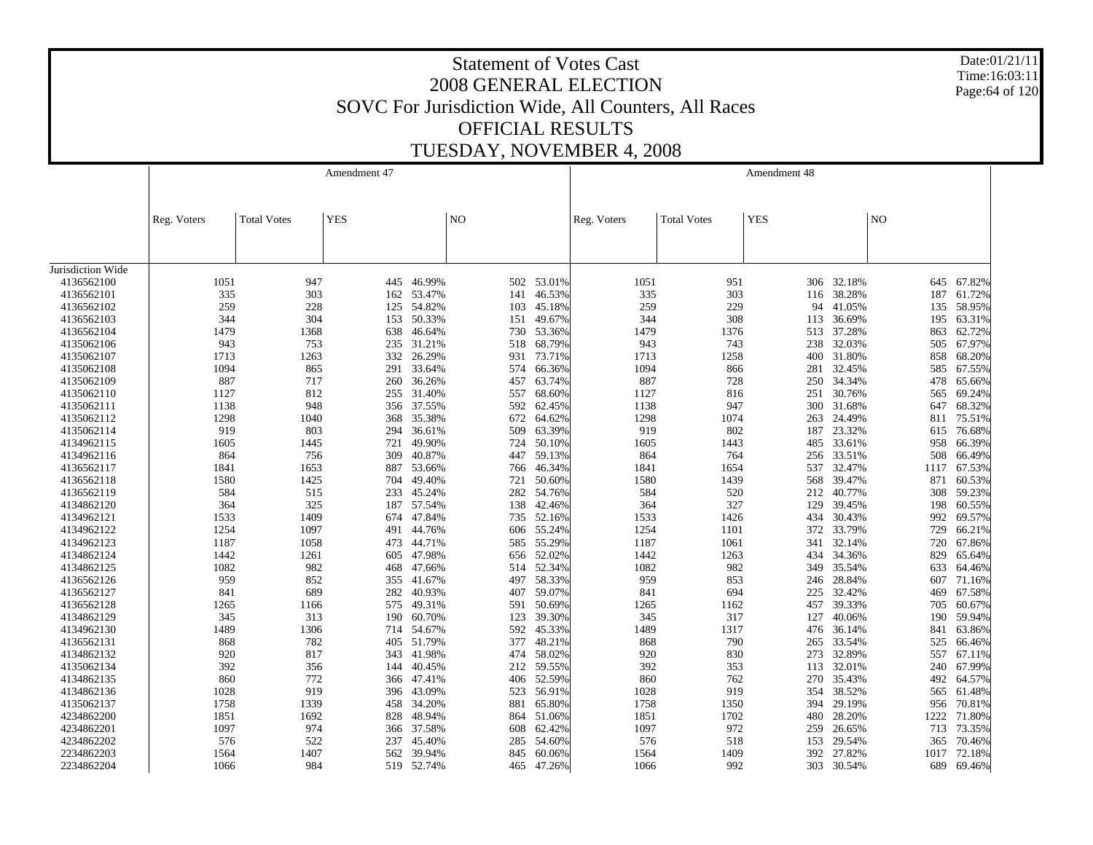Date:01/21/11 Time:16:03:11 Page:64 of 120

|                   |             |                    | Amendment 47 |            |            |            |             |                    | Amendment 48 |            |            |                  |
|-------------------|-------------|--------------------|--------------|------------|------------|------------|-------------|--------------------|--------------|------------|------------|------------------|
|                   | Reg. Voters | <b>Total Votes</b> | <b>YES</b>   |            | NO         |            | Reg. Voters | <b>Total Votes</b> | <b>YES</b>   |            | NO         |                  |
| Jurisdiction Wide |             |                    |              |            |            |            |             |                    |              |            |            |                  |
| 4136562100        | 1051        | 947                | 445          | 46.99%     |            | 502 53.01% | 1051        | 951                |              | 306 32.18% |            | 645 67.82%       |
| 4136562101        | 335         | 303                | 162          | 53.47%     | 141        | 46.53%     | 335         | 303                | 116          | 38.28%     | 187        | 61.72%           |
| 4136562102        | 259         | 228                | 125          | 54.82%     | 103        | 45.18%     | 259         | 229                | 94           | 41.05%     |            | 135 58.95%       |
| 4136562103        | 344         | 304                | 153          | 50.33%     | 151        | 49.67%     | 344         | 308                | 113          | 36.69%     | 195        | 63.31%           |
| 4136562104        | 1479        | 1368               | 638          | 46.64%     |            | 730 53.36% | 1479        | 1376               |              | 513 37.28% | 863        | 62.72%           |
| 4135062106        | 943         | 753                | 235          | 31.21%     | 518        | 68.79%     | 943         | 743                | 238          | 32.03%     | 505        | 67.97%           |
| 4135062107        | 1713        | 1263               | 332          | 26.29%     | 931        | 73.71%     | 1713        | 1258               | 400          | 31.80%     | 858        | 68.20%           |
| 4135062108        | 1094        | 865                | 291          | 33.64%     | 574        | 66.36%     | 1094        | 866                | 281          | 32.45%     | 585        | 67.55%           |
| 4135062109        | 887         | 717                | 260          | 36.26%     | 457        | 63.74%     | 887         | 728                | 250          | 34.34%     | 478        | 65.66%           |
| 4135062110        | 1127        | 812                | 255          | 31.40%     | 557        | 68.60%     | 1127        | 816                | 251          | 30.76%     | 565        | 69.24%           |
| 4135062111        | 1138        | 948                | 356          | 37.55%     | 592        | 62.45%     | 1138        | 947                | 300          | 31.68%     | 647        | 68.32%           |
| 4135062112        | 1298        | 1040               | 368          | 35.38%     | 672        | 64.62%     | 1298        | 1074               | 263          | 24.49%     | 811        | 75.51%           |
| 4135062114        | 919         | 803                | 294          | 36.61%     | 509        | 63.39%     | 919         | 802                | 187          | 23.32%     | 615        | 76.68%           |
| 4134962115        | 1605        | 1445               | 721          | 49.90%     | 724        | 50.10%     | 1605        | 1443               | 485          | 33.61%     | 958        | 66.39%           |
| 4134962116        | 864         | 756                | 309          | 40.87%     | 447        | 59.13%     | 864         | 764                | 256          | 33.51%     | 508        | 66.49%           |
| 4136562117        | 1841        | 1653               | 887          | 53.66%     |            | 766 46.34% | 1841        | 1654               | 537          | 32.47%     | 1117       | 67.53%           |
| 4136562118        | 1580        | 1425               | 704          | 49.40%     | 721        | 50.60%     | 1580        | 1439               | 568          | 39.47%     | 871        | 60.53%           |
| 4136562119        | 584         | 515                | 233          | 45.24%     | 282        | 54.76%     | 584         | 520                | 212          | 40.77%     | 308        | 59.23%           |
| 4134862120        | 364         | 325                | 187          | 57.54%     | 138        | 42.46%     | 364         | 327                | 129          | 39.45%     | 198        | 60.55%           |
| 4134962121        | 1533        | 1409               | 674          | 47.84%     |            | 735 52.16% | 1533        | 1426               | 434          | 30.43%     | 992        | 69.57%           |
| 4134962122        | 1254        | 1097               | 491          | 44.76%     | 606        | 55.24%     | 1254        | 1101               | 372          | 33.79%     | 729        | 66.21%           |
| 4134962123        | 1187        | 1058               | 473          | 44.71%     | 585        | 55.29%     | 1187        | 1061               | 341          | 32.14%     | 720        | 67.86%           |
| 4134862124        | 1442        | 1261               | 605          | 47.98%     | 656        | 52.02%     | 1442        | 1263               | 434          | 34.36%     | 829        | 65.64%           |
| 4134862125        | 1082        | 982                | 468          | 47.66%     | 514        | 52.34%     | 1082        | 982                | 349          | 35.54%     | 633        | 64.46%           |
| 4136562126        | 959         | 852                | 355          | 41.67%     | 497        | 58.33%     | 959         | 853                | 246          | 28.84%     | 607        | 71.16%           |
| 4136562127        | 841         | 689                | 282          | 40.93%     | 407        | 59.07%     | 841         | 694                | 225          | 32.42%     | 469        | 67.58%           |
| 4136562128        | 1265        | 1166               | 575          | 49.31%     | 591        | 50.69%     | 1265        | 1162               | 457          | 39.33%     | 705        | 60.67%           |
| 4134862129        | 345         | 313                | 190          | 60.70%     | 123        | 39.30%     | 345         | 317                | 127          | 40.06%     | 190        | 59.94%           |
| 4134962130        | 1489        | 1306               | 714          | 54.67%     | 592        | 45.33%     | 1489        | 1317               | 476          | 36.14%     | 841        | 63.86%           |
| 4136562131        | 868         | 782                | 405          | 51.79%     | 377        | 48.21%     | 868         | 790                | 265          | 33.54%     | 525        | 66.46%           |
| 4134862132        | 920         | 817                | 343          | 41.98%     | 474        | 58.02%     | 920         | 830                | 273          | 32.89%     | 557        | 67.11%           |
| 4135062134        | 392         | 356                | 144          | 40.45%     | 212        | 59.55%     | 392         | 353                | 113          | 32.01%     | 240        | 67.99%           |
| 4134862135        | 860         | 772                |              | 366 47.41% |            | 406 52.59% | 860         | 762                | 270          | 35.43%     |            | 492 64.57%       |
| 4134862136        | 1028        | 919                |              | 43.09%     |            | 56.91%     | 1028        | 919                |              | 38.52%     |            |                  |
| 4135062137        | 1758        | 1339               | 396<br>458   | 34.20%     | 523<br>881 | 65.80%     | 1758        | 1350               | 354<br>394   | 29.19%     | 565<br>956 | 61.48%<br>70.81% |
| 4234862200        | 1851        | 1692               | 828          | 48.94%     | 864        | 51.06%     | 1851        | 1702               | 480          | 28.20%     | 1222       | 71.80%           |
| 4234862201        | 1097        | 974                | 366          | 37.58%     | 608        | 62.42%     | 1097        | 972                | 259          | 26.65%     | 713        | 73.35%           |
| 4234862202        | 576         | 522                | 237          | 45.40%     | 285        | 54.60%     | 576         | 518                | 153          | 29.54%     | 365        | 70.46%           |
| 2234862203        | 1564        | 1407               | 562          | 39.94%     | 845        | 60.06%     | 1564        | 1409               | 392          | 27.82%     | 1017       | 72.18%           |
| 2234862204        | 1066        | 984                | 519          | 52.74%     |            | 465 47.26% | 1066        | 992                | 303          | 30.54%     | 689        | 69.46%           |
|                   |             |                    |              |            |            |            |             |                    |              |            |            |                  |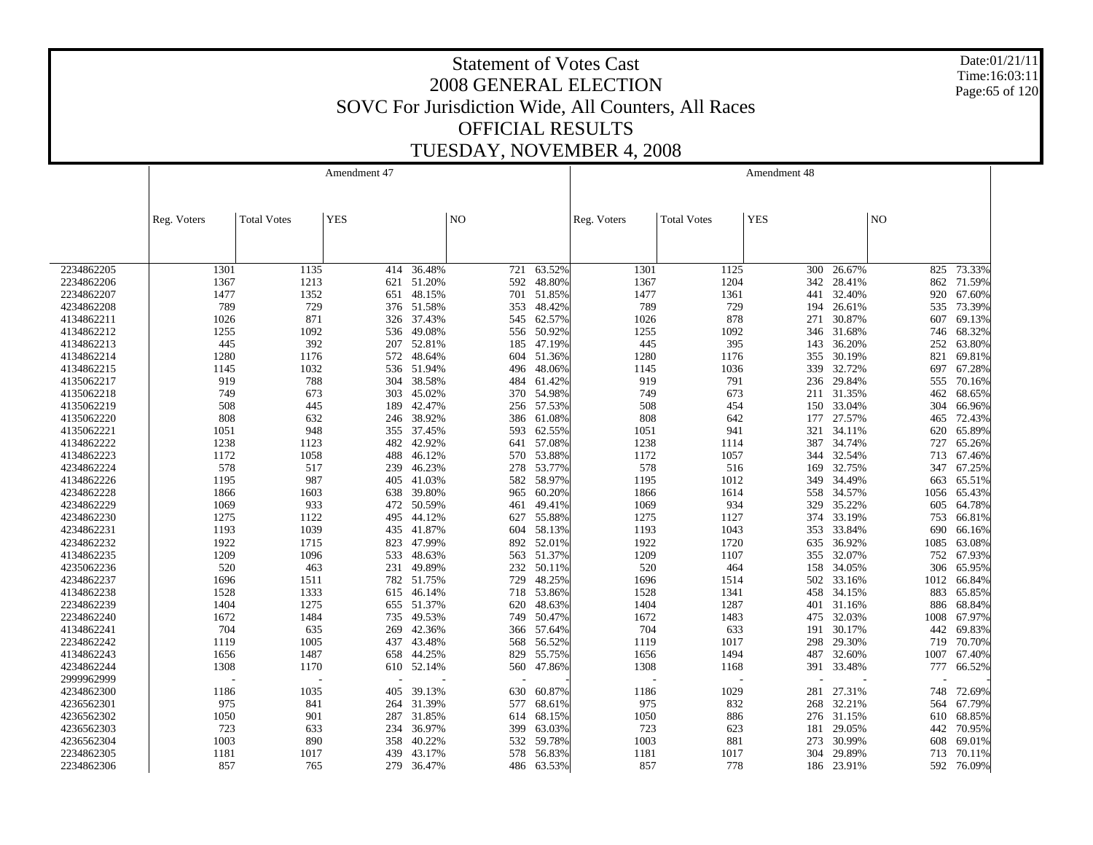Date:01/21/11 Time:16:03:11 Page:65 of 120

|            |             |                    | Amendment 47 |                |     |            |             |                    | Amendment 48 |            |      |        |
|------------|-------------|--------------------|--------------|----------------|-----|------------|-------------|--------------------|--------------|------------|------|--------|
|            |             |                    |              |                |     |            |             |                    |              |            |      |        |
|            |             |                    |              |                |     |            |             |                    |              |            |      |        |
|            | Reg. Voters | <b>Total Votes</b> | <b>YES</b>   | N <sub>O</sub> |     |            | Reg. Voters | <b>Total Votes</b> | <b>YES</b>   |            | NO   |        |
|            |             |                    |              |                |     |            |             |                    |              |            |      |        |
|            |             |                    |              |                |     |            |             |                    |              |            |      |        |
| 2234862205 | 1301        | 1135               | 414          | 36.48%         | 721 | 63.52%     | 1301        | 1125               | 300          | 26.67%     | 825  | 73.33% |
| 2234862206 | 1367        | 1213               |              | 621 51.20%     | 592 | 48.80%     | 1367        | 1204               | 342          | 28.41%     | 862  | 71.59% |
| 2234862207 | 1477        | 1352               | 651          | 48.15%         |     | 701 51.85% | 1477        | 1361               | 441          | 32.40%     | 920  | 67.60% |
| 4234862208 | 789         | 729                |              | 376 51.58%     | 353 | 48.42%     | 789         | 729                | 194          | 26.61%     | 535  | 73.39% |
| 4134862211 | 1026        | 871                | 326          | 37.43%         | 545 | 62.57%     | 1026        | 878                | 271          | 30.87%     | 607  | 69.13% |
| 4134862212 | 1255        | 1092               | 536          | 49.08%         |     | 556 50.92% | 1255        | 1092               | 346          | 31.68%     | 746  | 68.32% |
| 4134862213 | 445         | 392                | 207          | 52.81%         | 185 | 47.19%     | 445         | 395                | 143          | 36.20%     | 252  | 63.80% |
| 4134862214 | 1280        | 1176               | 572          | 48.64%         | 604 | 51.36%     | 1280        | 1176               | 355          | 30.19%     | 821  | 69.81% |
| 4134862215 | 1145        | 1032               | 536          | 51.94%         | 496 | 48.06%     | 1145        | 1036               | 339          | 32.72%     | 697  | 67.28% |
| 4135062217 | 919         | 788                | 304          | 38.58%         | 484 | 61.42%     | 919         | 791                | 236          | 29.84%     | 555  | 70.16% |
| 4135062218 | 749         | 673                | 303          | 45.02%         | 370 | 54.98%     | 749         | 673                | 211          | 31.35%     | 462  | 68.65% |
| 4135062219 | 508         | 445                | 189          | 42.47%         | 256 | 57.53%     | 508         | 454                | 150          | 33.04%     | 304  | 66.96% |
| 4135062220 | 808         | 632                | 246          | 38.92%         |     | 386 61.08% | 808         | 642                | 177          | 27.57%     | 465  | 72.43% |
| 4135062221 | 1051        | 948                | 355          | 37.45%         | 593 | 62.55%     | 1051        | 941                | 321          | 34.11%     | 620  | 65.89% |
| 4134862222 | 1238        | 1123               | 482          | 42.92%         |     | 641 57.08% | 1238        | 1114               | 387          | 34.74%     | 727  | 65.26% |
| 4134862223 | 1172        | 1058               | 488          | 46.12%         | 570 | 53.88%     | 1172        | 1057               | 344          | 32.54%     | 713  | 67.46% |
| 4234862224 | 578         | 517                | 239          | 46.23%         |     | 278 53.77% | 578         | 516                | 169          | 32.75%     | 347  | 67.25% |
| 4134862226 | 1195        | 987                | 405          | 41.03%         | 582 | 58.97%     | 1195        | 1012               | 349          | 34.49%     | 663  | 65.51% |
| 4234862228 | 1866        | 1603               | 638          | 39.80%         | 965 | 60.20%     | 1866        | 1614               | 558          | 34.57%     | 1056 | 65.43% |
| 4234862229 | 1069        | 933                | 472          | 50.59%         | 461 | 49.41%     | 1069        | 934                | 329          | 35.22%     | 605  | 64.78% |
| 4234862230 | 1275        | 1122               | 495          | 44.12%         | 627 | 55.88%     | 1275        | 1127               | 374          | 33.19%     | 753  | 66.81% |
| 4234862231 | 1193        | 1039               | 435          | 41.87%         | 604 | 58.13%     | 1193        | 1043               | 353          | 33.84%     | 690  | 66.16% |
| 4234862232 | 1922        | 1715               | 823          | 47.99%         |     | 892 52.01% | 1922        | 1720               | 635          | 36.92%     | 1085 | 63.08% |
| 4134862235 | 1209        | 1096               | 533          | 48.63%         | 563 | 51.37%     | 1209        | 1107               | 355          | 32.07%     | 752  | 67.93% |
| 4235062236 | 520         | 463                | 231          | 49.89%         | 232 | 50.11%     | 520         | 464                | 158          | 34.05%     | 306  | 65.95% |
| 4234862237 | 1696        | 1511               | 782          | 51.75%         | 729 | 48.25%     | 1696        | 1514               | 502          | 33.16%     | 1012 | 66.84% |
| 4134862238 | 1528        | 1333               | 615          | 46.14%         | 718 | 53.86%     | 1528        | 1341               | 458          | 34.15%     | 883  | 65.85% |
| 2234862239 | 1404        | 1275               |              | 655 51.37%     | 620 | 48.63%     | 1404        | 1287               | 401          | 31.16%     | 886  | 68.84% |
| 2234862240 | 1672        | 1484               | 735          | 49.53%         | 749 | 50.47%     | 1672        | 1483               | 475          | 32.03%     | 1008 | 67.97% |
| 4134862241 | 704         | 635                | 269          | 42.36%         |     | 366 57.64% | 704         | 633                | 191          | 30.17%     | 442  | 69.83% |
| 2234862242 | 1119        | 1005               | 437          | 43.48%         | 568 | 56.52%     | 1119        | 1017               | 298          | 29.30%     | 719  | 70.70% |
| 4134862243 | 1656        | 1487               | 658          | 44.25%         | 829 | 55.75%     | 1656        | 1494               | 487          | 32.60%     | 1007 | 67.40% |
| 4234862244 | 1308        | 1170               | 610          | 52.14%         | 560 | 47.86%     | 1308        | 1168               | 391          | 33.48%     | 777  | 66.52% |
| 2999962999 |             |                    |              |                |     |            |             |                    |              |            |      |        |
| 4234862300 | 1186        | 1035               | 405          | 39.13%         | 630 | 60.87%     | 1186        | 1029               | 281          | 27.31%     | 748  | 72.69% |
| 4236562301 | 975         | 841                | 264          | 31.39%         | 577 | 68.61%     | 975         | 832                | 268          | 32.21%     | 564  | 67.79% |
| 4236562302 | 1050        | 901                | 287          | 31.85%         | 614 | 68.15%     | 1050        | 886                | 276          | 31.15%     | 610  | 68.85% |
| 4236562303 | 723         | 633                | 234          | 36.97%         | 399 | 63.03%     | 723         | 623                | 181          | 29.05%     | 442  | 70.95% |
| 4236562304 | 1003        | 890                | 358          | 40.22%         | 532 | 59.78%     | 1003        | 881                | 273          | 30.99%     | 608  | 69.01% |
| 2234862305 | 1181        | 1017               | 439          | 43.17%         | 578 | 56.83%     | 1181        | 1017               | 304          | 29.89%     | 713  | 70.11% |
| 2234862306 | 857         | 765                | 279          | 36.47%         | 486 | 63.53%     | 857         | 778                |              | 186 23.91% | 592  | 76.09% |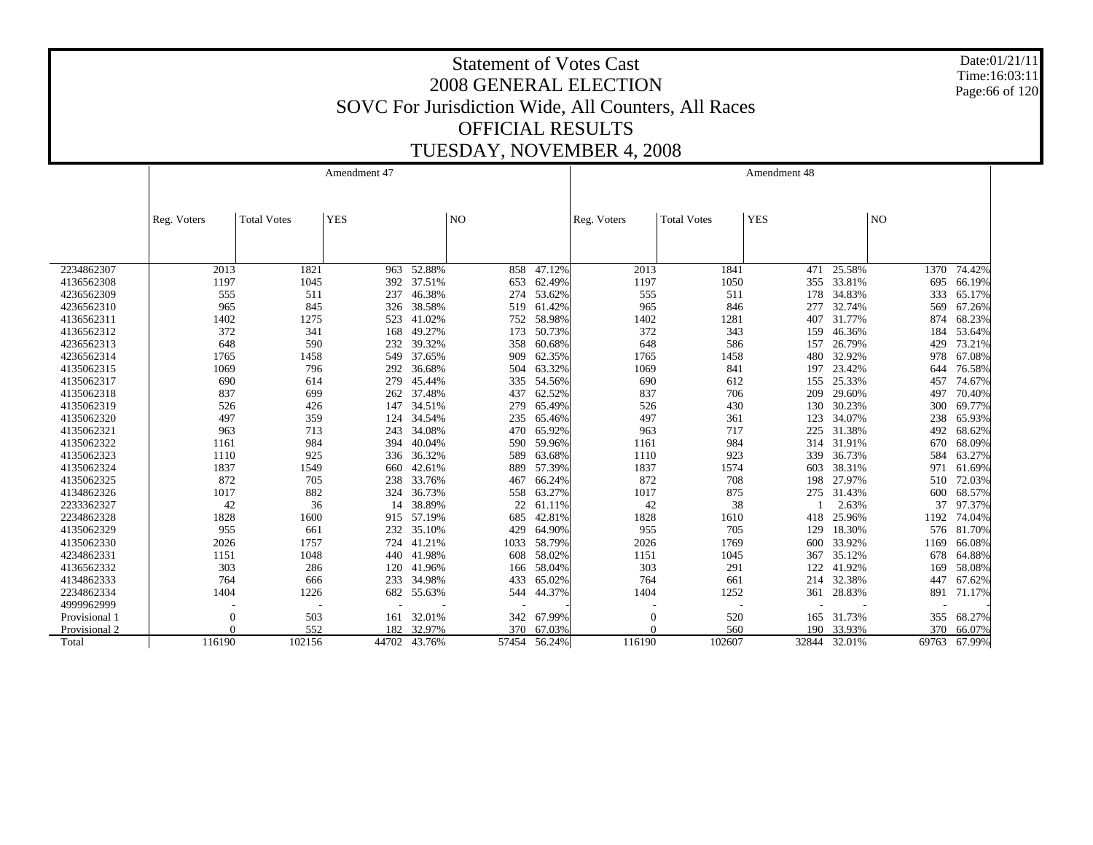Date:01/21/11 Time:16:03:11 Page:66 of 120

|               |                |                    | Amendment 47 |        |                 |           |             |                    | Amendment 48 |        |       |        |
|---------------|----------------|--------------------|--------------|--------|-----------------|-----------|-------------|--------------------|--------------|--------|-------|--------|
|               |                |                    |              |        |                 |           |             |                    |              |        |       |        |
|               |                | <b>Total Votes</b> | <b>YES</b>   |        | NO <sub>1</sub> |           |             | <b>Total Votes</b> | <b>YES</b>   |        | NO    |        |
|               | Reg. Voters    |                    |              |        |                 |           | Reg. Voters |                    |              |        |       |        |
|               |                |                    |              |        |                 |           |             |                    |              |        |       |        |
|               |                |                    |              |        |                 |           |             |                    |              |        |       |        |
| 2234862307    | 2013           | 1821               | 963          | 52.88% | 858             | $-47.12%$ | 2013        | 1841               | 471          | 25.58% | 1370  | 74.42% |
| 4136562308    | 1197           | 1045               | 392          | 37.51% | 653             | 62.49%    | 1197        | 1050               | 355          | 33.81% | 695   | 66.19% |
| 4236562309    | 555            | 511                | 237          | 46.38% | 274             | 53.62%    | 555         | 511                | 178          | 34.83% | 333   | 65.17% |
| 4236562310    | 965            | 845                | 326          | 38.58% | 519             | 61.42%    | 965         | 846                | 277          | 32.74% | 569   | 67.26% |
| 4136562311    | 1402           | 1275               | 523          | 41.02% | 752             | 58.98%    | 1402        | 1281               | 407          | 31.77% | 874   | 68.23% |
| 4136562312    | 372            | 341                | 168          | 49.27% | 173             | 50.73%    | 372         | 343                | 159          | 46.36% | 184   | 53.64% |
| 4236562313    | 648            | 590                | 232          | 39.32% | 358             | 60.68%    | 648         | 586                | 157          | 26.79% | 429   | 73.21% |
| 4236562314    | 1765           | 1458               | 549          | 37.65% | 909             | 62.35%    | 1765        | 1458               | 480          | 32.92% | 978   | 67.08% |
| 4135062315    | 1069           | 796                | 292          | 36.68% | 504             | 63.32%    | 1069        | 841                | 197          | 23.42% | 644   | 76.58% |
| 4135062317    | 690            | 614                | 279          | 45.44% | 335             | 54.56%    | 690         | 612                | 155          | 25.33% | 457   | 74.67% |
| 4135062318    | 837            | 699                | 262          | 37.48% | 437             | 62.52%    | 837         | 706                | 209          | 29.60% | 497   | 70.40% |
| 4135062319    | 526            | 426                | 147          | 34.51% | 279             | 65.49%    | 526         | 430                | 130          | 30.23% | 300   | 69.77% |
| 4135062320    | 497            | 359                | 124          | 34.54% | 235             | 65.46%    | 497         | 361                | 123          | 34.07% | 238   | 65.93% |
| 4135062321    | 963            | 713                | 243          | 34.08% | 470             | 65.92%    | 963         | 717                | 225          | 31.38% | 492   | 68.62% |
| 4135062322    | 1161           | 984                | 394          | 40.04% | 590             | 59.96%    | 1161        | 984                | 314          | 31.91% | 670   | 68.09% |
| 4135062323    | 1110           | 925                | 336          | 36.32% | 589             | 63.68%    | 1110        | 923                | 339          | 36.73% | 584   | 63.27% |
| 4135062324    | 1837           | 1549               | 660          | 42.61% | 889             | 57.39%    | 1837        | 1574               | 603          | 38.31% | 971   | 61.69% |
| 4135062325    | 872            | 705                | 238          | 33.76% | 467             | 66.24%    | 872         | 708                | 198          | 27.97% | 510   | 72.03% |
| 4134862326    | 1017           | 882                | 324          | 36.73% | 558             | 63.27%    | 1017        | 875                | 275          | 31.43% | 600   | 68.57% |
| 2233362327    | 42             | 36                 | 14           | 38.89% | 22              | 61.11%    | 42          | 38                 |              | 2.63%  | 37    | 97.37% |
| 2234862328    | 1828           | 1600               | 915          | 57.19% | 685             | 42.81%    | 1828        | 1610               | 418          | 25.96% | 1192  | 74.04% |
| 4135062329    | 955            | 661                | 232          | 35.10% | 429             | 64.90%    | 955         | 705                | 129          | 18.30% | 576   | 81.70% |
| 4135062330    | 2026           | 1757               | 724          | 41.21% | 1033            | 58.79%    | 2026        | 1769               | 600          | 33.92% | 1169  | 66.08% |
| 4234862331    | 1151           | 1048               | 440          | 41.98% | 608             | 58.02%    | 1151        | 1045               | 367          | 35.12% | 678   | 64.88% |
| 4136562332    | 303            | 286                | 120          | 41.96% | 166             | 58.04%    | 303         | 291                | 122          | 41.92% | 169   | 58.08% |
| 4134862333    | 764            | 666                | 233          | 34.98% | 433             | 65.02%    | 764         | 661                | 214          | 32.38% | 447   | 67.62% |
| 2234862334    | 1404           | 1226               | 682          | 55.63% | 544             | 44.37%    | 1404        | 1252               | 361          | 28.83% | 891   | 71.17% |
| 4999962999    |                |                    |              |        |                 |           |             |                    |              |        |       |        |
| Provisional 1 | $\overline{0}$ | 503                | 161          | 32.01% | 342             | 67.99%    | $\theta$    | 520                | 165          | 31.73% | 355   | 68.27% |
| Provisional 2 |                | 552                | 182          | 32.97% | 370             | 67.03%    |             | 560                | 190          | 33.93% | 370   | 66.07% |
| Total         | 116190         | 102156             | 44702        | 43.76% | 57454           | 56.24%    | 116190      | 102607             | 32844        | 32.01% | 69763 | 67.99% |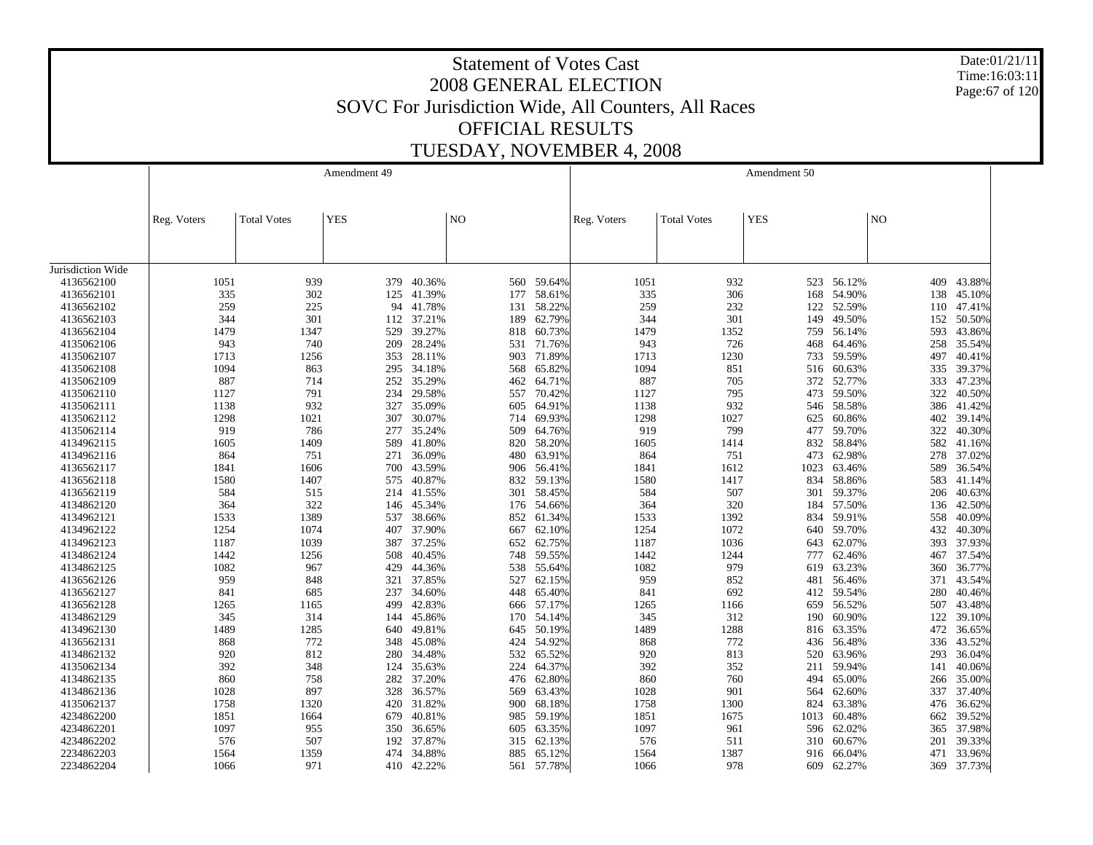Date:01/21/11 Time:16:03:11 Page:67 of 120

|                   |             |                    | Amendment 49 |        |                |            |             |                    | Amendment 50 |        |     |        |
|-------------------|-------------|--------------------|--------------|--------|----------------|------------|-------------|--------------------|--------------|--------|-----|--------|
|                   | Reg. Voters | <b>Total Votes</b> | <b>YES</b>   |        | N <sub>O</sub> |            | Reg. Voters | <b>Total Votes</b> | <b>YES</b>   |        | NO  |        |
| Jurisdiction Wide |             |                    |              |        |                |            |             |                    |              |        |     |        |
| 4136562100        | 1051        | 939                | 379          | 40.36% |                | 560 59.64% | 1051        | 932                | 523          | 56.12% | 409 | 43.88% |
| 4136562101        | 335         | 302                | 125          | 41.39% | 177            | 58.61%     | 335         | 306                | 168          | 54.90% | 138 | 45.10% |
| 4136562102        | 259         | 225                | 94           | 41.78% | 131            | 58.22%     | 259         | 232                | 122          | 52.59% | 110 | 47.41% |
| 4136562103        | 344         | 301                | 112          | 37.21% | 189            | 62.79%     | 344         | 301                | 149          | 49.50% | 152 | 50.50% |
| 4136562104        | 1479        | 1347               | 529          | 39.27% | 818            | 60.73%     | 1479        | 1352               | 759          | 56.14% | 593 | 43.86% |
| 4135062106        | 943         | 740                | 209          | 28.24% | 531            | 71.76%     | 943         | 726                | 468          | 64.46% | 258 | 35.54% |
| 4135062107        | 1713        | 1256               | 353          | 28.11% | 903            | 71.89%     | 1713        | 1230               | 733          | 59.59% | 497 | 40.41% |
| 4135062108        | 1094        | 863                | 295          | 34.18% | 568            | 65.82%     | 1094        | 851                | 516          | 60.63% | 335 | 39.37% |
| 4135062109        | 887         | 714                | 252          | 35.29% | 462            | 64.71%     | 887         | 705                | 372          | 52.77% | 333 | 47.23% |
| 4135062110        | 1127        | 791                | 234          | 29.58% | 557            | 70.42%     | 1127        | 795                | 473          | 59.50% | 322 | 40.50% |
| 4135062111        | 1138        | 932                | 327          | 35.09% | 605            | 64.91%     | 1138        | 932                | 546          | 58.58% | 386 | 41.42% |
| 4135062112        | 1298        | 1021               | 307          | 30.07% |                | 714 69.93% | 1298        | 1027               | 625          | 60.86% | 402 | 39.14% |
| 4135062114        | 919         | 786                | 277          | 35.24% | 509            | 64.76%     | 919         | 799                | 477          | 59.70% | 322 | 40.30% |
| 4134962115        | 1605        | 1409               | 589          | 41.80% | 820            | 58.20%     | 1605        | 1414               | 832          | 58.84% | 582 | 41.16% |
| 4134962116        | 864         | 751                | 271          | 36.09% | 480            | 63.91%     | 864         | 751                | 473          | 62.98% | 278 | 37.02% |
| 4136562117        | 1841        | 1606               | 700          | 43.59% |                | 906 56.41% | 1841        | 1612               | 1023         | 63.46% | 589 | 36.54% |
| 4136562118        | 1580        | 1407               | 575          | 40.87% | 832            | 59.13%     | 1580        | 1417               | 834          | 58.86% | 583 | 41.14% |
| 4136562119        | 584         | 515                | 214          | 41.55% | 301            | 58.45%     | 584         | 507                | 301          | 59.37% | 206 | 40.63% |
| 4134862120        | 364         | 322                | 146          | 45.34% |                | 176 54.66% | 364         | 320                | 184          | 57.50% | 136 | 42.50% |
| 4134962121        | 1533        | 1389               | 537          | 38.66% |                | 852 61.34% | 1533        | 1392               | 834          | 59.91% | 558 | 40.09% |
| 4134962122        | 1254        | 1074               | 407          | 37.90% | 667            | 62.10%     | 1254        | 1072               | 640          | 59.70% | 432 | 40.30% |
| 4134962123        | 1187        | 1039               | 387          | 37.25% | 652            | 62.75%     | 1187        | 1036               | 643          | 62.07% | 393 | 37.93% |
| 4134862124        | 1442        | 1256               | 508          | 40.45% | 748            | 59.55%     | 1442        | 1244               | 777          | 62.46% | 467 | 37.54% |
| 4134862125        | 1082        | 967                | 429          | 44.36% | 538            | 55.64%     | 1082        | 979                | 619          | 63.23% | 360 | 36.77% |
| 4136562126        | 959         | 848                | 321          | 37.85% | 527            | 62.15%     | 959         | 852                | 481          | 56.46% | 371 | 43.54% |
| 4136562127        | 841         | 685                | 237          | 34.60% | 448            | 65.40%     | 841         | 692                | 412          | 59.54% | 280 | 40.46% |
| 4136562128        | 1265        | 1165               | 499          | 42.83% | 666            | 57.17%     | 1265        | 1166               | 659          | 56.52% | 507 | 43.48% |
| 4134862129        | 345         | 314                | 144          | 45.86% | 170            | 54.14%     | 345         | 312                | 190          | 60.90% | 122 | 39.10% |
| 4134962130        | 1489        | 1285               | 640          | 49.81% |                | 645 50.19% | 1489        | 1288               | 816          | 63.35% | 472 | 36.65% |
| 4136562131        | 868         | 772                | 348          | 45.08% | 424            | 54.92%     | 868         | 772                | 436          | 56.48% | 336 | 43.52% |
| 4134862132        | 920         | 812                | 280          | 34.48% | 532            | 65.52%     | 920         | 813                | 520          | 63.96% | 293 | 36.04% |
| 4135062134        | 392         | 348                | 124          | 35.63% | 224            | 64.37%     | 392         | 352                | 211          | 59.94% | 141 | 40.06% |
| 4134862135        | 860         | 758                | 282          | 37.20% |                | 476 62.80% | 860         | 760                | 494          | 65.00% | 266 | 35.00% |
| 4134862136        | 1028        | 897                | 328          | 36.57% | 569            | 63.43%     | 1028        | 901                | 564          | 62.60% | 337 | 37.40% |
| 4135062137        | 1758        | 1320               | 420          | 31.82% | 900            | 68.18%     | 1758        | 1300               | 824          | 63.38% | 476 | 36.62% |
| 4234862200        | 1851        | 1664               | 679          | 40.81% | 985            | 59.19%     | 1851        | 1675               | 1013         | 60.48% | 662 | 39.52% |
| 4234862201        | 1097        | 955                | 350          | 36.65% | 605            | 63.35%     | 1097        | 961                | 596          | 62.02% | 365 | 37.98% |
| 4234862202        | 576         | 507                | 192          | 37.87% |                | 315 62.13% | 576         | 511                | 310          | 60.67% | 201 | 39.33% |
| 2234862203        | 1564        | 1359               | 474          | 34.88% | 885            | 65.12%     | 1564        | 1387               | 916          | 66.04% | 471 | 33.96% |
| 2234862204        | 1066        | 971                | 410          | 42.22% | 561            | 57.78%     | 1066        | 978                | 609          | 62.27% | 369 | 37.73% |
|                   |             |                    |              |        |                |            |             |                    |              |        |     |        |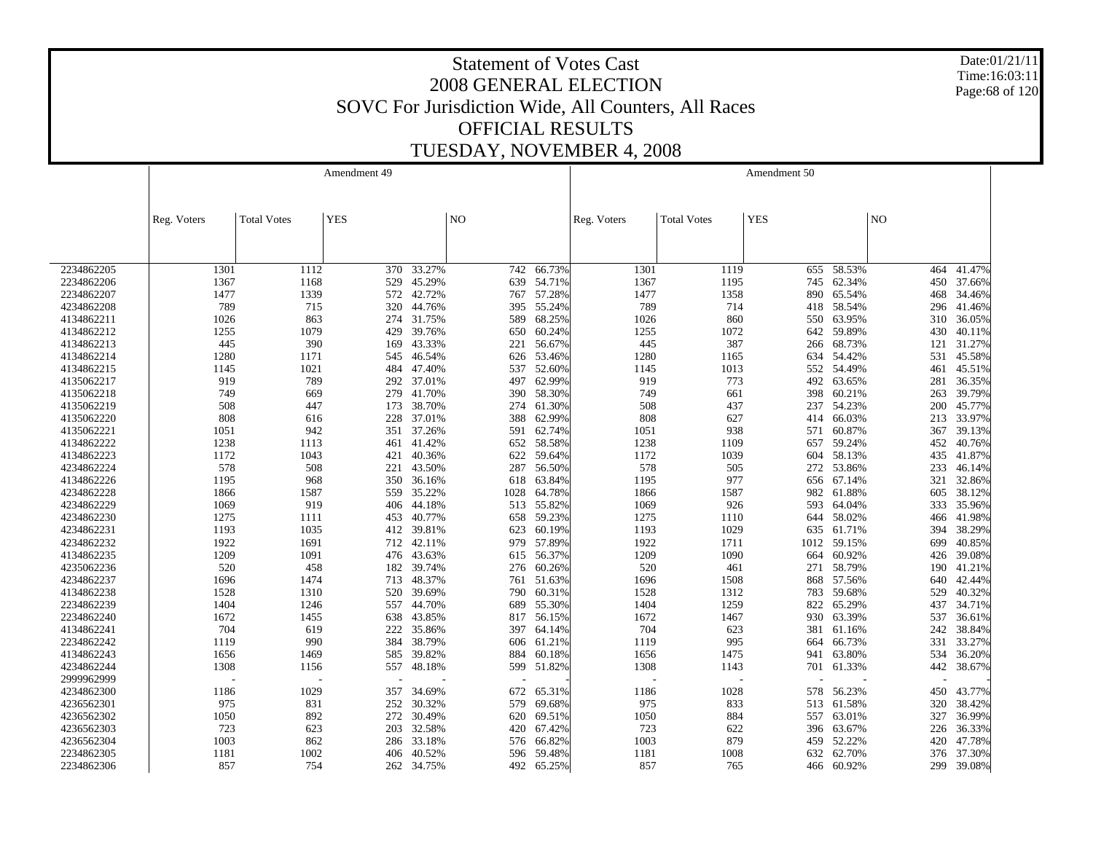Date:01/21/11 Time:16:03:11 Page:68 of 120

|            |             |                          | Amendment 49 |                |      |            |             |                    | Amendment 50 |        |     |        |
|------------|-------------|--------------------------|--------------|----------------|------|------------|-------------|--------------------|--------------|--------|-----|--------|
|            |             |                          |              |                |      |            |             |                    |              |        |     |        |
|            |             |                          |              |                |      |            |             |                    |              |        |     |        |
|            | Reg. Voters | <b>Total Votes</b>       | <b>YES</b>   | N <sub>O</sub> |      |            | Reg. Voters | <b>Total Votes</b> | <b>YES</b>   |        | NO  |        |
|            |             |                          |              |                |      |            |             |                    |              |        |     |        |
|            |             |                          |              |                |      |            |             |                    |              |        |     |        |
|            |             |                          |              |                |      |            |             |                    |              |        |     |        |
| 2234862205 | 1301        | 1112                     | 370          | 33.27%         | 742  | 66.73%     | 1301        | 1119               | 655          | 58.53% | 464 | 41.47% |
| 2234862206 | 1367        | 1168                     | 529          | 45.29%         |      | 639 54.71% | 1367        | 1195               | 745          | 62.34% | 450 | 37.66% |
| 2234862207 | 1477        | 1339                     | 572          | 42.72%         | 767  | 57.28%     | 1477        | 1358               | 890          | 65.54% | 468 | 34.46% |
| 4234862208 | 789         | 715                      | 320          | 44.76%         |      | 395 55.24% | 789         | 714                | 418          | 58.54% | 296 | 41.46% |
| 4134862211 | 1026        | 863                      | 274          | 31.75%         | 589  | 68.25%     | 1026        | 860                | 550          | 63.95% | 310 | 36.05% |
| 4134862212 | 1255        | 1079                     | 429          | 39.76%         | 650  | 60.24%     | 1255        | 1072               | 642          | 59.89% | 430 | 40.11% |
| 4134862213 | 445         | 390                      | 169          | 43.33%         | 221  | 56.67%     | 445         | 387                | 266          | 68.73% | 121 | 31.27% |
| 4134862214 | 1280        | 1171                     | 545          | 46.54%         | 626  | 53.46%     | 1280        | 1165               | 634          | 54.42% | 531 | 45.58% |
| 4134862215 | 1145        | 1021                     | 484          | 47.40%         | 537  | 52.60%     | 1145        | 1013               | 552          | 54.49% | 461 | 45.51% |
| 4135062217 | 919         | 789                      | 292          | 37.01%         | 497  | 62.99%     | 919         | 773                | 492          | 63.65% | 281 | 36.35% |
| 4135062218 | 749         | 669                      | 279          | 41.70%         | 390  | 58.30%     | 749         | 661                | 398          | 60.21% | 263 | 39.79% |
| 4135062219 | 508         | 447                      | 173          | 38.70%         | 274  | 61.30%     | 508         | 437                | 237          | 54.23% | 200 | 45.77% |
| 4135062220 | 808         | 616                      | 228          | 37.01%         | 388  | 62.99%     | 808         | 627                | 414          | 66.03% | 213 | 33.97% |
| 4135062221 | 1051        | 942                      | 351          | 37.26%         | 591  | 62.74%     | 1051        | 938                | 571          | 60.87% | 367 | 39.13% |
| 4134862222 | 1238        | 1113                     | 461          | 41.42%         |      | 652 58.58% | 1238        | 1109               | 657          | 59.24% | 452 | 40.76% |
| 4134862223 | 1172        | 1043                     | 421          | 40.36%         | 622  | 59.64%     | 1172        | 1039               | 604          | 58.13% | 435 | 41.87% |
| 4234862224 | 578         | 508                      | 221          | 43.50%         | 287  | 56.50%     | 578         | 505                | 272          | 53.86% | 233 | 46.14% |
| 4134862226 | 1195        | 968                      | 350          | 36.16%         | 618  | 63.84%     | 1195        | 977                | 656          | 67.14% | 321 | 32.86% |
| 4234862228 | 1866        | 1587                     | 559          | 35.22%         | 1028 | 64.78%     | 1866        | 1587               | 982          | 61.88% | 605 | 38.12% |
| 4234862229 | 1069        | 919                      | 406          | 44.18%         | 513  | 55.82%     | 1069        | 926                | 593          | 64.04% | 333 | 35.96% |
| 4234862230 | 1275        | 1111                     | 453          | 40.77%         |      | 658 59.23% | 1275        | 1110               | 644          | 58.02% | 466 | 41.98% |
| 4234862231 | 1193        | 1035                     | 412          | 39.81%         | 623  | 60.19%     | 1193        | 1029               | 635          | 61.71% | 394 | 38.29% |
| 4234862232 | 1922        | 1691                     | 712          | 42.11%         | 979  | 57.89%     | 1922        | 1711               | 1012         | 59.15% | 699 | 40.85% |
| 4134862235 | 1209        | 1091                     | 476          | 43.63%         |      | 615 56.37% | 1209        | 1090               | 664          | 60.92% | 426 | 39.08% |
| 4235062236 | 520         | 458                      | 182          | 39.74%         | 276  | 60.26%     | 520         | 461                | 271          | 58.79% | 190 | 41.21% |
| 4234862237 | 1696        | 1474                     | 713          | 48.37%         | 761  | 51.63%     | 1696        | 1508               | 868          | 57.56% | 640 | 42.44% |
| 4134862238 | 1528        | 1310                     | 520          | 39.69%         | 790  | 60.31%     | 1528        | 1312               | 783          | 59.68% | 529 | 40.32% |
| 2234862239 | 1404        | 1246                     | 557          | 44.70%         | 689  | 55.30%     | 1404        | 1259               | 822          | 65.29% | 437 | 34.71% |
| 2234862240 | 1672        | 1455                     | 638          | 43.85%         | 817  | 56.15%     | 1672        | 1467               | 930          | 63.39% | 537 | 36.61% |
| 4134862241 | 704         | 619                      | 222          | 35.86%         |      | 397 64.14% | 704         | 623                | 381          | 61.16% | 242 | 38.84% |
| 2234862242 | 1119        | 990                      | 384          | 38.79%         | 606  | 61.21%     | 1119        | 995                | 664          | 66.73% | 331 | 33.27% |
| 4134862243 | 1656        | 1469                     | 585          | 39.82%         | 884  | 60.18%     | 1656        | 1475               | 941          | 63.80% | 534 | 36.20% |
| 4234862244 | 1308        | 1156                     | 557          | 48.18%         | 599  | 51.82%     | 1308        | 1143               | 701          | 61.33% | 442 | 38.67% |
| 2999962999 |             | $\overline{\phantom{a}}$ |              |                |      |            |             |                    |              |        |     |        |
| 4234862300 | 1186        | 1029                     | 357          | 34.69%         | 672  | 65.31%     | 1186        | 1028               | 578          | 56.23% | 450 | 43.77% |
| 4236562301 | 975         | 831                      | 252          | 30.32%         | 579  | 69.68%     | 975         | 833                | 513          | 61.58% | 320 | 38.42% |
| 4236562302 | 1050        | 892                      | 272          | 30.49%         | 620  | 69.51%     | 1050        | 884                | 557          | 63.01% | 327 | 36.99% |
| 4236562303 | 723         | 623                      | 203          | 32.58%         | 420  | 67.42%     | 723         | 622                | 396          | 63.67% | 226 | 36.33% |
| 4236562304 | 1003        | 862                      | 286          | 33.18%         | 576  | 66.82%     | 1003        | 879                | 459          | 52.22% | 420 | 47.78% |
| 2234862305 | 1181        | 1002                     | 406          | 40.52%         | 596  | 59.48%     | 1181        | 1008               | 632          | 62.70% | 376 | 37.30% |
| 2234862306 | 857         | 754                      | 262          | 34.75%         | 492  | 65.25%     | 857         | 765                | 466          | 60.92% | 299 | 39.08% |
|            |             |                          |              |                |      |            |             |                    |              |        |     |        |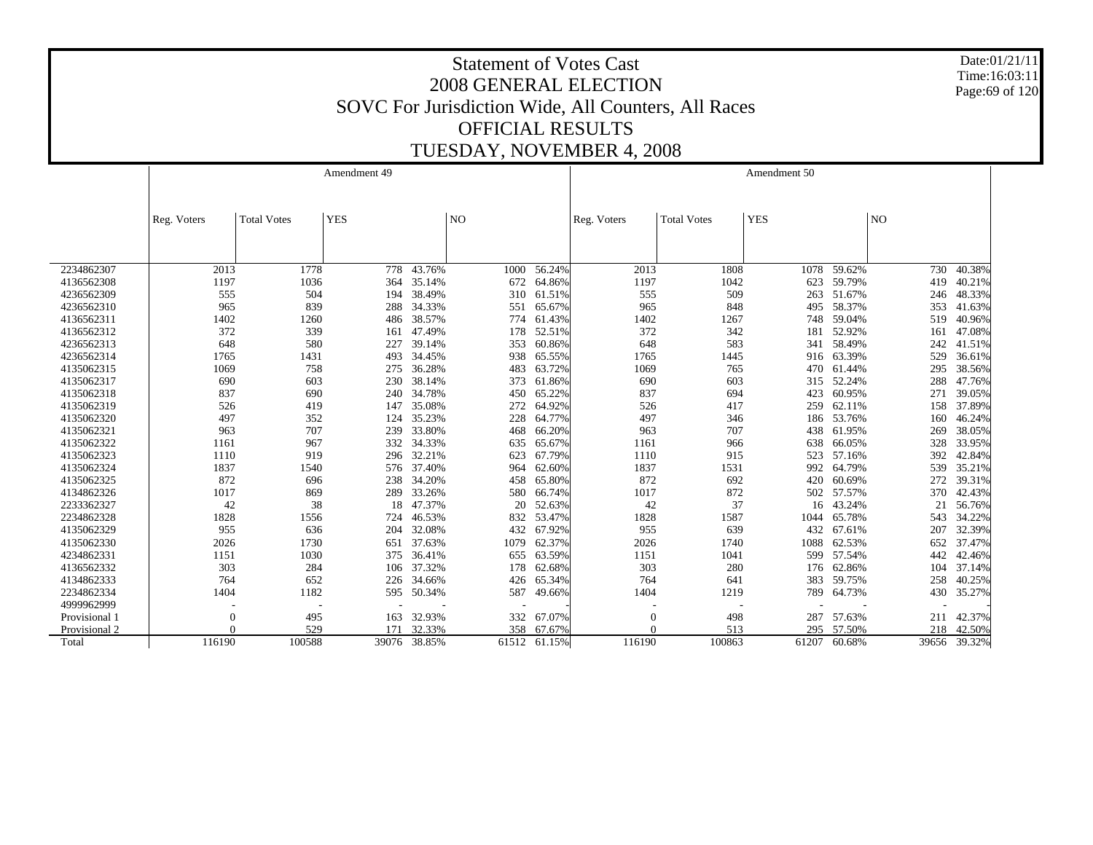Date:01/21/11 Time:16:03:11 Page:69 of 120

|               |             |                    | Amendment 49 |              |                          |              |             |                    | Amendment 50 |              |                |              |
|---------------|-------------|--------------------|--------------|--------------|--------------------------|--------------|-------------|--------------------|--------------|--------------|----------------|--------------|
|               |             |                    |              |              |                          |              |             |                    |              |              |                |              |
|               | Reg. Voters | <b>Total Votes</b> | <b>YES</b>   |              | NO <sub>1</sub>          |              | Reg. Voters | <b>Total Votes</b> | <b>YES</b>   |              | N <sub>O</sub> |              |
|               |             |                    |              |              |                          |              |             |                    |              |              |                |              |
|               |             |                    |              |              |                          |              |             |                    |              |              |                |              |
| 2234862307    | 2013        | 1778               | 778          | 43.76%       | 1000                     | 56.24%       | 2013        | 1808               | 1078         | 59.62%       | 730            | 40.38%       |
| 4136562308    | 1197        | 1036               | 364          | 35.14%       | 672                      | 64.86%       | 1197        | 1042               | 623          | 59.79%       | 419            | 40.21%       |
| 4236562309    | 555         | 504                | 194          | 38.49%       |                          | 310 61.51%   | 555         | 509                | 263          | 51.67%       | 246            | 48.33%       |
| 4236562310    | 965         | 839                | 288          | 34.33%       | 551                      | 65.67%       | 965         | 848                | 495          | 58.37%       | 353            | 41.63%       |
| 4136562311    | 1402        | 1260               | 486          | 38.57%       | 774                      | 61.43%       | 1402        | 1267               | 748          | 59.04%       | 519            | 40.96%       |
| 4136562312    | 372         | 339                | 161          | 47.49%       | 178                      | 52.51%       | 372         | 342                | 181          | 52.92%       | 161            | 47.08%       |
| 4236562313    | 648         | 580                | 227          | 39.14%       | 353                      | 60.86%       | 648         | 583                | 341          | 58.49%       | 242            | 41.51%       |
| 4236562314    | 1765        | 1431               | 493          | 34.45%       | 938                      | 65.55%       | 1765        | 1445               | 916          | 63.39%       | 529            | 36.61%       |
| 4135062315    | 1069        | 758                | 275          | 36.28%       | 483                      | 63.72%       | 1069        | 765                | 470          | 61.44%       | 295            | 38.56%       |
| 4135062317    | 690         | 603                | 230          | 38.14%       | 373                      | 61.86%       | 690         | 603                | 315          | 52.24%       | 288            | 47.76%       |
| 4135062318    | 837         | 690                | 240          | 34.78%       | 450                      | 65.22%       | 837         | 694                | 423          | 60.95%       | 271            | 39.05%       |
| 4135062319    | 526         | 419                | 147          | 35.08%       | 272                      | 64.92%       | 526         | 417                | 259          | 62.11%       | 158            | 37.89%       |
| 4135062320    | 497         | 352                | 124          | 35.23%       | 228                      | 64.77%       | 497         | 346                | 186          | 53.76%       | 160            | 46.24%       |
| 4135062321    | 963         | 707                | 239          | 33.80%       | 468                      | 66.20%       | 963         | 707                | 438          | 61.95%       | 269            | 38.05%       |
| 4135062322    | 1161        | 967                | 332          | 34.33%       | 635                      | 65.67%       | 1161        | 966                | 638          | 66.05%       | 328            | 33.95%       |
| 4135062323    | 1110        | 919                |              | 296 32.21%   | 623                      | 67.79%       | 1110        | 915                | 523          | 57.16%       | 392            | 42.84%       |
| 4135062324    | 1837        | 1540               |              | 576 37.40%   | 964                      | 62.60%       | 1837        | 1531               | 992          | 64.79%       | 539            | 35.21%       |
| 4135062325    | 872         | 696                | 238          | 34.20%       | 458                      | 65.80%       | 872         | 692                | 420          | 60.69%       | 272            | 39.31%       |
| 4134862326    | 1017        | 869                | 289          | 33.26%       | 580                      | 66.74%       | 1017        | 872                | 502          | 57.57%       | 370            | 42.43%       |
| 2233362327    | 42          | 38                 | 18           | 47.37%       | 20                       | 52.63%       | 42          | 37                 | 16           | 43.24%       | 21             | 56.76%       |
| 2234862328    | 1828        | 1556               | 724          | 46.53%       | 832                      | 53.47%       | 1828        | 1587               | 1044         | 65.78%       | 543            | 34.22%       |
| 4135062329    | 955         | 636                | 204          | 32.08%       | 432                      | 67.92%       | 955         | 639                | 432          | 67.61%       | 207            | 32.39%       |
| 4135062330    | 2026        | 1730               | 651          | 37.63%       | 1079                     | 62.37%       | 2026        | 1740               | 1088         | 62.53%       | 652            | 37.47%       |
| 4234862331    | 1151        | 1030               | 375          | 36.41%       | 655                      | 63.59%       | 1151        | 1041               | 599          | 57.54%       | 442            | 42.46%       |
| 4136562332    | 303         | 284                | 106          | 37.32%       | 178                      | 62.68%       | 303         | 280                | 176          | 62.86%       | 104            | 37.14%       |
| 4134862333    | 764         | 652                | 226          | 34.66%       | 426                      | 65.34%       | 764         | 641                | 383          | 59.75%       | 258            | 40.25%       |
| 2234862334    | 1404        | 1182               | 595          | 50.34%       | 587                      | 49.66%       | 1404        | 1219               | 789          | 64.73%       | 430            | 35.27%       |
| 4999962999    |             |                    |              |              | $\overline{\phantom{a}}$ |              |             |                    |              |              |                |              |
| Provisional 1 | $\epsilon$  | 495                | 163          | 32.93%       | 332                      | 67.07%       | $\Omega$    | 498                | 287          | 57.63%       | 211            | 42.37%       |
| Provisional 2 | $\Omega$    | 529                | 171          | 32.33%       | 358                      | 67.67%       |             | 513                | 295          | 57.50%       | 218            | 42.50%       |
| Total         | 116190      | 100588             |              | 39076 38.85% |                          | 61512 61.15% | 116190      | 100863             |              | 61207 60.68% |                | 39656 39.32% |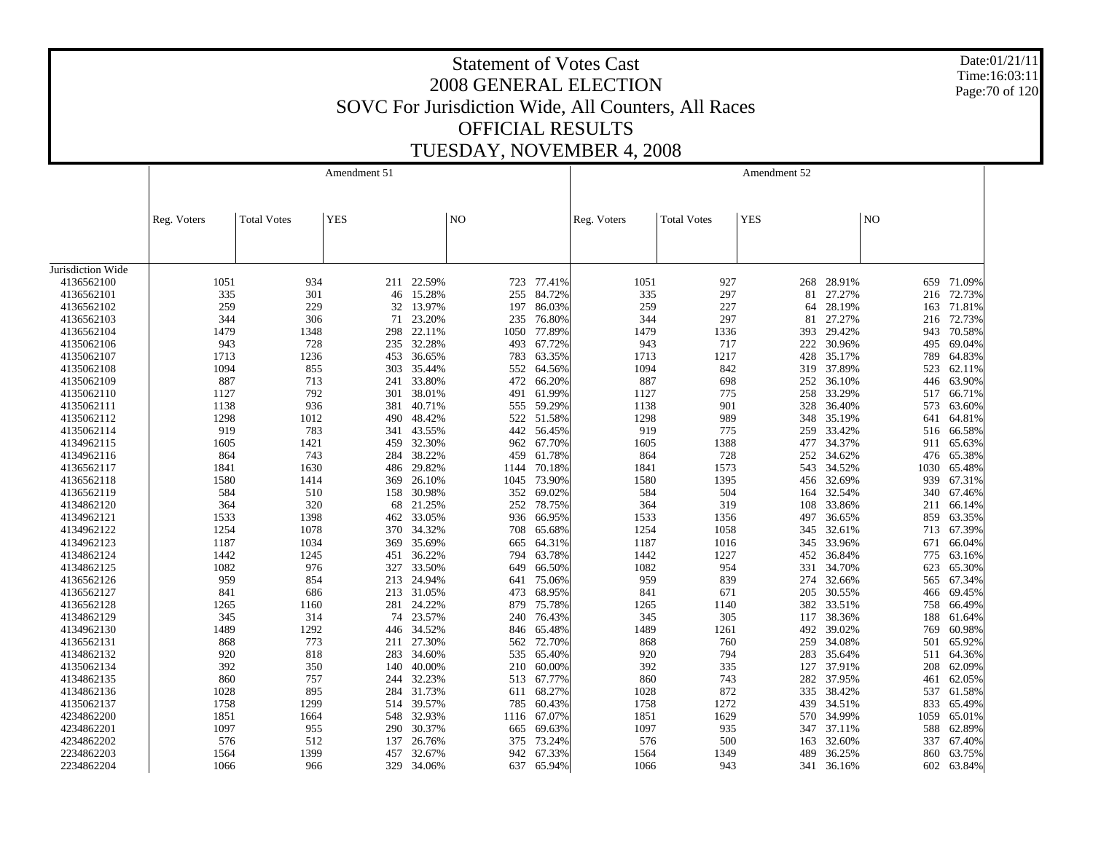Date:01/21/11 Time:16:03:11 Page:70 of 120

|                   |             |                    | Amendment 51 |            |                |             |             |                    | Amendment 52 |        |      |            |
|-------------------|-------------|--------------------|--------------|------------|----------------|-------------|-------------|--------------------|--------------|--------|------|------------|
|                   | Reg. Voters | <b>Total Votes</b> | <b>YES</b>   |            | N <sub>O</sub> |             | Reg. Voters | <b>Total Votes</b> | <b>YES</b>   |        | NO   |            |
|                   |             |                    |              |            |                |             |             |                    |              |        |      |            |
| Jurisdiction Wide |             |                    |              |            |                |             |             |                    |              |        |      |            |
| 4136562100        | 1051        | 934                |              | 211 22.59% |                | 723 77.41%  | 1051        | 927                | 268          | 28.91% |      | 659 71.09% |
| 4136562101        | 335         | 301                | 46           | 15.28%     | 255            | 84.72%      | 335         | 297                | 81           | 27.27% | 216  | 72.73%     |
| 4136562102        | 259         | 229                | 32           | 13.97%     | 197            | 86.03%      | 259         | 227                | 64           | 28.19% |      | 163 71.81% |
| 4136562103        | 344         | 306                | 71           | 23.20%     | 235            | 76.80%      | 344         | 297                | 81           | 27.27% | 216  | 72.73%     |
| 4136562104        | 1479        | 1348               | 298          | 22.11%     | 1050           | 77.89%      | 1479        | 1336               | 393          | 29.42% | 943  | 70.58%     |
| 4135062106        | 943         | 728                | 235          | 32.28%     | 493            | 67.72%      | 943         | 717                | 222          | 30.96% | 495  | 69.04%     |
| 4135062107        | 1713        | 1236               | 453          | 36.65%     | 783            | 63.35%      | 1713        | 1217               | 428          | 35.17% | 789  | 64.83%     |
| 4135062108        | 1094        | 855                | 303          | 35.44%     | 552            | 64.56%      | 1094        | 842                | 319          | 37.89% | 523  | 62.11%     |
| 4135062109        | 887         | 713                | 241          | 33.80%     | 472            | 66.20%      | 887         | 698                | 252          | 36.10% | 446  | 63.90%     |
| 4135062110        | 1127        | 792                | 301          | 38.01%     | 491            | 61.99%      | 1127        | 775                | 258          | 33.29% | 517  | 66.71%     |
| 4135062111        | 1138        | 936                | 381          | 40.71%     | 555            | 59.29%      | 1138        | 901                | 328          | 36.40% | 573  | 63.60%     |
| 4135062112        | 1298        | 1012               | 490          | 48.42%     | 522            | 51.58%      | 1298        | 989                | 348          | 35.19% | 641  | 64.81%     |
| 4135062114        | 919         | 783                | 341          | 43.55%     | 442            | 56.45%      | 919         | 775                | 259          | 33.42% | 516  | 66.58%     |
| 4134962115        | 1605        | 1421               | 459          | 32.30%     | 962            | 67.70%      | 1605        | 1388               | 477          | 34.37% | 911  | 65.63%     |
| 4134962116        | 864         | 743                | 284          | 38.22%     | 459            | 61.78%      | 864         | 728                | 252          | 34.62% | 476  | 65.38%     |
| 4136562117        | 1841        | 1630               | 486          | 29.82%     | 1144           | 70.18%      | 1841        | 1573               | 543          | 34.52% | 1030 | 65.48%     |
| 4136562118        | 1580        | 1414               | 369          | 26.10%     | 1045           | 73.90%      | 1580        | 1395               | 456          | 32.69% | 939  | 67.31%     |
| 4136562119        | 584         | 510                | 158          | 30.98%     | 352            | 69.02%      | 584         | 504                | 164          | 32.54% | 340  | 67.46%     |
| 4134862120        | 364         | 320                | 68           | 21.25%     | 252            | 78.75%      | 364         | 319                | 108          | 33.86% | 211  | 66.14%     |
| 4134962121        | 1533        | 1398               | 462          | 33.05%     | 936            | 66.95%      | 1533        | 1356               | 497          | 36.65% | 859  | 63.35%     |
| 4134962122        | 1254        | 1078               | 370          | 34.32%     | 708            | 65.68%      | 1254        | 1058               | 345          | 32.61% | 713  | 67.39%     |
| 4134962123        | 1187        | 1034               | 369          | 35.69%     | 665            | 64.31%      | 1187        | 1016               | 345          | 33.96% | 671  | 66.04%     |
| 4134862124        | 1442        | 1245               | 451          | 36.22%     | 794            | 63.78%      | 1442        | 1227               | 452          | 36.84% | 775  | 63.16%     |
| 4134862125        | 1082        | 976                | 327          | 33.50%     | 649            | 66.50%      | 1082        | 954                | 331          | 34.70% | 623  | 65.30%     |
| 4136562126        | 959         | 854                | 213          | 24.94%     | 641            | 75.06%      | 959         | 839                | 274          | 32.66% | 565  | 67.34%     |
| 4136562127        | 841         | 686                | 213          | 31.05%     | 473            | 68.95%      | 841         | 671                | 205          | 30.55% | 466  | 69.45%     |
| 4136562128        | 1265        | 1160               |              | 281 24.22% | 879            | 75.78%      | 1265        | 1140               | 382          | 33.51% | 758  | 66.49%     |
| 4134862129        | 345         | 314                | 74           | 23.57%     | 240            | 76.43%      | 345         | 305                | 117          | 38.36% | 188  | 61.64%     |
| 4134962130        | 1489        | 1292               | 446          | 34.52%     | 846            | 65.48%      | 1489        | 1261               | 492          | 39.02% | 769  | 60.98%     |
| 4136562131        | 868         | 773                | 211          | 27.30%     | 562            | 72.70%      | 868         | 760                | 259          | 34.08% | 501  | 65.92%     |
| 4134862132        | 920         | 818                | 283          | 34.60%     | 535            | 65.40%      | 920         | 794                | 283          | 35.64% | 511  | 64.36%     |
| 4135062134        | 392         | 350                | 140          | 40.00%     | 210            | 60.00%      | 392         | 335                | 127          | 37.91% | 208  | 62.09%     |
| 4134862135        | 860         | 757                | 244          | 32.23%     |                | 513 67.77%  | 860         | 743                | 282          | 37.95% | 461  | 62.05%     |
| 4134862136        | 1028        | 895                | 284          | 31.73%     | 611            | 68.27%      | 1028        | 872                | 335          | 38.42% | 537  | 61.58%     |
| 4135062137        | 1758        | 1299               | 514          | 39.57%     | 785            | 60.43%      | 1758        | 1272               | 439          | 34.51% | 833  | 65.49%     |
| 4234862200        | 1851        | 1664               | 548          | 32.93%     |                | 1116 67.07% | 1851        | 1629               | 570          | 34.99% | 1059 | 65.01%     |
| 4234862201        | 1097        | 955                | 290          | 30.37%     | 665            | 69.63%      | 1097        | 935                | 347          | 37.11% | 588  | 62.89%     |
| 4234862202        | 576         | 512                | 137          | 26.76%     | 375            | 73.24%      | 576         | 500                | 163          | 32.60% | 337  | 67.40%     |
| 2234862203        | 1564        | 1399               | 457          | 32.67%     | 942            | 67.33%      | 1564        | 1349               | 489          | 36.25% | 860  | 63.75%     |
| 2234862204        | 1066        | 966                | 329          | 34.06%     | 637            | 65.94%      | 1066        | 943                | 341          | 36.16% |      | 602 63.84% |
|                   |             |                    |              |            |                |             |             |                    |              |        |      |            |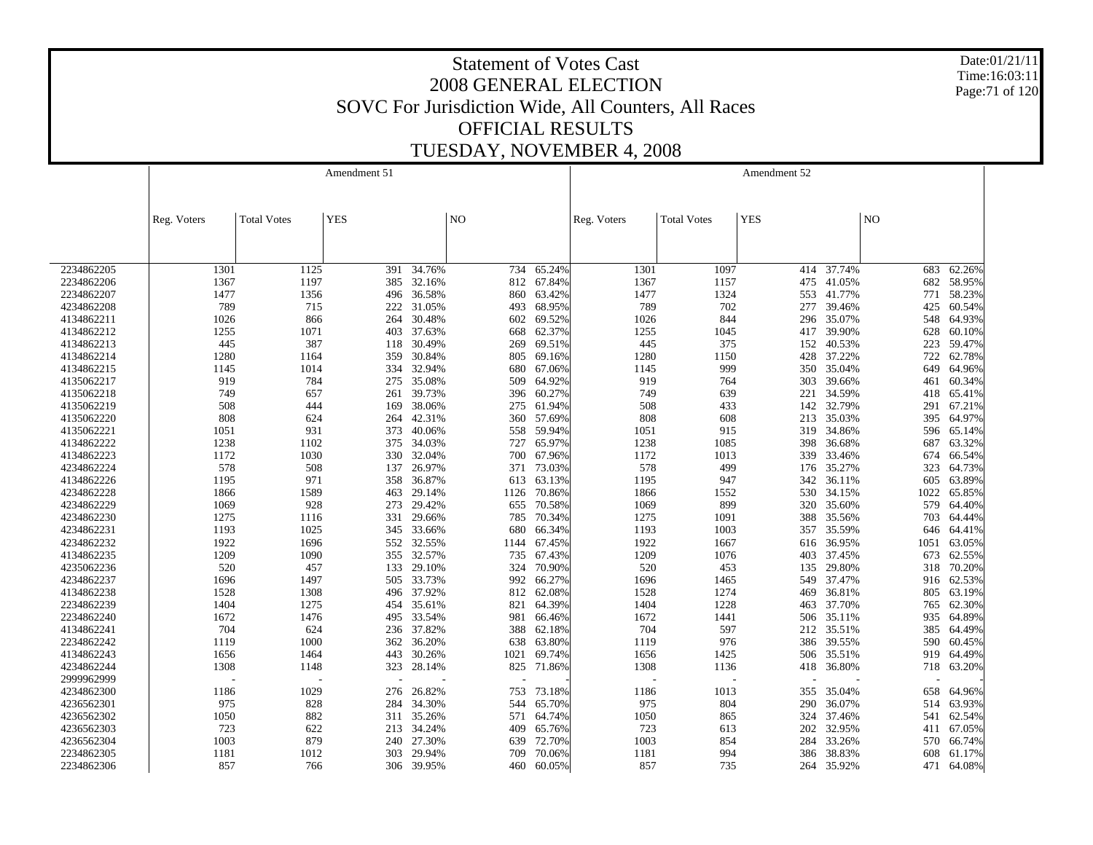Date:01/21/11 Time:16:03:11 Page:71 of 120

|            |             |                    | Amendment 51 |            |             |        |             |                    | Amendment 52 |        |                 |            |
|------------|-------------|--------------------|--------------|------------|-------------|--------|-------------|--------------------|--------------|--------|-----------------|------------|
|            |             |                    |              |            |             |        |             |                    |              |        |                 |            |
|            | Reg. Voters | <b>Total Votes</b> | <b>YES</b>   |            | $_{\rm NO}$ |        | Reg. Voters | <b>Total Votes</b> | <b>YES</b>   |        | NO <sub>1</sub> |            |
|            |             |                    |              |            |             |        |             |                    |              |        |                 |            |
|            |             |                    |              |            |             |        |             |                    |              |        |                 |            |
| 2234862205 | 1301        | 1125               | 391          | 34.76%     | 734         | 65.24% | 1301        | 1097               | 414          | 37.74% | 683             | 62.26%     |
| 2234862206 | 1367        | 1197               | 385          | 32.16%     | 812         | 67.84% | 1367        | 1157               | 475          | 41.05% | 682             | 58.95%     |
| 2234862207 | 1477        | 1356               | 496          | 36.58%     | 860         | 63.42% | 1477        | 1324               | 553          | 41.77% | 771             | 58.23%     |
| 4234862208 | 789         | 715                | 222          | 31.05%     | 493         | 68.95% | 789         | 702                | 277          | 39.46% | 425             | 60.54%     |
| 4134862211 | 1026        | 866                | 264          | 30.48%     | 602         | 69.52% | 1026        | 844                | 296          | 35.07% | 548             | 64.93%     |
| 4134862212 | 1255        | 1071               | 403          | 37.63%     | 668         | 62.37% | 1255        | 1045               | 417          | 39.90% | 628             | 60.10%     |
| 4134862213 | 445         | 387                | 118          | 30.49%     | 269         | 69.51% | 445         | 375                | 152          | 40.53% | 223             | 59.47%     |
| 4134862214 | 1280        | 1164               | 359          | 30.84%     | 805         | 69.16% | 1280        | 1150               | 428          | 37.22% | 722             | 62.78%     |
| 4134862215 | 1145        | 1014               | 334          | 32.94%     | 680         | 67.06% | 1145        | 999                | 350          | 35.04% | 649             | 64.96%     |
| 4135062217 | 919         | 784                | 275          | 35.08%     | 509         | 64.92% | 919         | 764                | 303          | 39.66% | 461             | 60.34%     |
| 4135062218 | 749         | 657                | 261          | 39.73%     | 396         | 60.27% | 749         | 639                | 221          | 34.59% | 418             | 65.41%     |
| 4135062219 | 508         | 444                | 169          | 38.06%     | 275         | 61.94% | 508         | 433                | 142          | 32.79% | 291             | 67.21%     |
| 4135062220 | 808         | 624                | 264          | 42.31%     | 360         | 57.69% | 808         | 608                | 213          | 35.03% | 395             | 64.97%     |
| 4135062221 | 1051        | 931                | 373          | 40.06%     | 558         | 59.94% | 1051        | 915                | 319          | 34.86% | 596             | 65.14%     |
| 4134862222 | 1238        | 1102               | 375          | 34.03%     | 727         | 65.97% | 1238        | 1085               | 398          | 36.68% | 687             | 63.32%     |
| 4134862223 | 1172        | 1030               | 330          | 32.04%     | 700         | 67.96% | 1172        | 1013               | 339          | 33.46% | 674             | 66.54%     |
| 4234862224 | 578         | 508                | 137          | 26.97%     | 371         | 73.03% | 578         | 499                | 176          | 35.27% | 323             | 64.73%     |
| 4134862226 | 1195        | 971                | 358          | 36.87%     | 613         | 63.13% | 1195        | 947                | 342          | 36.11% | 605             | 63.89%     |
| 4234862228 | 1866        | 1589               | 463          | 29.14%     | 1126        | 70.86% | 1866        | 1552               | 530          | 34.15% | 1022            | 65.85%     |
| 4234862229 | 1069        | 928                | 273          | 29.42%     | 655         | 70.58% | 1069        | 899                | 320          | 35.60% | 579             | 64.40%     |
| 4234862230 | 1275        | 1116               | 331          | 29.66%     | 785         | 70.34% | 1275        | 1091               | 388          | 35.56% | 703             | 64.44%     |
| 4234862231 | 1193        | 1025               | 345          | 33.66%     | 680         | 66.34% | 1193        | 1003               | 357          | 35.59% | 646             | 64.41%     |
| 4234862232 | 1922        | 1696               | 552          | 32.55%     | 1144        | 67.45% | 1922        | 1667               | 616          | 36.95% | 1051            | 63.05%     |
| 4134862235 | 1209        | 1090               | 355          | 32.57%     | 735         | 67.43% | 1209        | 1076               | 403          | 37.45% | 673             | 62.55%     |
| 4235062236 | 520         | 457                | 133          | 29.10%     | 324         | 70.90% | 520         | 453                | 135          | 29.80% | 318             | 70.20%     |
| 4234862237 | 1696        | 1497               | 505          | 33.73%     | 992         | 66.27% | 1696        | 1465               | 549          | 37.47% |                 | 916 62.53% |
| 4134862238 | 1528        | 1308               | 496          | 37.92%     | 812         | 62.08% | 1528        | 1274               | 469          | 36.81% | 805             | 63.19%     |
| 2234862239 | 1404        | 1275               | 454          | 35.61%     | 821         | 64.39% | 1404        | 1228               | 463          | 37.70% | 765             | 62.30%     |
| 2234862240 | 1672        | 1476               | 495          | 33.54%     | 981         | 66.46% | 1672        | 1441               | 506          | 35.11% | 935             | 64.89%     |
| 4134862241 | 704         | 624                | 236          | 37.82%     | 388         | 62.18% | 704         | 597                | 212          | 35.51% | 385             | 64.49%     |
| 2234862242 | 1119        | 1000               | 362          | 36.20%     | 638         | 63.80% | 1119        | 976                | 386          | 39.55% | 590             | 60.45%     |
| 4134862243 | 1656        | 1464               | 443          | 30.26%     | 1021        | 69.74% | 1656        | 1425               | 506          | 35.51% | 919             | 64.49%     |
| 4234862244 | 1308        | 1148               | 323          | 28.14%     | 825         | 71.86% | 1308        | 1136               | 418          | 36.80% | 718             | 63.20%     |
| 2999962999 |             |                    |              |            |             |        |             |                    |              |        |                 |            |
| 4234862300 | 1186        | 1029               | 276          | 26.82%     | 753         | 73.18% | 1186        | 1013               | 355          | 35.04% | 658             | 64.96%     |
| 4236562301 | 975         | 828                | 284          | 34.30%     | 544         | 65.70% | 975         | 804                | 290          | 36.07% | 514             | 63.93%     |
| 4236562302 | 1050        | 882                | 311          | 35.26%     | 571         | 64.74% | 1050        | 865                | 324          | 37.46% | 541             | 62.54%     |
| 4236562303 | 723         | 622                | 213          | 34.24%     | 409         | 65.76% | 723         | 613                | 202          | 32.95% | 411             | 67.05%     |
| 4236562304 | 1003        | 879                | 240          | 27.30%     | 639         | 72.70% | 1003        | 854                | 284          | 33.26% | 570             | 66.74%     |
| 2234862305 | 1181        | 1012               | 303          | 29.94%     | 709         | 70.06% | 1181        | 994                | 386          | 38.83% | 608             | 61.17%     |
|            |             |                    |              |            |             |        |             |                    |              |        | 471             |            |
| 2234862306 | 857         | 766                |              | 306 39.95% | 460         | 60.05% | 857         | 735                | 264          | 35.92% |                 | 64.08%     |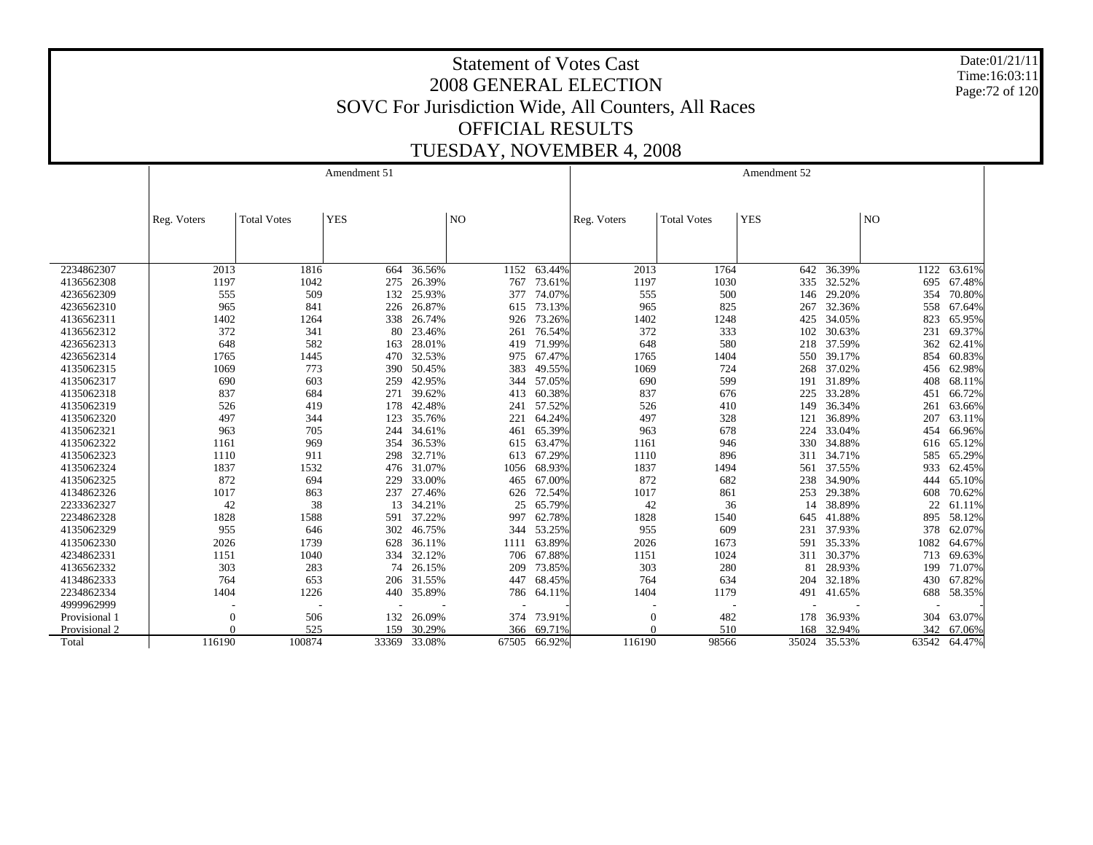Date:01/21/11 Time:16:03:11 Page:72 of 120

|               |             |                    | Amendment 51 |        |                |              |                |                    | Amendment 52 |              |                |        |
|---------------|-------------|--------------------|--------------|--------|----------------|--------------|----------------|--------------------|--------------|--------------|----------------|--------|
|               |             |                    |              |        |                |              |                |                    |              |              |                |        |
|               | Reg. Voters | <b>Total Votes</b> | <b>YES</b>   |        | N <sub>O</sub> |              | Reg. Voters    | <b>Total Votes</b> | <b>YES</b>   |              | N <sub>O</sub> |        |
|               |             |                    |              |        |                |              |                |                    |              |              |                |        |
|               |             |                    |              |        |                |              |                |                    |              |              |                |        |
| 2234862307    | 2013        | 1816               | 664          | 36.56% | 1152           | 63.44%       | 2013           | 1764               | 642          | 36.39%       | 1122           | 63.61% |
| 4136562308    | 1197        | 1042               | 275          | 26.39% | 767            | 73.61%       | 1197           | 1030               | 335          | 32.52%       | 695            | 67.48% |
| 4236562309    | 555         | 509                | 132          | 25.93% | 377            | 74.07%       | 555            | 500                | 146          | 29.20%       | 354            | 70.80% |
| 4236562310    | 965         | 841                | 226          | 26.87% | 615            | 73.13%       | 965            | 825                | 267          | 32.36%       | 558            | 67.64% |
| 4136562311    | 1402        | 1264               | 338          | 26.74% | 926            | 73.26%       | 1402           | 1248               | 425          | 34.05%       | 823            | 65.95% |
| 4136562312    | 372         | 341                | 80           | 23.46% | 261            | 76.54%       | 372            | 333                | 102          | 30.63%       | 231            | 69.37% |
| 4236562313    | 648         | 582                | 163          | 28.01% | 419            | 71.99%       | 648            | 580                | 218          | 37.59%       | 362            | 62.41% |
| 4236562314    | 1765        | 1445               | 470          | 32.53% | 975            | 67.47%       | 1765           | 1404               | 550          | 39.17%       | 854            | 60.83% |
| 4135062315    | 1069        | 773                | 390          | 50.45% | 383            | 49.55%       | 1069           | 724                | 268          | 37.02%       | 456            | 62.98% |
| 4135062317    | 690         | 603                | 259          | 42.95% | 344            | 57.05%       | 690            | 599                | 191          | 31.89%       | 408            | 68.11% |
| 4135062318    | 837         | 684                | 271          | 39.62% | 413            | 60.38%       | 837            | 676                | 225          | 33.28%       | 451            | 66.72% |
| 4135062319    | 526         | 419                | 178          | 42.48% | 241            | 57.52%       | 526            | 410                | 149          | 36.34%       | 261            | 63.66% |
| 4135062320    | 497         | 344                | 123          | 35.76% | 221            | 64.24%       | 497            | 328                | 121          | 36.89%       | 207            | 63.11% |
| 4135062321    | 963         | 705                | 244          | 34.61% | 461            | 65.39%       | 963            | 678                | 224          | 33.04%       | 454            | 66.96% |
| 4135062322    | 1161        | 969                | 354          | 36.53% | 615            | 63.47%       | 1161           | 946                | 330          | 34.88%       | 616            | 65.12% |
| 4135062323    | 1110        | 911                | 298          | 32.71% | 613            | 67.29%       | 1110           | 896                | 311          | 34.71%       | 585            | 65.29% |
| 4135062324    | 1837        | 1532               | 476          | 31.07% | 1056           | 68.93%       | 1837           | 1494               | 561          | 37.55%       | 933            | 62.45% |
| 4135062325    | 872         | 694                | 229          | 33.00% | 465            | 67.00%       | 872            | 682                | 238          | 34.90%       | 444            | 65.10% |
| 4134862326    | 1017        | 863                | 237          | 27.46% | 626            | 72.54%       | 1017           | 861                | 253          | 29.38%       | 608            | 70.62% |
| 2233362327    | 42          | 38                 | 13           | 34.21% | 25             | 65.79%       | 42             | 36                 | 14           | 38.89%       | 22             | 61.11% |
| 2234862328    | 1828        | 1588               | 591          | 37.22% | 997            | 62.78%       | 1828           | 1540               | 645          | 41.88%       | 895            | 58.12% |
| 4135062329    | 955         | 646                | 302          | 46.75% | 344            | 53.25%       | 955            | 609                | 231          | 37.93%       | 378            | 62.07% |
| 4135062330    | 2026        | 1739               | 628          | 36.11% | 1111           | 63.89%       | 2026           | 1673               | 591          | 35.33%       | 1082           | 64.67% |
| 4234862331    | 1151        | 1040               | 334          | 32.12% | 706            | 67.88%       | 1151           | 1024               | 311          | 30.37%       | 713            | 69.63% |
| 4136562332    | 303         | 283                | 74           | 26.15% | 209            | 73.85%       | 303            | 280                | 81           | 28.93%       | 199            | 71.07% |
| 4134862333    | 764         | 653                | 206          | 31.55% | 447            | 68.45%       | 764            | 634                | 204          | 32.18%       | 430            | 67.82% |
| 2234862334    | 1404        | 1226               | 440          | 35.89% | 786            | 64.11%       | 1404           | 1179               | 491          | 41.65%       | 688            | 58.35% |
| 4999962999    |             |                    |              |        |                |              |                |                    |              |              |                |        |
| Provisional 1 | 0           | 506                | 132          | 26.09% | 374            | 73.91%       | $\overline{0}$ | 482                | 178          | 36.93%       | 304            | 63.07% |
| Provisional 2 | $\Omega$    | 525                | 159          | 30.29% | 366            | 69.71%       | $\Omega$       | 510                | 168          | 32.94%       | 342            | 67.06% |
| Total         | 116190      | 100874             | 33369        | 33.08% |                | 67505 66.92% | 116190         | 98566              |              | 35024 35.53% | 63542          | 64.47% |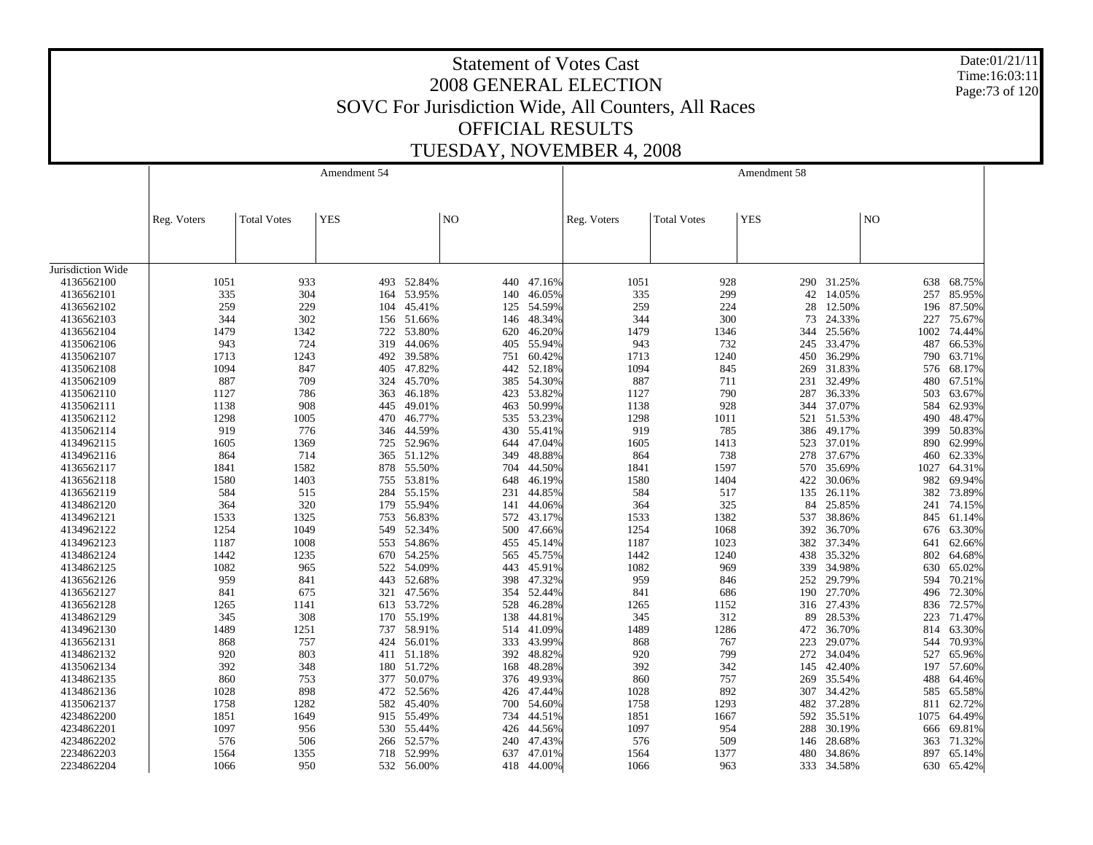Date:01/21/11 Time:16:03:11 Page:73 of 120

|                   |             |                    | Amendment 54 |            |     |        |             |                    | Amendment 58 |        |      |            |
|-------------------|-------------|--------------------|--------------|------------|-----|--------|-------------|--------------------|--------------|--------|------|------------|
|                   | Reg. Voters | <b>Total Votes</b> | <b>YES</b>   |            | NO  |        | Reg. Voters | <b>Total Votes</b> | <b>YES</b>   |        | NO   |            |
|                   |             |                    |              |            |     |        |             |                    |              |        |      |            |
| Jurisdiction Wide |             |                    |              |            |     |        |             |                    |              |        |      |            |
| 4136562100        | 1051        | 933                |              | 493 52.84% | 440 | 47.16% | 1051        | 928                | 290          | 31.25% | 638  | 68.75%     |
| 4136562101        | 335         | 304                | 164          | 53.95%     | 140 | 46.05% | 335         | 299                | 42           | 14.05% | 257  | 85.95%     |
| 4136562102        | 259         | 229                | 104          | 45.41%     | 125 | 54.59% | 259         | 224                | 28           | 12.50% | 196  | 87.50%     |
| 4136562103        | 344         | 302                | 156          | 51.66%     | 146 | 48.34% | 344         | 300                | 73           | 24.33% | 227  | 75.67%     |
| 4136562104        | 1479        | 1342               | 722          | 53.80%     | 620 | 46.20% | 1479        | 1346               | 344          | 25.56% | 1002 | 74.44%     |
| 4135062106        | 943         | 724                | 319          | 44.06%     | 405 | 55.94% | 943         | 732                | 245          | 33.47% | 487  | 66.53%     |
| 4135062107        | 1713        | 1243               | 492          | 39.58%     | 751 | 60.42% | 1713        | 1240               | 450          | 36.29% | 790  | 63.71%     |
| 4135062108        | 1094        | 847                | 405          | 47.82%     | 442 | 52.18% | 1094        | 845                | 269          | 31.83% | 576  | 68.17%     |
| 4135062109        | 887         | 709                | 324          | 45.70%     | 385 | 54.30% | 887         | 711                | 231          | 32.49% | 480  | 67.51%     |
| 4135062110        | 1127        | 786                | 363          | 46.18%     | 423 | 53.82% | 1127        | 790                | 287          | 36.33% | 503  | 63.67%     |
| 4135062111        | 1138        | 908                | 445          | 49.01%     | 463 | 50.99% | 1138        | 928                | 344          | 37.07% | 584  | 62.93%     |
| 4135062112        | 1298        | 1005               | 470          | 46.77%     | 535 | 53.23% | 1298        | 1011               | 521          | 51.53% | 490  | 48.47%     |
| 4135062114        | 919         | 776                | 346          | 44.59%     | 430 | 55.41% | 919         | 785                | 386          | 49.17% | 399  | 50.83%     |
| 4134962115        | 1605        | 1369               | 725          | 52.96%     | 644 | 47.04% | 1605        | 1413               | 523          | 37.01% | 890  | 62.99%     |
| 4134962116        | 864         | 714                | 365          | 51.12%     | 349 | 48.88% | 864         | 738                | 278          | 37.67% | 460  | 62.33%     |
| 4136562117        | 1841        | 1582               | 878          | 55.50%     | 704 | 44.50% | 1841        | 1597               | 570          | 35.69% | 1027 | 64.31%     |
| 4136562118        | 1580        | 1403               | 755          | 53.81%     | 648 | 46.19% | 1580        | 1404               | 422          | 30.06% | 982  | 69.94%     |
| 4136562119        | 584         | 515                | 284          | 55.15%     | 231 | 44.85% | 584         | 517                | 135          | 26.11% | 382  | 73.89%     |
| 4134862120        | 364         | 320                | 179          | 55.94%     | 141 | 44.06% | 364         | 325                | 84           | 25.85% | 241  | 74.15%     |
| 4134962121        | 1533        | 1325               | 753          | 56.83%     | 572 | 43.17% | 1533        | 1382               | 537          | 38.86% | 845  | 61.14%     |
| 4134962122        | 1254        | 1049               | 549          | 52.34%     | 500 | 47.66% | 1254        | 1068               | 392          | 36.70% | 676  | 63.30%     |
| 4134962123        | 1187        | 1008               | 553          | 54.86%     | 455 | 45.14% | 1187        | 1023               | 382          | 37.34% | 641  | 62.66%     |
| 4134862124        | 1442        | 1235               | 670          | 54.25%     | 565 | 45.75% | 1442        | 1240               | 438          | 35.32% | 802  | 64.68%     |
| 4134862125        | 1082        | 965                |              | 54.09%     | 443 |        | 1082        | 969                | 339          | 34.98% |      | 65.02%     |
|                   |             |                    | 522          |            |     | 45.91% |             |                    |              |        | 630  |            |
| 4136562126        | 959         | 841                | 443          | 52.68%     | 398 | 47.32% | 959         | 846                | 252          | 29.79% | 594  | 70.21%     |
| 4136562127        | 841         | 675                | 321          | 47.56%     | 354 | 52.44% | 841         | 686                | 190          | 27.70% | 496  | 72.30%     |
| 4136562128        | 1265        | 1141               |              | 613 53.72% | 528 | 46.28% | 1265        | 1152               | 316          | 27.43% | 836  | 72.57%     |
| 4134862129        | 345         | 308                | 170          | 55.19%     | 138 | 44.81% | 345         | 312                | 89           | 28.53% | 223  | 71.47%     |
| 4134962130        | 1489        | 1251               | 737          | 58.91%     | 514 | 41.09% | 1489        | 1286               | 472          | 36.70% | 814  | 63.30%     |
| 4136562131        | 868         | 757                | 424          | 56.01%     | 333 | 43.99% | 868         | 767                | 223          | 29.07% | 544  | 70.93%     |
| 4134862132        | 920         | 803                | 411          | 51.18%     | 392 | 48.82% | 920         | 799                | 272          | 34.04% | 527  | 65.96%     |
| 4135062134        | 392         | 348                | 180          | 51.72%     | 168 | 48.28% | 392         | 342                | 145          | 42.40% | 197  | 57.60%     |
| 4134862135        | 860         | 753                | 377          | 50.07%     | 376 | 49.93% | 860         | 757                | 269          | 35.54% | 488  | 64.46%     |
| 4134862136        | 1028        | 898                |              | 472 52.56% | 426 | 47.44% | 1028        | 892                | 307          | 34.42% | 585  | 65.58%     |
| 4135062137        | 1758        | 1282               | 582          | 45.40%     | 700 | 54.60% | 1758        | 1293               | 482          | 37.28% | 811  | 62.72%     |
| 4234862200        | 1851        | 1649               | 915          | 55.49%     | 734 | 44.51% | 1851        | 1667               | 592          | 35.51% | 1075 | 64.49%     |
| 4234862201        | 1097        | 956                | 530          | 55.44%     | 426 | 44.56% | 1097        | 954                | 288          | 30.19% | 666  | 69.81%     |
| 4234862202        | 576         | 506                | 266          | 52.57%     | 240 | 47.43% | 576         | 509                | 146          | 28.68% | 363  | 71.32%     |
| 2234862203        | 1564        | 1355               | 718          | 52.99%     | 637 | 47.01% | 1564        | 1377               | 480          | 34.86% | 897  | 65.14%     |
| 2234862204        | 1066        | 950                |              | 532 56.00% | 418 | 44.00% | 1066        | 963                | 333          | 34.58% |      | 630 65.42% |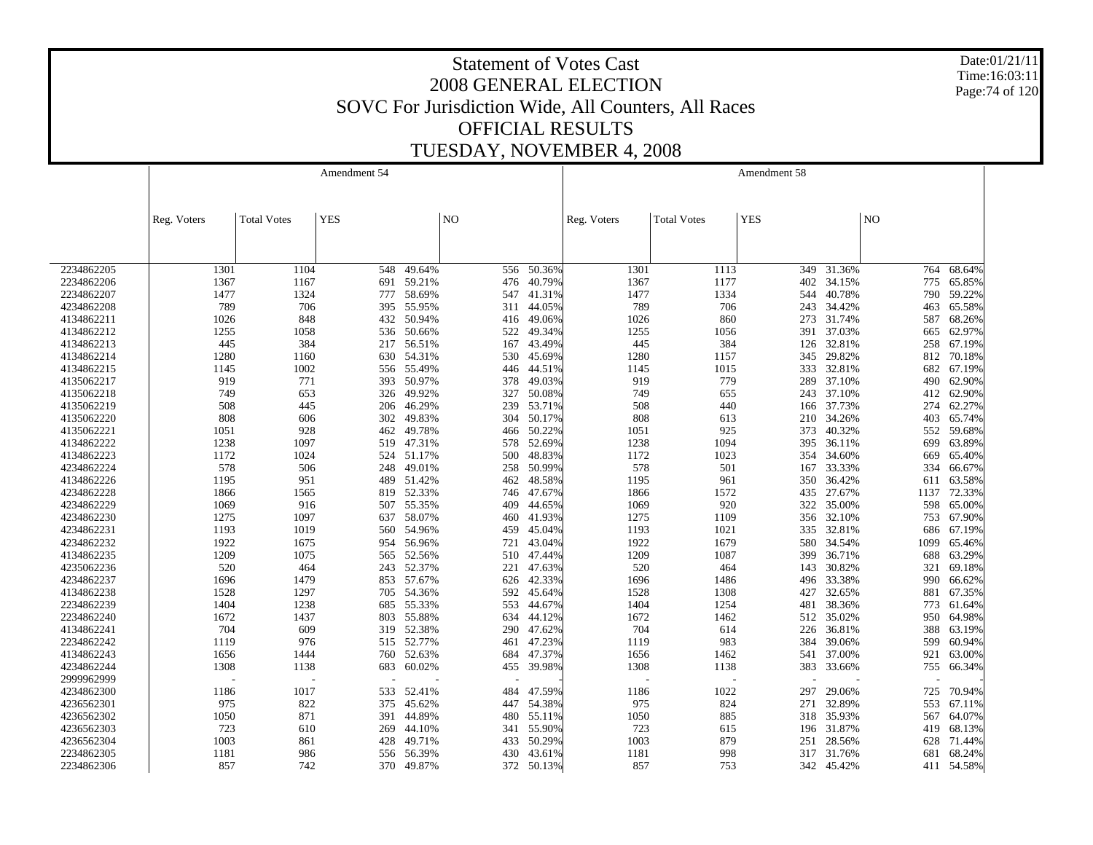Date:01/21/11 Time:16:03:11 Page:74 of 120

|                          |              |                    | Amendment 54 |        |                |        |             |                    | Amendment 58 |        |                |        |
|--------------------------|--------------|--------------------|--------------|--------|----------------|--------|-------------|--------------------|--------------|--------|----------------|--------|
|                          |              |                    |              |        |                |        |             |                    |              |        |                |        |
|                          |              |                    |              |        |                |        |             |                    |              |        |                |        |
|                          | Reg. Voters  | <b>Total Votes</b> | <b>YES</b>   |        | N <sub>O</sub> |        | Reg. Voters | <b>Total Votes</b> | <b>YES</b>   |        | N <sub>O</sub> |        |
|                          |              |                    |              |        |                |        |             |                    |              |        |                |        |
|                          |              |                    |              |        |                |        |             |                    |              |        |                |        |
| 2234862205               | 1301         | 1104               | 548          | 49.64% | 556            | 50.36% | 1301        | 1113               | 349          | 31.36% | 764            | 68.64% |
| 2234862206               | 1367         | 1167               | 691          | 59.21% | 476            | 40.79% | 1367        | 1177               | 402          | 34.15% | 775            | 65.85% |
| 2234862207               | 1477         | 1324               | 777          | 58.69% | 547            | 41.31% | 1477        | 1334               | 544          | 40.78% | 790            | 59.22% |
| 4234862208               | 789          | 706                | 395          | 55.95% | 311            | 44.05% | 789         | 706                | 243          | 34.42% | 463            | 65.58% |
| 4134862211               | 1026         | 848                | 432          | 50.94% | 416            | 49.06% | 1026        | 860                | 273          | 31.74% | 587            | 68.26% |
| 4134862212               | 1255         | 1058               | 536          | 50.66% | 522            | 49.34% | 1255        | 1056               | 391          | 37.03% | 665            | 62.97% |
| 4134862213               | 445          | 384                | 217          | 56.51% | 167            | 43.49% | 445         | 384                | 126          | 32.81% | 258            | 67.19% |
| 4134862214               | 1280         | 1160               | 630          | 54.31% | 530            | 45.69% | 1280        | 1157               | 345          | 29.82% | 812            | 70.18% |
| 4134862215               | 1145         | 1002               | 556          | 55.49% | 446            | 44.51% | 1145        | 1015               | 333          | 32.81% | 682            | 67.19% |
| 4135062217               | 919          | 771                | 393          | 50.97% | 378            | 49.03% | 919         | 779                | 289          | 37.10% | 490            | 62.90% |
| 4135062218               | 749          | 653                | 326          | 49.92% | 327            | 50.08% | 749         | 655                | 243          | 37.10% | 412            | 62.90% |
| 4135062219               | 508          | 445                | 206          | 46.29% | 239            | 53.71% | 508         | 440                | 166          | 37.73% | 274            | 62.27% |
| 4135062220               | 808          | 606                | 302          | 49.83% | 304            | 50.17% | 808         | 613                | 210          | 34.26% | 403            | 65.74% |
| 4135062221               | 1051         | 928                | 462          | 49.78% | 466            | 50.22% | 1051        | 925                | 373          | 40.32% | 552            | 59.68% |
| 4134862222               | 1238         | 1097               | 519          | 47.31% | 578            | 52.69% | 1238        | 1094               | 395          | 36.11% | 699            | 63.89% |
| 4134862223               | 1172         | 1024               | 524          | 51.17% | 500            | 48.83% | 1172        | 1023               | 354          | 34.60% | 669            | 65.40% |
| 4234862224               | 578          | 506                | 248          | 49.01% | 258            | 50.99% | 578         | 501                | 167          | 33.33% | 334            | 66.67% |
| 4134862226               | 1195         | 951                | 489          | 51.42% | 462            | 48.58% | 1195        | 961                | 350          | 36.42% | 611            | 63.58% |
| 4234862228               | 1866         | 1565               | 819          | 52.33% | 746            | 47.67% | 1866        | 1572               | 435          | 27.67% | 1137           | 72.33% |
| 4234862229               | 1069         | 916                | 507          | 55.35% | 409            | 44.65% | 1069        | 920                | 322          | 35.00% | 598            | 65.00% |
| 4234862230               | 1275         | 1097               | 637          | 58.07% | 460            | 41.93% | 1275        | 1109               | 356          | 32.10% | 753            | 67.90% |
| 4234862231               | 1193         | 1019               | 560          | 54.96% | 459            | 45.04% | 1193        | 1021               | 335          | 32.81% | 686            | 67.19% |
| 4234862232               | 1922         | 1675               | 954          | 56.96% | 721            | 43.04% | 1922        | 1679               | 580          | 34.54% | 1099           | 65.46% |
| 4134862235               | 1209         | 1075               | 565          | 52.56% | 510            | 47.44% | 1209        | 1087               | 399          | 36.71% | 688            | 63.29% |
| 4235062236               | 520          | 464                | 243          | 52.37% | 221            | 47.63% | 520         | 464                | 143          | 30.82% | 321            | 69.18% |
| 4234862237               | 1696         | 1479               | 853          | 57.67% |                | 42.33% | 1696        | 1486               |              | 33.38% |                |        |
| 4134862238               |              | 1297               | 705          | 54.36% | 626<br>592     |        | 1528        |                    | 496<br>427   | 32.65% | 990            | 66.62% |
| 2234862239               | 1528<br>1404 | 1238               |              |        |                | 45.64% | 1404        | 1308               |              | 38.36% | 881            | 67.35% |
| 2234862240               |              |                    | 685<br>803   | 55.33% | 553<br>634     | 44.67% | 1672        | 1254               | 481<br>512   |        | 773<br>950     | 61.64% |
|                          | 1672<br>704  | 1437<br>609        |              | 55.88% |                | 44.12% | 704         | 1462               |              | 35.02% |                | 64.98% |
| 4134862241<br>2234862242 |              |                    | 319          | 52.38% | 290            | 47.62% |             | 614                | 226          | 36.81% | 388            | 63.19% |
|                          | 1119         | 976                | 515          | 52.77% | 461            | 47.23% | 1119        | 983                | 384          | 39.06% | 599            | 60.94% |
| 4134862243               | 1656         | 1444               | 760          | 52.63% | 684            | 47.37% | 1656        | 1462               | 541          | 37.00% | 921            | 63.00% |
| 4234862244               | 1308         | 1138               | 683          | 60.02% | 455            | 39.98% | 1308        | 1138               | 383          | 33.66% | 755            | 66.34% |
| 2999962999               |              |                    |              |        |                |        |             |                    |              |        |                |        |
| 4234862300               | 1186         | 1017               | 533          | 52.41% | 484            | 47.59% | 1186        | 1022               | 297          | 29.06% | 725            | 70.94% |
| 4236562301               | 975          | 822                | 375          | 45.62% | 447            | 54.38% | 975         | 824                | 271          | 32.89% | 553            | 67.11% |
| 4236562302               | 1050         | 871                | 391          | 44.89% | 480            | 55.11% | 1050        | 885                | 318          | 35.93% | 567            | 64.07% |
| 4236562303               | 723          | 610                | 269          | 44.10% | 341            | 55.90% | 723         | 615                | 196          | 31.87% | 419            | 68.13% |
| 4236562304               | 1003         | 861                | 428          | 49.71% | 433            | 50.29% | 1003        | 879                | 251          | 28.56% | 628            | 71.44% |
| 2234862305               | 1181         | 986                | 556          | 56.39% | 430            | 43.61% | 1181        | 998                | 317          | 31.76% | 681            | 68.24% |
| 2234862306               | 857          | 742                | 370          | 49.87% | 372            | 50.13% | 857         | 753                | 342          | 45.42% | 411            | 54.58% |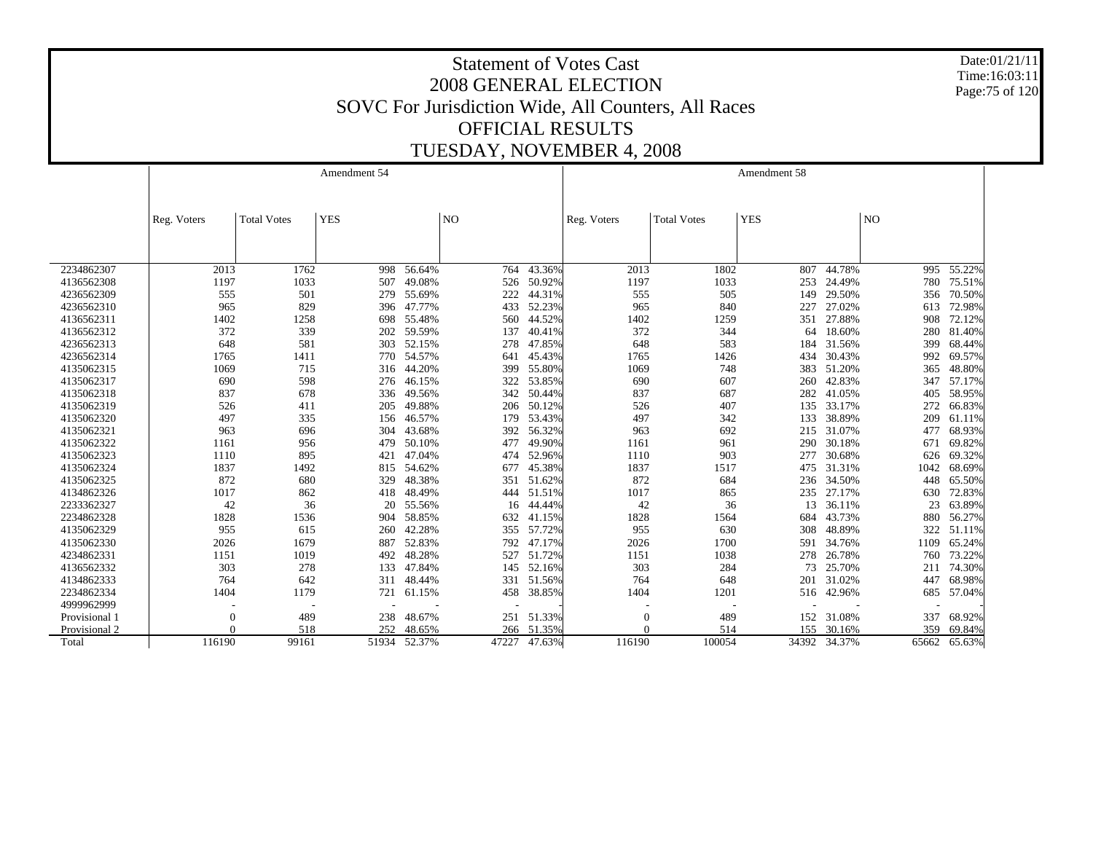Date:01/21/11 Time:16:03:11 Page:75 of 120

|               |             |                    | Amendment 54 |              |                |              |             |                    | Amendment 58 |              |                |        |
|---------------|-------------|--------------------|--------------|--------------|----------------|--------------|-------------|--------------------|--------------|--------------|----------------|--------|
|               |             |                    |              |              |                |              |             |                    |              |              |                |        |
|               | Reg. Voters | <b>Total Votes</b> | <b>YES</b>   |              | N <sub>O</sub> |              | Reg. Voters | <b>Total Votes</b> | <b>YES</b>   |              | N <sub>O</sub> |        |
|               |             |                    |              |              |                |              |             |                    |              |              |                |        |
|               |             |                    |              |              |                |              |             |                    |              |              |                |        |
|               |             |                    |              |              |                |              |             |                    |              |              |                |        |
| 2234862307    | 2013        | 1762               |              | 998 56.64%   |                | 764 43.36%   | 2013        | 1802               | 807          | 44.78%       | 995            | 55.22% |
| 4136562308    | 1197        | 1033               | 507          | 49.08%       | 526            | 50.92%       | 1197        | 1033               | 253          | 24.49%       | 780            | 75.51% |
| 4236562309    | 555         | 501                | 279          | 55.69%       | 222            | 44.31%       | 555         | 505                | 149          | 29.50%       | 356            | 70.50% |
| 4236562310    | 965         | 829                | 396          | 47.77%       | 433            | 52.23%       | 965         | 840                | 227          | 27.02%       | 613            | 72.98% |
| 4136562311    | 1402        | 1258               | 698          | 55.48%       | 560            | 44.52%       | 1402        | 1259               | 351          | 27.88%       | 908            | 72.12% |
| 4136562312    | 372         | 339                | 202          | 59.59%       | 137            | 40.41%       | 372         | 344                | 64           | 18.60%       | 280            | 81.40% |
| 4236562313    | 648         | 581                | 303          | 52.15%       | 278            | 47.85%       | 648         | 583                | 184          | 31.56%       | 399            | 68.44% |
| 4236562314    | 1765        | 1411               | 770          | 54.57%       | 641            | 45.43%       | 1765        | 1426               | 434          | 30.43%       | 992            | 69.57% |
| 4135062315    | 1069        | 715                | 316          | 44.20%       | 399            | 55.80%       | 1069        | 748                | 383          | 51.20%       | 365            | 48.80% |
| 4135062317    | 690         | 598                | 276          | 46.15%       | 322            | 53.85%       | 690         | 607                | 260          | 42.83%       | 347            | 57.17% |
| 4135062318    | 837         | 678                | 336          | 49.56%       |                | 342 50.44%   | 837         | 687                | 282          | 41.05%       | 405            | 58.95% |
| 4135062319    | 526         | 411                | 205          | 49.88%       |                | 206 50.12%   | 526         | 407                | 135          | 33.17%       | 272            | 66.83% |
| 4135062320    | 497         | 335                | 156          | 46.57%       | 179            | 53.43%       | 497         | 342                | 133          | 38.89%       | 209            | 61.11% |
| 4135062321    | 963         | 696                | 304          | 43.68%       | 392            | 56.32%       | 963         | 692                |              | 215 31.07%   | 477            | 68.93% |
| 4135062322    | 1161        | 956                | 479          | 50.10%       | 477            | 49.90%       | 1161        | 961                | 290          | 30.18%       | 671            | 69.82% |
| 4135062323    | 1110        | 895                | 421          | 47.04%       | 474            | 52.96%       | 1110        | 903                | 277          | 30.68%       | 626            | 69.32% |
| 4135062324    | 1837        | 1492               | 815          | 54.62%       | 677            | 45.38%       | 1837        | 1517               | 475          | 31.31%       | 1042           | 68.69% |
| 4135062325    | 872         | 680                | 329          | 48.38%       | 351            | 51.62%       | 872         | 684                | 236          | 34.50%       | 448            | 65.50% |
| 4134862326    | 1017        | 862                | 418          | 48.49%       |                | 444 51.51%   | 1017        | 865                | 235          | 27.17%       | 630            | 72.83% |
| 2233362327    | 42          | 36                 | 20           | 55.56%       | 16             | 44.44%       | 42          | 36                 | 13           | 36.11%       | 23             | 63.89% |
| 2234862328    | 1828        | 1536               | 904          | 58.85%       |                | 632 41.15%   | 1828        | 1564               | 684          | 43.73%       | 880            | 56.27% |
| 4135062329    | 955         | 615                | 260          | 42.28%       |                | 355 57.72%   | 955         | 630                | 308          | 48.89%       | 322            | 51.11% |
| 4135062330    | 2026        | 1679               | 887          | 52.83%       |                | 792 47.17%   | 2026        | 1700               | 591          | 34.76%       | 1109           | 65.24% |
| 4234862331    | 1151        | 1019               | 492          | 48.28%       |                | 527 51.72%   | 1151        | 1038               | 278          | 26.78%       | 760            | 73.22% |
| 4136562332    | 303         | 278                | 133          | 47.84%       |                | 145 52.16%   | 303         | 284                | 73           | 25.70%       | 211            | 74.30% |
| 4134862333    | 764         | 642                | 311          | 48.44%       |                | 331 51.56%   | 764         | 648                | 201          | 31.02%       | 447            | 68.98% |
| 2234862334    | 1404        | 1179               | 721          | 61.15%       |                | 458 38.85%   | 1404        | 1201               |              | 516 42.96%   | 685            | 57.04% |
| 4999962999    |             |                    |              |              |                |              |             |                    |              |              |                |        |
| Provisional 1 | $\theta$    | 489                | 238          | 48.67%       | 251            | 51.33%       | $\Omega$    | 489                | 152          | 31.08%       | 337            | 68.92% |
| Provisional 2 |             | 518                | 252          | 48.65%       | 266            | 51.35%       |             | 514                | 155          | 30.16%       | 359            | 69.84% |
| Total         | 116190      | 99161              |              | 51934 52.37% |                | 47227 47.63% | 116190      | 100054             |              | 34392 34.37% | 65662          | 65.63% |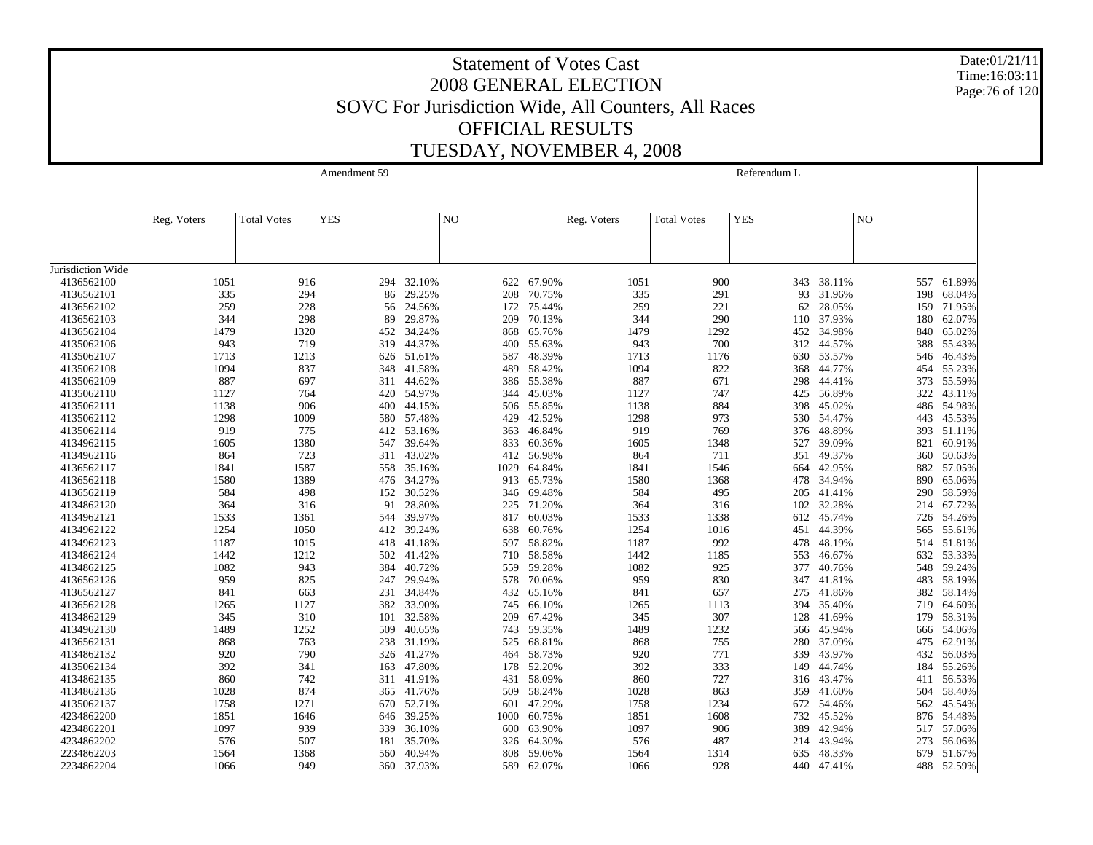Date:01/21/11 Time:16:03:11 Page:76 of 120

|                   |             |                    | Amendment 59 |            |                |        |             |                    | Referendum L |            |                |        |
|-------------------|-------------|--------------------|--------------|------------|----------------|--------|-------------|--------------------|--------------|------------|----------------|--------|
|                   | Reg. Voters | <b>Total Votes</b> | <b>YES</b>   |            | N <sub>O</sub> |        | Reg. Voters | <b>Total Votes</b> | <b>YES</b>   |            | N <sub>O</sub> |        |
|                   |             |                    |              |            |                |        |             |                    |              |            |                |        |
| Jurisdiction Wide |             |                    |              |            |                |        |             |                    |              |            |                |        |
| 4136562100        | 1051        | 916                |              | 294 32.10% | 622            | 67.90% | 1051        | 900                |              | 343 38.11% | 557            | 61.89% |
| 4136562101        | 335         | 294                | 86           | 29.25%     | 208            | 70.75% | 335         | 291                | 93           | 31.96%     | 198            | 68.04% |
| 4136562102        | 259         | 228                | 56           | 24.56%     | 172            | 75.44% | 259         | 221                | 62           | 28.05%     | 159            | 71.95% |
| 4136562103        | 344         | 298                | 89           | 29.87%     | 209            | 70.13% | 344         | 290                | 110          | 37.93%     | 180            | 62.07% |
| 4136562104        | 1479        | 1320               | 452          | 34.24%     | 868            | 65.76% | 1479        | 1292               |              | 452 34.98% | 840            | 65.02% |
| 4135062106        | 943         | 719                | 319          | 44.37%     | 400            | 55.63% | 943         | 700                | 312          | 44.57%     | 388            | 55.43% |
| 4135062107        | 1713        | 1213               |              | 626 51.61% | 587            | 48.39% | 1713        | 1176               |              | 630 53.57% | 546            | 46.43% |
| 4135062108        | 1094        | 837                | 348          | 41.58%     | 489            | 58.42% | 1094        | 822                | 368          | 44.77%     | 454            | 55.23% |
| 4135062109        | 887         | 697                | 311          | 44.62%     | 386            | 55.38% | 887         | 671                | 298          | 44.41%     | 373            | 55.59% |
| 4135062110        | 1127        | 764                | 420          | 54.97%     | 344            | 45.03% | 1127        | 747                | 425          | 56.89%     | 322            | 43.11% |
| 4135062111        | 1138        | 906                | 400          | 44.15%     | 506            | 55.85% | 1138        | 884                | 398          | 45.02%     | 486            | 54.98% |
| 4135062112        | 1298        | 1009               | 580          | 57.48%     | 429            | 42.52% | 1298        | 973                | 530          | 54.47%     | 443            | 45.53% |
| 4135062114        | 919         | 775                | 412          | 53.16%     | 363            | 46.84% | 919         | 769                | 376          | 48.89%     | 393            | 51.11% |
| 4134962115        | 1605        | 1380               |              | 547 39.64% | 833            | 60.36% | 1605        | 1348               | 527          | 39.09%     | 821            | 60.91% |
| 4134962116        | 864         | 723                | 311          | 43.02%     | 412            | 56.98% | 864         | 711                | 351          | 49.37%     | 360            | 50.63% |
| 4136562117        | 1841        | 1587               |              | 558 35.16% | 1029           | 64.84% | 1841        | 1546               | 664          | 42.95%     | 882            | 57.05% |
| 4136562118        | 1580        | 1389               | 476          | 34.27%     | 913            | 65.73% | 1580        | 1368               | 478          | 34.94%     | 890            | 65.06% |
| 4136562119        | 584         | 498                |              | 152 30.52% | 346            | 69.48% | 584         | 495                | 205          | 41.41%     | 290            | 58.59% |
| 4134862120        | 364         | 316                | 91           | 28.80%     | 225            | 71.20% | 364         | 316                | 102          | 32.28%     | 214            | 67.72% |
| 4134962121        | 1533        | 1361               | 544          | 39.97%     | 817            | 60.03% | 1533        | 1338               | 612          | 45.74%     | 726            | 54.26% |
| 4134962122        | 1254        | 1050               | 412          | 39.24%     | 638            | 60.76% | 1254        | 1016               | 451          | 44.39%     | 565            | 55.61% |
| 4134962123        | 1187        | 1015               | 418          | 41.18%     | 597            | 58.82% | 1187        | 992                | 478          | 48.19%     | 514            | 51.81% |
| 4134862124        | 1442        | 1212               | 502          | 41.42%     | 710            | 58.58% | 1442        | 1185               | 553          | 46.67%     | 632            | 53.33% |
| 4134862125        | 1082        | 943                | 384          | 40.72%     | 559            | 59.28% | 1082        | 925                | 377          | 40.76%     | 548            | 59.24% |
| 4136562126        | 959         | 825                |              | 247 29.94% | 578            | 70.06% | 959         | 830                |              | 347 41.81% | 483            | 58.19% |
| 4136562127        | 841         | 663                | 231          | 34.84%     | 432            | 65.16% | 841         | 657                | 275          | 41.86%     | 382            | 58.14% |
| 4136562128        | 1265        | 1127               |              | 382 33.90% | 745            | 66.10% | 1265        | 1113               | 394          | 35.40%     | 719            | 64.60% |
| 4134862129        | 345         | 310                | 101          | 32.58%     | 209            | 67.42% | 345         | 307                | 128          | 41.69%     | 179            | 58.31% |
| 4134962130        | 1489        | 1252               | 509          | 40.65%     | 743            | 59.35% | 1489        | 1232               | 566          | 45.94%     | 666            | 54.06% |
| 4136562131        | 868         | 763                | 238          | 31.19%     | 525            | 68.81% | 868         | 755                | 280          | 37.09%     | 475            | 62.91% |
| 4134862132        | 920         | 790                |              | 326 41.27% | 464            | 58.73% | 920         | 771                | 339          | 43.97%     | 432            | 56.03% |
| 4135062134        | 392         | 341                | 163          | 47.80%     | 178            | 52.20% | 392         | 333                | 149          | 44.74%     | 184            | 55.26% |
| 4134862135        | 860         | 742                |              | 311 41.91% | 431            | 58.09% | 860         | 727                | 316          | 43.47%     | 411            | 56.53% |
| 4134862136        | 1028        | 874                | 365          | 41.76%     | 509            | 58.24% | 1028        | 863                | 359          | 41.60%     | 504            | 58.40% |
| 4135062137        | 1758        | 1271               | 670          | 52.71%     | 601            | 47.29% | 1758        | 1234               | 672          | 54.46%     | 562            | 45.54% |
| 4234862200        | 1851        | 1646               | 646          | 39.25%     | 1000           | 60.75% | 1851        | 1608               | 732          | 45.52%     | 876            | 54.48% |
| 4234862201        | 1097        | 939                | 339          | 36.10%     | 600            | 63.90% | 1097        | 906                | 389          | 42.94%     | 517            | 57.06% |
| 4234862202        | 576         | 507                | 181          | 35.70%     | 326            | 64.30% | 576         | 487                |              | 214 43.94% | 273            | 56.06% |
| 2234862203        | 1564        | 1368               | 560          | 40.94%     | 808            | 59.06% | 1564        | 1314               | 635          | 48.33%     | 679            | 51.67% |
| 2234862204        | 1066        | 949                |              | 360 37.93% | 589            | 62.07% | 1066        | 928                |              | 440 47.41% | 488            | 52.59% |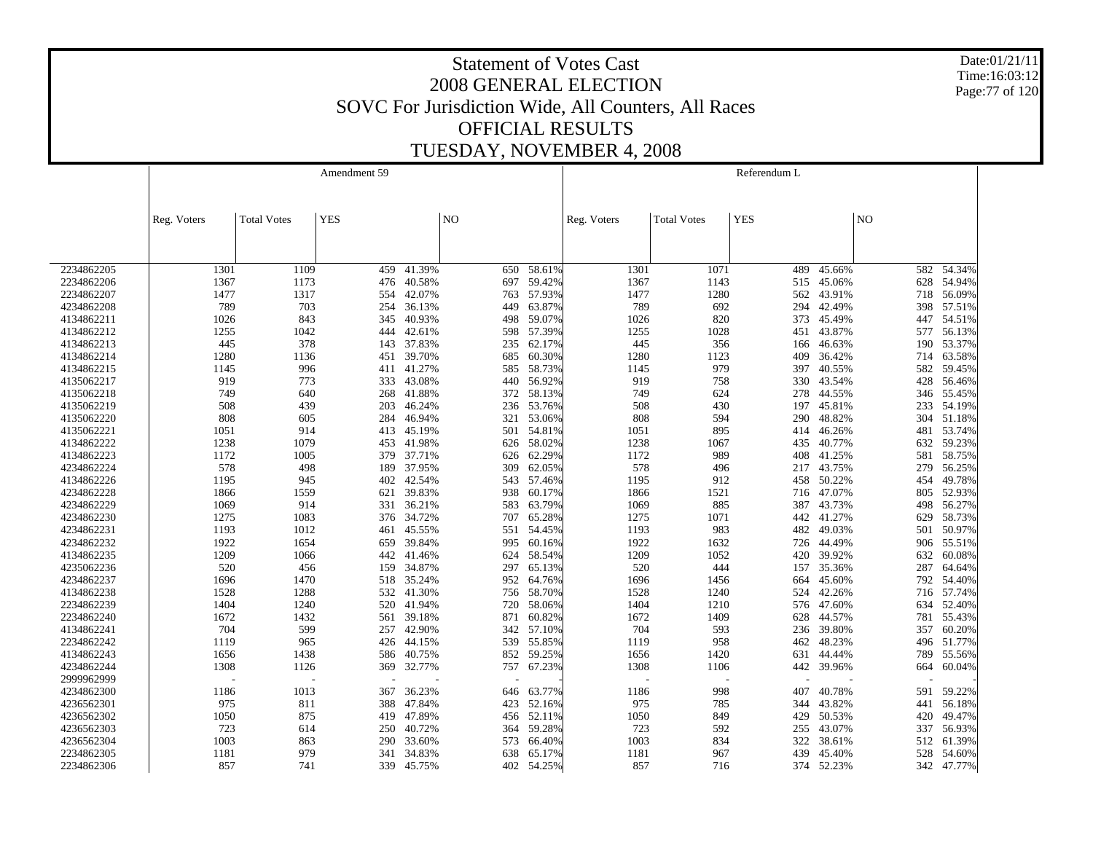Date:01/21/11 Time:16:03:12 Page:77 of 120

|            |             |                    | Amendment 59 |            |                |        |             |                    | Referendum L |        |                |            |
|------------|-------------|--------------------|--------------|------------|----------------|--------|-------------|--------------------|--------------|--------|----------------|------------|
|            |             |                    |              |            |                |        |             |                    |              |        |                |            |
|            |             |                    |              |            |                |        |             |                    |              |        |                |            |
|            | Reg. Voters | <b>Total Votes</b> | <b>YES</b>   |            | N <sub>O</sub> |        | Reg. Voters | <b>Total Votes</b> | <b>YES</b>   |        | N <sub>O</sub> |            |
|            |             |                    |              |            |                |        |             |                    |              |        |                |            |
|            |             |                    |              |            |                |        |             |                    |              |        |                |            |
|            |             |                    |              |            |                |        |             |                    |              |        |                |            |
| 2234862205 | 1301        | 1109               | 459          | 41.39%     | 650            | 58.61% | 1301        | 1071               | 489          | 45.66% | 582            | 54.34%     |
| 2234862206 | 1367        | 1173               | 476          | 40.58%     | 697            | 59.42% | 1367        | 1143               | 515          | 45.06% | 628            | 54.94%     |
| 2234862207 | 1477        | 1317               | 554          | 42.07%     | 763            | 57.93% | 1477        | 1280               | 562          | 43.91% | 718            | 56.09%     |
| 4234862208 | 789         | 703                | 254          | 36.13%     | 449            | 63.87% | 789         | 692                | 294          | 42.49% | 398            | 57.51%     |
| 4134862211 | 1026        | 843                | 345          | 40.93%     | 498            | 59.07% | 1026        | 820                | 373          | 45.49% | 447            | 54.51%     |
| 4134862212 | 1255        | 1042               | 444          | 42.61%     | 598            | 57.39% | 1255        | 1028               | 451          | 43.87% | 577            | 56.13%     |
| 4134862213 | 445         | 378                | 143          | 37.83%     | 235            | 62.17% | 445         | 356                | 166          | 46.63% | 190            | 53.37%     |
| 4134862214 | 1280        | 1136               | 451          | 39.70%     | 685            | 60.30% | 1280        | 1123               | 409          | 36.42% | 714            | 63.58%     |
| 4134862215 | 1145        | 996                | 411          | 41.27%     | 585            | 58.73% | 1145        | 979                | 397          | 40.55% | 582            | 59.45%     |
| 4135062217 | 919         | 773                | 333          | 43.08%     | 440            | 56.92% | 919         | 758                | 330          | 43.54% | 428            | 56.46%     |
| 4135062218 | 749         | 640                | 268          | 41.88%     | 372            | 58.13% | 749         | 624                | 278          | 44.55% | 346            | 55.45%     |
| 4135062219 | 508         | 439                | 203          | 46.24%     | 236            | 53.76% | 508         | 430                | 197          | 45.81% | 233            | 54.19%     |
| 4135062220 | 808         | 605                | 284          | 46.94%     | 321            | 53.06% | 808         | 594                | 290          | 48.82% | 304            | 51.18%     |
| 4135062221 | 1051        | 914                | 413          | 45.19%     | 501            | 54.81% | 1051        | 895                | 414          | 46.26% | 481            | 53.74%     |
| 4134862222 | 1238        | 1079               |              | 453 41.98% | 626            | 58.02% | 1238        | 1067               | 435          | 40.77% | 632            | 59.23%     |
| 4134862223 | 1172        | 1005               | 379          | 37.71%     | 626            | 62.29% | 1172        | 989                | 408          | 41.25% | 581            | 58.75%     |
| 4234862224 | 578         | 498                |              | 189 37.95% | 309            | 62.05% | 578         | 496                | 217          | 43.75% | 279            | 56.25%     |
| 4134862226 | 1195        | 945                | 402          | 42.54%     | 543            | 57.46% | 1195        | 912                | 458          | 50.22% | 454            | 49.78%     |
| 4234862228 | 1866        | 1559               | 621          | 39.83%     | 938            | 60.17% | 1866        | 1521               | 716          | 47.07% | 805            | 52.93%     |
| 4234862229 | 1069        | 914                | 331          | 36.21%     | 583            | 63.79% | 1069        | 885                | 387          | 43.73% | 498            | 56.27%     |
| 4234862230 | 1275        | 1083               |              | 376 34.72% | 707            | 65.28% | 1275        | 1071               | 442          | 41.27% | 629            | 58.73%     |
| 4234862231 | 1193        | 1012               | 461          | 45.55%     | 551            | 54.45% | 1193        | 983                | 482          | 49.03% | 501            | 50.97%     |
| 4234862232 | 1922        | 1654               | 659          | 39.84%     | 995            | 60.16% | 1922        | 1632               | 726          | 44.49% | 906            | 55.51%     |
| 4134862235 | 1209        | 1066               | 442          | 41.46%     | 624            | 58.54% | 1209        | 1052               | 420          | 39.92% | 632            | 60.08%     |
| 4235062236 | 520         | 456                | 159          | 34.87%     | 297            | 65.13% | 520         | 444                | 157          | 35.36% | 287            | 64.64%     |
| 4234862237 | 1696        | 1470               |              | 518 35.24% | 952            | 64.76% | 1696        | 1456               | 664          | 45.60% | 792            | 54.40%     |
| 4134862238 | 1528        | 1288               | 532          | 41.30%     | 756            | 58.70% | 1528        | 1240               | 524          | 42.26% | 716            | 57.74%     |
| 2234862239 | 1404        | 1240               | 520          | 41.94%     | 720            | 58.06% | 1404        | 1210               | 576          | 47.60% | 634            | 52.40%     |
| 2234862240 | 1672        | 1432               | 561          | 39.18%     | 871            | 60.82% | 1672        | 1409               | 628          | 44.57% | 781            | 55.43%     |
| 4134862241 | 704         | 599                | 257          | 42.90%     | 342            | 57.10% | 704         | 593                | 236          | 39.80% | 357            | 60.20%     |
| 2234862242 | 1119        | 965                | 426          | 44.15%     | 539            | 55.85% | 1119        | 958                | 462          | 48.23% | 496            | 51.77%     |
| 4134862243 | 1656        | 1438               | 586          | 40.75%     | 852            | 59.25% | 1656        | 1420               | 631          | 44.44% | 789            | 55.56%     |
| 4234862244 | 1308        | 1126               | 369          | 32.77%     | 757            | 67.23% | 1308        | 1106               | 442          | 39.96% | 664            | 60.04%     |
| 2999962999 |             |                    |              |            |                |        |             |                    |              |        |                |            |
| 4234862300 | 1186        | 1013               | 367          | 36.23%     | 646            | 63.77% | 1186        | 998                | 407          | 40.78% | 591            | 59.22%     |
| 4236562301 | 975         | 811                | 388          | 47.84%     | 423            | 52.16% | 975         | 785                | 344          | 43.82% | 441            | 56.18%     |
| 4236562302 | 1050        | 875                | 419          | 47.89%     | 456            | 52.11% | 1050        | 849                | 429          | 50.53% | 420            | 49.47%     |
| 4236562303 | 723         | 614                | 250          | 40.72%     | 364            | 59.28% | 723         | 592                | 255          | 43.07% | 337            | 56.93%     |
| 4236562304 | 1003        | 863                | 290          | 33.60%     | 573            | 66.40% | 1003        | 834                | 322          | 38.61% | 512            | 61.39%     |
| 2234862305 | 1181        | 979                | 341          | 34.83%     | 638            | 65.17% | 1181        | 967                | 439          | 45.40% | 528            | 54.60%     |
| 2234862306 | 857         | 741                | 339          | 45.75%     | 402            | 54.25% | 857         | 716                | 374          | 52.23% |                | 342 47.77% |
|            |             |                    |              |            |                |        |             |                    |              |        |                |            |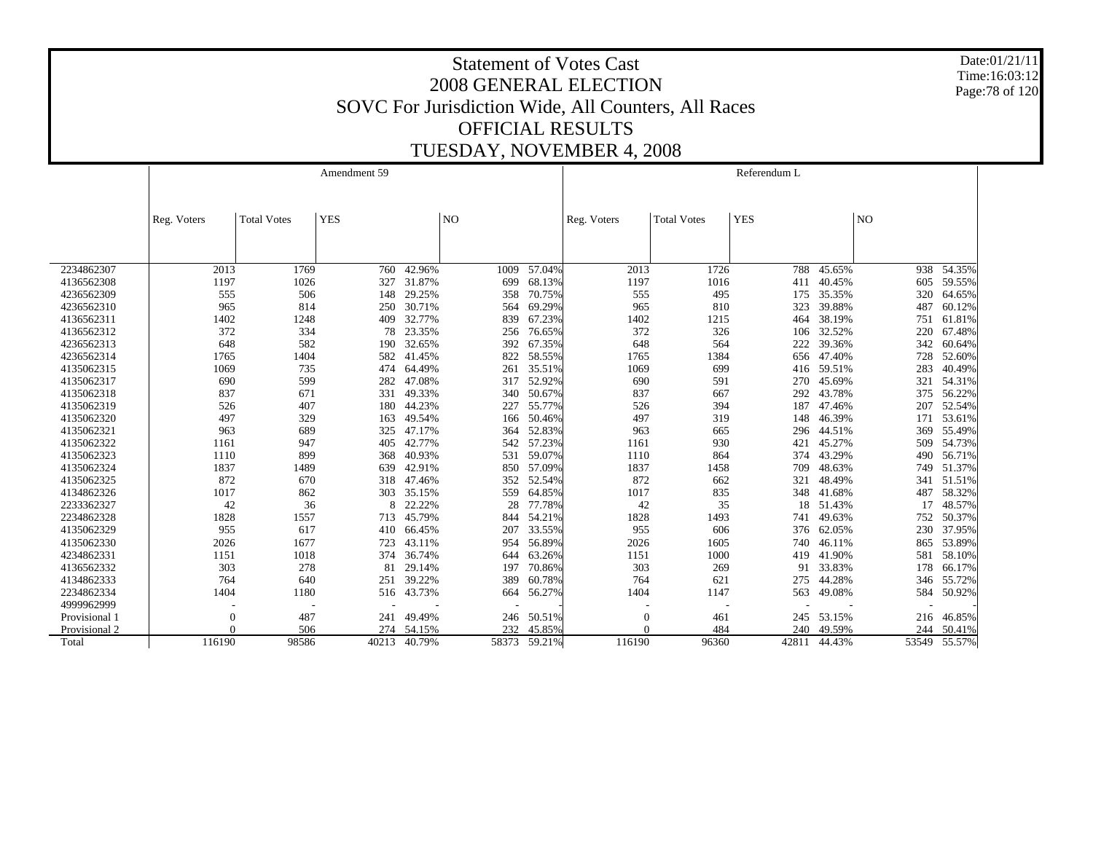Date:01/21/11 Time:16:03:12 Page:78 of 120

|               |             |                    | Amendment 59 |              |                |        |             |                    | Referendum L |        |                |              |
|---------------|-------------|--------------------|--------------|--------------|----------------|--------|-------------|--------------------|--------------|--------|----------------|--------------|
|               |             |                    |              |              |                |        |             |                    |              |        |                |              |
|               |             |                    |              |              |                |        |             |                    |              |        |                |              |
|               | Reg. Voters | <b>Total Votes</b> | <b>YES</b>   |              | N <sub>O</sub> |        | Reg. Voters | <b>Total Votes</b> | <b>YES</b>   |        | N <sub>O</sub> |              |
|               |             |                    |              |              |                |        |             |                    |              |        |                |              |
|               |             |                    |              |              |                |        |             |                    |              |        |                |              |
| 2234862307    | 2013        | 1769               | 760          | 42.96%       | 1009           | 57.04% | 2013        | 1726               | 788          | 45.65% |                | 938 54.35%   |
| 4136562308    | 1197        | 1026               | 327          | 31.87%       | 699            | 68.13% | 1197        | 1016               | 411          | 40.45% | 605            | 59.55%       |
| 4236562309    | 555         | 506                | 148          | 29.25%       | 358            | 70.75% | 555         | 495                | 175          | 35.35% | 320            | 64.65%       |
| 4236562310    | 965         | 814                | 250          | 30.71%       | 564            | 69.29% | 965         | 810                | 323          | 39.88% | 487            | 60.12%       |
| 4136562311    | 1402        | 1248               | 409          | 32.77%       | 839            | 67.23% | 1402        | 1215               | 464          | 38.19% | 751            | 61.81%       |
| 4136562312    | 372         | 334                | 78           | 23.35%       | 256            | 76.65% | 372         | 326                | 106          | 32.52% | 220            | 67.48%       |
| 4236562313    | 648         | 582                | 190          | 32.65%       | 392            | 67.35% | 648         | 564                | 222          | 39.36% | 342            | 60.64%       |
| 4236562314    | 1765        | 1404               | 582          | 41.45%       | 822            | 58.55% | 1765        | 1384               | 656          | 47.40% | 728            | 52.60%       |
| 4135062315    | 1069        | 735                | 474          | 64.49%       | 261            | 35.51% | 1069        | 699                | 416          | 59.51% | 283            | 40.49%       |
| 4135062317    | 690         | 599                | 282          | 47.08%       | 317            | 52.92% | 690         | 591                | 270          | 45.69% | 321            | 54.31%       |
| 4135062318    | 837         | 671                | 331          | 49.33%       | 340            | 50.67% | 837         | 667                | 292          | 43.78% | 375            | 56.22%       |
| 4135062319    | 526         | 407                | 180          | 44.23%       | 227            | 55.77% | 526         | 394                | 187          | 47.46% | 207            | 52.54%       |
| 4135062320    | 497         | 329                | 163          | 49.54%       | 166            | 50.46% | 497         | 319                | 148          | 46.39% | 171            | 53.61%       |
| 4135062321    | 963         | 689                | 325          | 47.17%       | 364            | 52.83% | 963         | 665                | 296          | 44.51% | 369            | 55.49%       |
| 4135062322    | 1161        | 947                | 405          | 42.77%       | 542            | 57.23% | 1161        | 930                | 421          | 45.27% | 509            | 54.73%       |
| 4135062323    | 1110        | 899                | 368          | 40.93%       | 531            | 59.07% | 1110        | 864                | 374          | 43.29% | 490            | 56.71%       |
| 4135062324    | 1837        | 1489               | 639          | 42.91%       | 850            | 57.09% | 1837        | 1458               | 709          | 48.63% | 749            | 51.37%       |
| 4135062325    | 872         | 670                | 318          | 47.46%       | 352            | 52.54% | 872         | 662                | 321          | 48.49% | 341            | 51.51%       |
| 4134862326    | 1017        | 862                | 303          | 35.15%       | 559            | 64.85% | 1017        | 835                | 348          | 41.68% | 487            | 58.32%       |
| 2233362327    | 42          | 36                 | 8            | 22.22%       | 28             | 77.78% | 42          | 35                 | 18           | 51.43% | 17             | 48.57%       |
| 2234862328    | 1828        | 1557               | 713          | 45.79%       | 844            | 54.21% | 1828        | 1493               | 741          | 49.63% | 752            | 50.37%       |
| 4135062329    | 955         | 617                | 410          | 66.45%       | 207            | 33.55% | 955         | 606                | 376          | 62.05% | 230            | 37.95%       |
| 4135062330    | 2026        | 1677               | 723          | 43.11%       | 954            | 56.89% | 2026        | 1605               | 740          | 46.11% | 865            | 53.89%       |
| 4234862331    | 1151        | 1018               | 374          | 36.74%       | 644            | 63.26% | 1151        | 1000               | 419          | 41.90% | 581            | 58.10%       |
| 4136562332    | 303         | 278                | 81           | 29.14%       | 197            | 70.86% | 303         | 269                | 91           | 33.83% | 178            | 66.17%       |
| 4134862333    | 764         | 640                | 251          | 39.22%       | 389            | 60.78% | 764         | 621                | 275          | 44.28% | 346            | 55.72%       |
| 2234862334    | 1404        | 1180               |              | 516 43.73%   | 664            | 56.27% | 1404        | 1147               | 563          | 49.08% |                | 584 50.92%   |
| 4999962999    |             |                    |              |              |                |        |             |                    |              |        |                |              |
| Provisional 1 |             | 487                | 241          | 49.49%       | 246            | 50.51% | $\theta$    | 461                | 245          | 53.15% | 216            | 46.85%       |
| Provisional 2 |             | 506                | 274          | 54.15%       | 232            | 45.85% | $\Omega$    | 484                | 240          | 49.59% | 244            | 50.41%       |
| Total         | 116190      | 98586              |              | 40213 40.79% | 58373          | 59.21% | 116190      | 96360              | 42811        | 44.43% |                | 53549 55.57% |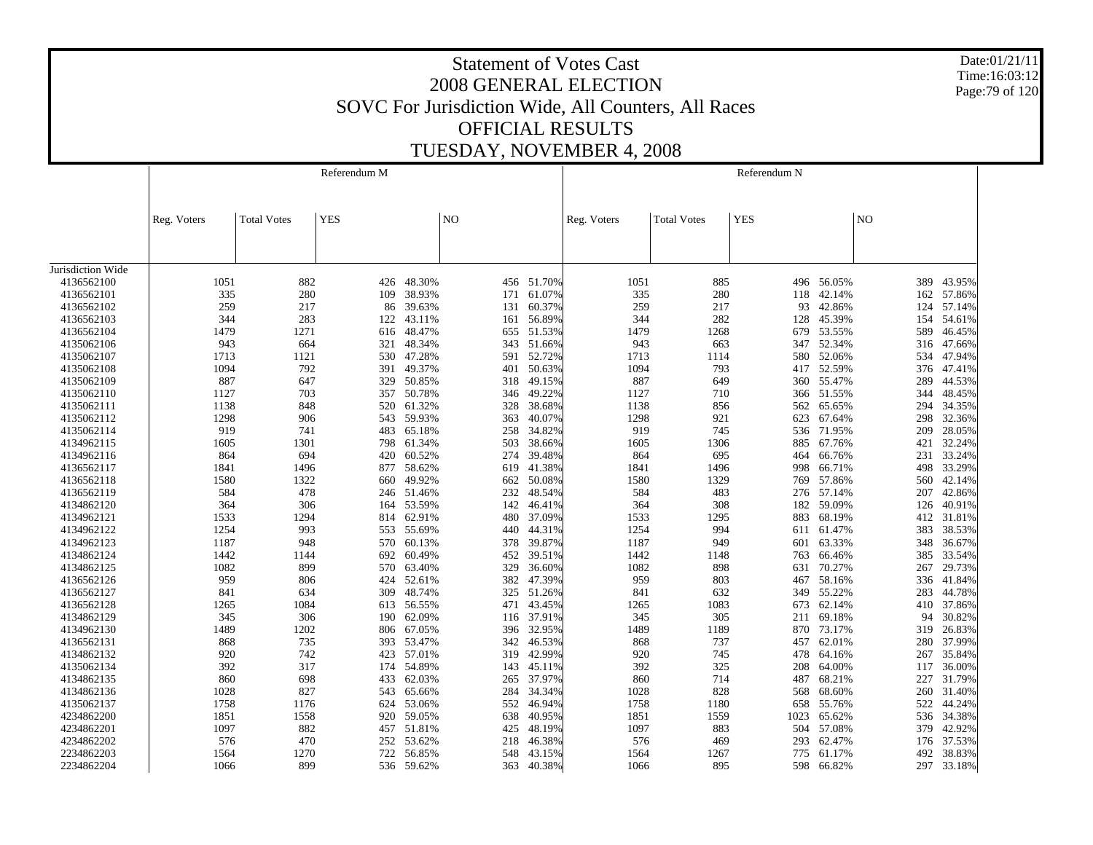Date:01/21/11 Time:16:03:12 Page:79 of 120

|                   |             |                    | Referendum M |                      |                |                  |             |                    | Referendum N |            |            |                  |
|-------------------|-------------|--------------------|--------------|----------------------|----------------|------------------|-------------|--------------------|--------------|------------|------------|------------------|
|                   | Reg. Voters | <b>Total Votes</b> | <b>YES</b>   |                      | N <sub>O</sub> |                  | Reg. Voters | <b>Total Votes</b> | <b>YES</b>   |            | NO         |                  |
|                   |             |                    |              |                      |                |                  |             |                    |              |            |            |                  |
| Jurisdiction Wide |             |                    |              |                      |                |                  |             |                    |              |            |            |                  |
| 4136562100        | 1051        | 882                | 426          | 48.30%               |                | 456 51.70%       | 1051        | 885                |              | 496 56.05% | 389        | 43.95%           |
| 4136562101        | 335         | 280                | 109          | 38.93%               | 171            | 61.07%           | 335         | 280                | 118          | 42.14%     | 162        | 57.86%           |
| 4136562102        | 259         | 217                | 86           | 39.63%               | 131            | 60.37%           | 259         | 217                | 93           | 42.86%     | 124        | 57.14%           |
| 4136562103        | 344         | 283                | 122          | 43.11%               | 161            | 56.89%           | 344         | 282                | 128          | 45.39%     | 154        | 54.61%           |
| 4136562104        | 1479        | 1271               | 616          | 48.47%               | 655            | 51.53%           | 1479        | 1268               | 679          | 53.55%     | 589        | 46.45%           |
| 4135062106        | 943         | 664                | 321          | 48.34%               | 343            | 51.66%           | 943         | 663                | 347          | 52.34%     | 316        | 47.66%           |
| 4135062107        | 1713        | 1121               | 530          | 47.28%               | 591            | 52.72%           | 1713        | 1114               | 580          | 52.06%     | 534        | 47.94%           |
| 4135062108        | 1094        | 792                | 391          | 49.37%               | 401            | 50.63%           | 1094        | 793                | 417          | 52.59%     | 376        | 47.41%           |
| 4135062109        | 887         | 647                | 329          | 50.85%               | 318            | 49.15%           | 887         | 649                | 360          | 55.47%     | 289        | 44.53%           |
| 4135062110        | 1127        | 703                |              | 357 50.78%           | 346            | 49.22%           | 1127        | 710                | 366          | 51.55%     | 344        | 48.45%           |
| 4135062111        | 1138        | 848                | 520          | 61.32%               | 328            | 38.68%           | 1138        | 856                | 562          | 65.65%     | 294        | 34.35%           |
| 4135062112        | 1298        | 906                |              | 543 59.93%           | 363            | 40.07%           | 1298        | 921                | 623          | 67.64%     | 298        | 32.36%           |
| 4135062114        | 919         | 741                | 483          | 65.18%               | 258            | 34.82%           | 919         | 745                | 536          | 71.95%     | 209        | 28.05%           |
| 4134962115        | 1605        | 1301               |              | 798 61.34%           | 503            | 38.66%           | 1605        | 1306               | 885          | 67.76%     | 421        | 32.24%           |
| 4134962116        | 864         | 694                | 420          | 60.52%               | 274            | 39.48%           | 864         | 695                | 464          | 66.76%     | 231        | 33.24%           |
| 4136562117        | 1841        | 1496               |              | 877 58.62%           | 619            | 41.38%           | 1841        | 1496               | 998          | 66.71%     | 498        | 33.29%           |
| 4136562118        | 1580        | 1322               | 660          | 49.92%               | 662            | 50.08%           | 1580        | 1329               | 769          | 57.86%     | 560        | 42.14%           |
| 4136562119        | 584         | 478                |              | 246 51.46%           | 232            | 48.54%           | 584         | 483                |              | 276 57.14% | 207        | 42.86%           |
| 4134862120        | 364         | 306                | 164          | 53.59%               | 142            | 46.41%           | 364         | 308                | 182          | 59.09%     | 126        | 40.91%           |
| 4134962121        | 1533        | 1294               | 814          | 62.91%               | 480            | 37.09%           | 1533        | 1295               | 883          | 68.19%     | 412        | 31.81%           |
| 4134962122        | 1254        | 993                | 553          | 55.69%               | 440            | 44.31%           | 1254        | 994                | 611          | 61.47%     | 383        | 38.53%           |
| 4134962123        | 1187        | 948                | 570          | 60.13%               | 378            | 39.87%           | 1187        | 949                | 601          | 63.33%     | 348        | 36.67%           |
| 4134862124        | 1442        | 1144               | 692          | 60.49%               | 452            | 39.51%           | 1442        | 1148               | 763          | 66.46%     | 385        | 33.54%           |
| 4134862125        | 1082        | 899                | 570          | 63.40%               | 329            | 36.60%           | 1082        | 898                | 631          | 70.27%     | 267        | 29.73%           |
| 4136562126        | 959         | 806                |              | 424 52.61%           | 382            | 47.39%           | 959         | 803                | 467          | 58.16%     | 336        | 41.84%           |
| 4136562127        | 841         | 634                | 309          | 48.74%               | 325            | 51.26%           | 841         | 632                | 349          | 55.22%     | 283        | 44.78%           |
| 4136562128        | 1265        | 1084               |              | 613 56.55%           | 471            | 43.45%           | 1265        | 1083               | 673          | 62.14%     | 410        | 37.86%           |
| 4134862129        | 345         | 306                | 190          | 62.09%               | 116            | 37.91%           | 345         | 305                | 211          | 69.18%     | 94         | 30.82%           |
| 4134962130        | 1489        | 1202               | 806          | 67.05%               | 396            | 32.95%           | 1489        | 1189               | 870          | 73.17%     | 319        | 26.83%           |
| 4136562131        | 868         | 735                |              | 393 53.47%           | 342            | 46.53%           | 868         | 737                | 457          | 62.01%     | 280        | 37.99%           |
| 4134862132        | 920         | 742                |              | 423 57.01%           | 319            | 42.99%           | 920         | 745                | 478          | 64.16%     | 267        | 35.84%           |
| 4135062134        | 392         | 317                | 174          | 54.89%               | 143            | 45.11%           | 392         | 325                | 208          | 64.00%     | 117        | 36.00%           |
| 4134862135        | 860         | 698                | 433          | 62.03%               | 265            | 37.97%           | 860         | 714                | 487          | 68.21%     | 227        | 31.79%           |
| 4134862136        | 1028        | 827                | 543          | 65.66%               | 284            | 34.34%           | 1028        | 828                | 568          | 68.60%     | 260        | 31.40%           |
| 4135062137        | 1758        | 1176               | 624          | 53.06%               | 552            | 46.94%           | 1758        | 1180               | 658          | 55.76%     | 522        | 44.24%           |
| 4234862200        | 1851        | 1558               | 920          | 59.05%               | 638            | 40.95%           | 1851        | 1559               | 1023         | 65.62%     | 536        | 34.38%           |
| 4234862201        | 1097        | 882                |              | 51.81%               | 425            | 48.19%           | 1097        | 883                | 504          | 57.08%     | 379        | 42.92%           |
| 4234862202        | 576         | 470                | 457          |                      | 218            |                  |             |                    | 293          | 62.47%     |            |                  |
| 2234862203        | 1564        | 1270               | 722          | 252 53.62%<br>56.85% | 548            | 46.38%<br>43.15% | 576<br>1564 | 469<br>1267        | 775          | 61.17%     | 176<br>492 | 37.53%<br>38.83% |
| 2234862204        | 1066        | 899                |              | 536 59.62%           | 363            | 40.38%           | 1066        | 895                | 598          | 66.82%     | 297        | 33.18%           |
|                   |             |                    |              |                      |                |                  |             |                    |              |            |            |                  |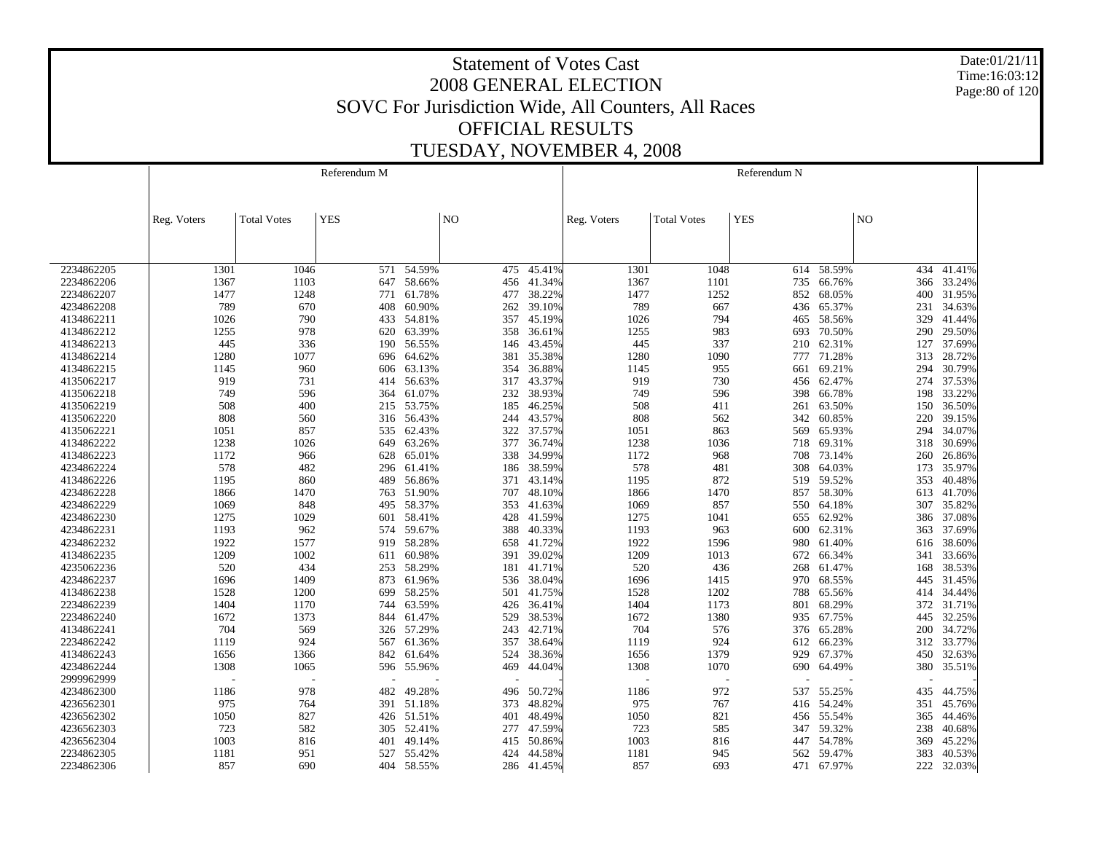Date:01/21/11 Time:16:03:12 Page:80 of 120

|                          |             |                    | Referendum M |                      |                |                  |             |                    | Referendum N |                  |                |                  |
|--------------------------|-------------|--------------------|--------------|----------------------|----------------|------------------|-------------|--------------------|--------------|------------------|----------------|------------------|
|                          |             |                    |              |                      |                |                  |             |                    |              |                  |                |                  |
|                          |             |                    |              |                      |                |                  |             |                    |              |                  |                |                  |
|                          | Reg. Voters | <b>Total Votes</b> | <b>YES</b>   |                      | N <sub>O</sub> |                  | Reg. Voters | <b>Total Votes</b> | <b>YES</b>   |                  | N <sub>O</sub> |                  |
|                          |             |                    |              |                      |                |                  |             |                    |              |                  |                |                  |
|                          |             |                    |              |                      |                |                  |             |                    |              |                  |                |                  |
|                          |             |                    |              |                      |                |                  |             |                    |              |                  |                |                  |
| 2234862205               | 1301        | 1046               | 571          | 54.59%               | 475            | 45.41%           | 1301        | 1048               | 614          | 58.59%           | 434            | 41.41%           |
| 2234862206               | 1367        | 1103               |              | 647 58.66%           | 456            | 41.34%           | 1367        | 1101               | 735          | 66.76%           | 366            | 33.24%           |
| 2234862207               | 1477        | 1248               | 771          | 61.78%               | 477            | 38.22%           | 1477        | 1252               | 852          | 68.05%           | 400            | 31.95%           |
| 4234862208               | 789         | 670                | 408          | 60.90%               | 262            | 39.10%           | 789         | 667                | 436          | 65.37%           | 231            | 34.63%           |
| 4134862211               | 1026        | 790                |              | 433 54.81%           | 357            | 45.19%           | 1026        | 794                | 465          | 58.56%           | 329            | 41.44%           |
| 4134862212               | 1255        | 978                | 620          | 63.39%               | 358            | 36.61%           | 1255        | 983                | 693          | 70.50%           | 290            | 29.50%           |
| 4134862213               | 445         | 336                | 190          | 56.55%               | 146            | 43.45%           | 445         | 337                | 210          | 62.31%           | 127            | 37.69%           |
| 4134862214               | 1280        | 1077               | 696          | 64.62%               | 381            | 35.38%           | 1280        | 1090               | 777          | 71.28%           | 313            | 28.72%           |
| 4134862215               | 1145        | 960                | 606          | 63.13%               | 354            | 36.88%           | 1145        | 955                | 661          | 69.21%           | 294            | 30.79%           |
| 4135062217               | 919         | 731                | 414          | 56.63%               | 317            | 43.37%           | 919         | 730                | 456          | 62.47%           | 274            | 37.53%           |
| 4135062218               | 749         | 596                | 364          | 61.07%               | 232            | 38.93%           | 749         | 596                | 398          | 66.78%           | 198            | 33.22%           |
| 4135062219               | 508         | 400                | 215          | 53.75%               | 185            | 46.25%           | 508         | 411                | 261          | 63.50%           | 150            | 36.50%           |
| 4135062220               | 808         | 560                |              | 316 56.43%           | 244            | 43.57%           | 808         | 562                | 342          | 60.85%           | 220            | 39.15%           |
| 4135062221               | 1051        | 857                | 535          | 62.43%               | 322            | 37.57%           | 1051        | 863                | 569          | 65.93%           | 294            | 34.07%           |
| 4134862222               | 1238        | 1026               | 649          | 63.26%               | 377            | 36.74%           | 1238        | 1036               | 718          | 69.31%           | 318            | 30.69%           |
| 4134862223               | 1172        | 966                | 628          | 65.01%               | 338            | 34.99%           | 1172        | 968                | 708          | 73.14%           | 260            | 26.86%           |
| 4234862224               | 578         | 482                |              | 296 61.41%           | 186            | 38.59%           | 578         | 481                | 308          | 64.03%           | 173            | 35.97%           |
| 4134862226               | 1195        | 860                | 489          | 56.86%               | 371            | 43.14%           | 1195        | 872                | 519          | 59.52%           | 353            | 40.48%           |
| 4234862228               | 1866        | 1470               |              | 763 51.90%           | 707            | 48.10%           | 1866        | 1470               | 857          | 58.30%           | 613            | 41.70%           |
| 4234862229               | 1069        | 848                | 495          | 58.37%               | 353            | 41.63%           | 1069        | 857                | 550          | 64.18%           | 307            | 35.82%           |
| 4234862230               | 1275        | 1029               |              | 601 58.41%           | 428            | 41.59%           | 1275        | 1041               | 655          | 62.92%           | 386            | 37.08%           |
| 4234862231               | 1193        | 962                | 574          | 59.67%               | 388            | 40.33%           | 1193        | 963                | 600          | 62.31%           | 363            | 37.69%           |
| 4234862232               | 1922        | 1577               |              | 919 58.28%           | 658            | 41.72%           | 1922        | 1596               | 980          | 61.40%           | 616            | 38.60%           |
| 4134862235               | 1209        | 1002               | 611          | 60.98%               | 391            | 39.02%           | 1209        | 1013               | 672          | 66.34%           | 341            | 33.66%           |
| 4235062236               | 520         | 434                |              | 253 58.29%           | 181            | 41.71%           | 520         | 436                | 268          | 61.47%           | 168            | 38.53%           |
| 4234862237               | 1696        | 1409               | 873          | 61.96%               | 536            | 38.04%           | 1696        | 1415               | 970          | 68.55%           | 445            | 31.45%           |
| 4134862238               | 1528        | 1200               | 699          | 58.25%               | 501            | 41.75%           | 1528        | 1202               | 788          | 65.56%           | 414            | 34.44%           |
| 2234862239               | 1404        | 1170               | 744          | 63.59%               | 426            | 36.41%           | 1404        | 1173               | 801          | 68.29%           | 372            | 31.71%           |
| 2234862240               | 1672        | 1373               | 844          | 61.47%               | 529            | 38.53%           | 1672        | 1380               | 935          | 67.75%           | 445            | 32.25%           |
| 4134862241               | 704         | 569                |              | 326 57.29%           | 243            | 42.71%           | 704         | 576                | 376          | 65.28%           | 200            | 34.72%           |
| 2234862242               | 1119        | 924                | 567          | 61.36%               | 357            | 38.64%           | 1119        | 924                | 612          | 66.23%           | 312            | 33.77%           |
| 4134862243               | 1656        | 1366               |              | 842 61.64%           | 524            | 38.36%           | 1656        | 1379               | 929          | 67.37%           | 450            | 32.63%           |
| 4234862244               | 1308        | 1065               |              | 596 55.96%           | 469            | 44.04%           | 1308        | 1070               | 690          | 64.49%           | 380            | 35.51%           |
| 2999962999               |             |                    |              |                      |                |                  |             |                    |              |                  |                |                  |
| 4234862300               | 1186        | 978                | 482          | 49.28%               | 496            | 50.72%           | 1186        | 972                | 537          | 55.25%           | 435            | 44.75%           |
| 4236562301<br>4236562302 | 975<br>1050 | 764<br>827         |              | 391 51.18%           | 373<br>401     | 48.82%<br>48.49% | 975<br>1050 | 767<br>821         |              | 416 54.24%       | 351            | 45.76%           |
|                          |             |                    |              | 426 51.51%           |                |                  |             |                    | 456          | 55.54%           | 365            | 44.46%           |
| 4236562303<br>4236562304 | 723<br>1003 | 582                |              | 305 52.41%<br>49.14% | 277            | 47.59%<br>50.86% | 723<br>1003 | 585                | 347          | 59.32%<br>54.78% | 238            | 40.68%<br>45.22% |
| 2234862305               | 1181        | 816<br>951         | 401<br>527   | 55.42%               | 415<br>424     | 44.58%           | 1181        | 816<br>945         | 447<br>562   | 59.47%           | 369<br>383     | 40.53%           |
|                          | 857         | 690                |              | 404 58.55%           | 286            | 41.45%           | 857         | 693                |              | 67.97%           | 222            |                  |
| 2234862306               |             |                    |              |                      |                |                  |             |                    | 471          |                  |                | 32.03%           |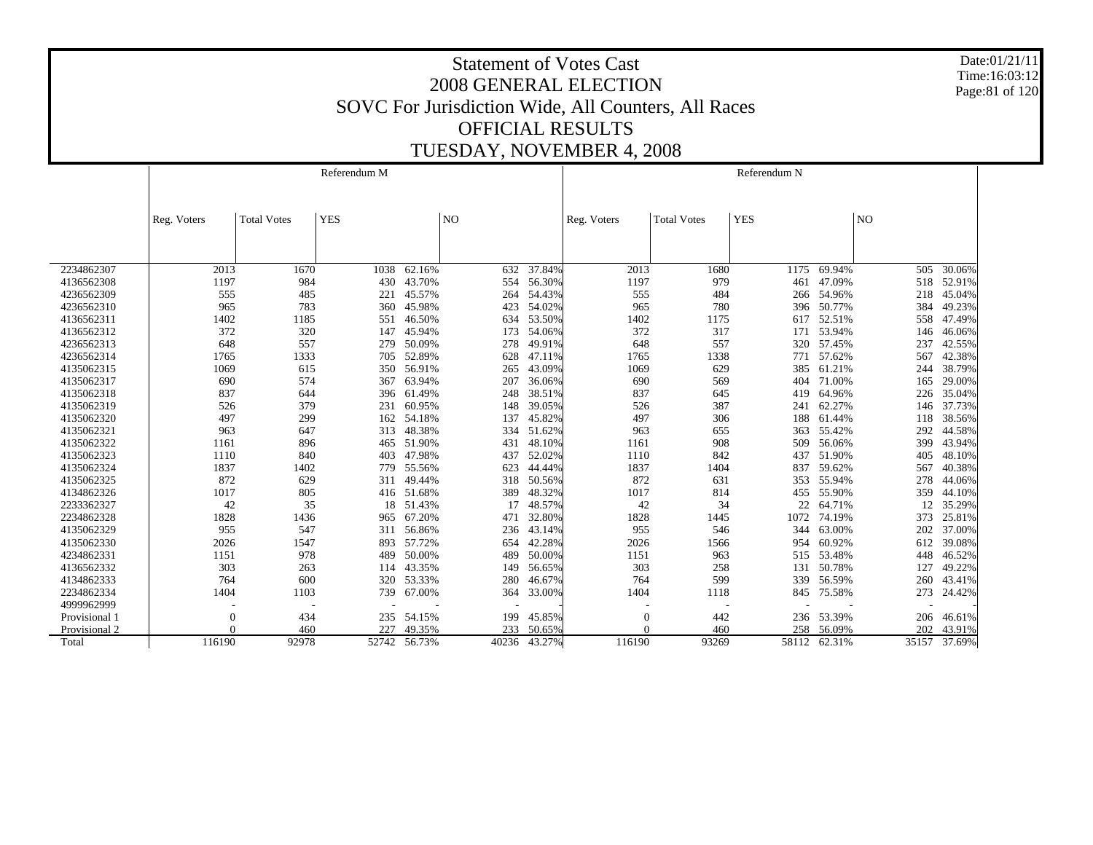Date:01/21/11 Time:16:03:12 Page:81 of 120

|               |             |                    | Referendum M |            |       |        |             |                    | Referendum N |              |     |              |
|---------------|-------------|--------------------|--------------|------------|-------|--------|-------------|--------------------|--------------|--------------|-----|--------------|
|               |             |                    |              |            |       |        |             |                    |              |              |     |              |
|               | Reg. Voters | <b>Total Votes</b> | <b>YES</b>   |            | NO    |        | Reg. Voters | <b>Total Votes</b> | <b>YES</b>   |              | NO  |              |
|               |             |                    |              |            |       |        |             |                    |              |              |     |              |
|               |             |                    |              |            |       |        |             |                    |              |              |     |              |
| 2234862307    | 2013        | 1670               | 1038         | 62.16%     | 632   | 37.84% | 2013        | 1680               | 1175         | 69.94%       | 505 | 30.06%       |
| 4136562308    | 1197        | 984                | 430          | 43.70%     | 554   | 56.30% | 1197        | 979                | 461          | 47.09%       | 518 | 52.91%       |
| 4236562309    | 555         | 485                | 221          | 45.57%     | 264   | 54.43% | 555         | 484                | 266          | 54.96%       | 218 | 45.04%       |
| 4236562310    | 965         | 783                | 360          | 45.98%     | 423   | 54.02% | 965         | 780                | 396          | 50.77%       | 384 | 49.23%       |
| 4136562311    | 1402        | 1185               | 551          | 46.50%     | 634   | 53.50% | 1402        | 1175               | 617          | 52.51%       | 558 | 47.49%       |
| 4136562312    | 372         | 320                | 147          | 45.94%     | 173   | 54.06% | 372         | 317                | 171          | 53.94%       | 146 | 46.06%       |
| 4236562313    | 648         | 557                | 279          | 50.09%     | 278   | 49.91% | 648         | 557                | 320          | 57.45%       | 237 | 42.55%       |
| 4236562314    | 1765        | 1333               | 705          | 52.89%     | 628   | 47.11% | 1765        | 1338               | 771          | 57.62%       | 567 | 42.38%       |
| 4135062315    | 1069        | 615                | 350          | 56.91%     | 265   | 43.09% | 1069        | 629                | 385          | 61.21%       | 244 | 38.79%       |
| 4135062317    | 690         | 574                | 367          | 63.94%     | 207   | 36.06% | 690         | 569                | 404          | 71.00%       | 165 | 29.00%       |
| 4135062318    | 837         | 644                | 396          | 61.49%     | 248   | 38.51% | 837         | 645                | 419          | 64.96%       | 226 | 35.04%       |
| 4135062319    | 526         | 379                | 231          | 60.95%     | 148   | 39.05% | 526         | 387                | 241          | 62.27%       | 146 | 37.73%       |
| 4135062320    | 497         | 299                |              | 162 54.18% | 137   | 45.82% | 497         | 306                | 188          | 61.44%       | 118 | 38.56%       |
| 4135062321    | 963         | 647                | 313          | 48.38%     | 334   | 51.62% | 963         | 655                | 363          | 55.42%       | 292 | 44.58%       |
| 4135062322    | 1161        | 896                |              | 465 51.90% | 431   | 48.10% | 1161        | 908                | 509          | 56.06%       | 399 | 43.94%       |
| 4135062323    | 1110        | 840                | 403          | 47.98%     | 437   | 52.02% | 1110        | 842                | 437          | 51.90%       | 405 | 48.10%       |
| 4135062324    | 1837        | 1402               | 779          | 55.56%     | 623   | 44.44% | 1837        | 1404               | 837          | 59.62%       | 567 | 40.38%       |
| 4135062325    | 872         | 629                | 311          | 49.44%     | 318   | 50.56% | 872         | 631                | 353          | 55.94%       | 278 | 44.06%       |
| 4134862326    | 1017        | 805                |              | 416 51.68% | 389   | 48.32% | 1017        | 814                | 455          | 55.90%       | 359 | 44.10%       |
| 2233362327    | 42          | 35                 | 18           | 51.43%     | 17    | 48.57% | 42          | 34                 | 22           | 64.71%       | 12  | 35.29%       |
| 2234862328    | 1828        | 1436               | 965          | 67.20%     | 471   | 32.80% | 1828        | 1445               | 1072         | 74.19%       | 373 | 25.81%       |
| 4135062329    | 955         | 547                | 311          | 56.86%     | 236   | 43.14% | 955         | 546                | 344          | 63.00%       | 202 | 37.00%       |
| 4135062330    | 2026        | 1547               | 893          | 57.72%     | 654   | 42.28% | 2026        | 1566               | 954          | 60.92%       | 612 | 39.08%       |
| 4234862331    | 1151        | 978                | 489          | 50.00%     | 489   | 50.00% | 1151        | 963                | 515          | 53.48%       | 448 | 46.52%       |
| 4136562332    | 303         | 263                | 114          | 43.35%     | 149   | 56.65% | 303         | 258                | 131          | 50.78%       | 127 | 49.22%       |
| 4134862333    | 764         | 600                | 320          | 53.33%     | 280   | 46.67% | 764         | 599                | 339          | 56.59%       | 260 | 43.41%       |
| 2234862334    | 1404        | 1103               | 739          | 67.00%     | 364   | 33.00% | 1404        | 1118               |              | 845 75.58%   | 273 | 24.42%       |
| 4999962999    |             |                    |              |            |       |        |             |                    |              |              |     |              |
| Provisional 1 | $\theta$    | 434                | 235          | 54.15%     | 199   | 45.85% | $\Omega$    | 442                |              | 236 53.39%   | 206 | 46.61%       |
| Provisional 2 |             | 460                | 227          | 49.35%     | 233   | 50.65% |             | 460                | 258          | 56.09%       | 202 | 43.91%       |
| Total         | 116190      | 92978              | 52742        | 56.73%     | 40236 | 43.27% | 116190      | 93269              |              | 58112 62.31% |     | 35157 37.69% |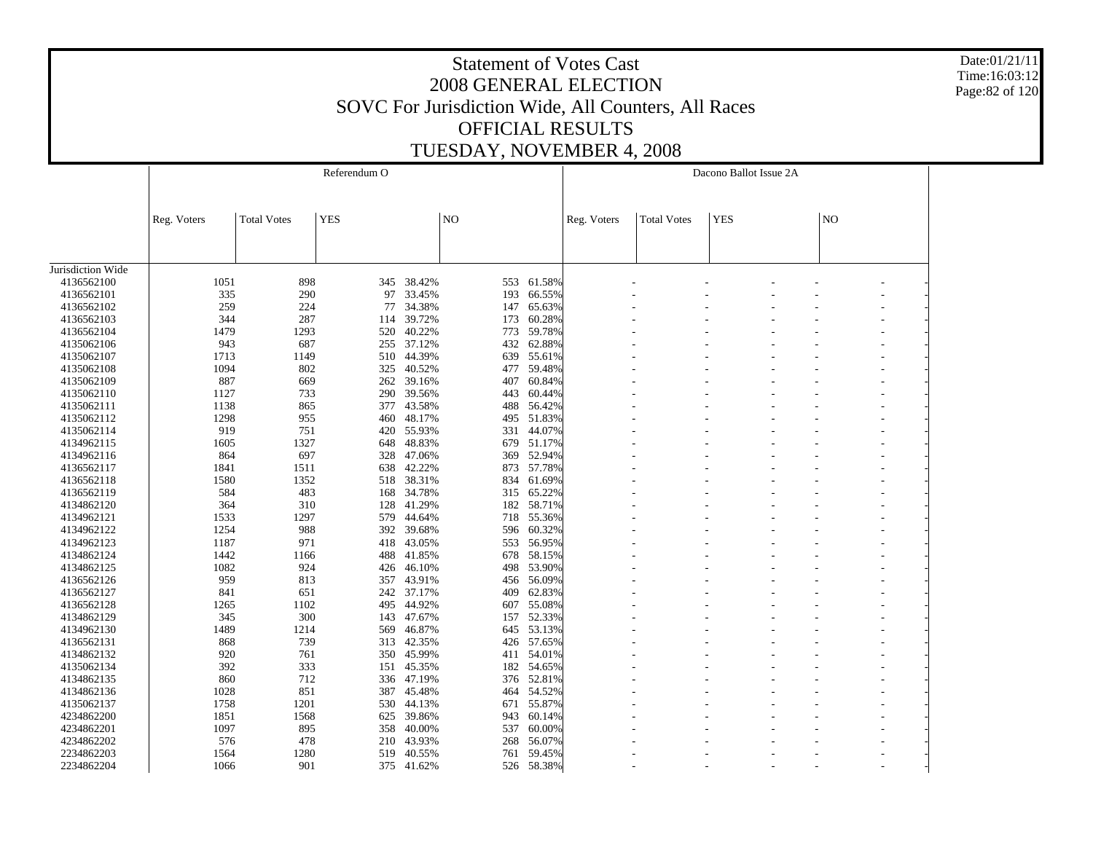Date:01/21/11 Time:16:03:12 Page:82 of 120

| <b>YES</b><br>NO<br><b>YES</b><br>N <sub>O</sub><br>Reg. Voters<br><b>Total Votes</b><br><b>Total Votes</b><br>Reg. Voters<br>4136562100<br>898<br>345 38.42%<br>61.58%<br>1051<br>553<br>335<br>4136562101<br>290<br>97<br>33.45%<br>193<br>66.55%<br>259<br>224<br>34.38%<br>65.63%<br>4136562102<br>77<br>147<br>287<br>344<br>39.72%<br>60.28%<br>4136562103<br>173<br>114<br>1479<br>40.22%<br>59.78%<br>4136562104<br>1293<br>520<br>773<br>943<br>687<br>255 37.12%<br>62.88%<br>4135062106<br>432<br>44.39%<br>4135062107<br>1713<br>1149<br>510<br>639<br>55.61%<br>4135062108<br>802<br>40.52%<br>477 59.48%<br>1094<br>325<br>60.84%<br>4135062109<br>887<br>669<br>262<br>39.16%<br>407<br>4135062110<br>1127<br>733<br>290<br>39.56%<br>60.44%<br>443<br>43.58%<br>488<br>56.42%<br>4135062111<br>1138<br>865<br>377<br>4135062112<br>1298<br>955<br>460<br>48.17%<br>495 51.83%<br>751<br>55.93%<br>44.07%<br>4135062114<br>919<br>420<br>331<br>4134962115<br>1327<br>648<br>48.83%<br>679 51.17%<br>1605<br>52.94%<br>4134962116<br>864<br>697<br>328<br>47.06%<br>369<br>1511<br>638<br>42.22%<br>873 57.78%<br>4136562117<br>1841<br>1352<br>38.31%<br>61.69%<br>4136562118<br>1580<br>518<br>834<br>4136562119<br>584<br>483<br>168<br>34.78%<br>315<br>65.22%<br>41.29%<br>58.71%<br>4134862120<br>364<br>310<br>128<br>182<br>1297<br>579<br>44.64%<br>718<br>55.36%<br>4134962121<br>1533<br>4134962122<br>1254<br>988<br>392<br>39.68%<br>596 60.32%<br>4134962123<br>418<br>56.95%<br>1187<br>971<br>43.05%<br>553<br>4134862124<br>1442<br>488 41.85%<br>678 58.15%<br>1166<br>4134862125<br>924<br>46.10%<br>53.90%<br>1082<br>426<br>498<br>4136562126<br>959<br>813<br>43.91%<br>456 56.09%<br>357<br>4136562127<br>651<br>37.17%<br>409<br>62.83%<br>841<br>242<br>495 44.92%<br>607 55.08%<br>4136562128<br>1265<br>1102<br>4134862129<br>345<br>300<br>47.67%<br>52.33%<br>143<br>157<br>645 53.13%<br>4134962130<br>1489<br>1214<br>46.87%<br>569<br>739<br>426 57.65%<br>4136562131<br>868<br>313<br>42.35%<br>45.99%<br>54.01%<br>4134862132<br>920<br>761<br>350<br>411<br>392<br>333<br>45.35%<br>182 54.65%<br>4135062134<br>151<br>712<br>52.81%<br>4134862135<br>860<br>336<br>47.19%<br>376<br>1028<br>851<br>387<br>45.48%<br>54.52%<br>4134862136<br>464<br>55.87%<br>4135062137<br>1758<br>1201<br>530<br>44.13%<br>671<br>39.86%<br>4234862200<br>1851<br>1568<br>625<br>943<br>60.14%<br>4234862201<br>895<br>40.00%<br>60.00%<br>1097<br>358<br>537<br>4234862202<br>576<br>478<br>43.93%<br>268<br>56.07%<br>210<br>2234862203<br>1280<br>40.55%<br>59.45%<br>1564<br>519<br>761<br>526 58.38%<br>2234862204<br>1066<br>901<br>375 41.62% |                   |  | Referendum O |  |  | Dacono Ballot Issue 2A |  |  |
|------------------------------------------------------------------------------------------------------------------------------------------------------------------------------------------------------------------------------------------------------------------------------------------------------------------------------------------------------------------------------------------------------------------------------------------------------------------------------------------------------------------------------------------------------------------------------------------------------------------------------------------------------------------------------------------------------------------------------------------------------------------------------------------------------------------------------------------------------------------------------------------------------------------------------------------------------------------------------------------------------------------------------------------------------------------------------------------------------------------------------------------------------------------------------------------------------------------------------------------------------------------------------------------------------------------------------------------------------------------------------------------------------------------------------------------------------------------------------------------------------------------------------------------------------------------------------------------------------------------------------------------------------------------------------------------------------------------------------------------------------------------------------------------------------------------------------------------------------------------------------------------------------------------------------------------------------------------------------------------------------------------------------------------------------------------------------------------------------------------------------------------------------------------------------------------------------------------------------------------------------------------------------------------------------------------------------------------------------------------------------------------------------------------------------------------------------------------------------------------------------------------------------------------------------------------------------------------------------------------------------------------------------------------------------------------|-------------------|--|--------------|--|--|------------------------|--|--|
|                                                                                                                                                                                                                                                                                                                                                                                                                                                                                                                                                                                                                                                                                                                                                                                                                                                                                                                                                                                                                                                                                                                                                                                                                                                                                                                                                                                                                                                                                                                                                                                                                                                                                                                                                                                                                                                                                                                                                                                                                                                                                                                                                                                                                                                                                                                                                                                                                                                                                                                                                                                                                                                                                          |                   |  |              |  |  |                        |  |  |
|                                                                                                                                                                                                                                                                                                                                                                                                                                                                                                                                                                                                                                                                                                                                                                                                                                                                                                                                                                                                                                                                                                                                                                                                                                                                                                                                                                                                                                                                                                                                                                                                                                                                                                                                                                                                                                                                                                                                                                                                                                                                                                                                                                                                                                                                                                                                                                                                                                                                                                                                                                                                                                                                                          |                   |  |              |  |  |                        |  |  |
|                                                                                                                                                                                                                                                                                                                                                                                                                                                                                                                                                                                                                                                                                                                                                                                                                                                                                                                                                                                                                                                                                                                                                                                                                                                                                                                                                                                                                                                                                                                                                                                                                                                                                                                                                                                                                                                                                                                                                                                                                                                                                                                                                                                                                                                                                                                                                                                                                                                                                                                                                                                                                                                                                          |                   |  |              |  |  |                        |  |  |
|                                                                                                                                                                                                                                                                                                                                                                                                                                                                                                                                                                                                                                                                                                                                                                                                                                                                                                                                                                                                                                                                                                                                                                                                                                                                                                                                                                                                                                                                                                                                                                                                                                                                                                                                                                                                                                                                                                                                                                                                                                                                                                                                                                                                                                                                                                                                                                                                                                                                                                                                                                                                                                                                                          | Jurisdiction Wide |  |              |  |  |                        |  |  |
|                                                                                                                                                                                                                                                                                                                                                                                                                                                                                                                                                                                                                                                                                                                                                                                                                                                                                                                                                                                                                                                                                                                                                                                                                                                                                                                                                                                                                                                                                                                                                                                                                                                                                                                                                                                                                                                                                                                                                                                                                                                                                                                                                                                                                                                                                                                                                                                                                                                                                                                                                                                                                                                                                          |                   |  |              |  |  |                        |  |  |
|                                                                                                                                                                                                                                                                                                                                                                                                                                                                                                                                                                                                                                                                                                                                                                                                                                                                                                                                                                                                                                                                                                                                                                                                                                                                                                                                                                                                                                                                                                                                                                                                                                                                                                                                                                                                                                                                                                                                                                                                                                                                                                                                                                                                                                                                                                                                                                                                                                                                                                                                                                                                                                                                                          |                   |  |              |  |  |                        |  |  |
|                                                                                                                                                                                                                                                                                                                                                                                                                                                                                                                                                                                                                                                                                                                                                                                                                                                                                                                                                                                                                                                                                                                                                                                                                                                                                                                                                                                                                                                                                                                                                                                                                                                                                                                                                                                                                                                                                                                                                                                                                                                                                                                                                                                                                                                                                                                                                                                                                                                                                                                                                                                                                                                                                          |                   |  |              |  |  |                        |  |  |
|                                                                                                                                                                                                                                                                                                                                                                                                                                                                                                                                                                                                                                                                                                                                                                                                                                                                                                                                                                                                                                                                                                                                                                                                                                                                                                                                                                                                                                                                                                                                                                                                                                                                                                                                                                                                                                                                                                                                                                                                                                                                                                                                                                                                                                                                                                                                                                                                                                                                                                                                                                                                                                                                                          |                   |  |              |  |  |                        |  |  |
|                                                                                                                                                                                                                                                                                                                                                                                                                                                                                                                                                                                                                                                                                                                                                                                                                                                                                                                                                                                                                                                                                                                                                                                                                                                                                                                                                                                                                                                                                                                                                                                                                                                                                                                                                                                                                                                                                                                                                                                                                                                                                                                                                                                                                                                                                                                                                                                                                                                                                                                                                                                                                                                                                          |                   |  |              |  |  |                        |  |  |
|                                                                                                                                                                                                                                                                                                                                                                                                                                                                                                                                                                                                                                                                                                                                                                                                                                                                                                                                                                                                                                                                                                                                                                                                                                                                                                                                                                                                                                                                                                                                                                                                                                                                                                                                                                                                                                                                                                                                                                                                                                                                                                                                                                                                                                                                                                                                                                                                                                                                                                                                                                                                                                                                                          |                   |  |              |  |  |                        |  |  |
|                                                                                                                                                                                                                                                                                                                                                                                                                                                                                                                                                                                                                                                                                                                                                                                                                                                                                                                                                                                                                                                                                                                                                                                                                                                                                                                                                                                                                                                                                                                                                                                                                                                                                                                                                                                                                                                                                                                                                                                                                                                                                                                                                                                                                                                                                                                                                                                                                                                                                                                                                                                                                                                                                          |                   |  |              |  |  |                        |  |  |
|                                                                                                                                                                                                                                                                                                                                                                                                                                                                                                                                                                                                                                                                                                                                                                                                                                                                                                                                                                                                                                                                                                                                                                                                                                                                                                                                                                                                                                                                                                                                                                                                                                                                                                                                                                                                                                                                                                                                                                                                                                                                                                                                                                                                                                                                                                                                                                                                                                                                                                                                                                                                                                                                                          |                   |  |              |  |  |                        |  |  |
|                                                                                                                                                                                                                                                                                                                                                                                                                                                                                                                                                                                                                                                                                                                                                                                                                                                                                                                                                                                                                                                                                                                                                                                                                                                                                                                                                                                                                                                                                                                                                                                                                                                                                                                                                                                                                                                                                                                                                                                                                                                                                                                                                                                                                                                                                                                                                                                                                                                                                                                                                                                                                                                                                          |                   |  |              |  |  |                        |  |  |
|                                                                                                                                                                                                                                                                                                                                                                                                                                                                                                                                                                                                                                                                                                                                                                                                                                                                                                                                                                                                                                                                                                                                                                                                                                                                                                                                                                                                                                                                                                                                                                                                                                                                                                                                                                                                                                                                                                                                                                                                                                                                                                                                                                                                                                                                                                                                                                                                                                                                                                                                                                                                                                                                                          |                   |  |              |  |  |                        |  |  |
|                                                                                                                                                                                                                                                                                                                                                                                                                                                                                                                                                                                                                                                                                                                                                                                                                                                                                                                                                                                                                                                                                                                                                                                                                                                                                                                                                                                                                                                                                                                                                                                                                                                                                                                                                                                                                                                                                                                                                                                                                                                                                                                                                                                                                                                                                                                                                                                                                                                                                                                                                                                                                                                                                          |                   |  |              |  |  |                        |  |  |
|                                                                                                                                                                                                                                                                                                                                                                                                                                                                                                                                                                                                                                                                                                                                                                                                                                                                                                                                                                                                                                                                                                                                                                                                                                                                                                                                                                                                                                                                                                                                                                                                                                                                                                                                                                                                                                                                                                                                                                                                                                                                                                                                                                                                                                                                                                                                                                                                                                                                                                                                                                                                                                                                                          |                   |  |              |  |  |                        |  |  |
|                                                                                                                                                                                                                                                                                                                                                                                                                                                                                                                                                                                                                                                                                                                                                                                                                                                                                                                                                                                                                                                                                                                                                                                                                                                                                                                                                                                                                                                                                                                                                                                                                                                                                                                                                                                                                                                                                                                                                                                                                                                                                                                                                                                                                                                                                                                                                                                                                                                                                                                                                                                                                                                                                          |                   |  |              |  |  |                        |  |  |
|                                                                                                                                                                                                                                                                                                                                                                                                                                                                                                                                                                                                                                                                                                                                                                                                                                                                                                                                                                                                                                                                                                                                                                                                                                                                                                                                                                                                                                                                                                                                                                                                                                                                                                                                                                                                                                                                                                                                                                                                                                                                                                                                                                                                                                                                                                                                                                                                                                                                                                                                                                                                                                                                                          |                   |  |              |  |  |                        |  |  |
|                                                                                                                                                                                                                                                                                                                                                                                                                                                                                                                                                                                                                                                                                                                                                                                                                                                                                                                                                                                                                                                                                                                                                                                                                                                                                                                                                                                                                                                                                                                                                                                                                                                                                                                                                                                                                                                                                                                                                                                                                                                                                                                                                                                                                                                                                                                                                                                                                                                                                                                                                                                                                                                                                          |                   |  |              |  |  |                        |  |  |
|                                                                                                                                                                                                                                                                                                                                                                                                                                                                                                                                                                                                                                                                                                                                                                                                                                                                                                                                                                                                                                                                                                                                                                                                                                                                                                                                                                                                                                                                                                                                                                                                                                                                                                                                                                                                                                                                                                                                                                                                                                                                                                                                                                                                                                                                                                                                                                                                                                                                                                                                                                                                                                                                                          |                   |  |              |  |  |                        |  |  |
|                                                                                                                                                                                                                                                                                                                                                                                                                                                                                                                                                                                                                                                                                                                                                                                                                                                                                                                                                                                                                                                                                                                                                                                                                                                                                                                                                                                                                                                                                                                                                                                                                                                                                                                                                                                                                                                                                                                                                                                                                                                                                                                                                                                                                                                                                                                                                                                                                                                                                                                                                                                                                                                                                          |                   |  |              |  |  |                        |  |  |
|                                                                                                                                                                                                                                                                                                                                                                                                                                                                                                                                                                                                                                                                                                                                                                                                                                                                                                                                                                                                                                                                                                                                                                                                                                                                                                                                                                                                                                                                                                                                                                                                                                                                                                                                                                                                                                                                                                                                                                                                                                                                                                                                                                                                                                                                                                                                                                                                                                                                                                                                                                                                                                                                                          |                   |  |              |  |  |                        |  |  |
|                                                                                                                                                                                                                                                                                                                                                                                                                                                                                                                                                                                                                                                                                                                                                                                                                                                                                                                                                                                                                                                                                                                                                                                                                                                                                                                                                                                                                                                                                                                                                                                                                                                                                                                                                                                                                                                                                                                                                                                                                                                                                                                                                                                                                                                                                                                                                                                                                                                                                                                                                                                                                                                                                          |                   |  |              |  |  |                        |  |  |
|                                                                                                                                                                                                                                                                                                                                                                                                                                                                                                                                                                                                                                                                                                                                                                                                                                                                                                                                                                                                                                                                                                                                                                                                                                                                                                                                                                                                                                                                                                                                                                                                                                                                                                                                                                                                                                                                                                                                                                                                                                                                                                                                                                                                                                                                                                                                                                                                                                                                                                                                                                                                                                                                                          |                   |  |              |  |  |                        |  |  |
|                                                                                                                                                                                                                                                                                                                                                                                                                                                                                                                                                                                                                                                                                                                                                                                                                                                                                                                                                                                                                                                                                                                                                                                                                                                                                                                                                                                                                                                                                                                                                                                                                                                                                                                                                                                                                                                                                                                                                                                                                                                                                                                                                                                                                                                                                                                                                                                                                                                                                                                                                                                                                                                                                          |                   |  |              |  |  |                        |  |  |
|                                                                                                                                                                                                                                                                                                                                                                                                                                                                                                                                                                                                                                                                                                                                                                                                                                                                                                                                                                                                                                                                                                                                                                                                                                                                                                                                                                                                                                                                                                                                                                                                                                                                                                                                                                                                                                                                                                                                                                                                                                                                                                                                                                                                                                                                                                                                                                                                                                                                                                                                                                                                                                                                                          |                   |  |              |  |  |                        |  |  |
|                                                                                                                                                                                                                                                                                                                                                                                                                                                                                                                                                                                                                                                                                                                                                                                                                                                                                                                                                                                                                                                                                                                                                                                                                                                                                                                                                                                                                                                                                                                                                                                                                                                                                                                                                                                                                                                                                                                                                                                                                                                                                                                                                                                                                                                                                                                                                                                                                                                                                                                                                                                                                                                                                          |                   |  |              |  |  |                        |  |  |
|                                                                                                                                                                                                                                                                                                                                                                                                                                                                                                                                                                                                                                                                                                                                                                                                                                                                                                                                                                                                                                                                                                                                                                                                                                                                                                                                                                                                                                                                                                                                                                                                                                                                                                                                                                                                                                                                                                                                                                                                                                                                                                                                                                                                                                                                                                                                                                                                                                                                                                                                                                                                                                                                                          |                   |  |              |  |  |                        |  |  |
|                                                                                                                                                                                                                                                                                                                                                                                                                                                                                                                                                                                                                                                                                                                                                                                                                                                                                                                                                                                                                                                                                                                                                                                                                                                                                                                                                                                                                                                                                                                                                                                                                                                                                                                                                                                                                                                                                                                                                                                                                                                                                                                                                                                                                                                                                                                                                                                                                                                                                                                                                                                                                                                                                          |                   |  |              |  |  |                        |  |  |
|                                                                                                                                                                                                                                                                                                                                                                                                                                                                                                                                                                                                                                                                                                                                                                                                                                                                                                                                                                                                                                                                                                                                                                                                                                                                                                                                                                                                                                                                                                                                                                                                                                                                                                                                                                                                                                                                                                                                                                                                                                                                                                                                                                                                                                                                                                                                                                                                                                                                                                                                                                                                                                                                                          |                   |  |              |  |  |                        |  |  |
|                                                                                                                                                                                                                                                                                                                                                                                                                                                                                                                                                                                                                                                                                                                                                                                                                                                                                                                                                                                                                                                                                                                                                                                                                                                                                                                                                                                                                                                                                                                                                                                                                                                                                                                                                                                                                                                                                                                                                                                                                                                                                                                                                                                                                                                                                                                                                                                                                                                                                                                                                                                                                                                                                          |                   |  |              |  |  |                        |  |  |
|                                                                                                                                                                                                                                                                                                                                                                                                                                                                                                                                                                                                                                                                                                                                                                                                                                                                                                                                                                                                                                                                                                                                                                                                                                                                                                                                                                                                                                                                                                                                                                                                                                                                                                                                                                                                                                                                                                                                                                                                                                                                                                                                                                                                                                                                                                                                                                                                                                                                                                                                                                                                                                                                                          |                   |  |              |  |  |                        |  |  |
|                                                                                                                                                                                                                                                                                                                                                                                                                                                                                                                                                                                                                                                                                                                                                                                                                                                                                                                                                                                                                                                                                                                                                                                                                                                                                                                                                                                                                                                                                                                                                                                                                                                                                                                                                                                                                                                                                                                                                                                                                                                                                                                                                                                                                                                                                                                                                                                                                                                                                                                                                                                                                                                                                          |                   |  |              |  |  |                        |  |  |
|                                                                                                                                                                                                                                                                                                                                                                                                                                                                                                                                                                                                                                                                                                                                                                                                                                                                                                                                                                                                                                                                                                                                                                                                                                                                                                                                                                                                                                                                                                                                                                                                                                                                                                                                                                                                                                                                                                                                                                                                                                                                                                                                                                                                                                                                                                                                                                                                                                                                                                                                                                                                                                                                                          |                   |  |              |  |  |                        |  |  |
|                                                                                                                                                                                                                                                                                                                                                                                                                                                                                                                                                                                                                                                                                                                                                                                                                                                                                                                                                                                                                                                                                                                                                                                                                                                                                                                                                                                                                                                                                                                                                                                                                                                                                                                                                                                                                                                                                                                                                                                                                                                                                                                                                                                                                                                                                                                                                                                                                                                                                                                                                                                                                                                                                          |                   |  |              |  |  |                        |  |  |
|                                                                                                                                                                                                                                                                                                                                                                                                                                                                                                                                                                                                                                                                                                                                                                                                                                                                                                                                                                                                                                                                                                                                                                                                                                                                                                                                                                                                                                                                                                                                                                                                                                                                                                                                                                                                                                                                                                                                                                                                                                                                                                                                                                                                                                                                                                                                                                                                                                                                                                                                                                                                                                                                                          |                   |  |              |  |  |                        |  |  |
|                                                                                                                                                                                                                                                                                                                                                                                                                                                                                                                                                                                                                                                                                                                                                                                                                                                                                                                                                                                                                                                                                                                                                                                                                                                                                                                                                                                                                                                                                                                                                                                                                                                                                                                                                                                                                                                                                                                                                                                                                                                                                                                                                                                                                                                                                                                                                                                                                                                                                                                                                                                                                                                                                          |                   |  |              |  |  |                        |  |  |
|                                                                                                                                                                                                                                                                                                                                                                                                                                                                                                                                                                                                                                                                                                                                                                                                                                                                                                                                                                                                                                                                                                                                                                                                                                                                                                                                                                                                                                                                                                                                                                                                                                                                                                                                                                                                                                                                                                                                                                                                                                                                                                                                                                                                                                                                                                                                                                                                                                                                                                                                                                                                                                                                                          |                   |  |              |  |  |                        |  |  |
|                                                                                                                                                                                                                                                                                                                                                                                                                                                                                                                                                                                                                                                                                                                                                                                                                                                                                                                                                                                                                                                                                                                                                                                                                                                                                                                                                                                                                                                                                                                                                                                                                                                                                                                                                                                                                                                                                                                                                                                                                                                                                                                                                                                                                                                                                                                                                                                                                                                                                                                                                                                                                                                                                          |                   |  |              |  |  |                        |  |  |
|                                                                                                                                                                                                                                                                                                                                                                                                                                                                                                                                                                                                                                                                                                                                                                                                                                                                                                                                                                                                                                                                                                                                                                                                                                                                                                                                                                                                                                                                                                                                                                                                                                                                                                                                                                                                                                                                                                                                                                                                                                                                                                                                                                                                                                                                                                                                                                                                                                                                                                                                                                                                                                                                                          |                   |  |              |  |  |                        |  |  |
|                                                                                                                                                                                                                                                                                                                                                                                                                                                                                                                                                                                                                                                                                                                                                                                                                                                                                                                                                                                                                                                                                                                                                                                                                                                                                                                                                                                                                                                                                                                                                                                                                                                                                                                                                                                                                                                                                                                                                                                                                                                                                                                                                                                                                                                                                                                                                                                                                                                                                                                                                                                                                                                                                          |                   |  |              |  |  |                        |  |  |
|                                                                                                                                                                                                                                                                                                                                                                                                                                                                                                                                                                                                                                                                                                                                                                                                                                                                                                                                                                                                                                                                                                                                                                                                                                                                                                                                                                                                                                                                                                                                                                                                                                                                                                                                                                                                                                                                                                                                                                                                                                                                                                                                                                                                                                                                                                                                                                                                                                                                                                                                                                                                                                                                                          |                   |  |              |  |  |                        |  |  |
|                                                                                                                                                                                                                                                                                                                                                                                                                                                                                                                                                                                                                                                                                                                                                                                                                                                                                                                                                                                                                                                                                                                                                                                                                                                                                                                                                                                                                                                                                                                                                                                                                                                                                                                                                                                                                                                                                                                                                                                                                                                                                                                                                                                                                                                                                                                                                                                                                                                                                                                                                                                                                                                                                          |                   |  |              |  |  |                        |  |  |
|                                                                                                                                                                                                                                                                                                                                                                                                                                                                                                                                                                                                                                                                                                                                                                                                                                                                                                                                                                                                                                                                                                                                                                                                                                                                                                                                                                                                                                                                                                                                                                                                                                                                                                                                                                                                                                                                                                                                                                                                                                                                                                                                                                                                                                                                                                                                                                                                                                                                                                                                                                                                                                                                                          |                   |  |              |  |  |                        |  |  |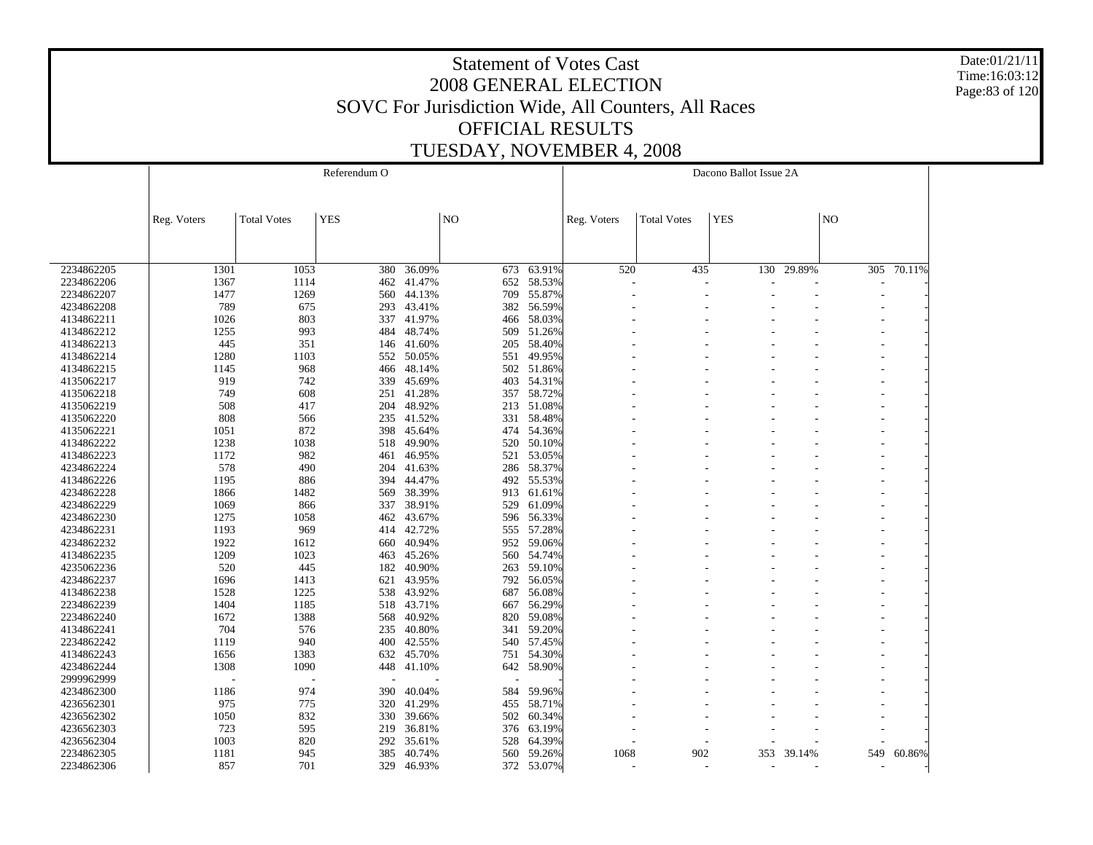Date:01/21/11 Time:16:03:12 Page:83 of 120

|            |             |                    | Referendum O |            |                |            |             |                    | Dacono Ballot Issue 2A |        |     |        |
|------------|-------------|--------------------|--------------|------------|----------------|------------|-------------|--------------------|------------------------|--------|-----|--------|
|            |             |                    |              |            |                |            |             |                    |                        |        |     |        |
|            | Reg. Voters | <b>Total Votes</b> | <b>YES</b>   |            | N <sub>O</sub> |            | Reg. Voters | <b>Total Votes</b> | <b>YES</b>             |        | NO  |        |
|            |             |                    |              |            |                |            |             |                    |                        |        |     |        |
| 2234862205 | 1301        | 1053               | 380          | 36.09%     | 673            | 63.91%     | 520         | 435                | 130                    | 29.89% | 305 | 70.11% |
| 2234862206 | 1367        | 1114               | 462          | 41.47%     | 652            | 58.53%     |             |                    |                        |        |     |        |
| 2234862207 | 1477        | 1269               | 560          | 44.13%     | 709            | 55.87%     |             |                    |                        |        |     |        |
| 4234862208 | 789         | 675                | 293          | 43.41%     | 382            | 56.59%     |             |                    |                        |        |     |        |
| 4134862211 | 1026        | 803                | 337          | 41.97%     | 466            | 58.03%     |             |                    |                        |        |     |        |
| 4134862212 | 1255        | 993                | 484          | 48.74%     | 509            | 51.26%     |             |                    |                        |        |     |        |
| 4134862213 | 445         | 351                |              | 146 41.60% | 205            | 58.40%     |             |                    |                        |        |     |        |
| 4134862214 | 1280        | 1103               | 552          | 50.05%     | 551            | 49.95%     |             |                    |                        |        |     |        |
| 4134862215 | 1145        | 968                |              | 466 48.14% | 502            | 51.86%     |             |                    |                        |        |     |        |
| 4135062217 | 919         | 742                | 339          | 45.69%     | 403            | 54.31%     |             |                    |                        |        |     |        |
| 4135062218 | 749         | 608                | 251          | 41.28%     | 357            | 58.72%     |             |                    |                        |        |     |        |
| 4135062219 | 508         | 417                | 204          | 48.92%     | 213            | 51.08%     |             |                    |                        |        |     |        |
| 4135062220 | 808         | 566                | 235          | 41.52%     | 331            | 58.48%     |             |                    |                        |        |     |        |
| 4135062221 | 1051        | 872                | 398          | 45.64%     | 474            | 54.36%     |             |                    |                        |        |     |        |
| 4134862222 | 1238        | 1038               | 518          | 49.90%     | 520            | 50.10%     |             |                    |                        |        |     |        |
| 4134862223 | 1172        | 982                | 461          | 46.95%     | 521            | 53.05%     |             |                    |                        |        |     |        |
| 4234862224 | 578         | 490                | 204          | 41.63%     | 286            | 58.37%     |             |                    |                        |        |     |        |
| 4134862226 | 1195        | 886                | 394          | 44.47%     | 492            | 55.53%     |             |                    |                        |        |     |        |
| 4234862228 | 1866        | 1482               | 569          | 38.39%     | 913            | 61.61%     |             |                    |                        |        |     |        |
| 4234862229 | 1069        | 866                | 337          | 38.91%     | 529            | 61.09%     |             |                    |                        |        |     |        |
| 4234862230 | 1275        | 1058               | 462          | 43.67%     | 596            | 56.33%     |             |                    |                        |        |     |        |
| 4234862231 | 1193        | 969                | 414          | 42.72%     | 555            | 57.28%     |             |                    |                        |        |     |        |
| 4234862232 | 1922        | 1612               | 660          | 40.94%     | 952            | 59.06%     |             |                    |                        |        |     |        |
| 4134862235 | 1209        | 1023               | 463          | 45.26%     | 560            | 54.74%     |             |                    |                        |        |     |        |
| 4235062236 | 520         | 445                | 182          | 40.90%     | 263            | 59.10%     |             |                    |                        |        |     |        |
| 4234862237 |             | 1413               |              |            | 792            | 56.05%     |             |                    |                        |        |     |        |
|            | 1696        |                    | 621          | 43.95%     |                |            |             |                    |                        |        |     |        |
| 4134862238 | 1528        | 1225               | 538          | 43.92%     | 687            | 56.08%     |             |                    |                        |        |     |        |
| 2234862239 | 1404        | 1185               | 518          | 43.71%     | 667            | 56.29%     |             |                    |                        |        |     |        |
| 2234862240 | 1672        | 1388               | 568          | 40.92%     | 820            | 59.08%     |             |                    |                        |        |     |        |
| 4134862241 | 704         | 576                | 235          | 40.80%     | 341            | 59.20%     |             |                    |                        |        |     |        |
| 2234862242 | 1119        | 940                | 400          | 42.55%     | 540            | 57.45%     |             |                    |                        |        |     |        |
| 4134862243 | 1656        | 1383               | 632          | 45.70%     | 751            | 54.30%     |             |                    |                        |        |     |        |
| 4234862244 | 1308        | 1090               | 448          | 41.10%     | 642            | 58.90%     |             |                    |                        |        |     |        |
| 2999962999 |             |                    |              |            |                |            |             |                    |                        |        |     |        |
| 4234862300 | 1186        | 974                | 390          | 40.04%     | 584            | 59.96%     |             |                    |                        |        |     |        |
| 4236562301 | 975         | 775                | 320          | 41.29%     | 455            | 58.71%     |             |                    |                        |        |     |        |
| 4236562302 | 1050        | 832                |              | 330 39.66% | 502            | 60.34%     |             |                    |                        |        |     |        |
| 4236562303 | 723         | 595                | 219          | 36.81%     | 376            | 63.19%     |             |                    |                        |        |     |        |
| 4236562304 | 1003        | 820                | 292          | 35.61%     | 528            | 64.39%     |             |                    |                        |        |     |        |
| 2234862305 | 1181        | 945                | 385          | 40.74%     | 560            | 59.26%     | 1068        | 902                | 353                    | 39.14% | 549 | 60.86% |
| 2234862306 | 857         | 701                |              | 329 46.93% |                | 372 53.07% |             |                    |                        |        |     |        |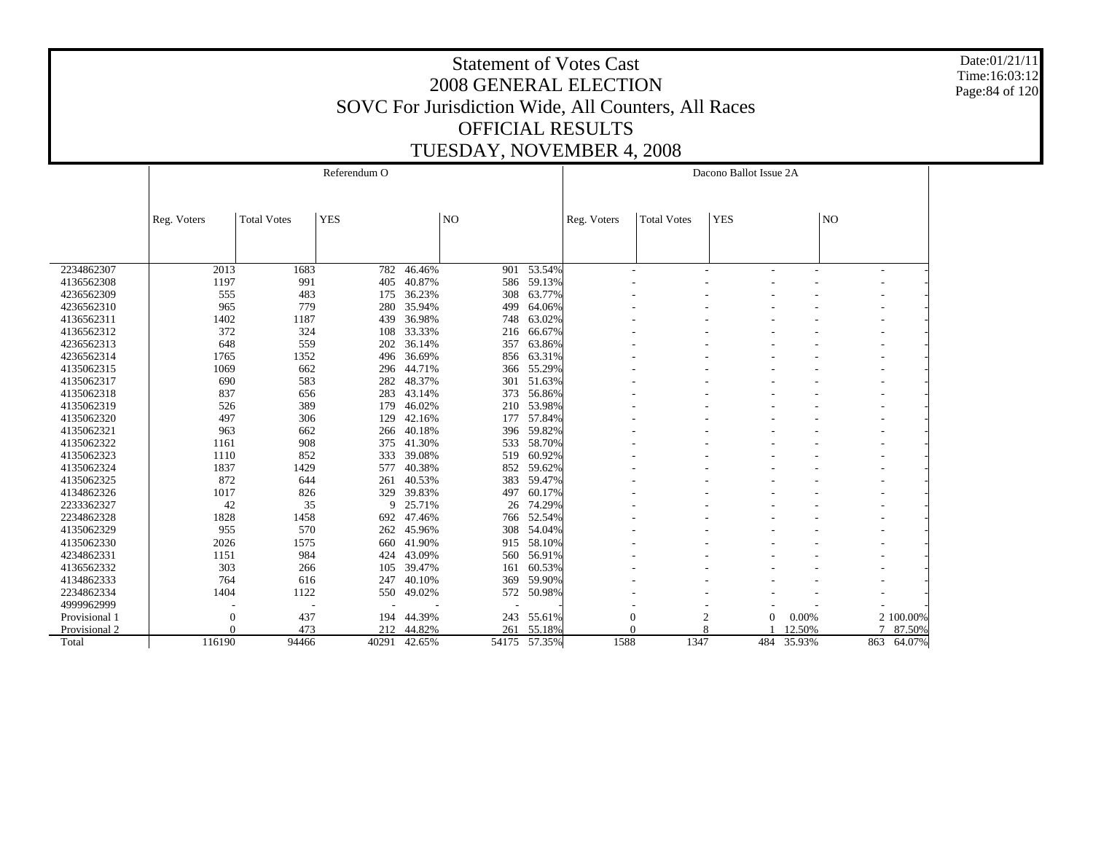Date:01/21/11 Time:16:03:12 Page:84 of 120

|               |             |                    | Referendum O |        |                |                 |             |                    | Dacono Ballot Issue 2A         |        |                              |            |
|---------------|-------------|--------------------|--------------|--------|----------------|-----------------|-------------|--------------------|--------------------------------|--------|------------------------------|------------|
|               |             |                    |              |        |                |                 |             |                    |                                |        |                              |            |
|               |             |                    |              |        |                |                 |             |                    |                                |        |                              |            |
|               | Reg. Voters | <b>Total Votes</b> | <b>YES</b>   |        | N <sub>O</sub> |                 | Reg. Voters | <b>Total Votes</b> | <b>YES</b>                     |        | NO <sub>1</sub>              |            |
|               |             |                    |              |        |                |                 |             |                    |                                |        |                              |            |
|               |             |                    |              |        |                |                 |             |                    |                                |        |                              |            |
|               |             |                    |              |        |                |                 |             |                    |                                |        |                              |            |
| 2234862307    | 2013        | 1683               | 782          | 46.46% |                | $901 - 53.54\%$ |             |                    |                                |        | $\qquad \qquad \blacksquare$ |            |
| 4136562308    | 1197        | 991                | 405          | 40.87% |                | 586 59.13%      |             |                    |                                |        |                              |            |
| 4236562309    | 555         | 483                | 175          | 36.23% | 308            | 63.77%          |             |                    |                                |        |                              |            |
| 4236562310    | 965         | 779                | 280          | 35.94% | 499            | 64.06%          |             |                    |                                |        |                              |            |
| 4136562311    | 1402        | 1187               | 439          | 36.98% | 748            | 63.02%          |             |                    |                                |        |                              |            |
| 4136562312    | 372         | 324                | 108          | 33.33% | 216            | 66.67%          |             |                    |                                |        |                              |            |
| 4236562313    | 648         | 559                | 202          | 36.14% | 357            | 63.86%          |             |                    |                                |        |                              |            |
| 4236562314    | 1765        | 1352               | 496          | 36.69% | 856            | 63.31%          |             |                    |                                |        |                              |            |
| 4135062315    | 1069        | 662                | 296          | 44.71% | 366            | 55.29%          |             |                    |                                |        |                              |            |
| 4135062317    | 690         | 583                | 282          | 48.37% | 301            | 51.63%          |             |                    |                                |        |                              |            |
| 4135062318    | 837         | 656                | 283          | 43.14% |                | 373 56.86%      |             |                    |                                |        | ۰                            |            |
| 4135062319    | 526         | 389                | 179          | 46.02% |                | 210 53.98%      |             |                    |                                |        |                              |            |
| 4135062320    | 497         | 306                | 129          | 42.16% |                | 177 57.84%      |             |                    |                                |        |                              |            |
| 4135062321    | 963         | 662                | 266          | 40.18% |                | 396 59.82%      |             |                    |                                |        |                              |            |
| 4135062322    | 1161        | 908                | 375          | 41.30% | 533            | 58.70%          |             |                    |                                |        |                              |            |
| 4135062323    | 1110        | 852                | 333          | 39.08% | 519            | 60.92%          |             |                    |                                |        |                              |            |
| 4135062324    | 1837        | 1429               | 577          | 40.38% |                | 852 59.62%      |             |                    |                                |        |                              |            |
| 4135062325    | 872         | 644                | 261          | 40.53% | 383            | 59.47%          |             |                    |                                |        |                              |            |
| 4134862326    | 1017        | 826                | 329          | 39.83% | 497            | 60.17%          |             |                    |                                |        |                              |            |
| 2233362327    | 42          | 35                 | 9            | 25.71% | 26             | 74.29%          |             |                    |                                |        |                              |            |
| 2234862328    | 1828        | 1458               | 692          | 47.46% | 766            | 52.54%          |             |                    |                                |        |                              |            |
| 4135062329    | 955         | 570                | 262          | 45.96% |                | 308 54.04%      |             |                    |                                |        |                              |            |
| 4135062330    | 2026        | 1575               | 660          | 41.90% |                | 915 58.10%      |             |                    |                                |        |                              |            |
| 4234862331    | 1151        | 984                | 424          | 43.09% | 560            | 56.91%          |             |                    |                                |        | ۰                            |            |
| 4136562332    | 303         | 266                | 105          | 39.47% | 161            | 60.53%          |             |                    |                                |        |                              |            |
| 4134862333    | 764         | 616                | 247          | 40.10% | 369            | 59.90%          |             |                    |                                |        |                              |            |
| 2234862334    | 1404        | 1122               | 550          | 49.02% | 572            | 50.98%          |             |                    |                                |        |                              |            |
| 4999962999    |             |                    |              |        | ٠              |                 |             |                    |                                |        |                              |            |
| Provisional 1 | 0           | 437                | 194          | 44.39% | 243            | 55.61%          | $\theta$    |                    | $\overline{c}$<br>$\mathbf{0}$ | 0.00%  |                              | 2 100.00%  |
| Provisional 2 | 0           | 473                | 212          | 44.82% | 261            | 55.18%          |             | 8                  |                                | 12.50% |                              | 87.50%     |
| Total         | 116190      | 94466              | 40291        | 42.65% |                | 54175 57.35%    | 1588        | 1347               | 484                            | 35.93% |                              | 863 64.07% |
|               |             |                    |              |        |                |                 |             |                    |                                |        |                              |            |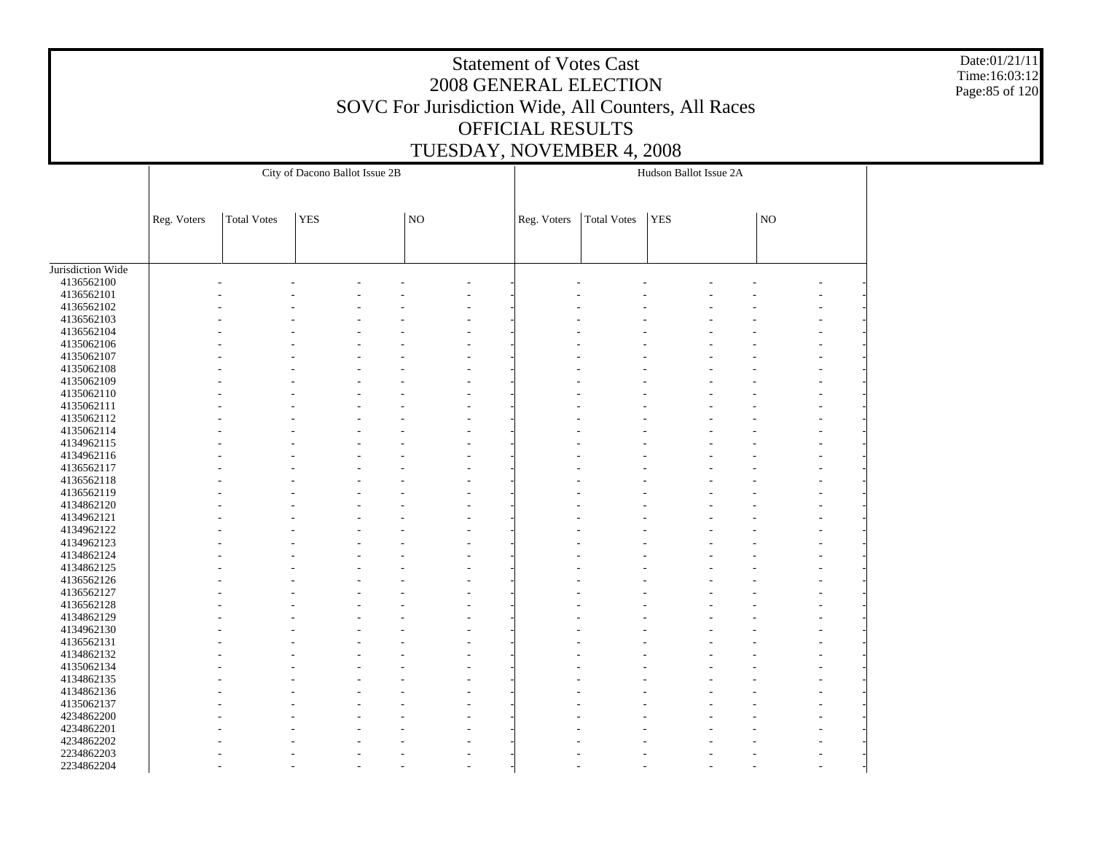Date:01/21/11 Time:16:03:12 Page:85 of 120

|                   |             |                    | City of Dacono Ballot Issue 2B |             |             |                    | Hudson Ballot Issue 2A |    |  |
|-------------------|-------------|--------------------|--------------------------------|-------------|-------------|--------------------|------------------------|----|--|
|                   |             |                    |                                |             |             |                    |                        |    |  |
|                   | Reg. Voters | <b>Total Votes</b> | <b>YES</b>                     | $_{\rm NO}$ | Reg. Voters | <b>Total Votes</b> | <b>YES</b>             | NO |  |
|                   |             |                    |                                |             |             |                    |                        |    |  |
| Jurisdiction Wide |             |                    |                                |             |             |                    |                        |    |  |
| 4136562100        |             |                    |                                |             |             |                    |                        |    |  |
| 4136562101        |             |                    |                                |             |             |                    |                        |    |  |
| 4136562102        |             |                    |                                |             |             |                    |                        |    |  |
| 4136562103        |             |                    |                                |             |             |                    |                        |    |  |
| 4136562104        |             |                    |                                |             |             |                    |                        |    |  |
| 4135062106        |             |                    |                                |             |             |                    |                        |    |  |
| 4135062107        |             |                    |                                |             |             |                    |                        |    |  |
| 4135062108        |             |                    |                                |             |             |                    |                        |    |  |
| 4135062109        |             |                    |                                |             |             |                    |                        |    |  |
| 4135062110        |             |                    |                                |             |             |                    |                        |    |  |
| 4135062111        |             |                    |                                |             |             |                    |                        |    |  |
| 4135062112        |             |                    |                                |             |             |                    |                        |    |  |
| 4135062114        |             |                    |                                |             |             |                    |                        |    |  |
| 4134962115        |             |                    |                                |             |             |                    |                        |    |  |
| 4134962116        |             |                    |                                |             |             |                    |                        |    |  |
| 4136562117        |             |                    |                                |             |             |                    |                        |    |  |
| 4136562118        |             |                    |                                |             |             |                    |                        |    |  |
| 4136562119        |             |                    |                                |             |             |                    |                        |    |  |
| 4134862120        |             |                    |                                |             |             |                    |                        |    |  |
| 4134962121        |             |                    |                                |             |             |                    |                        |    |  |
| 4134962122        |             |                    |                                |             |             |                    |                        |    |  |
|                   |             |                    |                                |             |             |                    |                        |    |  |
| 4134962123        |             |                    |                                |             |             |                    |                        |    |  |
| 4134862124        |             |                    |                                |             |             |                    |                        |    |  |
| 4134862125        |             |                    |                                |             |             |                    |                        |    |  |
| 4136562126        |             |                    |                                |             |             |                    |                        |    |  |
| 4136562127        |             |                    |                                |             |             |                    |                        |    |  |
| 4136562128        |             |                    |                                |             |             |                    |                        |    |  |
| 4134862129        |             |                    |                                |             |             |                    |                        |    |  |
| 4134962130        |             |                    |                                |             |             |                    |                        |    |  |
| 4136562131        |             |                    |                                |             |             |                    |                        |    |  |
| 4134862132        |             |                    |                                |             |             |                    |                        |    |  |
| 4135062134        |             |                    |                                |             |             |                    |                        |    |  |
| 4134862135        |             |                    |                                |             |             |                    |                        |    |  |
| 4134862136        |             |                    |                                |             |             |                    |                        |    |  |
| 4135062137        |             |                    |                                |             |             |                    |                        |    |  |
| 4234862200        |             |                    |                                |             |             |                    |                        |    |  |
| 4234862201        |             |                    |                                |             |             |                    |                        |    |  |
| 4234862202        |             |                    |                                |             |             |                    |                        |    |  |
| 2234862203        |             |                    |                                |             |             |                    |                        |    |  |
| 2234862204        |             |                    |                                |             |             |                    |                        |    |  |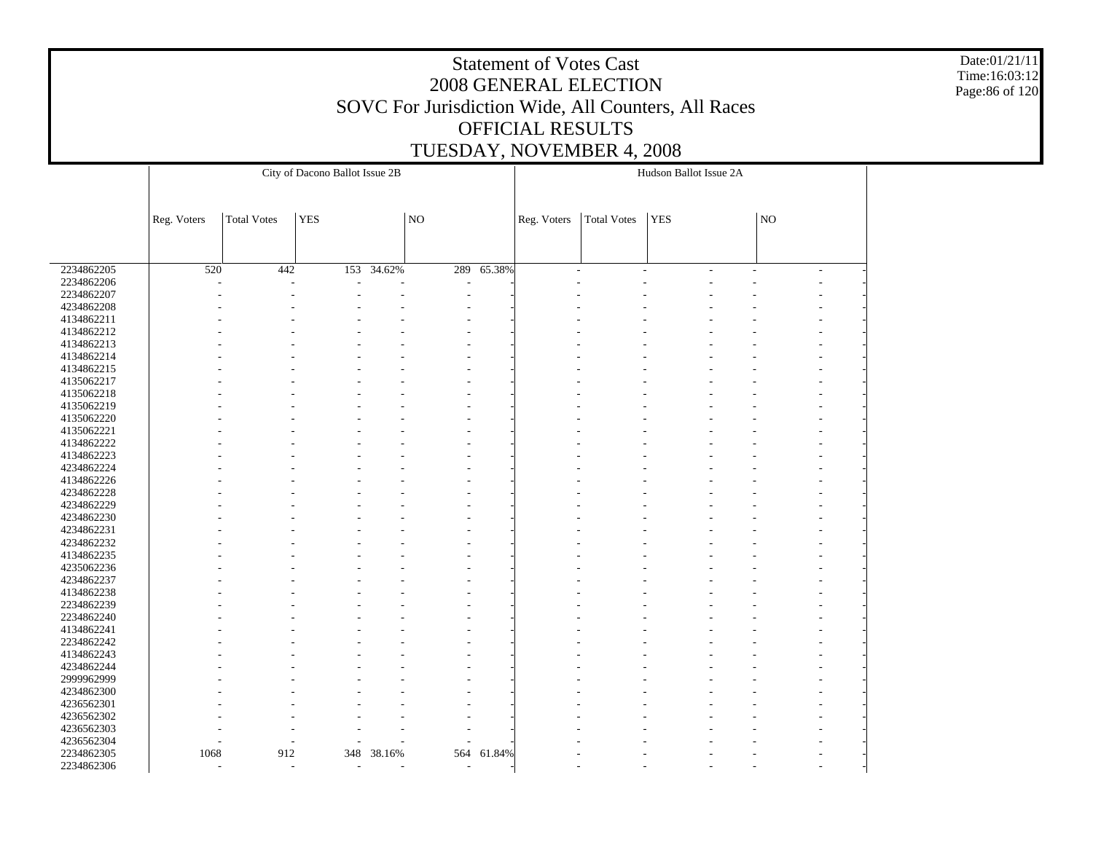Date:01/21/11 Time:16:03:12 Page:86 of 120

|            |                          |                    | City of Dacono Ballot Issue 2B |                          |                          |        |             |                    | Hudson Ballot Issue 2A |    |                          |  |
|------------|--------------------------|--------------------|--------------------------------|--------------------------|--------------------------|--------|-------------|--------------------|------------------------|----|--------------------------|--|
|            |                          |                    |                                |                          |                          |        |             |                    |                        |    |                          |  |
|            |                          |                    |                                |                          |                          |        |             |                    |                        |    |                          |  |
|            |                          | <b>Total Votes</b> | <b>YES</b>                     |                          | N <sub>O</sub>           |        |             | <b>Total Votes</b> | <b>YES</b>             | NO |                          |  |
|            | Reg. Voters              |                    |                                |                          |                          |        | Reg. Voters |                    |                        |    |                          |  |
|            |                          |                    |                                |                          |                          |        |             |                    |                        |    |                          |  |
|            |                          |                    |                                |                          |                          |        |             |                    |                        |    |                          |  |
| 2234862205 | 520                      | 442                | 153                            | 34.62%                   | 289                      | 65.38% |             | L.                 |                        | ÷  | $\overline{\phantom{a}}$ |  |
| 2234862206 |                          |                    |                                |                          | ٠                        |        |             |                    |                        |    |                          |  |
| 2234862207 |                          |                    |                                |                          |                          |        |             |                    |                        |    |                          |  |
| 4234862208 |                          |                    |                                |                          |                          |        |             |                    |                        |    |                          |  |
| 4134862211 |                          |                    |                                |                          |                          |        |             |                    |                        |    |                          |  |
| 4134862212 |                          |                    |                                |                          |                          |        |             |                    |                        |    |                          |  |
| 4134862213 |                          |                    |                                |                          |                          |        |             |                    |                        |    |                          |  |
| 4134862214 |                          |                    |                                |                          |                          |        |             |                    |                        |    |                          |  |
| 4134862215 |                          |                    |                                |                          |                          |        |             |                    |                        |    |                          |  |
| 4135062217 |                          |                    |                                |                          |                          |        |             |                    |                        |    |                          |  |
| 4135062218 |                          |                    |                                |                          |                          |        |             |                    |                        |    |                          |  |
| 4135062219 |                          |                    |                                |                          |                          |        |             |                    |                        |    |                          |  |
| 4135062220 |                          |                    |                                |                          |                          |        |             |                    |                        |    |                          |  |
| 4135062221 |                          |                    |                                |                          |                          |        |             |                    |                        |    |                          |  |
| 4134862222 |                          |                    |                                |                          |                          |        |             |                    |                        |    |                          |  |
| 4134862223 |                          |                    |                                |                          |                          |        |             |                    |                        |    |                          |  |
| 4234862224 |                          |                    |                                |                          |                          |        |             |                    |                        |    |                          |  |
| 4134862226 |                          |                    |                                |                          |                          |        |             |                    |                        |    |                          |  |
| 4234862228 |                          |                    |                                |                          |                          |        |             |                    |                        |    |                          |  |
| 4234862229 |                          |                    |                                |                          |                          |        |             |                    |                        |    |                          |  |
| 4234862230 |                          |                    |                                |                          |                          |        |             |                    |                        |    |                          |  |
| 4234862231 |                          |                    |                                |                          |                          |        |             |                    |                        |    |                          |  |
| 4234862232 |                          |                    |                                |                          |                          |        |             |                    |                        |    |                          |  |
| 4134862235 |                          |                    |                                |                          |                          |        |             |                    |                        |    |                          |  |
| 4235062236 |                          |                    |                                |                          |                          |        |             |                    |                        |    |                          |  |
| 4234862237 |                          |                    |                                |                          |                          |        |             |                    |                        |    |                          |  |
| 4134862238 |                          |                    |                                |                          |                          |        |             |                    |                        |    |                          |  |
|            |                          |                    |                                |                          |                          |        |             |                    |                        |    |                          |  |
| 2234862239 |                          |                    |                                |                          |                          |        |             |                    |                        |    |                          |  |
| 2234862240 |                          |                    |                                |                          |                          |        |             |                    |                        |    |                          |  |
| 4134862241 |                          |                    |                                |                          |                          |        |             |                    |                        |    |                          |  |
| 2234862242 |                          |                    |                                |                          |                          |        |             |                    |                        |    |                          |  |
| 4134862243 |                          |                    |                                |                          |                          |        |             |                    |                        |    |                          |  |
| 4234862244 |                          |                    |                                |                          |                          |        |             |                    |                        |    |                          |  |
| 2999962999 |                          |                    |                                |                          |                          |        |             |                    |                        |    |                          |  |
| 4234862300 |                          |                    |                                |                          |                          |        |             |                    |                        |    |                          |  |
| 4236562301 |                          |                    |                                |                          |                          |        |             |                    |                        |    |                          |  |
| 4236562302 |                          |                    |                                |                          |                          |        |             |                    |                        |    |                          |  |
| 4236562303 |                          |                    |                                |                          |                          |        |             |                    |                        |    |                          |  |
| 4236562304 |                          |                    |                                |                          |                          |        |             |                    |                        |    |                          |  |
| 2234862305 | 1068                     | 912                | 348                            | 38.16%                   | 564                      | 61.84% |             |                    |                        |    |                          |  |
| 2234862306 | $\overline{\phantom{a}}$ | $\overline{a}$     | $\overline{\phantom{a}}$       | $\overline{\phantom{a}}$ | $\overline{\phantom{a}}$ |        |             |                    |                        |    |                          |  |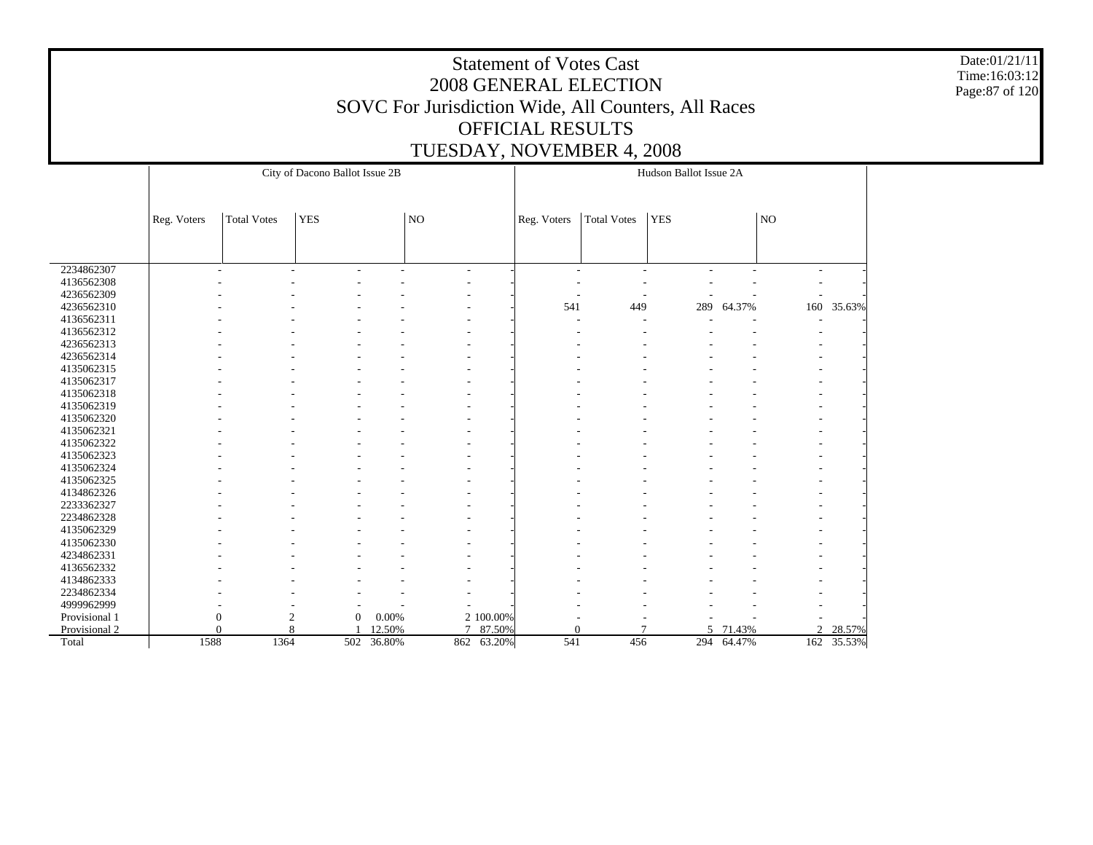Date:01/21/11 Time:16:03:12 Page:87 of 120

|               |             |                          | City of Dacono Ballot Issue 2B |                 |                          |                     |             |                    | Hudson Ballot Issue 2A |        |     |        |
|---------------|-------------|--------------------------|--------------------------------|-----------------|--------------------------|---------------------|-------------|--------------------|------------------------|--------|-----|--------|
|               |             |                          |                                |                 |                          |                     |             |                    |                        |        |     |        |
|               |             |                          |                                |                 |                          |                     |             |                    |                        |        |     |        |
|               | Reg. Voters | <b>Total Votes</b>       | <b>YES</b>                     |                 | NO                       |                     | Reg. Voters | <b>Total Votes</b> | <b>YES</b>             |        | NO. |        |
|               |             |                          |                                |                 |                          |                     |             |                    |                        |        |     |        |
|               |             |                          |                                |                 |                          |                     |             |                    |                        |        |     |        |
| 2234862307    |             | $\overline{\phantom{a}}$ | ٠<br>٠                         | Ē,              | $\overline{\phantom{a}}$ |                     | ٠           | ٠                  |                        |        | ٠   |        |
| 4136562308    |             |                          |                                |                 |                          |                     |             |                    |                        |        |     |        |
| 4236562309    |             |                          |                                |                 |                          |                     |             |                    |                        |        |     |        |
| 4236562310    |             |                          |                                |                 |                          |                     | 541         | 449                | 289                    | 64.37% | 160 | 35.63% |
| 4136562311    |             |                          |                                |                 |                          |                     |             |                    |                        |        |     |        |
| 4136562312    |             |                          |                                |                 |                          |                     |             |                    |                        |        |     |        |
| 4236562313    |             |                          |                                |                 |                          |                     |             |                    |                        |        |     |        |
| 4236562314    |             |                          |                                |                 |                          |                     |             |                    |                        |        |     |        |
| 4135062315    |             |                          |                                |                 |                          |                     |             |                    |                        |        |     |        |
| 4135062317    |             |                          |                                |                 |                          |                     |             |                    |                        |        |     |        |
| 4135062318    |             |                          |                                |                 |                          |                     |             |                    |                        |        |     |        |
| 4135062319    |             |                          |                                |                 |                          |                     |             |                    |                        |        |     |        |
| 4135062320    |             |                          |                                |                 |                          |                     |             |                    |                        |        |     |        |
| 4135062321    |             |                          |                                |                 |                          |                     |             |                    |                        |        |     |        |
| 4135062322    |             |                          |                                |                 |                          |                     |             |                    |                        |        |     |        |
| 4135062323    |             |                          |                                |                 |                          |                     |             |                    |                        |        |     |        |
| 4135062324    |             |                          |                                |                 |                          |                     |             |                    |                        |        |     |        |
| 4135062325    |             |                          |                                |                 |                          |                     |             |                    |                        |        |     |        |
| 4134862326    |             |                          |                                |                 |                          |                     |             |                    |                        |        |     |        |
| 2233362327    |             |                          |                                |                 |                          |                     |             |                    |                        |        |     |        |
| 2234862328    |             |                          |                                |                 |                          |                     |             |                    |                        |        |     |        |
| 4135062329    |             |                          |                                |                 |                          |                     |             |                    |                        |        |     |        |
| 4135062330    |             |                          |                                |                 |                          |                     |             |                    |                        |        |     |        |
| 4234862331    |             |                          |                                |                 |                          |                     |             |                    |                        |        |     |        |
| 4136562332    |             |                          |                                |                 |                          |                     |             |                    |                        |        |     |        |
| 4134862333    |             |                          |                                |                 |                          |                     |             |                    |                        |        |     |        |
| 2234862334    |             |                          |                                |                 |                          |                     |             |                    |                        |        |     |        |
| 4999962999    |             |                          |                                |                 |                          |                     |             |                    |                        |        |     |        |
| Provisional 1 |             |                          |                                |                 |                          |                     |             |                    |                        |        |     |        |
|               |             |                          |                                |                 |                          |                     |             |                    |                        |        |     |        |
| Provisional 2 |             | $\theta$<br>$\theta$     | $\mathbf{0}$<br>2<br>8         | 0.00%<br>12.50% | $\tau$                   | 2 100.00%<br>87.50% | $\Omega$    |                    | 5                      | 71.43% | 2   | 28.57% |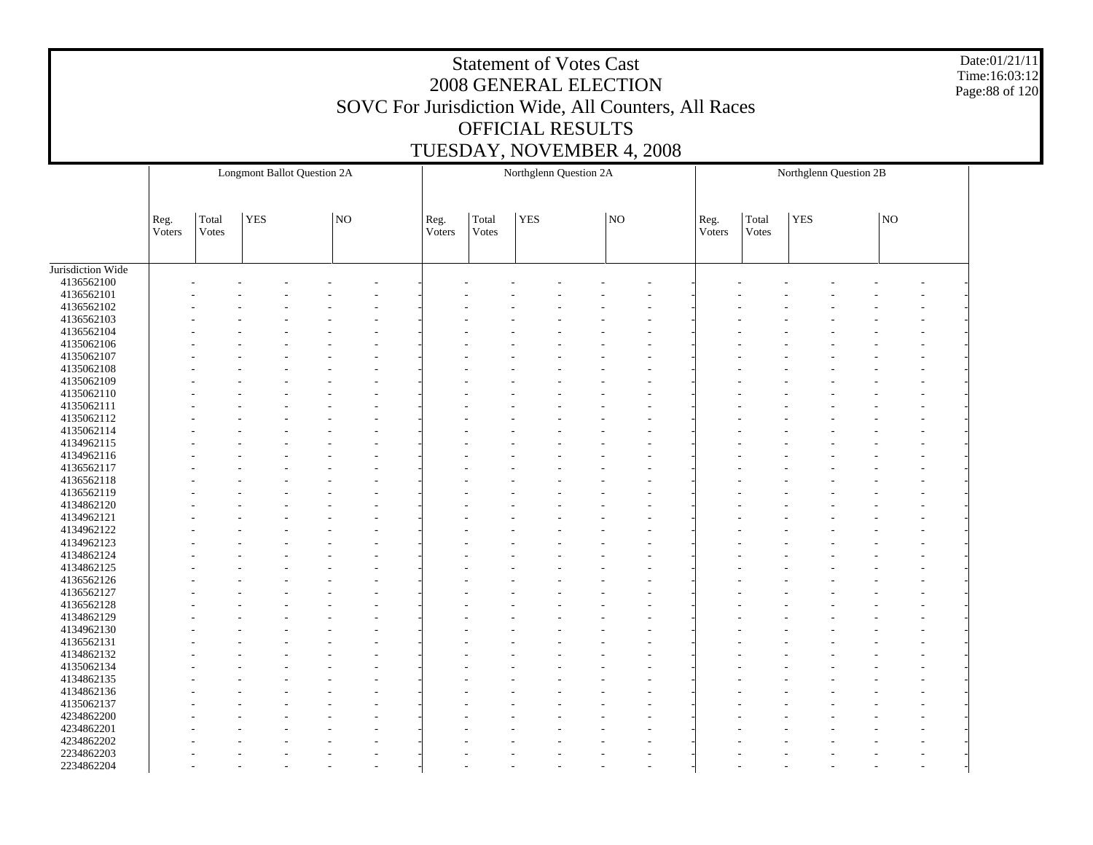Date:01/21/11 Time:16:03:12 Page:88 of 120

|                   | <b>Longmont Ballot Question 2A</b> |                |            |  |    |  |                | Northglenn Question 2A |            |    |                |                | Northglenn Question 2B |  |             |  |
|-------------------|------------------------------------|----------------|------------|--|----|--|----------------|------------------------|------------|----|----------------|----------------|------------------------|--|-------------|--|
|                   | Reg.<br>Voters                     | Total<br>Votes | <b>YES</b> |  | NO |  | Reg.<br>Voters | Total<br>Votes         | <b>YES</b> | NO | Reg.<br>Voters | Total<br>Votes | <b>YES</b>             |  | $_{\rm NO}$ |  |
|                   |                                    |                |            |  |    |  |                |                        |            |    |                |                |                        |  |             |  |
| Jurisdiction Wide |                                    |                |            |  |    |  |                |                        |            |    |                |                |                        |  |             |  |
| 4136562100        |                                    |                |            |  |    |  |                |                        |            |    |                |                |                        |  |             |  |
| 4136562101        |                                    |                |            |  |    |  |                |                        |            |    |                |                |                        |  |             |  |
| 4136562102        |                                    |                |            |  |    |  |                |                        |            |    |                |                |                        |  |             |  |
| 4136562103        |                                    |                |            |  |    |  |                |                        |            |    |                |                |                        |  |             |  |
| 4136562104        |                                    |                |            |  |    |  |                |                        |            |    |                |                |                        |  |             |  |
| 4135062106        |                                    |                |            |  |    |  |                |                        |            |    |                |                |                        |  |             |  |
| 4135062107        |                                    |                |            |  |    |  |                |                        |            |    |                |                |                        |  |             |  |
| 4135062108        |                                    |                |            |  |    |  |                |                        |            |    |                |                |                        |  |             |  |
| 4135062109        |                                    |                |            |  |    |  |                |                        |            |    |                |                |                        |  |             |  |
| 4135062110        |                                    |                |            |  |    |  |                |                        |            |    |                |                |                        |  |             |  |
| 4135062111        |                                    |                |            |  |    |  |                |                        |            |    |                |                |                        |  |             |  |
| 4135062112        |                                    |                |            |  |    |  |                |                        |            |    |                |                |                        |  |             |  |
| 4135062114        |                                    |                |            |  |    |  |                |                        |            |    |                |                |                        |  |             |  |
| 4134962115        |                                    |                |            |  |    |  |                |                        |            |    |                |                |                        |  |             |  |
| 4134962116        |                                    |                |            |  |    |  |                |                        |            |    |                |                |                        |  |             |  |
| 4136562117        |                                    |                |            |  |    |  |                |                        |            |    |                |                |                        |  |             |  |
| 4136562118        |                                    |                |            |  |    |  |                |                        |            |    |                |                |                        |  |             |  |
| 4136562119        |                                    |                |            |  |    |  |                |                        |            |    |                |                |                        |  |             |  |
| 4134862120        |                                    |                |            |  |    |  |                |                        |            |    |                |                |                        |  |             |  |
| 4134962121        |                                    |                |            |  |    |  |                |                        |            |    |                |                |                        |  |             |  |
| 4134962122        |                                    |                |            |  |    |  |                |                        |            |    |                |                |                        |  |             |  |
| 4134962123        |                                    |                |            |  |    |  |                |                        |            |    |                |                |                        |  |             |  |
| 4134862124        |                                    |                |            |  |    |  |                |                        |            |    |                |                |                        |  |             |  |
| 4134862125        |                                    |                |            |  |    |  |                |                        |            |    |                |                |                        |  |             |  |
| 4136562126        |                                    |                |            |  |    |  |                |                        |            |    |                |                |                        |  |             |  |
| 4136562127        |                                    |                |            |  |    |  |                |                        |            |    |                |                |                        |  |             |  |
| 4136562128        |                                    |                |            |  |    |  |                |                        |            |    |                |                |                        |  |             |  |
| 4134862129        |                                    |                |            |  |    |  |                |                        |            |    |                |                |                        |  |             |  |
| 4134962130        |                                    |                |            |  |    |  |                |                        |            |    |                |                |                        |  |             |  |
| 4136562131        |                                    |                |            |  |    |  |                |                        |            |    |                |                |                        |  |             |  |
| 4134862132        |                                    |                |            |  |    |  |                |                        |            |    |                |                |                        |  |             |  |
| 4135062134        |                                    |                |            |  |    |  |                |                        |            |    |                |                |                        |  |             |  |
|                   |                                    |                |            |  |    |  |                |                        |            |    |                |                |                        |  |             |  |
| 4134862135        |                                    |                |            |  |    |  |                |                        |            |    |                |                |                        |  |             |  |
| 4134862136        |                                    |                |            |  |    |  |                |                        |            |    |                |                |                        |  |             |  |
| 4135062137        |                                    |                |            |  |    |  |                |                        |            |    |                |                |                        |  |             |  |
| 4234862200        |                                    |                |            |  |    |  |                |                        |            |    |                |                |                        |  |             |  |
| 4234862201        |                                    |                |            |  |    |  |                |                        |            |    |                |                |                        |  |             |  |
| 4234862202        |                                    |                |            |  |    |  |                |                        |            |    |                |                |                        |  |             |  |
| 2234862203        |                                    |                |            |  |    |  |                |                        |            |    |                |                |                        |  |             |  |
| 2234862204        |                                    |                |            |  |    |  |                |                        |            |    |                |                |                        |  |             |  |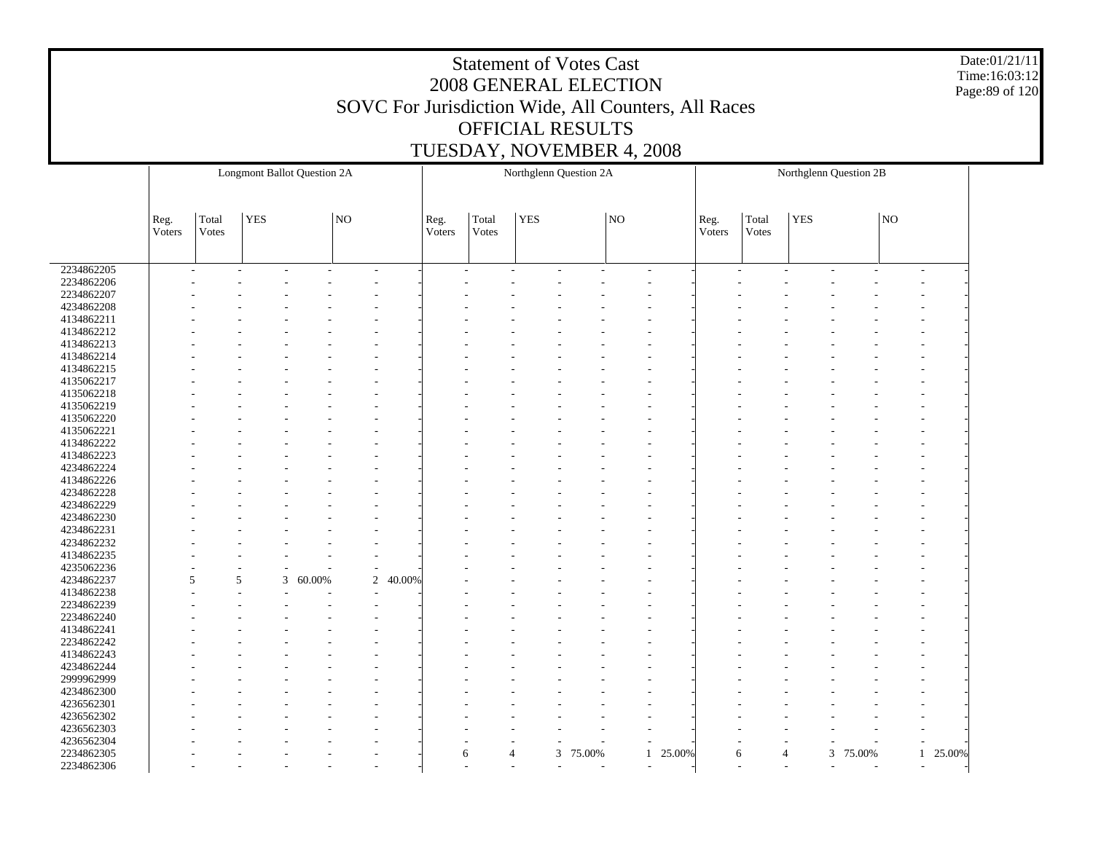Date:01/21/11 Time:16:03:12 Page:89 of 120

|            |        | <b>Longmont Ballot Question 2A</b> |            |             |                |        |        |                |                          | Northglenn Question 2A |    |                          |        |                |            | Northglenn Question 2B     |                |          |  |
|------------|--------|------------------------------------|------------|-------------|----------------|--------|--------|----------------|--------------------------|------------------------|----|--------------------------|--------|----------------|------------|----------------------------|----------------|----------|--|
|            |        |                                    |            |             |                |        |        |                |                          |                        |    |                          |        |                |            |                            |                |          |  |
|            |        |                                    |            |             |                |        |        |                |                          |                        |    |                          |        |                |            |                            |                |          |  |
|            |        |                                    |            |             |                |        |        |                |                          |                        |    |                          |        |                |            |                            |                |          |  |
|            | Reg.   | Total                              | <b>YES</b> |             | $\overline{N}$ |        | Reg.   | Total          | <b>YES</b>               |                        | NO |                          | Reg.   | Total          | <b>YES</b> |                            | $_{\rm NO}$    |          |  |
|            | Voters | Votes                              |            |             |                |        | Voters | Votes          |                          |                        |    |                          | Voters | Votes          |            |                            |                |          |  |
|            |        |                                    |            |             |                |        |        |                |                          |                        |    |                          |        |                |            |                            |                |          |  |
|            |        |                                    |            |             |                |        |        |                |                          |                        |    |                          |        |                |            |                            |                |          |  |
| 2234862205 | ٠      |                                    |            |             | ٠              | ٠      |        | ÷,             |                          | ٠                      |    | $\overline{\phantom{a}}$ | ٠      |                |            | ٠                          |                |          |  |
| 2234862206 |        |                                    |            |             |                |        |        |                |                          |                        |    |                          |        |                |            |                            |                |          |  |
| 2234862207 |        |                                    |            |             |                |        |        |                |                          |                        |    |                          |        |                |            |                            |                |          |  |
| 4234862208 |        |                                    |            |             |                |        |        |                |                          |                        |    |                          |        |                |            |                            |                |          |  |
| 4134862211 |        |                                    |            |             |                |        |        |                |                          |                        |    |                          |        |                |            |                            |                |          |  |
| 4134862212 |        |                                    |            |             |                |        |        |                |                          |                        |    |                          |        |                |            |                            |                |          |  |
| 4134862213 |        |                                    |            |             |                |        |        |                |                          |                        |    |                          |        |                |            |                            |                |          |  |
| 4134862214 |        |                                    |            |             |                |        |        |                |                          |                        |    |                          |        |                |            |                            |                |          |  |
| 4134862215 |        |                                    |            |             |                |        |        |                |                          |                        |    |                          |        |                |            |                            |                |          |  |
| 4135062217 |        |                                    |            |             |                |        |        |                |                          |                        |    |                          |        |                |            |                            |                |          |  |
| 4135062218 |        |                                    |            |             |                |        |        |                |                          |                        |    |                          |        |                |            |                            |                |          |  |
| 4135062219 |        |                                    |            |             |                |        |        |                |                          |                        |    |                          |        |                |            |                            |                |          |  |
| 4135062220 |        |                                    |            |             |                |        |        |                |                          |                        |    |                          |        |                |            |                            |                |          |  |
| 4135062221 |        |                                    |            |             |                |        |        |                |                          |                        |    |                          |        |                |            |                            |                |          |  |
| 4134862222 |        |                                    |            |             |                |        |        |                |                          |                        |    |                          |        |                |            |                            |                |          |  |
| 4134862223 |        |                                    |            |             |                |        |        |                |                          |                        |    |                          |        |                |            |                            |                |          |  |
| 4234862224 |        |                                    |            |             |                |        |        |                |                          |                        |    |                          |        |                |            |                            |                |          |  |
| 4134862226 |        |                                    |            |             |                |        |        |                |                          |                        |    |                          |        |                |            |                            |                |          |  |
| 4234862228 |        |                                    |            |             |                |        |        |                |                          |                        |    |                          |        |                |            |                            |                |          |  |
| 4234862229 |        |                                    |            |             |                |        |        |                |                          |                        |    |                          |        |                |            |                            |                |          |  |
| 4234862230 |        |                                    |            |             |                |        |        |                |                          |                        |    |                          |        |                |            |                            |                |          |  |
| 4234862231 |        |                                    |            |             |                |        |        |                |                          |                        |    |                          |        |                |            |                            |                |          |  |
| 4234862232 |        |                                    |            |             |                |        |        |                |                          |                        |    |                          |        |                |            |                            |                |          |  |
| 4134862235 |        |                                    |            |             |                |        |        |                |                          |                        |    |                          |        |                |            |                            |                |          |  |
| 4235062236 |        |                                    |            |             | $\overline{a}$ |        |        |                |                          |                        |    |                          |        |                |            |                            |                |          |  |
| 4234862237 | 5      | 5                                  |            | 3<br>60.00% | $\overline{2}$ | 40.00% |        |                |                          |                        |    |                          |        |                |            |                            |                |          |  |
| 4134862238 |        |                                    |            |             |                |        |        |                |                          |                        |    |                          |        |                |            |                            |                |          |  |
| 2234862239 |        |                                    |            |             |                |        |        |                |                          |                        |    |                          |        |                |            |                            |                |          |  |
| 2234862240 |        |                                    |            |             |                |        |        |                |                          |                        |    |                          |        |                |            |                            |                |          |  |
| 4134862241 |        |                                    |            |             |                |        |        |                |                          |                        |    |                          |        |                |            |                            |                |          |  |
| 2234862242 |        |                                    |            |             |                |        |        |                |                          |                        |    |                          |        |                |            |                            |                |          |  |
| 4134862243 |        |                                    |            |             |                |        |        |                |                          |                        |    |                          |        |                |            |                            |                |          |  |
| 4234862244 |        |                                    |            |             |                |        |        |                |                          |                        |    |                          |        |                |            |                            |                |          |  |
| 2999962999 |        |                                    |            |             |                |        |        |                |                          |                        |    |                          |        |                |            |                            |                |          |  |
|            |        |                                    |            |             |                |        |        |                |                          |                        |    |                          |        |                |            |                            |                |          |  |
| 4234862300 |        |                                    |            |             |                |        |        |                |                          |                        |    |                          |        |                |            |                            |                |          |  |
| 4236562301 |        |                                    |            |             |                |        |        |                |                          |                        |    |                          |        |                |            |                            |                |          |  |
| 4236562302 |        |                                    |            |             |                |        |        |                |                          |                        |    |                          |        |                |            |                            |                |          |  |
| 4236562303 |        |                                    |            |             |                |        |        |                |                          |                        |    |                          |        |                |            |                            |                |          |  |
| 4236562304 |        |                                    |            |             |                |        |        |                |                          |                        |    |                          |        |                |            |                            |                |          |  |
| 2234862305 |        |                                    |            |             |                |        | 6      | $\overline{4}$ | 3                        | 75.00%                 |    | 25.00%<br>$\mathbf{1}$   | 6      | $\overline{4}$ |            | 3<br>75.00%                |                | 1 25.00% |  |
| 2234862306 |        |                                    |            |             |                |        |        |                | $\overline{\phantom{a}}$ |                        |    |                          |        |                |            | $\tilde{\phantom{a}}$<br>٠ | $\overline{a}$ |          |  |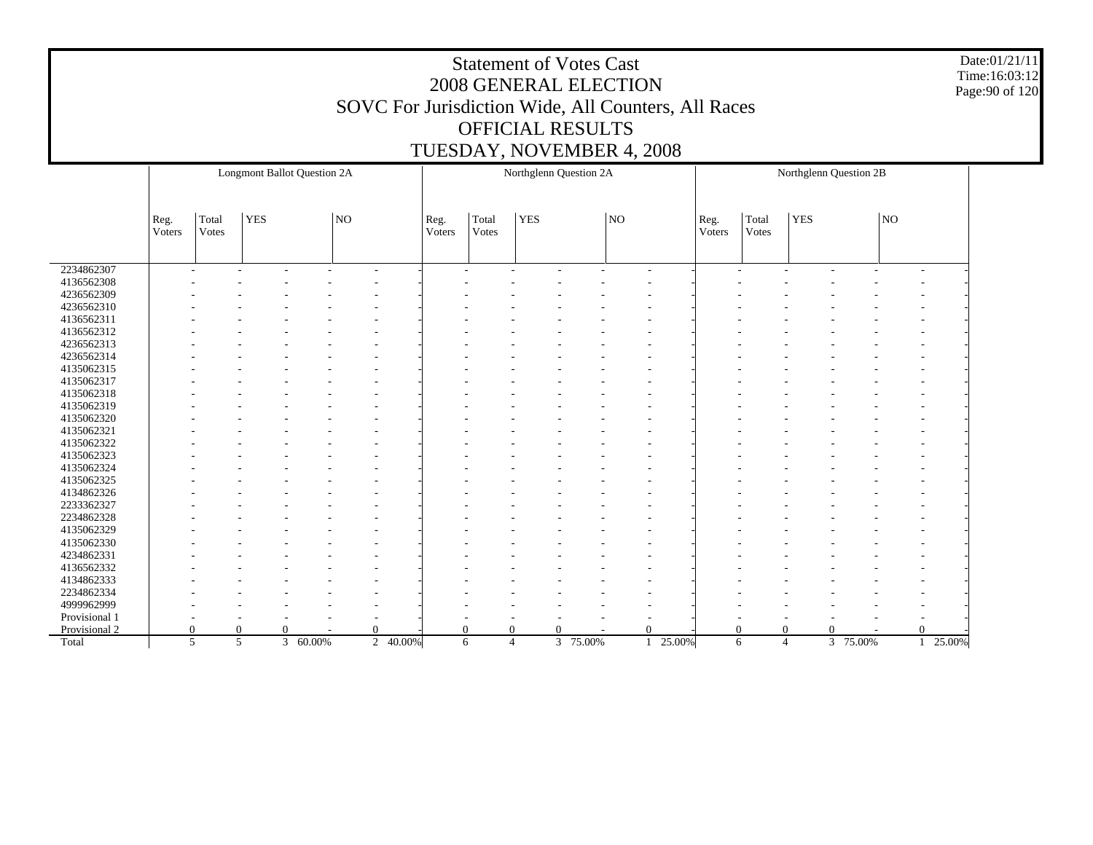Date:01/21/11 Time:16:03:12 Page:90 of 120

|               | <b>Longmont Ballot Question 2A</b> |                |            |          |          |          |                | Northglenn Question 2A |            |          |             |          |                |                     | Northglenn Question 2B |          |             |          |
|---------------|------------------------------------|----------------|------------|----------|----------|----------|----------------|------------------------|------------|----------|-------------|----------|----------------|---------------------|------------------------|----------|-------------|----------|
|               |                                    |                |            |          |          |          |                |                        |            |          |             |          |                |                     |                        |          |             |          |
|               | Reg.<br>Voters                     | Total<br>Votes | <b>YES</b> |          | NO       |          | Reg.<br>Voters | Total<br>Votes         | <b>YES</b> |          | $_{\rm NO}$ |          | Reg.<br>Voters | Total<br>Votes      | <b>YES</b>             |          | $_{\rm NO}$ |          |
|               |                                    |                |            |          |          |          |                |                        |            |          |             |          |                |                     |                        |          |             |          |
| 2234862307    |                                    |                |            |          |          |          |                |                        |            |          |             |          |                |                     |                        |          |             |          |
| 4136562308    |                                    |                |            |          |          |          |                |                        |            |          |             |          |                |                     |                        |          |             |          |
| 4236562309    |                                    |                |            |          |          |          |                |                        |            |          |             |          |                |                     |                        |          |             |          |
| 4236562310    |                                    |                |            |          |          |          |                |                        |            |          |             |          |                |                     |                        |          |             |          |
| 4136562311    |                                    |                |            |          |          |          |                |                        |            |          |             |          |                |                     |                        |          |             |          |
| 4136562312    |                                    |                |            |          |          |          |                |                        |            |          |             |          |                |                     |                        |          |             |          |
| 4236562313    |                                    |                |            |          |          |          |                |                        |            |          |             |          |                |                     |                        |          |             |          |
| 4236562314    |                                    |                |            |          |          |          |                |                        |            |          |             |          |                |                     |                        |          |             |          |
| 4135062315    |                                    |                |            |          |          |          |                |                        |            |          |             |          |                |                     |                        |          |             |          |
| 4135062317    |                                    |                |            |          |          |          |                |                        |            |          |             |          |                |                     |                        |          |             |          |
| 4135062318    |                                    |                |            |          |          |          |                |                        |            |          |             |          |                |                     |                        |          |             |          |
| 4135062319    |                                    |                |            |          |          |          |                |                        |            |          |             |          |                |                     |                        |          |             |          |
| 4135062320    |                                    |                |            |          |          |          |                |                        |            |          |             |          |                |                     |                        |          |             |          |
| 4135062321    |                                    |                |            |          |          |          |                |                        |            |          |             |          |                |                     |                        |          |             |          |
| 4135062322    |                                    |                |            |          |          |          |                |                        |            |          |             |          |                |                     |                        |          |             |          |
| 4135062323    |                                    |                |            |          |          |          |                |                        |            |          |             |          |                |                     |                        |          |             |          |
| 4135062324    |                                    |                |            |          |          |          |                |                        |            |          |             |          |                |                     |                        |          |             |          |
| 4135062325    |                                    |                |            |          |          |          |                |                        |            |          |             |          |                |                     |                        |          |             |          |
| 4134862326    |                                    |                |            |          |          |          |                |                        |            |          |             |          |                |                     |                        |          |             |          |
| 2233362327    |                                    |                |            |          |          |          |                |                        |            |          |             |          |                |                     |                        |          |             |          |
| 2234862328    |                                    |                |            |          |          |          |                |                        |            |          |             |          |                |                     |                        |          |             |          |
| 4135062329    |                                    |                |            |          |          |          |                |                        |            |          |             |          |                |                     |                        |          |             |          |
| 4135062330    |                                    |                |            |          |          |          |                |                        |            |          |             |          |                |                     |                        |          |             |          |
| 4234862331    |                                    |                |            |          |          |          |                |                        |            |          |             |          |                |                     |                        |          |             |          |
| 4136562332    |                                    |                |            |          |          |          |                |                        |            |          |             |          |                |                     |                        |          |             |          |
| 4134862333    |                                    |                |            |          |          |          |                |                        |            |          |             |          |                |                     |                        |          |             |          |
| 2234862334    |                                    |                |            |          |          |          |                |                        |            |          |             |          |                |                     |                        |          |             |          |
| 4999962999    |                                    |                |            |          |          |          |                |                        |            |          |             |          |                |                     |                        |          |             |          |
| Provisional 1 |                                    |                |            |          |          |          |                |                        |            |          |             |          |                |                     |                        |          |             |          |
| Provisional 2 |                                    | $\overline{0}$ | $\Omega$   | $\Omega$ | $\Omega$ |          | $\Omega$       | $\Omega$               |            | $\Omega$ |             | $\Omega$ | $\theta$       | $\overline{0}$      |                        | 0        |             | $\Omega$ |
| Total         |                                    | 5              | 5          | 3 60.00% |          | 2 40.00% |                | $\overline{4}$<br>6    |            | 3 75.00% |             | 25.00%   |                | $\overline{4}$<br>6 |                        | 3 75.00% |             | 25.00%   |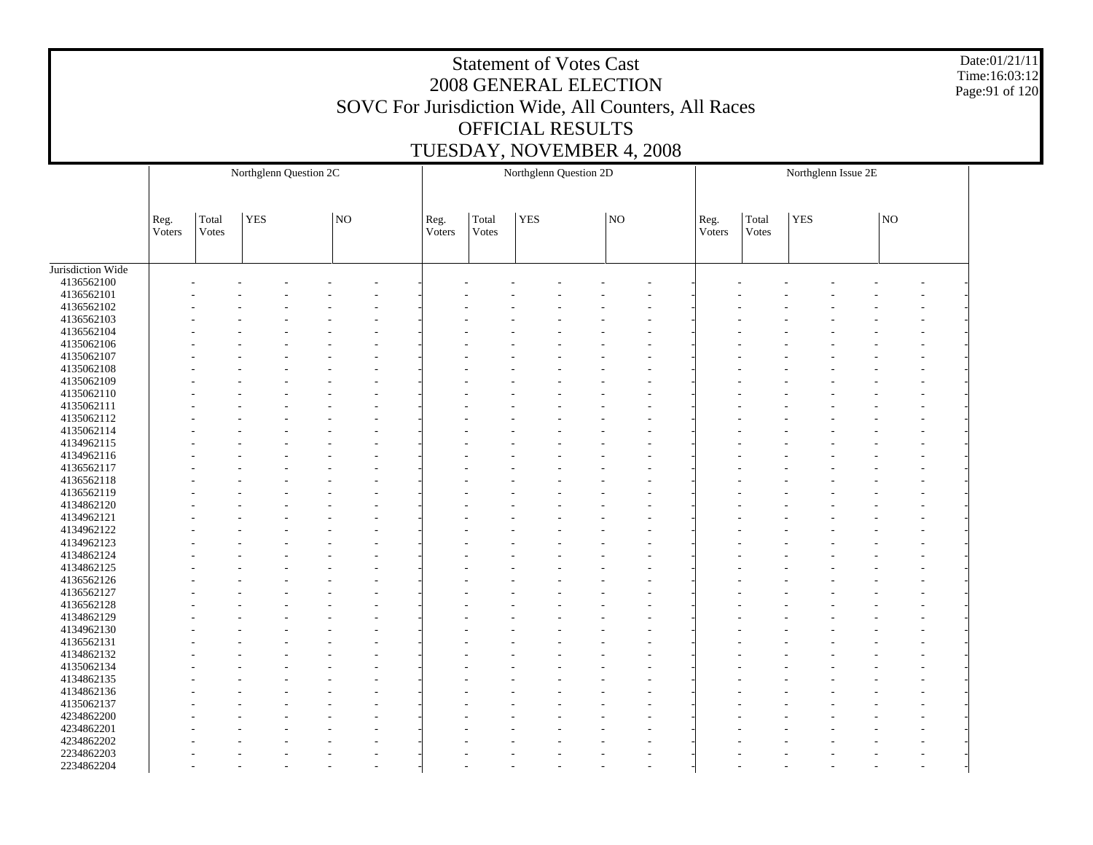Date:01/21/11 Time:16:03:12 Page:91 of 120

|                          | Northglenn Question 2C |                |            |  |    |  |                |                |            | Northglenn Question 2D |    |                |                |                |            | Northglenn Issue 2E |    |    |
|--------------------------|------------------------|----------------|------------|--|----|--|----------------|----------------|------------|------------------------|----|----------------|----------------|----------------|------------|---------------------|----|----|
|                          |                        |                |            |  |    |  |                |                |            |                        |    |                |                |                |            |                     |    |    |
|                          | Reg.<br>Voters         | Total<br>Votes | <b>YES</b> |  | NO |  | Reg.<br>Voters | Total<br>Votes | <b>YES</b> |                        | NO |                | Reg.<br>Voters | Total<br>Votes | <b>YES</b> |                     | NO |    |
| Jurisdiction Wide        |                        |                |            |  |    |  |                |                |            |                        |    |                |                |                |            |                     |    |    |
| 4136562100               |                        |                |            |  |    |  |                |                |            |                        |    |                |                |                |            |                     |    |    |
| 4136562101               |                        |                |            |  |    |  |                |                |            |                        |    |                |                |                |            |                     |    |    |
| 4136562102               |                        |                |            |  |    |  |                |                |            |                        |    |                |                |                |            |                     |    |    |
| 4136562103               |                        |                |            |  |    |  |                |                |            |                        |    |                |                |                |            |                     |    |    |
| 4136562104               |                        |                |            |  |    |  |                |                |            |                        |    |                |                |                |            |                     |    |    |
| 4135062106               |                        |                |            |  |    |  |                |                |            |                        |    |                |                |                |            |                     |    |    |
| 4135062107               |                        |                |            |  |    |  |                |                |            |                        |    |                |                |                |            |                     |    |    |
| 4135062108               |                        |                |            |  |    |  |                |                |            |                        |    |                |                |                |            |                     |    |    |
| 4135062109               |                        |                |            |  |    |  |                |                |            |                        |    |                |                |                |            |                     |    |    |
| 4135062110               |                        |                |            |  |    |  |                |                |            |                        |    |                |                |                |            |                     |    |    |
| 4135062111               |                        |                |            |  |    |  |                |                |            |                        |    |                |                |                |            |                     |    |    |
| 4135062112               |                        |                |            |  |    |  |                |                |            |                        |    |                |                |                |            |                     |    |    |
| 4135062114               |                        |                |            |  |    |  |                |                |            |                        |    |                |                |                |            |                     |    |    |
| 4134962115               |                        |                |            |  |    |  |                |                |            |                        |    |                |                |                |            |                     |    |    |
| 4134962116               |                        |                |            |  |    |  |                |                |            |                        |    |                |                |                |            |                     |    |    |
| 4136562117               |                        |                |            |  |    |  |                |                |            |                        |    |                |                |                |            |                     |    |    |
| 4136562118               |                        |                |            |  |    |  |                |                |            |                        |    |                |                |                |            |                     |    |    |
| 4136562119               |                        |                |            |  |    |  |                |                |            |                        |    |                |                |                |            |                     |    |    |
|                          |                        |                |            |  |    |  |                |                |            |                        |    |                |                |                |            |                     |    |    |
| 4134862120               |                        |                |            |  |    |  |                |                |            |                        |    |                |                |                |            |                     |    |    |
| 4134962121<br>4134962122 |                        |                |            |  |    |  |                |                |            |                        |    |                |                |                |            |                     |    |    |
|                          |                        |                |            |  |    |  |                |                |            |                        |    |                |                |                |            |                     |    |    |
| 4134962123               |                        |                |            |  |    |  |                |                |            |                        |    |                |                |                |            |                     |    |    |
| 4134862124               |                        |                |            |  |    |  |                |                |            |                        |    |                |                |                |            |                     |    |    |
| 4134862125               |                        |                |            |  |    |  |                |                |            |                        |    |                |                |                |            |                     |    |    |
| 4136562126               |                        |                |            |  |    |  |                |                |            |                        |    |                |                |                |            |                     |    |    |
| 4136562127               |                        |                |            |  |    |  |                |                |            |                        |    |                |                |                |            |                     |    |    |
| 4136562128               |                        |                |            |  |    |  |                |                |            |                        |    |                |                |                |            |                     |    |    |
| 4134862129               |                        |                |            |  |    |  |                |                |            |                        |    |                |                |                |            |                     |    |    |
| 4134962130               |                        |                |            |  |    |  |                |                |            |                        |    |                |                |                |            |                     |    |    |
| 4136562131               |                        |                |            |  |    |  |                |                |            |                        |    |                |                |                |            |                     |    |    |
| 4134862132               |                        |                |            |  |    |  |                |                |            |                        |    |                |                |                |            |                     |    |    |
| 4135062134               |                        |                |            |  |    |  |                |                |            |                        |    |                |                |                |            |                     |    |    |
| 4134862135               |                        |                |            |  |    |  |                |                |            |                        |    |                |                |                |            |                     |    |    |
| 4134862136               |                        |                |            |  |    |  |                |                |            |                        |    |                |                |                |            |                     |    |    |
| 4135062137               |                        |                |            |  |    |  |                |                |            |                        |    |                |                |                |            |                     |    |    |
| 4234862200               |                        |                |            |  |    |  |                |                |            |                        |    |                |                |                |            |                     |    |    |
| 4234862201               |                        |                |            |  |    |  |                |                |            |                        |    |                |                |                |            |                     |    |    |
| 4234862202               |                        |                |            |  |    |  |                |                |            |                        |    |                |                |                |            |                     |    |    |
| 2234862203               |                        |                |            |  |    |  |                |                |            |                        |    |                |                |                |            |                     |    |    |
| 2234862204               |                        |                |            |  |    |  |                |                |            |                        |    | $\overline{a}$ |                |                |            |                     |    | ÷, |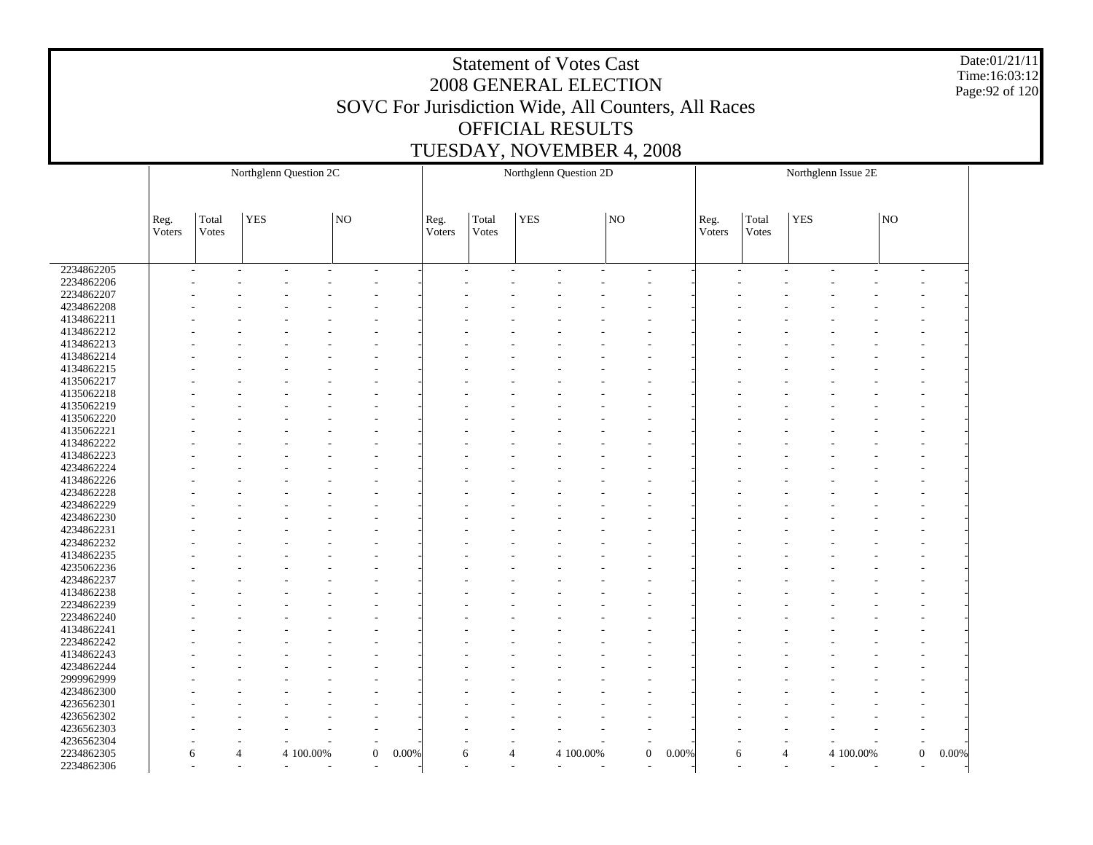Date:01/21/11 Time:16:03:12 Page:92 of 120

|            |        | Northglenn Question 2C |            |           |                          |                         |        |                |            | Northglenn Question 2D |    |                          |        |                |            | Northglenn Issue 2E                |    |                           |
|------------|--------|------------------------|------------|-----------|--------------------------|-------------------------|--------|----------------|------------|------------------------|----|--------------------------|--------|----------------|------------|------------------------------------|----|---------------------------|
|            |        |                        |            |           |                          |                         |        |                |            |                        |    |                          |        |                |            |                                    |    |                           |
|            |        |                        |            |           |                          |                         |        |                |            |                        |    |                          |        |                |            |                                    |    |                           |
|            | Reg.   | Total                  | <b>YES</b> |           | NO                       |                         | Reg.   | Total          | <b>YES</b> |                        | NO |                          | Reg.   | Total          | <b>YES</b> |                                    | NO |                           |
|            | Voters | Votes                  |            |           |                          |                         | Voters | Votes          |            |                        |    |                          | Voters | Votes          |            |                                    |    |                           |
|            |        |                        |            |           |                          |                         |        |                |            |                        |    |                          |        |                |            |                                    |    |                           |
| 2234862205 |        |                        |            |           | $\overline{\phantom{a}}$ |                         |        |                |            | $\tilde{\phantom{a}}$  |    | $\overline{\phantom{a}}$ |        | ٠              |            | $\tilde{\phantom{a}}$<br>٠         |    |                           |
| 2234862206 |        |                        |            |           |                          |                         |        |                |            |                        |    |                          |        |                |            |                                    |    |                           |
| 2234862207 |        |                        |            |           |                          |                         |        |                |            |                        |    |                          |        |                |            |                                    |    |                           |
| 4234862208 |        |                        |            |           |                          |                         |        |                |            |                        |    |                          |        |                |            |                                    |    |                           |
| 4134862211 |        |                        |            |           |                          |                         |        |                |            |                        |    |                          |        |                |            |                                    |    |                           |
| 4134862212 |        |                        |            |           |                          |                         |        |                |            |                        |    |                          |        |                |            |                                    |    |                           |
| 4134862213 |        |                        |            |           |                          |                         |        |                |            |                        |    |                          |        |                |            |                                    |    |                           |
| 4134862214 |        |                        |            |           |                          |                         |        |                |            |                        |    |                          |        |                |            |                                    |    |                           |
| 4134862215 |        |                        |            |           |                          |                         |        |                |            |                        |    |                          |        |                |            |                                    |    |                           |
| 4135062217 |        |                        |            |           |                          |                         |        |                |            |                        |    |                          |        |                |            |                                    |    |                           |
| 4135062218 |        |                        |            |           |                          |                         |        |                |            |                        |    |                          |        |                |            |                                    |    |                           |
| 4135062219 |        |                        |            |           |                          |                         |        |                |            |                        |    |                          |        |                |            |                                    |    |                           |
| 4135062220 |        |                        |            |           |                          |                         |        |                |            |                        |    |                          |        |                |            |                                    |    |                           |
| 4135062221 |        |                        |            |           |                          |                         |        |                |            |                        |    |                          |        |                |            |                                    |    |                           |
| 4134862222 |        |                        |            |           |                          |                         |        |                |            |                        |    |                          |        |                |            |                                    |    |                           |
| 4134862223 |        |                        |            |           |                          |                         |        |                |            |                        |    |                          |        |                |            |                                    |    |                           |
| 4234862224 |        |                        |            |           |                          |                         |        |                |            |                        |    |                          |        |                |            |                                    |    |                           |
| 4134862226 |        |                        |            |           |                          |                         |        |                |            |                        |    |                          |        |                |            |                                    |    |                           |
|            |        |                        |            |           |                          |                         |        |                |            |                        |    |                          |        |                |            |                                    |    |                           |
| 4234862228 |        |                        |            |           |                          |                         |        |                |            |                        |    |                          |        |                |            |                                    |    |                           |
| 4234862229 |        |                        |            |           |                          |                         |        |                |            |                        |    |                          |        |                |            |                                    |    |                           |
| 4234862230 |        |                        |            |           |                          |                         |        |                |            |                        |    |                          |        |                |            |                                    |    |                           |
| 4234862231 |        |                        |            |           |                          |                         |        |                |            |                        |    |                          |        |                |            |                                    |    |                           |
| 4234862232 |        |                        |            |           |                          |                         |        |                |            |                        |    |                          |        |                |            |                                    |    |                           |
| 4134862235 |        |                        |            |           |                          |                         |        |                |            |                        |    |                          |        |                |            |                                    |    |                           |
| 4235062236 |        |                        |            |           |                          |                         |        |                |            |                        |    |                          |        |                |            |                                    |    |                           |
| 4234862237 |        |                        |            |           |                          |                         |        |                |            |                        |    |                          |        |                |            |                                    |    |                           |
| 4134862238 |        |                        |            |           |                          |                         |        |                |            |                        |    |                          |        |                |            |                                    |    |                           |
| 2234862239 |        |                        |            |           |                          |                         |        |                |            |                        |    |                          |        |                |            |                                    |    |                           |
| 2234862240 |        |                        |            |           |                          |                         |        |                |            |                        |    |                          |        |                |            |                                    |    |                           |
| 4134862241 |        |                        |            |           |                          |                         |        |                |            |                        |    |                          |        |                |            |                                    |    |                           |
| 2234862242 |        |                        |            |           |                          |                         |        |                |            |                        |    |                          |        |                |            |                                    |    |                           |
| 4134862243 |        |                        |            |           |                          |                         |        |                |            |                        |    |                          |        |                |            |                                    |    |                           |
| 4234862244 |        |                        |            |           |                          |                         |        |                |            |                        |    |                          |        |                |            |                                    |    |                           |
| 2999962999 |        |                        |            |           |                          |                         |        |                |            |                        |    |                          |        |                |            |                                    |    |                           |
| 4234862300 |        |                        |            |           |                          |                         |        |                |            |                        |    |                          |        |                |            |                                    |    |                           |
| 4236562301 |        |                        |            |           |                          |                         |        |                |            |                        |    |                          |        |                |            |                                    |    |                           |
| 4236562302 |        |                        |            |           |                          |                         |        |                |            |                        |    |                          |        |                |            |                                    |    |                           |
| 4236562303 |        |                        |            |           |                          |                         |        |                |            |                        |    |                          |        |                |            |                                    |    | ÷,                        |
| 4236562304 |        |                        |            |           |                          |                         |        |                |            |                        |    |                          |        |                |            |                                    |    |                           |
| 2234862305 |        | $\overline{4}$<br>6    |            | 4 100.00% |                          | $\overline{0}$<br>0.00% | 6      | $\overline{4}$ |            | 4 100.00%              |    | $\mathbf{0}$<br>0.00%    | 6      | $\overline{4}$ |            | 4 100.00%                          |    | $\boldsymbol{0}$<br>0.00% |
| 2234862306 |        |                        | $\sim$     | $\sim$    |                          |                         |        | ٠              |            | $\sim$<br>٠            |    |                          | ٠      | ٠              |            | $\sim$<br>$\overline{\phantom{a}}$ |    |                           |
|            |        |                        |            |           |                          |                         |        |                |            |                        |    |                          |        |                |            |                                    |    |                           |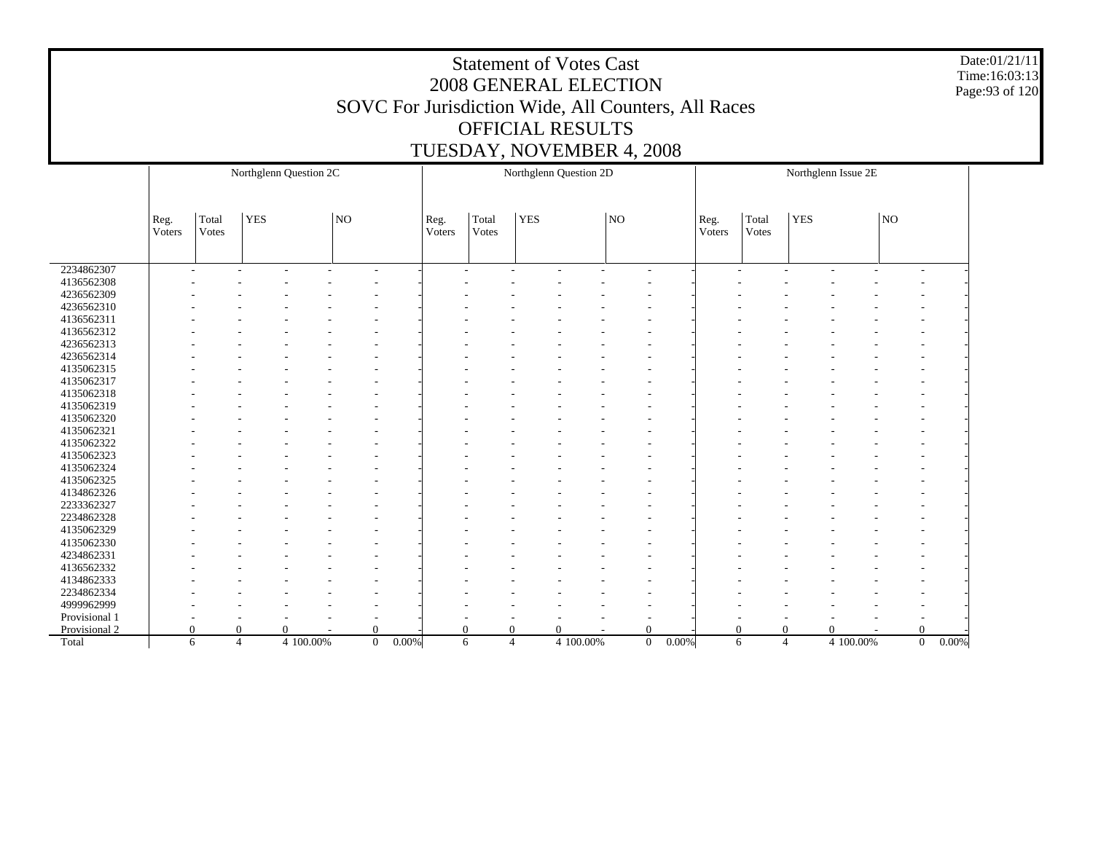Date:01/21/11 Time:16:03:13 Page:93 of 120

|               | Northglenn Question 2C   |                |                |                          |                          |       |                | Northglenn Question 2D   |            |           |                                                      |       |                |                | Northglenn Issue 2E |           |                          |       |
|---------------|--------------------------|----------------|----------------|--------------------------|--------------------------|-------|----------------|--------------------------|------------|-----------|------------------------------------------------------|-------|----------------|----------------|---------------------|-----------|--------------------------|-------|
|               |                          |                |                |                          |                          |       |                |                          |            |           |                                                      |       |                |                |                     |           |                          |       |
|               | Reg.<br>Voters           | Total<br>Votes | <b>YES</b>     |                          | NO                       |       | Reg.<br>Voters | Total<br>Votes           | <b>YES</b> |           | NO                                                   |       | Reg.<br>Voters | Total<br>Votes | <b>YES</b>          |           | NO                       |       |
|               |                          |                |                |                          |                          |       |                |                          |            |           |                                                      |       |                |                |                     |           |                          |       |
| 2234862307    | $\overline{\phantom{a}}$ |                |                | $\overline{\phantom{a}}$ | $\overline{\phantom{a}}$ |       |                | $\overline{\phantom{a}}$ |            | ٠         | $\overline{\phantom{a}}$<br>$\overline{\phantom{a}}$ |       |                | ٠<br>۰         |                     | ۰         | ٠<br>۰                   |       |
| 4136562308    |                          |                |                |                          |                          |       |                |                          |            |           |                                                      |       |                |                |                     |           |                          |       |
| 4236562309    |                          |                |                |                          |                          |       |                |                          |            |           |                                                      |       |                |                |                     |           |                          |       |
| 4236562310    |                          |                |                |                          |                          |       |                |                          |            |           |                                                      |       |                |                |                     |           |                          |       |
| 4136562311    |                          |                |                |                          |                          |       |                |                          |            |           |                                                      |       |                |                |                     |           |                          |       |
| 4136562312    |                          |                |                |                          |                          |       |                |                          |            |           |                                                      |       |                |                |                     |           |                          |       |
| 4236562313    |                          |                |                |                          |                          |       |                |                          |            |           |                                                      |       |                |                |                     |           |                          |       |
| 4236562314    |                          |                |                |                          |                          |       |                |                          |            |           |                                                      |       |                |                |                     |           |                          |       |
| 4135062315    |                          |                |                |                          |                          |       |                |                          |            |           |                                                      |       |                |                |                     |           |                          |       |
| 4135062317    |                          |                |                |                          |                          |       |                |                          |            |           |                                                      |       |                |                |                     |           |                          |       |
| 4135062318    |                          |                |                |                          |                          |       |                |                          |            |           |                                                      |       |                |                |                     |           |                          |       |
| 4135062319    |                          |                |                |                          |                          |       |                |                          |            |           |                                                      |       |                |                |                     |           |                          |       |
| 4135062320    |                          |                |                |                          |                          |       |                |                          |            |           |                                                      |       |                |                |                     |           |                          |       |
| 4135062321    |                          |                |                |                          |                          |       |                |                          |            |           |                                                      |       |                |                |                     |           |                          |       |
| 4135062322    |                          |                |                |                          |                          |       |                |                          |            |           |                                                      |       |                |                |                     |           |                          |       |
| 4135062323    |                          |                |                |                          |                          |       |                |                          |            |           |                                                      |       |                |                |                     |           |                          |       |
| 4135062324    |                          |                |                |                          |                          |       |                |                          |            |           |                                                      |       |                |                |                     |           |                          |       |
| 4135062325    |                          |                |                |                          |                          |       |                |                          |            |           |                                                      |       |                |                |                     |           |                          |       |
| 4134862326    |                          |                |                |                          |                          |       |                |                          |            |           |                                                      |       |                |                |                     |           |                          |       |
| 2233362327    |                          |                |                |                          |                          |       |                |                          |            |           |                                                      |       |                |                |                     |           |                          |       |
| 2234862328    |                          |                |                |                          |                          |       |                |                          |            |           |                                                      |       |                |                |                     |           |                          |       |
| 4135062329    |                          |                |                |                          |                          |       |                |                          |            |           |                                                      |       |                |                |                     |           |                          |       |
| 4135062330    |                          |                |                |                          |                          |       |                |                          |            |           |                                                      |       |                |                |                     |           |                          |       |
| 4234862331    |                          |                |                |                          |                          |       |                |                          |            |           |                                                      |       |                |                |                     |           |                          |       |
| 4136562332    |                          |                |                |                          |                          |       |                |                          |            |           |                                                      |       |                |                |                     |           |                          |       |
| 4134862333    |                          |                |                |                          |                          |       |                |                          |            |           |                                                      |       |                |                |                     |           |                          |       |
| 2234862334    |                          |                |                |                          |                          |       |                |                          |            |           |                                                      |       |                |                |                     |           |                          |       |
| 4999962999    |                          |                |                |                          |                          |       |                |                          |            |           |                                                      |       |                |                |                     |           |                          |       |
| Provisional 1 |                          |                |                |                          |                          |       |                |                          |            |           | $\overline{\phantom{a}}$                             |       |                |                |                     |           | $\overline{\phantom{a}}$ |       |
| Provisional 2 | $\Omega$                 |                | 0              | $\Omega$                 | 0                        |       | $\Omega$       | $\Omega$                 |            | $\Omega$  | $\Omega$                                             |       | $\Omega$       | $\theta$       |                     | $\Omega$  | $\Omega$                 |       |
| Total         | 6                        |                | $\overline{4}$ | 4 100.00%                | $\overline{0}$           | 0.00% | 6              | $\overline{4}$           |            | 4 100.00% | $\mathbf{0}$                                         | 0.00% | 6              | $\overline{4}$ |                     | 4 100.00% | $\mathbf{0}$             | 0.00% |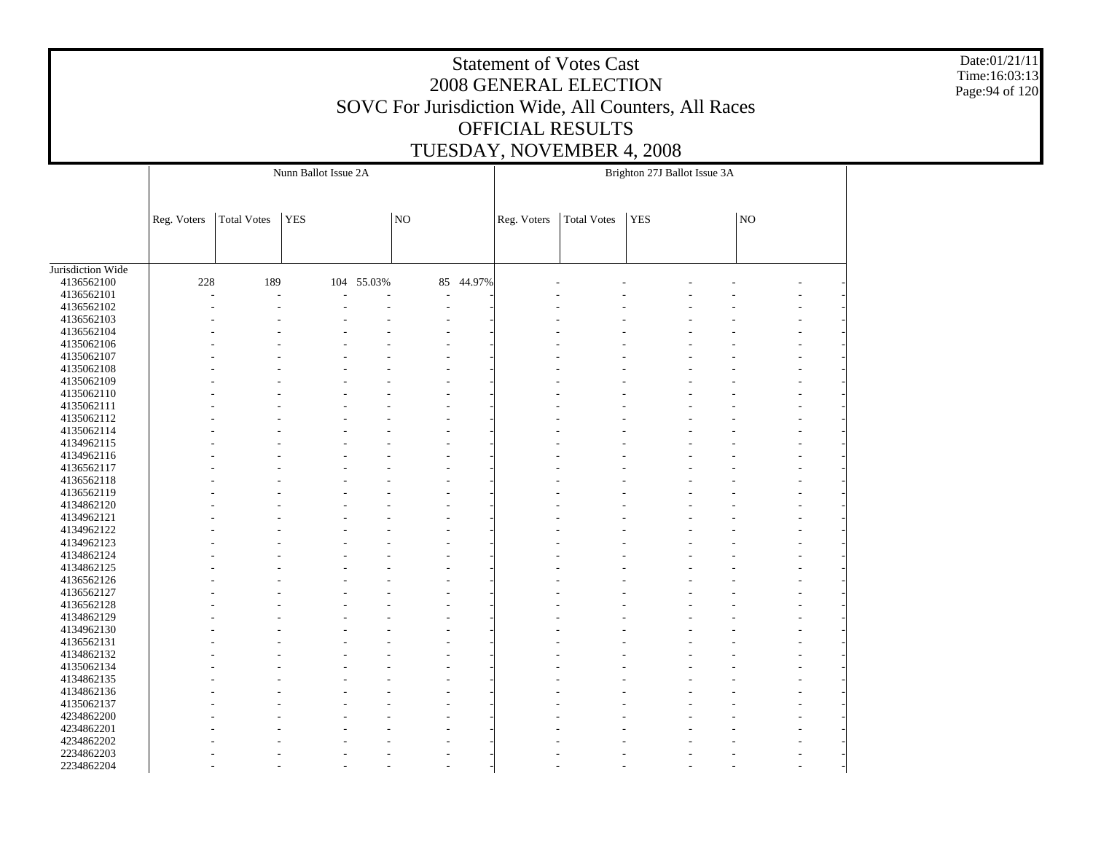Date:01/21/11 Time:16:03:13 Page:94 of 120

|                   |             |                    | Nunn Ballot Issue 2A |        |                |        |             |                    | Brighton 27J Ballot Issue 3A |    |  |
|-------------------|-------------|--------------------|----------------------|--------|----------------|--------|-------------|--------------------|------------------------------|----|--|
|                   | Reg. Voters | <b>Total Votes</b> | <b>YES</b>           |        | N <sub>O</sub> |        | Reg. Voters | <b>Total Votes</b> | <b>YES</b>                   | NO |  |
| Jurisdiction Wide |             |                    |                      |        |                |        |             |                    |                              |    |  |
| 4136562100        | 228         | 189                | 104                  | 55.03% | 85             | 44.97% |             |                    |                              |    |  |
| 4136562101        |             | ÷                  |                      |        | ÷              |        |             |                    |                              |    |  |
| 4136562102        |             |                    |                      |        | ÷,             |        |             |                    |                              |    |  |
| 4136562103        |             |                    |                      |        |                |        |             |                    |                              |    |  |
| 4136562104        |             |                    |                      |        |                |        |             |                    |                              |    |  |
| 4135062106        |             |                    |                      |        |                |        |             |                    |                              |    |  |
| 4135062107        |             |                    |                      |        |                |        |             |                    |                              |    |  |
| 4135062108        |             |                    |                      |        |                |        |             |                    |                              |    |  |
| 4135062109        |             |                    |                      |        |                |        |             |                    |                              |    |  |
| 4135062110        |             |                    |                      |        |                |        |             |                    |                              |    |  |
| 4135062111        |             |                    |                      |        |                |        |             |                    |                              |    |  |
| 4135062112        |             |                    |                      |        |                |        |             |                    |                              |    |  |
| 4135062114        |             |                    |                      |        |                |        |             |                    |                              |    |  |
| 4134962115        |             |                    |                      |        |                |        |             |                    |                              |    |  |
| 4134962116        |             |                    |                      |        |                |        |             |                    |                              |    |  |
| 4136562117        |             |                    |                      |        |                |        |             |                    |                              |    |  |
| 4136562118        |             |                    |                      |        |                |        |             |                    |                              |    |  |
| 4136562119        |             |                    |                      |        |                |        |             |                    |                              |    |  |
| 4134862120        |             |                    |                      |        |                |        |             |                    |                              |    |  |
| 4134962121        |             |                    |                      |        |                |        |             |                    |                              |    |  |
| 4134962122        |             |                    |                      |        |                |        |             |                    |                              |    |  |
| 4134962123        |             |                    |                      |        |                |        |             |                    |                              |    |  |
| 4134862124        |             |                    |                      |        |                |        |             |                    |                              |    |  |
| 4134862125        |             |                    |                      |        |                |        |             |                    |                              |    |  |
| 4136562126        |             |                    |                      |        |                |        |             |                    |                              |    |  |
| 4136562127        |             |                    |                      |        |                |        |             |                    |                              |    |  |
| 4136562128        |             |                    |                      |        |                |        |             |                    |                              |    |  |
| 4134862129        |             |                    |                      |        |                |        |             |                    |                              |    |  |
| 4134962130        |             |                    |                      |        |                |        |             |                    |                              |    |  |
| 4136562131        |             |                    |                      |        |                |        |             |                    |                              |    |  |
| 4134862132        |             |                    |                      |        |                |        |             |                    |                              |    |  |
|                   |             |                    |                      |        |                |        |             |                    |                              |    |  |
| 4135062134        |             |                    |                      |        |                |        |             |                    |                              |    |  |
| 4134862135        |             |                    |                      |        |                |        |             |                    |                              |    |  |
| 4134862136        |             |                    |                      |        |                |        |             |                    |                              |    |  |
| 4135062137        |             |                    |                      |        |                |        |             |                    |                              |    |  |
| 4234862200        |             |                    |                      |        |                |        |             |                    |                              |    |  |
| 4234862201        |             |                    |                      |        |                |        |             |                    |                              |    |  |
| 4234862202        |             |                    |                      |        |                |        |             |                    |                              |    |  |
| 2234862203        |             |                    |                      |        |                |        |             |                    |                              |    |  |
| 2234862204        |             |                    |                      |        |                |        |             |                    |                              |    |  |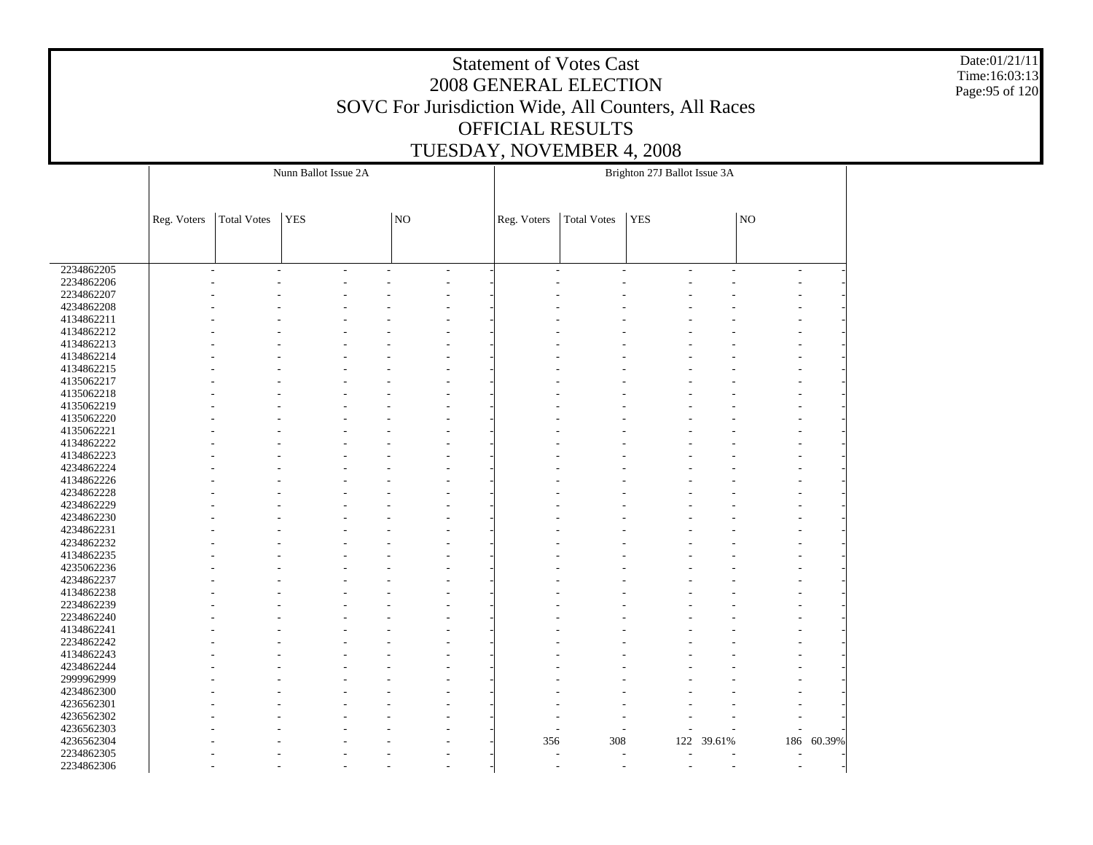Date:01/21/11 Time:16:03:13 Page:95 of 120

|            |             |                    | Nunn Ballot Issue 2A |    |    |    |                |                | Brighton 27J Ballot Issue 3A |                |        |        |
|------------|-------------|--------------------|----------------------|----|----|----|----------------|----------------|------------------------------|----------------|--------|--------|
|            | Reg. Voters | <b>Total Votes</b> | <b>YES</b>           |    | NO |    | Reg. Voters    | Total Votes    | <b>YES</b>                   |                | NO     |        |
|            |             |                    |                      |    |    |    |                |                |                              |                |        |        |
| 2234862205 |             | L.                 | L.                   | L, |    | ÷, | $\overline{a}$ | $\overline{a}$ | L,                           | $\overline{a}$ | $\sim$ |        |
| 2234862206 |             |                    |                      |    |    |    |                |                |                              |                |        |        |
| 2234862207 |             |                    |                      |    |    |    |                |                |                              |                |        |        |
| 4234862208 |             |                    |                      |    |    |    |                |                |                              |                |        |        |
| 4134862211 |             |                    |                      |    |    |    |                |                |                              |                |        |        |
| 4134862212 |             |                    |                      |    |    |    |                |                |                              |                |        |        |
| 4134862213 |             |                    |                      |    |    |    |                |                |                              |                |        |        |
| 4134862214 |             |                    |                      |    |    |    |                |                |                              |                |        |        |
| 4134862215 |             |                    |                      |    |    |    |                |                |                              |                |        |        |
| 4135062217 |             |                    |                      |    |    |    |                |                |                              |                |        |        |
| 4135062218 |             |                    |                      |    |    |    |                |                |                              |                |        |        |
| 4135062219 |             |                    |                      |    |    |    |                |                |                              |                |        |        |
| 4135062220 |             |                    |                      |    |    |    |                |                |                              |                |        |        |
| 4135062221 |             |                    |                      |    |    |    |                |                |                              |                |        |        |
| 4134862222 |             |                    |                      |    |    |    |                |                |                              |                |        |        |
| 4134862223 |             |                    |                      |    |    |    |                |                |                              |                |        |        |
| 4234862224 |             |                    |                      |    |    |    |                |                |                              |                |        |        |
| 4134862226 |             |                    |                      |    |    |    |                |                |                              |                |        |        |
| 4234862228 |             |                    |                      |    |    |    |                |                |                              |                |        |        |
| 4234862229 |             |                    |                      |    |    |    |                |                |                              |                |        |        |
| 4234862230 |             |                    |                      |    |    |    |                |                |                              |                |        |        |
| 4234862231 |             |                    |                      |    |    |    |                |                |                              |                |        |        |
| 4234862232 |             |                    |                      |    |    |    |                |                |                              |                |        |        |
| 4134862235 |             |                    |                      |    |    |    |                |                |                              |                |        |        |
| 4235062236 |             |                    |                      |    |    |    |                |                |                              |                |        |        |
| 4234862237 |             |                    |                      |    |    |    |                |                |                              |                |        |        |
| 4134862238 |             |                    |                      |    |    |    |                |                |                              |                |        |        |
| 2234862239 |             |                    |                      |    |    |    |                |                |                              |                |        |        |
| 2234862240 |             |                    |                      |    |    |    |                |                |                              |                |        |        |
| 4134862241 |             |                    |                      |    |    |    |                |                |                              |                |        |        |
| 2234862242 |             |                    |                      |    |    |    |                |                |                              |                |        |        |
| 4134862243 |             |                    |                      |    |    |    |                |                |                              |                |        |        |
| 4234862244 |             |                    |                      |    |    |    |                |                |                              |                |        |        |
| 2999962999 |             |                    |                      |    |    |    |                |                |                              |                |        |        |
| 4234862300 |             |                    |                      |    |    |    |                |                |                              |                |        |        |
| 4236562301 |             |                    |                      |    |    |    |                |                |                              |                |        |        |
| 4236562302 |             |                    |                      |    |    |    |                |                |                              |                |        |        |
| 4236562303 |             |                    |                      |    |    |    | ÷.             |                |                              |                |        |        |
| 4236562304 |             |                    |                      |    |    |    | 356            | 308            | 122                          | 39.61%         | 186    | 60.39% |
| 2234862305 |             |                    |                      |    |    |    | L,             | L,             |                              |                |        |        |
| 2234862306 |             |                    |                      |    |    |    |                |                |                              |                |        |        |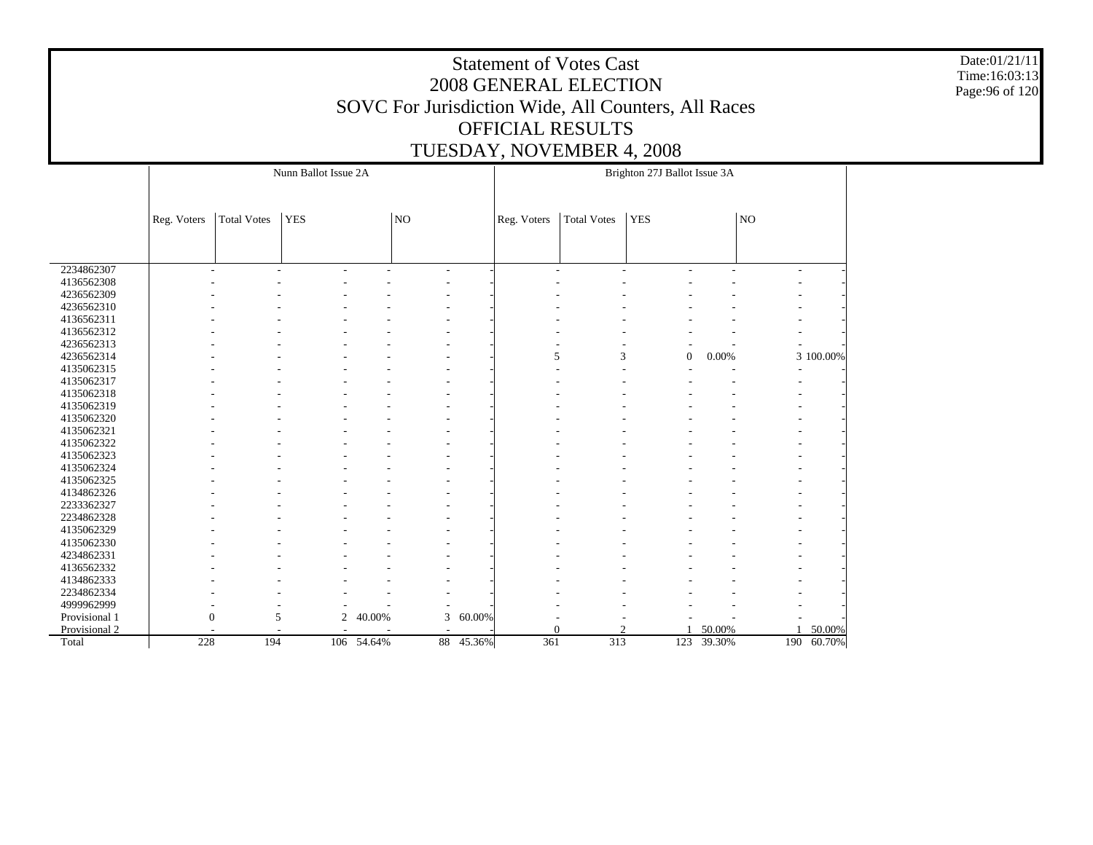Date:01/21/11 Time:16:03:13 Page:96 of 120

| Nunn Ballot Issue 2A<br>Brighton 27J Ballot Issue 3A                                                                                                             |                          |                                                      |            |
|------------------------------------------------------------------------------------------------------------------------------------------------------------------|--------------------------|------------------------------------------------------|------------|
| <b>Total Votes</b><br><b>YES</b><br>NO<br><b>Total Votes</b><br><b>YES</b><br>Reg. Voters<br>Reg. Voters                                                         |                          | $_{\rm NO}$                                          |            |
|                                                                                                                                                                  |                          |                                                      |            |
| 2234862307<br>$\sim$<br>$\overline{\phantom{a}}$<br>$\overline{a}$<br>$\sim$<br>$\overline{\phantom{a}}$<br>$\overline{\phantom{a}}$<br>$\overline{\phantom{a}}$ |                          | $\overline{\phantom{a}}$<br>$\overline{\phantom{a}}$ |            |
| 4136562308                                                                                                                                                       |                          |                                                      |            |
| 4236562309                                                                                                                                                       |                          |                                                      |            |
| 4236562310                                                                                                                                                       |                          |                                                      |            |
| 4136562311                                                                                                                                                       |                          |                                                      |            |
| 4136562312                                                                                                                                                       |                          |                                                      |            |
| 4236562313                                                                                                                                                       |                          |                                                      |            |
| 3<br>4236562314<br>5                                                                                                                                             | $\mathbf{0}$<br>$0.00\%$ |                                                      | 3 100.00%  |
| 4135062315                                                                                                                                                       |                          |                                                      |            |
| 4135062317                                                                                                                                                       |                          |                                                      |            |
| 4135062318                                                                                                                                                       |                          |                                                      |            |
| 4135062319                                                                                                                                                       |                          |                                                      |            |
| 4135062320                                                                                                                                                       |                          |                                                      |            |
| 4135062321                                                                                                                                                       |                          |                                                      |            |
| 4135062322                                                                                                                                                       |                          |                                                      |            |
| 4135062323                                                                                                                                                       |                          |                                                      |            |
| 4135062324                                                                                                                                                       |                          |                                                      |            |
| 4135062325                                                                                                                                                       |                          |                                                      |            |
| 4134862326                                                                                                                                                       |                          |                                                      |            |
| 2233362327                                                                                                                                                       |                          |                                                      |            |
| 2234862328                                                                                                                                                       |                          |                                                      |            |
| 4135062329                                                                                                                                                       |                          |                                                      |            |
| 4135062330                                                                                                                                                       |                          |                                                      |            |
| 4234862331                                                                                                                                                       |                          |                                                      |            |
| 4136562332                                                                                                                                                       |                          |                                                      |            |
| 4134862333                                                                                                                                                       |                          |                                                      |            |
| 2234862334                                                                                                                                                       |                          |                                                      |            |
| 4999962999                                                                                                                                                       |                          |                                                      |            |
| Provisional 1<br>40.00%<br>3<br>60.00%<br>5<br>2<br>$\mathbf{0}$                                                                                                 |                          |                                                      |            |
| Provisional 2<br>$\mathfrak{D}$<br>$\Omega$                                                                                                                      | 50.00%                   |                                                      | 50.00%     |
| 228<br>106 54.64%<br>88 45.36%<br>313<br>194<br>361<br>Total                                                                                                     | 123 39.30%               |                                                      | 190 60.70% |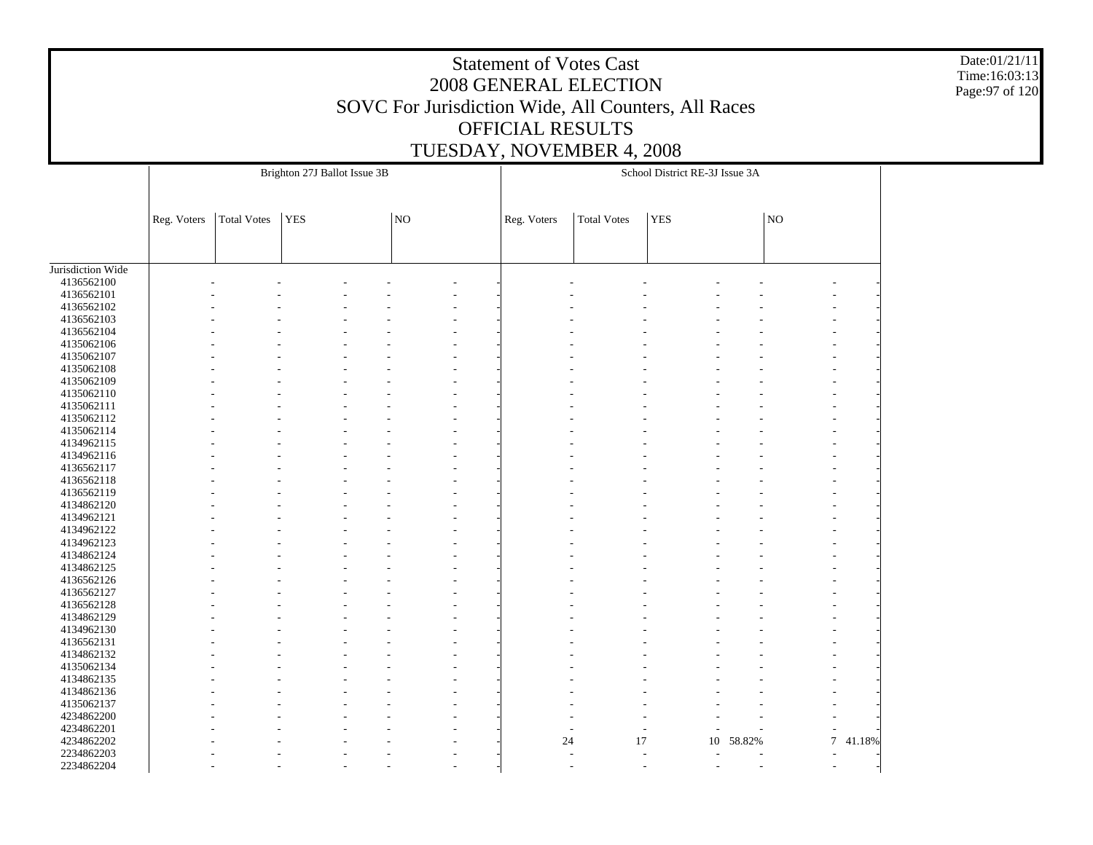Date:01/21/11 Time:16:03:13 Page:97 of 120

|                          |             |                    | Brighton 27J Ballot Issue 3B |    |             |                    | School District RE-3J Issue 3A |           |    |                  |
|--------------------------|-------------|--------------------|------------------------------|----|-------------|--------------------|--------------------------------|-----------|----|------------------|
|                          |             |                    |                              |    |             |                    |                                |           |    |                  |
|                          | Reg. Voters | <b>Total Votes</b> | YES                          | NO | Reg. Voters | <b>Total Votes</b> | <b>YES</b>                     |           | NO |                  |
|                          |             |                    |                              |    |             |                    |                                |           |    |                  |
| Jurisdiction Wide        |             |                    |                              |    |             |                    |                                |           |    |                  |
| 4136562100               |             |                    |                              |    |             |                    |                                |           |    |                  |
| 4136562101               |             |                    |                              |    |             |                    |                                |           |    |                  |
| 4136562102               |             |                    |                              |    |             |                    |                                |           |    |                  |
| 4136562103               |             |                    |                              |    |             |                    |                                |           |    |                  |
| 4136562104               |             |                    |                              |    |             |                    |                                |           |    |                  |
| 4135062106               |             |                    |                              |    |             |                    |                                |           |    |                  |
| 4135062107               |             |                    |                              |    |             |                    |                                |           |    |                  |
| 4135062108               |             |                    |                              |    |             |                    |                                |           |    |                  |
| 4135062109               |             |                    |                              |    |             |                    |                                |           |    |                  |
| 4135062110               |             |                    |                              |    |             |                    |                                |           |    |                  |
| 4135062111               |             |                    |                              |    |             |                    |                                |           |    |                  |
| 4135062112               |             |                    |                              |    |             |                    |                                |           |    |                  |
| 4135062114               |             |                    |                              |    |             |                    |                                |           |    |                  |
| 4134962115               |             |                    |                              |    |             |                    |                                |           |    |                  |
| 4134962116               |             |                    |                              |    |             |                    |                                |           |    |                  |
| 4136562117               |             |                    |                              |    |             |                    |                                |           |    |                  |
| 4136562118               |             |                    |                              |    |             |                    |                                |           |    |                  |
| 4136562119               |             |                    |                              |    |             |                    |                                |           |    |                  |
| 4134862120               |             |                    |                              |    |             |                    |                                |           |    |                  |
| 4134962121               |             |                    |                              |    |             |                    |                                |           |    |                  |
| 4134962122               |             |                    |                              |    |             |                    |                                |           |    |                  |
| 4134962123               |             |                    |                              |    |             |                    |                                |           |    |                  |
| 4134862124               |             |                    |                              |    |             |                    |                                |           |    |                  |
| 4134862125               |             |                    |                              |    |             |                    |                                |           |    |                  |
| 4136562126               |             |                    |                              |    |             |                    |                                |           |    |                  |
| 4136562127               |             |                    |                              |    |             |                    |                                |           |    |                  |
| 4136562128               |             |                    |                              |    |             |                    |                                |           |    |                  |
| 4134862129               |             |                    |                              |    |             |                    |                                |           |    |                  |
|                          |             |                    |                              |    |             |                    |                                |           |    |                  |
| 4134962130<br>4136562131 |             |                    |                              |    |             |                    |                                |           |    |                  |
|                          |             |                    |                              |    |             |                    |                                |           |    |                  |
| 4134862132               |             |                    |                              |    |             |                    |                                |           |    |                  |
| 4135062134               |             |                    |                              |    |             |                    |                                |           |    |                  |
| 4134862135               |             |                    |                              |    |             |                    |                                |           |    |                  |
| 4134862136               |             |                    |                              |    |             |                    |                                |           |    |                  |
| 4135062137               |             |                    |                              |    |             |                    |                                |           |    |                  |
| 4234862200               |             |                    |                              |    |             |                    |                                |           |    |                  |
| 4234862201               |             |                    |                              |    |             |                    |                                |           |    |                  |
| 4234862202               |             |                    |                              |    | 24          | 17                 |                                | 10 58.82% |    | $\tau$<br>41.18% |
| 2234862203               |             |                    |                              |    |             |                    |                                |           |    |                  |
| 2234862204               |             |                    |                              |    |             |                    |                                |           |    |                  |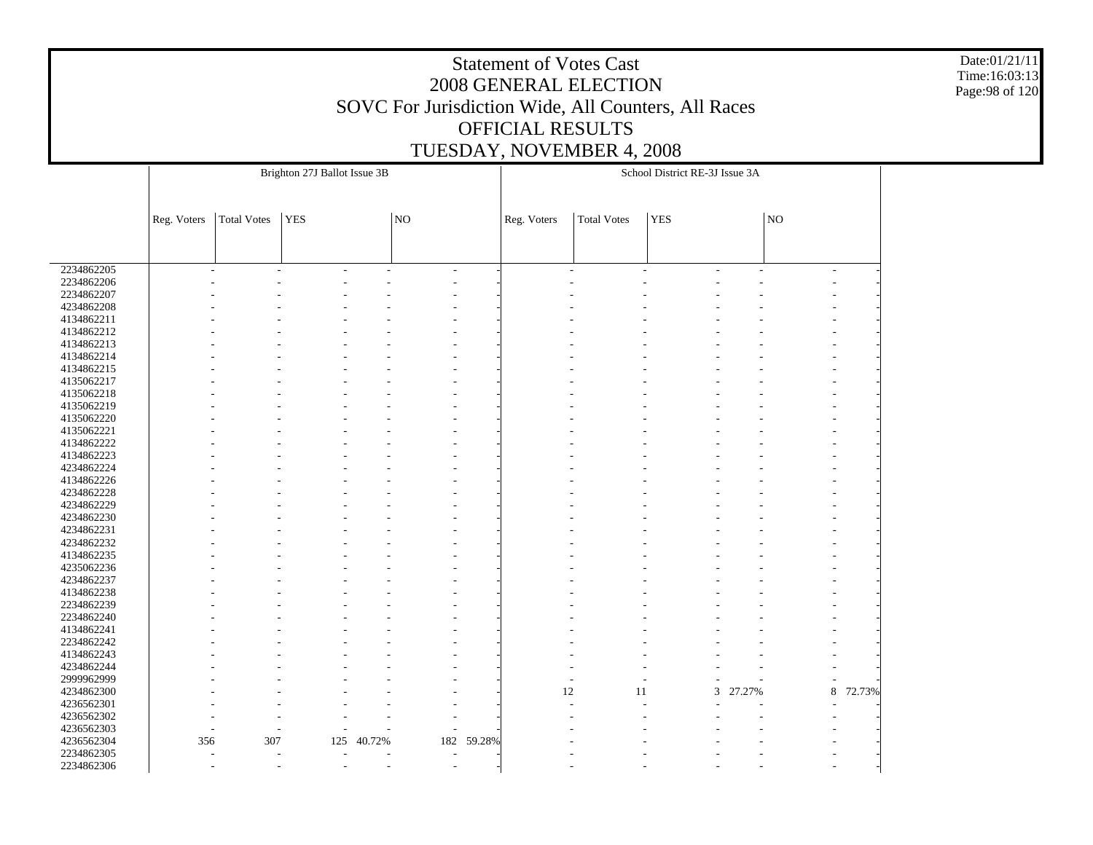Date:01/21/11 Time:16:03:13 Page:98 of 120

|            |             |                    | Brighton 27J Ballot Issue 3B |                          |     |        |                |                    | School District RE-3J Issue 3A |        |                |        |
|------------|-------------|--------------------|------------------------------|--------------------------|-----|--------|----------------|--------------------|--------------------------------|--------|----------------|--------|
|            |             |                    |                              |                          |     |        |                |                    |                                |        |                |        |
|            |             |                    |                              |                          |     |        |                |                    |                                |        |                |        |
|            | Reg. Voters | <b>Total Votes</b> | YES                          |                          | NO  |        | Reg. Voters    | <b>Total Votes</b> | <b>YES</b>                     |        | $\overline{N}$ |        |
|            |             |                    |                              |                          |     |        |                |                    |                                |        |                |        |
|            |             |                    |                              |                          |     |        |                |                    |                                |        |                |        |
|            |             |                    |                              |                          |     |        |                |                    |                                |        |                |        |
| 2234862205 | ÷           |                    | ÷.<br>÷                      | ÷.                       | ÷.  |        | $\overline{a}$ |                    | $\overline{a}$                 | ٠      | $\overline{a}$ |        |
| 2234862206 |             |                    |                              |                          |     |        |                |                    |                                |        |                |        |
| 2234862207 |             |                    |                              |                          |     |        |                |                    |                                |        |                |        |
| 4234862208 |             |                    |                              |                          |     |        |                |                    |                                |        |                |        |
| 4134862211 |             |                    |                              |                          |     |        |                |                    |                                |        |                |        |
| 4134862212 |             |                    |                              |                          |     |        |                |                    |                                |        |                |        |
| 4134862213 |             |                    |                              |                          |     |        |                |                    |                                |        |                |        |
| 4134862214 |             |                    |                              |                          |     |        |                |                    |                                |        |                |        |
| 4134862215 |             |                    |                              |                          |     |        |                |                    |                                |        |                |        |
| 4135062217 |             |                    |                              |                          |     |        |                |                    |                                |        |                |        |
| 4135062218 |             |                    |                              |                          |     |        |                |                    |                                |        |                |        |
| 4135062219 |             |                    |                              |                          |     |        |                |                    |                                |        |                |        |
| 4135062220 |             |                    |                              |                          |     |        |                |                    |                                |        |                |        |
| 4135062221 |             |                    |                              |                          |     |        |                |                    |                                |        |                |        |
| 4134862222 |             |                    |                              |                          |     |        |                |                    |                                |        |                |        |
| 4134862223 |             |                    |                              |                          |     |        |                |                    |                                |        |                |        |
| 4234862224 |             |                    |                              |                          |     |        |                |                    |                                |        |                |        |
| 4134862226 |             |                    |                              |                          |     |        |                |                    |                                |        |                |        |
| 4234862228 |             |                    |                              |                          |     |        |                |                    |                                |        |                |        |
| 4234862229 |             |                    |                              |                          |     |        |                |                    |                                |        |                |        |
| 4234862230 |             |                    |                              |                          |     |        |                |                    |                                |        |                |        |
| 4234862231 |             |                    |                              |                          |     |        |                |                    |                                |        |                |        |
| 4234862232 |             |                    |                              |                          |     |        |                |                    |                                |        |                |        |
| 4134862235 |             |                    |                              |                          |     |        |                |                    |                                |        |                |        |
| 4235062236 |             |                    |                              |                          |     |        |                |                    |                                |        |                |        |
| 4234862237 |             |                    |                              |                          |     |        |                |                    |                                |        |                |        |
| 4134862238 |             |                    |                              |                          |     |        |                |                    |                                |        |                |        |
| 2234862239 |             |                    |                              |                          |     |        |                |                    |                                |        |                |        |
| 2234862240 |             |                    |                              |                          |     |        |                |                    |                                |        |                |        |
| 4134862241 |             |                    |                              |                          |     |        |                |                    |                                |        |                |        |
| 2234862242 |             |                    |                              |                          |     |        |                |                    |                                |        |                |        |
| 4134862243 |             |                    |                              |                          |     |        |                |                    |                                |        |                |        |
| 4234862244 |             |                    |                              |                          |     |        |                |                    |                                |        |                |        |
| 2999962999 |             |                    |                              |                          |     |        |                |                    | L,                             |        |                |        |
| 4234862300 |             |                    |                              |                          |     |        | 12             | 11                 | 3                              | 27.27% | $\,8\,$        | 72.73% |
| 4236562301 |             |                    |                              |                          |     |        |                |                    |                                |        |                |        |
| 4236562302 |             |                    |                              |                          |     |        |                |                    |                                |        |                |        |
| 4236562303 |             |                    |                              |                          |     |        |                |                    |                                |        |                |        |
| 4236562304 | 356         | 307                | 125                          | 40.72%                   | 182 | 59.28% |                |                    |                                |        |                |        |
| 2234862305 |             |                    |                              |                          |     |        |                |                    |                                |        |                |        |
| 2234862306 |             |                    |                              | $\overline{\phantom{a}}$ |     |        |                |                    |                                |        |                |        |
|            |             |                    |                              |                          |     |        |                |                    |                                |        |                |        |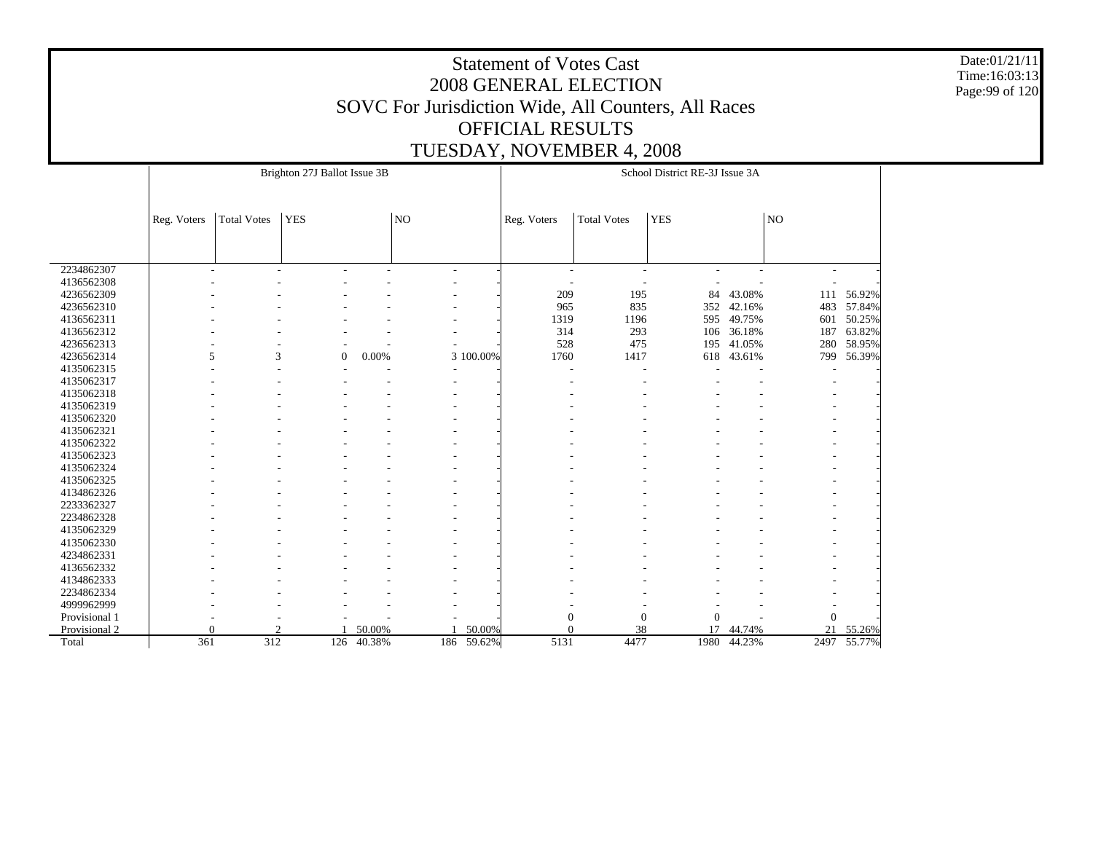Date:01/21/11 Time:16:03:13 Page:99 of 120

|               |             |                    | Brighton 27J Ballot Issue 3B |            |                |            |                          |                          | School District RE-3J Issue 3A |        |                          |             |
|---------------|-------------|--------------------|------------------------------|------------|----------------|------------|--------------------------|--------------------------|--------------------------------|--------|--------------------------|-------------|
|               |             |                    |                              |            |                |            |                          |                          |                                |        |                          |             |
|               | Reg. Voters | <b>Total Votes</b> | <b>YES</b>                   |            | NO             |            | Reg. Voters              | <b>Total Votes</b>       | <b>YES</b>                     |        | NO                       |             |
|               |             |                    |                              |            |                |            |                          |                          |                                |        |                          |             |
|               |             |                    |                              |            |                |            |                          |                          |                                |        |                          |             |
| 2234862307    |             | $\overline{a}$     | ÷                            | ÷,         | $\overline{a}$ |            | $\overline{\phantom{a}}$ | $\overline{\phantom{a}}$ |                                | ٠      | $\overline{\phantom{a}}$ |             |
| 4136562308    |             |                    |                              |            |                |            |                          | ÷,                       |                                |        |                          |             |
| 4236562309    |             |                    |                              |            |                |            | 209                      | 195                      | 84                             | 43.08% | 111                      | 56.92%      |
| 4236562310    |             |                    |                              |            |                |            | 965                      | 835                      | 352                            | 42.16% | 483                      | 57.84%      |
| 4136562311    |             |                    |                              |            |                |            | 1319                     | 1196                     | 595                            | 49.75% | 601                      | 50.25%      |
| 4136562312    |             |                    |                              |            |                |            | 314                      | 293                      | 106                            | 36.18% | 187                      | 63.82%      |
| 4236562313    |             |                    |                              |            |                |            | 528                      | 475                      | 195                            | 41.05% | 280                      | 58.95%      |
| 4236562314    | 5           | 3                  | $\boldsymbol{0}$             | 0.00%      |                | 3 100.00%  | 1760                     | 1417                     | 618                            | 43.61% | 799                      | 56.39%      |
| 4135062315    |             |                    |                              |            |                |            |                          |                          |                                |        |                          |             |
| 4135062317    |             |                    |                              |            |                |            |                          |                          |                                |        |                          |             |
| 4135062318    |             |                    |                              |            |                |            |                          |                          |                                |        |                          |             |
| 4135062319    |             |                    |                              |            |                |            |                          |                          |                                |        |                          |             |
| 4135062320    |             |                    |                              |            |                |            |                          |                          |                                |        |                          |             |
| 4135062321    |             |                    |                              |            |                |            |                          |                          |                                |        |                          |             |
| 4135062322    |             |                    |                              |            |                |            |                          |                          |                                |        |                          |             |
| 4135062323    |             |                    |                              |            |                |            |                          |                          |                                |        |                          |             |
| 4135062324    |             |                    |                              |            |                |            |                          |                          |                                |        |                          |             |
| 4135062325    |             |                    |                              |            |                |            |                          |                          |                                |        |                          |             |
| 4134862326    |             |                    |                              |            |                |            |                          |                          |                                |        |                          |             |
| 2233362327    |             |                    |                              |            |                |            |                          |                          |                                |        |                          |             |
| 2234862328    |             |                    |                              |            |                |            |                          |                          |                                |        |                          |             |
| 4135062329    |             |                    |                              |            |                |            |                          |                          |                                |        |                          |             |
| 4135062330    |             |                    |                              |            |                |            |                          |                          |                                |        |                          |             |
| 4234862331    |             |                    |                              |            |                |            |                          |                          |                                |        |                          |             |
| 4136562332    |             |                    |                              |            |                |            |                          |                          |                                |        |                          |             |
| 4134862333    |             |                    |                              |            |                |            |                          |                          |                                |        |                          |             |
| 2234862334    |             |                    |                              |            |                |            |                          |                          |                                |        |                          |             |
| 4999962999    |             |                    |                              |            |                |            |                          |                          |                                |        |                          |             |
| Provisional 1 |             |                    |                              |            |                |            | $\boldsymbol{0}$         | $\mathbf{0}$             | $\overline{0}$                 |        | $\Omega$                 |             |
| Provisional 2 | $\Omega$    | $\mathcal{D}$      |                              | 50.00%     |                | 50.00%     | $\theta$                 | 38                       | 17                             | 44.74% | 21                       | 55.26%      |
| Total         | 361         | 312                |                              | 126 40.38% |                | 186 59.62% | 5131                     | 4477                     | 1980                           | 44.23% |                          | 2497 55.77% |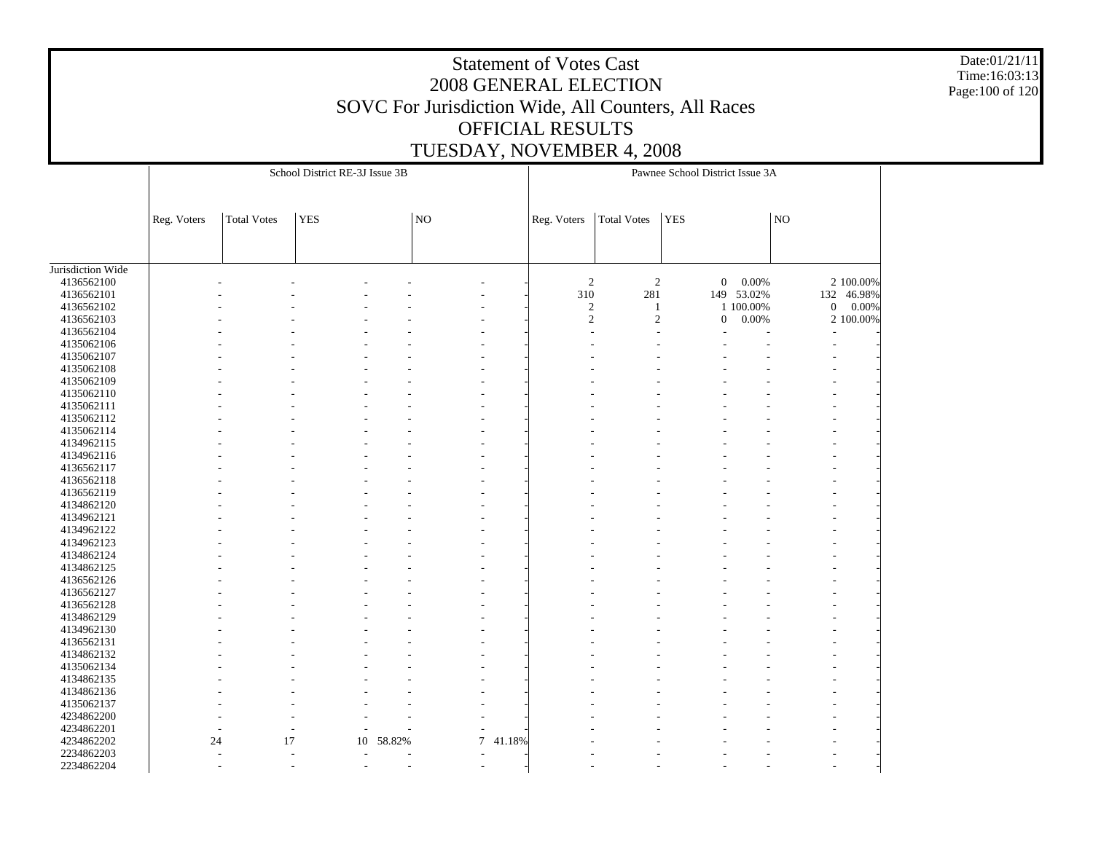Date:01/21/11 Time:16:03:13 Page:100 of 120

|                                 |             |                    | School District RE-3J Issue 3B |        |                     |        |                |                | Pawnee School District Issue 3A |            |                     |                           |
|---------------------------------|-------------|--------------------|--------------------------------|--------|---------------------|--------|----------------|----------------|---------------------------------|------------|---------------------|---------------------------|
|                                 |             |                    |                                |        |                     |        |                |                |                                 |            |                     |                           |
|                                 | Reg. Voters | <b>Total Votes</b> | <b>YES</b>                     |        | $\overline{\rm NO}$ |        | Reg. Voters    | Total Votes    | <b>YES</b>                      |            | $\overline{\rm NO}$ |                           |
|                                 |             |                    |                                |        |                     |        |                |                |                                 |            |                     |                           |
|                                 |             |                    |                                |        |                     |        |                |                |                                 |            |                     |                           |
| Jurisdiction Wide<br>4136562100 |             |                    |                                |        |                     |        | $\overline{2}$ | $\overline{c}$ | $\boldsymbol{0}$                | 0.00%      |                     | 2 100.00%                 |
| 4136562101                      |             |                    |                                |        |                     |        | 310            | 281            |                                 | 149 53.02% | 132                 | 46.98%                    |
| 4136562102                      |             |                    |                                |        |                     |        | $\sqrt{2}$     | $\mathbf{1}$   |                                 | 1 100.00%  |                     | $\boldsymbol{0}$<br>0.00% |
| 4136562103                      |             |                    |                                |        |                     |        | $\mathfrak{2}$ | $\sqrt{2}$     | $\boldsymbol{0}$                | 0.00%      |                     | 2 100.00%                 |
| 4136562104                      |             |                    |                                |        |                     |        |                |                |                                 |            |                     |                           |
| 4135062106                      |             |                    |                                |        |                     |        |                |                |                                 |            |                     |                           |
| 4135062107                      |             |                    |                                |        |                     |        |                |                |                                 |            |                     |                           |
| 4135062108                      |             |                    |                                |        |                     |        |                |                |                                 |            |                     |                           |
| 4135062109                      |             |                    |                                |        |                     |        |                |                |                                 |            |                     |                           |
| 4135062110                      |             |                    |                                |        |                     |        |                |                |                                 |            |                     |                           |
| 4135062111                      |             |                    |                                |        |                     |        |                |                |                                 |            |                     |                           |
| 4135062112                      |             |                    |                                |        |                     |        |                |                |                                 |            |                     |                           |
| 4135062114                      |             |                    |                                |        |                     |        |                |                |                                 |            |                     |                           |
| 4134962115                      |             |                    |                                |        |                     |        |                |                |                                 |            |                     |                           |
| 4134962116                      |             |                    |                                |        |                     |        |                |                |                                 |            |                     |                           |
| 4136562117                      |             |                    |                                |        |                     |        |                |                |                                 |            |                     |                           |
|                                 |             |                    |                                |        |                     |        |                |                |                                 |            |                     |                           |
| 4136562118<br>4136562119        |             |                    |                                |        |                     |        |                |                |                                 |            |                     |                           |
|                                 |             |                    |                                |        |                     |        |                |                |                                 |            |                     |                           |
| 4134862120<br>4134962121        |             |                    |                                |        |                     |        |                |                |                                 |            |                     |                           |
|                                 |             |                    |                                |        |                     |        |                |                |                                 |            |                     |                           |
| 4134962122                      |             |                    |                                |        |                     |        |                |                |                                 |            |                     |                           |
| 4134962123                      |             |                    |                                |        |                     |        |                |                |                                 |            |                     |                           |
| 4134862124                      |             |                    |                                |        |                     |        |                |                |                                 |            |                     |                           |
| 4134862125                      |             |                    |                                |        |                     |        |                |                |                                 |            |                     |                           |
| 4136562126                      |             |                    |                                |        |                     |        |                |                |                                 |            |                     |                           |
| 4136562127                      |             |                    |                                |        |                     |        |                |                |                                 |            |                     |                           |
| 4136562128                      |             |                    |                                |        |                     |        |                |                |                                 |            |                     |                           |
| 4134862129                      |             |                    |                                |        |                     |        |                |                |                                 |            |                     |                           |
| 4134962130                      |             |                    |                                |        |                     |        |                |                |                                 |            |                     |                           |
| 4136562131                      |             |                    |                                |        |                     |        |                |                |                                 |            |                     |                           |
| 4134862132                      |             |                    |                                |        |                     |        |                |                |                                 |            |                     |                           |
| 4135062134                      |             |                    |                                |        |                     |        |                |                |                                 |            |                     |                           |
| 4134862135                      |             |                    |                                |        |                     |        |                |                |                                 |            |                     |                           |
| 4134862136                      |             |                    |                                |        |                     |        |                |                |                                 |            |                     |                           |
| 4135062137                      |             |                    |                                |        |                     |        |                |                |                                 |            |                     |                           |
| 4234862200                      |             |                    |                                |        |                     |        |                |                |                                 |            |                     |                           |
| 4234862201                      |             |                    |                                |        |                     |        |                |                |                                 |            |                     |                           |
| 4234862202                      |             | 17<br>24           | 10                             | 58.82% | $\overline{7}$      | 41.18% |                |                |                                 |            |                     |                           |
| 2234862203                      |             |                    |                                |        |                     |        |                |                |                                 |            |                     |                           |
| 2234862204                      |             |                    |                                |        |                     |        |                |                |                                 |            |                     |                           |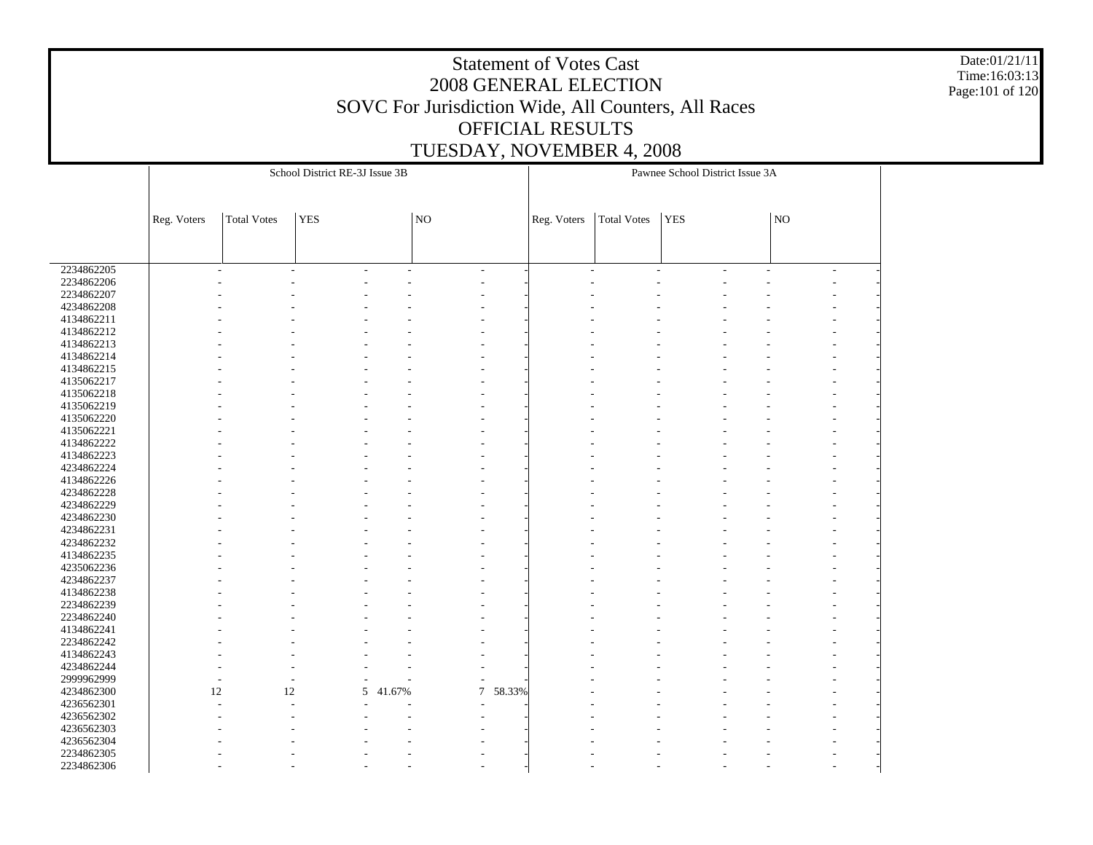Date:01/21/11 Time:16:03:13 Page:101 of 120

|            |             |                    | School District RE-3J Issue 3B |        |                |        |                          |                    | Pawnee School District Issue 3A |    |  |
|------------|-------------|--------------------|--------------------------------|--------|----------------|--------|--------------------------|--------------------|---------------------------------|----|--|
|            |             |                    |                                |        |                |        |                          |                    |                                 |    |  |
|            |             |                    |                                |        |                |        |                          |                    |                                 |    |  |
|            |             |                    | <b>YES</b>                     |        | NO             |        |                          |                    | <b>YES</b>                      | NO |  |
|            | Reg. Voters | <b>Total Votes</b> |                                |        |                |        | Reg. Voters              | <b>Total Votes</b> |                                 |    |  |
|            |             |                    |                                |        |                |        |                          |                    |                                 |    |  |
|            |             |                    |                                |        |                |        |                          |                    |                                 |    |  |
| 2234862205 | ÷,          |                    | ÷                              | $\sim$ | L,             |        | $\overline{\phantom{a}}$ |                    |                                 |    |  |
| 2234862206 |             |                    |                                |        |                |        |                          |                    |                                 |    |  |
| 2234862207 |             |                    |                                |        |                |        |                          |                    |                                 |    |  |
| 4234862208 |             |                    |                                |        |                |        |                          |                    |                                 |    |  |
| 4134862211 |             |                    |                                |        |                |        |                          |                    |                                 |    |  |
| 4134862212 |             |                    |                                |        |                |        |                          |                    |                                 |    |  |
| 4134862213 |             |                    |                                |        |                |        |                          |                    |                                 |    |  |
| 4134862214 |             |                    |                                |        |                |        |                          |                    |                                 |    |  |
| 4134862215 |             |                    |                                |        |                |        |                          |                    |                                 |    |  |
| 4135062217 |             |                    |                                |        |                |        |                          |                    |                                 |    |  |
| 4135062218 |             |                    |                                |        |                |        |                          |                    |                                 |    |  |
| 4135062219 |             |                    |                                |        |                |        |                          |                    |                                 |    |  |
| 4135062220 |             |                    |                                |        |                |        |                          |                    |                                 |    |  |
| 4135062221 |             |                    |                                |        |                |        |                          |                    |                                 |    |  |
| 4134862222 |             |                    |                                |        |                |        |                          |                    |                                 |    |  |
| 4134862223 |             |                    |                                |        |                |        |                          |                    |                                 |    |  |
| 4234862224 |             |                    |                                |        |                |        |                          |                    |                                 |    |  |
| 4134862226 |             |                    |                                |        |                |        |                          |                    |                                 |    |  |
| 4234862228 |             |                    |                                |        |                |        |                          |                    |                                 |    |  |
| 4234862229 |             |                    |                                |        |                |        |                          |                    |                                 |    |  |
| 4234862230 |             |                    |                                |        |                |        |                          |                    |                                 |    |  |
| 4234862231 |             |                    |                                |        |                |        |                          |                    |                                 |    |  |
| 4234862232 |             |                    |                                |        |                |        |                          |                    |                                 |    |  |
| 4134862235 |             |                    |                                |        |                |        |                          |                    |                                 |    |  |
| 4235062236 |             |                    |                                |        |                |        |                          |                    |                                 |    |  |
| 4234862237 |             |                    |                                |        |                |        |                          |                    |                                 |    |  |
| 4134862238 |             |                    |                                |        |                |        |                          |                    |                                 |    |  |
| 2234862239 |             |                    |                                |        |                |        |                          |                    |                                 |    |  |
| 2234862240 |             |                    |                                |        |                |        |                          |                    |                                 |    |  |
| 4134862241 |             |                    |                                |        |                |        |                          |                    |                                 |    |  |
| 2234862242 |             |                    |                                |        |                |        |                          |                    |                                 |    |  |
| 4134862243 |             |                    |                                |        |                |        |                          |                    |                                 |    |  |
| 4234862244 |             |                    |                                |        |                |        |                          |                    |                                 |    |  |
| 2999962999 |             |                    |                                |        |                |        |                          |                    |                                 |    |  |
| 4234862300 | 12          | 12                 | 5                              | 41.67% | $\overline{7}$ | 58.33% |                          |                    |                                 |    |  |
| 4236562301 |             |                    |                                |        |                |        |                          |                    |                                 |    |  |
| 4236562302 |             |                    |                                |        |                |        |                          |                    |                                 |    |  |
| 4236562303 |             |                    |                                |        |                |        |                          |                    |                                 |    |  |
| 4236562304 |             |                    |                                |        |                |        |                          |                    |                                 |    |  |
| 2234862305 |             |                    |                                |        |                |        |                          |                    |                                 |    |  |
| 2234862306 |             |                    |                                |        |                |        |                          |                    |                                 |    |  |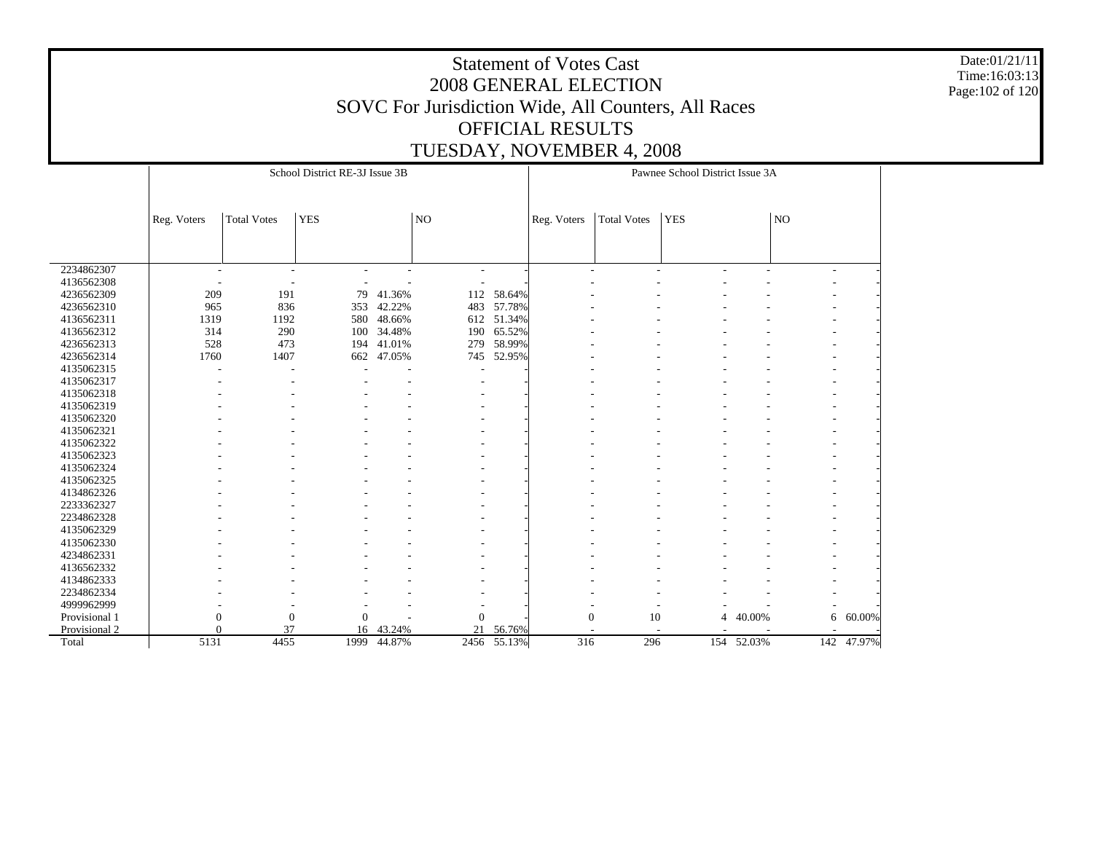Date:01/21/11 Time:16:03:13 Page:102 of 120

|               |                          |                          | School District RE-3J Issue 3B |             |                          |             |                          |                    | Pawnee School District Issue 3A |                          |                          |            |
|---------------|--------------------------|--------------------------|--------------------------------|-------------|--------------------------|-------------|--------------------------|--------------------|---------------------------------|--------------------------|--------------------------|------------|
|               |                          |                          |                                |             |                          |             |                          |                    |                                 |                          |                          |            |
|               | Reg. Voters              | <b>Total Votes</b>       | <b>YES</b>                     |             | NO                       |             | Reg. Voters              | <b>Total Votes</b> | <b>YES</b>                      |                          | NO                       |            |
|               |                          |                          |                                |             |                          |             |                          |                    |                                 |                          |                          |            |
|               |                          |                          |                                |             |                          |             |                          |                    |                                 |                          |                          |            |
| 2234862307    | $\overline{\phantom{a}}$ | $\overline{a}$           | ۰                              |             | $\overline{\phantom{a}}$ |             | $\overline{\phantom{a}}$ | $\overline{a}$     | $\overline{a}$                  | $\overline{\phantom{a}}$ | $\overline{\phantom{a}}$ |            |
| 4136562308    |                          | $\overline{\phantom{a}}$ |                                |             |                          |             |                          |                    |                                 |                          |                          |            |
| 4236562309    | 209                      | 191                      | 79                             | 41.36%      | 112                      | 58.64%      |                          |                    |                                 |                          |                          |            |
| 4236562310    | 965                      | 836                      | 353                            | 42.22%      | 483                      | 57.78%      |                          |                    |                                 |                          |                          |            |
| 4136562311    | 1319                     | 1192                     | 580                            | 48.66%      |                          | 612 51.34%  |                          |                    |                                 |                          |                          |            |
| 4136562312    | 314                      | 290                      | 100                            | 34.48%      | 190                      | 65.52%      |                          |                    |                                 |                          |                          |            |
| 4236562313    | 528                      | 473                      | 194                            | 41.01%      | 279                      | 58.99%      |                          |                    |                                 |                          |                          |            |
| 4236562314    | 1760                     | 1407                     | 662                            | 47.05%      | 745                      | 52.95%      |                          |                    |                                 |                          |                          |            |
| 4135062315    |                          | ٠                        |                                |             |                          |             |                          |                    |                                 |                          |                          |            |
| 4135062317    |                          |                          |                                |             |                          |             |                          |                    |                                 |                          |                          |            |
| 4135062318    |                          |                          |                                |             |                          |             |                          |                    |                                 |                          |                          |            |
| 4135062319    |                          |                          |                                |             |                          |             |                          |                    |                                 |                          |                          |            |
| 4135062320    |                          |                          |                                |             |                          |             |                          |                    |                                 |                          |                          |            |
| 4135062321    |                          |                          |                                |             |                          |             |                          |                    |                                 |                          |                          |            |
| 4135062322    |                          |                          |                                |             |                          |             |                          |                    |                                 |                          |                          |            |
| 4135062323    |                          |                          |                                |             |                          |             |                          |                    |                                 |                          |                          |            |
| 4135062324    |                          |                          |                                |             |                          |             |                          |                    |                                 |                          |                          |            |
| 4135062325    |                          |                          |                                |             |                          |             |                          |                    |                                 |                          |                          |            |
| 4134862326    |                          |                          |                                |             |                          |             |                          |                    |                                 |                          |                          |            |
| 2233362327    |                          |                          |                                |             |                          |             |                          |                    |                                 |                          |                          |            |
| 2234862328    |                          |                          |                                |             |                          |             |                          |                    |                                 |                          |                          |            |
| 4135062329    |                          |                          |                                |             |                          |             |                          |                    |                                 |                          |                          |            |
| 4135062330    |                          |                          |                                |             |                          |             |                          |                    |                                 |                          |                          |            |
| 4234862331    |                          |                          |                                |             |                          |             |                          |                    |                                 |                          |                          |            |
| 4136562332    |                          |                          |                                |             |                          |             |                          |                    |                                 |                          |                          |            |
| 4134862333    |                          |                          |                                |             |                          |             |                          |                    |                                 |                          |                          |            |
| 2234862334    |                          |                          |                                |             |                          |             |                          |                    |                                 |                          |                          |            |
| 4999962999    |                          |                          |                                |             |                          |             |                          |                    |                                 |                          |                          |            |
| Provisional 1 | 0                        | $\theta$                 | $\mathbf{0}$                   |             | $\mathbf{0}$             |             | $\mathbf{0}$             | 10                 | 4                               | 40.00%                   | 6                        | 60.00%     |
| Provisional 2 | $\Omega$                 | 37                       | 16                             | 43.24%      | 21                       | 56.76%      |                          |                    |                                 |                          |                          |            |
| Total         | 5131                     | 4455                     |                                | 1999 44.87% |                          | 2456 55.13% | 316                      | 296                |                                 | 154 52.03%               |                          | 142 47.97% |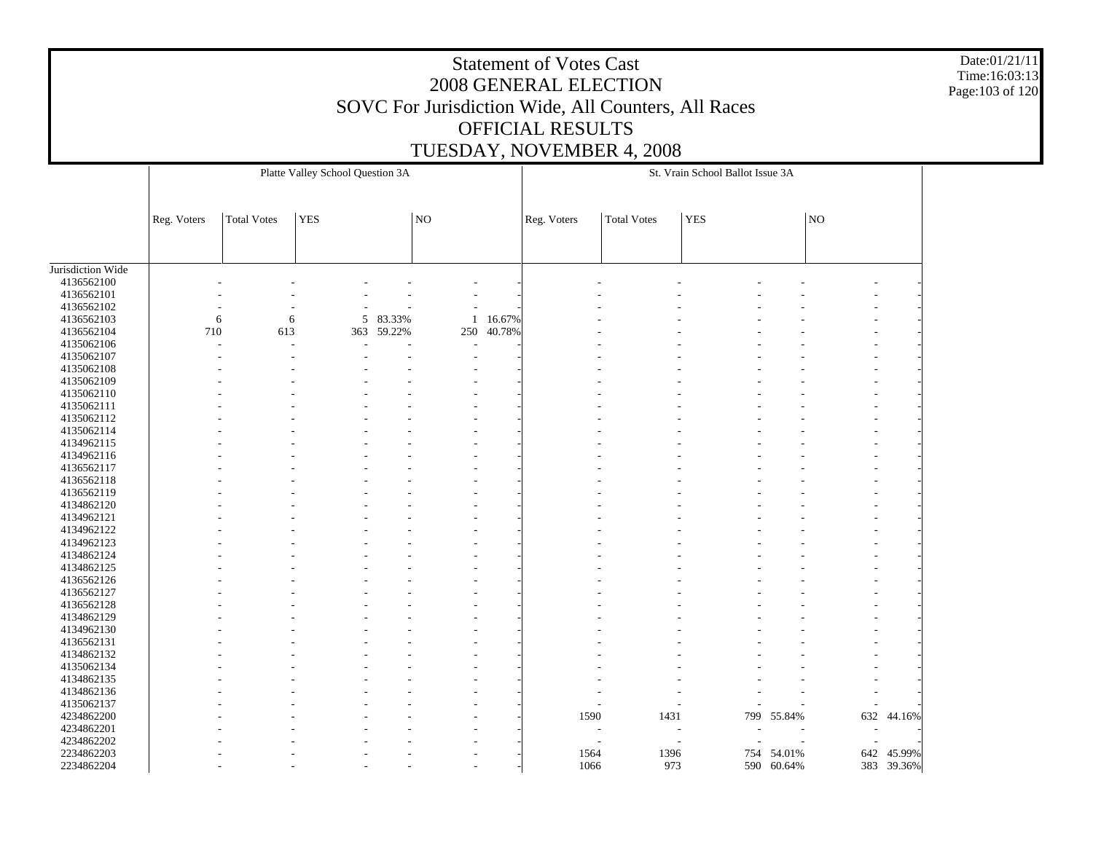Date:01/21/11 Time:16:03:13 Page:103 of 120

|                   |             |                    | Platte Valley School Question 3A |          |                     |        |             |                    | St. Vrain School Ballot Issue 3A |            |     |            |
|-------------------|-------------|--------------------|----------------------------------|----------|---------------------|--------|-------------|--------------------|----------------------------------|------------|-----|------------|
|                   | Reg. Voters | <b>Total Votes</b> | <b>YES</b>                       |          | $\overline{\rm NO}$ |        | Reg. Voters | <b>Total Votes</b> | <b>YES</b>                       |            | NO  |            |
|                   |             |                    |                                  |          |                     |        |             |                    |                                  |            |     |            |
| Jurisdiction Wide |             |                    |                                  |          |                     |        |             |                    |                                  |            |     |            |
| 4136562100        |             |                    |                                  |          |                     |        |             |                    |                                  |            |     |            |
| 4136562101        |             |                    |                                  |          |                     |        |             |                    |                                  |            |     |            |
| 4136562102        |             |                    |                                  |          |                     |        |             |                    |                                  |            |     |            |
| 4136562103        | 6           | 6                  |                                  | 5 83.33% | 1                   | 16.67% |             |                    |                                  |            |     |            |
| 4136562104        | 710         | 613                | 363                              | 59.22%   | 250                 | 40.78% |             |                    |                                  |            |     |            |
| 4135062106        |             |                    |                                  |          |                     |        |             |                    |                                  |            |     |            |
| 4135062107        |             |                    |                                  |          |                     |        |             |                    |                                  |            |     |            |
| 4135062108        |             |                    |                                  |          |                     |        |             |                    |                                  |            |     |            |
| 4135062109        |             |                    |                                  |          |                     |        |             |                    |                                  |            |     |            |
| 4135062110        |             |                    |                                  |          |                     |        |             |                    |                                  |            |     |            |
| 4135062111        |             |                    |                                  |          |                     |        |             |                    |                                  |            |     |            |
| 4135062112        |             |                    |                                  |          |                     |        |             |                    |                                  |            |     |            |
| 4135062114        |             |                    |                                  |          |                     |        |             |                    |                                  |            |     |            |
| 4134962115        |             |                    |                                  |          |                     |        |             |                    |                                  |            |     |            |
| 4134962116        |             |                    |                                  |          |                     |        |             |                    |                                  |            |     |            |
| 4136562117        |             |                    |                                  |          |                     |        |             |                    |                                  |            |     |            |
| 4136562118        |             |                    |                                  |          |                     |        |             |                    |                                  |            |     |            |
| 4136562119        |             |                    |                                  |          |                     |        |             |                    |                                  |            |     |            |
| 4134862120        |             |                    |                                  |          |                     |        |             |                    |                                  |            |     |            |
| 4134962121        |             |                    |                                  |          |                     |        |             |                    |                                  |            |     |            |
| 4134962122        |             |                    |                                  |          |                     |        |             |                    |                                  |            |     |            |
| 4134962123        |             |                    |                                  |          |                     |        |             |                    |                                  |            |     |            |
| 4134862124        |             |                    |                                  |          |                     |        |             |                    |                                  |            |     |            |
| 4134862125        |             |                    |                                  |          |                     |        |             |                    |                                  |            |     |            |
| 4136562126        |             |                    |                                  |          |                     |        |             |                    |                                  |            |     |            |
| 4136562127        |             |                    |                                  |          |                     |        |             |                    |                                  |            |     |            |
| 4136562128        |             |                    |                                  |          |                     |        |             |                    |                                  |            |     |            |
| 4134862129        |             |                    |                                  |          |                     |        |             |                    |                                  |            |     |            |
| 4134962130        |             |                    |                                  |          |                     |        |             |                    |                                  |            |     |            |
| 4136562131        |             |                    |                                  |          |                     |        |             |                    |                                  |            |     |            |
| 4134862132        |             |                    |                                  |          |                     |        |             |                    |                                  |            |     |            |
| 4135062134        |             |                    |                                  |          |                     |        |             |                    |                                  |            |     |            |
| 4134862135        |             |                    |                                  |          |                     |        |             |                    |                                  |            |     |            |
| 4134862136        |             |                    |                                  |          |                     |        |             |                    |                                  |            |     |            |
| 4135062137        |             |                    |                                  |          |                     |        |             |                    |                                  |            |     |            |
| 4234862200        |             |                    |                                  |          |                     |        | 1590        | 1431               | 799                              | 55.84%     | 632 | 44.16%     |
| 4234862201        |             |                    |                                  |          |                     |        |             |                    |                                  |            |     |            |
| 4234862202        |             |                    |                                  |          |                     |        |             |                    |                                  |            |     |            |
| 2234862203        |             |                    |                                  |          |                     |        | 1564        | 1396               | 754                              | 54.01%     | 642 | 45.99%     |
| 2234862204        |             |                    |                                  |          |                     |        | 1066        | 973                |                                  | 590 60.64% |     | 383 39.36% |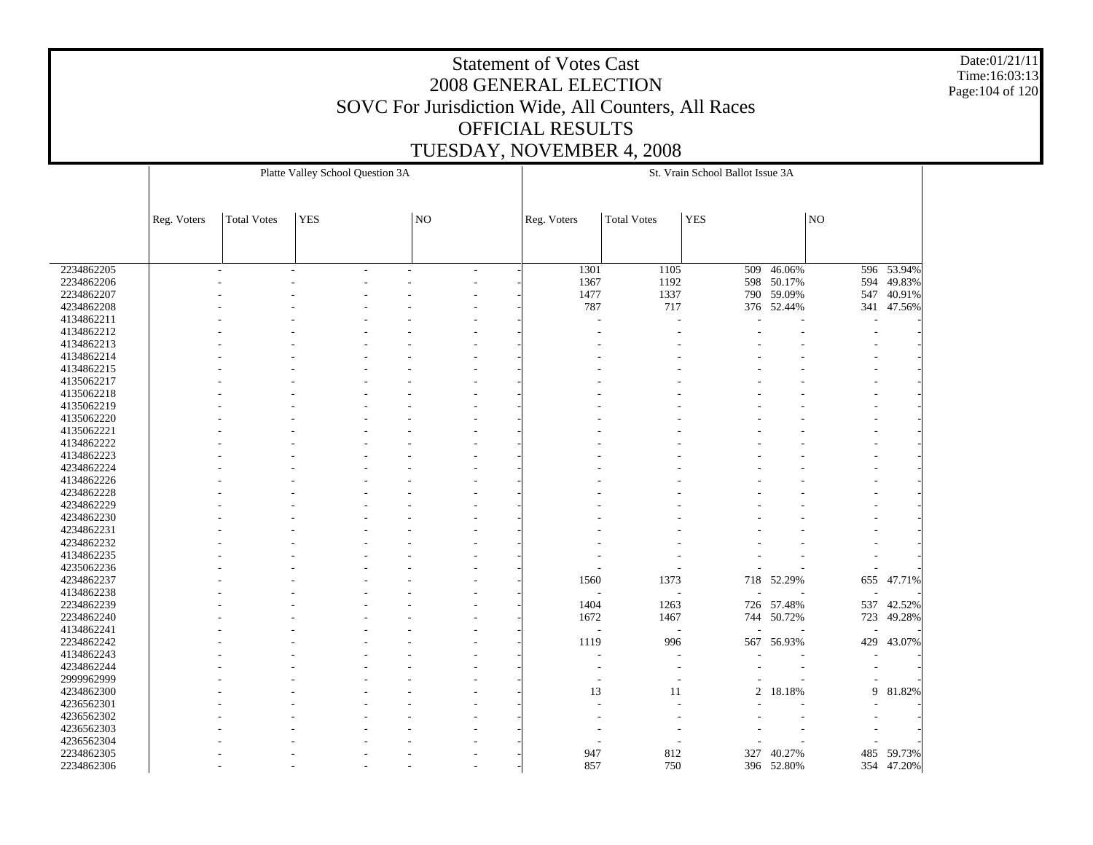Date:01/21/11 Time:16:03:13 Page:104 of 120

|            |             |                    | Platte Valley School Question 3A |    |                          |                    | St. Vrain School Ballot Issue 3A |            |     |            |
|------------|-------------|--------------------|----------------------------------|----|--------------------------|--------------------|----------------------------------|------------|-----|------------|
|            |             |                    |                                  |    |                          |                    |                                  |            |     |            |
|            |             |                    |                                  |    |                          |                    |                                  |            |     |            |
|            | Reg. Voters | <b>Total Votes</b> | <b>YES</b>                       | NO | Reg. Voters              | <b>Total Votes</b> | <b>YES</b>                       |            | NO  |            |
|            |             |                    |                                  |    |                          |                    |                                  |            |     |            |
|            |             |                    |                                  |    |                          |                    |                                  |            |     |            |
|            |             |                    |                                  |    |                          |                    |                                  |            |     |            |
| 2234862205 |             |                    |                                  |    | 1301                     | 1105               | 509                              | $-46.06%$  |     | 596 53.94% |
| 2234862206 |             |                    |                                  |    | 1367                     | 1192               |                                  | 598 50.17% | 594 | 49.83%     |
| 2234862207 |             |                    |                                  |    | 1477                     | 1337               |                                  | 790 59.09% | 547 | 40.91%     |
| 4234862208 |             |                    |                                  |    | 787                      | 717                |                                  | 376 52.44% |     | 341 47.56% |
| 4134862211 |             |                    |                                  |    |                          |                    |                                  |            |     |            |
| 4134862212 |             |                    |                                  |    |                          |                    |                                  |            |     |            |
| 4134862213 |             |                    |                                  |    |                          |                    |                                  |            |     |            |
| 4134862214 |             |                    |                                  |    |                          |                    |                                  |            |     |            |
| 4134862215 |             |                    |                                  |    |                          |                    |                                  |            |     |            |
| 4135062217 |             |                    |                                  |    |                          |                    |                                  |            |     |            |
| 4135062218 |             |                    |                                  |    |                          |                    |                                  |            |     |            |
| 4135062219 |             |                    |                                  |    |                          |                    |                                  |            |     |            |
| 4135062220 |             |                    |                                  |    |                          |                    |                                  |            |     |            |
| 4135062221 |             |                    |                                  |    |                          |                    |                                  |            |     |            |
| 4134862222 |             |                    |                                  |    |                          |                    |                                  |            |     |            |
| 4134862223 |             |                    |                                  |    |                          |                    |                                  |            |     |            |
| 4234862224 |             |                    |                                  |    |                          |                    |                                  |            |     |            |
| 4134862226 |             |                    |                                  |    |                          |                    |                                  |            |     |            |
| 4234862228 |             |                    |                                  |    |                          |                    |                                  |            |     |            |
| 4234862229 |             |                    |                                  |    |                          |                    |                                  |            |     |            |
| 4234862230 |             |                    |                                  |    |                          |                    |                                  |            |     |            |
| 4234862231 |             |                    |                                  |    |                          |                    |                                  |            |     |            |
| 4234862232 |             |                    |                                  |    |                          |                    |                                  |            |     |            |
| 4134862235 |             |                    |                                  |    |                          |                    |                                  |            |     |            |
| 4235062236 |             |                    |                                  |    |                          |                    |                                  |            |     |            |
| 4234862237 |             |                    |                                  |    | 1560                     | 1373               |                                  | 718 52.29% |     | 655 47.71% |
| 4134862238 |             |                    |                                  |    |                          |                    |                                  |            |     |            |
| 2234862239 |             |                    |                                  |    | 1404                     | 1263               |                                  | 726 57.48% |     | 537 42.52% |
| 2234862240 |             |                    |                                  |    | 1672                     | 1467               | 744                              | 50.72%     | 723 | 49.28%     |
| 4134862241 |             |                    |                                  |    | $\overline{\phantom{a}}$ |                    |                                  |            |     |            |
| 2234862242 |             |                    |                                  |    | 1119                     | 996                | 567                              | 56.93%     | 429 | 43.07%     |
| 4134862243 |             |                    |                                  |    |                          |                    |                                  |            |     |            |
| 4234862244 |             |                    |                                  |    |                          |                    |                                  |            |     |            |
| 2999962999 |             |                    |                                  |    | $\overline{\phantom{a}}$ |                    |                                  |            |     |            |
| 4234862300 |             |                    |                                  |    | 13                       | 11                 | $\overline{2}$                   | 18.18%     | 9   | 81.82%     |
| 4236562301 |             |                    |                                  |    |                          |                    |                                  |            |     |            |
| 4236562302 |             |                    |                                  |    |                          |                    |                                  |            |     |            |
| 4236562303 |             |                    |                                  |    |                          |                    |                                  |            |     |            |
| 4236562304 |             |                    |                                  |    |                          |                    |                                  |            |     |            |
| 2234862305 |             |                    |                                  |    | 947                      | 812                | 327                              | 40.27%     | 485 | 59.73%     |
| 2234862306 |             |                    |                                  |    | 857                      | 750                |                                  | 396 52.80% |     | 354 47.20% |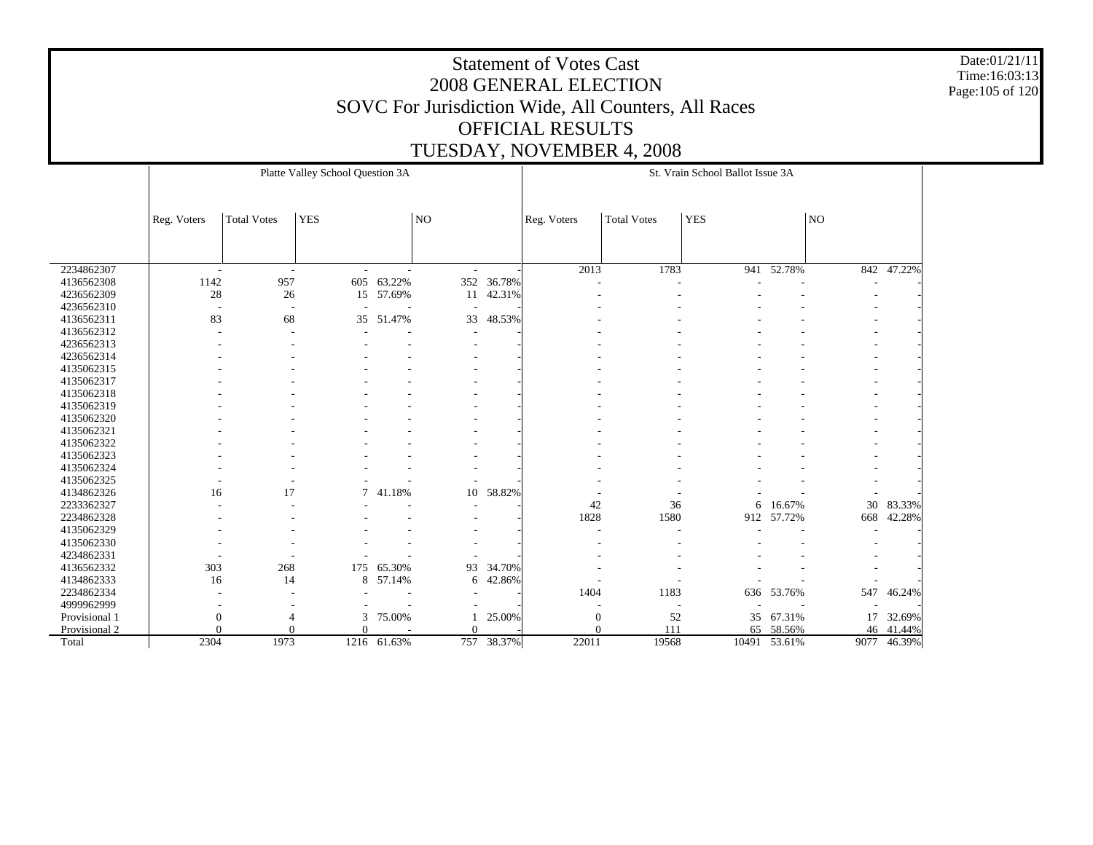Date:01/21/11 Time:16:03:13 Page:105 of 120

|               |                          |                          | Platte Valley School Question 3A |             |          |            |                  |                    | St. Vrain School Ballot Issue 3A |              |     |             |
|---------------|--------------------------|--------------------------|----------------------------------|-------------|----------|------------|------------------|--------------------|----------------------------------|--------------|-----|-------------|
|               | Reg. Voters              | <b>Total Votes</b>       | <b>YES</b>                       |             | NO       |            | Reg. Voters      | <b>Total Votes</b> | <b>YES</b>                       |              | NO  |             |
|               |                          |                          |                                  |             |          |            |                  |                    |                                  |              |     |             |
| 2234862307    | $\overline{\phantom{a}}$ | $\sim$                   |                                  | ÷           | $\sim$   |            | 2013             | 1783               |                                  | 941 52.78%   | 842 | 47.22%      |
| 4136562308    | 1142                     | 957                      | 605                              | 63.22%      |          | 352 36.78% |                  |                    |                                  |              |     |             |
| 4236562309    | 28                       | $26\,$                   |                                  | 15 57.69%   | 11       | 42.31%     |                  |                    |                                  |              |     |             |
| 4236562310    | $\overline{\phantom{a}}$ | $\overline{\phantom{a}}$ |                                  |             |          |            |                  |                    |                                  |              |     |             |
| 4136562311    | 83                       | 68                       | 35                               | 51.47%      | 33       | 48.53%     |                  |                    |                                  |              |     |             |
| 4136562312    |                          |                          |                                  |             |          |            |                  |                    |                                  |              |     |             |
| 4236562313    |                          |                          |                                  |             |          |            |                  |                    |                                  |              |     |             |
| 4236562314    |                          |                          |                                  |             |          |            |                  |                    |                                  |              |     |             |
| 4135062315    |                          |                          |                                  |             |          |            |                  |                    |                                  |              |     |             |
| 4135062317    |                          |                          |                                  |             |          |            |                  |                    |                                  |              |     |             |
| 4135062318    |                          |                          |                                  |             |          |            |                  |                    |                                  |              |     |             |
| 4135062319    |                          |                          |                                  |             |          |            |                  |                    |                                  |              |     |             |
| 4135062320    |                          |                          |                                  |             |          |            |                  |                    |                                  |              |     |             |
| 4135062321    |                          |                          |                                  |             |          |            |                  |                    |                                  |              |     |             |
| 4135062322    |                          |                          |                                  |             |          |            |                  |                    |                                  |              |     |             |
| 4135062323    |                          |                          |                                  |             |          |            |                  |                    |                                  |              |     |             |
| 4135062324    |                          |                          |                                  |             |          |            |                  |                    |                                  |              |     |             |
| 4135062325    |                          |                          |                                  |             |          |            |                  |                    |                                  |              |     |             |
| 4134862326    | 16                       | 17                       | 7                                | 41.18%      | 10       | 58.82%     |                  |                    |                                  |              |     |             |
| 2233362327    |                          |                          |                                  |             |          |            | 42               | 36                 | 6                                | 16.67%       | 30  | 83.33%      |
| 2234862328    |                          |                          |                                  |             |          |            | 1828             | 1580               | 912                              | 57.72%       | 668 | 42.28%      |
| 4135062329    |                          |                          |                                  |             |          |            |                  |                    |                                  |              |     |             |
| 4135062330    |                          |                          |                                  |             |          |            |                  |                    |                                  |              |     |             |
| 4234862331    |                          |                          |                                  |             |          |            |                  |                    |                                  |              |     |             |
| 4136562332    | 303                      | 268                      | 175                              | 65.30%      | 93       | 34.70%     |                  |                    |                                  |              |     |             |
| 4134862333    | 16                       | 14                       | 8                                | 57.14%      | 6        | 42.86%     |                  |                    |                                  |              |     |             |
| 2234862334    |                          |                          |                                  |             |          |            | 1404             | 1183               | 636                              | 53.76%       | 547 | 46.24%      |
| 4999962999    |                          |                          |                                  |             |          |            |                  |                    |                                  |              |     |             |
| Provisional 1 | 0                        | 4                        | 3                                | 75.00%      |          | 25.00%     | $\boldsymbol{0}$ | 52                 | 35                               | 67.31%       | 17  | 32.69%      |
| Provisional 2 | $\overline{0}$           | 0                        | $\Omega$                         |             | $\Omega$ |            | $\Omega$         | 111                | 65                               | 58.56%       | 46  | 41.44%      |
| Total         | 2304                     | 1973                     |                                  | 1216 61.63% |          | 757 38.37% | 22011            | 19568              |                                  | 10491 53.61% |     | 9077 46.39% |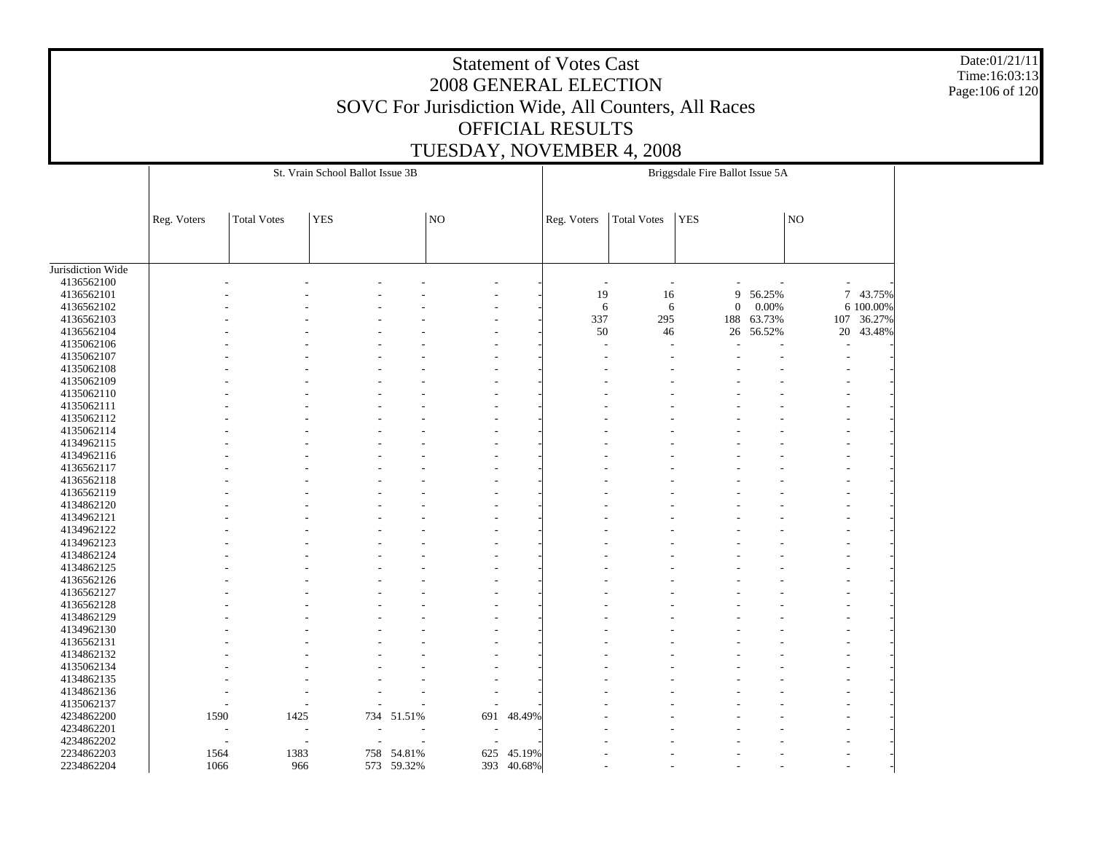Date:01/21/11 Time:16:03:13 Page:106 of 120

|                   |             |                    | St. Vrain School Ballot Issue 3B |            |           |            |                |                          | Briggsdale Fire Ballot Issue 5A |        |    |            |  |
|-------------------|-------------|--------------------|----------------------------------|------------|-----------|------------|----------------|--------------------------|---------------------------------|--------|----|------------|--|
|                   |             |                    | <b>YES</b>                       |            | <b>NO</b> |            |                |                          | <b>YES</b>                      |        | NO |            |  |
|                   | Reg. Voters | <b>Total Votes</b> |                                  |            |           |            | Reg. Voters    | <b>Total Votes</b>       |                                 |        |    |            |  |
|                   |             |                    |                                  |            |           |            |                |                          |                                 |        |    |            |  |
| Jurisdiction Wide |             |                    |                                  |            |           |            |                |                          |                                 |        |    |            |  |
| 4136562100        |             |                    |                                  |            |           |            | $\overline{a}$ | $\overline{\phantom{a}}$ |                                 |        |    |            |  |
| 4136562101        |             |                    |                                  |            |           |            | 19             | 16                       | 9                               | 56.25% |    | 7 43.75%   |  |
| 4136562102        |             |                    |                                  |            |           |            | 6              | 6                        | $\boldsymbol{0}$                | 0.00%  |    | 6 100.00%  |  |
| 4136562103        |             |                    |                                  |            |           |            | 337            | 295                      | 188                             | 63.73% |    | 107 36.27% |  |
| 4136562104        |             |                    |                                  |            |           |            | $50\,$         | 46                       | 26                              | 56.52% |    | 20 43.48%  |  |
| 4135062106        |             |                    |                                  |            |           |            |                |                          |                                 |        |    |            |  |
| 4135062107        |             |                    |                                  |            |           |            |                |                          |                                 |        |    |            |  |
| 4135062108        |             |                    |                                  |            |           |            |                |                          |                                 |        |    |            |  |
| 4135062109        |             |                    |                                  |            |           |            |                |                          |                                 |        |    |            |  |
| 4135062110        |             |                    |                                  |            |           |            |                |                          |                                 |        |    |            |  |
| 4135062111        |             |                    |                                  |            |           |            |                |                          |                                 |        |    |            |  |
| 4135062112        |             |                    |                                  |            |           |            |                |                          |                                 |        |    |            |  |
| 4135062114        |             |                    |                                  |            |           |            |                |                          |                                 |        |    |            |  |
| 4134962115        |             |                    |                                  |            |           |            |                |                          |                                 |        |    |            |  |
| 4134962116        |             |                    |                                  |            |           |            |                |                          |                                 |        |    |            |  |
| 4136562117        |             |                    |                                  |            |           |            |                |                          |                                 |        |    |            |  |
| 4136562118        |             |                    |                                  |            |           |            |                |                          |                                 |        |    |            |  |
| 4136562119        |             |                    |                                  |            |           |            |                |                          |                                 |        |    |            |  |
| 4134862120        |             |                    |                                  |            |           |            |                |                          |                                 |        |    |            |  |
| 4134962121        |             |                    |                                  |            |           |            |                |                          |                                 |        |    |            |  |
| 4134962122        |             |                    |                                  |            |           |            |                |                          |                                 |        |    |            |  |
| 4134962123        |             |                    |                                  |            |           |            |                |                          |                                 |        |    |            |  |
| 4134862124        |             |                    |                                  |            |           |            |                |                          |                                 |        |    |            |  |
| 4134862125        |             |                    |                                  |            |           |            |                |                          |                                 |        |    |            |  |
| 4136562126        |             |                    |                                  |            |           |            |                |                          |                                 |        |    |            |  |
| 4136562127        |             |                    |                                  |            |           |            |                |                          |                                 |        |    |            |  |
| 4136562128        |             |                    |                                  |            |           |            |                |                          |                                 |        |    |            |  |
| 4134862129        |             |                    |                                  |            |           |            |                |                          |                                 |        |    |            |  |
| 4134962130        |             |                    |                                  |            |           |            |                |                          |                                 |        |    |            |  |
| 4136562131        |             |                    |                                  |            |           |            |                |                          |                                 |        |    |            |  |
| 4134862132        |             |                    |                                  |            |           |            |                |                          |                                 |        |    |            |  |
| 4135062134        |             |                    |                                  |            |           |            |                |                          |                                 |        |    |            |  |
| 4134862135        |             |                    |                                  |            |           |            |                |                          |                                 |        |    |            |  |
| 4134862136        |             |                    |                                  |            |           |            |                |                          |                                 |        |    |            |  |
| 4135062137        |             |                    |                                  |            |           |            |                |                          |                                 |        |    |            |  |
| 4234862200        | 1590        | 1425               | 734                              | 51.51%     | 691       | 48.49%     |                |                          |                                 |        |    |            |  |
| 4234862201        |             |                    |                                  |            | ÷         |            |                |                          |                                 |        |    |            |  |
| 4234862202        |             |                    |                                  |            |           |            |                |                          |                                 |        |    |            |  |
| 2234862203        | 1564        | 1383               |                                  | 758 54.81% | 625       | 45.19%     |                |                          |                                 |        |    |            |  |
| 2234862204        | 1066        | 966                |                                  | 573 59.32% |           | 393 40.68% |                |                          |                                 |        |    |            |  |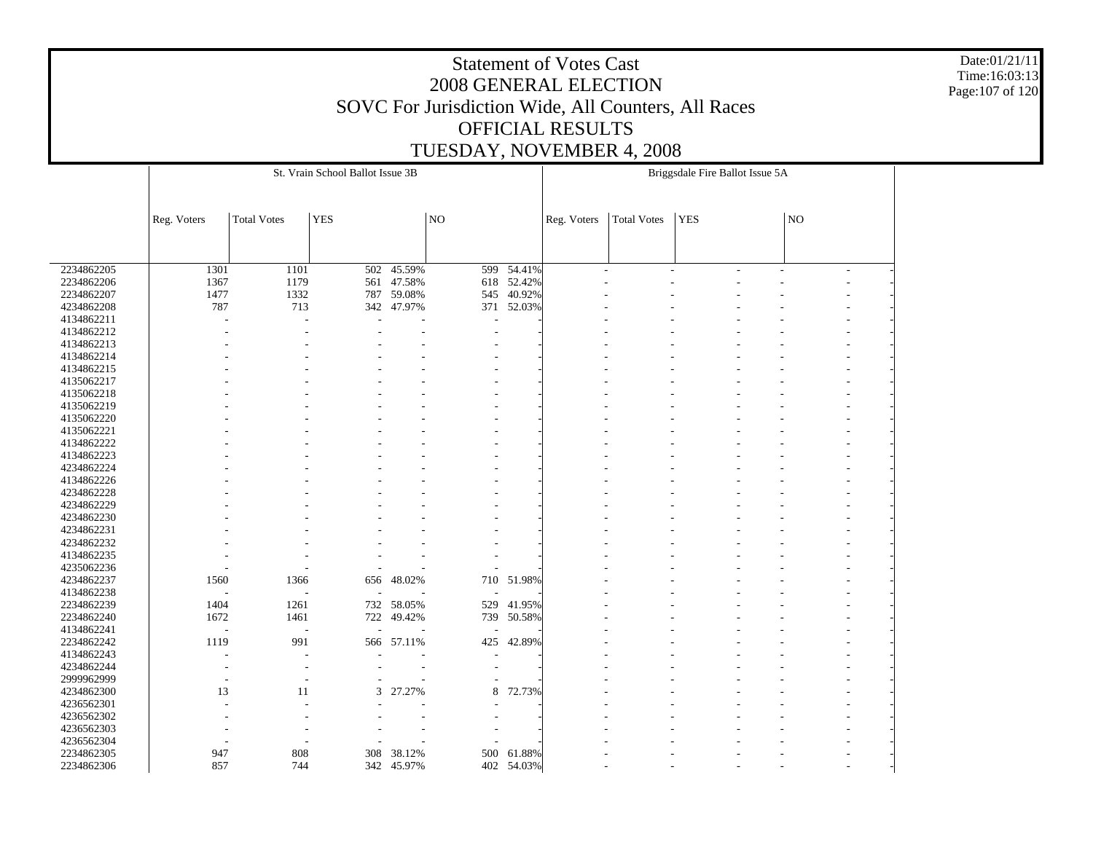Date:01/21/11 Time:16:03:13 Page:107 of 120

|            |             |                          | St. Vrain School Ballot Issue 3B |            |                 |                      |             |                    | Briggsdale Fire Ballot Issue 5A |    |   |  |
|------------|-------------|--------------------------|----------------------------------|------------|-----------------|----------------------|-------------|--------------------|---------------------------------|----|---|--|
|            |             |                          |                                  |            |                 |                      |             |                    |                                 |    |   |  |
|            |             |                          |                                  |            |                 |                      |             |                    |                                 |    |   |  |
|            | Reg. Voters | <b>Total Votes</b>       | <b>YES</b>                       |            | NO <sub>1</sub> |                      | Reg. Voters | <b>Total Votes</b> | <b>YES</b>                      | NO |   |  |
|            |             |                          |                                  |            |                 |                      |             |                    |                                 |    |   |  |
|            |             |                          |                                  |            |                 |                      |             |                    |                                 |    |   |  |
| 2234862205 | 1301        | 1101                     | 502                              | 45.59%     | 599             | $\overline{54.41\%}$ |             |                    |                                 |    |   |  |
| 2234862206 | 1367        | 1179                     | 561                              | 47.58%     |                 | 618 52.42%           |             |                    |                                 |    | ٠ |  |
| 2234862207 | 1477        | 1332                     | 787                              | 59.08%     | 545             | 40.92%               |             |                    |                                 |    |   |  |
| 4234862208 | 787         | 713                      |                                  | 342 47.97% | 371             | 52.03%               |             |                    |                                 |    |   |  |
| 4134862211 |             |                          |                                  |            |                 |                      |             |                    |                                 |    |   |  |
| 4134862212 |             |                          |                                  |            |                 |                      |             |                    |                                 |    |   |  |
|            |             |                          |                                  |            |                 |                      |             |                    |                                 |    |   |  |
| 4134862213 |             |                          |                                  |            |                 |                      |             |                    |                                 |    |   |  |
| 4134862214 |             |                          |                                  |            |                 |                      |             |                    |                                 |    |   |  |
| 4134862215 |             |                          |                                  |            |                 |                      |             |                    |                                 |    |   |  |
| 4135062217 |             |                          |                                  |            |                 |                      |             |                    |                                 |    |   |  |
| 4135062218 |             |                          |                                  |            |                 |                      |             |                    |                                 |    |   |  |
| 4135062219 |             |                          |                                  |            |                 |                      |             |                    |                                 |    |   |  |
| 4135062220 |             |                          |                                  |            |                 |                      |             |                    |                                 |    |   |  |
| 4135062221 |             |                          |                                  |            |                 |                      |             |                    |                                 |    |   |  |
| 4134862222 |             |                          |                                  |            |                 |                      |             |                    |                                 |    |   |  |
| 4134862223 |             |                          |                                  |            |                 |                      |             |                    |                                 |    |   |  |
| 4234862224 |             |                          |                                  |            |                 |                      |             |                    |                                 |    |   |  |
| 4134862226 |             |                          |                                  |            |                 |                      |             |                    |                                 |    |   |  |
| 4234862228 |             |                          |                                  |            |                 |                      |             |                    |                                 |    |   |  |
| 4234862229 |             |                          |                                  |            |                 |                      |             |                    |                                 |    |   |  |
| 4234862230 |             |                          |                                  |            |                 |                      |             |                    |                                 |    |   |  |
| 4234862231 |             |                          |                                  |            |                 |                      |             |                    |                                 |    |   |  |
| 4234862232 |             |                          |                                  |            |                 |                      |             |                    |                                 |    |   |  |
| 4134862235 |             |                          |                                  |            |                 |                      |             |                    |                                 |    |   |  |
| 4235062236 |             |                          |                                  |            |                 |                      |             |                    |                                 |    |   |  |
| 4234862237 | 1560        | 1366                     | 656                              | 48.02%     |                 | 710 51.98%           |             |                    |                                 |    |   |  |
| 4134862238 |             | $\overline{\phantom{a}}$ |                                  |            |                 |                      |             |                    |                                 |    |   |  |
| 2234862239 | 1404        | 1261                     | 732                              | 58.05%     | 529             | 41.95%               |             |                    |                                 |    |   |  |
| 2234862240 | 1672        | 1461                     | 722                              | 49.42%     | 739             | 50.58%               |             |                    |                                 |    |   |  |
| 4134862241 |             | Ĭ.                       |                                  |            |                 |                      |             |                    |                                 |    |   |  |
| 2234862242 | 1119        | 991                      | 566                              | 57.11%     | 425             | 42.89%               |             |                    |                                 |    |   |  |
| 4134862243 |             |                          |                                  |            |                 |                      |             |                    |                                 |    |   |  |
| 4234862244 |             |                          |                                  |            |                 |                      |             |                    |                                 |    |   |  |
| 2999962999 |             |                          |                                  |            |                 |                      |             |                    |                                 |    |   |  |
| 4234862300 | 13          | 11                       | 3                                | 27.27%     | 8               | 72.73%               |             |                    |                                 |    |   |  |
| 4236562301 |             |                          |                                  |            |                 |                      |             |                    |                                 |    |   |  |
| 4236562302 |             |                          |                                  |            |                 |                      |             |                    |                                 |    |   |  |
| 4236562303 |             |                          |                                  |            |                 |                      |             |                    |                                 |    |   |  |
| 4236562304 |             |                          |                                  |            |                 |                      |             |                    |                                 |    |   |  |
| 2234862305 | 947         | 808                      | 308                              | 38.12%     |                 | 500 61.88%           |             |                    |                                 |    |   |  |
| 2234862306 | 857         | 744                      |                                  | 342 45.97% |                 | 402 54.03%           |             |                    |                                 |    |   |  |
|            |             |                          |                                  |            |                 |                      |             |                    |                                 |    |   |  |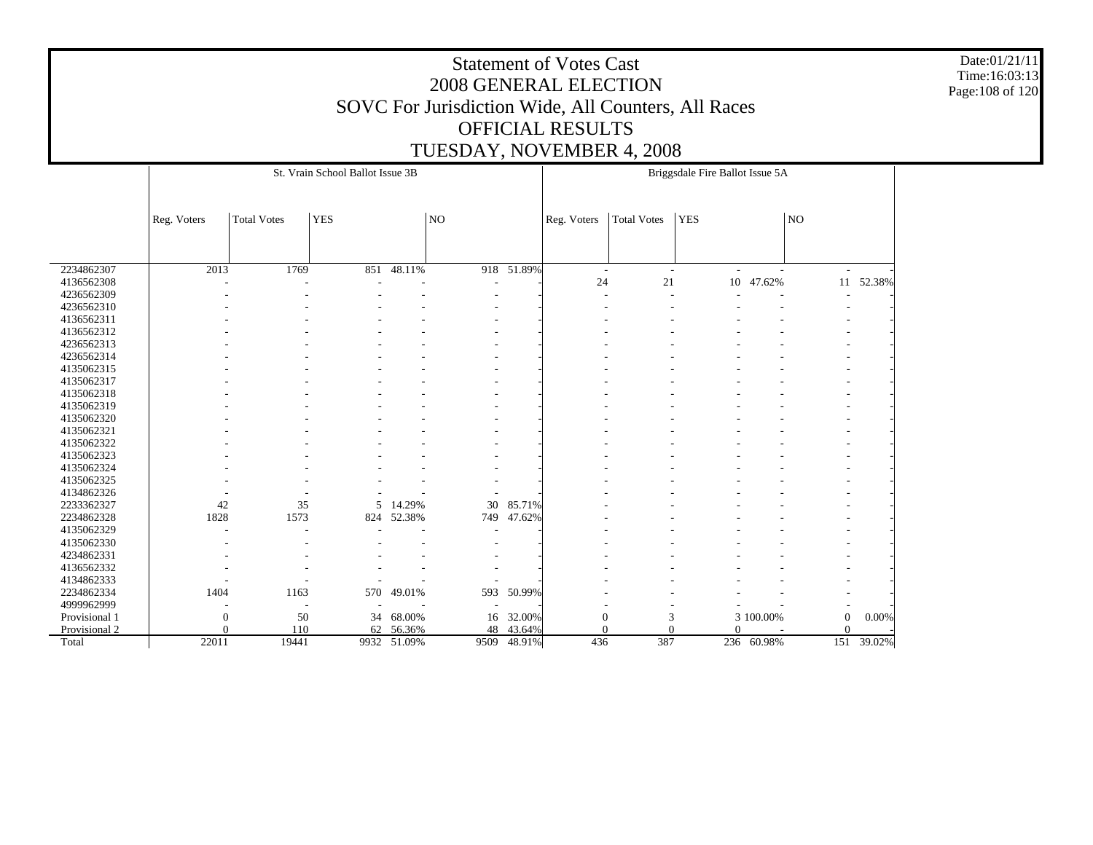Date:01/21/11 Time:16:03:13 Page:108 of 120

|               |                  |                    | St. Vrain School Ballot Issue 3B |             |                 |             |                  |             | Briggsdale Fire Ballot Issue 5A    |            |                  |            |
|---------------|------------------|--------------------|----------------------------------|-------------|-----------------|-------------|------------------|-------------|------------------------------------|------------|------------------|------------|
|               | Reg. Voters      | <b>Total Votes</b> | <b>YES</b>                       |             | NO <sub>1</sub> |             | Reg. Voters      | Total Votes | <b>YES</b>                         |            | NO               |            |
|               |                  |                    |                                  |             |                 |             |                  |             |                                    |            |                  |            |
| 2234862307    | 2013             | 1769               | 851                              | $-48.11%$   |                 | 918 51.89%  | $\sim$           |             | $\overline{\phantom{a}}$<br>$\sim$ | ÷          |                  |            |
| 4136562308    |                  |                    |                                  |             |                 |             | 24               | 21          | 10                                 | 47.62%     | 11               | 52.38%     |
| 4236562309    |                  |                    |                                  |             |                 |             |                  |             |                                    | L          |                  |            |
| 4236562310    |                  |                    |                                  |             |                 |             |                  |             |                                    |            |                  |            |
| 4136562311    |                  |                    |                                  |             |                 |             |                  |             |                                    |            |                  |            |
| 4136562312    |                  |                    |                                  |             |                 |             |                  |             |                                    |            |                  |            |
| 4236562313    |                  |                    |                                  |             |                 |             |                  |             |                                    |            |                  |            |
| 4236562314    |                  |                    |                                  |             |                 |             |                  |             |                                    |            |                  |            |
| 4135062315    |                  |                    |                                  |             |                 |             |                  |             |                                    |            |                  |            |
| 4135062317    |                  |                    |                                  |             |                 |             |                  |             |                                    |            |                  |            |
| 4135062318    |                  |                    |                                  |             |                 |             |                  |             |                                    |            |                  |            |
| 4135062319    |                  |                    |                                  |             |                 |             |                  |             |                                    |            |                  |            |
| 4135062320    |                  |                    |                                  |             |                 |             |                  |             |                                    |            |                  |            |
| 4135062321    |                  |                    |                                  |             |                 |             |                  |             |                                    |            |                  |            |
| 4135062322    |                  |                    |                                  |             |                 |             |                  |             |                                    |            |                  |            |
| 4135062323    |                  |                    |                                  |             |                 |             |                  |             |                                    |            |                  |            |
| 4135062324    |                  |                    |                                  |             |                 |             |                  |             |                                    |            |                  |            |
| 4135062325    |                  |                    |                                  |             |                 |             |                  |             |                                    |            |                  |            |
| 4134862326    |                  |                    |                                  |             |                 |             |                  |             |                                    |            |                  |            |
| 2233362327    | 42               | 35                 | 5                                | 14.29%      | 30              | 85.71%      |                  |             |                                    |            |                  |            |
| 2234862328    | 1828             | 1573               | 824                              | 52.38%      | 749             | 47.62%      |                  |             |                                    |            |                  |            |
| 4135062329    |                  |                    |                                  |             |                 |             |                  |             |                                    |            |                  |            |
| 4135062330    |                  |                    |                                  |             |                 |             |                  |             |                                    |            |                  |            |
| 4234862331    |                  |                    |                                  |             |                 |             |                  |             |                                    |            |                  |            |
| 4136562332    |                  |                    |                                  |             |                 |             |                  |             |                                    |            |                  |            |
| 4134862333    |                  |                    |                                  |             |                 |             |                  |             |                                    |            |                  |            |
| 2234862334    | 1404             | 1163               | 570                              | 49.01%      | 593             | 50.99%      |                  |             |                                    |            |                  |            |
| 4999962999    |                  |                    |                                  |             |                 |             |                  |             |                                    |            |                  |            |
| Provisional 1 | $\boldsymbol{0}$ | 50                 | 34                               | 68.00%      |                 | 16 32.00%   | $\boldsymbol{0}$ | 3           |                                    | 3 100.00%  | $\boldsymbol{0}$ | 0.00%      |
| Provisional 2 | $\Omega$         | 110                | 62                               | 56.36%      | 48              | 43.64%      | $\Omega$         | $\Omega$    | $\Omega$                           |            | $\Omega$         |            |
| Total         | 22011            | 19441              |                                  | 9932 51.09% |                 | 9509 48.91% | 436              | 387         |                                    | 236 60.98% |                  | 151 39.02% |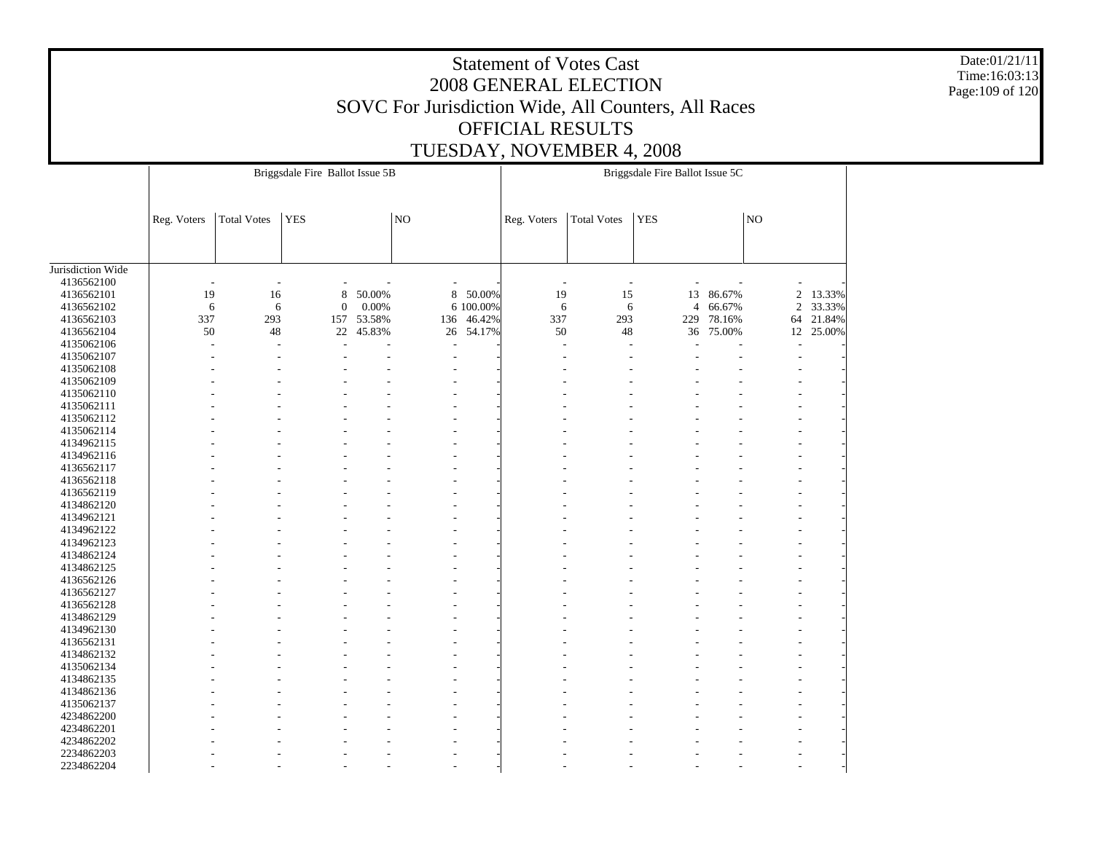Date:01/21/11 Time:16:03:13 Page:109 of 120

|                   |             |                    | Briggsdale Fire Ballot Issue 5B |            |     |           |             |                    | Briggsdale Fire Ballot Issue 5C |        |                     |           |
|-------------------|-------------|--------------------|---------------------------------|------------|-----|-----------|-------------|--------------------|---------------------------------|--------|---------------------|-----------|
|                   |             |                    |                                 |            |     |           |             |                    |                                 |        |                     |           |
|                   | Reg. Voters | <b>Total Votes</b> | <b>YES</b>                      |            | NO  |           | Reg. Voters | <b>Total Votes</b> | <b>YES</b>                      |        | $\overline{\rm NO}$ |           |
|                   |             |                    |                                 |            |     |           |             |                    |                                 |        |                     |           |
| Jurisdiction Wide |             |                    |                                 |            |     |           |             |                    |                                 |        |                     |           |
| 4136562100        |             |                    |                                 |            |     |           | J.          |                    |                                 |        |                     |           |
| 4136562101        | 19          | 16                 | $\,$ 8 $\,$                     | 50.00%     | 8   | 50.00%    | 19          | 15                 | 13                              | 86.67% | $\overline{c}$      | 13.33%    |
| 4136562102        | 6           | 6                  | $\boldsymbol{0}$                | 0.00%      |     | 6 100.00% | 6           | 6                  | $\overline{4}$                  | 66.67% | $\overline{c}$      | 33.33%    |
| 4136562103        | 337         | 293                |                                 | 157 53.58% | 136 | 46.42%    | 337         | 293                | 229                             | 78.16% | 64                  | 21.84%    |
| 4136562104        | 50          | 48                 | 22                              | 45.83%     |     | 26 54.17% | 50          | 48                 | 36                              | 75.00% |                     | 12 25.00% |
| 4135062106        | ٠           | $\overline{a}$     | ÷.                              |            | ÷,  |           | ä,          |                    |                                 |        |                     |           |
| 4135062107        |             |                    |                                 |            |     |           |             |                    |                                 |        |                     |           |
| 4135062108        |             |                    |                                 |            |     |           |             |                    |                                 |        |                     |           |
| 4135062109        |             |                    |                                 |            |     |           |             |                    |                                 |        |                     |           |
| 4135062110        |             |                    |                                 |            |     |           |             |                    |                                 |        |                     |           |
| 4135062111        |             |                    |                                 |            |     |           |             |                    |                                 |        |                     |           |
| 4135062112        |             |                    |                                 |            |     |           |             |                    |                                 |        |                     |           |
| 4135062114        |             |                    |                                 |            |     |           |             |                    |                                 |        |                     |           |
| 4134962115        |             |                    |                                 |            |     |           |             |                    |                                 |        |                     |           |
| 4134962116        |             |                    |                                 |            |     |           |             |                    |                                 |        |                     |           |
| 4136562117        |             |                    |                                 |            |     |           |             |                    |                                 |        |                     |           |
| 4136562118        |             |                    |                                 |            |     |           |             |                    |                                 |        |                     |           |
| 4136562119        |             |                    |                                 |            |     |           |             |                    |                                 |        |                     |           |
| 4134862120        |             |                    |                                 |            |     |           |             |                    |                                 |        |                     |           |
| 4134962121        |             |                    |                                 |            |     |           |             |                    |                                 |        |                     |           |
| 4134962122        |             |                    |                                 |            |     |           |             |                    |                                 |        |                     |           |
| 4134962123        |             |                    |                                 |            |     |           |             |                    |                                 |        |                     |           |
| 4134862124        |             |                    |                                 |            |     |           |             |                    |                                 |        |                     |           |
| 4134862125        |             |                    |                                 |            |     |           |             |                    |                                 |        |                     |           |
| 4136562126        |             |                    |                                 |            |     |           |             |                    |                                 |        |                     |           |
| 4136562127        |             |                    |                                 |            |     |           |             |                    |                                 |        |                     |           |
| 4136562128        |             |                    |                                 |            |     |           |             |                    |                                 |        |                     |           |
| 4134862129        |             |                    |                                 |            |     |           |             |                    |                                 |        |                     |           |
| 4134962130        |             |                    |                                 |            |     |           |             |                    |                                 |        |                     |           |
| 4136562131        |             |                    |                                 |            |     |           |             |                    |                                 |        |                     |           |
| 4134862132        |             |                    |                                 |            |     |           |             |                    |                                 |        |                     |           |
| 4135062134        |             |                    |                                 |            |     |           |             |                    |                                 |        |                     |           |
| 4134862135        |             |                    |                                 |            |     |           |             |                    |                                 |        |                     |           |
|                   |             |                    |                                 |            |     |           |             |                    |                                 |        |                     |           |
| 4134862136        |             |                    |                                 |            |     |           |             |                    |                                 |        |                     |           |
| 4135062137        |             |                    |                                 |            |     |           |             |                    |                                 |        |                     |           |
| 4234862200        |             |                    |                                 |            |     |           |             |                    |                                 |        |                     |           |
| 4234862201        |             |                    |                                 |            |     |           |             |                    |                                 |        |                     |           |
| 4234862202        |             |                    |                                 |            |     |           |             |                    |                                 |        |                     |           |
| 2234862203        |             |                    |                                 |            |     |           |             |                    |                                 |        |                     |           |
| 2234862204        |             |                    |                                 |            |     |           |             |                    |                                 |        |                     |           |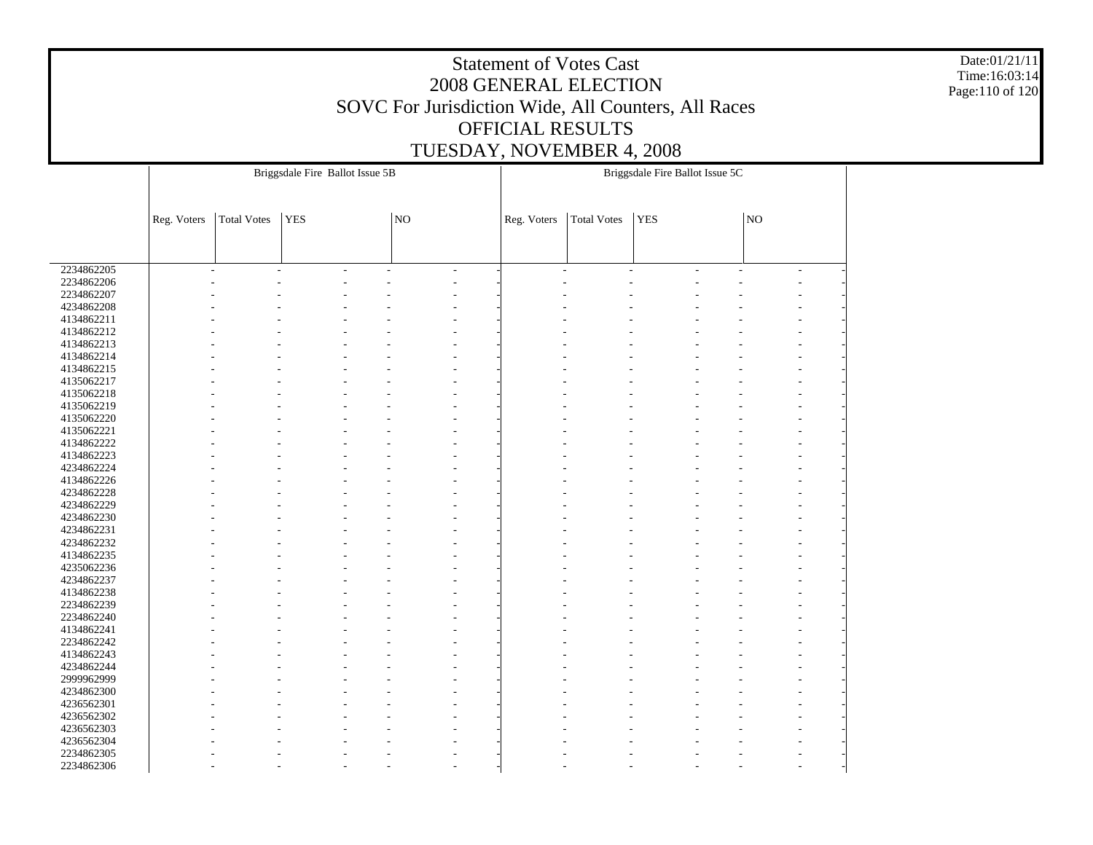Date:01/21/11 Time:16:03:14 Page:110 of 120

|            |                          |                    | Briggsdale Fire Ballot Issue 5B |    |                          |             |                     | Briggsdale Fire Ballot Issue 5C |        |                     |                          |  |
|------------|--------------------------|--------------------|---------------------------------|----|--------------------------|-------------|---------------------|---------------------------------|--------|---------------------|--------------------------|--|
|            |                          |                    |                                 |    |                          |             |                     |                                 |        |                     |                          |  |
|            |                          |                    |                                 |    |                          |             |                     |                                 |        |                     |                          |  |
|            | Reg. Voters              | <b>Total Votes</b> | <b>YES</b>                      | NO |                          | Reg. Voters | <b>Total Votes</b>  | YES                             |        | $\overline{\rm NO}$ |                          |  |
|            |                          |                    |                                 |    |                          |             |                     |                                 |        |                     |                          |  |
|            |                          |                    |                                 |    |                          |             |                     |                                 |        |                     |                          |  |
|            |                          |                    |                                 |    |                          |             |                     |                                 |        |                     |                          |  |
| 2234862205 | $\overline{\phantom{a}}$ | ÷.                 | $\overline{a}$                  |    | $\overline{\phantom{a}}$ |             | ÷<br>$\overline{a}$ |                                 | ÷<br>٠ |                     | $\overline{\phantom{a}}$ |  |
| 2234862206 |                          |                    |                                 |    |                          |             |                     |                                 |        |                     |                          |  |
| 2234862207 |                          |                    |                                 |    |                          |             |                     |                                 |        |                     |                          |  |
| 4234862208 |                          |                    |                                 |    |                          |             |                     |                                 |        |                     |                          |  |
| 4134862211 |                          |                    |                                 |    |                          |             |                     |                                 |        |                     |                          |  |
| 4134862212 |                          |                    |                                 |    |                          |             |                     |                                 |        |                     |                          |  |
| 4134862213 |                          |                    |                                 |    |                          |             |                     |                                 |        |                     |                          |  |
| 4134862214 |                          |                    |                                 |    |                          |             |                     |                                 |        |                     |                          |  |
| 4134862215 |                          |                    |                                 |    |                          |             |                     |                                 |        |                     |                          |  |
| 4135062217 |                          |                    |                                 |    |                          |             |                     |                                 |        |                     |                          |  |
| 4135062218 |                          |                    |                                 |    |                          |             |                     |                                 |        |                     |                          |  |
| 4135062219 |                          |                    |                                 |    |                          |             |                     |                                 |        |                     |                          |  |
| 4135062220 |                          |                    |                                 |    |                          |             |                     |                                 |        |                     |                          |  |
| 4135062221 |                          |                    |                                 |    |                          |             |                     |                                 |        |                     |                          |  |
| 4134862222 |                          |                    |                                 |    |                          |             |                     |                                 |        |                     |                          |  |
| 4134862223 |                          |                    |                                 |    |                          |             |                     |                                 |        |                     |                          |  |
| 4234862224 |                          |                    |                                 |    |                          |             |                     |                                 |        |                     |                          |  |
| 4134862226 |                          |                    |                                 |    |                          |             |                     |                                 |        |                     |                          |  |
| 4234862228 |                          |                    |                                 |    |                          |             |                     |                                 |        |                     |                          |  |
| 4234862229 |                          |                    |                                 |    |                          |             |                     |                                 |        |                     |                          |  |
| 4234862230 |                          |                    |                                 |    |                          |             |                     |                                 |        |                     |                          |  |
| 4234862231 |                          |                    |                                 |    |                          |             |                     |                                 |        |                     |                          |  |
| 4234862232 |                          |                    |                                 |    |                          |             |                     |                                 |        |                     |                          |  |
| 4134862235 |                          |                    |                                 |    |                          |             |                     |                                 |        |                     |                          |  |
| 4235062236 |                          |                    |                                 |    |                          |             |                     |                                 |        |                     |                          |  |
| 4234862237 |                          |                    |                                 |    |                          |             |                     |                                 |        |                     |                          |  |
| 4134862238 |                          |                    |                                 |    |                          |             |                     |                                 |        |                     |                          |  |
| 2234862239 |                          |                    |                                 |    |                          |             |                     |                                 |        |                     |                          |  |
| 2234862240 |                          |                    |                                 |    |                          |             |                     |                                 |        |                     |                          |  |
| 4134862241 |                          |                    |                                 |    |                          |             |                     |                                 |        |                     |                          |  |
| 2234862242 |                          |                    |                                 |    |                          |             |                     |                                 |        |                     |                          |  |
| 4134862243 |                          |                    |                                 |    |                          |             |                     |                                 |        |                     |                          |  |
| 4234862244 |                          |                    |                                 |    |                          |             |                     |                                 |        |                     |                          |  |
| 2999962999 |                          |                    |                                 |    |                          |             |                     |                                 |        |                     |                          |  |
| 4234862300 |                          |                    |                                 |    |                          |             |                     |                                 |        |                     |                          |  |
| 4236562301 |                          |                    |                                 |    |                          |             |                     |                                 |        |                     |                          |  |
| 4236562302 |                          |                    |                                 |    |                          |             |                     |                                 |        |                     |                          |  |
| 4236562303 |                          |                    |                                 |    |                          |             |                     |                                 |        |                     |                          |  |
| 4236562304 |                          |                    |                                 |    |                          |             |                     |                                 |        |                     |                          |  |
| 2234862305 |                          |                    |                                 |    |                          |             |                     |                                 |        |                     |                          |  |
| 2234862306 |                          |                    |                                 |    |                          |             |                     |                                 |        |                     |                          |  |
|            |                          |                    |                                 |    |                          |             |                     |                                 |        |                     |                          |  |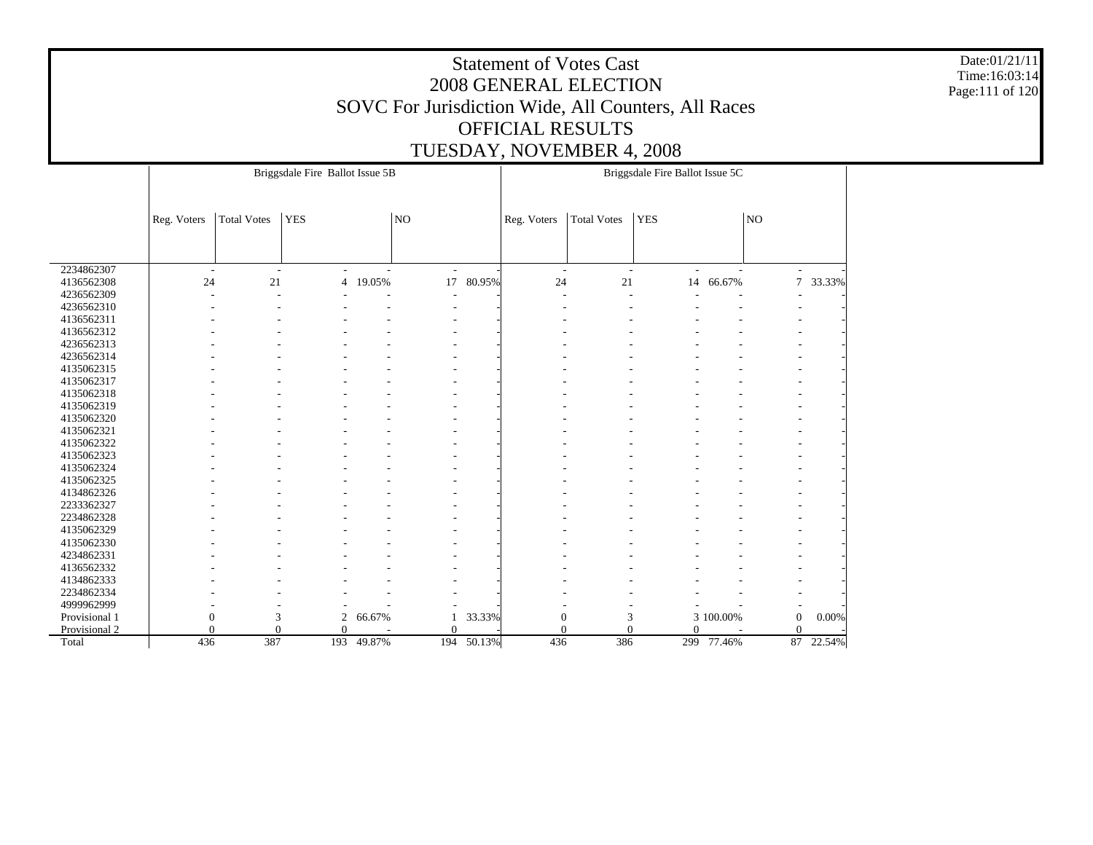Date:01/21/11 Time:16:03:14 Page:111 of 120

|               |                          |                    | Briggsdale Fire Ballot Issue 5B |        |                          |        |                  |                    | Briggsdale Fire Ballot Issue 5C |                |                  |        |
|---------------|--------------------------|--------------------|---------------------------------|--------|--------------------------|--------|------------------|--------------------|---------------------------------|----------------|------------------|--------|
|               |                          |                    |                                 |        |                          |        |                  |                    |                                 |                |                  |        |
|               | Reg. Voters              | <b>Total Votes</b> | <b>YES</b>                      |        | NO                       |        | Reg. Voters      | <b>Total Votes</b> | <b>YES</b>                      |                | NO               |        |
|               |                          |                    |                                 |        |                          |        |                  |                    |                                 |                |                  |        |
|               |                          |                    |                                 |        |                          |        |                  |                    |                                 |                |                  |        |
|               |                          |                    |                                 |        |                          |        |                  |                    |                                 |                |                  |        |
| 2234862307    | $\overline{\phantom{a}}$ | $\sim$             | $\overline{a}$                  | L.     | $\sim$                   |        | $\sim$           | $\sim$             | $\overline{a}$                  | $\overline{a}$ | $\sim$           |        |
| 4136562308    | 24                       | 21                 | $\overline{4}$                  | 19.05% | 17                       | 80.95% | 24               | 21                 | 14                              | 66.67%         | $\overline{7}$   | 33.33% |
| 4236562309    |                          |                    |                                 |        | $\overline{\phantom{a}}$ |        |                  |                    |                                 |                |                  |        |
| 4236562310    |                          |                    |                                 |        |                          |        |                  |                    |                                 |                |                  |        |
| 4136562311    |                          |                    |                                 |        |                          |        |                  |                    |                                 |                |                  |        |
| 4136562312    |                          |                    |                                 |        |                          |        |                  |                    |                                 |                |                  |        |
| 4236562313    |                          |                    |                                 |        |                          |        |                  |                    |                                 |                |                  |        |
| 4236562314    |                          |                    |                                 |        | ٠                        |        |                  |                    |                                 |                |                  |        |
| 4135062315    |                          |                    |                                 |        | ۰                        |        |                  |                    |                                 |                |                  |        |
| 4135062317    |                          |                    |                                 |        |                          |        |                  |                    |                                 |                |                  |        |
| 4135062318    |                          |                    |                                 |        |                          |        |                  |                    |                                 |                |                  |        |
| 4135062319    |                          |                    |                                 |        |                          |        |                  |                    |                                 |                |                  |        |
| 4135062320    |                          |                    |                                 |        | ٠                        |        |                  |                    |                                 |                |                  |        |
| 4135062321    |                          |                    |                                 |        |                          |        |                  |                    |                                 |                |                  |        |
| 4135062322    |                          |                    |                                 |        |                          |        |                  |                    |                                 |                |                  |        |
| 4135062323    |                          |                    |                                 |        |                          |        |                  |                    |                                 |                |                  |        |
| 4135062324    |                          |                    |                                 |        |                          |        |                  |                    |                                 |                |                  |        |
| 4135062325    |                          |                    |                                 |        | ٠                        |        |                  |                    |                                 |                |                  |        |
| 4134862326    |                          |                    |                                 |        |                          |        |                  |                    |                                 |                |                  |        |
| 2233362327    |                          |                    |                                 |        | ٠                        |        |                  |                    |                                 |                |                  |        |
| 2234862328    |                          |                    |                                 |        |                          |        |                  |                    |                                 |                |                  |        |
| 4135062329    |                          |                    |                                 |        | ٠                        |        |                  |                    |                                 |                |                  |        |
| 4135062330    |                          |                    |                                 |        |                          |        |                  |                    |                                 |                |                  |        |
| 4234862331    |                          |                    |                                 |        |                          |        |                  |                    |                                 |                |                  |        |
| 4136562332    |                          |                    |                                 |        |                          |        |                  |                    |                                 |                |                  |        |
| 4134862333    |                          |                    |                                 |        |                          |        |                  |                    |                                 |                |                  |        |
| 2234862334    |                          |                    |                                 |        |                          |        |                  |                    |                                 |                |                  |        |
| 4999962999    |                          |                    |                                 |        |                          |        |                  |                    |                                 |                |                  |        |
| Provisional 1 | 0                        | 3                  | 2                               | 66.67% | $\mathbf{1}$             | 33.33% | $\boldsymbol{0}$ | 3                  |                                 | 3 100.00%      | $\boldsymbol{0}$ | 0.00%  |
| Provisional 2 | $\theta$                 | $\theta$           | $\theta$                        |        | $\theta$                 |        | $\theta$         | $\theta$           | $\overline{0}$                  |                | $\Omega$         |        |
| Total         | 436                      | 387                | 193                             | 49.87% | 194                      | 50.13% | 436              | 386                |                                 | 299 77.46%     | 87               | 22.54% |
|               |                          |                    |                                 |        |                          |        |                  |                    |                                 |                |                  |        |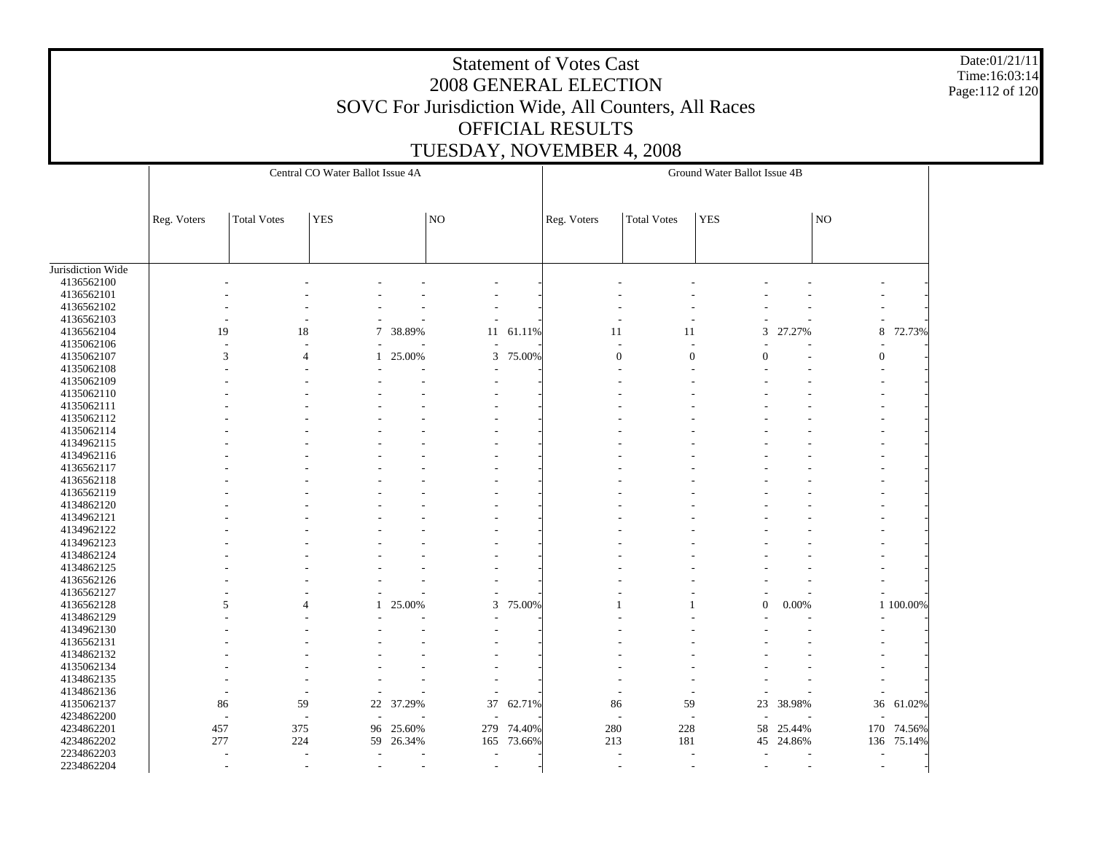Date:01/21/11 Time:16:03:14 Page:112 of 120

|                   |             |                          | Central CO Water Ballot Issue 4A |                          |                 |        |                  |                          | Ground Water Ballot Issue 4B |                          |                     |           |
|-------------------|-------------|--------------------------|----------------------------------|--------------------------|-----------------|--------|------------------|--------------------------|------------------------------|--------------------------|---------------------|-----------|
|                   |             | <b>Total Votes</b>       | <b>YES</b>                       |                          | NO <sub>1</sub> |        |                  |                          | <b>YES</b>                   |                          | $\overline{\rm NO}$ |           |
|                   | Reg. Voters |                          |                                  |                          |                 |        | Reg. Voters      | <b>Total Votes</b>       |                              |                          |                     |           |
|                   |             |                          |                                  |                          |                 |        |                  |                          |                              |                          |                     |           |
| Jurisdiction Wide |             |                          |                                  |                          |                 |        |                  |                          |                              |                          |                     |           |
| 4136562100        |             |                          |                                  |                          |                 |        |                  |                          |                              |                          |                     |           |
| 4136562101        |             |                          |                                  |                          |                 |        |                  |                          |                              |                          |                     |           |
| 4136562102        |             |                          |                                  |                          |                 |        |                  |                          |                              |                          |                     |           |
| 4136562103        |             |                          |                                  |                          |                 |        |                  |                          |                              |                          |                     |           |
| 4136562104        |             | 19                       | 18                               | $\overline{7}$<br>38.89% | 11              | 61.11% | 11               | 11                       | 3                            | 27.27%                   | 8                   | 72.73%    |
| 4135062106        |             |                          |                                  |                          |                 |        | Ĭ.               |                          |                              |                          |                     |           |
| 4135062107        |             | 3                        | $\overline{4}$                   | 25.00%<br>$\mathbf{1}$   | 3               | 75.00% | $\boldsymbol{0}$ | $\boldsymbol{0}$         | $\overline{0}$               |                          | $\boldsymbol{0}$    |           |
| 4135062108        |             |                          |                                  |                          |                 |        |                  |                          |                              |                          |                     |           |
| 4135062109        |             |                          |                                  |                          |                 |        |                  |                          |                              |                          |                     |           |
| 4135062110        |             |                          |                                  |                          |                 |        |                  |                          |                              |                          |                     |           |
| 4135062111        |             |                          |                                  |                          |                 |        |                  |                          |                              |                          |                     |           |
| 4135062112        |             |                          |                                  |                          |                 |        |                  |                          |                              |                          |                     |           |
| 4135062114        |             |                          |                                  |                          |                 |        |                  |                          |                              |                          |                     |           |
| 4134962115        |             |                          |                                  |                          |                 |        |                  |                          |                              |                          |                     |           |
| 4134962116        |             |                          |                                  |                          |                 |        |                  |                          |                              |                          |                     |           |
| 4136562117        |             |                          |                                  |                          |                 |        |                  |                          |                              |                          |                     |           |
| 4136562118        |             |                          |                                  |                          |                 |        |                  |                          |                              |                          |                     |           |
| 4136562119        |             |                          |                                  |                          |                 |        |                  |                          |                              |                          |                     |           |
| 4134862120        |             |                          |                                  |                          |                 |        |                  |                          |                              |                          |                     |           |
| 4134962121        |             |                          |                                  |                          |                 |        |                  |                          |                              |                          |                     |           |
| 4134962122        |             |                          |                                  |                          |                 |        |                  |                          |                              |                          |                     |           |
| 4134962123        |             |                          |                                  |                          |                 |        |                  |                          |                              |                          |                     |           |
| 4134862124        |             |                          |                                  |                          |                 |        |                  |                          |                              |                          |                     |           |
| 4134862125        |             |                          |                                  |                          |                 |        |                  |                          |                              |                          |                     |           |
| 4136562126        |             |                          |                                  |                          |                 |        |                  |                          |                              |                          |                     |           |
| 4136562127        |             |                          |                                  |                          |                 |        |                  |                          |                              |                          |                     |           |
| 4136562128        |             | 5                        | 4                                | 25.00%<br>$\mathbf{1}$   | 3               | 75.00% |                  |                          | $\overline{0}$               | $0.00\%$                 |                     | 1 100.00% |
| 4134862129        |             |                          |                                  |                          |                 |        |                  |                          |                              |                          |                     |           |
| 4134962130        |             |                          |                                  |                          |                 |        |                  |                          |                              |                          |                     |           |
| 4136562131        |             |                          |                                  |                          |                 |        |                  |                          |                              |                          |                     |           |
| 4134862132        |             |                          |                                  |                          |                 |        |                  |                          |                              |                          |                     |           |
| 4135062134        |             |                          |                                  |                          |                 |        |                  |                          |                              |                          |                     |           |
| 4134862135        |             |                          |                                  |                          |                 |        |                  |                          |                              |                          |                     |           |
| 4134862136        |             |                          |                                  |                          |                 |        |                  |                          |                              |                          |                     |           |
| 4135062137        | 86          |                          | 59                               | 22 37.29%                | 37              | 62.71% | 86               | 59                       | 23                           | 38.98%                   | 36                  | 61.02%    |
| 4234862200        |             | $\overline{\phantom{a}}$ | ÷                                |                          |                 |        | ÷,               | $\overline{\phantom{a}}$ |                              |                          |                     |           |
| 4234862201        | 457         |                          | 375                              | 25.60%<br>96             | 279             | 74.40% | 280              | 228                      | 58                           | 25.44%                   | 170                 | 74.56%    |
| 4234862202        | 277         |                          | 224                              | 59<br>26.34%             | 165             | 73.66% | 213              | 181                      | 45                           | 24.86%                   | 136                 | 75.14%    |
| 2234862203        |             |                          |                                  |                          |                 |        |                  |                          |                              |                          |                     |           |
| 2234862204        |             | $\overline{\phantom{a}}$ |                                  |                          | $\sim$<br>٠     |        |                  |                          |                              | $\overline{\phantom{a}}$ |                     |           |
|                   |             |                          |                                  |                          |                 |        |                  |                          |                              |                          |                     |           |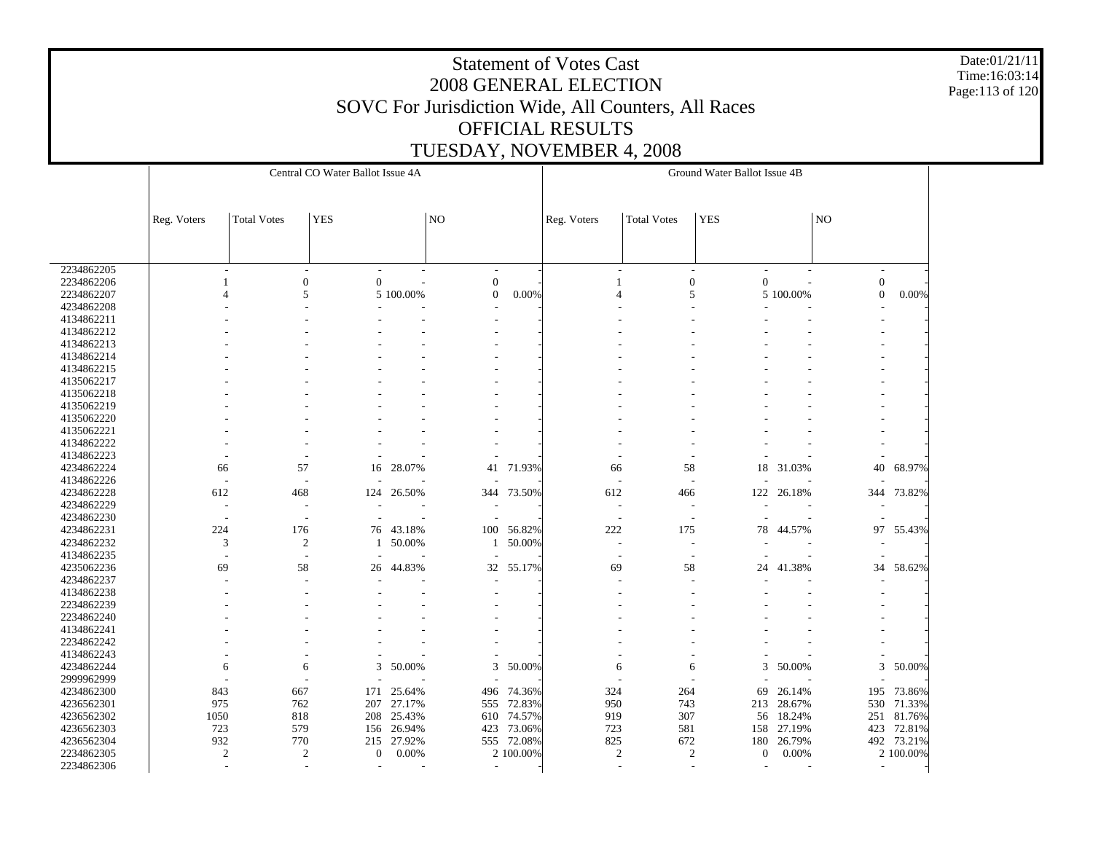Date:01/21/11 Time:16:03:14 Page:113 of 120

|            |                          |                          | Central CO Water Ballot Issue 4A |                 |                          |            |                          |                          | Ground Water Ballot Issue 4B |            |                          |            |
|------------|--------------------------|--------------------------|----------------------------------|-----------------|--------------------------|------------|--------------------------|--------------------------|------------------------------|------------|--------------------------|------------|
|            |                          |                          |                                  |                 |                          |            |                          |                          |                              |            |                          |            |
|            |                          |                          |                                  |                 |                          |            |                          |                          |                              |            |                          |            |
|            | Reg. Voters              | <b>Total Votes</b>       | <b>YES</b>                       |                 | N <sub>O</sub>           |            | Reg. Voters              | <b>Total Votes</b>       | <b>YES</b>                   |            | NO                       |            |
|            |                          |                          |                                  |                 |                          |            |                          |                          |                              |            |                          |            |
|            |                          |                          |                                  |                 |                          |            |                          |                          |                              |            |                          |            |
|            |                          |                          |                                  |                 |                          |            |                          |                          |                              |            |                          |            |
| 2234862205 | $\sim$                   | $\mathbf{r}$             | $\sim$                           |                 | $\overline{\phantom{a}}$ |            | $\overline{\phantom{a}}$ | $\overline{\phantom{a}}$ |                              |            | $\overline{\phantom{a}}$ |            |
| 2234862206 |                          | $\mathbf{0}$             | $\overline{0}$                   |                 | $\boldsymbol{0}$         |            |                          | $\boldsymbol{0}$         | $\boldsymbol{0}$             |            | $\boldsymbol{0}$         |            |
| 2234862207 | $\boldsymbol{\varDelta}$ | 5                        |                                  | 5 100.00%       | $\mathbf{0}$             | 0.00%      | $\overline{4}$           | 5                        |                              | 5 100.00%  | $\boldsymbol{0}$         | 0.00%      |
| 4234862208 |                          |                          |                                  |                 |                          |            |                          |                          |                              |            |                          |            |
| 4134862211 |                          |                          |                                  |                 |                          |            |                          |                          |                              |            |                          |            |
| 4134862212 |                          |                          |                                  |                 |                          |            |                          |                          |                              |            |                          |            |
| 4134862213 |                          |                          |                                  |                 |                          |            |                          |                          |                              |            |                          |            |
| 4134862214 |                          |                          |                                  |                 |                          |            |                          |                          |                              |            |                          |            |
| 4134862215 |                          |                          |                                  |                 |                          |            |                          |                          |                              |            |                          |            |
| 4135062217 |                          |                          |                                  |                 |                          |            |                          |                          |                              |            |                          |            |
| 4135062218 |                          |                          |                                  |                 |                          |            |                          |                          |                              |            |                          |            |
| 4135062219 |                          |                          |                                  |                 |                          |            |                          |                          |                              |            |                          |            |
| 4135062220 |                          |                          |                                  |                 |                          |            |                          |                          |                              |            |                          |            |
| 4135062221 |                          |                          |                                  |                 |                          |            |                          |                          |                              |            |                          |            |
| 4134862222 |                          |                          |                                  |                 |                          |            |                          |                          |                              |            |                          |            |
| 4134862223 |                          |                          |                                  |                 |                          |            |                          |                          |                              |            |                          |            |
| 4234862224 | 66                       | 57                       | 16                               | 28.07%          | 41                       | 71.93%     | 66                       | 58                       | 18                           | 31.03%     | 40                       | 68.97%     |
| 4134862226 | $\overline{\phantom{a}}$ | ÷                        |                                  |                 |                          |            | $\sim$                   | $\overline{a}$           |                              |            |                          |            |
| 4234862228 | 612                      | 468                      | 124                              | 26.50%          | 344                      | 73.50%     | 612                      | 466                      | 122                          | 26.18%     | 344                      | 73.82%     |
| 4234862229 | $\overline{\phantom{a}}$ |                          |                                  |                 |                          |            |                          | $\overline{\phantom{a}}$ |                              |            |                          |            |
| 4234862230 | $\overline{\phantom{a}}$ | $\overline{a}$           |                                  |                 |                          |            | $\overline{\phantom{a}}$ | $\sim$                   |                              |            |                          |            |
| 4234862231 | 224                      | 176                      | 76                               | 43.18%          | 100                      | 56.82%     | 222                      | 175                      | 78                           | 44.57%     | 97                       | 55.43%     |
| 4234862232 | 3                        | $\overline{c}$           | 1                                | 50.00%          | 1                        | 50.00%     |                          | $\overline{\phantom{a}}$ |                              |            |                          |            |
| 4134862235 |                          |                          |                                  |                 |                          |            |                          |                          |                              |            |                          |            |
| 4235062236 | 69                       | 58                       | 26                               | 44.83%          | 32                       | 55.17%     | 69                       | 58                       | 24                           | 41.38%     | 34                       | 58.62%     |
| 4234862237 |                          | $\overline{\phantom{a}}$ |                                  |                 |                          |            |                          |                          |                              |            |                          |            |
| 4134862238 |                          |                          |                                  |                 |                          |            |                          |                          |                              |            |                          |            |
| 2234862239 |                          |                          |                                  |                 |                          |            |                          |                          |                              |            |                          |            |
| 2234862240 |                          |                          |                                  |                 |                          |            |                          |                          |                              |            |                          |            |
| 4134862241 |                          |                          |                                  |                 |                          |            |                          |                          |                              |            |                          |            |
| 2234862242 |                          |                          |                                  |                 |                          |            |                          |                          |                              |            |                          |            |
| 4134862243 |                          |                          |                                  |                 |                          |            |                          |                          |                              |            |                          |            |
| 4234862244 | 6                        | 6                        | 3                                | 50.00%          | 3                        | 50.00%     | 6                        | 6                        | 3                            | 50.00%     | 3                        | 50.00%     |
| 2999962999 |                          |                          |                                  |                 |                          |            |                          |                          |                              |            |                          |            |
| 4234862300 | 843                      | 667                      | 171                              | 25.64%          | 496                      | 74.36%     | 324                      | 264                      | 69                           | 26.14%     | 195                      | 73.86%     |
| 4236562301 | 975                      | 762                      | 207                              | 27.17%          | 555                      | 72.83%     | 950                      | 743                      |                              | 213 28.67% | 530                      | 71.33%     |
| 4236562302 | 1050                     | 818                      | 208                              | 25.43%          | 610                      | 74.57%     | 919                      | 307                      | 56                           | 18.24%     | 251                      | 81.76%     |
| 4236562303 | 723                      | 579                      | 156                              | 26.94%          | 423                      | 73.06%     | 723                      | 581                      | 158                          | 27.19%     | 423                      |            |
| 4236562304 |                          | 770                      |                                  |                 |                          |            |                          | 672                      |                              | 26.79%     |                          | 72.81%     |
|            | 932                      |                          | 215                              | 27.92%<br>0.00% |                          | 555 72.08% | 825                      |                          | 180                          |            |                          | 492 73.21% |
| 2234862305 | $\mathfrak{2}$           | $\overline{c}$           | $\mathbf{0}$                     |                 |                          | 2 100.00%  | $\overline{c}$           | $\mathfrak{2}$           | $\boldsymbol{0}$             | 0.00%      |                          | 2 100.00%  |
| 2234862306 |                          | ÷,                       | $\overline{a}$                   |                 | $\overline{\phantom{a}}$ |            |                          |                          |                              |            | $\overline{\phantom{a}}$ |            |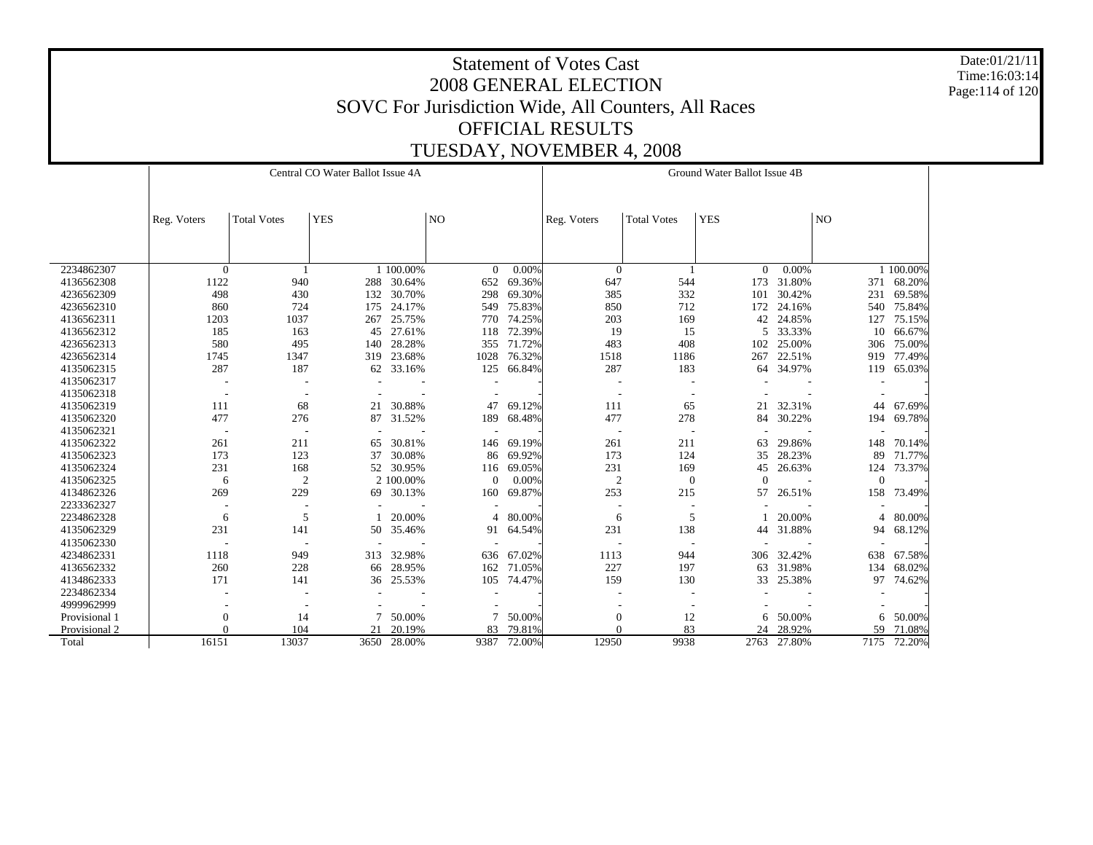Date:01/21/11 Time:16:03:14 Page:114 of 120

|               |                          |                          | Central CO Water Ballot Issue 4A |           |                          |        |                |                    | Ground Water Ballot Issue 4B |             |              |           |
|---------------|--------------------------|--------------------------|----------------------------------|-----------|--------------------------|--------|----------------|--------------------|------------------------------|-------------|--------------|-----------|
|               |                          |                          |                                  |           |                          |        |                |                    |                              |             |              |           |
|               | Reg. Voters              | <b>Total Votes</b>       | <b>YES</b>                       |           | N <sub>O</sub>           |        | Reg. Voters    | <b>Total Votes</b> | <b>YES</b>                   |             | NO           |           |
|               |                          |                          |                                  |           |                          |        |                |                    |                              |             |              |           |
|               |                          |                          |                                  |           |                          |        |                |                    |                              |             |              |           |
|               |                          |                          |                                  |           |                          |        |                |                    |                              |             |              |           |
| 2234862307    | $\theta$                 |                          |                                  | 1 100.00% | $\Omega$                 | 0.00%  | $\overline{0}$ |                    | $\overline{0}$               | 0.00%       |              | 1 100.00% |
| 4136562308    | 1122                     | 940                      | 288                              | 30.64%    | 652                      | 69.36% | 647            | 544                | 173                          | 31.80%      | 371          | 68.20%    |
| 4236562309    | 498                      | 430                      | 132                              | 30.70%    | 298                      | 69.30% | 385            | 332                | 101                          | 30.42%      | 231          | 69.58%    |
| 4236562310    | 860                      | 724                      | 175                              | 24.17%    | 549                      | 75.83% | 850            | 712                | 172                          | 24.16%      | 540          | 75.84%    |
| 4136562311    | 1203                     | 1037                     | 267                              | 25.75%    | 770                      | 74.25% | 203            | 169                | 42                           | 24.85%      | 127          | 75.15%    |
| 4136562312    | 185                      | 163                      | 45                               | 27.61%    | 118                      | 72.39% | 19             | 15                 | 5                            | 33.33%      | 10           | 66.67%    |
| 4236562313    | 580                      | 495                      | 140                              | 28.28%    | 355                      | 71.72% | 483            | 408                | 102                          | 25.00%      | 306          | 75.00%    |
| 4236562314    | 1745                     | 1347                     | 319                              | 23.68%    | 1028                     | 76.32% | 1518           | 1186               | 267                          | 22.51%      | 919          | 77.49%    |
| 4135062315    | 287                      | 187                      | 62                               | 33.16%    | 125                      | 66.84% | 287            | 183                | 64                           | 34.97%      | 119          | 65.03%    |
| 4135062317    |                          |                          |                                  |           |                          |        |                |                    |                              |             |              |           |
| 4135062318    | $\overline{\phantom{a}}$ |                          |                                  |           |                          |        |                |                    |                              |             |              |           |
| 4135062319    | 111                      | 68                       | 21                               | 30.88%    | 47                       | 69.12% | 111            | 65                 | 21                           | 32.31%      | 44           | 67.69%    |
| 4135062320    | 477                      | 276                      | 87                               | 31.52%    | 189                      | 68.48% | 477            | 278                | 84                           | 30.22%      | 194          | 69.78%    |
| 4135062321    |                          |                          |                                  |           |                          |        |                |                    |                              |             |              |           |
| 4135062322    | 261                      | 211                      | 65                               | 30.81%    | 146                      | 69.19% | 261            | 211                | 63                           | 29.86%      | 148          | 70.14%    |
| 4135062323    | 173                      | 123                      | 37                               | 30.08%    | 86                       | 69.92% | 173            | 124                | 35                           | 28.23%      | 89           | 71.77%    |
| 4135062324    | 231                      | 168                      | 52                               | 30.95%    | 116                      | 69.05% | 231            | 169                | 45                           | 26.63%      | 124          | 73.37%    |
| 4135062325    | 6                        | $\overline{c}$           |                                  | 2 100,00% | $\mathbf{0}$             | 0.00%  | $\overline{2}$ | $\overline{0}$     | $\overline{0}$               |             | $\mathbf{0}$ |           |
| 4134862326    | 269                      | 229                      | 69                               | 30.13%    | 160                      | 69.87% | 253            | 215                | 57                           | 26.51%      | 158          | 73.49%    |
| 2233362327    |                          |                          |                                  |           |                          |        |                |                    |                              |             |              |           |
| 2234862328    | 6                        | 5                        |                                  | 20.00%    | $\boldsymbol{\varDelta}$ | 80.00% | 6              | 5                  |                              | 20.00%      |              | 80.00%    |
| 4135062329    | 231                      | 141                      | 50                               | 35.46%    | 91                       | 64.54% | 231            | 138                | 44                           | 31.88%      | 94           | 68.12%    |
| 4135062330    | $\overline{\phantom{a}}$ | $\overline{\phantom{a}}$ |                                  |           |                          |        |                |                    |                              |             |              |           |
| 4234862331    | 1118                     | 949                      | 313                              | 32.98%    | 636                      | 67.02% | 1113           | 944                | 306                          | 32.42%      | 638          | 67.58%    |
| 4136562332    | 260                      | 228                      | 66                               | 28.95%    | 162                      | 71.05% | 227            | 197                | 63                           | 31.98%      | 134          | 68.02%    |
| 4134862333    | 171                      | 141                      | 36                               | 25.53%    | 105                      | 74.47% | 159            | 130                | 33                           | 25.38%      | 97           | 74.62%    |
| 2234862334    |                          |                          |                                  |           |                          |        |                |                    |                              |             |              |           |
| 4999962999    |                          |                          |                                  |           |                          |        |                |                    |                              |             |              |           |
| Provisional 1 | $\boldsymbol{0}$         | 14                       | 7                                | 50.00%    |                          | 50.00% | $\mathbf{0}$   | 12                 | 6                            | 50.00%      | 6            | 50.00%    |
| Provisional 2 | $\Omega$                 | 104                      | 21                               | 20.19%    | 83                       | 79.81% | $\Omega$       | 83                 | 24                           | 28.92%      | 59           | 71.08%    |
| Total         | 16151                    | 13037                    | 3650                             | 28.00%    | 9387                     | 72.00% | 12950          | 9938               |                              | 2763 27.80% | 7175         | 72.20%    |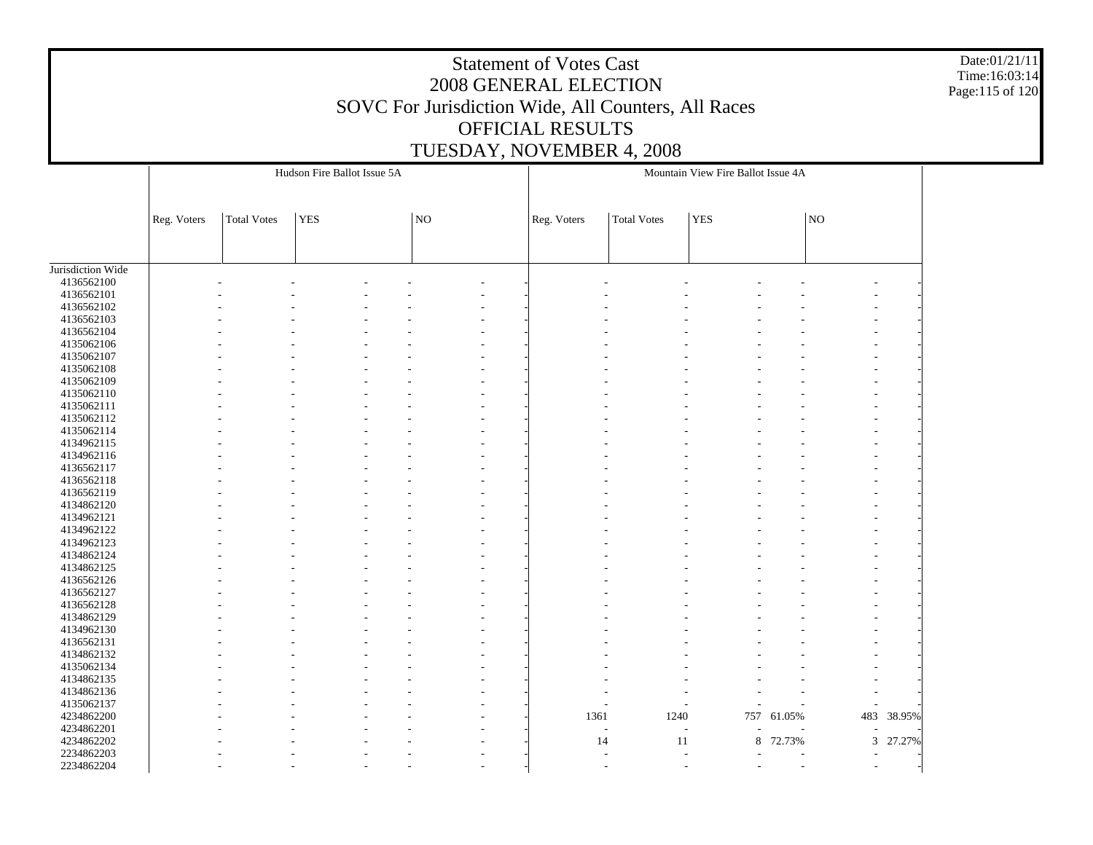Date:01/21/11 Time:16:03:14 Page:115 of 120

|                   |             |                    | Hudson Fire Ballot Issue 5A |                |             |                    | Mountain View Fire Ballot Issue 4A |            |                          |            |
|-------------------|-------------|--------------------|-----------------------------|----------------|-------------|--------------------|------------------------------------|------------|--------------------------|------------|
|                   | Reg. Voters | <b>Total Votes</b> | <b>YES</b>                  | $\overline{N}$ | Reg. Voters | <b>Total Votes</b> | <b>YES</b>                         |            | NO                       |            |
|                   |             |                    |                             |                |             |                    |                                    |            |                          |            |
| Jurisdiction Wide |             |                    |                             |                |             |                    |                                    |            |                          |            |
| 4136562100        |             |                    |                             |                |             |                    |                                    |            |                          |            |
| 4136562101        |             |                    |                             |                |             |                    |                                    |            |                          |            |
| 4136562102        |             |                    |                             |                |             |                    |                                    |            |                          |            |
| 4136562103        |             |                    |                             |                |             |                    |                                    |            |                          |            |
| 4136562104        |             |                    |                             |                |             |                    |                                    |            |                          |            |
| 4135062106        |             |                    |                             |                |             |                    |                                    |            |                          |            |
| 4135062107        |             |                    |                             |                |             |                    |                                    |            |                          |            |
| 4135062108        |             |                    |                             |                |             |                    |                                    |            |                          |            |
| 4135062109        |             |                    |                             |                |             |                    |                                    |            |                          |            |
| 4135062110        |             |                    |                             |                |             |                    |                                    |            |                          |            |
| 4135062111        |             |                    |                             |                |             |                    |                                    |            |                          |            |
| 4135062112        |             |                    |                             |                |             |                    |                                    |            |                          |            |
| 4135062114        |             |                    |                             |                |             |                    |                                    |            |                          |            |
| 4134962115        |             |                    |                             |                |             |                    |                                    |            |                          |            |
| 4134962116        |             |                    |                             |                |             |                    |                                    |            |                          |            |
| 4136562117        |             |                    |                             |                |             |                    |                                    |            |                          |            |
| 4136562118        |             |                    |                             |                |             |                    |                                    |            |                          |            |
| 4136562119        |             |                    |                             |                |             |                    |                                    |            |                          |            |
| 4134862120        |             |                    |                             |                |             |                    |                                    |            |                          |            |
| 4134962121        |             |                    |                             |                |             |                    |                                    |            |                          |            |
| 4134962122        |             |                    |                             |                |             |                    |                                    |            |                          |            |
| 4134962123        |             |                    |                             |                |             |                    |                                    |            |                          |            |
| 4134862124        |             |                    |                             |                |             |                    |                                    |            |                          |            |
| 4134862125        |             |                    |                             |                |             |                    |                                    |            |                          |            |
| 4136562126        |             |                    |                             |                |             |                    |                                    |            |                          |            |
| 4136562127        |             |                    |                             |                |             |                    |                                    |            |                          |            |
| 4136562128        |             |                    |                             |                |             |                    |                                    |            |                          |            |
| 4134862129        |             |                    |                             |                |             |                    |                                    |            |                          |            |
| 4134962130        |             |                    |                             |                |             |                    |                                    |            |                          |            |
| 4136562131        |             |                    |                             |                |             |                    |                                    |            |                          |            |
| 4134862132        |             |                    |                             |                |             |                    |                                    |            |                          |            |
| 4135062134        |             |                    |                             |                |             |                    |                                    |            |                          |            |
| 4134862135        |             |                    |                             |                |             |                    |                                    |            |                          |            |
| 4134862136        |             |                    |                             |                |             |                    |                                    |            |                          |            |
| 4135062137        |             |                    |                             |                |             |                    |                                    |            |                          |            |
| 4234862200        |             |                    |                             |                | 1361        | 1240               |                                    | 757 61.05% |                          | 483 38.95% |
| 4234862201        |             |                    |                             |                |             | $\sim$             |                                    |            |                          |            |
| 4234862202        |             |                    |                             |                | 14          | 11                 | $\,8\,$                            | 72.73%     | $\overline{3}$           | 27.27%     |
| 2234862203        |             |                    |                             |                |             |                    |                                    |            |                          |            |
| 2234862204        |             |                    |                             |                |             |                    |                                    |            | $\overline{\phantom{a}}$ |            |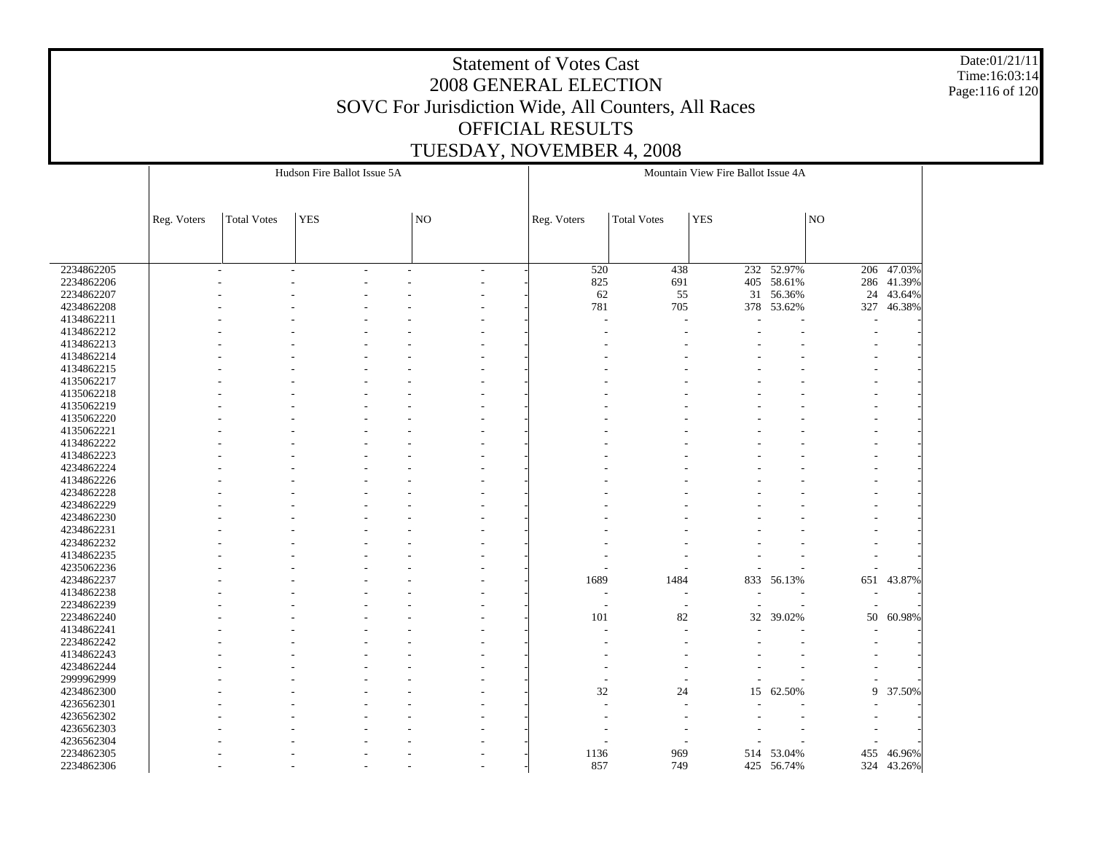Date:01/21/11 Time:16:03:14 Page:116 of 120

|            |             |                    | Hudson Fire Ballot Issue 5A |                          |                          |                    | Mountain View Fire Ballot Issue 4A |                |                     |            |
|------------|-------------|--------------------|-----------------------------|--------------------------|--------------------------|--------------------|------------------------------------|----------------|---------------------|------------|
|            |             |                    |                             |                          |                          |                    |                                    |                |                     |            |
|            | Reg. Voters | <b>Total Votes</b> | <b>YES</b>                  | NO                       | Reg. Voters              | <b>Total Votes</b> | <b>YES</b>                         |                | $\overline{\rm NO}$ |            |
|            |             |                    |                             |                          |                          |                    |                                    |                |                     |            |
| 2234862205 |             |                    |                             | $\overline{\phantom{a}}$ | 520                      | 438                |                                    | $232 - 52.97%$ | 206                 | 47.03%     |
| 2234862206 |             |                    |                             |                          | 825                      | 691                | 405                                | 58.61%         | 286                 | 41.39%     |
| 2234862207 |             |                    |                             |                          | 62                       | 55                 | 31                                 | 56.36%         | 24                  | 43.64%     |
| 4234862208 |             |                    |                             |                          | 781                      | 705                | 378                                | 53.62%         | 327                 | 46.38%     |
| 4134862211 |             |                    |                             |                          |                          |                    |                                    |                |                     |            |
| 4134862212 |             |                    |                             |                          |                          |                    |                                    |                |                     |            |
| 4134862213 |             |                    |                             |                          |                          |                    |                                    |                |                     |            |
| 4134862214 |             |                    |                             |                          |                          |                    |                                    |                |                     |            |
| 4134862215 |             |                    |                             |                          |                          |                    |                                    |                |                     |            |
| 4135062217 |             |                    |                             |                          |                          |                    |                                    |                |                     |            |
| 4135062218 |             |                    |                             |                          |                          |                    |                                    |                |                     |            |
| 4135062219 |             |                    |                             |                          |                          |                    |                                    |                |                     |            |
| 4135062220 |             |                    |                             |                          |                          |                    |                                    |                |                     |            |
| 4135062221 |             |                    |                             |                          |                          |                    |                                    |                |                     |            |
| 4134862222 |             |                    |                             |                          |                          |                    |                                    |                |                     |            |
| 4134862223 |             |                    |                             |                          |                          |                    |                                    |                |                     |            |
| 4234862224 |             |                    |                             |                          |                          |                    |                                    |                |                     |            |
| 4134862226 |             |                    |                             |                          |                          |                    |                                    |                |                     |            |
| 4234862228 |             |                    |                             |                          |                          |                    |                                    |                |                     |            |
| 4234862229 |             |                    |                             |                          |                          |                    |                                    |                |                     |            |
| 4234862230 |             |                    |                             |                          |                          |                    |                                    |                |                     |            |
| 4234862231 |             |                    |                             |                          |                          |                    |                                    |                |                     |            |
| 4234862232 |             |                    |                             |                          |                          |                    |                                    |                |                     |            |
| 4134862235 |             |                    |                             |                          |                          |                    |                                    |                |                     |            |
| 4235062236 |             |                    |                             |                          |                          |                    |                                    |                |                     |            |
| 4234862237 |             |                    |                             |                          | 1689                     | 1484               |                                    | 833 56.13%     | 651                 | 43.87%     |
| 4134862238 |             |                    |                             |                          | $\overline{\phantom{a}}$ | ÷,                 |                                    |                |                     |            |
| 2234862239 |             |                    |                             |                          | $\overline{\phantom{a}}$ | ٠                  | $\overline{\phantom{a}}$           |                |                     |            |
| 2234862240 |             |                    |                             |                          | 101                      | 82                 | $32\,$                             | 39.02%         | 50                  | 60.98%     |
| 4134862241 |             |                    |                             |                          |                          |                    |                                    |                |                     |            |
| 2234862242 |             |                    |                             |                          |                          |                    |                                    |                |                     |            |
| 4134862243 |             |                    |                             |                          |                          |                    |                                    |                |                     |            |
| 4234862244 |             |                    |                             |                          |                          |                    |                                    |                |                     |            |
| 2999962999 |             |                    |                             |                          |                          |                    |                                    |                |                     |            |
| 4234862300 |             |                    |                             |                          | 32                       | 24                 |                                    |                | 9                   |            |
|            |             |                    |                             |                          |                          |                    | 15                                 | 62.50%         |                     | 37.50%     |
| 4236562301 |             |                    |                             |                          |                          |                    |                                    |                |                     |            |
| 4236562302 |             |                    |                             |                          |                          |                    |                                    |                |                     |            |
| 4236562303 |             |                    |                             |                          |                          |                    |                                    |                |                     |            |
| 4236562304 |             |                    |                             |                          |                          |                    |                                    |                |                     |            |
| 2234862305 |             |                    |                             |                          | 1136                     | 969                |                                    | 514 53.04%     | 455                 | 46.96%     |
| 2234862306 |             |                    |                             |                          | 857                      | 749                |                                    | 425 56.74%     |                     | 324 43.26% |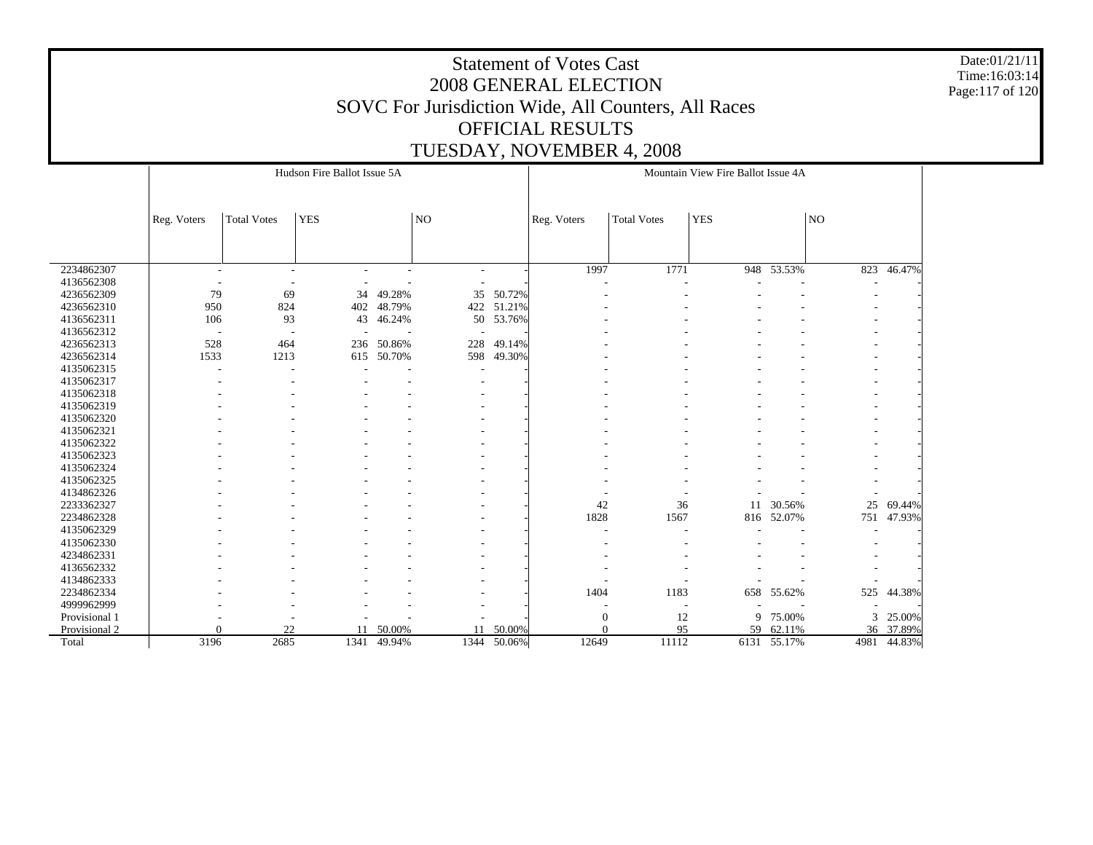Date:01/21/11 Time:16:03:14 Page:117 of 120

|               |                          |                          | Hudson Fire Ballot Issue 5A |        |                          |             |              |                    | Mountain View Fire Ballot Issue 4A |             |      |        |
|---------------|--------------------------|--------------------------|-----------------------------|--------|--------------------------|-------------|--------------|--------------------|------------------------------------|-------------|------|--------|
|               | Reg. Voters              | <b>Total Votes</b>       | <b>YES</b>                  |        | NO                       |             | Reg. Voters  | <b>Total Votes</b> | <b>YES</b>                         |             | NO   |        |
|               |                          |                          |                             |        |                          |             |              |                    |                                    |             |      |        |
| 2234862307    | $\overline{\phantom{a}}$ | $\overline{\phantom{a}}$ |                             |        | $\overline{\phantom{a}}$ |             | 1997         | 1771               |                                    | 948 53.53%  | 823  | 46.47% |
| 4136562308    | $\overline{\phantom{a}}$ |                          |                             |        |                          |             |              |                    |                                    |             |      |        |
| 4236562309    | 79                       | 69                       | 34                          | 49.28% | 35                       | 50.72%      |              |                    |                                    |             |      |        |
| 4236562310    | 950                      | 824                      | 402                         | 48.79% | 422                      | 51.21%      |              |                    |                                    |             |      |        |
| 4136562311    | 106                      | 93                       | 43                          | 46.24% |                          | 50 53.76%   |              |                    |                                    |             |      |        |
| 4136562312    | $\overline{\phantom{a}}$ |                          |                             |        |                          |             |              |                    |                                    |             |      |        |
| 4236562313    | 528                      | 464                      | 236                         | 50.86% | 228                      | 49.14%      |              |                    |                                    |             |      |        |
| 4236562314    | 1533                     | 1213                     | 615                         | 50.70% | 598                      | 49.30%      |              |                    |                                    |             |      |        |
| 4135062315    |                          |                          |                             |        |                          |             |              |                    |                                    |             |      |        |
| 4135062317    |                          |                          |                             |        |                          |             |              |                    |                                    |             |      |        |
| 4135062318    |                          |                          |                             |        |                          |             |              |                    |                                    |             |      |        |
| 4135062319    |                          |                          |                             |        |                          |             |              |                    |                                    |             |      |        |
| 4135062320    |                          |                          |                             |        |                          |             |              |                    |                                    |             |      |        |
| 4135062321    |                          |                          |                             |        |                          |             |              |                    |                                    |             |      |        |
| 4135062322    |                          |                          |                             |        |                          |             |              |                    |                                    |             |      |        |
| 4135062323    |                          |                          |                             |        |                          |             |              |                    |                                    |             |      |        |
| 4135062324    |                          |                          |                             |        |                          |             |              |                    |                                    |             |      |        |
| 4135062325    |                          |                          |                             |        |                          |             |              |                    |                                    |             |      |        |
| 4134862326    |                          |                          |                             |        |                          |             |              |                    |                                    |             |      |        |
| 2233362327    |                          |                          |                             |        |                          |             | 42           | 36                 | 11                                 | 30.56%      | 25   | 69.44% |
| 2234862328    |                          |                          |                             |        |                          |             | 1828         | 1567               | 816                                | 52.07%      | 751  | 47.93% |
| 4135062329    |                          |                          |                             |        |                          |             |              |                    |                                    |             |      |        |
| 4135062330    |                          |                          |                             |        |                          |             |              |                    |                                    |             |      |        |
| 4234862331    |                          |                          |                             |        |                          |             |              |                    |                                    |             |      |        |
| 4136562332    |                          |                          |                             |        |                          |             |              |                    |                                    |             |      |        |
| 4134862333    |                          |                          |                             |        |                          |             |              |                    |                                    |             |      |        |
| 2234862334    |                          |                          |                             |        |                          |             | 1404         | 1183               | 658                                | 55.62%      | 525  | 44.38% |
| 4999962999    |                          |                          |                             |        |                          |             |              |                    |                                    |             |      |        |
| Provisional 1 |                          |                          |                             |        |                          |             | $\mathbf{0}$ | 12                 | 9                                  | 75.00%      | 3    | 25.00% |
| Provisional 2 | $\Omega$                 | 22                       | 11                          | 50.00% | 11                       | 50.00%      | $\Omega$     | 95                 | 59                                 | 62.11%      | 36   | 37.89% |
| Total         | 3196                     | 2685                     | 1341                        | 49.94% |                          | 1344 50.06% | 12649        | 11112              |                                    | 6131 55.17% | 4981 | 44.83% |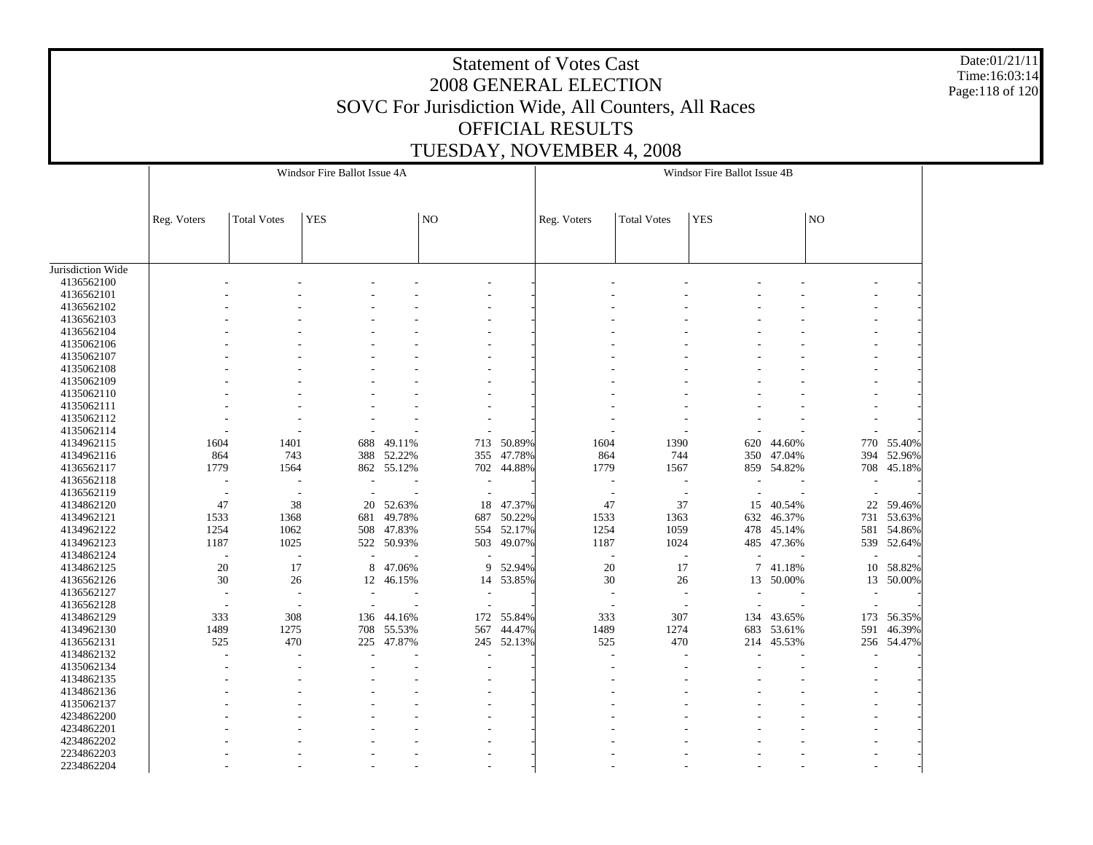Date:01/21/11 Time:16:03:14 Page:118 of 120

|                   |                          |                    | Windsor Fire Ballot Issue 4A |            |     |            |                |                          | Windsor Fire Ballot Issue 4B |            |     |            |
|-------------------|--------------------------|--------------------|------------------------------|------------|-----|------------|----------------|--------------------------|------------------------------|------------|-----|------------|
|                   |                          |                    |                              |            |     |            |                |                          |                              |            |     |            |
|                   |                          |                    |                              |            |     |            |                |                          |                              |            |     |            |
|                   | Reg. Voters              | <b>Total Votes</b> | <b>YES</b>                   |            | NO  |            | Reg. Voters    | <b>Total Votes</b>       | <b>YES</b>                   |            | NO  |            |
|                   |                          |                    |                              |            |     |            |                |                          |                              |            |     |            |
|                   |                          |                    |                              |            |     |            |                |                          |                              |            |     |            |
| Jurisdiction Wide |                          |                    |                              |            |     |            |                |                          |                              |            |     |            |
| 4136562100        |                          |                    |                              |            |     |            |                |                          |                              |            |     |            |
| 4136562101        |                          |                    |                              |            |     |            |                |                          |                              |            |     |            |
| 4136562102        |                          |                    |                              |            |     |            |                |                          |                              |            |     |            |
| 4136562103        |                          |                    |                              |            |     |            |                |                          |                              |            |     |            |
| 4136562104        |                          |                    |                              |            |     |            |                |                          |                              |            |     |            |
| 4135062106        |                          |                    |                              |            |     |            |                |                          |                              |            |     |            |
| 4135062107        |                          |                    |                              |            |     |            |                |                          |                              |            |     |            |
| 4135062108        |                          |                    |                              |            |     |            |                |                          |                              |            |     |            |
| 4135062109        |                          |                    |                              |            |     |            |                |                          |                              |            |     |            |
| 4135062110        |                          |                    |                              |            |     |            |                |                          |                              |            |     |            |
| 4135062111        |                          |                    |                              |            |     |            |                |                          |                              |            |     |            |
| 4135062112        |                          |                    |                              |            |     |            |                |                          |                              |            |     |            |
| 4135062114        |                          |                    |                              |            |     |            |                |                          |                              |            |     |            |
| 4134962115        | 1604                     | 1401               | 688                          | 49.11%     | 713 | 50.89%     | 1604           | 1390                     | 620                          | 44.60%     | 770 | 55.40%     |
| 4134962116        | 864                      | 743                | 388                          | 52.22%     | 355 | 47.78%     | 864            | 744                      | 350                          | 47.04%     | 394 | 52.96%     |
| 4136562117        | 1779                     |                    |                              | 862 55.12% |     |            | 1779           | 1567                     |                              |            |     |            |
| 4136562118        |                          | 1564               |                              |            |     | 702 44.88% |                |                          |                              | 859 54.82% | 708 | 45.18%     |
|                   |                          |                    |                              |            |     |            |                | $\overline{a}$           |                              |            |     |            |
| 4136562119        | $\overline{\phantom{a}}$ | $\overline{a}$     |                              |            |     |            | $\overline{a}$ | $\overline{\phantom{a}}$ |                              |            |     |            |
| 4134862120        | 47                       | 38                 | 20                           | 52.63%     | 18  | 47.37%     | 47             | 37                       | 15                           | 40.54%     | 22  | 59.46%     |
| 4134962121        | 1533                     | 1368               | 681                          | 49.78%     | 687 | 50.22%     | 1533           | 1363                     | 632                          | 46.37%     | 731 | 53.63%     |
| 4134962122        | 1254                     | 1062               | 508                          | 47.83%     |     | 554 52.17% | 1254           | 1059                     | 478                          | 45.14%     | 581 | 54.86%     |
| 4134962123        | 1187                     | 1025               |                              | 522 50.93% | 503 | 49.07%     | 1187           | 1024                     | 485                          | 47.36%     |     | 539 52.64% |
| 4134862124        |                          | ÷,                 |                              |            |     |            | ÷,             | ÷,                       |                              |            |     |            |
| 4134862125        | 20                       | 17                 | 8                            | 47.06%     | 9   | 52.94%     | 20             | 17                       | 7                            | 41.18%     | 10  | 58.82%     |
| 4136562126        | 30                       | 26                 | 12                           | 46.15%     |     | 14 53.85%  | $30\,$         | 26                       | 13                           | 50.00%     | 13  | 50.00%     |
| 4136562127        |                          |                    |                              |            |     |            |                |                          |                              |            |     |            |
| 4136562128        |                          |                    |                              |            |     |            |                |                          |                              |            |     |            |
| 4134862129        | 333                      | 308                | 136                          | 44.16%     | 172 | 55.84%     | 333            | 307                      | 134                          | 43.65%     | 173 | 56.35%     |
| 4134962130        | 1489                     | 1275               |                              | 708 55.53% | 567 | 44.47%     | 1489           | 1274                     | 683                          | 53.61%     | 591 | 46.39%     |
| 4136562131        | 525                      | 470                |                              | 225 47.87% |     | 245 52.13% | 525            | 470                      | 214                          | 45.53%     | 256 | 54.47%     |
| 4134862132        |                          |                    |                              |            |     |            | $\overline{a}$ |                          |                              |            |     |            |
| 4135062134        |                          |                    |                              |            |     |            |                |                          |                              |            |     |            |
| 4134862135        |                          |                    |                              |            |     |            |                |                          |                              |            |     |            |
| 4134862136        |                          |                    |                              |            |     |            |                |                          |                              |            |     |            |
| 4135062137        |                          |                    |                              |            |     |            |                |                          |                              |            |     |            |
| 4234862200        |                          |                    |                              |            |     |            |                |                          |                              |            |     |            |
| 4234862201        |                          |                    |                              |            |     |            |                |                          |                              |            |     |            |
| 4234862202        |                          |                    |                              |            |     |            |                |                          |                              |            |     |            |
| 2234862203        |                          |                    |                              |            |     |            |                |                          |                              |            |     |            |
|                   |                          |                    |                              |            |     |            |                |                          |                              |            |     |            |
| 2234862204        |                          |                    |                              |            |     |            |                |                          |                              |            |     |            |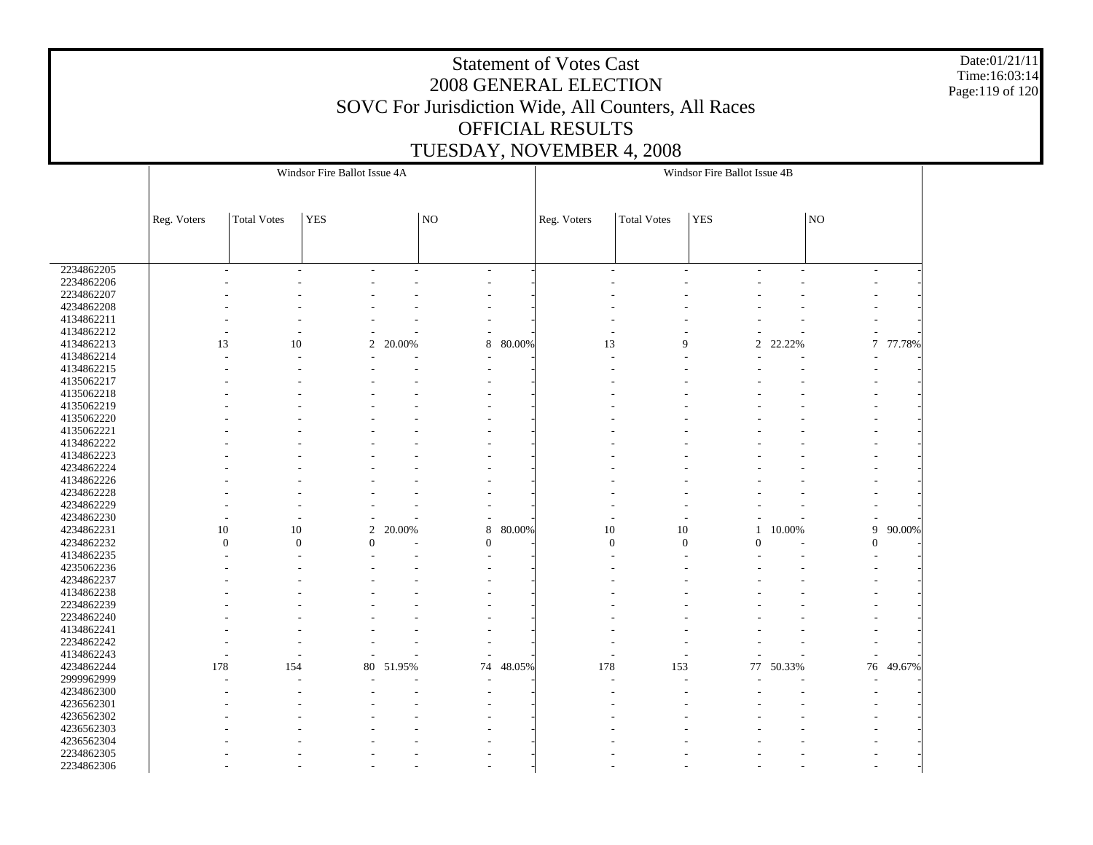Date:01/21/11 Time:16:03:14 Page:119 of 120

|            |                |                    | Windsor Fire Ballot Issue 4A |        |                          |        |                  |                    | Windsor Fire Ballot Issue 4B |        |                          |        |  |
|------------|----------------|--------------------|------------------------------|--------|--------------------------|--------|------------------|--------------------|------------------------------|--------|--------------------------|--------|--|
|            |                |                    |                              |        |                          |        |                  |                    |                              |        |                          |        |  |
|            | Reg. Voters    | <b>Total Votes</b> | <b>YES</b>                   |        | $\overline{N}$           |        | Reg. Voters      | <b>Total Votes</b> | <b>YES</b>                   |        | NO                       |        |  |
|            |                |                    |                              |        |                          |        |                  |                    |                              |        |                          |        |  |
|            |                |                    |                              |        |                          |        |                  |                    |                              |        |                          |        |  |
| 2234862205 |                |                    |                              |        | $\overline{\phantom{a}}$ |        | $\sim$           | ÷                  |                              | ÷      | $\overline{\phantom{a}}$ |        |  |
| 2234862206 |                |                    |                              |        |                          |        |                  |                    |                              |        |                          |        |  |
| 2234862207 |                |                    |                              |        |                          |        |                  |                    |                              |        |                          |        |  |
| 4234862208 |                |                    |                              |        |                          |        |                  |                    |                              |        |                          |        |  |
| 4134862211 |                |                    |                              |        |                          |        |                  |                    |                              |        |                          |        |  |
| 4134862212 |                |                    |                              |        |                          |        |                  |                    |                              |        |                          |        |  |
| 4134862213 | 13             | 10                 | 2                            | 20.00% | 8                        | 80.00% | 13               | 9                  | $\overline{c}$               | 22.22% | $\tau$                   | 77.78% |  |
| 4134862214 |                |                    |                              |        |                          |        |                  |                    |                              |        |                          |        |  |
| 4134862215 |                |                    |                              |        |                          |        |                  |                    |                              |        |                          |        |  |
| 4135062217 |                |                    |                              |        |                          |        |                  |                    |                              |        |                          |        |  |
| 4135062218 |                |                    |                              |        |                          |        |                  |                    |                              |        |                          |        |  |
| 4135062219 |                |                    |                              |        |                          |        |                  |                    |                              |        |                          |        |  |
| 4135062220 |                |                    |                              |        |                          |        |                  |                    |                              |        |                          |        |  |
| 4135062221 |                |                    |                              |        |                          |        |                  |                    |                              |        |                          |        |  |
| 4134862222 |                |                    |                              |        |                          |        |                  |                    |                              |        |                          |        |  |
| 4134862223 |                |                    |                              |        |                          |        |                  |                    |                              |        |                          |        |  |
| 4234862224 |                |                    |                              |        |                          |        |                  |                    |                              |        |                          |        |  |
| 4134862226 |                |                    |                              |        |                          |        |                  |                    |                              |        |                          |        |  |
| 4234862228 |                |                    |                              |        |                          |        |                  |                    |                              |        |                          |        |  |
| 4234862229 |                |                    |                              |        |                          |        |                  |                    |                              |        |                          |        |  |
| 4234862230 |                |                    |                              |        |                          |        |                  |                    |                              |        |                          |        |  |
| 4234862231 | 10             | 10                 | 2                            | 20.00% | 8                        | 80.00% | 10               | 10                 | $\mathbf{1}$                 | 10.00% | 9                        | 90.00% |  |
| 4234862232 | $\overline{0}$ | $\boldsymbol{0}$   | $\Omega$                     |        | $\overline{0}$           |        | $\boldsymbol{0}$ | $\boldsymbol{0}$   | $\theta$                     |        | $\overline{0}$           |        |  |
| 4134862235 |                |                    |                              |        |                          |        |                  |                    |                              |        |                          |        |  |
| 4235062236 |                |                    |                              |        |                          |        |                  |                    |                              |        |                          |        |  |
| 4234862237 |                |                    |                              |        |                          |        |                  |                    |                              |        |                          |        |  |
| 4134862238 |                |                    |                              |        |                          |        |                  |                    |                              |        |                          |        |  |
| 2234862239 |                |                    |                              |        |                          |        |                  |                    |                              |        |                          |        |  |
| 2234862240 |                |                    |                              |        |                          |        |                  |                    |                              |        |                          |        |  |
| 4134862241 |                |                    |                              |        |                          |        |                  |                    |                              |        |                          |        |  |
| 2234862242 |                |                    |                              |        |                          |        |                  |                    |                              |        |                          |        |  |
| 4134862243 |                |                    | ٠                            |        | $\overline{\phantom{a}}$ |        | $\overline{a}$   |                    |                              |        | L,                       |        |  |
| 4234862244 | 178            | 154                | 80                           | 51.95% | 74                       | 48.05% | 178              | 153                | 77                           | 50.33% | 76                       | 49.67% |  |
| 2999962999 |                |                    |                              |        | ٠                        |        |                  |                    |                              |        |                          |        |  |
| 4234862300 |                |                    |                              |        |                          |        |                  |                    |                              |        |                          |        |  |
| 4236562301 |                |                    |                              |        |                          |        |                  |                    |                              |        |                          |        |  |
| 4236562302 |                |                    |                              |        |                          |        |                  |                    |                              |        |                          |        |  |
| 4236562303 |                |                    |                              |        |                          |        |                  |                    |                              |        |                          |        |  |
| 4236562304 |                |                    |                              |        |                          |        |                  |                    |                              |        |                          |        |  |
| 2234862305 |                |                    |                              |        |                          |        |                  |                    |                              |        |                          |        |  |
| 2234862306 |                |                    |                              |        |                          |        |                  |                    |                              |        |                          |        |  |
|            |                |                    |                              |        |                          |        |                  |                    |                              |        |                          |        |  |